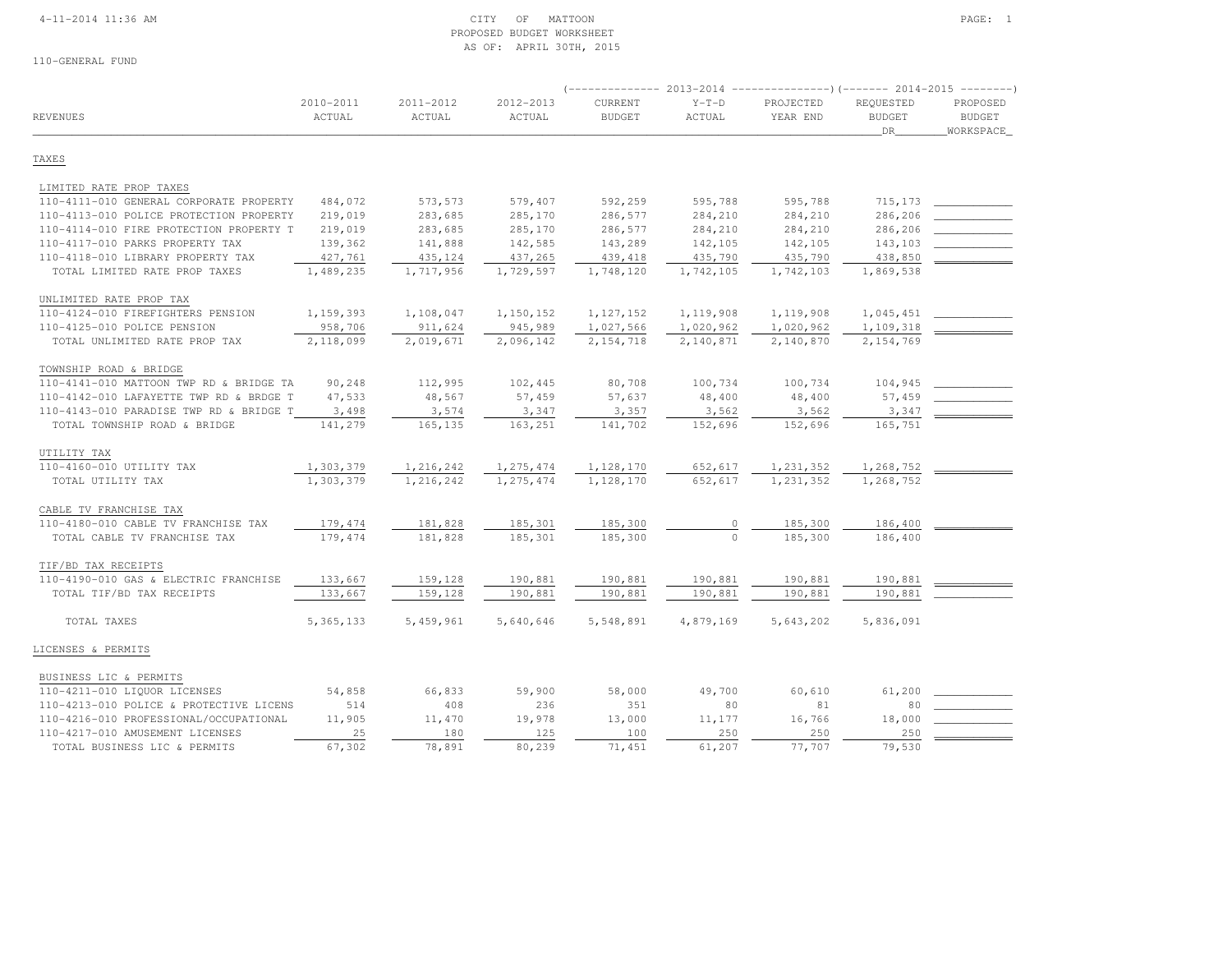## 4-11-2014 11:36 AM CITY OF MATTOON PAGE: 1 PROPOSED BUDGET WORKSHEETAS OF: APRIL 30TH, 2015

| <b>REVENUES</b>                         | 2010-2011<br>ACTUAL | 2011-2012<br>ACTUAL | 2012-2013<br>ACTUAL | CURRENT<br><b>BUDGET</b> | $Y-T-D$<br>ACTUAL | PROJECTED<br>YEAR END | REQUESTED<br><b>BUDGET</b><br>DR | PROPOSED<br><b>BUDGET</b><br>WORKSPACE |
|-----------------------------------------|---------------------|---------------------|---------------------|--------------------------|-------------------|-----------------------|----------------------------------|----------------------------------------|
| TAXES                                   |                     |                     |                     |                          |                   |                       |                                  |                                        |
| LIMITED RATE PROP TAXES                 |                     |                     |                     |                          |                   |                       |                                  |                                        |
| 110-4111-010 GENERAL CORPORATE PROPERTY | 484,072             | 573,573             | 579,407             | 592,259                  | 595,788           | 595,788               | 715, 173                         |                                        |
| 110-4113-010 POLICE PROTECTION PROPERTY | 219,019             | 283,685             | 285,170             | 286,577                  | 284,210           | 284,210               | 286,206                          |                                        |
| 110-4114-010 FIRE PROTECTION PROPERTY T | 219,019             | 283,685             | 285,170             | 286,577                  | 284,210           | 284,210               | 286,206                          |                                        |
| 110-4117-010 PARKS PROPERTY TAX         | 139,362             | 141,888             | 142,585             | 143,289                  | 142,105           | 142,105               | 143,103                          |                                        |
| 110-4118-010 LIBRARY PROPERTY TAX       | 427,761             | 435,124             | 437,265             | 439, 418                 | 435,790           | 435,790               | 438,850                          |                                        |
| TOTAL LIMITED RATE PROP TAXES           | 1,489,235           | 1,717,956           | 1,729,597           | 1,748,120                | 1,742,105         | 1,742,103             | 1,869,538                        |                                        |
| UNLIMITED RATE PROP TAX                 |                     |                     |                     |                          |                   |                       |                                  |                                        |
| 110-4124-010 FIREFIGHTERS PENSION       | 1,159,393           | 1,108,047           | 1,150,152           | 1, 127, 152              | 1,119,908         | 1,119,908             | 1,045,451                        |                                        |
| 110-4125-010 POLICE PENSION             | 958,706             | 911,624             | 945,989             | 1,027,566                | 1,020,962         | 1,020,962             | 1,109,318                        |                                        |
| TOTAL UNLIMITED RATE PROP TAX           | 2,118,099           | 2,019,671           | 2,096,142           | 2,154,718                | 2,140,871         | 2,140,870             | 2,154,769                        |                                        |
| TOWNSHIP ROAD & BRIDGE                  |                     |                     |                     |                          |                   |                       |                                  |                                        |
| 110-4141-010 MATTOON TWP RD & BRIDGE TA | 90,248              | 112,995             | 102,445             | 80,708                   | 100,734           | 100,734               | 104,945                          |                                        |
| 110-4142-010 LAFAYETTE TWP RD & BRDGE T | 47,533              | 48,567              | 57,459              | 57,637                   | 48,400            | 48,400                | 57,459                           |                                        |
| 110-4143-010 PARADISE TWP RD & BRIDGE T | 3,498               | 3,574               | 3,347               | 3,357                    | 3,562             | 3,562                 | 3,347                            |                                        |
| TOTAL TOWNSHIP ROAD & BRIDGE            | 141,279             | 165,135             | 163,251             | 141,702                  | 152,696           | 152,696               | 165,751                          |                                        |
| UTILITY TAX                             |                     |                     |                     |                          |                   |                       |                                  |                                        |
| 110-4160-010 UTILITY TAX                | 1,303,379           | 1,216,242           | 1,275,474           | 1,128,170                | 652,617           | 1,231,352             | 1,268,752                        |                                        |
| TOTAL UTILITY TAX                       | 1,303,379           | 1,216,242           | 1,275,474           | 1,128,170                | 652,617           | 1,231,352             | 1,268,752                        |                                        |
| CABLE TV FRANCHISE TAX                  |                     |                     |                     |                          |                   |                       |                                  |                                        |
| 110-4180-010 CABLE TV FRANCHISE TAX     | 179,474             | 181,828             | 185,301             | 185,300                  | 0                 | 185,300               | 186,400                          |                                        |
| TOTAL CABLE TV FRANCHISE TAX            | 179,474             | 181,828             | 185,301             | 185,300                  | $\Omega$          | 185,300               | 186,400                          |                                        |
| TIF/BD TAX RECEIPTS                     |                     |                     |                     |                          |                   |                       |                                  |                                        |
| 110-4190-010 GAS & ELECTRIC FRANCHISE   | 133,667             | 159,128             | 190,881             | 190,881                  | 190,881           | 190,881               | 190,881                          |                                        |
| TOTAL TIF/BD TAX RECEIPTS               | 133,667             | 159,128             | 190,881             | 190,881                  | 190,881           | 190,881               | 190,881                          |                                        |
| TOTAL TAXES                             | 5, 365, 133         | 5,459,961           | 5,640,646           | 5,548,891                | 4,879,169         | 5,643,202             | 5,836,091                        |                                        |
| LICENSES & PERMITS                      |                     |                     |                     |                          |                   |                       |                                  |                                        |
| BUSINESS LIC & PERMITS                  |                     |                     |                     |                          |                   |                       |                                  |                                        |

| 110-4211-010 LIQUOR LICENSES            | 54,858 | 66,833 | 59,900 | 58,000 | 49,700 | 60,610 | 61,200 |  |
|-----------------------------------------|--------|--------|--------|--------|--------|--------|--------|--|
| 110-4213-010 POLICE & PROTECTIVE LICENS | 514    | 408    | 236    | 351    | 80     |        |        |  |
| 110-4216-010 PROFESSIONAL/OCCUPATIONAL  | 11,905 | 11,470 | 19,978 | 13,000 | 11,177 | 16,766 | 18,000 |  |
| 110-4217-010 AMUSEMENT LICENSES         |        | 180    | 125.   | 100    | 250    | 250    | 250    |  |
| TOTAL BUSINESS LIC & PERMITS            | 67,302 | 78,891 | 80,239 | 71,451 | 61,207 | 77,707 | 79,530 |  |
|                                         |        |        |        |        |        |        |        |  |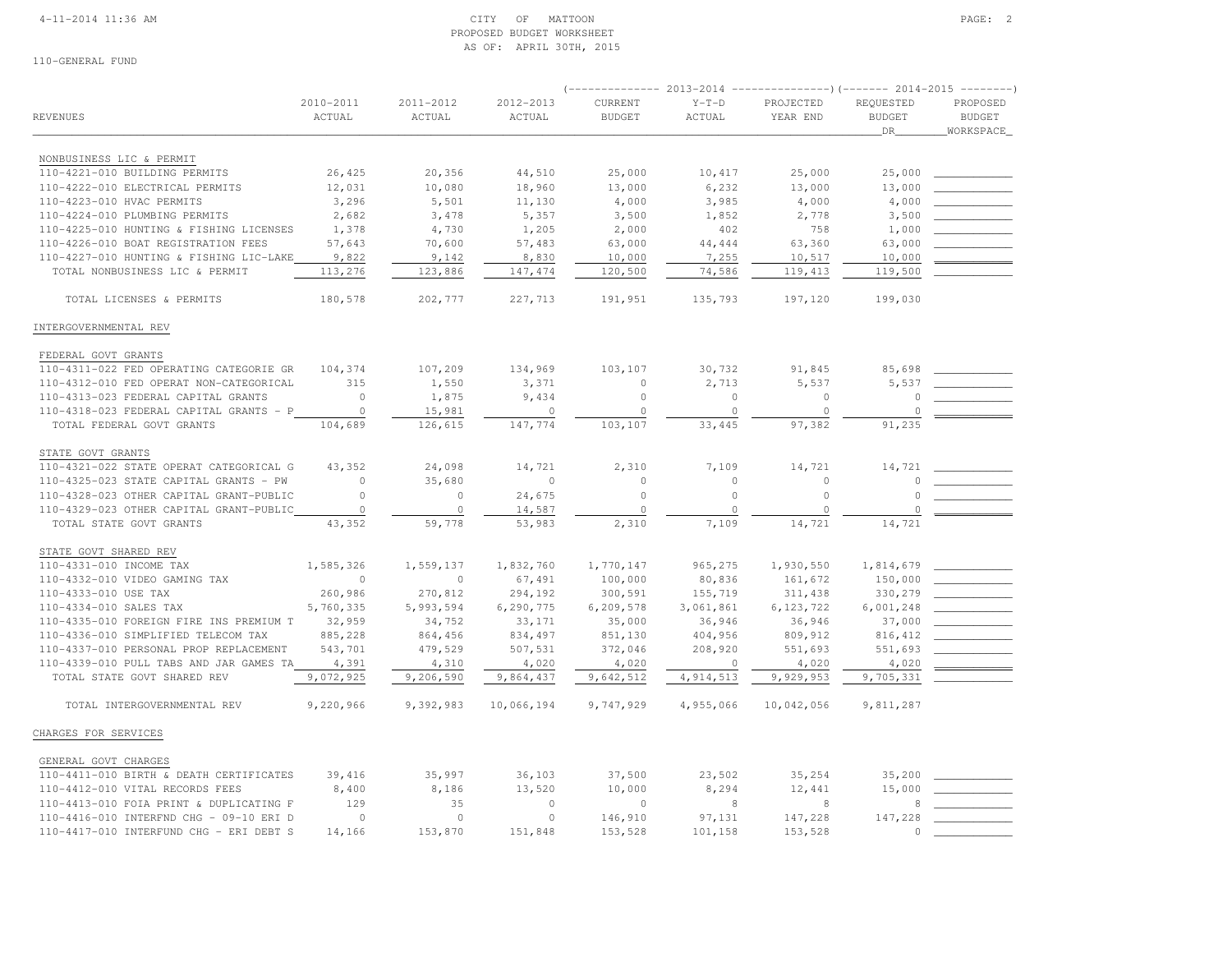## 4-11-2014 11:36 AM CITY OF MATTOON PAGE: 2 PROPOSED BUDGET WORKSHEETAS OF: APRIL 30TH, 2015

|                                         |                     |                     |                     |                          | 2013-2014         |                       | ----)(------- 2014-2015    |                           |
|-----------------------------------------|---------------------|---------------------|---------------------|--------------------------|-------------------|-----------------------|----------------------------|---------------------------|
| REVENUES                                | 2010-2011<br>ACTUAL | 2011-2012<br>ACTUAL | 2012-2013<br>ACTUAL | CURRENT<br><b>BUDGET</b> | $Y-T-D$<br>ACTUAL | PROJECTED<br>YEAR END | REQUESTED<br><b>BUDGET</b> | PROPOSED<br><b>BUDGET</b> |
|                                         |                     |                     |                     |                          |                   |                       | <b>DR</b>                  | WORKSPACE                 |
| NONBUSINESS LIC & PERMIT                |                     |                     |                     |                          |                   |                       |                            |                           |
| 110-4221-010 BUILDING PERMITS           | 26,425              | 20,356              | 44,510              | 25,000                   | 10,417            | 25,000                | 25,000                     |                           |
| 110-4222-010 ELECTRICAL PERMITS         | 12,031              | 10,080              | 18,960              | 13,000                   | 6,232             | 13,000                | 13,000                     |                           |
| 110-4223-010 HVAC PERMITS               | 3,296               | 5,501               | 11,130              | 4,000                    | 3,985             | 4,000                 | 4,000                      |                           |
| 110-4224-010 PLUMBING PERMITS           | 2,682               | 3,478               | 5,357               | 3,500                    | 1,852             | 2,778                 | 3,500                      |                           |
| 110-4225-010 HUNTING & FISHING LICENSES | 1,378               | 4,730               | 1,205               | 2,000                    | 402               | 758                   | 1,000                      |                           |
| 110-4226-010 BOAT REGISTRATION FEES     | 57,643              | 70,600              | 57,483              | 63,000                   | 44,444            | 63,360                | 63,000                     |                           |
| 110-4227-010 HUNTING & FISHING LIC-LAKE | 9,822               | 9,142               | 8,830               | 10,000                   | 7,255             | 10,517                | 10,000                     |                           |
| TOTAL NONBUSINESS LIC & PERMIT          | 113,276             | 123,886             | 147, 474            | 120,500                  | 74,586            | 119,413               | 119,500                    |                           |
| TOTAL LICENSES & PERMITS                | 180,578             | 202,777             | 227,713             | 191,951                  | 135,793           | 197,120               | 199,030                    |                           |
| INTERGOVERNMENTAL REV                   |                     |                     |                     |                          |                   |                       |                            |                           |
| FEDERAL GOVT GRANTS                     |                     |                     |                     |                          |                   |                       |                            |                           |
| 110-4311-022 FED OPERATING CATEGORIE GR | 104,374             | 107,209             | 134,969             | 103,107                  | 30,732            | 91,845                | 85,698                     |                           |
| 110-4312-010 FED OPERAT NON-CATEGORICAL | 315                 | 1,550               | 3,371               | $\circ$                  | 2,713             | 5,537                 | 5,537                      |                           |
| 110-4313-023 FEDERAL CAPITAL GRANTS     | $\circ$             | 1,875               | 9,434               | $\circ$                  | $\circ$           | $\circ$               | $\circ$                    |                           |
| 110-4318-023 FEDERAL CAPITAL GRANTS - P | $\circ$             | 15,981              | $\circ$             | $\circ$                  | $\circ$           | $\circ$               | $\circ$                    |                           |
| TOTAL FEDERAL GOVT GRANTS               | 104,689             | 126,615             | 147,774             | 103,107                  | 33,445            | 97,382                | 91,235                     |                           |
|                                         |                     |                     |                     |                          |                   |                       |                            |                           |
| STATE GOVT GRANTS                       |                     |                     |                     |                          |                   |                       |                            |                           |
| 110-4321-022 STATE OPERAT CATEGORICAL G | 43,352              | 24,098              | 14,721              | 2,310                    | 7,109             | 14,721                | 14,721<br>$\cap$           |                           |
| 110-4325-023 STATE CAPITAL GRANTS - PW  | $\circ$<br>$\Omega$ | 35,680              | $\circ$             | $\circ$                  | $\circ$           | $\circ$               | $\cap$                     |                           |
| 110-4328-023 OTHER CAPITAL GRANT-PUBLIC |                     | $\circ$             | 24,675              | $\circ$                  | $\circ$           | $\circ$               |                            |                           |
| 110-4329-023 OTHER CAPITAL GRANT-PUBLIC | $\circ$             | $\circ$             | 14,587              | $\circ$                  | $\circ$           | $\theta$              | $\Omega$                   |                           |
| TOTAL STATE GOVT GRANTS                 | 43,352              | 59,778              | 53,983              | 2,310                    | 7,109             | 14,721                | 14,721                     |                           |
| STATE GOVT SHARED REV                   |                     |                     |                     |                          |                   |                       |                            |                           |
| 110-4331-010 INCOME TAX                 | 1,585,326           | 1,559,137           | 1,832,760           | 1,770,147                | 965,275           | 1,930,550             | 1,814,679                  |                           |
| 110-4332-010 VIDEO GAMING TAX           | $\circ$             | $\circ$             | 67,491              | 100,000                  | 80,836            | 161,672               | 150,000                    |                           |
| 110-4333-010 USE TAX                    | 260,986             | 270,812             | 294,192             | 300,591                  | 155,719           | 311,438               | 330,279                    |                           |
| 110-4334-010 SALES TAX                  | 5,760,335           | 5,993,594           | 6,290,775           | 6,209,578                | 3,061,861         | 6,123,722             | 6,001,248                  |                           |
| 110-4335-010 FOREIGN FIRE INS PREMIUM T | 32,959              | 34,752              | 33,171              | 35,000                   | 36,946            | 36,946                | 37,000                     |                           |
| 110-4336-010 SIMPLIFIED TELECOM TAX     | 885,228             | 864,456             | 834,497             | 851,130                  | 404,956           | 809,912               | 816,412                    |                           |
| 110-4337-010 PERSONAL PROP REPLACEMENT  | 543,701             | 479,529             | 507,531             | 372,046                  | 208,920           | 551,693               | 551,693                    |                           |
| 110-4339-010 PULL TABS AND JAR GAMES TA | 4,391               | 4,310               | 4,020               | 4,020                    | $\mathbf{0}$      | 4,020                 | 4,020                      |                           |
| TOTAL STATE GOVT SHARED REV             | 9,072,925           | 9,206,590           | 9,864,437           | 9,642,512                | 4,914,513         | 9,929,953             | 9,705,331                  |                           |
| TOTAL INTERGOVERNMENTAL REV             | 9,220,966           | 9,392,983           | 10,066,194          | 9,747,929                | 4,955,066         | 10,042,056            | 9,811,287                  |                           |
| CHARGES FOR SERVICES                    |                     |                     |                     |                          |                   |                       |                            |                           |
| GENERAL GOVT CHARGES                    |                     |                     |                     |                          |                   |                       |                            |                           |
| 110-4411-010 BIRTH & DEATH CERTIFICATES | 39,416              | 35,997              | 36,103              | 37,500                   | 23,502            | 35,254                | 35,200                     |                           |
| 110-4412-010 VITAL RECORDS FEES         | 8,400               | 8,186               | 13,520              | 10,000                   | 8,294             | 12,441                | 15,000                     |                           |
| 110-4413-010 FOIA PRINT & DUPLICATING F | 129                 | 35                  | $\circ$             | $\circ$                  | 8                 | 8                     | 8                          |                           |
| 110-4416-010 INTERFND CHG - 09-10 ERI D | $\circ$             | $\mathbb O$         | $\circ$             | 146,910                  | 97,131            | 147,228               | 147,228                    |                           |
| 110-4417-010 INTERFUND CHG - ERI DEBT S | 14,166              | 153,870             | 151,848             | 153,528                  | 101,158           | 153,528               | $\cap$                     |                           |
|                                         |                     |                     |                     |                          |                   |                       |                            |                           |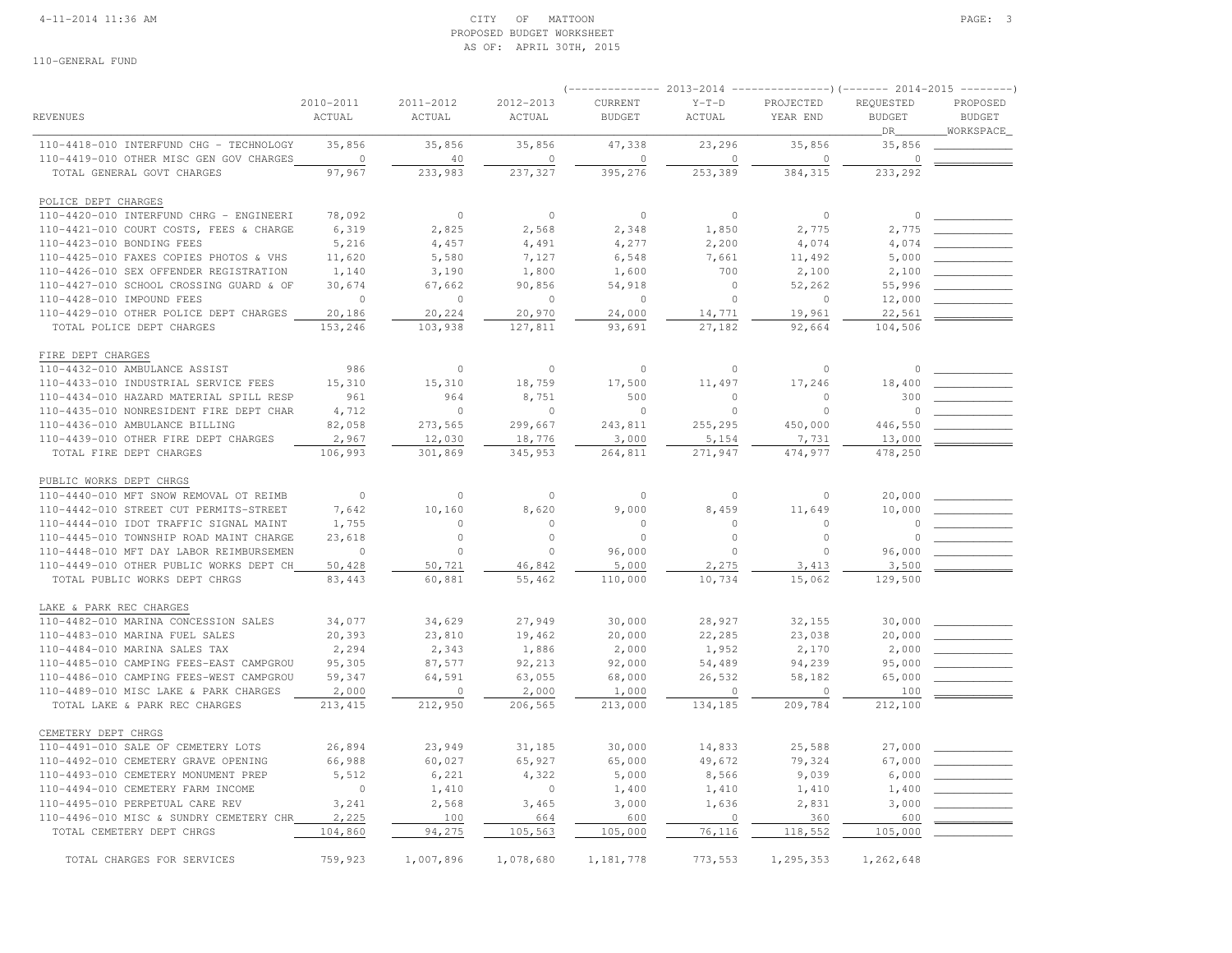## 4-11-2014 11:36 AM CITY OF MATTOON PAGE: 3 PROPOSED BUDGET WORKSHEETAS OF: APRIL 30TH, 2015

|                                         |                     |                     |                     | $---------2013-2014$     |                          | ----------------) (------- 2014-2015 -------- |                            |                           |
|-----------------------------------------|---------------------|---------------------|---------------------|--------------------------|--------------------------|-----------------------------------------------|----------------------------|---------------------------|
| <b>REVENUES</b>                         | 2010-2011<br>ACTUAL | 2011-2012<br>ACTUAL | 2012-2013<br>ACTUAL | CURRENT<br><b>BUDGET</b> | $Y-T-D$<br><b>ACTUAL</b> | PROJECTED<br>YEAR END                         | REQUESTED<br><b>BUDGET</b> | PROPOSED<br><b>BUDGET</b> |
| 110-4418-010 INTERFUND CHG - TECHNOLOGY | 35,856              | 35,856              | 35,856              | 47,338                   | 23,296                   | 35,856                                        | DR<br>35,856               | _WORKSPACE_               |
| 110-4419-010 OTHER MISC GEN GOV CHARGES | $\circ$             | 40                  | $\circ$             | $\circ$                  | $\circ$                  | $\circ$                                       | $\mathbb O$                |                           |
| TOTAL GENERAL GOVT CHARGES              | 97,967              | 233,983             | 237,327             | 395,276                  | 253,389                  | 384, 315                                      | 233,292                    |                           |
| POLICE DEPT CHARGES                     |                     |                     |                     |                          |                          |                                               |                            |                           |
| 110-4420-010 INTERFUND CHRG - ENGINEERI | 78,092              | $\circ$             | $\circ$             | $\circ$                  | $\circ$                  | $\circ$                                       | $\mathbb O$                |                           |
| 110-4421-010 COURT COSTS, FEES & CHARGE | 6,319               | 2,825               | 2,568               | 2,348                    | 1,850                    | 2,775                                         | 2,775                      |                           |
| 110-4423-010 BONDING FEES               | 5,216               | 4,457               | 4,491               | 4,277                    | 2,200                    | 4,074                                         | 4,074                      |                           |
| 110-4425-010 FAXES COPIES PHOTOS & VHS  | 11,620              | 5,580               | 7,127               | 6,548                    | 7,661                    | 11,492                                        | 5,000                      |                           |
| 110-4426-010 SEX OFFENDER REGISTRATION  | 1,140               | 3,190               | 1,800               | 1,600                    | 700                      | 2,100                                         | 2,100                      |                           |
| 110-4427-010 SCHOOL CROSSING GUARD & OF | 30,674              | 67,662              | 90,856              | 54,918                   | $\circ$                  | 52,262                                        | 55,996                     |                           |
| 110-4428-010 IMPOUND FEES               | $\circ$             | $\circ$             | $\circ$             | $\circ$                  | $\circ$                  | $\circ$                                       | 12,000                     |                           |
| 110-4429-010 OTHER POLICE DEPT CHARGES  | 20,186              | 20,224              | 20,970              | 24,000                   | 14,771                   | 19,961                                        | 22,561                     |                           |
| TOTAL POLICE DEPT CHARGES               | 153,246             | 103,938             | 127,811             | 93,691                   | 27,182                   | 92,664                                        | 104,506                    |                           |
|                                         |                     |                     |                     |                          |                          |                                               |                            |                           |
| FIRE DEPT CHARGES                       |                     |                     |                     |                          |                          |                                               |                            |                           |
| 110-4432-010 AMBULANCE ASSIST           | 986                 | $\Omega$            | $\circ$             | $\circ$                  | $\circ$                  | $\Omega$                                      | 0                          |                           |
| 110-4433-010 INDUSTRIAL SERVICE FEES    | 15,310              | 15,310              | 18,759              | 17,500                   | 11,497                   | 17,246                                        | 18,400                     |                           |
| 110-4434-010 HAZARD MATERIAL SPILL RESP | 961                 | 964                 | 8,751               | 500                      | $\Omega$                 | $\circ$                                       | 300                        |                           |
| 110-4435-010 NONRESIDENT FIRE DEPT CHAR | 4,712               | $\Omega$            | $\circ$             | $\circ$                  | $\circ$                  | $\Omega$                                      | $\circ$                    |                           |
| 110-4436-010 AMBULANCE BILLING          | 82,058              | 273,565             | 299,667             | 243,811                  | 255,295                  | 450,000                                       | 446,550                    |                           |
| 110-4439-010 OTHER FIRE DEPT CHARGES    | 2,967               | 12,030              | 18,776              | 3,000                    | 5,154                    | 7,731                                         | 13,000                     |                           |
| TOTAL FIRE DEPT CHARGES                 | 106,993             | 301,869             | 345,953             | 264,811                  | 271,947                  | 474,977                                       | 478,250                    |                           |
| PUBLIC WORKS DEPT CHRGS                 |                     |                     |                     |                          |                          |                                               |                            |                           |
| 110-4440-010 MFT SNOW REMOVAL OT REIMB  | $\circ$             | $\circ$             | $\circ$             | $\mathbf{0}$             | $\circ$                  | $\circ$                                       | 20,000                     |                           |
| 110-4442-010 STREET CUT PERMITS-STREET  | 7,642               | 10,160              | 8,620               | 9,000                    | 8,459                    | 11,649                                        | 10,000                     |                           |
| 110-4444-010 IDOT TRAFFIC SIGNAL MAINT  | 1,755               | $\circ$             | $\circ$             | $\circ$                  | $\circ$                  | $\circ$                                       | $\Omega$                   |                           |
| 110-4445-010 TOWNSHIP ROAD MAINT CHARGE | 23,618              | $\circ$             | $\circ$             | $\circ$                  | $\circ$                  | $\circ$                                       | $\Omega$                   |                           |
| 110-4448-010 MFT DAY LABOR REIMBURSEMEN | $\Omega$            | $\Omega$            | $\bigcap$           | 96,000                   | $\Omega$                 | $\Omega$                                      | 96,000                     |                           |
| 110-4449-010 OTHER PUBLIC WORKS DEPT CH | 50,428              | 50,721              | 46,842              | 5,000                    | 2,275                    | 3,413                                         | 3,500                      |                           |
| TOTAL PUBLIC WORKS DEPT CHRGS           | 83,443              | 60,881              | 55,462              | 110,000                  | 10,734                   | 15,062                                        | 129,500                    |                           |
| LAKE & PARK REC CHARGES                 |                     |                     |                     |                          |                          |                                               |                            |                           |
| 110-4482-010 MARINA CONCESSION SALES    | 34,077              | 34,629              | 27,949              | 30,000                   | 28,927                   | 32,155                                        | 30,000                     |                           |
| 110-4483-010 MARINA FUEL SALES          | 20,393              | 23,810              | 19,462              | 20,000                   | 22,285                   | 23,038                                        | 20,000                     |                           |
| 110-4484-010 MARINA SALES TAX           | 2,294               | 2,343               | 1,886               | 2,000                    | 1,952                    | 2,170                                         | 2,000                      |                           |
| 110-4485-010 CAMPING FEES-EAST CAMPGROU | 95,305              | 87,577              | 92,213              | 92,000                   | 54,489                   | 94,239                                        | 95,000                     |                           |
| 110-4486-010 CAMPING FEES-WEST CAMPGROU | 59,347              | 64,591              | 63,055              | 68,000                   | 26,532                   | 58,182                                        | 65,000                     |                           |
| 110-4489-010 MISC LAKE & PARK CHARGES   | 2,000               | $\circ$             | 2,000               | 1,000                    | $\circ$                  | $\circ$                                       | 100                        |                           |
| TOTAL LAKE & PARK REC CHARGES           | 213, 415            | 212,950             | 206,565             | 213,000                  | 134,185                  | 209,784                                       | 212,100                    |                           |
| CEMETERY DEPT CHRGS                     |                     |                     |                     |                          |                          |                                               |                            |                           |
| 110-4491-010 SALE OF CEMETERY LOTS      | 26,894              | 23,949              | 31,185              | 30,000                   | 14,833                   | 25,588                                        | 27,000                     |                           |
| 110-4492-010 CEMETERY GRAVE OPENING     | 66,988              | 60,027              | 65,927              | 65,000                   | 49,672                   | 79,324                                        | 67,000                     |                           |
| 110-4493-010 CEMETERY MONUMENT PREP     | 5,512               | 6,221               | 4,322               | 5,000                    | 8,566                    | 9,039                                         | 6,000                      |                           |
| 110-4494-010 CEMETERY FARM INCOME       | $\circ$             | 1,410               | $\circ$             | 1,400                    | 1,410                    | 1,410                                         | 1,400                      |                           |
| 110-4495-010 PERPETUAL CARE REV         | 3,241               | 2,568               | 3,465               | 3,000                    | 1,636                    | 2,831                                         | 3,000                      |                           |
| 110-4496-010 MISC & SUNDRY CEMETERY CHR | 2,225               | 100                 | 664                 | 600                      | $\circ$                  | 360                                           | 600                        |                           |
| TOTAL CEMETERY DEPT CHRGS               | 104,860             | 94,275              | 105,563             | 105,000                  | 76,116                   | 118,552                                       | 105,000                    |                           |
| TOTAL CHARGES FOR SERVICES              | 759,923             | 1,007,896           | 1,078,680           | 1,181,778                | 773,553                  | 1,295,353                                     | 1,262,648                  |                           |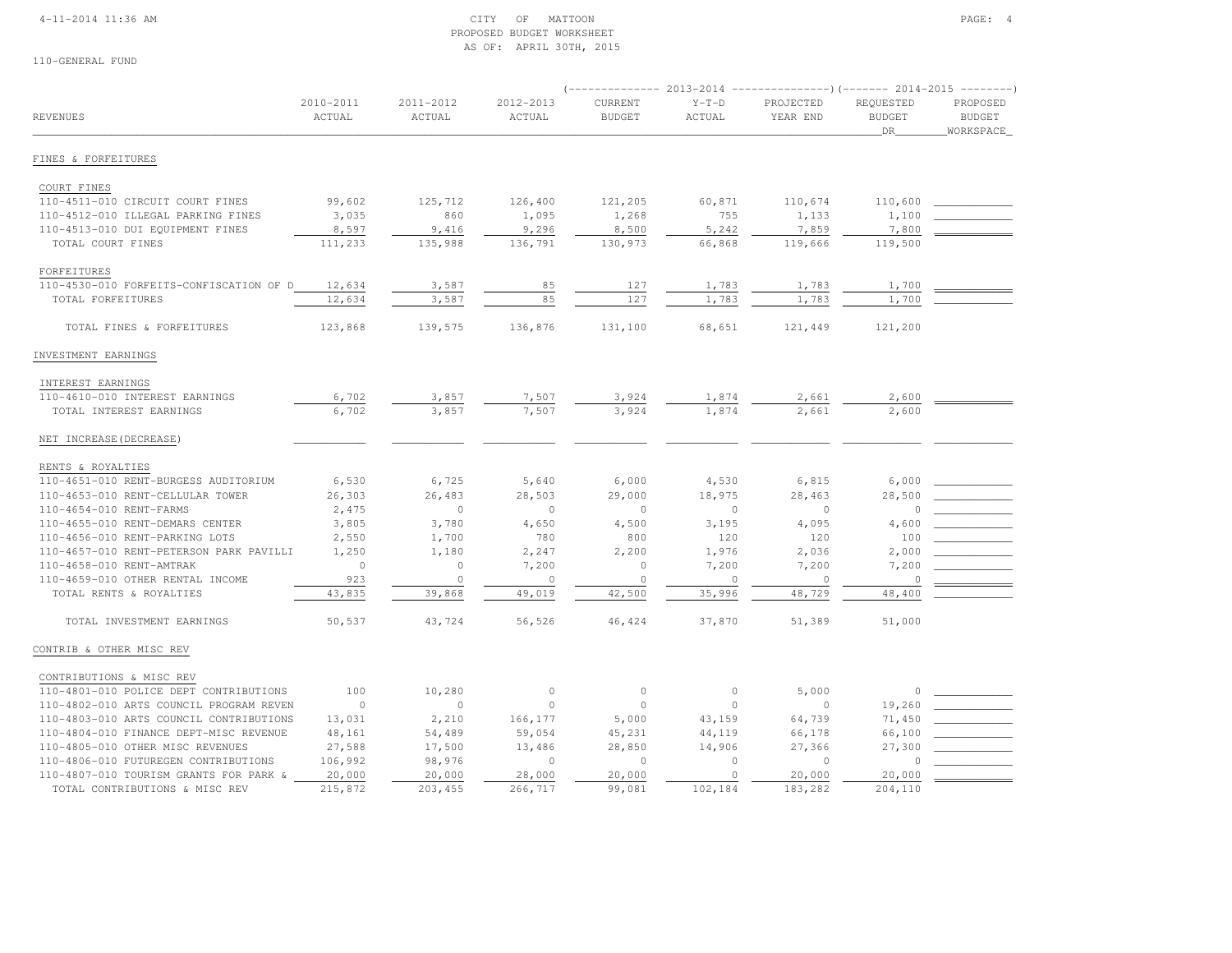## 4-11-2014 11:36 AM CITY OF MATTOON PAGE: 4 PROPOSED BUDGET WORKSHEETAS OF: APRIL 30TH, 2015

|                                         |           |           |           |               |              |           |                     | ---------                  |
|-----------------------------------------|-----------|-----------|-----------|---------------|--------------|-----------|---------------------|----------------------------|
|                                         | 2010-2011 | 2011-2012 | 2012-2013 | CURRENT       | $Y-T-D$      | PROJECTED | REQUESTED           | PROPOSED                   |
| <b>REVENUES</b>                         | ACTUAL    | ACTUAL    | ACTUAL    | <b>BUDGET</b> | ACTUAL       | YEAR END  | <b>BUDGET</b><br>DR | <b>BUDGET</b><br>WORKSPACE |
| FINES & FORFEITURES                     |           |           |           |               |              |           |                     |                            |
| COURT FINES                             |           |           |           |               |              |           |                     |                            |
| 110-4511-010 CIRCUIT COURT FINES        | 99,602    | 125,712   | 126,400   | 121,205       | 60,871       | 110,674   | 110,600             |                            |
| 110-4512-010 ILLEGAL PARKING FINES      | 3,035     | 860       | 1,095     | 1,268         | 755          | 1,133     | 1,100               |                            |
| 110-4513-010 DUI EQUIPMENT FINES        | 8,597     | 9,416     | 9,296     | 8,500         | 5,242        | 7,859     | 7,800               |                            |
| TOTAL COURT FINES                       | 111,233   | 135,988   | 136,791   | 130,973       | 66,868       | 119,666   | 119,500             |                            |
| FORFEITURES                             |           |           |           |               |              |           |                     |                            |
| 110-4530-010 FORFEITS-CONFISCATION OF D | 12,634    | 3,587     | 85        | 127           | 1,783        | 1,783     | 1,700               |                            |
| TOTAL FORFEITURES                       | 12,634    | 3,587     | 85        | 127           | 1,783        | 1,783     | 1,700               |                            |
| TOTAL FINES & FORFEITURES               | 123,868   | 139,575   | 136,876   | 131,100       | 68,651       | 121,449   | 121,200             |                            |
| INVESTMENT EARNINGS                     |           |           |           |               |              |           |                     |                            |
| INTEREST EARNINGS                       |           |           |           |               |              |           |                     |                            |
| 110-4610-010 INTEREST EARNINGS          | 6,702     | 3,857     | 7,507     | 3,924         | 1,874        | 2,661     | 2,600               |                            |
| TOTAL INTEREST EARNINGS                 | 6,702     | 3,857     | 7,507     | 3,924         | 1,874        | 2,661     | 2,600               |                            |
| NET INCREASE (DECREASE)                 |           |           |           |               |              |           |                     |                            |
| RENTS & ROYALTIES                       |           |           |           |               |              |           |                     |                            |
| 110-4651-010 RENT-BURGESS AUDITORIUM    | 6,530     | 6,725     | 5,640     | 6,000         | 4,530        | 6,815     | 6,000               |                            |
| 110-4653-010 RENT-CELLULAR TOWER        | 26,303    | 26,483    | 28,503    | 29,000        | 18,975       | 28,463    | 28,500              |                            |
| 110-4654-010 RENT-FARMS                 | 2,475     | $\circ$   | $\Omega$  | $\Omega$      | $\mathbf{0}$ | $\Omega$  | $\cap$              |                            |
| 110-4655-010 RENT-DEMARS CENTER         | 3,805     | 3,780     | 4,650     | 4,500         | 3,195        | 4,095     | 4,600               |                            |
| 110-4656-010 RENT-PARKING LOTS          | 2,550     | 1,700     | 780       | 800           | 120          | 120       | 100                 |                            |
| 110-4657-010 RENT-PETERSON PARK PAVILLI | 1,250     | 1,180     | 2,247     | 2,200         | 1,976        | 2,036     | 2,000               |                            |
| 110-4658-010 RENT-AMTRAK                | $\circ$   | $\circ$   | 7,200     | $\mathbb O$   | 7,200        | 7,200     | 7,200               |                            |
| 110-4659-010 OTHER RENTAL INCOME        | 923       | $\circ$   | $\circ$   | $\circ$       | $\Omega$     | $\circ$   | $\circ$             |                            |
| TOTAL RENTS & ROYALTIES                 | 43,835    | 39,868    | 49,019    | 42,500        | 35,996       | 48,729    | 48,400              |                            |
| TOTAL INVESTMENT EARNINGS               | 50,537    | 43,724    | 56,526    | 46,424        | 37,870       | 51,389    | 51,000              |                            |
| CONTRIB & OTHER MISC REV                |           |           |           |               |              |           |                     |                            |
| CONTRIBUTIONS & MISC REV                |           |           |           |               |              |           |                     |                            |
| 110-4801-010 POLICE DEPT CONTRIBUTIONS  | 100       | 10,280    | $\circ$   | $\mathbb O$   | $\circ$      | 5,000     | $\circ$             |                            |
| 110-4802-010 ARTS COUNCIL PROGRAM REVEN | $\circ$   | $\circ$   | $\circ$   | $\mathbf{0}$  | $\Omega$     | $\Omega$  | 19,260              |                            |
| 110-4803-010 ARTS COUNCIL CONTRIBUTIONS | 13,031    | 2,210     | 166,177   | 5,000         | 43,159       | 64,739    | 71,450              |                            |
| 110-4804-010 FINANCE DEPT-MISC REVENUE  | 48,161    | 54,489    | 59,054    | 45,231        | 44,119       | 66,178    | 66,100              |                            |
| 110-4805-010 OTHER MISC REVENUES        | 27,588    | 17,500    | 13,486    | 28,850        | 14,906       | 27,366    | 27,300              |                            |
| 110-4806-010 FUTUREGEN CONTRIBUTIONS    | 106,992   | 98,976    | $\circ$   | $\circ$       | $\Omega$     | $\Omega$  | $\cap$              |                            |
| 110-4807-010 TOURISM GRANTS FOR PARK &  | 20,000    | 20,000    | 28,000    | 20,000        | $\circ$      | 20,000    | 20,000              |                            |
| TOTAL CONTRIBUTIONS & MISC REV          | 215,872   | 203,455   | 266,717   | 99,081        | 102,184      | 183,282   | 204,110             |                            |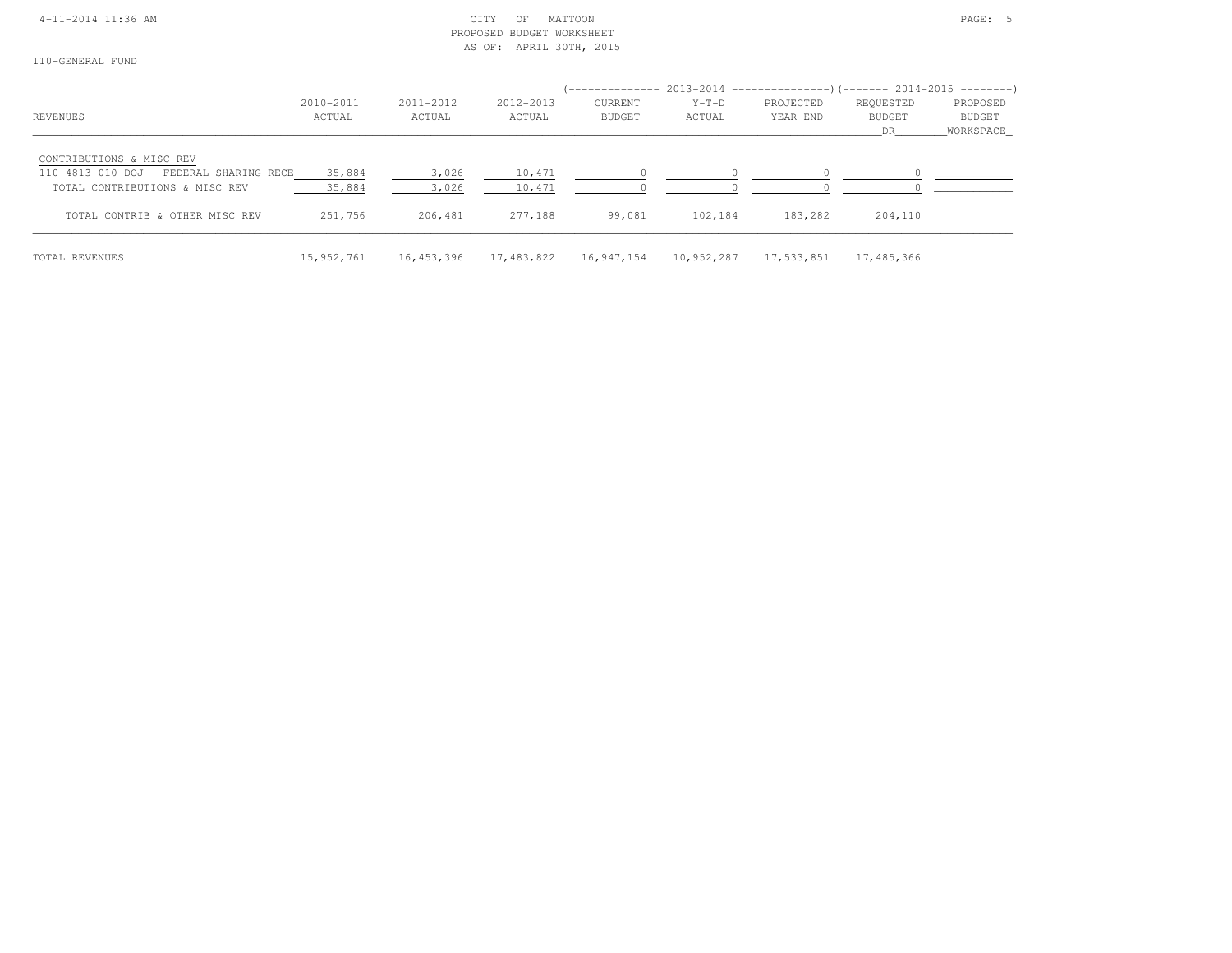## 4-11-2014 11:36 AM CITY OF MATTOON PAGE: 5 PROPOSED BUDGET WORKSHEETAS OF: APRIL 30TH, 2015

|                                         |            |            |            | ______________ |            | $2013-2014$ ----------------)(------- 2014-2015 ---------) |            |           |
|-----------------------------------------|------------|------------|------------|----------------|------------|------------------------------------------------------------|------------|-----------|
|                                         | 2010-2011  | 2011-2012  | 2012-2013  | CURRENT        | $Y-T-D$    | PROJECTED                                                  | REQUESTED  | PROPOSED  |
| <b>REVENUES</b>                         | ACTUAL     | ACTUAL     | ACTUAL     | <b>BUDGET</b>  | ACTUAL     | YEAR END                                                   | BUDGET     | BUDGET    |
|                                         |            |            |            |                |            |                                                            | DR.        | WORKSPACE |
| CONTRIBUTIONS & MISC REV                |            |            |            |                |            |                                                            |            |           |
| 110-4813-010 DOJ - FEDERAL SHARING RECE | 35,884     | 3,026      | 10,471     |                |            |                                                            |            |           |
| TOTAL CONTRIBUTIONS & MISC REV          | 35,884     | 3,026      | 10,471     |                |            |                                                            |            |           |
| TOTAL CONTRIB & OTHER MISC REV          | 251,756    | 206,481    | 277,188    | 99,081         | 102,184    | 183,282                                                    | 204,110    |           |
| TOTAL REVENUES                          | 15,952,761 | 16,453,396 | 17,483,822 | 16,947,154     | 10,952,287 | 17,533,851                                                 | 17,485,366 |           |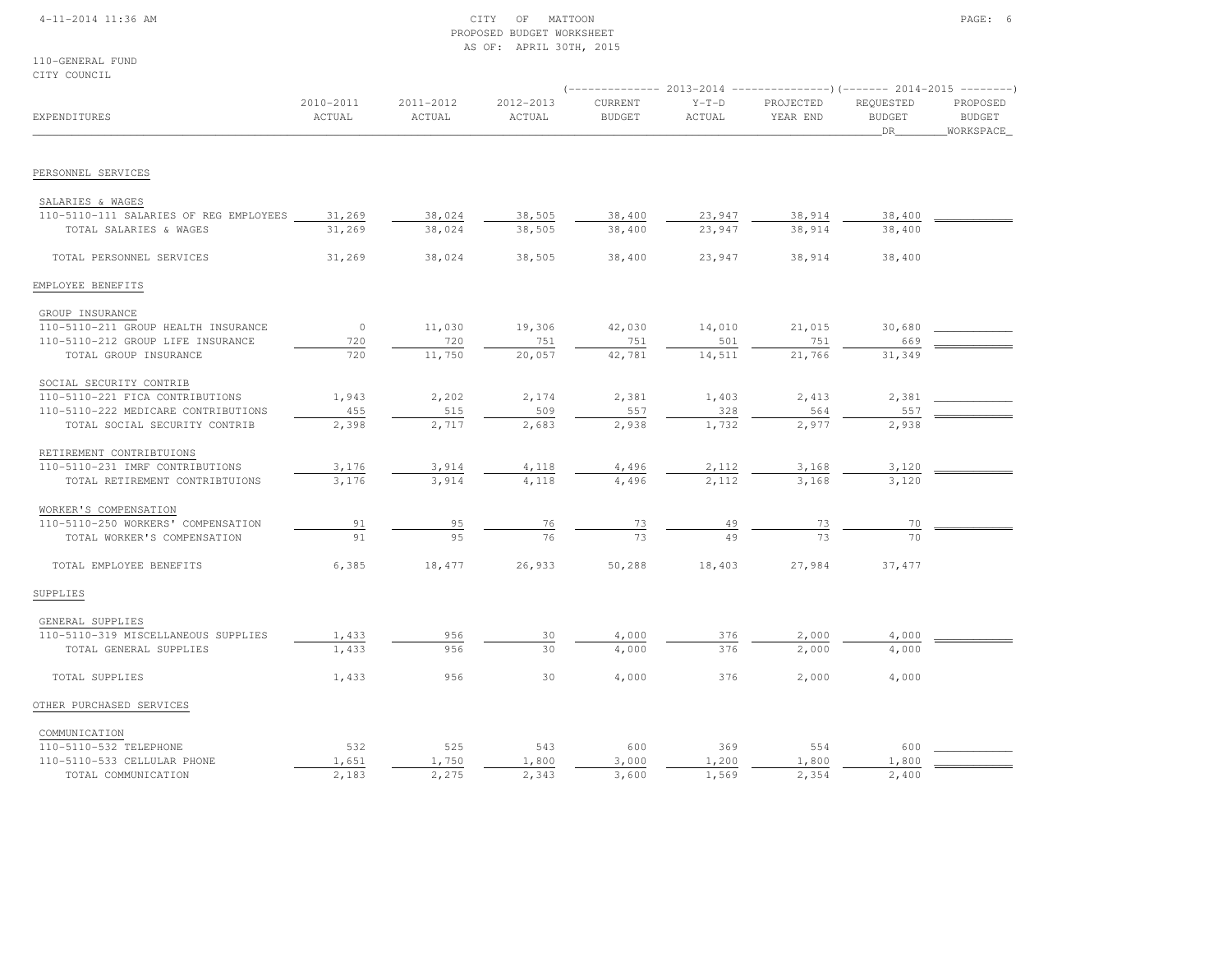## 4-11-2014 11:36 AM CITY OF MATTOON PAGE: 6 PROPOSED BUDGET WORKSHEETAS OF: APRIL 30TH, 2015

110-GENERAL FUNDCITY COUNCIL

| CITI COUNCIL                           |                     |                     |                     |                                 |                   | $(-$ ------------- 2013-2014 ------------------) (------- 2014-2015 ---------) |                                  |                                        |
|----------------------------------------|---------------------|---------------------|---------------------|---------------------------------|-------------------|--------------------------------------------------------------------------------|----------------------------------|----------------------------------------|
| EXPENDITURES                           | 2010-2011<br>ACTUAL | 2011-2012<br>ACTUAL | 2012-2013<br>ACTUAL | <b>CURRENT</b><br><b>BUDGET</b> | $Y-T-D$<br>ACTUAL | PROJECTED<br>YEAR END                                                          | REQUESTED<br><b>BUDGET</b><br>DR | PROPOSED<br><b>BUDGET</b><br>WORKSPACE |
| PERSONNEL SERVICES                     |                     |                     |                     |                                 |                   |                                                                                |                                  |                                        |
|                                        |                     |                     |                     |                                 |                   |                                                                                |                                  |                                        |
| SALARIES & WAGES                       |                     |                     |                     |                                 |                   |                                                                                |                                  |                                        |
| 110-5110-111 SALARIES OF REG EMPLOYEES | 31,269              | 38,024              | 38,505              | 38,400                          | 23,947            | 38,914                                                                         | 38,400                           |                                        |
| TOTAL SALARIES & WAGES                 | 31,269              | 38,024              | 38,505              | 38,400                          | 23,947            | 38,914                                                                         | 38,400                           |                                        |
| TOTAL PERSONNEL SERVICES               | 31,269              | 38,024              | 38,505              | 38,400                          | 23,947            | 38,914                                                                         | 38,400                           |                                        |
| EMPLOYEE BENEFITS                      |                     |                     |                     |                                 |                   |                                                                                |                                  |                                        |
| GROUP INSURANCE                        |                     |                     |                     |                                 |                   |                                                                                |                                  |                                        |
| 110-5110-211 GROUP HEALTH INSURANCE    | $\circ$             | 11,030              | 19,306              | 42,030                          | 14,010            | 21,015                                                                         | 30,680                           |                                        |
| 110-5110-212 GROUP LIFE INSURANCE      | 720                 | 720                 | 751                 | 751                             | 501               | 751                                                                            | 669                              |                                        |
| TOTAL GROUP INSURANCE                  | 720                 | 11,750              | 20,057              | 42,781                          | 14,511            | 21,766                                                                         | 31,349                           |                                        |
| SOCIAL SECURITY CONTRIB                |                     |                     |                     |                                 |                   |                                                                                |                                  |                                        |
| 110-5110-221 FICA CONTRIBUTIONS        | 1,943               | 2,202               | 2,174               | 2,381                           | 1,403             | 2,413                                                                          | 2,381                            |                                        |
| 110-5110-222 MEDICARE CONTRIBUTIONS    | 455                 | 515                 | 509                 | 557                             | 328               | 564                                                                            | 557                              |                                        |
| TOTAL SOCIAL SECURITY CONTRIB          | 2,398               | 2,717               | 2,683               | 2,938                           | 1,732             | 2,977                                                                          | 2,938                            |                                        |
| RETIREMENT CONTRIBTUIONS               |                     |                     |                     |                                 |                   |                                                                                |                                  |                                        |
| 110-5110-231 IMRF CONTRIBUTIONS        | 3,176               | 3,914               | 4,118               | 4,496                           | 2,112             | 3,168                                                                          | 3,120                            |                                        |
| TOTAL RETIREMENT CONTRIBTUIONS         | 3,176               | 3,914               | 4,118               | 4,496                           | 2,112             | 3,168                                                                          | 3,120                            |                                        |
| WORKER'S COMPENSATION                  |                     |                     |                     |                                 |                   |                                                                                |                                  |                                        |
| 110-5110-250 WORKERS' COMPENSATION     | 91                  | 95                  | 76                  | 73                              | 49                | 73                                                                             | 70                               |                                        |
| TOTAL WORKER'S COMPENSATION            | 91                  | 95                  | 76                  | 73                              | 49                | 73                                                                             | 70                               |                                        |
| TOTAL EMPLOYEE BENEFITS                | 6,385               | 18,477              | 26,933              | 50,288                          | 18,403            | 27,984                                                                         | 37,477                           |                                        |
| SUPPLIES                               |                     |                     |                     |                                 |                   |                                                                                |                                  |                                        |
| GENERAL SUPPLIES                       |                     |                     |                     |                                 |                   |                                                                                |                                  |                                        |
| 110-5110-319 MISCELLANEOUS SUPPLIES    | 1,433               | 956                 | 30                  | 4,000                           | 376               | 2,000                                                                          | 4,000                            |                                        |
| TOTAL GENERAL SUPPLIES                 | 1,433               | 956                 | 30                  | 4,000                           | 376               | 2,000                                                                          | 4,000                            |                                        |
| TOTAL SUPPLIES                         | 1,433               | 956                 | 30                  | 4,000                           | 376               | 2,000                                                                          | 4,000                            |                                        |
| OTHER PURCHASED SERVICES               |                     |                     |                     |                                 |                   |                                                                                |                                  |                                        |
| COMMUNICATION                          |                     |                     |                     |                                 |                   |                                                                                |                                  |                                        |
| 110-5110-532 TELEPHONE                 | 532                 | 525                 | 543                 | 600                             | 369               | 554                                                                            | 600                              |                                        |
| 110-5110-533 CELLULAR PHONE            | 1,651               | 1,750               | 1,800               | 3,000                           | 1,200             | 1,800                                                                          | 1,800                            |                                        |
| TOTAL COMMUNICATION                    | 2,183               | 2,275               | 2,343               | 3,600                           | 1,569             | 2,354                                                                          | 2,400                            |                                        |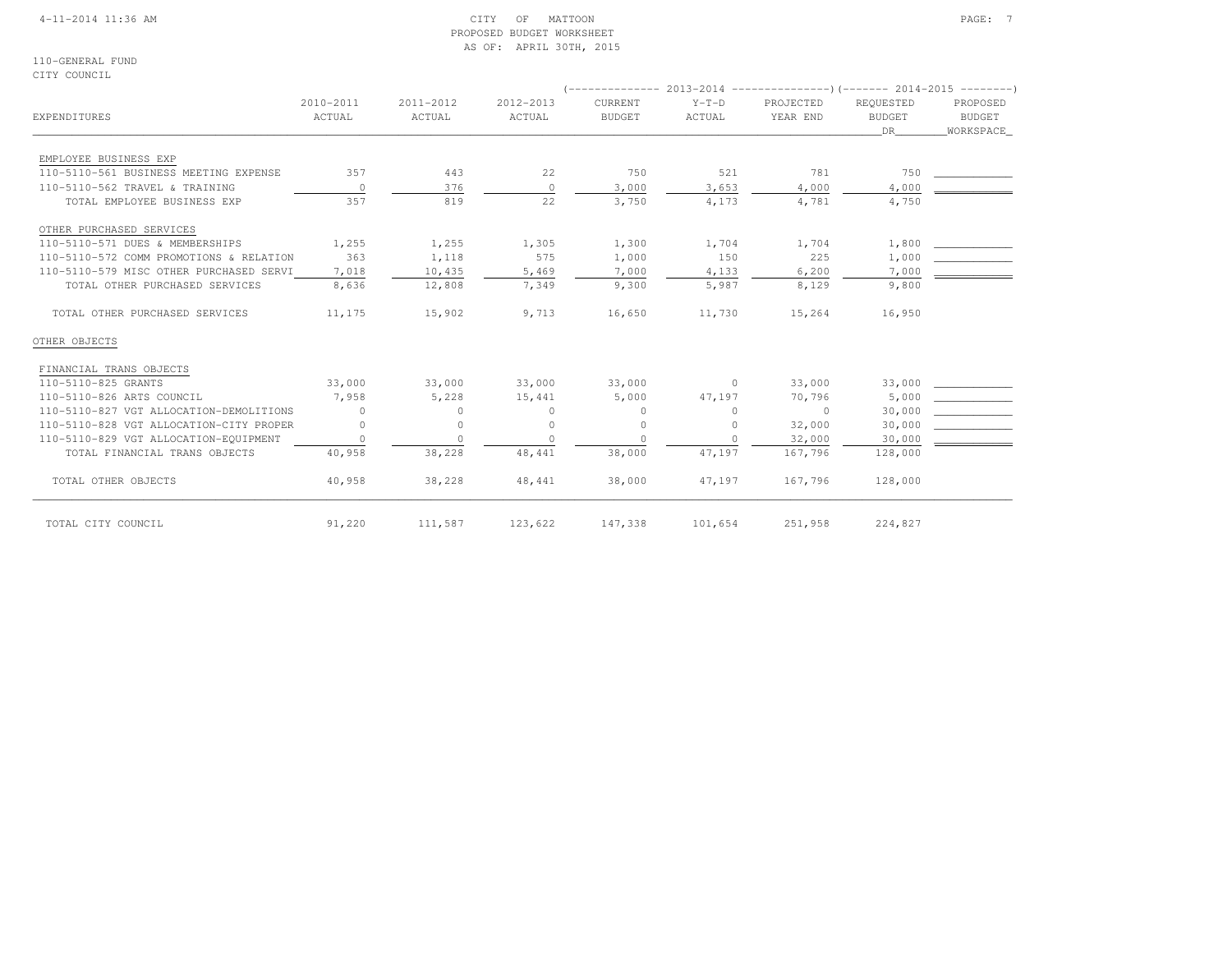## 4-11-2014 11:36 AM CITY OF MATTOON PAGE: 7 PROPOSED BUDGET WORKSHEETAS OF: APRIL 30TH, 2015

110-GENERAL FUNDCITY COUNCIL

| EXPENDITURES                            | 2010-2011<br>ACTUAL | 2011-2012<br>ACTUAL | 2012-2013<br>ACTUAL | CURRENT<br><b>BUDGET</b> | $Y-T-D$<br>ACTUAL | PROJECTED<br>YEAR END | REQUESTED<br><b>BUDGET</b><br>DR | PROPOSED<br><b>BUDGET</b><br>WORKSPACE |  |
|-----------------------------------------|---------------------|---------------------|---------------------|--------------------------|-------------------|-----------------------|----------------------------------|----------------------------------------|--|
| EMPLOYEE BUSINESS EXP                   |                     |                     |                     |                          |                   |                       |                                  |                                        |  |
| 110-5110-561 BUSINESS MEETING EXPENSE   | 357                 | 443                 | 22                  | 750                      | 521               | 781                   | 750                              |                                        |  |
| 110-5110-562 TRAVEL & TRAINING          | $\overline{0}$      | 376                 | $\circ$             | 3,000                    | 3,653             | 4,000                 | 4,000                            |                                        |  |
| TOTAL EMPLOYEE BUSINESS EXP             | 357                 | 819                 | 22                  | 3,750                    | 4,173             | 4,781                 | 4,750                            |                                        |  |
| OTHER PURCHASED SERVICES                |                     |                     |                     |                          |                   |                       |                                  |                                        |  |
| 110-5110-571 DUES & MEMBERSHIPS         | 1,255               | 1,255               | 1,305               | 1,300                    | 1,704             | 1,704                 | 1,800                            |                                        |  |
| 110-5110-572 COMM PROMOTIONS & RELATION | 363                 | 1,118               | 575                 | 1,000                    | 150               | 225                   | 1,000                            |                                        |  |
| 110-5110-579 MISC OTHER PURCHASED SERVI | 7,018               | 10,435              | 5,469               | 7,000                    | 4,133             | 6,200                 | 7,000                            |                                        |  |
| TOTAL OTHER PURCHASED SERVICES          | 8,636               | 12,808              | 7,349               | 9,300                    | 5,987             | 8,129                 | 9,800                            |                                        |  |
| TOTAL OTHER PURCHASED SERVICES          | 11,175              | 15,902              | 9,713               | 16,650                   | 11,730            | 15,264                | 16,950                           |                                        |  |
| OTHER OBJECTS                           |                     |                     |                     |                          |                   |                       |                                  |                                        |  |
| FINANCIAL TRANS OBJECTS                 |                     |                     |                     |                          |                   |                       |                                  |                                        |  |
| 110-5110-825 GRANTS                     | 33,000              | 33,000              | 33,000              | 33,000                   | $\overline{0}$    | 33,000                | 33,000                           |                                        |  |
| 110-5110-826 ARTS COUNCIL               | 7,958               | 5,228               | 15,441              | 5,000                    | 47,197            | 70,796                | 5,000                            |                                        |  |
| 110-5110-827 VGT ALLOCATION-DEMOLITIONS | $\Omega$            | $\Omega$            | $\Omega$            | $\Omega$                 | $\Omega$          | $\Omega$              | 30,000                           |                                        |  |
| 110-5110-828 VGT ALLOCATION-CITY PROPER | $\circ$             | $\circ$             | $\circ$             | $\circ$                  | $\Omega$          | 32,000                | 30,000                           |                                        |  |
| 110-5110-829 VGT ALLOCATION-EQUIPMENT   | $\circ$             | $\Omega$            | $\Omega$            | $\Omega$                 |                   | 32,000                | 30,000                           |                                        |  |
| TOTAL FINANCIAL TRANS OBJECTS           | 40,958              | 38,228              | 48, 441             | 38,000                   | 47,197            | 167,796               | 128,000                          |                                        |  |
| TOTAL OTHER OBJECTS                     | 40,958              | 38,228              | 48,441              | 38,000                   | 47,197            | 167,796               | 128,000                          |                                        |  |
| TOTAL CITY COUNCIL                      | 91,220              | 111,587             | 123,622             | 147,338                  | 101,654           | 251,958               | 224,827                          |                                        |  |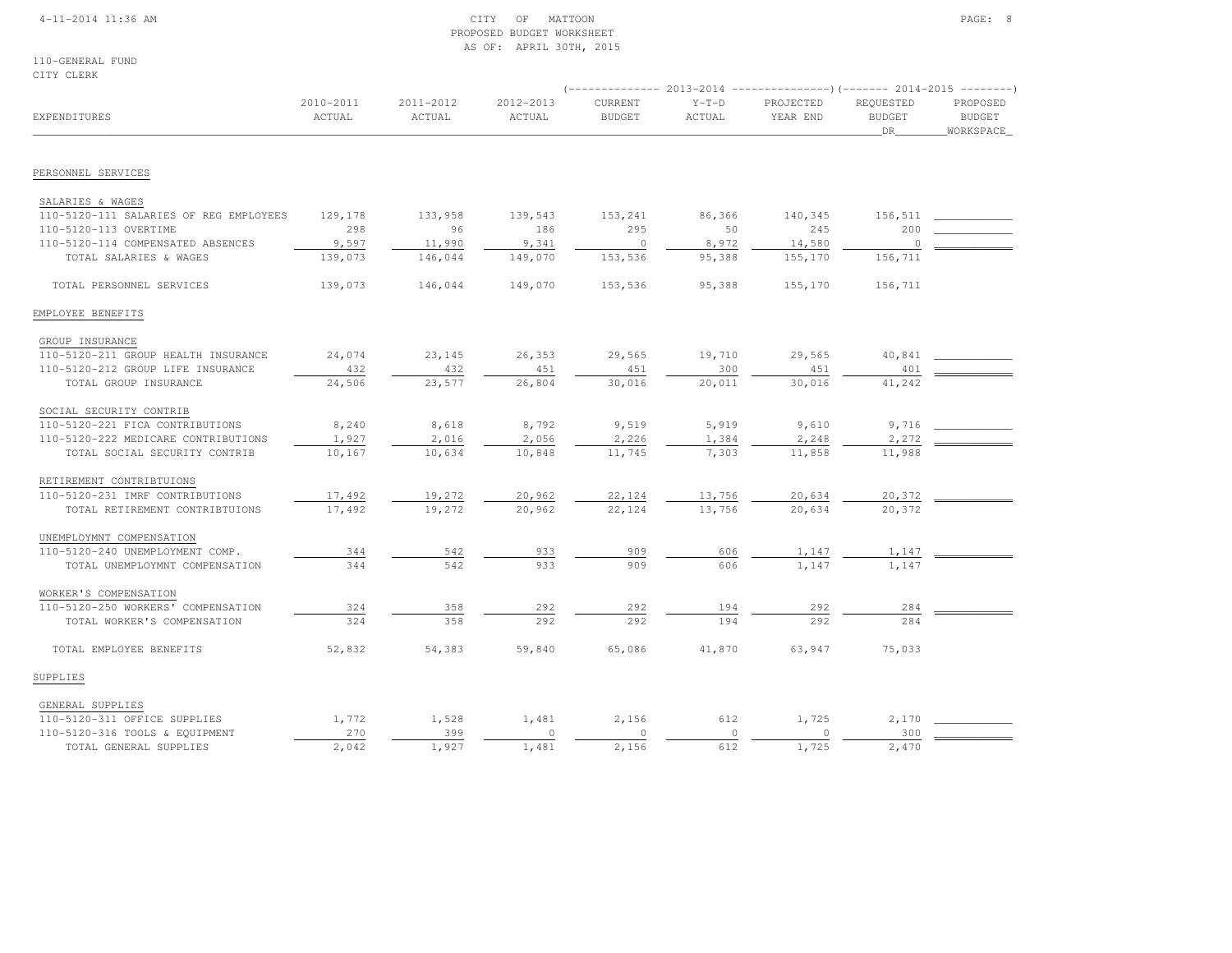## 4-11-2014 11:36 AM CITY OF MATTOON PAGE: 8 PROPOSED BUDGET WORKSHEETAS OF: APRIL 30TH, 2015

110-GENERAL FUNDCITY CLERK

| EXPENDITURES                           | 2010-2011<br>ACTUAL | 2011-2012<br>ACTUAL | 2012-2013<br>ACTUAL | CURRENT<br><b>BUDGET</b> | $Y-T-D$<br>ACTUAL | PROJECTED<br>YEAR END | REQUESTED<br><b>BUDGET</b><br>DR | PROPOSED<br><b>BUDGET</b><br>WORKSPACE |
|----------------------------------------|---------------------|---------------------|---------------------|--------------------------|-------------------|-----------------------|----------------------------------|----------------------------------------|
|                                        |                     |                     |                     |                          |                   |                       |                                  |                                        |
| PERSONNEL SERVICES                     |                     |                     |                     |                          |                   |                       |                                  |                                        |
| SALARIES & WAGES                       |                     |                     |                     |                          |                   |                       |                                  |                                        |
| 110-5120-111 SALARIES OF REG EMPLOYEES | 129,178             | 133,958             | 139,543             | 153,241                  | 86,366            | 140,345               | 156,511                          |                                        |
| 110-5120-113 OVERTIME                  | 298                 | 96                  | 186                 | 295                      | 50                | 245                   | 200                              |                                        |
| 110-5120-114 COMPENSATED ABSENCES      | 9,597               | 11,990              | 9,341               | $\circ$                  | 8,972             | 14,580                | $\Omega$                         |                                        |
| TOTAL SALARIES & WAGES                 | 139,073             | 146,044             | 149,070             | 153,536                  | 95,388            | 155,170               | 156,711                          |                                        |
| TOTAL PERSONNEL SERVICES               | 139,073             | 146,044             | 149,070             | 153,536                  | 95,388            | 155,170               | 156,711                          |                                        |
| EMPLOYEE BENEFITS                      |                     |                     |                     |                          |                   |                       |                                  |                                        |
| GROUP INSURANCE                        |                     |                     |                     |                          |                   |                       |                                  |                                        |
| 110-5120-211 GROUP HEALTH INSURANCE    | 24,074              | 23,145              | 26,353              | 29,565                   | 19,710            | 29,565                | 40,841                           |                                        |
| 110-5120-212 GROUP LIFE INSURANCE      | 432                 | 432                 | 451                 | 451                      | 300               | 451                   | 401                              |                                        |
| TOTAL GROUP INSURANCE                  | 24,506              | 23,577              | 26,804              | 30,016                   | 20,011            | 30,016                | 41,242                           |                                        |
| SOCIAL SECURITY CONTRIB                |                     |                     |                     |                          |                   |                       |                                  |                                        |
| 110-5120-221 FICA CONTRIBUTIONS        | 8,240               | 8,618               | 8,792               | 9,519                    | 5,919             | 9,610                 | 9,716                            |                                        |
| 110-5120-222 MEDICARE CONTRIBUTIONS    | 1,927               | 2,016               | 2,056               | 2,226                    | 1,384             | 2,248                 | 2,272                            |                                        |
| TOTAL SOCIAL SECURITY CONTRIB          | 10,167              | 10,634              | 10,848              | 11,745                   | 7,303             | 11,858                | 11,988                           |                                        |
| RETIREMENT CONTRIBTUIONS               |                     |                     |                     |                          |                   |                       |                                  |                                        |
| 110-5120-231 IMRF CONTRIBUTIONS        | 17,492              | 19,272              | 20,962              | 22,124                   | 13,756            | 20,634                | 20,372                           |                                        |
| TOTAL RETIREMENT CONTRIBTUIONS         | 17,492              | 19,272              | 20,962              | 22,124                   | 13,756            | 20,634                | 20,372                           |                                        |
| UNEMPLOYMNT COMPENSATION               |                     |                     |                     |                          |                   |                       |                                  |                                        |
| 110-5120-240 UNEMPLOYMENT COMP.        | 344                 | 542                 | 933                 | 909                      | 606               | 1,147                 | 1,147                            |                                        |
| TOTAL UNEMPLOYMNT COMPENSATION         | 344                 | 542                 | 933                 | 909                      | 606               | 1,147                 | 1,147                            |                                        |
| WORKER'S COMPENSATION                  |                     |                     |                     |                          |                   |                       |                                  |                                        |
| 110-5120-250 WORKERS' COMPENSATION     | 324                 | 358                 | 292                 | 292                      | 194               | 292                   | 284                              |                                        |
| TOTAL WORKER'S COMPENSATION            | 324                 | 358                 | 292                 | 292                      | 194               | 292                   | 284                              |                                        |
|                                        |                     |                     |                     |                          |                   |                       |                                  |                                        |
| TOTAL EMPLOYEE BENEFITS                | 52,832              | 54,383              | 59,840              | 65,086                   | 41,870            | 63,947                | 75,033                           |                                        |
| SUPPLIES                               |                     |                     |                     |                          |                   |                       |                                  |                                        |
| GENERAL SUPPLIES                       |                     |                     |                     |                          |                   |                       |                                  |                                        |
| 110-5120-311 OFFICE SUPPLIES           | 1,772               | 1,528               | 1,481               | 2,156                    | 612               | 1,725                 | 2,170                            |                                        |
| 110-5120-316 TOOLS & EQUIPMENT         | 270                 | 399                 | $\circ$             | $\mathbb O$              | $\circ$           | $\circ$               | 300                              |                                        |
| TOTAL GENERAL SUPPLIES                 | 2,042               | 1,927               | 1,481               | 2,156                    | 612               | 1,725                 | 2,470                            |                                        |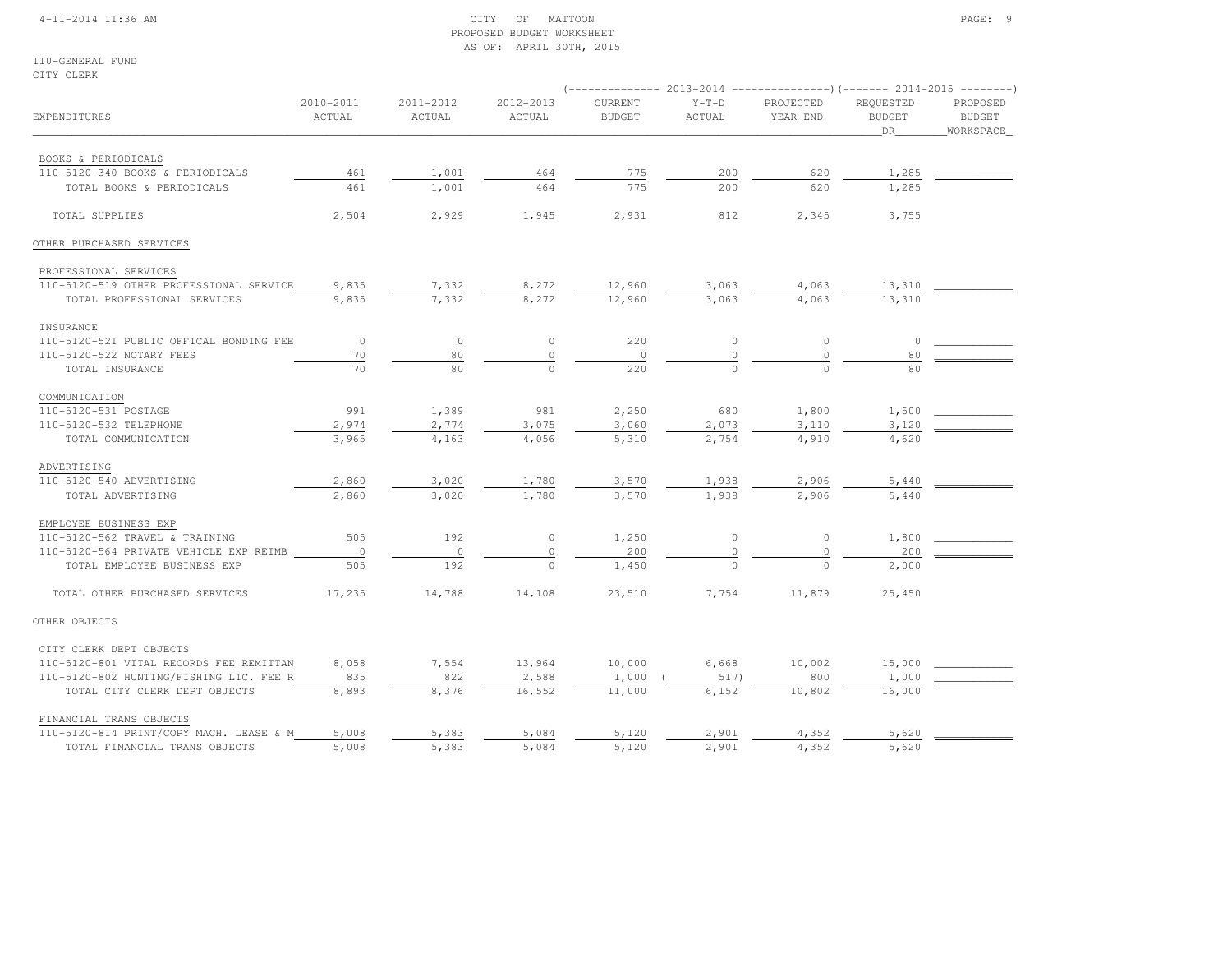## 4-11-2014 11:36 AM CITY OF MATTOON PAGE: 9 PROPOSED BUDGET WORKSHEETAS OF: APRIL 30TH, 2015

110-GENERAL FUNDCITY CLERK

|                                         |                     |                     |                     |                          |                   |                       | (-------------- 2013-2014 ----------------)(------- 2014-2015 ---------) |                                        |
|-----------------------------------------|---------------------|---------------------|---------------------|--------------------------|-------------------|-----------------------|--------------------------------------------------------------------------|----------------------------------------|
| EXPENDITURES                            | 2010-2011<br>ACTUAL | 2011-2012<br>ACTUAL | 2012-2013<br>ACTUAL | CURRENT<br><b>BUDGET</b> | $Y-T-D$<br>ACTUAL | PROJECTED<br>YEAR END | REQUESTED<br><b>BUDGET</b><br>DR                                         | PROPOSED<br><b>BUDGET</b><br>WORKSPACE |
| BOOKS & PERIODICALS                     |                     |                     |                     |                          |                   |                       |                                                                          |                                        |
| 110-5120-340 BOOKS & PERIODICALS        | 461                 | 1,001               | 464                 | 775                      | 200               | 620                   | 1,285                                                                    |                                        |
| TOTAL BOOKS & PERIODICALS               | 461                 | 1,001               | 464                 | 775                      | 200               | 620                   | 1,285                                                                    |                                        |
| TOTAL SUPPLIES                          | 2,504               | 2,929               | 1,945               | 2,931                    | 812               | 2,345                 | 3,755                                                                    |                                        |
| OTHER PURCHASED SERVICES                |                     |                     |                     |                          |                   |                       |                                                                          |                                        |
| PROFESSIONAL SERVICES                   |                     |                     |                     |                          |                   |                       |                                                                          |                                        |
| 110-5120-519 OTHER PROFESSIONAL SERVICE | 9,835               | 7,332               | 8,272               | 12,960                   | 3,063             | 4,063                 | 13,310                                                                   |                                        |
| TOTAL PROFESSIONAL SERVICES             | 9,835               | 7,332               | 8,272               | 12,960                   | 3,063             | 4,063                 | 13,310                                                                   |                                        |
| INSURANCE                               |                     |                     |                     |                          |                   |                       |                                                                          |                                        |
| 110-5120-521 PUBLIC OFFICAL BONDING FEE | $\circ$             | $\circ$             | $\circ$             | 220                      | $\mathbf{0}$      | $\circ$               | $\circ$                                                                  |                                        |
| 110-5120-522 NOTARY FEES                | 70                  | 80                  | $\circ$             | $\circ$                  | $\Omega$          | $\circ$               | 80                                                                       |                                        |
| TOTAL INSURANCE                         | 70                  | 80                  | $\Omega$            | 220                      | $\Omega$          | $\cap$                | 80                                                                       |                                        |
| COMMUNICATION                           |                     |                     |                     |                          |                   |                       |                                                                          |                                        |
| 110-5120-531 POSTAGE                    | 991                 | 1,389               | 981                 | 2,250                    | 680               | 1,800                 | 1,500                                                                    |                                        |
| 110-5120-532 TELEPHONE                  | 2,974               | 2,774               | 3,075               | 3,060                    | 2,073             | 3,110                 | 3,120                                                                    |                                        |
| TOTAL COMMUNICATION                     | 3,965               | 4,163               | 4,056               | 5,310                    | 2,754             | 4,910                 | 4,620                                                                    |                                        |
| ADVERTISING                             |                     |                     |                     |                          |                   |                       |                                                                          |                                        |
| 110-5120-540 ADVERTISING                | 2,860               | 3,020               | 1,780               | 3,570                    | 1,938             | 2,906                 | 5,440                                                                    |                                        |
| TOTAL ADVERTISING                       | 2,860               | 3,020               | 1,780               | 3,570                    | 1,938             | 2,906                 | 5,440                                                                    |                                        |
| EMPLOYEE BUSINESS EXP                   |                     |                     |                     |                          |                   |                       |                                                                          |                                        |
| 110-5120-562 TRAVEL & TRAINING          | 505                 | 192                 | $\circ$             | 1,250                    | $\mathbb O$       | $\circ$               | 1,800                                                                    |                                        |
| 110-5120-564 PRIVATE VEHICLE EXP REIMB  | $\overline{0}$      | $\circ$             | $\circ$             | 200                      | $\Omega$          | $\circ$               | 200                                                                      |                                        |
| TOTAL EMPLOYEE BUSINESS EXP             | 505                 | 192                 | $\Omega$            | 1,450                    | $\Omega$          | $\Omega$              | 2,000                                                                    |                                        |
| TOTAL OTHER PURCHASED SERVICES          | 17,235              | 14,788              | 14,108              | 23,510                   | 7,754             | 11,879                | 25,450                                                                   |                                        |
| OTHER OBJECTS                           |                     |                     |                     |                          |                   |                       |                                                                          |                                        |
| CITY CLERK DEPT OBJECTS                 |                     |                     |                     |                          |                   |                       |                                                                          |                                        |
| 110-5120-801 VITAL RECORDS FEE REMITTAN | 8,058               | 7,554               | 13,964              | 10,000                   | 6,668             | 10,002                | 15,000                                                                   |                                        |
| 110-5120-802 HUNTING/FISHING LIC. FEE R | 835                 | 822                 | 2,588               | 1,000                    | 517)              | 800                   | 1,000                                                                    |                                        |
| TOTAL CITY CLERK DEPT OBJECTS           | 8,893               | 8,376               | 16,552              | 11,000                   | 6,152             | 10,802                | 16,000                                                                   |                                        |
| FINANCIAL TRANS OBJECTS                 |                     |                     |                     |                          |                   |                       |                                                                          |                                        |
| 110-5120-814 PRINT/COPY MACH. LEASE & M | 5,008               | 5,383               | 5,084               | 5,120                    | 2,901             | 4,352                 | 5,620                                                                    |                                        |
| TOTAL FINANCIAL TRANS OBJECTS           | 5,008               | 5,383               | 5,084               | 5,120                    | 2,901             | 4,352                 | 5,620                                                                    |                                        |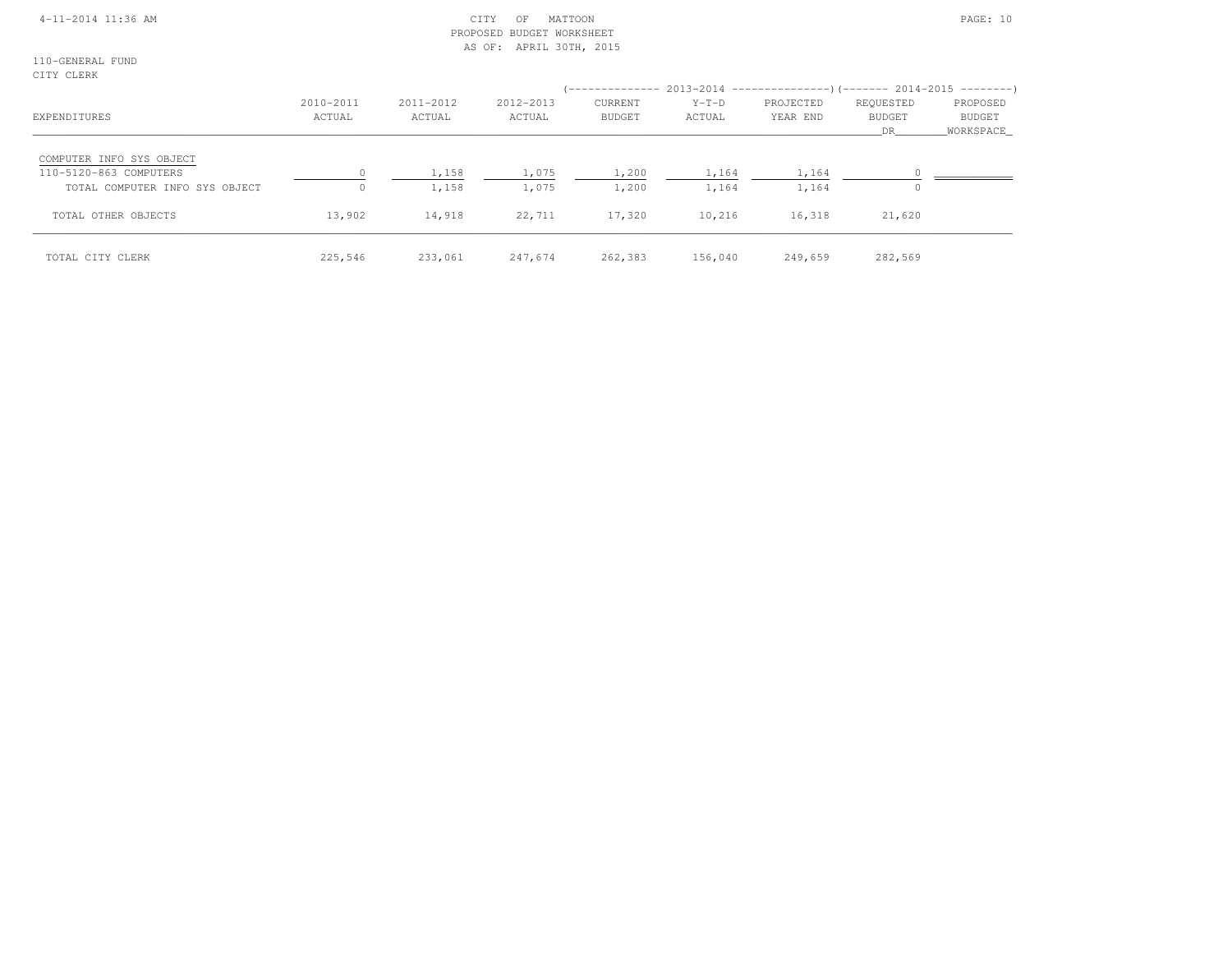## 4-11-2014 11:36 AM CITY OF MATTOON PAGE: 10 PROPOSED BUDGET WORKSHEETAS OF: APRIL 30TH, 2015

110-GENERAL FUNDCITY CLERK

| EXPENDITURES                                                                         | 2010-2011<br>ACTUAL | 2011-2012<br>ACTUAL | 2012-2013<br>ACTUAL | CURRENT<br><b>BUDGET</b> | $Y-T-D$<br>ACTUAL | (-------------- 2013-2014 --------------------        2014-2015 ---------        )<br>PROJECTED<br>YEAR END | REOUESTED<br><b>BUDGET</b><br>DR. | PROPOSED<br><b>BUDGET</b><br>WORKSPACE |
|--------------------------------------------------------------------------------------|---------------------|---------------------|---------------------|--------------------------|-------------------|-------------------------------------------------------------------------------------------------------------|-----------------------------------|----------------------------------------|
| COMPUTER INFO SYS OBJECT<br>110-5120-863 COMPUTERS<br>TOTAL COMPUTER INFO SYS OBJECT |                     | 1,158<br>1,158      | 1,075<br>1,075      | 1,200<br>1,200           | 1,164<br>1,164    | 1,164<br>1,164                                                                                              |                                   |                                        |
| TOTAL OTHER OBJECTS                                                                  | 13,902              | 14,918              | 22,711              | 17,320                   | 10,216            | 16,318                                                                                                      | 21,620                            |                                        |
| TOTAL CITY CLERK                                                                     | 225,546             | 233,061             | 247,674             | 262,383                  | 156,040           | 249,659                                                                                                     | 282,569                           |                                        |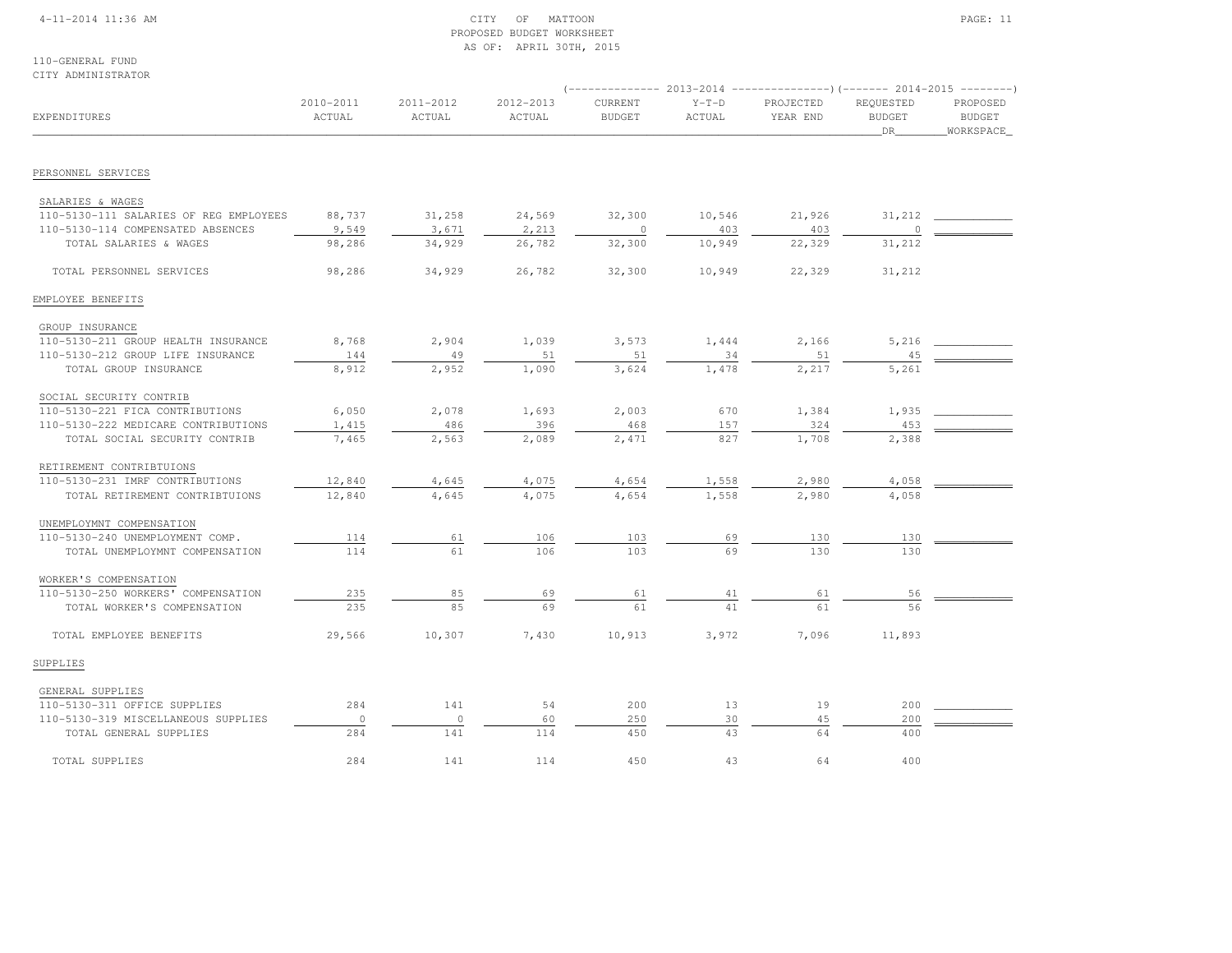## 4-11-2014 11:36 AM CITY OF MATTOON PAGE: 11 PROPOSED BUDGET WORKSHEETAS OF: APRIL 30TH, 2015

110-GENERAL FUNDCITY ADMINISTRATOR

|                                        |                     |                     |                     |                          |                   |                       | ------------- 2013-2014 --------------------- (------- 2014-2015 ---------) |                                          |  |  |  |
|----------------------------------------|---------------------|---------------------|---------------------|--------------------------|-------------------|-----------------------|-----------------------------------------------------------------------------|------------------------------------------|--|--|--|
| EXPENDITURES                           | 2010-2011<br>ACTUAL | 2011-2012<br>ACTUAL | 2012-2013<br>ACTUAL | CURRENT<br><b>BUDGET</b> | $Y-T-D$<br>ACTUAL | PROJECTED<br>YEAR END | REQUESTED<br><b>BUDGET</b><br>_DR_                                          | PROPOSED<br><b>BUDGET</b><br>_WORKSPACE_ |  |  |  |
|                                        |                     |                     |                     |                          |                   |                       |                                                                             |                                          |  |  |  |
| PERSONNEL SERVICES                     |                     |                     |                     |                          |                   |                       |                                                                             |                                          |  |  |  |
| SALARIES & WAGES                       |                     |                     |                     |                          |                   |                       |                                                                             |                                          |  |  |  |
| 110-5130-111 SALARIES OF REG EMPLOYEES | 88,737              | 31,258              | 24,569              | 32,300                   | 10,546            | 21,926                | 31,212                                                                      |                                          |  |  |  |
| 110-5130-114 COMPENSATED ABSENCES      | 9,549               | 3,671               | 2,213               | 0                        | 403               | 403                   |                                                                             |                                          |  |  |  |
| TOTAL SALARIES & WAGES                 | 98,286              | 34,929              | 26,782              | 32,300                   | 10,949            | 22,329                | 31,212                                                                      |                                          |  |  |  |
| TOTAL PERSONNEL SERVICES               | 98,286              | 34,929              | 26,782              | 32,300                   | 10,949            | 22,329                | 31,212                                                                      |                                          |  |  |  |
| EMPLOYEE BENEFITS                      |                     |                     |                     |                          |                   |                       |                                                                             |                                          |  |  |  |
| GROUP INSURANCE                        |                     |                     |                     |                          |                   |                       |                                                                             |                                          |  |  |  |
| 110-5130-211 GROUP HEALTH INSURANCE    | 8,768               | 2,904               | 1,039               | 3,573                    | 1,444             | 2,166                 | 5,216                                                                       |                                          |  |  |  |
| 110-5130-212 GROUP LIFE INSURANCE      | 144                 | 49                  | 51                  | 51                       | 34                | 51                    | 45                                                                          |                                          |  |  |  |
| TOTAL GROUP INSURANCE                  | 8,912               | 2,952               | 1,090               | 3,624                    | 1,478             | 2,217                 | 5,261                                                                       |                                          |  |  |  |
| SOCIAL SECURITY CONTRIB                |                     |                     |                     |                          |                   |                       |                                                                             |                                          |  |  |  |
| 110-5130-221 FICA CONTRIBUTIONS        | 6,050               | 2,078               | 1,693               | 2,003                    | 670               | 1,384                 | 1,935                                                                       |                                          |  |  |  |
| 110-5130-222 MEDICARE CONTRIBUTIONS    | 1,415               | 486                 | 396                 | 468                      | 157               | 324                   | 453                                                                         |                                          |  |  |  |
| TOTAL SOCIAL SECURITY CONTRIB          | 7,465               | 2,563               | 2,089               | 2,471                    | 827               | 1,708                 | 2,388                                                                       |                                          |  |  |  |
| RETIREMENT CONTRIBTUIONS               |                     |                     |                     |                          |                   |                       |                                                                             |                                          |  |  |  |
| 110-5130-231 IMRF CONTRIBUTIONS        | 12,840              | 4,645               | 4,075               | 4,654                    | 1,558             | 2,980                 | 4,058                                                                       |                                          |  |  |  |
| TOTAL RETIREMENT CONTRIBTUIONS         | 12,840              | 4,645               | 4,075               | 4,654                    | 1,558             | 2,980                 | 4,058                                                                       |                                          |  |  |  |
| UNEMPLOYMNT COMPENSATION               |                     |                     |                     |                          |                   |                       |                                                                             |                                          |  |  |  |
| 110-5130-240 UNEMPLOYMENT COMP.        | 114                 | 61                  | 106                 | 103                      | 69                | 130                   | 130                                                                         |                                          |  |  |  |
| TOTAL UNEMPLOYMNT COMPENSATION         | 114                 | 61                  | 106                 | 103                      | 69                | 130                   | 130                                                                         |                                          |  |  |  |
| WORKER'S COMPENSATION                  |                     |                     |                     |                          |                   |                       |                                                                             |                                          |  |  |  |
| 110-5130-250 WORKERS' COMPENSATION     | 235                 | 85                  | 69                  | 61                       | 41                | 61                    | 56                                                                          |                                          |  |  |  |
| TOTAL WORKER'S COMPENSATION            | 235                 | 85                  | 69                  | 61                       | 41                | 61                    | 56                                                                          |                                          |  |  |  |
| TOTAL EMPLOYEE BENEFITS                | 29,566              | 10,307              | 7,430               | 10,913                   | 3,972             | 7,096                 | 11,893                                                                      |                                          |  |  |  |
| SUPPLIES                               |                     |                     |                     |                          |                   |                       |                                                                             |                                          |  |  |  |
| GENERAL SUPPLIES                       |                     |                     |                     |                          |                   |                       |                                                                             |                                          |  |  |  |
| 110-5130-311 OFFICE SUPPLIES           | 284                 | 141                 | 54                  | 200                      | 13                | 19                    | 200                                                                         |                                          |  |  |  |
| 110-5130-319 MISCELLANEOUS SUPPLIES    | $\circ$             | $\circ$             | 60                  | 250                      | 30                | 45                    | 200                                                                         |                                          |  |  |  |
| TOTAL GENERAL SUPPLIES                 | 284                 | 141                 | 114                 | 450                      | 43                | 64                    | 400                                                                         |                                          |  |  |  |
| TOTAL SUPPLIES                         | 284                 | 141                 | 114                 | 450                      | 43                | 64                    | 400                                                                         |                                          |  |  |  |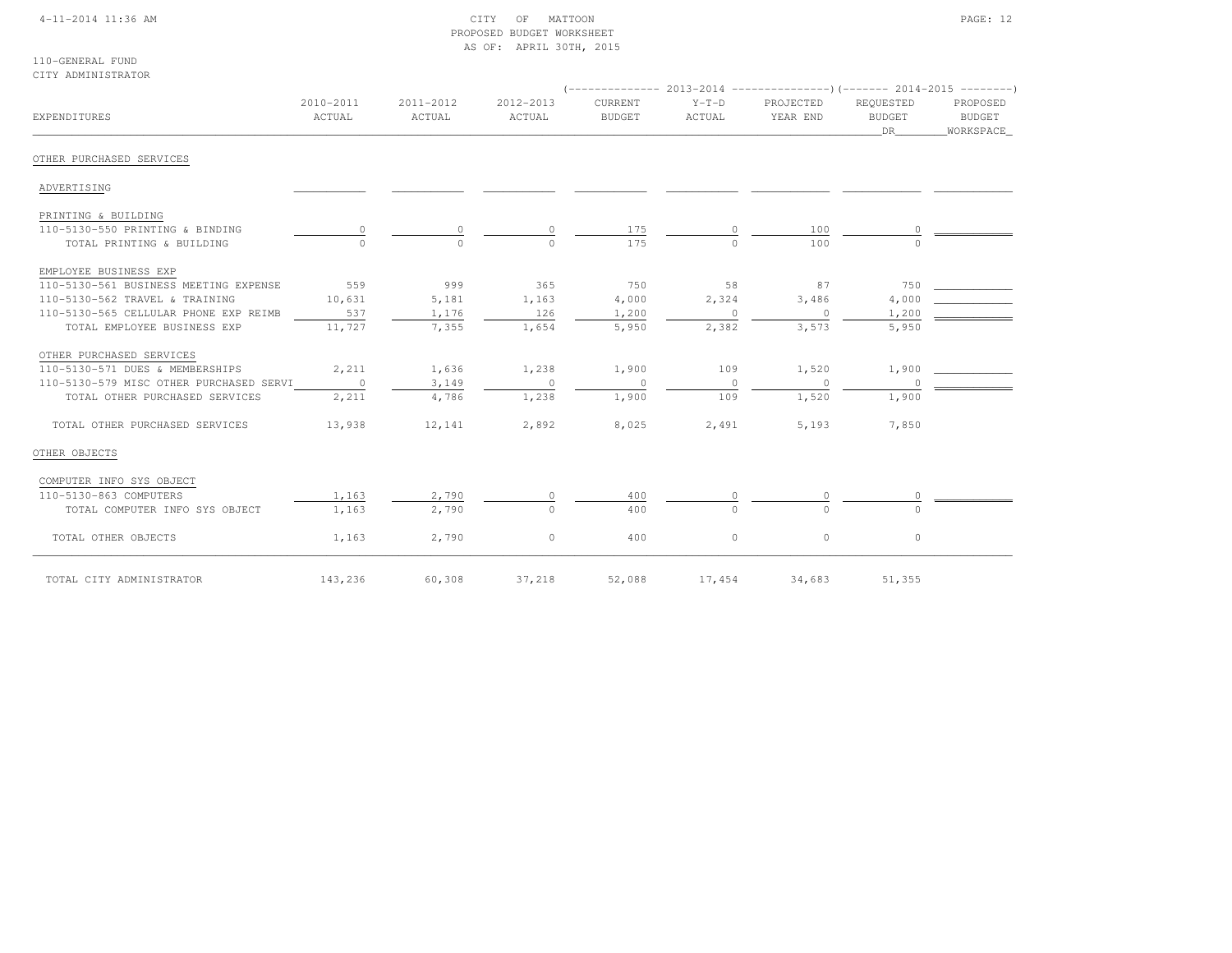## 4-11-2014 11:36 AM CITY OF MATTOON PAGE: 12 PROPOSED BUDGET WORKSHEETAS OF: APRIL 30TH, 2015

110-GENERAL FUNDCITY ADMINISTRATOR

| EXPENDITURES                            | 2010-2011<br>ACTUAL | 2011-2012<br>ACTUAL | 2012-2013<br>ACTUAL | CURRENT<br><b>BUDGET</b> | $Y-T-D$<br>ACTUAL | PROJECTED<br>YEAR END | REOUESTED<br><b>BUDGET</b><br>DR | PROPOSED<br>BUDGET<br>WORKSPACE |
|-----------------------------------------|---------------------|---------------------|---------------------|--------------------------|-------------------|-----------------------|----------------------------------|---------------------------------|
| OTHER PURCHASED SERVICES                |                     |                     |                     |                          |                   |                       |                                  |                                 |
| ADVERTISING                             |                     |                     |                     |                          |                   |                       |                                  |                                 |
| PRINTING & BUILDING                     |                     |                     |                     |                          |                   |                       |                                  |                                 |
| 110-5130-550 PRINTING & BINDING         |                     |                     |                     | 175                      |                   | 100                   |                                  |                                 |
| TOTAL PRINTING & BUILDING               |                     |                     |                     | 175                      |                   | 100                   |                                  |                                 |
| EMPLOYEE BUSINESS EXP                   |                     |                     |                     |                          |                   |                       |                                  |                                 |
| 110-5130-561 BUSINESS MEETING EXPENSE   | 559                 | 999                 | 365                 | 750                      | 58                | 87                    | 750                              |                                 |
| 110-5130-562 TRAVEL & TRAINING          | 10,631              | 5,181               | 1,163               | 4,000                    | 2,324             | 3,486                 | 4,000                            |                                 |
| 110-5130-565 CELLULAR PHONE EXP REIMB   | 537                 | 1,176               | 126                 | 1,200                    | $\circ$           | $\circ$               | 1,200                            |                                 |
| TOTAL EMPLOYEE BUSINESS EXP             | 11,727              | 7,355               | 1,654               | 5,950                    | 2,382             | 3,573                 | 5,950                            |                                 |
| OTHER PURCHASED SERVICES                |                     |                     |                     |                          |                   |                       |                                  |                                 |
| 110-5130-571 DUES & MEMBERSHIPS         | 2,211               | 1,636               | 1,238               | 1,900                    | 109               | 1,520                 | 1,900                            |                                 |
| 110-5130-579 MISC OTHER PURCHASED SERVI | $\sim$ 0            | 3,149               | $\sim$ 0            | $\sim$ 0                 | $\circ$           | $\overline{0}$        |                                  |                                 |
| TOTAL OTHER PURCHASED SERVICES          | 2,211               | 4,786               | 1,238               | 1,900                    | 109               | 1,520                 | 1,900                            |                                 |
| TOTAL OTHER PURCHASED SERVICES          | 13,938              | 12,141              | 2,892               | 8,025                    | 2,491             | 5,193                 | 7,850                            |                                 |
| OTHER OBJECTS                           |                     |                     |                     |                          |                   |                       |                                  |                                 |
| COMPUTER INFO SYS OBJECT                |                     |                     |                     |                          |                   |                       |                                  |                                 |
| 110-5130-863 COMPUTERS                  | 1,163               | 2,790               | $\circ$             | 400                      |                   |                       |                                  |                                 |
| TOTAL COMPUTER INFO SYS OBJECT          | 1,163               | 2,790               | $\Omega$            | 400                      | $\Omega$          | $\cap$                |                                  |                                 |
| TOTAL OTHER OBJECTS                     | 1,163               | 2,790               | $\circ$             | 400                      | $\circ$           | $\circ$               | $\circ$                          |                                 |
| TOTAL CITY ADMINISTRATOR                | 143,236             | 60,308              | 37,218              | 52,088                   | 17,454            | 34,683                | 51,355                           |                                 |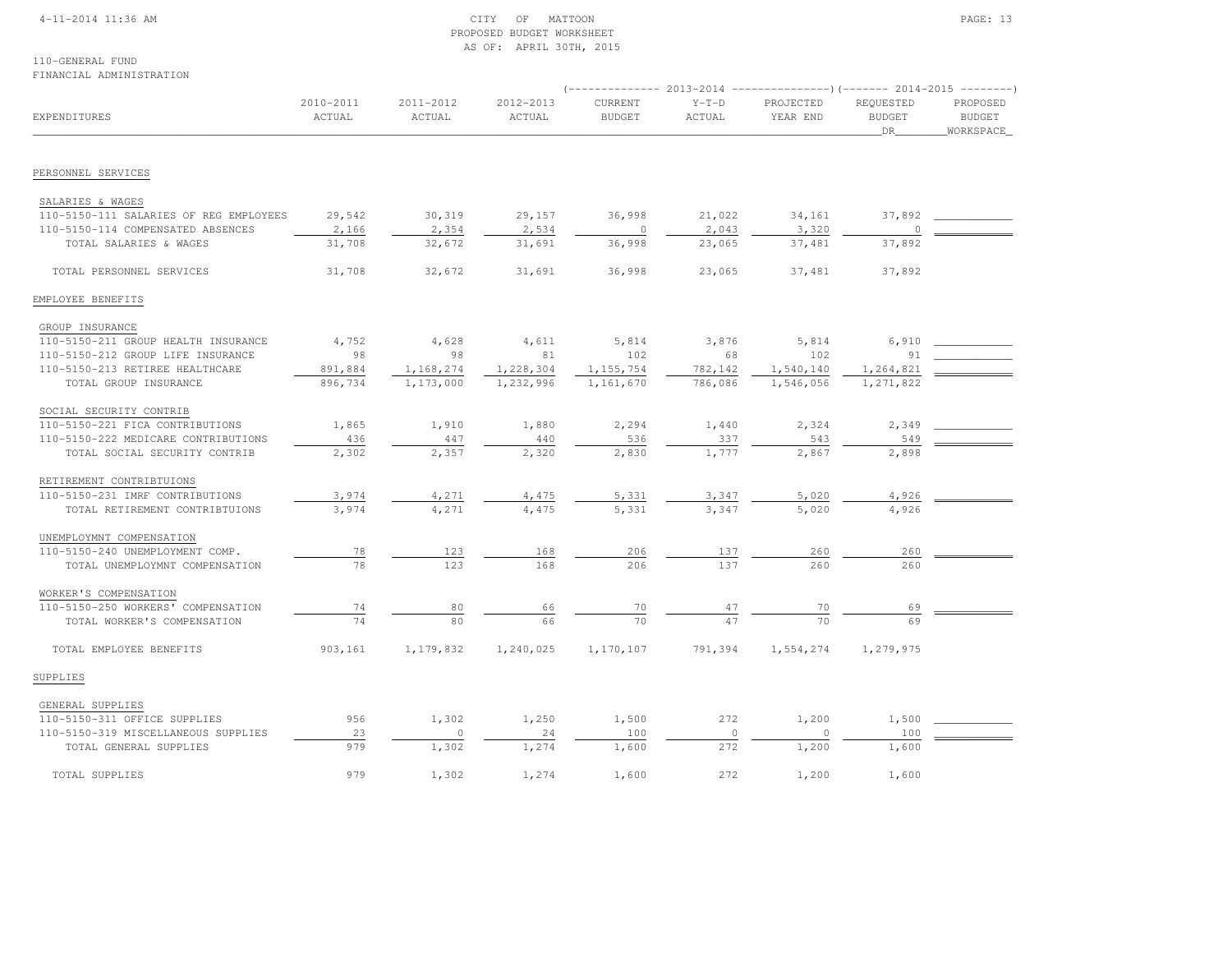## 4-11-2014 11:36 AM CITY OF MATTOON PAGE: 13 PROPOSED BUDGET WORKSHEETAS OF: APRIL 30TH, 2015

110-GENERAL FUNDFINANCIAL ADMINISTRATION

| <b>EXPENDITURES</b>                    | 2010-2011<br>ACTUAL | 2011-2012<br>ACTUAL | 2012-2013<br>ACTUAL | CURRENT<br><b>BUDGET</b> | $Y-T-D$<br>ACTUAL | PROJECTED<br>YEAR END | REQUESTED<br><b>BUDGET</b><br>DR | PROPOSED<br><b>BUDGET</b><br>_WORKSPACE_ |
|----------------------------------------|---------------------|---------------------|---------------------|--------------------------|-------------------|-----------------------|----------------------------------|------------------------------------------|
| PERSONNEL SERVICES                     |                     |                     |                     |                          |                   |                       |                                  |                                          |
|                                        |                     |                     |                     |                          |                   |                       |                                  |                                          |
| SALARIES & WAGES                       |                     |                     |                     |                          |                   |                       |                                  |                                          |
| 110-5150-111 SALARIES OF REG EMPLOYEES | 29,542              | 30,319              | 29,157              | 36,998                   | 21,022            | 34,161                | 37,892                           |                                          |
| 110-5150-114 COMPENSATED ABSENCES      | 2,166               | 2,354               | 2,534               | $\circ$                  | 2,043             | 3,320                 | 0                                |                                          |
| TOTAL SALARIES & WAGES                 | 31,708              | 32,672              | 31,691              | 36,998                   | 23,065            | 37,481                | 37,892                           |                                          |
| TOTAL PERSONNEL SERVICES               | 31,708              | 32,672              | 31,691              | 36,998                   | 23,065            | 37,481                | 37,892                           |                                          |
| EMPLOYEE BENEFITS                      |                     |                     |                     |                          |                   |                       |                                  |                                          |
| GROUP INSURANCE                        |                     |                     |                     |                          |                   |                       |                                  |                                          |
| 110-5150-211 GROUP HEALTH INSURANCE    | 4,752               | 4,628               | 4,611               | 5,814                    | 3,876             | 5,814                 | 6,910                            |                                          |
| 110-5150-212 GROUP LIFE INSURANCE      | 98                  | 98                  | 81                  | 102                      | 68                | 102                   | 91                               |                                          |
| 110-5150-213 RETIREE HEALTHCARE        | 891,884             | 1,168,274           | 1,228,304           | 1, 155, 754              | 782,142           | 1,540,140             | 1,264,821                        |                                          |
| TOTAL GROUP INSURANCE                  | 896,734             | 1,173,000           | 1,232,996           | 1,161,670                | 786,086           | 1,546,056             | 1,271,822                        |                                          |
| SOCIAL SECURITY CONTRIB                |                     |                     |                     |                          |                   |                       |                                  |                                          |
| 110-5150-221 FICA CONTRIBUTIONS        | 1,865               | 1,910               | 1,880               | 2,294                    | 1,440             | 2,324                 | 2,349                            |                                          |
| 110-5150-222 MEDICARE CONTRIBUTIONS    | 436                 | 447                 | 440                 | 536                      | 337               | 543                   | 549                              |                                          |
| TOTAL SOCIAL SECURITY CONTRIB          | 2,302               | 2,357               | 2,320               | 2,830                    | 1,777             | 2,867                 | 2,898                            |                                          |
| RETIREMENT CONTRIBTUIONS               |                     |                     |                     |                          |                   |                       |                                  |                                          |
| 110-5150-231 IMRF CONTRIBUTIONS        | 3,974               | 4,271               | 4,475               | 5,331                    | 3,347             | 5,020                 | 4,926                            |                                          |
| TOTAL RETIREMENT CONTRIBTUIONS         | 3,974               | 4,271               | 4,475               | 5,331                    | 3,347             | 5,020                 | 4,926                            |                                          |
| UNEMPLOYMNT COMPENSATION               |                     |                     |                     |                          |                   |                       |                                  |                                          |
| 110-5150-240 UNEMPLOYMENT COMP.        | 78                  | 123                 | 168                 | 206                      | 137               | 260                   | 260                              |                                          |
| TOTAL UNEMPLOYMNT COMPENSATION         | 78                  | 123                 | 168                 | 206                      | 137               | 260                   | 260                              |                                          |
| WORKER'S COMPENSATION                  |                     |                     |                     |                          |                   |                       |                                  |                                          |
| 110-5150-250 WORKERS' COMPENSATION     | 74                  | 80                  | 66                  | 70                       | 47                | 70                    | 69                               |                                          |
| TOTAL WORKER'S COMPENSATION            | 74                  | 80                  | 66                  | 70                       |                   | 70                    |                                  |                                          |
| TOTAL EMPLOYEE BENEFITS                | 903,161             | 1,179,832           | 1,240,025           | 1,170,107                | 791,394           | 1,554,274             | 1,279,975                        |                                          |
| SUPPLIES                               |                     |                     |                     |                          |                   |                       |                                  |                                          |
| GENERAL SUPPLIES                       |                     |                     |                     |                          |                   |                       |                                  |                                          |
| 110-5150-311 OFFICE SUPPLIES           | 956                 | 1,302               | 1,250               | 1,500                    | 272               | 1,200                 | 1,500                            |                                          |
| 110-5150-319 MISCELLANEOUS SUPPLIES    | 23                  | $\circ$             | 24                  | 100                      | $\circ$           | $\circ$               | 100                              |                                          |
| TOTAL GENERAL SUPPLIES                 | 979                 | 1,302               | 1,274               | 1,600                    | 272               | 1,200                 | 1,600                            |                                          |
| TOTAL SUPPLIES                         | 979                 | 1,302               | 1,274               | 1,600                    | 272               | 1,200                 | 1,600                            |                                          |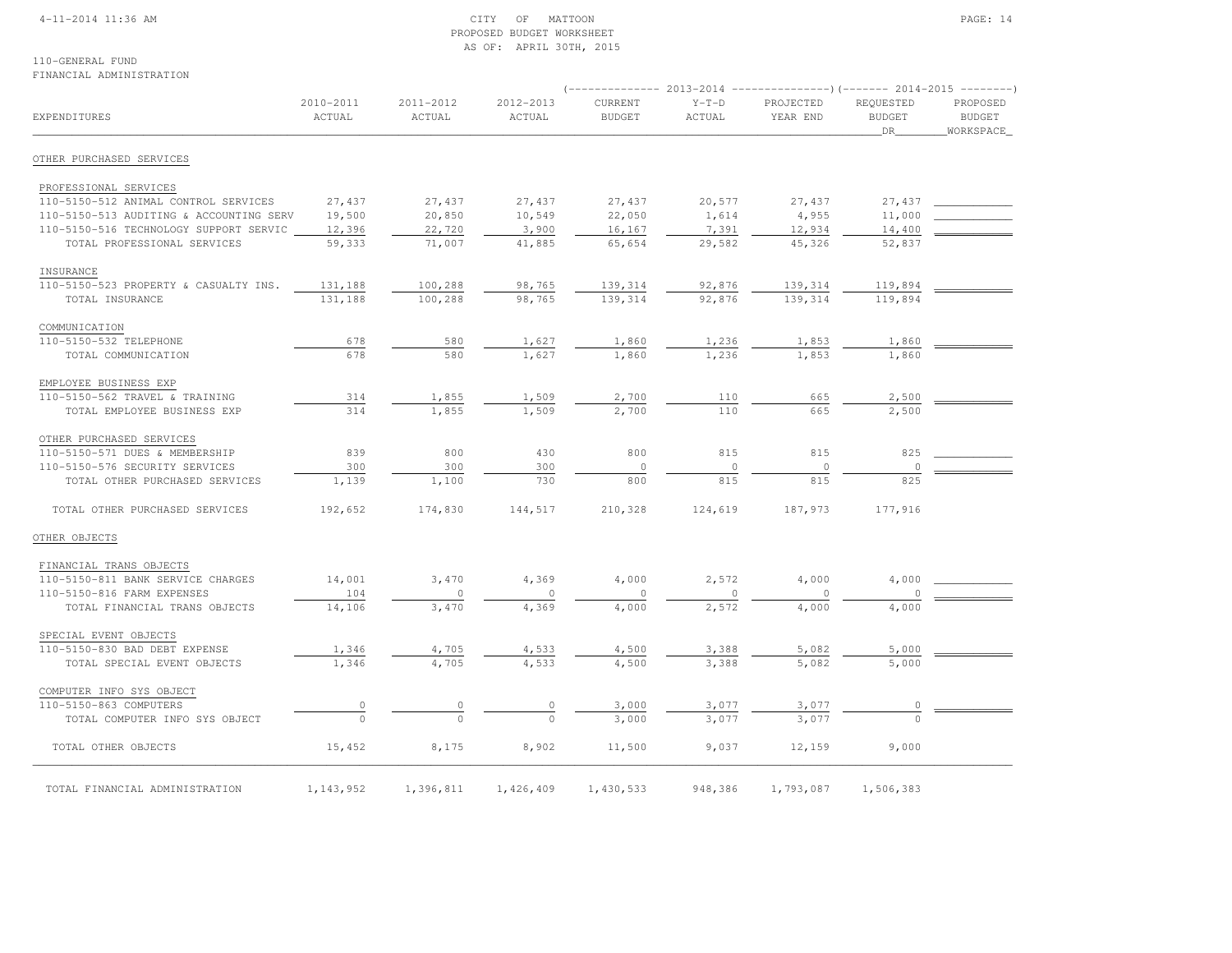## 4-11-2014 11:36 AM CITY OF MATTOON PAGE: 14 PROPOSED BUDGET WORKSHEETAS OF: APRIL 30TH, 2015

110-GENERAL FUNDFINANCIAL ADMINISTRATION

| <b>EXPENDITURES</b>                     | 2010-2011<br>ACTUAL | 2011-2012<br>ACTUAL | 2012-2013<br>ACTUAL | CURRENT<br><b>BUDGET</b> | $Y-T-D$<br>ACTUAL | PROJECTED<br>YEAR END | REQUESTED<br><b>BUDGET</b><br>DR | PROPOSED<br><b>BUDGET</b><br>WORKSPACE_ |  |  |
|-----------------------------------------|---------------------|---------------------|---------------------|--------------------------|-------------------|-----------------------|----------------------------------|-----------------------------------------|--|--|
| OTHER PURCHASED SERVICES                |                     |                     |                     |                          |                   |                       |                                  |                                         |  |  |
| PROFESSIONAL SERVICES                   |                     |                     |                     |                          |                   |                       |                                  |                                         |  |  |
| 110-5150-512 ANIMAL CONTROL SERVICES    | 27,437              | 27,437              | 27,437              | 27,437                   | 20,577            | 27,437                | 27,437                           |                                         |  |  |
| 110-5150-513 AUDITING & ACCOUNTING SERV | 19,500              | 20,850              | 10,549              | 22,050                   | 1,614             | 4,955                 | 11,000                           |                                         |  |  |
| 110-5150-516 TECHNOLOGY SUPPORT SERVIC  | 12,396              | 22,720              | 3,900               | 16,167                   | 7,391             | 12,934                | 14,400                           |                                         |  |  |
| TOTAL PROFESSIONAL SERVICES             | 59,333              | 71,007              | 41,885              | 65,654                   | 29,582            | 45,326                | 52,837                           |                                         |  |  |
| INSURANCE                               |                     |                     |                     |                          |                   |                       |                                  |                                         |  |  |
| 110-5150-523 PROPERTY & CASUALTY INS.   | 131,188             | 100,288             | 98,765              | 139,314                  | 92,876            | 139,314               | 119,894                          |                                         |  |  |
| TOTAL INSURANCE                         | 131,188             | 100,288             | 98,765              | 139,314                  | 92,876            | 139,314               | 119,894                          |                                         |  |  |
| COMMUNICATION                           |                     |                     |                     |                          |                   |                       |                                  |                                         |  |  |
| 110-5150-532 TELEPHONE                  | 678                 | 580                 | 1,627               | 1,860                    | 1,236             | 1,853                 | 1,860                            |                                         |  |  |
| TOTAL COMMUNICATION                     | 678                 | 580                 | 1,627               | 1,860                    | 1,236             | 1,853                 | 1,860                            |                                         |  |  |
| EMPLOYEE BUSINESS EXP                   |                     |                     |                     |                          |                   |                       |                                  |                                         |  |  |
| 110-5150-562 TRAVEL & TRAINING          | 314                 | 1,855               | 1,509               | 2,700                    | 110               | 665                   | 2,500                            |                                         |  |  |
| TOTAL EMPLOYEE BUSINESS EXP             | 314                 | 1,855               | 1,509               | 2,700                    | 110               | 665                   | 2,500                            |                                         |  |  |
| OTHER PURCHASED SERVICES                |                     |                     |                     |                          |                   |                       |                                  |                                         |  |  |
| 110-5150-571 DUES & MEMBERSHIP          | 839                 | 800                 | 430                 | 800                      | 815               | 815                   | 825                              |                                         |  |  |
| 110-5150-576 SECURITY SERVICES          | 300                 | 300                 | 300                 | $\circ$                  | $\circ$           | $\circ$               | $\circ$                          |                                         |  |  |
| TOTAL OTHER PURCHASED SERVICES          | 1,139               | 1,100               | 730                 | 800                      | 815               | 815                   | 825                              |                                         |  |  |
| TOTAL OTHER PURCHASED SERVICES          | 192,652             | 174,830             | 144,517             | 210,328                  | 124,619           | 187,973               | 177,916                          |                                         |  |  |
| OTHER OBJECTS                           |                     |                     |                     |                          |                   |                       |                                  |                                         |  |  |
| FINANCIAL TRANS OBJECTS                 |                     |                     |                     |                          |                   |                       |                                  |                                         |  |  |
| 110-5150-811 BANK SERVICE CHARGES       | 14,001              | 3,470               | 4,369               | 4,000                    | 2,572             | 4,000                 | 4,000                            |                                         |  |  |
| 110-5150-816 FARM EXPENSES              | 104                 | $\circ$             | $\circ$             | $\circ$                  | $\circ$           | $\Omega$              | $\circ$                          |                                         |  |  |
| TOTAL FINANCIAL TRANS OBJECTS           | 14,106              | 3,470               | 4,369               | 4,000                    | 2,572             | 4,000                 | 4,000                            |                                         |  |  |
| SPECIAL EVENT OBJECTS                   |                     |                     |                     |                          |                   |                       |                                  |                                         |  |  |
| 110-5150-830 BAD DEBT EXPENSE           | 1,346               | 4,705               | 4,533               | 4,500                    | 3,388             | 5,082                 | 5,000                            |                                         |  |  |
| TOTAL SPECIAL EVENT OBJECTS             | 1,346               | 4,705               | 4,533               | 4,500                    | 3,388             | 5,082                 | 5,000                            |                                         |  |  |
| COMPUTER INFO SYS OBJECT                |                     |                     |                     |                          |                   |                       |                                  |                                         |  |  |
| 110-5150-863 COMPUTERS                  | 0                   |                     | $\overline{0}$      | 3,000                    | 3,077             | 3,077                 |                                  |                                         |  |  |
| TOTAL COMPUTER INFO SYS OBJECT          |                     |                     |                     | 3,000                    | 3,077             | 3,077                 |                                  |                                         |  |  |
| TOTAL OTHER OBJECTS                     | 15,452              | 8,175               | 8,902               | 11,500                   | 9,037             | 12,159                | 9,000                            |                                         |  |  |
| TOTAL FINANCIAL ADMINISTRATION          | 1,143,952           | 1,396,811           | 1,426,409           | 1,430,533                | 948,386           | 1,793,087             | 1,506,383                        |                                         |  |  |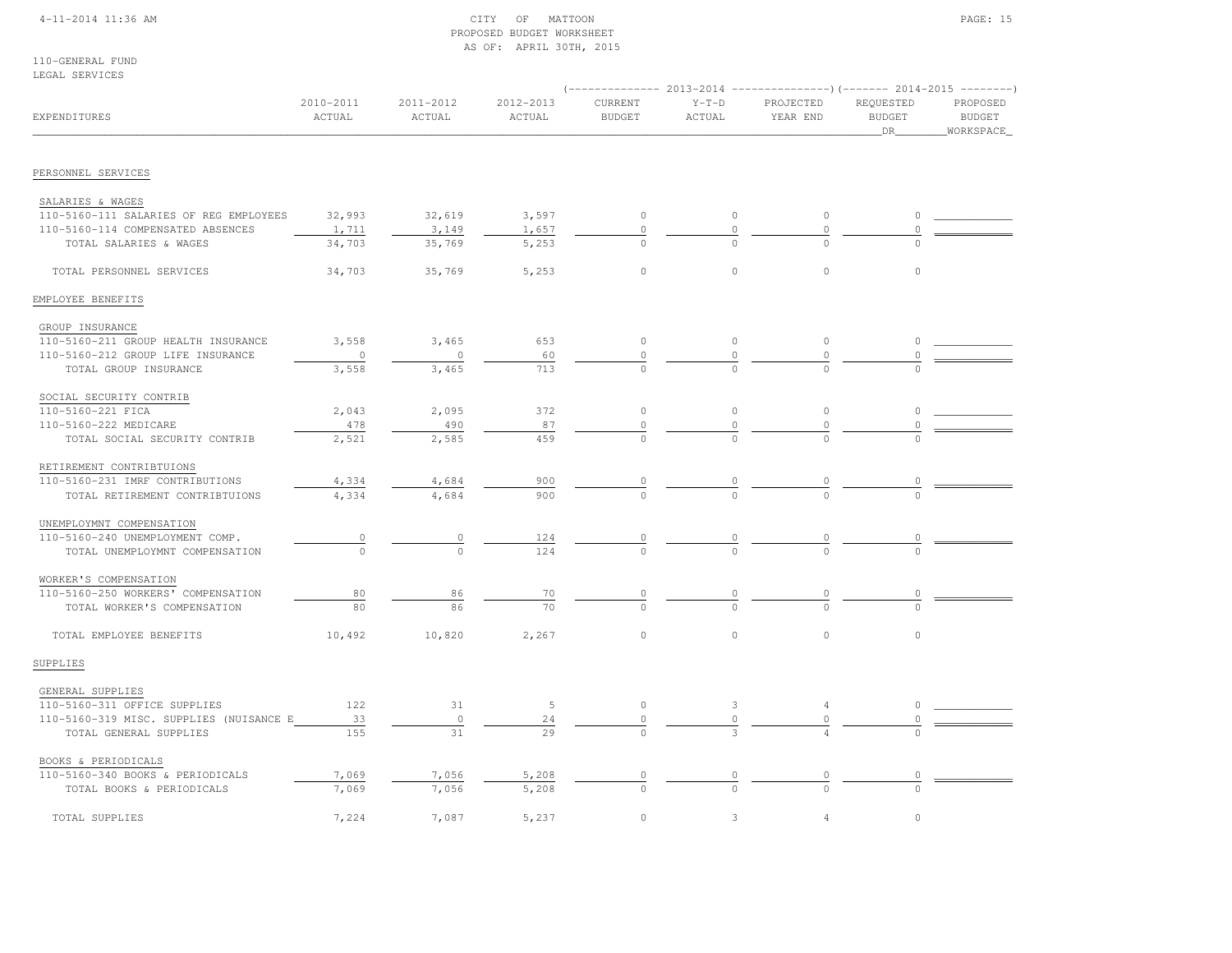## 4-11-2014 11:36 AM CITY OF MATTOON PAGE: 15 PROPOSED BUDGET WORKSHEETAS OF: APRIL 30TH, 2015

110-GENERAL FUNDLEGAL SERVICES

| טשטואראשט שמטש                                              |                     |                     |                     |                          |                   | (-------------- 2013-2014 ----------------)(------- 2014-2015 --------) |                                  |                                        |
|-------------------------------------------------------------|---------------------|---------------------|---------------------|--------------------------|-------------------|-------------------------------------------------------------------------|----------------------------------|----------------------------------------|
| EXPENDITURES                                                | 2010-2011<br>ACTUAL | 2011-2012<br>ACTUAL | 2012-2013<br>ACTUAL | CURRENT<br><b>BUDGET</b> | $Y-T-D$<br>ACTUAL | PROJECTED<br>YEAR END                                                   | REQUESTED<br><b>BUDGET</b><br>DR | PROPOSED<br><b>BUDGET</b><br>WORKSPACE |
| PERSONNEL SERVICES                                          |                     |                     |                     |                          |                   |                                                                         |                                  |                                        |
|                                                             |                     |                     |                     |                          |                   |                                                                         |                                  |                                        |
| SALARIES & WAGES                                            |                     |                     |                     |                          |                   |                                                                         | $\Omega$                         |                                        |
| 110-5160-111 SALARIES OF REG EMPLOYEES                      | 32,993              | 32,619              | 3,597               | $\circ$                  | $\circ$           | $\circ$                                                                 | $\Omega$                         |                                        |
| 110-5160-114 COMPENSATED ABSENCES<br>TOTAL SALARIES & WAGES | 1,711<br>34,703     | 3,149<br>35,769     | 1,657<br>5,253      | $\circ$<br>$\cap$        | $\circ$           | $\circ$<br>$\cap$                                                       |                                  |                                        |
|                                                             |                     |                     |                     |                          |                   |                                                                         |                                  |                                        |
| TOTAL PERSONNEL SERVICES                                    | 34,703              | 35,769              | 5,253               | $\circ$                  | $\circ$           | $\circ$                                                                 | $\circ$                          |                                        |
| EMPLOYEE BENEFITS                                           |                     |                     |                     |                          |                   |                                                                         |                                  |                                        |
| GROUP INSURANCE                                             |                     |                     |                     |                          |                   |                                                                         |                                  |                                        |
| 110-5160-211 GROUP HEALTH INSURANCE                         | 3,558               | 3,465               | 653                 | $\circ$                  | $\circ$           | $\circ$                                                                 | $\circ$                          |                                        |
| 110-5160-212 GROUP LIFE INSURANCE                           | $\circ$             | $\circ$             | 60                  | 0                        | 0                 | $\circ$                                                                 | 0                                |                                        |
| TOTAL GROUP INSURANCE                                       | 3,558               | 3,465               | 713                 | $\Omega$                 |                   |                                                                         |                                  |                                        |
| SOCIAL SECURITY CONTRIB                                     |                     |                     |                     |                          |                   |                                                                         |                                  |                                        |
| 110-5160-221 FICA                                           | 2,043               | 2,095               | 372                 | $\mathbb O$              | $\circ$           | $\circ$                                                                 | $\circ$                          |                                        |
| 110-5160-222 MEDICARE                                       | 478                 | 490                 | 87                  | $\mathbb O$              | 0                 | $\circ$                                                                 | 0                                |                                        |
| TOTAL SOCIAL SECURITY CONTRIB                               | 2,521               | 2,585               | 459                 |                          |                   |                                                                         |                                  |                                        |
| RETIREMENT CONTRIBTUIONS                                    |                     |                     |                     |                          |                   |                                                                         |                                  |                                        |
| 110-5160-231 IMRF CONTRIBUTIONS                             | 4,334               | 4,684               | 900                 |                          |                   |                                                                         |                                  |                                        |
| TOTAL RETIREMENT CONTRIBTUIONS                              | 4,334               | 4,684               | 900                 | $\Omega$                 | $\frac{0}{0}$     | $\Omega$                                                                |                                  |                                        |
| UNEMPLOYMNT COMPENSATION                                    |                     |                     |                     |                          |                   |                                                                         |                                  |                                        |
| 110-5160-240 UNEMPLOYMENT COMP.                             | $\overline{0}$      | $\circ$             | 124                 | $\circ$                  | $\overline{0}$    |                                                                         |                                  |                                        |
| TOTAL UNEMPLOYMNT COMPENSATION                              | $\Omega$            | $\Omega$            | 124                 |                          |                   |                                                                         |                                  |                                        |
| WORKER'S COMPENSATION                                       |                     |                     |                     |                          |                   |                                                                         |                                  |                                        |
| 110-5160-250 WORKERS' COMPENSATION                          | 80                  | 86                  | 70                  | $\circ$                  | $\frac{0}{0}$     | $\circ$                                                                 | 0                                |                                        |
| TOTAL WORKER'S COMPENSATION                                 | 80                  | 86                  | 70                  |                          |                   |                                                                         |                                  |                                        |
| TOTAL EMPLOYEE BENEFITS                                     | 10,492              | 10,820              | 2,267               | $\circ$                  | $\circ$           | $\circ$                                                                 | $\circ$                          |                                        |
| SUPPLIES                                                    |                     |                     |                     |                          |                   |                                                                         |                                  |                                        |
| GENERAL SUPPLIES                                            |                     |                     |                     |                          |                   |                                                                         |                                  |                                        |
| 110-5160-311 OFFICE SUPPLIES                                | 122                 | 31                  | 5                   | $\circ$                  | 3                 | 4                                                                       | 0                                |                                        |
| 110-5160-319 MISC. SUPPLIES (NUISANCE E                     | 33                  | $\circ$             | 24                  | $\circ$                  | 0                 | $\circ$                                                                 | 0                                |                                        |
| TOTAL GENERAL SUPPLIES                                      | 155                 | 31                  | 29                  | $\Omega$                 |                   |                                                                         |                                  |                                        |
| BOOKS & PERIODICALS                                         |                     |                     |                     |                          |                   |                                                                         |                                  |                                        |
| 110-5160-340 BOOKS & PERIODICALS                            | 7,069               | 7,056               | 5,208               | 0                        |                   | $\circ$                                                                 |                                  |                                        |
| TOTAL BOOKS & PERIODICALS                                   | 7,069               | 7,056               | 5,208               |                          |                   |                                                                         |                                  |                                        |
| TOTAL SUPPLIES                                              | 7,224               | 7,087               | 5,237               | $\circ$                  | 3                 | $\overline{4}$                                                          | $\circ$                          |                                        |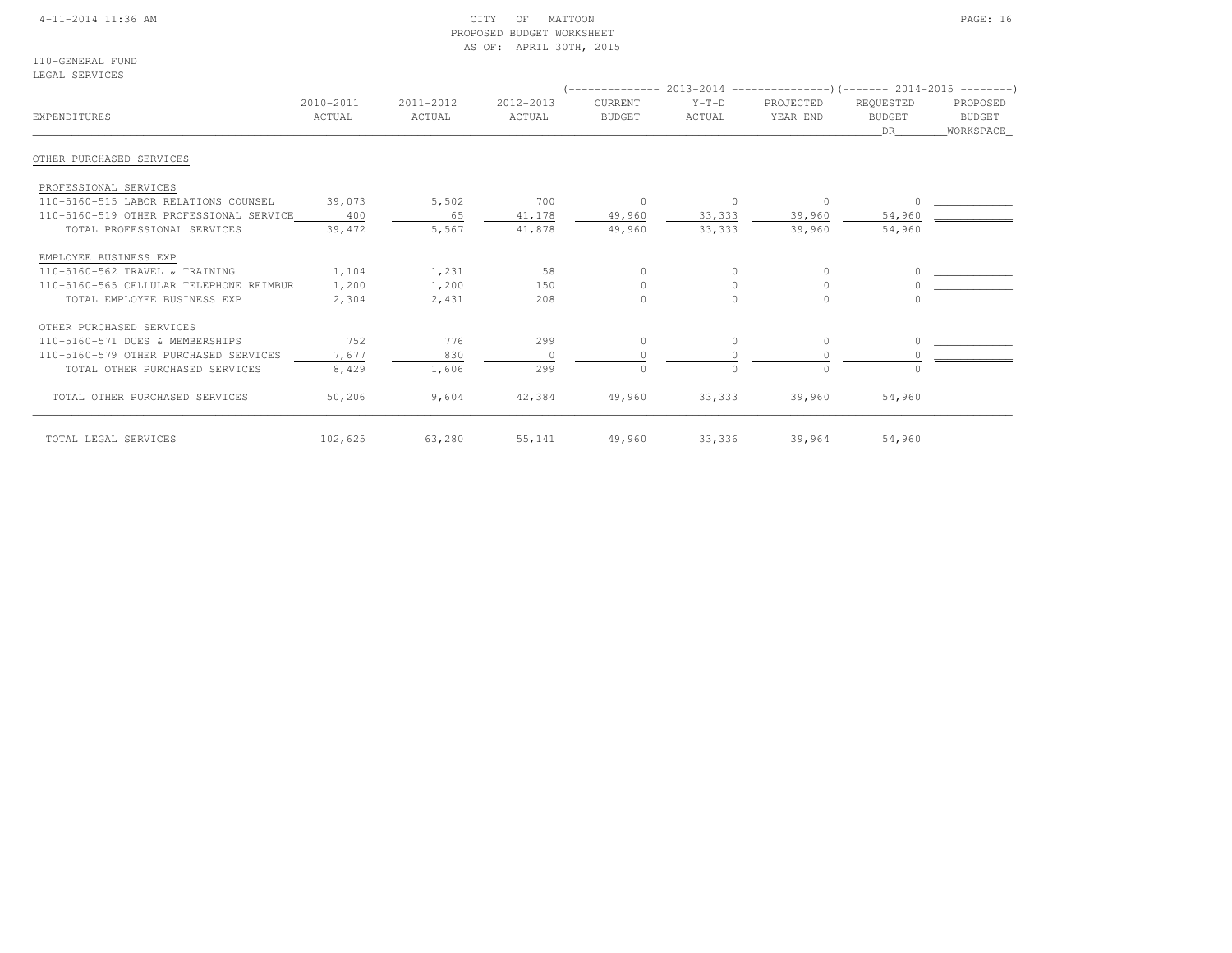## 4-11-2014 11:36 AM CITY OF MATTOON PAGE: 16 PROPOSED BUDGET WORKSHEETAS OF: APRIL 30TH, 2015

110-GENERAL FUNDLEGAL SERVICES

| EXPENDITURES                            | 2010-2011<br>ACTUAL | 2011-2012<br>ACTUAL | 2012-2013<br>ACTUAL | CURRENT<br><b>BUDGET</b> | $Y-T-D$<br>ACTUAL | PROJECTED<br>YEAR END | REQUESTED<br><b>BUDGET</b><br>DR | PROPOSED<br><b>BUDGET</b><br>WORKSPACE |
|-----------------------------------------|---------------------|---------------------|---------------------|--------------------------|-------------------|-----------------------|----------------------------------|----------------------------------------|
| OTHER PURCHASED SERVICES                |                     |                     |                     |                          |                   |                       |                                  |                                        |
| PROFESSIONAL SERVICES                   |                     |                     |                     |                          |                   |                       |                                  |                                        |
| 110-5160-515 LABOR RELATIONS COUNSEL    | 39,073              | 5,502               | 700                 | $\circ$                  | $\circ$           | $\circ$               |                                  |                                        |
| 110-5160-519 OTHER PROFESSIONAL SERVICE | 400                 | 65                  | 41,178              | 49,960                   | 33,333            | 39,960                | 54,960                           |                                        |
| TOTAL PROFESSIONAL SERVICES             | 39,472              | 5,567               | 41,878              | 49,960                   | 33,333            | 39,960                | 54,960                           |                                        |
| EMPLOYEE BUSINESS EXP                   |                     |                     |                     |                          |                   |                       |                                  |                                        |
| 110-5160-562 TRAVEL & TRAINING          | 1,104               | 1,231               | 58                  | $\Omega$                 | $\Omega$          | $\circ$               |                                  |                                        |
| 110-5160-565 CELLULAR TELEPHONE REIMBUR | 1,200               | 1,200               | 150                 |                          |                   | $\Omega$              |                                  |                                        |
| TOTAL EMPLOYEE BUSINESS EXP             | 2,304               | 2,431               | 208                 |                          | $\Omega$          | $\Omega$              |                                  |                                        |
| OTHER PURCHASED SERVICES                |                     |                     |                     |                          |                   |                       |                                  |                                        |
| 110-5160-571 DUES & MEMBERSHIPS         | 752                 | 776                 | 299                 | $\Omega$                 | $\circ$           | $\circ$               |                                  |                                        |
| 110-5160-579 OTHER PURCHASED SERVICES   | 7,677               | 830                 | $\Omega$            |                          |                   | $\Omega$              |                                  |                                        |
| TOTAL OTHER PURCHASED SERVICES          | 8,429               | 1,606               | 299                 | $\cap$                   | $\Omega$          | $\Omega$              |                                  |                                        |
| TOTAL OTHER PURCHASED SERVICES          | 50,206              | 9,604               | 42,384              | 49,960                   | 33,333            | 39,960                | 54,960                           |                                        |
| TOTAL LEGAL SERVICES                    | 102,625             | 63,280              | 55,141              | 49,960                   | 33,336            | 39,964                | 54,960                           |                                        |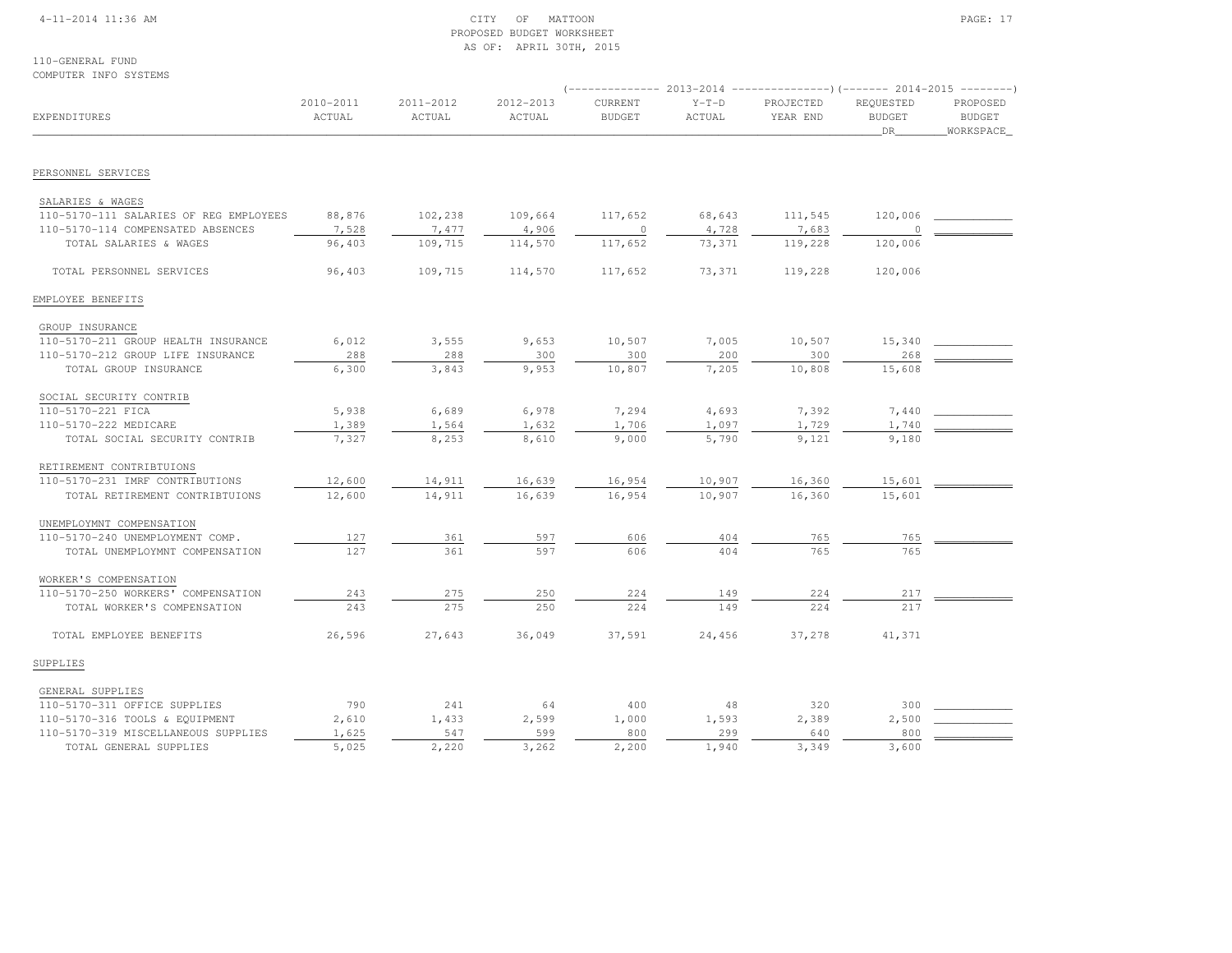## 4-11-2014 11:36 AM CITY OF MATTOON PAGE: 17 PROPOSED BUDGET WORKSHEETAS OF: APRIL 30TH, 2015

110-GENERAL FUNDCOMPUTER INFO SYSTEMS

|                                        |                     |                     |                     |                          |                   | $($ -------------- 2013-2014 ----------------) (------- 2014-2015 --------) |                                  |                                        |
|----------------------------------------|---------------------|---------------------|---------------------|--------------------------|-------------------|-----------------------------------------------------------------------------|----------------------------------|----------------------------------------|
| EXPENDITURES                           | 2010-2011<br>ACTUAL | 2011-2012<br>ACTUAL | 2012-2013<br>ACTUAL | CURRENT<br><b>BUDGET</b> | $Y-T-D$<br>ACTUAL | PROJECTED<br>YEAR END                                                       | REQUESTED<br><b>BUDGET</b><br>DR | PROPOSED<br><b>BUDGET</b><br>WORKSPACE |
|                                        |                     |                     |                     |                          |                   |                                                                             |                                  |                                        |
| PERSONNEL SERVICES                     |                     |                     |                     |                          |                   |                                                                             |                                  |                                        |
| SALARIES & WAGES                       |                     |                     |                     |                          |                   |                                                                             |                                  |                                        |
| 110-5170-111 SALARIES OF REG EMPLOYEES | 88,876              | 102,238             | 109,664             | 117,652                  | 68,643            | 111,545                                                                     | 120,006                          |                                        |
| 110-5170-114 COMPENSATED ABSENCES      | 7,528               | 7,477               | 4,906               | 0                        | 4,728             | 7,683                                                                       |                                  |                                        |
| TOTAL SALARIES & WAGES                 | 96,403              | 109,715             | 114,570             | 117,652                  | 73,371            | 119,228                                                                     | 120,006                          |                                        |
| TOTAL PERSONNEL SERVICES               | 96,403              | 109,715             | 114,570             | 117,652                  | 73,371            | 119,228                                                                     | 120,006                          |                                        |
| EMPLOYEE BENEFITS                      |                     |                     |                     |                          |                   |                                                                             |                                  |                                        |
| GROUP INSURANCE                        |                     |                     |                     |                          |                   |                                                                             |                                  |                                        |
| 110-5170-211 GROUP HEALTH INSURANCE    | 6,012               | 3,555               | 9,653               | 10,507                   | 7,005             | 10,507                                                                      | 15,340                           |                                        |
| 110-5170-212 GROUP LIFE INSURANCE      | 288                 | 288                 | 300                 | 300                      | 200               | 300                                                                         | 268                              |                                        |
| TOTAL GROUP INSURANCE                  | 6,300               | 3,843               | 9,953               | 10,807                   | 7,205             | 10,808                                                                      | 15,608                           |                                        |
| SOCIAL SECURITY CONTRIB                |                     |                     |                     |                          |                   |                                                                             |                                  |                                        |
| 110-5170-221 FICA                      | 5,938               | 6,689               | 6,978               | 7,294                    | 4,693             | 7,392                                                                       | 7,440                            |                                        |
| 110-5170-222 MEDICARE                  | 1,389               | 1,564               | 1,632               | 1,706                    | 1,097             | 1,729                                                                       | 1,740                            |                                        |
| TOTAL SOCIAL SECURITY CONTRIB          | 7,327               | 8,253               | 8,610               | 9,000                    | 5,790             | 9,121                                                                       | 9,180                            |                                        |
| RETIREMENT CONTRIBTUIONS               |                     |                     |                     |                          |                   |                                                                             |                                  |                                        |
| 110-5170-231 IMRF CONTRIBUTIONS        | 12,600              | 14,911              | 16,639              | 16,954                   | 10,907            | 16,360                                                                      | 15,601                           |                                        |
| TOTAL RETIREMENT CONTRIBTUIONS         | 12,600              | 14,911              | 16,639              | 16,954                   | 10,907            | 16,360                                                                      | 15,601                           |                                        |
| UNEMPLOYMNT COMPENSATION               |                     |                     |                     |                          |                   |                                                                             |                                  |                                        |
| 110-5170-240 UNEMPLOYMENT COMP.        | 127                 | 361                 | 597                 | 606                      | 404               | 765                                                                         | 765                              |                                        |
| TOTAL UNEMPLOYMNT COMPENSATION         | 127                 | 361                 | 597                 | 606                      | 404               | 765                                                                         | 765                              |                                        |
| WORKER'S COMPENSATION                  |                     |                     |                     |                          |                   |                                                                             |                                  |                                        |
| 110-5170-250 WORKERS' COMPENSATION     | 243                 | 275                 | 250                 | 224                      | 149               | 224                                                                         | 217                              |                                        |
| TOTAL WORKER'S COMPENSATION            | 243                 | 275                 | 250                 | 224                      | 149               | 224                                                                         | 217                              |                                        |
| TOTAL EMPLOYEE BENEFITS                | 26,596              | 27,643              | 36,049              | 37,591                   | 24,456            | 37,278                                                                      | 41,371                           |                                        |
| SUPPLIES                               |                     |                     |                     |                          |                   |                                                                             |                                  |                                        |
| GENERAL SUPPLIES                       |                     |                     |                     |                          |                   |                                                                             |                                  |                                        |
| 110-5170-311 OFFICE SUPPLIES           | 790                 | 241                 | 64                  | 400                      | 48                | 320                                                                         | 300                              |                                        |
| 110-5170-316 TOOLS & EQUIPMENT         | 2,610               | 1,433               | 2,599               | 1,000                    | 1,593             | 2,389                                                                       | 2,500                            |                                        |
| 110-5170-319 MISCELLANEOUS SUPPLIES    | 1,625               | 547                 | 599                 | 800                      | 299               | 640                                                                         | 800                              |                                        |
| TOTAL GENERAL SUPPLIES                 | 5,025               | 2,220               | 3,262               | 2,200                    | 1,940             | 3,349                                                                       | 3,600                            |                                        |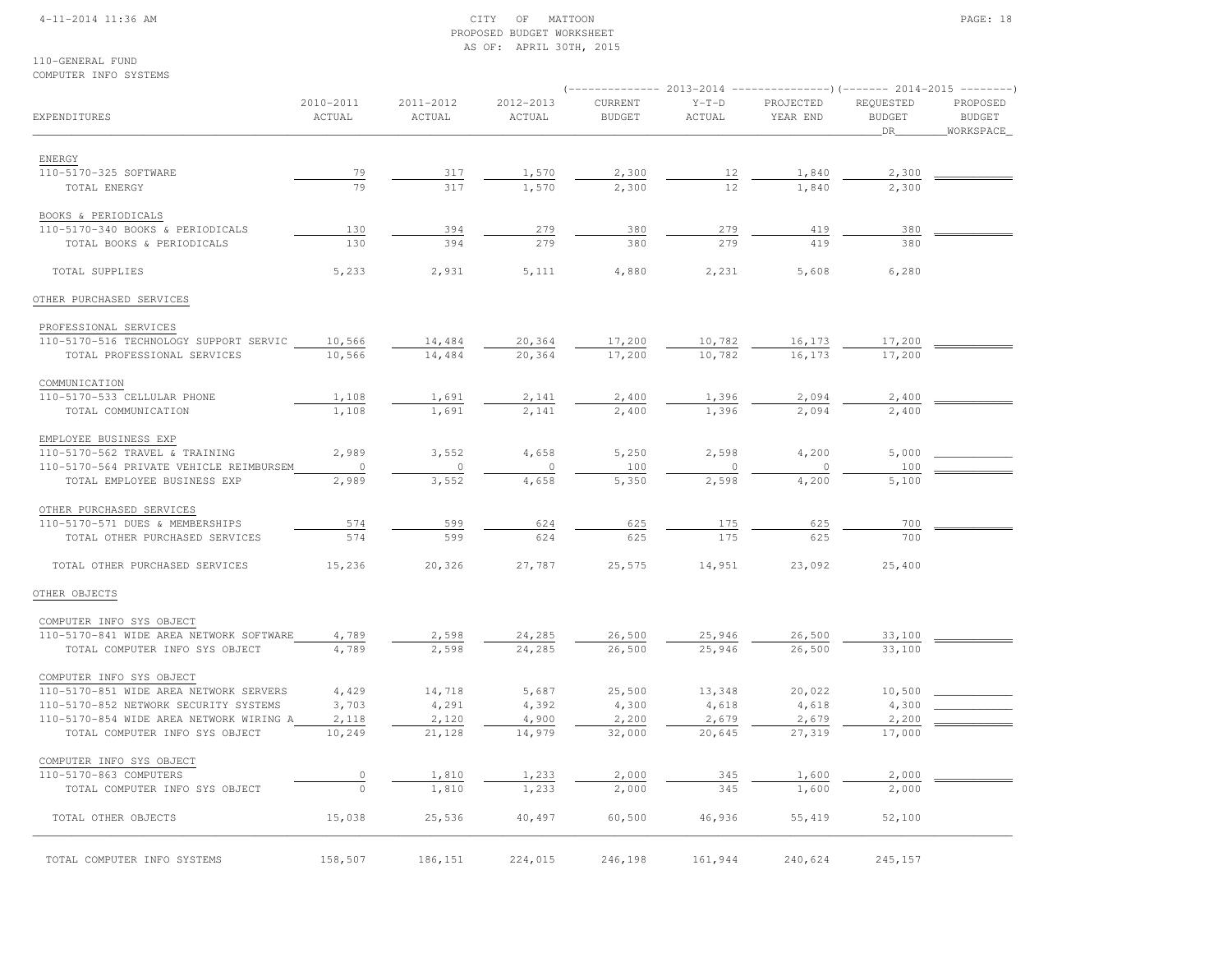## 4-11-2014 11:36 AM CITY OF MATTOON PAGE: 18 PROPOSED BUDGET WORKSHEETAS OF: APRIL 30TH, 2015

| COMPUTER INFO SYSTEMS                   |                     |                     |                     |                          |                   | $($ -------------- 2013-2014 ----------------) (------- 2014-2015 -------- |                                    |                                        |
|-----------------------------------------|---------------------|---------------------|---------------------|--------------------------|-------------------|----------------------------------------------------------------------------|------------------------------------|----------------------------------------|
| EXPENDITURES                            | 2010-2011<br>ACTUAL | 2011-2012<br>ACTUAL | 2012-2013<br>ACTUAL | CURRENT<br><b>BUDGET</b> | $Y-T-D$<br>ACTUAL | PROJECTED<br>YEAR END                                                      | REQUESTED<br><b>BUDGET</b><br>_DR_ | PROPOSED<br><b>BUDGET</b><br>WORKSPACE |
| ENERGY                                  |                     |                     |                     |                          |                   |                                                                            |                                    |                                        |
| 110-5170-325 SOFTWARE                   | 79                  | 317                 | 1,570               | 2,300                    | 12                | 1,840                                                                      | 2,300                              |                                        |
| TOTAL ENERGY                            | 79                  | 317                 | 1,570               | 2,300                    | 12                | 1,840                                                                      | 2,300                              |                                        |
| BOOKS & PERIODICALS                     |                     |                     |                     |                          |                   |                                                                            |                                    |                                        |
| 110-5170-340 BOOKS & PERIODICALS        | 130                 | 394                 | 279                 | 380                      | 279               | 419                                                                        | 380                                |                                        |
| TOTAL BOOKS & PERIODICALS               | 130                 | 394                 | 279                 | 380                      | 279               | 419                                                                        | 380                                |                                        |
| TOTAL SUPPLIES                          | 5,233               | 2,931               | 5,111               | 4,880                    | 2,231             | 5,608                                                                      | 6,280                              |                                        |
| OTHER PURCHASED SERVICES                |                     |                     |                     |                          |                   |                                                                            |                                    |                                        |
| PROFESSIONAL SERVICES                   |                     |                     |                     |                          |                   |                                                                            |                                    |                                        |
| 110-5170-516 TECHNOLOGY SUPPORT SERVIC  | 10,566              | 14,484              | 20,364              | 17,200                   | 10,782            | 16,173                                                                     | 17,200                             |                                        |
| TOTAL PROFESSIONAL SERVICES             | 10,566              | 14,484              | 20,364              | 17,200                   | 10,782            | 16,173                                                                     | 17,200                             |                                        |
| COMMUNICATION                           |                     |                     |                     |                          |                   |                                                                            |                                    |                                        |
| 110-5170-533 CELLULAR PHONE             | 1,108               | 1,691               | 2,141               | 2,400                    | 1,396             | 2,094                                                                      | 2,400                              |                                        |
| TOTAL COMMUNICATION                     | 1,108               | 1,691               | 2,141               | 2,400                    | 1,396             | 2,094                                                                      | 2,400                              |                                        |
| EMPLOYEE BUSINESS EXP                   |                     |                     |                     |                          |                   |                                                                            |                                    |                                        |
| 110-5170-562 TRAVEL & TRAINING          | 2,989               | 3,552               | 4,658               | 5,250                    | 2,598             | 4,200                                                                      | 5,000                              |                                        |
| 110-5170-564 PRIVATE VEHICLE REIMBURSEM | $\circ$             | $\circ$             | $\circ$             | 100                      | $\mathbf{0}$      | $\circ$                                                                    | 100                                |                                        |
| TOTAL EMPLOYEE BUSINESS EXP             | 2,989               | 3,552               | 4,658               | 5,350                    | 2,598             | 4,200                                                                      | 5,100                              |                                        |
| OTHER PURCHASED SERVICES                |                     |                     |                     |                          |                   |                                                                            |                                    |                                        |
| 110-5170-571 DUES & MEMBERSHIPS         | 574                 | 599                 | 624                 | 625                      | 175               | 625                                                                        | 700                                |                                        |
| TOTAL OTHER PURCHASED SERVICES          | 574                 | 599                 | 624                 | 625                      | 175               | 625                                                                        | 700                                |                                        |
| TOTAL OTHER PURCHASED SERVICES          | 15,236              | 20,326              | 27,787              | 25,575                   | 14,951            | 23,092                                                                     | 25,400                             |                                        |
| OTHER OBJECTS                           |                     |                     |                     |                          |                   |                                                                            |                                    |                                        |
| COMPUTER INFO SYS OBJECT                |                     |                     |                     |                          |                   |                                                                            |                                    |                                        |
| 110-5170-841 WIDE AREA NETWORK SOFTWARE | 4,789               | 2,598               | 24,285              | 26,500                   | 25,946            | 26,500                                                                     | 33,100                             |                                        |
| TOTAL COMPUTER INFO SYS OBJECT          | 4,789               | 2,598               | 24,285              | 26,500                   | 25,946            | 26,500                                                                     | 33,100                             |                                        |
| COMPUTER INFO SYS OBJECT                |                     |                     |                     |                          |                   |                                                                            |                                    |                                        |
| 110-5170-851 WIDE AREA NETWORK SERVERS  | 4,429               | 14,718              | 5,687               | 25,500                   | 13,348            | 20,022                                                                     | 10,500                             |                                        |
| 110-5170-852 NETWORK SECURITY SYSTEMS   | 3,703               | 4,291               | 4,392               | 4,300                    | 4,618             | 4,618                                                                      | 4,300                              |                                        |
| 110-5170-854 WIDE AREA NETWORK WIRING A | 2,118               | 2,120<br>21,128     | 4,900<br>14,979     | 2,200<br>32,000          | 2,679<br>20,645   | 2,679<br>27,319                                                            | 2,200<br>17,000                    |                                        |
| TOTAL COMPUTER INFO SYS OBJECT          | 10,249              |                     |                     |                          |                   |                                                                            |                                    |                                        |
| COMPUTER INFO SYS OBJECT                |                     |                     |                     |                          |                   |                                                                            |                                    |                                        |
| 110-5170-863 COMPUTERS                  | 0<br>$\circ$        | 1,810<br>1,810      | 1,233               | 2,000<br>2,000           | 345<br>345        | 1,600<br>1,600                                                             | 2,000<br>2,000                     |                                        |
| TOTAL COMPUTER INFO SYS OBJECT          |                     |                     | 1,233               |                          |                   |                                                                            |                                    |                                        |
| TOTAL OTHER OBJECTS                     | 15,038              | 25,536              | 40,497              | 60,500                   | 46,936            | 55,419                                                                     | 52,100                             |                                        |
| TOTAL COMPUTER INFO SYSTEMS             | 158,507             | 186,151             | 224,015             | 246,198                  | 161,944           | 240,624                                                                    | 245,157                            |                                        |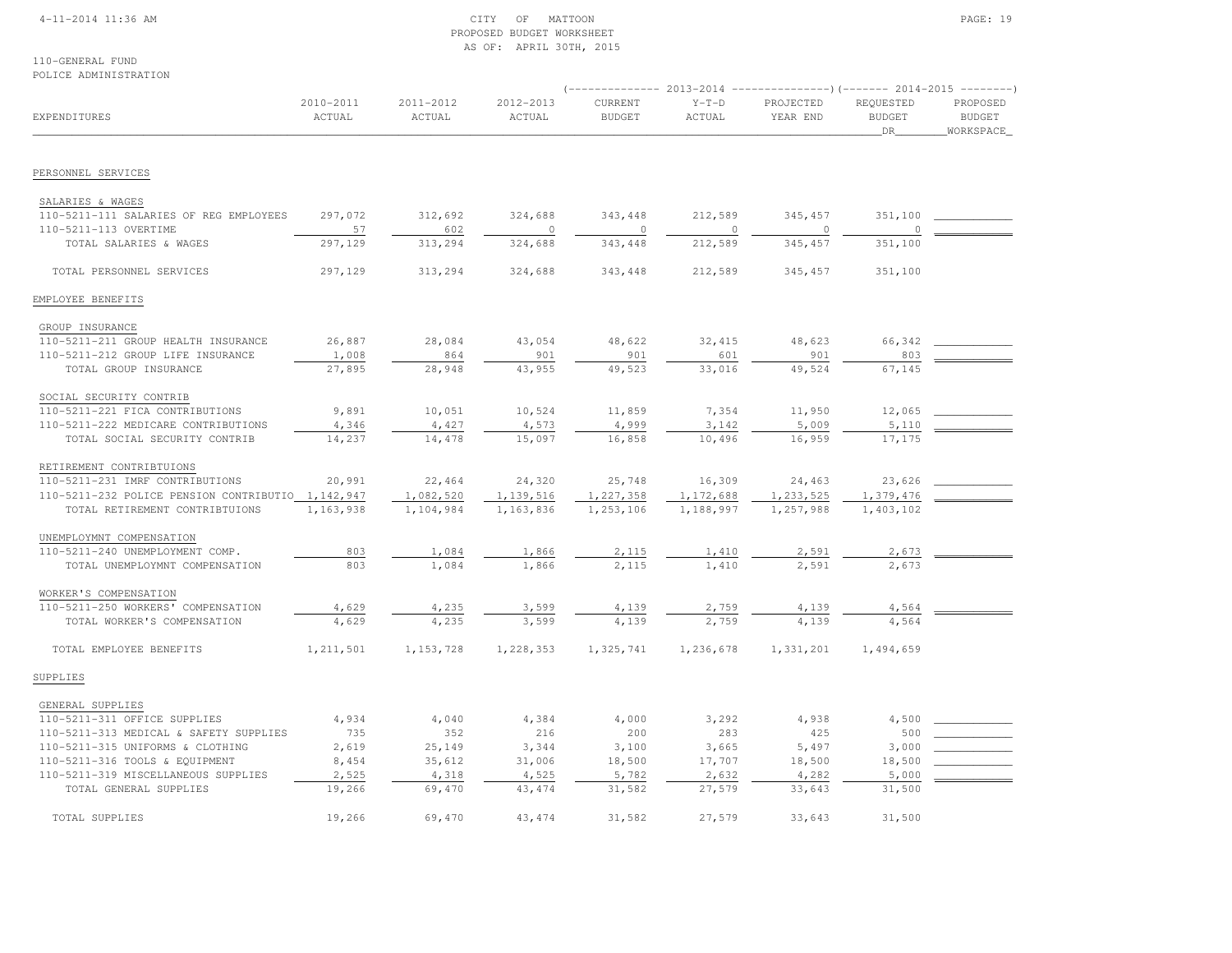## 4-11-2014 11:36 AM CITY OF MATTOON PAGE: 19 PROPOSED BUDGET WORKSHEETAS OF: APRIL 30TH, 2015

110-GENERAL FUNDPOLICE ADMINISTRATION

| FULIUL ADMINISIRAIIUN                                           |                     |                     |                     |                          |                   |                       |                                         |                                        |
|-----------------------------------------------------------------|---------------------|---------------------|---------------------|--------------------------|-------------------|-----------------------|-----------------------------------------|----------------------------------------|
| EXPENDITURES                                                    | 2010-2011<br>ACTUAL | 2011-2012<br>ACTUAL | 2012-2013<br>ACTUAL | CURRENT<br><b>BUDGET</b> | $Y-T-D$<br>ACTUAL | PROJECTED<br>YEAR END | REQUESTED<br><b>BUDGET</b><br><b>DR</b> | PROPOSED<br><b>BUDGET</b><br>WORKSPACE |
| PERSONNEL SERVICES                                              |                     |                     |                     |                          |                   |                       |                                         |                                        |
|                                                                 |                     |                     |                     |                          |                   |                       |                                         |                                        |
| SALARIES & WAGES                                                |                     |                     |                     |                          |                   |                       |                                         |                                        |
| 110-5211-111 SALARIES OF REG EMPLOYEES<br>110-5211-113 OVERTIME | 297,072<br>57       | 312,692<br>602      | 324,688<br>$\circ$  | 343, 448<br>$\circ$      | 212,589<br>0      | 345,457<br>$\circ$    | 351,100                                 |                                        |
| TOTAL SALARIES & WAGES                                          | 297,129             | 313,294             | 324,688             | 343,448                  | 212,589           | 345,457               | 351,100                                 |                                        |
|                                                                 |                     |                     |                     |                          |                   |                       |                                         |                                        |
| TOTAL PERSONNEL SERVICES                                        | 297,129             | 313,294             | 324,688             | 343,448                  | 212,589           | 345, 457              | 351,100                                 |                                        |
| EMPLOYEE BENEFITS                                               |                     |                     |                     |                          |                   |                       |                                         |                                        |
| GROUP INSURANCE                                                 |                     |                     |                     |                          |                   |                       |                                         |                                        |
| 110-5211-211 GROUP HEALTH INSURANCE                             | 26,887              | 28,084              | 43,054              | 48,622                   | 32,415            | 48,623                | 66,342                                  |                                        |
| 110-5211-212 GROUP LIFE INSURANCE                               | 1,008               | 864                 | 901                 | 901                      | 601               | 901                   | 803                                     |                                        |
| TOTAL GROUP INSURANCE                                           | 27,895              | 28,948              | 43,955              | 49,523                   | 33,016            | 49,524                | 67,145                                  |                                        |
| SOCIAL SECURITY CONTRIB                                         |                     |                     |                     |                          |                   |                       |                                         |                                        |
| 110-5211-221 FICA CONTRIBUTIONS                                 | 9,891               | 10,051              | 10,524              | 11,859                   | 7,354             | 11,950                | 12,065                                  |                                        |
| 110-5211-222 MEDICARE CONTRIBUTIONS                             | 4,346               | 4,427               | 4,573               | 4,999                    | 3,142             | 5,009                 | 5,110                                   |                                        |
| TOTAL SOCIAL SECURITY CONTRIB                                   | 14,237              | 14,478              | 15,097              | 16,858                   | 10,496            | 16,959                | 17,175                                  |                                        |
| RETIREMENT CONTRIBTUIONS                                        |                     |                     |                     |                          |                   |                       |                                         |                                        |
| 110-5211-231 IMRF CONTRIBUTIONS                                 | 20,991              | 22,464              | 24,320              | 25,748                   | 16,309            | 24,463                | 23,626                                  |                                        |
| 110-5211-232 POLICE PENSION CONTRIBUTIO 1, 142, 947             |                     | 1,082,520           | 1,139,516           | 1,227,358                | 1,172,688         | 1,233,525             | 1,379,476                               |                                        |
| TOTAL RETIREMENT CONTRIBTUIONS                                  | 1,163,938           | 1,104,984           | 1,163,836           | 1,253,106                | 1,188,997         | 1,257,988             | 1,403,102                               |                                        |
| UNEMPLOYMNT COMPENSATION                                        |                     |                     |                     |                          |                   |                       |                                         |                                        |
| 110-5211-240 UNEMPLOYMENT COMP.                                 | 803                 | 1,084               | 1,866               | 2,115                    | 1,410             | 2,591                 | 2,673                                   |                                        |
| TOTAL UNEMPLOYMNT COMPENSATION                                  | 803                 | 1,084               | 1,866               | 2,115                    | 1,410             | 2,591                 | 2,673                                   |                                        |
| WORKER'S COMPENSATION                                           |                     |                     |                     |                          |                   |                       |                                         |                                        |
| 110-5211-250 WORKERS' COMPENSATION                              | 4,629               | 4,235               | 3,599               | 4,139                    | 2,759             | 4,139                 | 4,564                                   |                                        |
| TOTAL WORKER'S COMPENSATION                                     | 4,629               | 4,235               | 3,599               | 4,139                    | 2.759             | 4,139                 | 4,564                                   |                                        |
| TOTAL EMPLOYEE BENEFITS                                         | 1, 211, 501         | 1, 153, 728         | 1,228,353           | 1,325,741                | 1,236,678         | 1,331,201             | 1,494,659                               |                                        |
| SUPPLIES                                                        |                     |                     |                     |                          |                   |                       |                                         |                                        |
| GENERAL SUPPLIES                                                |                     |                     |                     |                          |                   |                       |                                         |                                        |
| 110-5211-311 OFFICE SUPPLIES                                    | 4,934               | 4,040               | 4,384               | 4,000                    | 3,292             | 4,938                 | 4,500                                   |                                        |
| 110-5211-313 MEDICAL & SAFETY SUPPLIES                          | 735                 | 352                 | 216                 | 200                      | 283               | 425                   | 500                                     |                                        |
| 110-5211-315 UNIFORMS & CLOTHING                                | 2,619               | 25,149              | 3,344               | 3,100                    | 3,665             | 5,497                 | 3,000                                   |                                        |
| 110-5211-316 TOOLS & EQUIPMENT                                  | 8,454               | 35,612              | 31,006              | 18,500                   | 17,707            | 18,500                | 18,500                                  |                                        |
| 110-5211-319 MISCELLANEOUS SUPPLIES                             | 2,525               | 4,318               | 4,525               | 5,782                    | 2,632             | 4,282                 | 5,000                                   |                                        |
| TOTAL GENERAL SUPPLIES                                          | 19,266              | 69,470              | 43, 474             | 31,582                   | 27,579            | 33,643                | 31,500                                  |                                        |
| TOTAL SUPPLIES                                                  | 19,266              | 69,470              | 43, 474             | 31,582                   | 27,579            | 33,643                | 31,500                                  |                                        |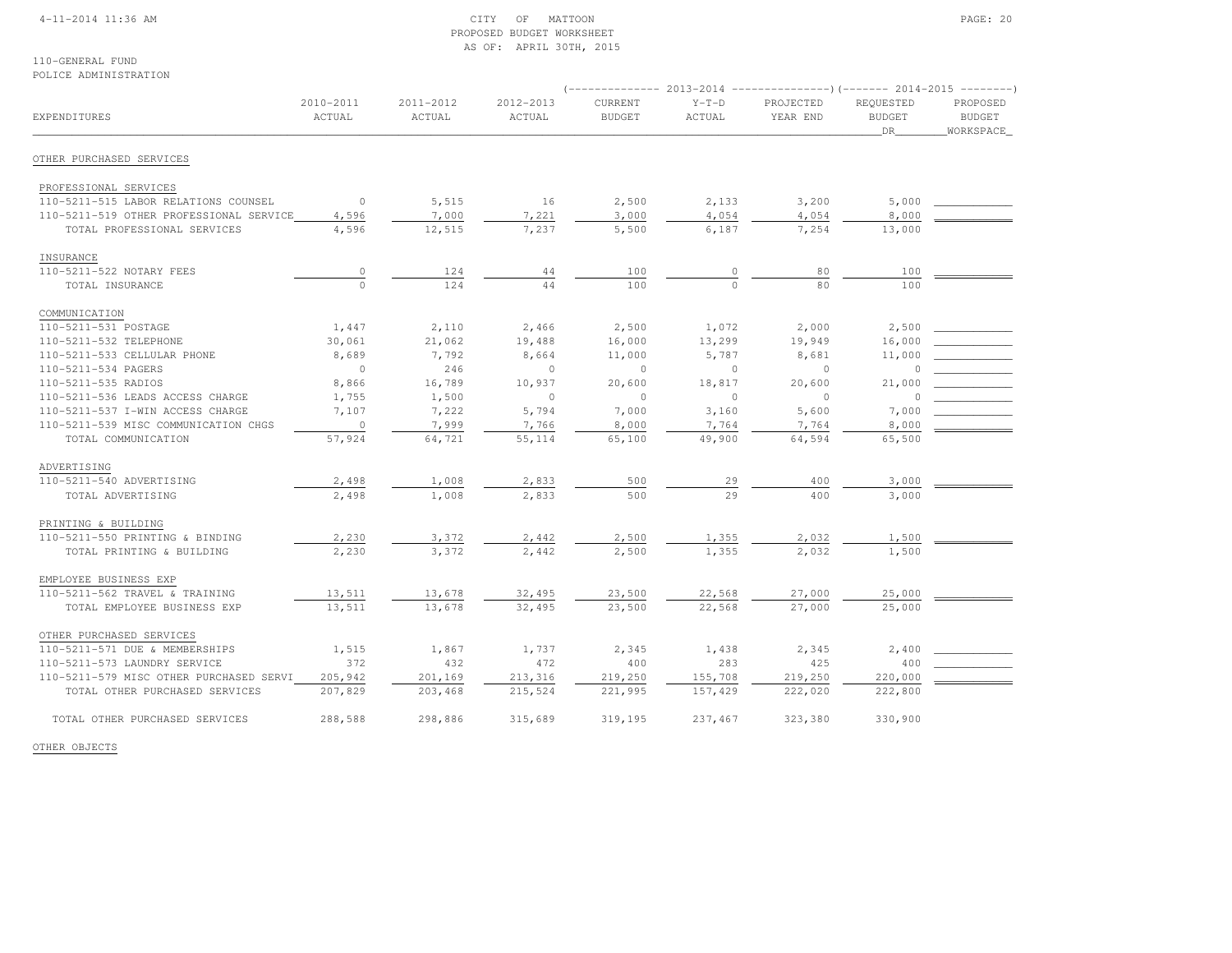## 4-11-2014 11:36 AM CITY OF MATTOON PAGE: 20 PROPOSED BUDGET WORKSHEETAS OF: APRIL 30TH, 2015

110-GENERAL FUNDPOLICE ADMINISTRATION

|                                         |                |           |           |                |          | $($ -------------- 2013-2014 ----------------) (------- 2014-2015 --------) |               |               |
|-----------------------------------------|----------------|-----------|-----------|----------------|----------|-----------------------------------------------------------------------------|---------------|---------------|
|                                         | 2010-2011      | 2011-2012 | 2012-2013 | <b>CURRENT</b> | $Y-T-D$  | PROJECTED                                                                   | REQUESTED     | PROPOSED      |
| EXPENDITURES                            | ACTUAL         | ACTUAL    | ACTUAL    | <b>BUDGET</b>  | ACTUAL   | YEAR END                                                                    | <b>BUDGET</b> | <b>BUDGET</b> |
|                                         |                |           |           |                |          |                                                                             | DR            | WORKSPACE     |
| OTHER PURCHASED SERVICES                |                |           |           |                |          |                                                                             |               |               |
| PROFESSIONAL SERVICES                   |                |           |           |                |          |                                                                             |               |               |
| 110-5211-515 LABOR RELATIONS COUNSEL    | $\circ$        | 5,515     | 16        | 2,500          | 2,133    | 3,200                                                                       | 5,000         |               |
| 110-5211-519 OTHER PROFESSIONAL SERVICE | 4,596          | 7,000     | 7,221     | 3,000          | 4,054    | 4,054                                                                       | 8,000         |               |
| TOTAL PROFESSIONAL SERVICES             | 4,596          | 12,515    | 7,237     | 5,500          | 6,187    | 7,254                                                                       | 13,000        |               |
| INSURANCE                               |                |           |           |                |          |                                                                             |               |               |
| 110-5211-522 NOTARY FEES                |                | 124       | 44        | 100            | 0        | 80                                                                          | 100           |               |
| TOTAL INSURANCE                         | $\frac{0}{0}$  | 124       | 44        | 100            |          | 80                                                                          | 100           |               |
| COMMUNICATION                           |                |           |           |                |          |                                                                             |               |               |
| 110-5211-531 POSTAGE                    | 1,447          | 2,110     | 2,466     | 2,500          | 1,072    | 2,000                                                                       | 2,500         |               |
| 110-5211-532 TELEPHONE                  | 30,061         | 21,062    | 19,488    | 16,000         | 13,299   | 19,949                                                                      | 16,000        |               |
| 110-5211-533 CELLULAR PHONE             | 8,689          | 7,792     | 8,664     | 11,000         | 5,787    | 8,681                                                                       | 11,000        |               |
| 110-5211-534 PAGERS                     | $\circ$        | 246       | $\circ$   | $\circ$        | $\circ$  | $\circ$                                                                     | $\circ$       |               |
| 110-5211-535 RADIOS                     | 8,866          | 16,789    | 10,937    | 20,600         | 18,817   | 20,600                                                                      | 21,000        |               |
| 110-5211-536 LEADS ACCESS CHARGE        | 1,755          | 1,500     | $\circ$   | $\circ$        | $\Omega$ | $\Omega$                                                                    | 0             |               |
| 110-5211-537 I-WIN ACCESS CHARGE        | 7,107          | 7,222     | 5,794     | 7,000          | 3,160    | 5,600                                                                       | 7,000         |               |
| 110-5211-539 MISC COMMUNICATION CHGS    | $\overline{0}$ | 7,999     | 7,766     | 8,000          | 7,764    | 7,764                                                                       | 8,000         |               |
| TOTAL COMMUNICATION                     | 57,924         | 64,721    | 55, 114   | 65,100         | 49,900   | 64,594                                                                      | 65,500        |               |
| ADVERTISING                             |                |           |           |                |          |                                                                             |               |               |
| 110-5211-540 ADVERTISING                | 2,498          | 1,008     | 2,833     | 500            | 29       | 400                                                                         | 3,000         |               |
| TOTAL ADVERTISING                       | 2,498          | 1,008     | 2,833     | 500            | 2.9      | 400                                                                         | 3,000         |               |
| PRINTING & BUILDING                     |                |           |           |                |          |                                                                             |               |               |
| 110-5211-550 PRINTING & BINDING         | 2,230          | 3,372     | 2,442     | 2,500          | 1,355    | 2,032                                                                       | 1,500         |               |
| TOTAL PRINTING & BUILDING               | 2,230          | 3,372     | 2,442     | 2,500          | 1,355    | 2,032                                                                       | 1,500         |               |
| EMPLOYEE BUSINESS EXP                   |                |           |           |                |          |                                                                             |               |               |
| 110-5211-562 TRAVEL & TRAINING          | 13,511         | 13,678    | 32,495    | 23,500         | 22,568   | 27,000                                                                      | 25,000        |               |
| TOTAL EMPLOYEE BUSINESS EXP             | 13,511         | 13,678    | 32,495    | 23,500         | 22,568   | 27,000                                                                      | 25,000        |               |
| OTHER PURCHASED SERVICES                |                |           |           |                |          |                                                                             |               |               |
| 110-5211-571 DUE & MEMBERSHIPS          | 1,515          | 1,867     | 1,737     | 2,345          | 1,438    | 2,345                                                                       | 2,400         |               |
| 110-5211-573 LAUNDRY SERVICE            | 372            | 432       | 472       | 400            | 283      | 425                                                                         | 400           |               |
| 110-5211-579 MISC OTHER PURCHASED SERVI | 205,942        | 201,169   | 213,316   | 219,250        | 155,708  | 219,250                                                                     | 220,000       |               |
| TOTAL OTHER PURCHASED SERVICES          | 207,829        | 203,468   | 215,524   | 221,995        | 157,429  | 222,020                                                                     | 222,800       |               |
| TOTAL OTHER PURCHASED SERVICES          | 288,588        | 298,886   | 315,689   | 319,195        | 237,467  | 323,380                                                                     | 330,900       |               |

OTHER OBJECTS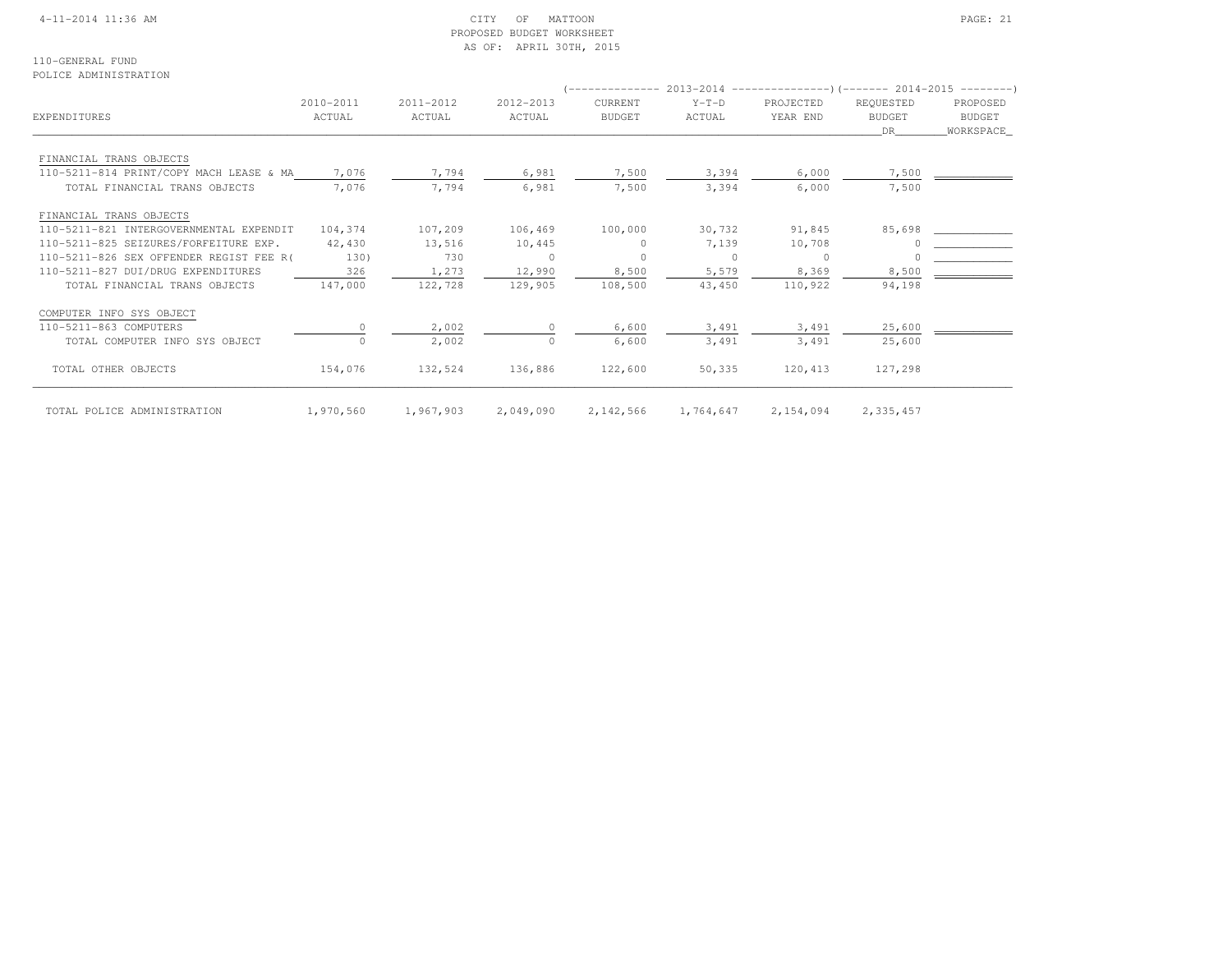## 4-11-2014 11:36 AM CITY OF MATTOON PAGE: 21 PROPOSED BUDGET WORKSHEETAS OF: APRIL 30TH, 2015

110-GENERAL FUNDPOLICE ADMINISTRATION

|                                         |           |           |           |                |           | (-------------- 2013-2014 --------------------- 2014-2015 --------- ) |               |           |
|-----------------------------------------|-----------|-----------|-----------|----------------|-----------|-----------------------------------------------------------------------|---------------|-----------|
|                                         | 2010-2011 | 2011-2012 | 2012-2013 | <b>CURRENT</b> | $Y-T-D$   | PROJECTED                                                             | REQUESTED     | PROPOSED  |
| EXPENDITURES                            | ACTUAL    | ACTUAL    | ACTUAL    | <b>BUDGET</b>  | ACTUAL    | YEAR END                                                              | <b>BUDGET</b> | BUDGET    |
|                                         |           |           |           |                |           |                                                                       | DR.           | WORKSPACE |
| FINANCIAL TRANS OBJECTS                 |           |           |           |                |           |                                                                       |               |           |
| 110-5211-814 PRINT/COPY MACH LEASE & MA | 7,076     | 7,794     | 6,981     | 7,500          | 3,394     | 6,000                                                                 | 7,500         |           |
| TOTAL FINANCIAL TRANS OBJECTS           | 7,076     | 7,794     | 6,981     | 7,500          | 3,394     | 6,000                                                                 | 7,500         |           |
| FINANCIAL TRANS OBJECTS                 |           |           |           |                |           |                                                                       |               |           |
| 110-5211-821 INTERGOVERNMENTAL EXPENDIT | 104,374   | 107,209   | 106,469   | 100,000        | 30,732    | 91,845                                                                | 85,698        |           |
| 110-5211-825 SEIZURES/FORFEITURE EXP.   | 42,430    | 13,516    | 10,445    | $\Omega$       | 7,139     | 10,708                                                                |               |           |
| 110-5211-826 SEX OFFENDER REGIST FEE R( | 130)      | 730       | $\Omega$  | $\Omega$       | $\Omega$  | $\circ$                                                               |               |           |
| 110-5211-827 DUI/DRUG EXPENDITURES      | 326       | 1,273     | 12,990    | 8,500          | 5,579     | 8,369                                                                 | 8,500         |           |
| TOTAL FINANCIAL TRANS OBJECTS           | 147,000   | 122,728   | 129,905   | 108,500        | 43,450    | 110,922                                                               | 94,198        |           |
| COMPUTER INFO SYS OBJECT                |           |           |           |                |           |                                                                       |               |           |
| 110-5211-863 COMPUTERS                  |           | 2,002     |           | 6,600          | 3,491     | 3,491                                                                 | 25,600        |           |
| TOTAL COMPUTER INFO SYS OBJECT          | $\Omega$  | 2,002     | $\circ$   | 6,600          | 3,491     | 3,491                                                                 | 25,600        |           |
| TOTAL OTHER OBJECTS                     | 154,076   | 132,524   | 136,886   | 122,600        | 50,335    | 120,413                                                               | 127,298       |           |
| TOTAL POLICE ADMINISTRATION             | 1,970,560 | 1,967,903 | 2,049,090 | 2,142,566      | 1,764,647 | 2,154,094                                                             | 2,335,457     |           |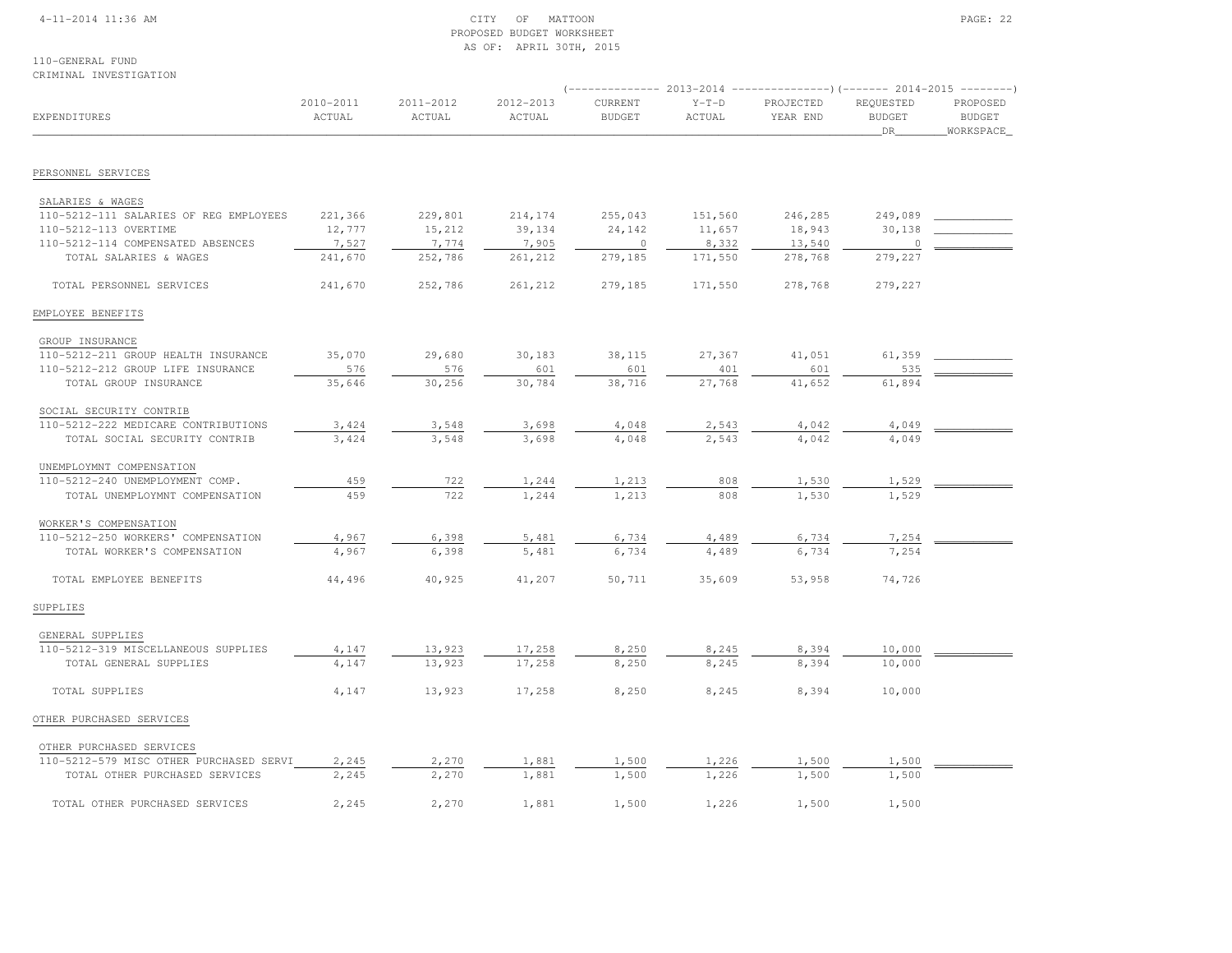## 4-11-2014 11:36 AM CITY OF MATTOON PAGE: 22 PROPOSED BUDGET WORKSHEETAS OF: APRIL 30TH, 2015

#### 110-GENERAL FUNDCRIMINAL INVESTIGATION

|                                         |                     |                     |                     | (-------------- 2013-2014 ----------------)(------- 2014-2015 -------- |                   |                       |                                   |                                        |  |  |
|-----------------------------------------|---------------------|---------------------|---------------------|------------------------------------------------------------------------|-------------------|-----------------------|-----------------------------------|----------------------------------------|--|--|
| EXPENDITURES                            | 2010-2011<br>ACTUAL | 2011-2012<br>ACTUAL | 2012-2013<br>ACTUAL | CURRENT<br><b>BUDGET</b>                                               | $Y-T-D$<br>ACTUAL | PROJECTED<br>YEAR END | REQUESTED<br><b>BUDGET</b><br>DR. | PROPOSED<br><b>BUDGET</b><br>WORKSPACE |  |  |
|                                         |                     |                     |                     |                                                                        |                   |                       |                                   |                                        |  |  |
| PERSONNEL SERVICES                      |                     |                     |                     |                                                                        |                   |                       |                                   |                                        |  |  |
| SALARIES & WAGES                        |                     |                     |                     |                                                                        |                   |                       |                                   |                                        |  |  |
| 110-5212-111 SALARIES OF REG EMPLOYEES  | 221,366             | 229,801             | 214,174             | 255,043                                                                | 151,560           | 246,285               | 249,089                           |                                        |  |  |
| 110-5212-113 OVERTIME                   | 12,777              | 15,212              | 39,134              | 24,142                                                                 | 11,657            | 18,943                | 30,138                            |                                        |  |  |
| 110-5212-114 COMPENSATED ABSENCES       | 7,527               | 7,774               | 7,905               | $\circ$                                                                | 8,332             | 13,540                | $\circ$                           |                                        |  |  |
| TOTAL SALARIES & WAGES                  | 241,670             | 252,786             | 261,212             | 279,185                                                                | 171,550           | 278,768               | 279,227                           |                                        |  |  |
| TOTAL PERSONNEL SERVICES                | 241,670             | 252,786             | 261,212             | 279,185                                                                | 171,550           | 278,768               | 279,227                           |                                        |  |  |
| EMPLOYEE BENEFITS                       |                     |                     |                     |                                                                        |                   |                       |                                   |                                        |  |  |
| GROUP INSURANCE                         |                     |                     |                     |                                                                        |                   |                       |                                   |                                        |  |  |
| 110-5212-211 GROUP HEALTH INSURANCE     | 35,070              | 29,680              | 30,183              | 38,115                                                                 | 27,367            | 41,051                | 61,359                            |                                        |  |  |
| 110-5212-212 GROUP LIFE INSURANCE       | 576                 | 576                 | 601                 | 601                                                                    | 401               | 601                   | 535                               |                                        |  |  |
| TOTAL GROUP INSURANCE                   | 35,646              | 30,256              | 30,784              | 38,716                                                                 | 27,768            | 41,652                | 61,894                            |                                        |  |  |
| SOCIAL SECURITY CONTRIB                 |                     |                     |                     |                                                                        |                   |                       |                                   |                                        |  |  |
| 110-5212-222 MEDICARE CONTRIBUTIONS     | 3,424               | 3,548               | 3,698               | 4,048                                                                  | 2,543             | 4,042                 | 4,049                             |                                        |  |  |
| TOTAL SOCIAL SECURITY CONTRIB           | 3,424               | 3,548               | 3,698               | 4,048                                                                  | 2,543             | 4,042                 | 4,049                             |                                        |  |  |
| UNEMPLOYMNT COMPENSATION                |                     |                     |                     |                                                                        |                   |                       |                                   |                                        |  |  |
| 110-5212-240 UNEMPLOYMENT COMP.         | 459                 | 722                 | 1,244               | 1,213                                                                  | 808               | 1,530                 | 1,529                             |                                        |  |  |
| TOTAL UNEMPLOYMNT COMPENSATION          | 459                 | 722                 | 1,244               | 1,213                                                                  | 808               | 1,530                 | 1,529                             |                                        |  |  |
| WORKER'S COMPENSATION                   |                     |                     |                     |                                                                        |                   |                       |                                   |                                        |  |  |
| 110-5212-250 WORKERS' COMPENSATION      | 4,967               | 6,398               | 5,481               | 6,734                                                                  | 4,489             | 6,734                 | 7,254                             |                                        |  |  |
| TOTAL WORKER'S COMPENSATION             | 4,967               | 6,398               | 5,481               | 6,734                                                                  | 4,489             | 6,734                 | 7,254                             |                                        |  |  |
| TOTAL EMPLOYEE BENEFITS                 | 44,496              | 40,925              | 41,207              | 50,711                                                                 | 35,609            | 53,958                | 74,726                            |                                        |  |  |
| SUPPLIES                                |                     |                     |                     |                                                                        |                   |                       |                                   |                                        |  |  |
| GENERAL SUPPLIES                        |                     |                     |                     |                                                                        |                   |                       |                                   |                                        |  |  |
| 110-5212-319 MISCELLANEOUS SUPPLIES     | 4,147               | 13,923              | 17,258              | 8,250                                                                  | 8,245             | 8,394                 | 10,000                            |                                        |  |  |
| TOTAL GENERAL SUPPLIES                  | 4,147               | 13,923              | 17,258              | 8,250                                                                  | 8,245             | 8,394                 | 10,000                            |                                        |  |  |
| TOTAL SUPPLIES                          | 4,147               | 13,923              | 17,258              | 8,250                                                                  | 8,245             | 8,394                 | 10,000                            |                                        |  |  |
| OTHER PURCHASED SERVICES                |                     |                     |                     |                                                                        |                   |                       |                                   |                                        |  |  |
| OTHER PURCHASED SERVICES                |                     |                     |                     |                                                                        |                   |                       |                                   |                                        |  |  |
| 110-5212-579 MISC OTHER PURCHASED SERVI | 2,245               | 2,270               | 1,881               | 1,500                                                                  | 1,226             | 1,500                 | 1,500                             |                                        |  |  |
| TOTAL OTHER PURCHASED SERVICES          | 2,245               | 2,270               | 1,881               | 1,500                                                                  | 1,226             | 1,500                 | 1,500                             |                                        |  |  |
| TOTAL OTHER PURCHASED SERVICES          | 2,245               | 2,270               | 1,881               | 1,500                                                                  | 1,226             | 1,500                 | 1,500                             |                                        |  |  |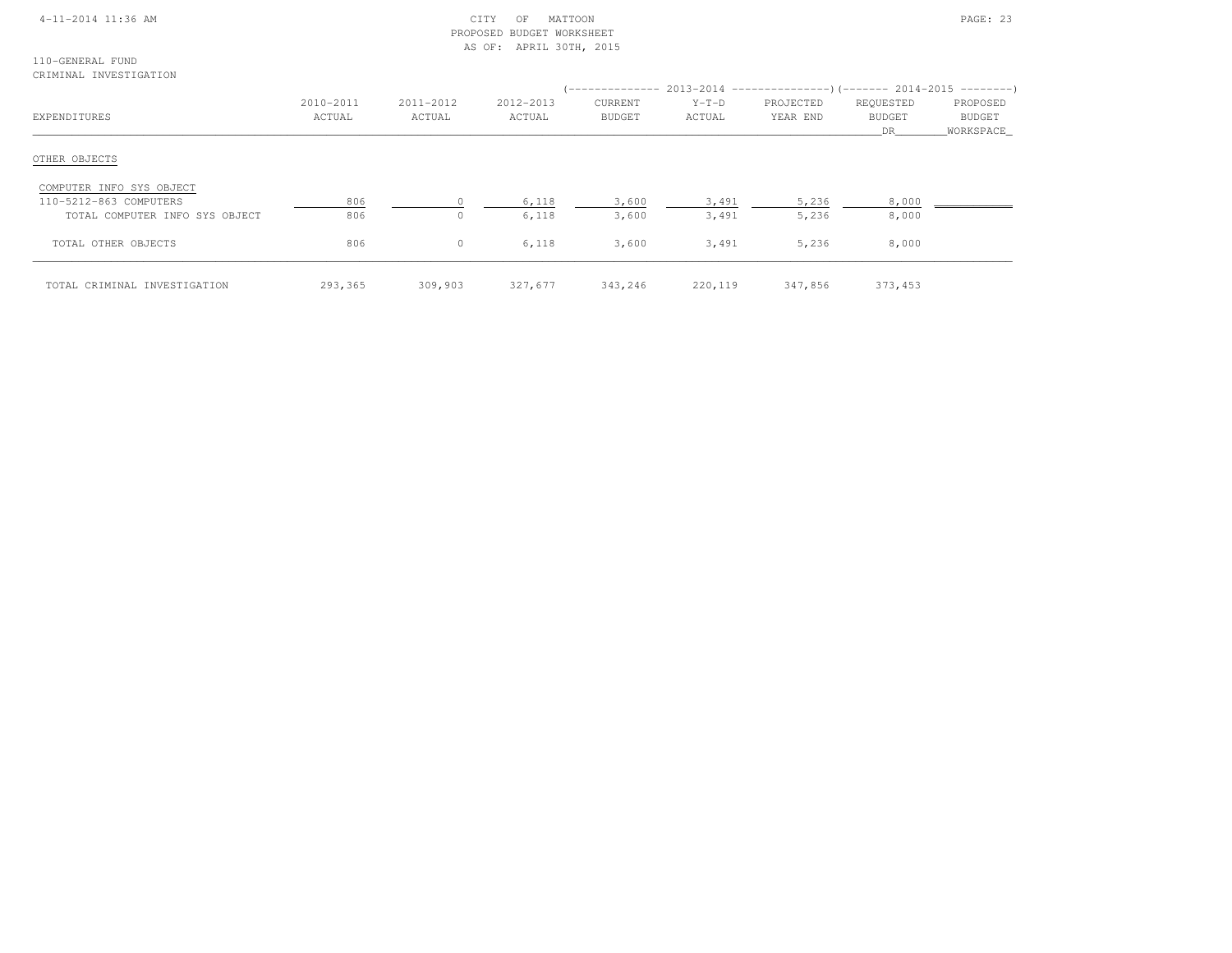| $4 - 11 - 2014$ 11:36 AM |  |
|--------------------------|--|
|                          |  |

## $\begin{array}{ccc} \text{CITY} & \text{OF} & \text{MATION} \end{array}$  PROPOSED BUDGET WORKSHEETAS OF: APRIL 30TH, 2015

110-GENERAL FUNDCRIMINAL INVESTIGATION

| EXPENDITURES                   | 2010-2011<br>ACTUAL | 2011-2012<br>ACTUAL | 2012-2013<br>ACTUAL | CURRENT<br>BUDGET | $Y-T-D$<br>ACTUAL | PROJECTED<br>YEAR END | REQUESTED<br><b>BUDGET</b><br>DR. | PROPOSED<br><b>BUDGET</b><br>WORKSPACE |
|--------------------------------|---------------------|---------------------|---------------------|-------------------|-------------------|-----------------------|-----------------------------------|----------------------------------------|
| OTHER OBJECTS                  |                     |                     |                     |                   |                   |                       |                                   |                                        |
| COMPUTER INFO SYS OBJECT       |                     |                     |                     |                   |                   |                       |                                   |                                        |
| 110-5212-863 COMPUTERS         | 806                 |                     | 6,118               | 3,600             | 3,491             | 5,236                 | 8,000                             |                                        |
| TOTAL COMPUTER INFO SYS OBJECT | 806                 | $\Omega$            | 6,118               | 3,600             | 3,491             | 5,236                 | 8,000                             |                                        |
| TOTAL OTHER OBJECTS            | 806                 | $\circ$             | 6,118               | 3,600             | 3,491             | 5,236                 | 8,000                             |                                        |
| TOTAL CRIMINAL INVESTIGATION   | 293,365             | 309,903             | 327,677             | 343,246           | 220,119           | 347,856               | 373,453                           |                                        |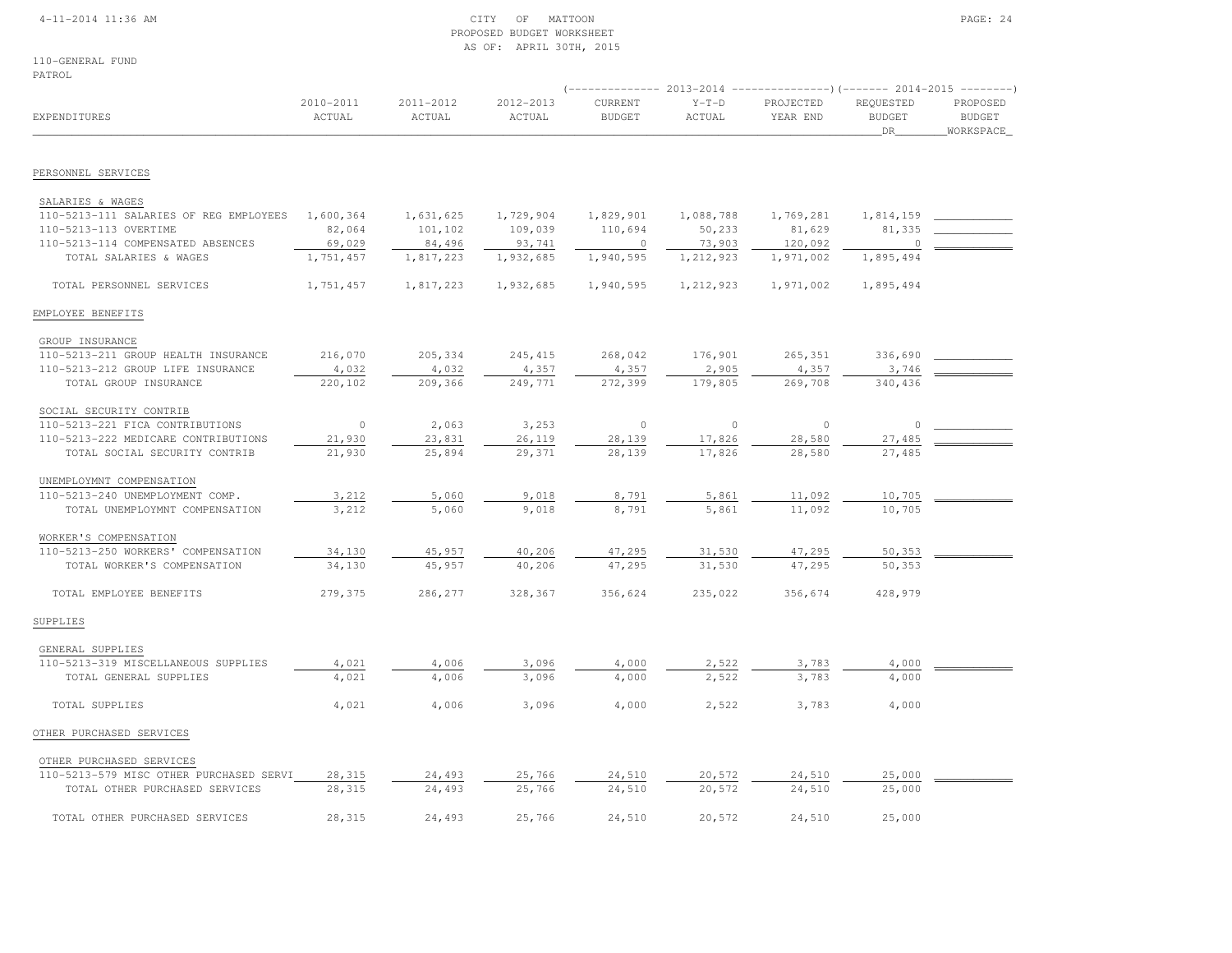## 4-11-2014 11:36 AM CITY OF MATTOON PAGE: 24 PROPOSED BUDGET WORKSHEETAS OF: APRIL 30TH, 2015

110-GENERAL FUNDPATROL

| PATROL                                  |                     |                     |                     |                          |                   |                       |                                    |                                          |
|-----------------------------------------|---------------------|---------------------|---------------------|--------------------------|-------------------|-----------------------|------------------------------------|------------------------------------------|
| EXPENDITURES                            | 2010-2011<br>ACTUAL | 2011-2012<br>ACTUAL | 2012-2013<br>ACTUAL | CURRENT<br><b>BUDGET</b> | $Y-T-D$<br>ACTUAL | PROJECTED<br>YEAR END | REQUESTED<br><b>BUDGET</b><br>_DR_ | PROPOSED<br><b>BUDGET</b><br>_WORKSPACE_ |
| PERSONNEL SERVICES                      |                     |                     |                     |                          |                   |                       |                                    |                                          |
| SALARIES & WAGES                        |                     |                     |                     |                          |                   |                       |                                    |                                          |
| 110-5213-111 SALARIES OF REG EMPLOYEES  | 1,600,364           | 1,631,625           | 1,729,904           | 1,829,901                | 1,088,788         | 1,769,281             | 1,814,159                          |                                          |
| 110-5213-113 OVERTIME                   | 82,064              | 101,102             | 109,039             | 110,694                  | 50,233            | 81,629                | 81,335                             |                                          |
| 110-5213-114 COMPENSATED ABSENCES       | 69,029              | 84,496              | 93,741              | $\overline{0}$           | 73,903            | 120,092               | $\circ$                            |                                          |
| TOTAL SALARIES & WAGES                  | 1,751,457           | 1,817,223           | 1,932,685           | 1,940,595                | 1,212,923         | 1,971,002             | 1,895,494                          |                                          |
| TOTAL PERSONNEL SERVICES                | 1,751,457           | 1,817,223           | 1,932,685           | 1,940,595                | 1,212,923         | 1,971,002             | 1,895,494                          |                                          |
| EMPLOYEE BENEFITS                       |                     |                     |                     |                          |                   |                       |                                    |                                          |
| GROUP INSURANCE                         |                     |                     |                     |                          |                   |                       |                                    |                                          |
| 110-5213-211 GROUP HEALTH INSURANCE     | 216,070             | 205,334             | 245, 415            | 268,042                  | 176,901           | 265,351               | 336,690                            |                                          |
| 110-5213-212 GROUP LIFE INSURANCE       | 4,032               | 4,032               | 4,357               | 4,357                    | 2,905             | 4,357                 | 3,746                              |                                          |
| TOTAL GROUP INSURANCE                   | 220,102             | 209,366             | 249,771             | 272,399                  | 179,805           | 269,708               | 340,436                            |                                          |
| SOCIAL SECURITY CONTRIB                 |                     |                     |                     |                          |                   |                       |                                    |                                          |
| 110-5213-221 FICA CONTRIBUTIONS         | $\circ$             | 2,063               | 3,253               | $\circ$                  | $\circ$           | $\circ$               | $\circ$                            |                                          |
| 110-5213-222 MEDICARE CONTRIBUTIONS     | 21,930              | 23,831              | 26,119              | 28,139                   | 17,826            | 28,580                | 27,485                             |                                          |
| TOTAL SOCIAL SECURITY CONTRIB           | 21,930              | 25,894              | 29,371              | 28,139                   | 17,826            | 28,580                | 27,485                             |                                          |
| UNEMPLOYMNT COMPENSATION                |                     |                     |                     |                          |                   |                       |                                    |                                          |
| 110-5213-240 UNEMPLOYMENT COMP.         | 3,212               | 5,060               | 9,018               | 8,791                    | 5,861             | 11,092                | 10,705                             |                                          |
| TOTAL UNEMPLOYMNT COMPENSATION          | 3,212               | 5,060               | 9,018               | 8,791                    | 5,861             | 11,092                | 10,705                             |                                          |
|                                         |                     |                     |                     |                          |                   |                       |                                    |                                          |
| WORKER'S COMPENSATION                   |                     |                     |                     |                          |                   |                       |                                    |                                          |
| 110-5213-250 WORKERS' COMPENSATION      | 34,130              | 45,957              | 40,206              | 47,295                   | 31,530            | 47,295                | 50,353                             |                                          |
| TOTAL WORKER'S COMPENSATION             | 34,130              | 45,957              | 40,206              | 47,295                   | 31,530            | 47,295                | 50,353                             |                                          |
| TOTAL EMPLOYEE BENEFITS                 | 279,375             | 286,277             | 328,367             | 356,624                  | 235,022           | 356,674               | 428,979                            |                                          |
| SUPPLIES                                |                     |                     |                     |                          |                   |                       |                                    |                                          |
| GENERAL SUPPLIES                        |                     |                     |                     |                          |                   |                       |                                    |                                          |
| 110-5213-319 MISCELLANEOUS SUPPLIES     | 4,021               | 4,006               | 3,096               | 4,000                    | 2,522             | 3,783                 | 4,000                              |                                          |
| TOTAL GENERAL SUPPLIES                  | 4,021               | 4,006               | 3,096               | 4,000                    | 2,522             | 3,783                 | 4,000                              |                                          |
| TOTAL SUPPLIES                          | 4,021               | 4,006               | 3,096               | 4,000                    | 2,522             | 3,783                 | 4,000                              |                                          |
| OTHER PURCHASED SERVICES                |                     |                     |                     |                          |                   |                       |                                    |                                          |
| OTHER PURCHASED SERVICES                |                     |                     |                     |                          |                   |                       |                                    |                                          |
| 110-5213-579 MISC OTHER PURCHASED SERVI | 28,315              | 24,493              | 25,766              | 24,510                   | 20,572            | 24,510                | 25,000                             |                                          |
| TOTAL OTHER PURCHASED SERVICES          | 28,315              | 24,493              | 25,766              | 24,510                   | 20,572            | 24,510                | 25,000                             |                                          |
| TOTAL OTHER PURCHASED SERVICES          | 28,315              | 24,493              | 25,766              | 24,510                   | 20,572            | 24,510                | 25,000                             |                                          |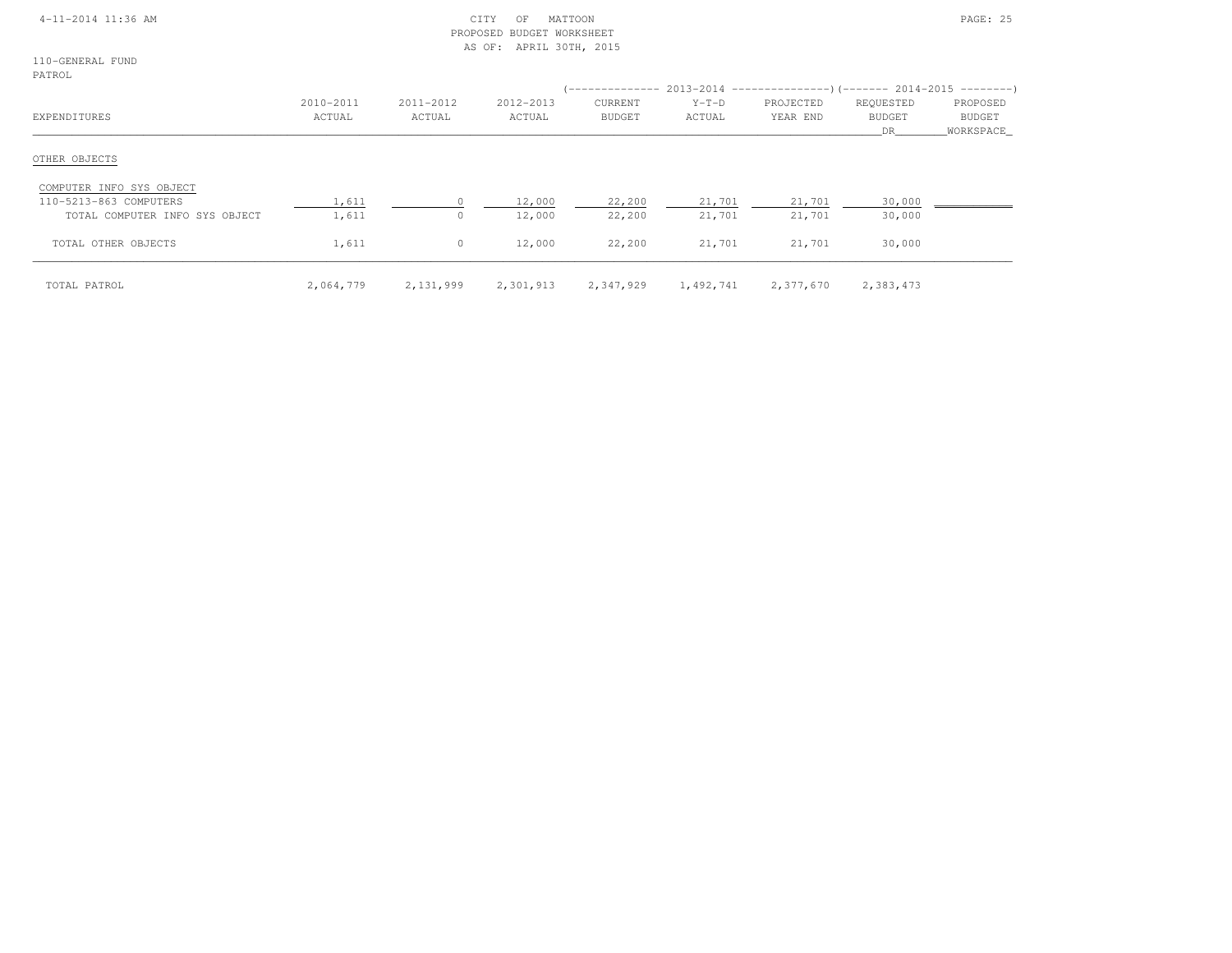|  | $4 - 11 - 2014$ 11:36 AM |  |
|--|--------------------------|--|
|  |                          |  |

## $CITY$  OF MATTOON PAGE: 25 PROPOSED BUDGET WORKSHEETAS OF: APRIL 30TH, 2015

110-GENERAL FUNDPATROL

| -------                                            |                     | 2011-2012 |                     |                          |                   |                       |                                   |                                 |
|----------------------------------------------------|---------------------|-----------|---------------------|--------------------------|-------------------|-----------------------|-----------------------------------|---------------------------------|
| EXPENDITURES                                       | 2010-2011<br>ACTUAL | ACTUAL    | 2012-2013<br>ACTUAL | CURRENT<br><b>BUDGET</b> | $Y-T-D$<br>ACTUAL | PROJECTED<br>YEAR END | REQUESTED<br><b>BUDGET</b><br>DR. | PROPOSED<br>BUDGET<br>WORKSPACE |
| OTHER OBJECTS                                      |                     |           |                     |                          |                   |                       |                                   |                                 |
| COMPUTER INFO SYS OBJECT<br>110-5213-863 COMPUTERS | 1,611               |           | 12,000              | 22,200                   | 21,701            | 21,701                | 30,000                            |                                 |
| TOTAL COMPUTER INFO SYS OBJECT                     | 1,611               | $\circ$   | 12,000              | 22,200                   | 21,701            | 21,701                | 30,000                            |                                 |
| TOTAL OTHER OBJECTS                                | 1,611               | $\circ$   | 12,000              | 22,200                   | 21,701            | 21,701                | 30,000                            |                                 |
| TOTAL PATROL                                       | 2,064,779           | 2,131,999 | 2,301,913           | 2,347,929                | 1,492,741         | 2,377,670             | 2,383,473                         |                                 |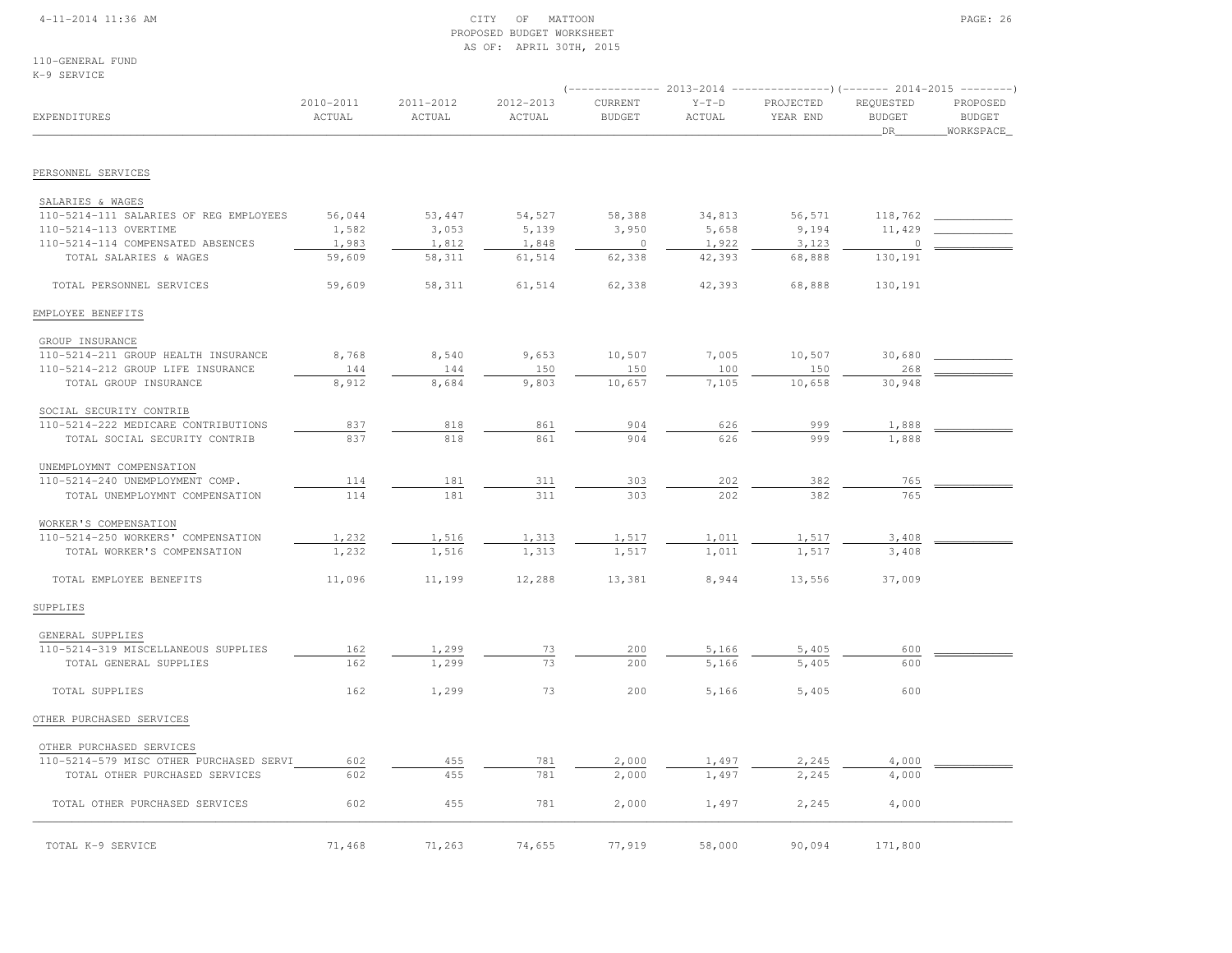## 4-11-2014 11:36 AM CITY OF MATTOON PAGE: 26 PROPOSED BUDGET WORKSHEETAS OF: APRIL 30TH, 2015

110-GENERAL FUNDK-9 SERVICE

|                                                            |                     |                     |                     |                          |                   | ------------    2013-2014    ----------------)(-------    2014-2015    --------) |                                  |                                        |
|------------------------------------------------------------|---------------------|---------------------|---------------------|--------------------------|-------------------|----------------------------------------------------------------------------------|----------------------------------|----------------------------------------|
| EXPENDITURES                                               | 2010-2011<br>ACTUAL | 2011-2012<br>ACTUAL | 2012-2013<br>ACTUAL | CURRENT<br><b>BUDGET</b> | $Y-T-D$<br>ACTUAL | PROJECTED<br>YEAR END                                                            | REQUESTED<br><b>BUDGET</b><br>DR | PROPOSED<br><b>BUDGET</b><br>WORKSPACE |
| PERSONNEL SERVICES                                         |                     |                     |                     |                          |                   |                                                                                  |                                  |                                        |
|                                                            |                     |                     |                     |                          |                   |                                                                                  |                                  |                                        |
| SALARIES & WAGES<br>110-5214-111 SALARIES OF REG EMPLOYEES | 56,044              | 53,447              | 54,527              | 58,388                   | 34,813            | 56,571                                                                           | 118,762                          |                                        |
| 110-5214-113 OVERTIME                                      | 1,582               | 3,053               | 5,139               | 3,950                    | 5,658             | 9,194                                                                            | 11,429                           |                                        |
| 110-5214-114 COMPENSATED ABSENCES                          | 1,983               | 1,812               | 1,848               | $\circ$                  | 1,922             | 3,123                                                                            | $\circ$                          |                                        |
| TOTAL SALARIES & WAGES                                     | 59,609              | 58,311              | 61,514              | 62,338                   | 42,393            | 68,888                                                                           | 130,191                          |                                        |
| TOTAL PERSONNEL SERVICES                                   | 59,609              | 58,311              | 61,514              | 62,338                   | 42,393            | 68,888                                                                           | 130,191                          |                                        |
| EMPLOYEE BENEFITS                                          |                     |                     |                     |                          |                   |                                                                                  |                                  |                                        |
| GROUP INSURANCE                                            |                     |                     |                     |                          |                   |                                                                                  |                                  |                                        |
| 110-5214-211 GROUP HEALTH INSURANCE                        | 8,768               | 8,540               | 9,653               | 10,507                   | 7,005             | 10,507                                                                           | 30,680                           |                                        |
| 110-5214-212 GROUP LIFE INSURANCE                          | 144                 | 144                 | 150                 | 150<br>10,657            | 100               | 150                                                                              | 268                              |                                        |
| TOTAL GROUP INSURANCE                                      | 8,912               | 8,684               | 9,803               |                          | 7,105             | 10,658                                                                           | 30,948                           |                                        |
| SOCIAL SECURITY CONTRIB                                    |                     |                     |                     |                          |                   |                                                                                  |                                  |                                        |
| 110-5214-222 MEDICARE CONTRIBUTIONS                        | 837                 | 818                 | 861                 | 904                      | 626               | 999                                                                              | 1,888                            |                                        |
| TOTAL SOCIAL SECURITY CONTRIB                              | 837                 | 818                 | 861                 | 904                      | 626               | 999                                                                              | 1,888                            |                                        |
| UNEMPLOYMNT COMPENSATION                                   |                     |                     |                     |                          |                   |                                                                                  |                                  |                                        |
| 110-5214-240 UNEMPLOYMENT COMP.                            | 114                 | 181                 | 311                 | 303                      | 202               | 382                                                                              | 765                              |                                        |
| TOTAL UNEMPLOYMNT COMPENSATION                             | 114                 | 181                 | 311                 | 303                      | 202               | 382                                                                              | 765                              |                                        |
| WORKER'S COMPENSATION                                      |                     |                     |                     |                          |                   |                                                                                  |                                  |                                        |
| 110-5214-250 WORKERS' COMPENSATION                         | 1,232               | 1,516               | 1,313               | 1,517                    | 1,011             | 1,517                                                                            | 3,408                            |                                        |
| TOTAL WORKER'S COMPENSATION                                | 1,232               | 1,516               | 1,313               | 1,517                    | 1,011             | 1,517                                                                            | 3,408                            |                                        |
| TOTAL EMPLOYEE BENEFITS                                    | 11,096              | 11,199              | 12,288              | 13,381                   | 8,944             | 13,556                                                                           | 37,009                           |                                        |
| SUPPLIES                                                   |                     |                     |                     |                          |                   |                                                                                  |                                  |                                        |
| GENERAL SUPPLIES                                           |                     |                     |                     |                          |                   |                                                                                  |                                  |                                        |
| 110-5214-319 MISCELLANEOUS SUPPLIES                        | 162                 | 1,299               | 73                  | 200                      | 5,166             | 5,405                                                                            | 600                              |                                        |
| TOTAL GENERAL SUPPLIES                                     | 162                 | 1,299               | 73                  | 200                      | 5,166             | 5,405                                                                            | 600                              |                                        |
| TOTAL SUPPLIES                                             | 162                 | 1,299               | 73                  | 200                      | 5,166             | 5,405                                                                            | 600                              |                                        |
| OTHER PURCHASED SERVICES                                   |                     |                     |                     |                          |                   |                                                                                  |                                  |                                        |
| OTHER PURCHASED SERVICES                                   |                     |                     |                     |                          |                   |                                                                                  |                                  |                                        |
| 110-5214-579 MISC OTHER PURCHASED SERVI                    | 602                 | 455                 | 781                 | 2,000                    | 1,497             | 2,245                                                                            | 4,000                            |                                        |
| TOTAL OTHER PURCHASED SERVICES                             | 602                 | 455                 | 781                 | 2,000                    | 1,497             | 2,245                                                                            | 4,000                            |                                        |
| TOTAL OTHER PURCHASED SERVICES                             | 602                 | 455                 | 781                 | 2,000                    | 1,497             | 2,245                                                                            | 4,000                            |                                        |
| TOTAL K-9 SERVICE                                          | 71,468              | 71,263              | 74,655              | 77.919                   | 58,000            | 90,094                                                                           | 171,800                          |                                        |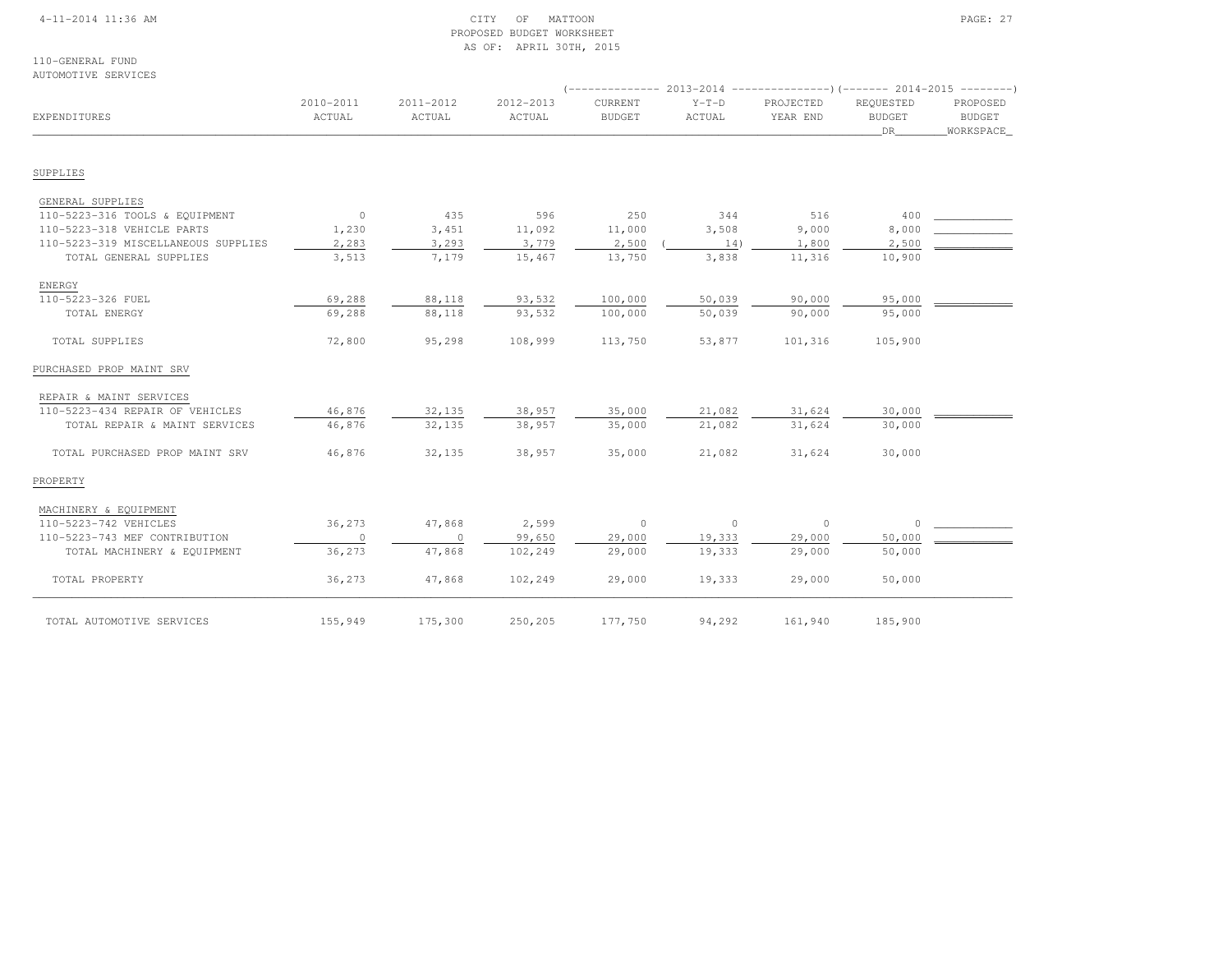## 4-11-2014 11:36 AM CITY OF MATTOON PAGE: 27 PROPOSED BUDGET WORKSHEETAS OF: APRIL 30TH, 2015

110-GENERAL FUNDAUTOMOTIVE SERVICES

| EXPENDITURES                        | 2010-2011<br>ACTUAL | 2011-2012<br>ACTUAL | 2012-2013<br>ACTUAL | CURRENT<br><b>BUDGET</b> | $Y-T-D$<br>ACTUAL | PROJECTED<br>YEAR END | REQUESTED<br><b>BUDGET</b><br>DR | PROPOSED<br><b>BUDGET</b><br>WORKSPACE |
|-------------------------------------|---------------------|---------------------|---------------------|--------------------------|-------------------|-----------------------|----------------------------------|----------------------------------------|
| SUPPLIES                            |                     |                     |                     |                          |                   |                       |                                  |                                        |
| GENERAL SUPPLIES                    |                     |                     |                     |                          |                   |                       |                                  |                                        |
| 110-5223-316 TOOLS & EQUIPMENT      | $\overline{0}$      | 435                 | 596                 | 250                      | 344               | 516                   | 400                              |                                        |
| 110-5223-318 VEHICLE PARTS          | 1,230               | 3,451               | 11,092              | 11,000                   | 3,508             | 9,000                 | 8,000                            |                                        |
| 110-5223-319 MISCELLANEOUS SUPPLIES | 2,283               | 3,293               | 3,779               | 2,500                    | 14)               | 1,800                 | 2,500                            |                                        |
| TOTAL GENERAL SUPPLIES              | 3,513               | 7,179               | 15,467              | 13,750                   | 3,838             | 11,316                | 10,900                           |                                        |
| ENERGY                              |                     |                     |                     |                          |                   |                       |                                  |                                        |
| 110-5223-326 FUEL                   | 69,288              | 88,118              | 93,532              | 100,000                  | 50,039            | 90,000                | 95,000                           |                                        |
| TOTAL ENERGY                        | 69,288              | 88,118              | 93,532              | 100,000                  | 50,039            | 90,000                | 95,000                           |                                        |
| TOTAL SUPPLIES                      | 72,800              | 95,298              | 108,999             | 113,750                  | 53,877            | 101,316               | 105,900                          |                                        |
| PURCHASED PROP MAINT SRV            |                     |                     |                     |                          |                   |                       |                                  |                                        |
| REPAIR & MAINT SERVICES             |                     |                     |                     |                          |                   |                       |                                  |                                        |
| 110-5223-434 REPAIR OF VEHICLES     | 46,876              | 32,135              | 38,957              | 35,000                   | 21,082            | 31,624                | 30,000                           |                                        |
| TOTAL REPAIR & MAINT SERVICES       | 46,876              | 32,135              | 38,957              | 35,000                   | 21,082            | 31,624                | 30,000                           |                                        |
| TOTAL PURCHASED PROP MAINT SRV      | 46,876              | 32,135              | 38,957              | 35,000                   | 21,082            | 31,624                | 30,000                           |                                        |
| PROPERTY                            |                     |                     |                     |                          |                   |                       |                                  |                                        |
| MACHINERY & EQUIPMENT               |                     |                     |                     |                          |                   |                       |                                  |                                        |
| 110-5223-742 VEHICLES               | 36,273              | 47,868              | 2,599               | $\overline{0}$           | $\circ$           | $\circ$               | $\Omega$                         |                                        |
| 110-5223-743 MEF CONTRIBUTION       | $\circ$             | $\circ$             | 99,650              | 29,000                   | 19,333            | 29,000                | 50,000                           |                                        |
| TOTAL MACHINERY & EQUIPMENT         | 36,273              | 47,868              | 102,249             | 29,000                   | 19,333            | 29,000                | 50,000                           |                                        |
| TOTAL PROPERTY                      | 36,273              | 47,868              | 102,249             | 29,000                   | 19,333            | 29,000                | 50,000                           |                                        |
| TOTAL AUTOMOTIVE SERVICES           | 155,949             | 175,300             | 250,205             | 177,750                  | 94,292            | 161,940               | 185,900                          |                                        |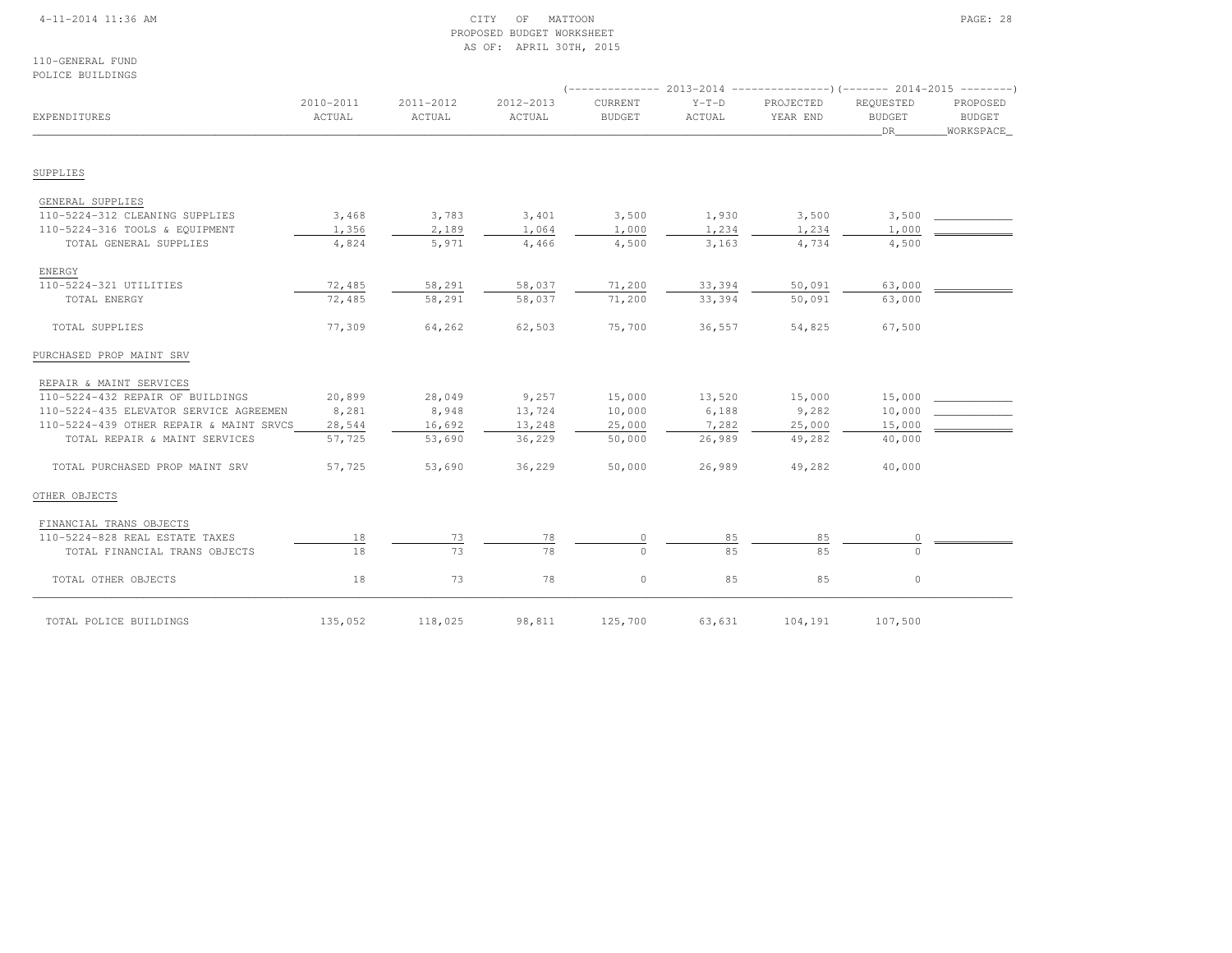## 4-11-2014 11:36 AM CITY OF MATTOON PAGE: 28 PROPOSED BUDGET WORKSHEETAS OF: APRIL 30TH, 2015

110-GENERAL FUNDPOLICE BUILDINGS

|                                         |                     |                     |                     |                          | (-------------- 2013-2014 -----------------) (------- 2014-2015 ---------) |                       |                                  |                                        |  |
|-----------------------------------------|---------------------|---------------------|---------------------|--------------------------|----------------------------------------------------------------------------|-----------------------|----------------------------------|----------------------------------------|--|
| EXPENDITURES                            | 2010-2011<br>ACTUAL | 2011-2012<br>ACTUAL | 2012-2013<br>ACTUAL | CURRENT<br><b>BUDGET</b> | $Y-T-D$<br>ACTUAL                                                          | PROJECTED<br>YEAR END | REQUESTED<br><b>BUDGET</b><br>DR | PROPOSED<br><b>BUDGET</b><br>WORKSPACE |  |
| SUPPLIES                                |                     |                     |                     |                          |                                                                            |                       |                                  |                                        |  |
| GENERAL SUPPLIES                        |                     |                     |                     |                          |                                                                            |                       |                                  |                                        |  |
| 110-5224-312 CLEANING SUPPLIES          | 3,468               | 3,783               | 3,401               | 3,500                    | 1,930                                                                      | 3,500                 | 3,500                            |                                        |  |
| 110-5224-316 TOOLS & EQUIPMENT          | 1,356               | 2,189               | 1,064               | 1,000                    | 1,234                                                                      | 1,234                 | 1,000                            |                                        |  |
| TOTAL GENERAL SUPPLIES                  | 4,824               | 5,971               | 4,466               | 4,500                    | 3,163                                                                      | 4,734                 | 4,500                            |                                        |  |
| ENERGY                                  |                     |                     |                     |                          |                                                                            |                       |                                  |                                        |  |
| 110-5224-321 UTILITIES                  | 72,485              | 58,291              | 58,037              | 71,200                   | 33,394                                                                     | 50,091                | 63,000                           |                                        |  |
| TOTAL ENERGY                            | 72,485              | 58,291              | 58,037              | 71,200                   | 33,394                                                                     | 50,091                | 63,000                           |                                        |  |
| TOTAL SUPPLIES                          | 77,309              | 64,262              | 62,503              | 75,700                   | 36,557                                                                     | 54,825                | 67,500                           |                                        |  |
| PURCHASED PROP MAINT SRV                |                     |                     |                     |                          |                                                                            |                       |                                  |                                        |  |
| REPAIR & MAINT SERVICES                 |                     |                     |                     |                          |                                                                            |                       |                                  |                                        |  |
| 110-5224-432 REPAIR OF BUILDINGS        | 20,899              | 28,049              | 9,257               | 15,000                   | 13,520                                                                     | 15,000                | 15,000                           |                                        |  |
| 110-5224-435 ELEVATOR SERVICE AGREEMEN  | 8,281               | 8,948               | 13,724              | 10,000                   | 6,188                                                                      | 9,282                 | 10,000                           |                                        |  |
| 110-5224-439 OTHER REPAIR & MAINT SRVCS | 28,544              | 16,692              | 13,248              | 25,000                   | 7,282                                                                      | 25,000                | 15,000                           |                                        |  |
| TOTAL REPAIR & MAINT SERVICES           | 57,725              | 53,690              | 36,229              | 50,000                   | 26,989                                                                     | 49,282                | 40,000                           |                                        |  |
| TOTAL PURCHASED PROP MAINT SRV          | 57,725              | 53,690              | 36,229              | 50,000                   | 26,989                                                                     | 49,282                | 40,000                           |                                        |  |
| OTHER OBJECTS                           |                     |                     |                     |                          |                                                                            |                       |                                  |                                        |  |
| FINANCIAL TRANS OBJECTS                 |                     |                     |                     |                          |                                                                            |                       |                                  |                                        |  |
| 110-5224-828 REAL ESTATE TAXES          | 18                  | 73                  | 78                  | $\circ$                  | 85                                                                         | 85                    | 0                                |                                        |  |
| TOTAL FINANCIAL TRANS OBJECTS           | 18                  | 73                  | 78                  | $\Omega$                 | 85                                                                         | 85                    | $\Omega$                         |                                        |  |
| TOTAL OTHER OBJECTS                     | 18                  | 73                  | 78                  | $\circ$                  | 85                                                                         | 85                    | $\circ$                          |                                        |  |
| TOTAL POLICE BUILDINGS                  | 135,052             | 118,025             | 98,811              | 125,700                  | 63,631                                                                     | 104,191               | 107,500                          |                                        |  |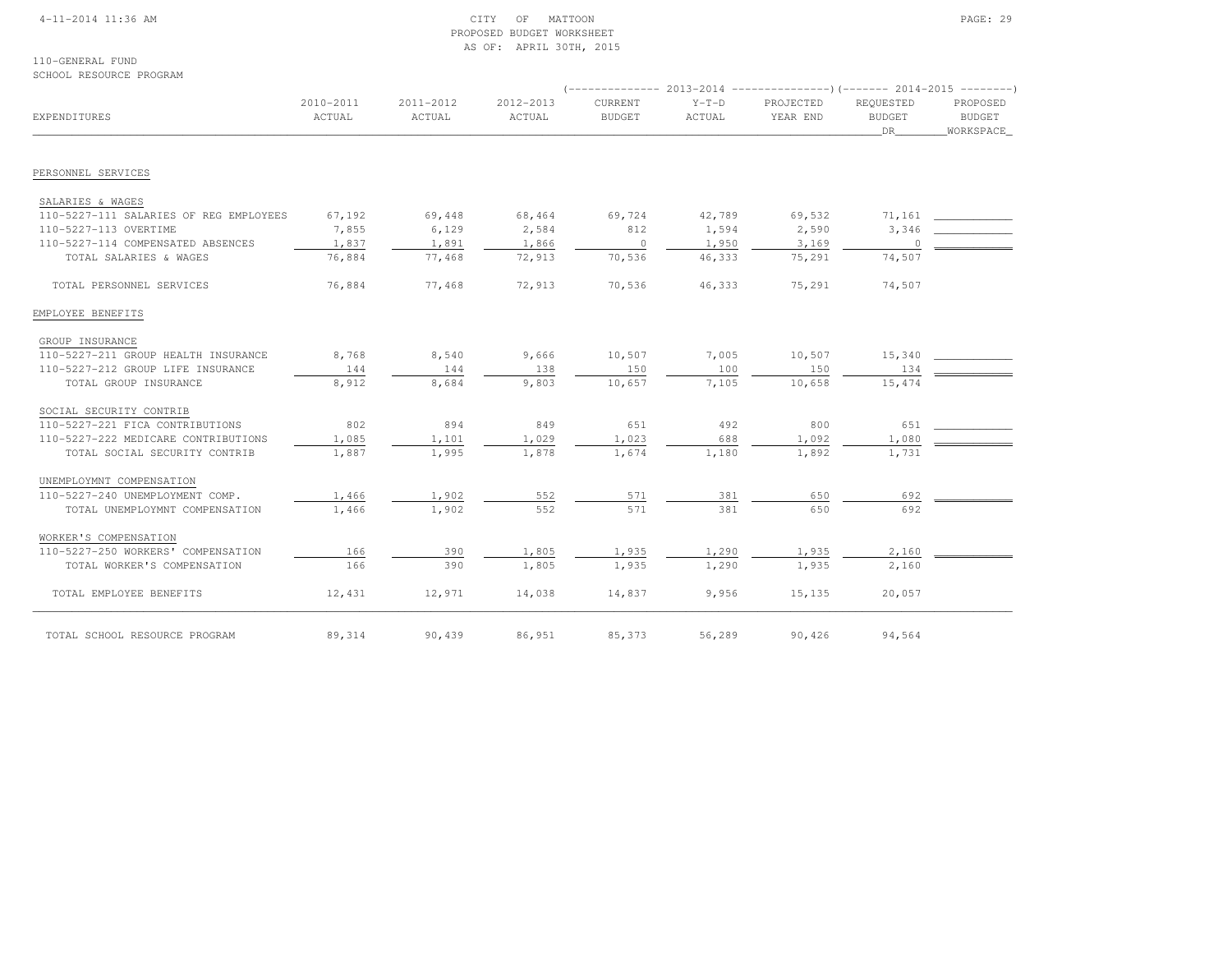## 4-11-2014 11:36 AM CITY OF MATTOON PAGE: 29 PROPOSED BUDGET WORKSHEETAS OF: APRIL 30TH, 2015

110-GENERAL FUNDSCHOOL RESOURCE PROGRAM

|                                        |                     |                     |                     |                          | $($ -------------- 2013-2014 ----------------) (------- 2014-2015 ---------) |                       |                                  |                                        |
|----------------------------------------|---------------------|---------------------|---------------------|--------------------------|------------------------------------------------------------------------------|-----------------------|----------------------------------|----------------------------------------|
| EXPENDITURES                           | 2010-2011<br>ACTUAL | 2011-2012<br>ACTUAL | 2012-2013<br>ACTUAL | CURRENT<br><b>BUDGET</b> | $Y-T-D$<br>ACTUAL                                                            | PROJECTED<br>YEAR END | REQUESTED<br><b>BUDGET</b><br>DR | PROPOSED<br><b>BUDGET</b><br>WORKSPACE |
| PERSONNEL SERVICES                     |                     |                     |                     |                          |                                                                              |                       |                                  |                                        |
|                                        |                     |                     |                     |                          |                                                                              |                       |                                  |                                        |
| SALARIES & WAGES                       |                     |                     |                     |                          |                                                                              |                       |                                  |                                        |
| 110-5227-111 SALARIES OF REG EMPLOYEES | 67,192              | 69,448              | 68,464              | 69,724                   | 42,789                                                                       | 69,532                | 71,161                           |                                        |
| 110-5227-113 OVERTIME                  | 7,855               | 6,129               | 2,584               | 812                      | 1,594                                                                        | 2,590                 | 3,346                            |                                        |
| 110-5227-114 COMPENSATED ABSENCES      | 1,837               | 1,891               | 1,866               | $\circ$                  | 1,950                                                                        | 3,169                 | $\bigcirc$                       |                                        |
| TOTAL SALARIES & WAGES                 | 76,884              | 77,468              | 72,913              | 70,536                   | 46,333                                                                       | 75,291                | 74,507                           |                                        |
| TOTAL PERSONNEL SERVICES               | 76,884              | 77,468              | 72,913              | 70,536                   | 46,333                                                                       | 75,291                | 74,507                           |                                        |
| EMPLOYEE BENEFITS                      |                     |                     |                     |                          |                                                                              |                       |                                  |                                        |
| GROUP INSURANCE                        |                     |                     |                     |                          |                                                                              |                       |                                  |                                        |
| 110-5227-211 GROUP HEALTH INSURANCE    | 8,768               | 8,540               | 9,666               | 10,507                   | 7,005                                                                        | 10,507                | 15,340                           |                                        |
| 110-5227-212 GROUP LIFE INSURANCE      | 144                 | 144                 | 138                 | 150                      | 100                                                                          | 150                   | 134                              |                                        |
| TOTAL GROUP INSURANCE                  | 8,912               | 8,684               | 9,803               | 10,657                   | 7,105                                                                        | 10,658                | 15,474                           |                                        |
| SOCIAL SECURITY CONTRIB                |                     |                     |                     |                          |                                                                              |                       |                                  |                                        |
| 110-5227-221 FICA CONTRIBUTIONS        | 802                 | 894                 | 849                 | 651                      | 492                                                                          | 800                   | 651                              |                                        |
| 110-5227-222 MEDICARE CONTRIBUTIONS    | 1,085               | 1,101               | 1,029               | 1,023                    | 688                                                                          | 1,092                 | 1,080                            |                                        |
| TOTAL SOCIAL SECURITY CONTRIB          | 1,887               | 1,995               | 1,878               | 1,674                    | 1,180                                                                        | 1,892                 | 1,731                            |                                        |
| UNEMPLOYMNT COMPENSATION               |                     |                     |                     |                          |                                                                              |                       |                                  |                                        |
| 110-5227-240 UNEMPLOYMENT COMP.        | 1,466               | 1,902               | 552                 | 571                      | 381                                                                          | 650                   | 692                              |                                        |
| TOTAL UNEMPLOYMNT COMPENSATION         | 1,466               | 1,902               | 552                 | 571                      | 381                                                                          | 650                   | 692                              |                                        |
| WORKER'S COMPENSATION                  |                     |                     |                     |                          |                                                                              |                       |                                  |                                        |
| 110-5227-250 WORKERS' COMPENSATION     | 166                 | 390                 | 1,805               | 1,935                    | 1,290                                                                        | 1,935                 | 2,160                            |                                        |
| TOTAL WORKER'S COMPENSATION            | 166                 | 390                 | 1,805               | 1,935                    | 1,290                                                                        | 1,935                 | 2,160                            |                                        |
| TOTAL EMPLOYEE BENEFITS                | 12,431              | 12,971              | 14,038              | 14,837                   | 9,956                                                                        | 15,135                | 20,057                           |                                        |
| TOTAL SCHOOL RESOURCE PROGRAM          | 89,314              | 90,439              | 86,951              | 85,373                   | 56,289                                                                       | 90,426                | 94,564                           |                                        |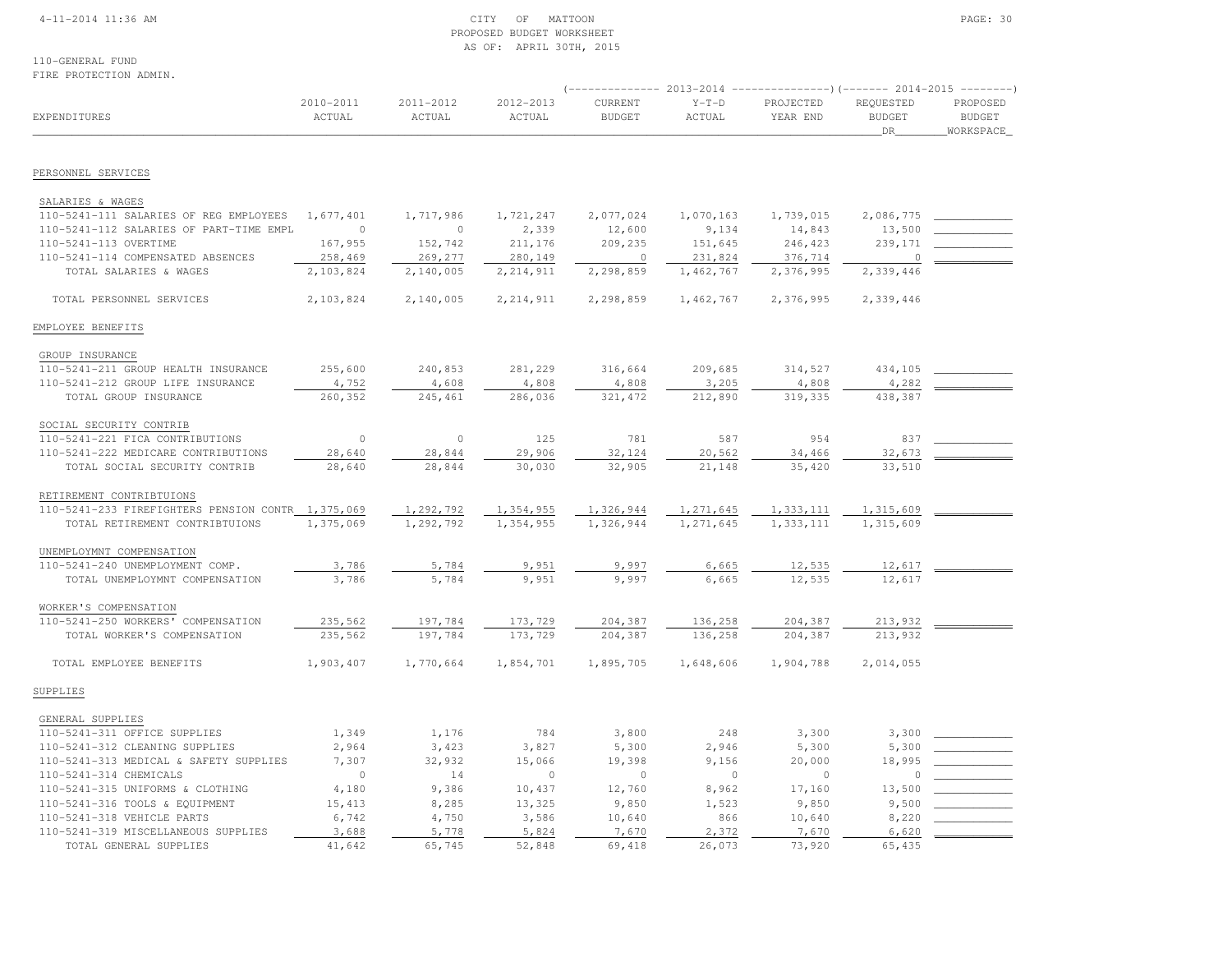## 4-11-2014 11:36 AM CITY OF MATTOON PAGE: 30 PROPOSED BUDGET WORKSHEETAS OF: APRIL 30TH, 2015

110-GENERAL FUNDFIRE PROTECTION ADMIN.

| FIKE FRUIECIIUN ADMIN.                            |                     |                     |                     |                          |                   |                       |                                  |                                        |
|---------------------------------------------------|---------------------|---------------------|---------------------|--------------------------|-------------------|-----------------------|----------------------------------|----------------------------------------|
| EXPENDITURES                                      | 2010-2011<br>ACTUAL | 2011-2012<br>ACTUAL | 2012-2013<br>ACTUAL | CURRENT<br><b>BUDGET</b> | $Y-T-D$<br>ACTUAL | PROJECTED<br>YEAR END | REQUESTED<br><b>BUDGET</b><br>DR | PROPOSED<br><b>BUDGET</b><br>WORKSPACE |
| PERSONNEL SERVICES                                |                     |                     |                     |                          |                   |                       |                                  |                                        |
| SALARIES & WAGES                                  |                     |                     |                     |                          |                   |                       |                                  |                                        |
| 110-5241-111 SALARIES OF REG EMPLOYEES            | 1,677,401           | 1,717,986           | 1,721,247           | 2,077,024                | 1,070,163         | 1,739,015             | 2,086,775                        |                                        |
| 110-5241-112 SALARIES OF PART-TIME EMPL           | $\circ$             | $\circ$             | 2,339               | 12,600                   | 9,134             | 14,843                | 13,500                           |                                        |
| 110-5241-113 OVERTIME                             | 167,955             | 152,742             | 211,176             | 209,235                  | 151,645           | 246,423               | 239,171                          |                                        |
| 110-5241-114 COMPENSATED ABSENCES                 | 258,469             | 269,277             | 280,149             | $\circ$                  | 231,824           | 376,714               | $\circ$                          |                                        |
| TOTAL SALARIES & WAGES                            | 2,103,824           | 2,140,005           | 2, 214, 911         | 2,298,859                | 1,462,767         | 2,376,995             | 2,339,446                        |                                        |
| TOTAL PERSONNEL SERVICES                          | 2,103,824           | 2,140,005           | 2, 214, 911         | 2,298,859                | 1,462,767         | 2,376,995             | 2,339,446                        |                                        |
| EMPLOYEE BENEFITS                                 |                     |                     |                     |                          |                   |                       |                                  |                                        |
| GROUP INSURANCE                                   |                     |                     |                     |                          |                   |                       |                                  |                                        |
| 110-5241-211 GROUP HEALTH INSURANCE               | 255,600             | 240,853             | 281,229             | 316,664                  | 209,685           | 314,527               | 434,105                          |                                        |
| 110-5241-212 GROUP LIFE INSURANCE                 | 4,752               | 4,608               | 4,808               | 4,808                    | 3,205             | 4,808                 | 4,282                            |                                        |
| TOTAL GROUP INSURANCE                             | 260,352             | 245,461             | 286,036             | 321, 472                 | 212,890           | 319,335               | 438,387                          |                                        |
| SOCIAL SECURITY CONTRIB                           |                     |                     |                     |                          |                   |                       |                                  |                                        |
| 110-5241-221 FICA CONTRIBUTIONS                   | $\circ$             | $\circ$             | 125                 | 781                      | 587               | 954                   | 837                              |                                        |
| 110-5241-222 MEDICARE CONTRIBUTIONS               | 28,640              | 28,844              | 29,906              | 32,124                   | 20,562            | 34,466                | 32,673                           |                                        |
| TOTAL SOCIAL SECURITY CONTRIB                     | 28,640              | 28,844              | 30,030              | 32,905                   | 21,148            | 35,420                | 33,510                           |                                        |
| RETIREMENT CONTRIBTUIONS                          |                     |                     |                     |                          |                   |                       |                                  |                                        |
| 110-5241-233 FIREFIGHTERS PENSION CONTR 1,375,069 |                     | 1,292,792           | 1,354,955           | 1,326,944                | 1,271,645         | 1,333,111             | 1,315,609                        |                                        |
| TOTAL RETIREMENT CONTRIBTUIONS                    | 1,375,069           | 1,292,792           | 1,354,955           | 1,326,944                | 1,271,645         | 1,333,111             | 1,315,609                        |                                        |
| UNEMPLOYMNT COMPENSATION                          |                     |                     |                     |                          |                   |                       |                                  |                                        |
| 110-5241-240 UNEMPLOYMENT COMP.                   | 3,786               | 5,784               | 9,951               | 9,997                    | 6,665             | 12,535                | 12,617                           |                                        |
| TOTAL UNEMPLOYMNT COMPENSATION                    | 3,786               | 5,784               | 9,951               | 9,997                    | 6,665             | 12,535                | 12,617                           |                                        |
| WORKER'S COMPENSATION                             |                     |                     |                     |                          |                   |                       |                                  |                                        |
| 110-5241-250 WORKERS' COMPENSATION                | 235,562             | 197,784             | 173,729             | 204,387                  | 136,258           | 204,387               | 213,932                          |                                        |
| TOTAL WORKER'S COMPENSATION                       | 235,562             | 197,784             | 173,729             | 204,387                  | 136,258           | 204,387               | 213,932                          |                                        |
| TOTAL EMPLOYEE BENEFITS                           | 1,903,407           | 1,770,664           | 1,854,701           | 1,895,705                | 1,648,606         | 1,904,788             | 2,014,055                        |                                        |
| SUPPLIES                                          |                     |                     |                     |                          |                   |                       |                                  |                                        |
| GENERAL SUPPLIES                                  |                     |                     |                     |                          |                   |                       |                                  |                                        |
| 110-5241-311 OFFICE SUPPLIES                      | 1,349               | 1,176               | 784                 | 3,800                    | 248               | 3,300                 | 3,300                            |                                        |
| 110-5241-312 CLEANING SUPPLIES                    | 2,964               | 3,423               | 3,827               | 5,300                    | 2,946             | 5,300                 | 5,300                            |                                        |
| 110-5241-313 MEDICAL & SAFETY SUPPLIES            | 7,307               | 32,932              | 15,066              | 19,398                   | 9,156             | 20,000                | 18,995                           |                                        |
| 110-5241-314 CHEMICALS                            | $\circ$             | 14                  | $\circ$             | $\circ$                  | $\mathbf{0}$      | $\circ$               | $\Omega$                         |                                        |
| 110-5241-315 UNIFORMS & CLOTHING                  | 4,180               | 9,386               | 10,437              | 12,760                   | 8,962             | 17,160                | 13,500                           |                                        |
| 110-5241-316 TOOLS & EQUIPMENT                    | 15,413              | 8,285               | 13,325              | 9,850                    | 1,523             | 9,850                 | 9,500                            |                                        |
| 110-5241-318 VEHICLE PARTS                        | 6,742               | 4,750               | 3,586               | 10,640                   | 866               | 10,640                | 8,220                            |                                        |
| 110-5241-319 MISCELLANEOUS SUPPLIES               | 3,688               | 5,778               | 5,824               | 7,670                    | 2,372             | 7,670                 | 6,620                            |                                        |
| TOTAL GENERAL SUPPLIES                            | 41,642              | 65,745              | 52,848              | 69,418                   | 26,073            | 73,920                | 65,435                           |                                        |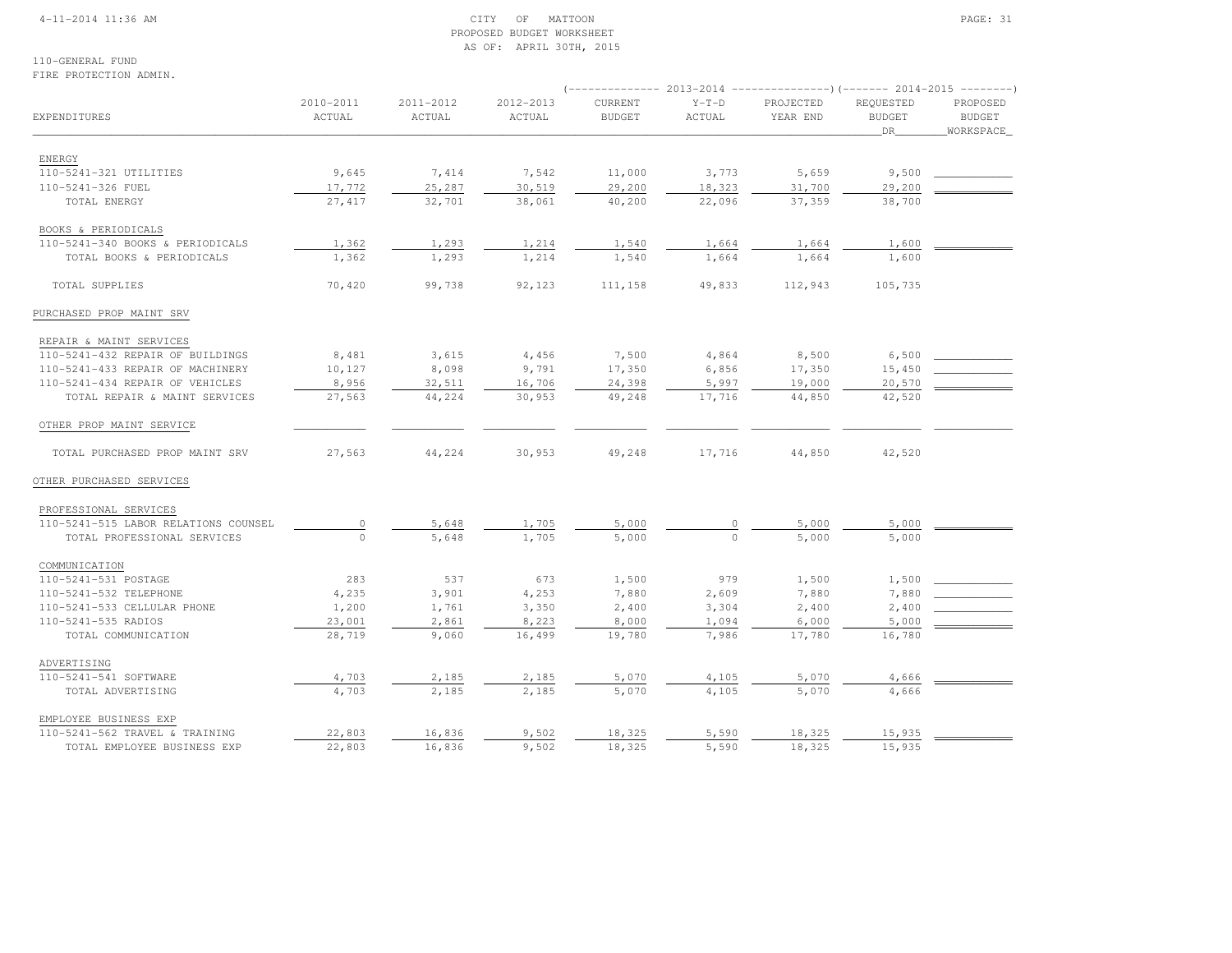## 4-11-2014 11:36 AM CITY OF MATTOON PAGE: 31 PROPOSED BUDGET WORKSHEETAS OF: APRIL 30TH, 2015

110-GENERAL FUNDFIRE PROTECTION ADMIN.

|                                      |                     |                     |                     |                          | 2013-2014         | $------------() (------ 2014-2015$ |                                  |                                         |
|--------------------------------------|---------------------|---------------------|---------------------|--------------------------|-------------------|------------------------------------|----------------------------------|-----------------------------------------|
| EXPENDITURES                         | 2010-2011<br>ACTUAL | 2011-2012<br>ACTUAL | 2012-2013<br>ACTUAL | CURRENT<br><b>BUDGET</b> | $Y-T-D$<br>ACTUAL | PROJECTED<br>YEAR END              | REQUESTED<br><b>BUDGET</b><br>DR | PROPOSED<br><b>BUDGET</b><br>WORKSPACE_ |
|                                      |                     |                     |                     |                          |                   |                                    |                                  |                                         |
| ENERGY                               |                     |                     |                     |                          |                   |                                    |                                  |                                         |
| 110-5241-321 UTILITIES               | 9,645               | 7,414               | 7,542               | 11,000                   | 3,773             | 5,659                              | 9,500                            |                                         |
| 110-5241-326 FUEL                    | 17,772              | 25,287              | 30,519              | 29,200                   | 18,323            | 31,700                             | 29,200                           |                                         |
| TOTAL ENERGY                         | 27, 417             | 32,701              | 38,061              | 40,200                   | 22,096            | 37,359                             | 38,700                           |                                         |
| BOOKS & PERIODICALS                  |                     |                     |                     |                          |                   |                                    |                                  |                                         |
| 110-5241-340 BOOKS & PERIODICALS     | 1,362               | 1,293               | 1,214               | 1,540                    | 1,664             | 1,664                              | 1,600                            |                                         |
| TOTAL BOOKS & PERIODICALS            | 1,362               | 1,293               | 1,214               | 1,540                    | 1,664             | 1,664                              | 1,600                            |                                         |
| TOTAL SUPPLIES                       | 70,420              | 99,738              | 92,123              | 111,158                  | 49,833            | 112,943                            | 105,735                          |                                         |
| PURCHASED PROP MAINT SRV             |                     |                     |                     |                          |                   |                                    |                                  |                                         |
| REPAIR & MAINT SERVICES              |                     |                     |                     |                          |                   |                                    |                                  |                                         |
| 110-5241-432 REPAIR OF BUILDINGS     | 8,481               | 3,615               | 4,456               | 7,500                    | 4,864             | 8,500                              | 6,500                            |                                         |
| 110-5241-433 REPAIR OF MACHINERY     | 10,127              | 8,098               | 9,791               | 17,350                   | 6,856             | 17,350                             | 15,450                           |                                         |
| 110-5241-434 REPAIR OF VEHICLES      | 8,956               | 32,511              | 16,706              | 24,398                   | 5,997             | 19,000                             | 20,570                           |                                         |
| TOTAL REPAIR & MAINT SERVICES        | 27,563              | 44,224              | 30,953              | 49,248                   | 17,716            | 44,850                             | 42,520                           |                                         |
| OTHER PROP MAINT SERVICE             |                     |                     |                     |                          |                   |                                    |                                  |                                         |
| TOTAL PURCHASED PROP MAINT SRV       | 27,563              | 44,224              | 30,953              | 49,248                   | 17,716            | 44,850                             | 42,520                           |                                         |
| OTHER PURCHASED SERVICES             |                     |                     |                     |                          |                   |                                    |                                  |                                         |
| PROFESSIONAL SERVICES                |                     |                     |                     |                          |                   |                                    |                                  |                                         |
| 110-5241-515 LABOR RELATIONS COUNSEL | $\circ$             | 5,648               | 1,705               | 5,000                    |                   | 5,000                              | 5,000                            |                                         |
| TOTAL PROFESSIONAL SERVICES          | $\Omega$            | 5,648               | 1,705               | 5,000                    | $\Omega$          | 5,000                              | 5,000                            |                                         |
| COMMUNICATION                        |                     |                     |                     |                          |                   |                                    |                                  |                                         |
| 110-5241-531 POSTAGE                 | 283                 | 537                 | 673                 | 1,500                    | 979               | 1,500                              | 1,500                            |                                         |
| 110-5241-532 TELEPHONE               | 4,235               | 3,901               | 4,253               | 7,880                    | 2,609             | 7,880                              | 7,880                            |                                         |
| 110-5241-533 CELLULAR PHONE          | 1,200               | 1,761               | 3,350               | 2,400                    | 3,304             | 2,400                              | 2,400                            |                                         |
| 110-5241-535 RADIOS                  | 23,001              | 2,861               | 8,223               | 8,000                    | 1,094             | 6,000                              | 5,000                            |                                         |
| TOTAL COMMUNICATION                  | 28,719              | 9,060               | 16,499              | 19,780                   | 7,986             | 17,780                             | 16,780                           |                                         |
| ADVERTISING                          |                     |                     |                     |                          |                   |                                    |                                  |                                         |
| 110-5241-541 SOFTWARE                | 4,703               | 2,185               | 2,185               | 5,070                    | 4,105             | 5,070                              | 4,666                            |                                         |
| TOTAL ADVERTISING                    | 4,703               | 2,185               | 2,185               | 5,070                    | 4,105             | 5,070                              | 4,666                            |                                         |
| EMPLOYEE BUSINESS EXP                |                     |                     |                     |                          |                   |                                    |                                  |                                         |
| 110-5241-562 TRAVEL & TRAINING       | 22,803              | 16,836              | 9,502               | 18,325                   | 5,590             | 18,325                             | 15,935                           |                                         |
| TOTAL EMPLOYEE BUSINESS EXP          | 22,803              | 16,836              | 9,502               | 18,325                   | 5,590             | 18,325                             | 15,935                           |                                         |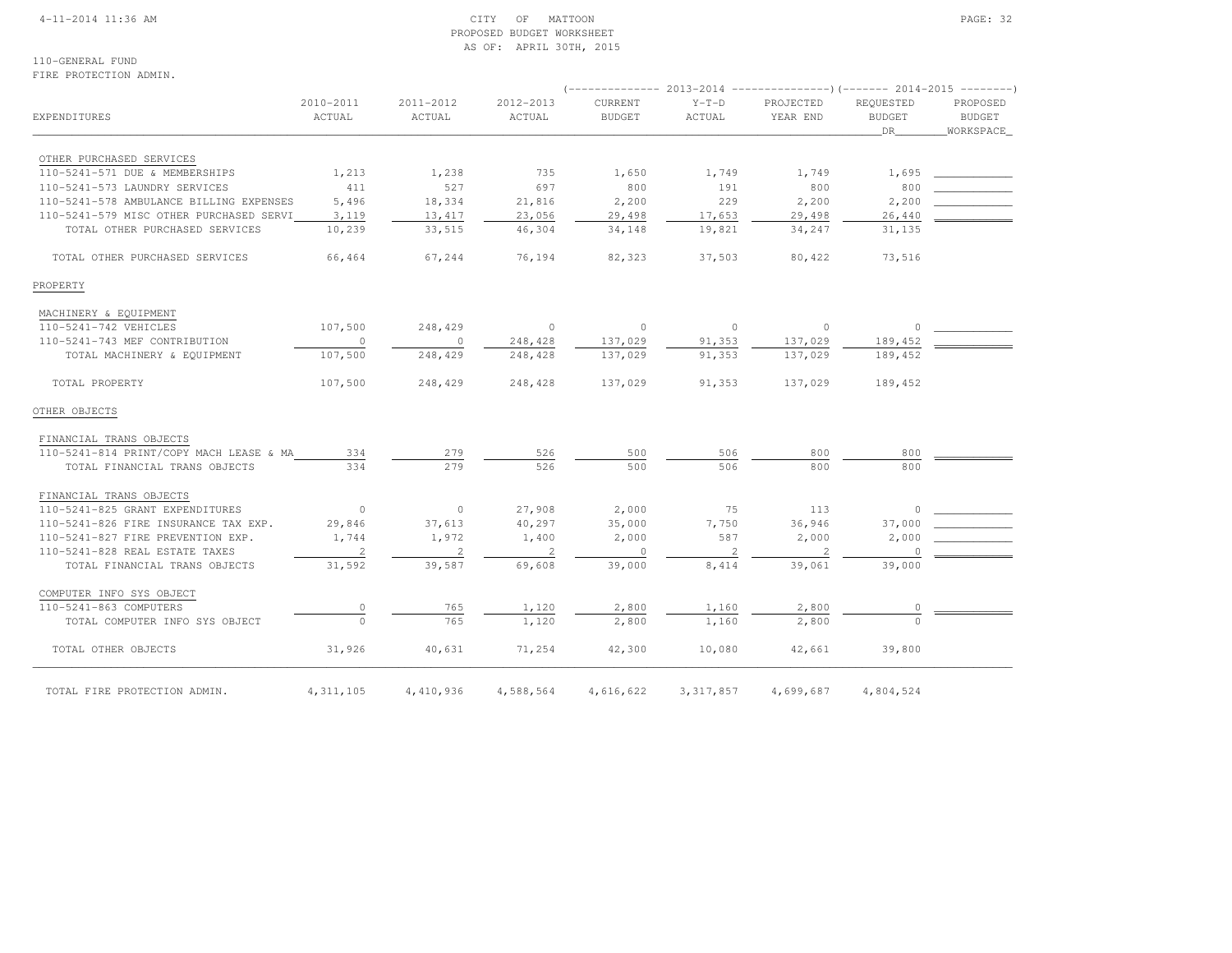#### 4-11-2014 11:36 AM CITY OF MATTOON PAGE: 32 PROPOSED BUDGET WORKSHEETAS OF: APRIL 30TH, 2015

110-GENERAL FUNDFIRE PROTECTION ADMIN.

# (-------------- 2013-2014 ---------------)(------- 2014-2015 --------) 2010-2011 2011-2012 2012-2013 CURRENT Y-T-D PROJECTED REQUESTED PROPOSED**BUDGET** EXPENDITURES ACTUAL ACTUAL ACTUAL BUDGET ACTUAL YEAR END BUDGET BUDGET**WORKSPACE**  $\hbox{\tt \_}$  . The contract of the contract of the contract of the contract of the contract of the contract of the contract of the contract of the contract of the contract of the contract of the contract of the contract of OTHER PURCHASED SERVICES 110-5241-571 DUE & MEMBERSHIPS 1,213 1,238 735 1,650 1,749 1,749 1,695 \_\_\_\_\_\_\_\_\_\_\_\_ 110-5241-573 LAUNDRY SERVICES 411 527 697 800 191 800 800 \_\_\_\_\_\_\_\_\_\_\_\_110-5241-578 AMBULANCE BILLING EXPENSES 5,496 18,334 21,816 2,200 229 2,200 2,200 110-5241-579 MISC OTHER PURCHASED SERVI 3,119 13,417 23,056 29,498 17,653 29,498 26,440 TOTAL OTHER PURCHASED SERVICES 10,239 33,515 46,304 34,148 19,821 34,247 31,135 TOTAL OTHER PURCHASED SERVICES 66,464 67,244 76,194 82,323 37,503 80,422 73,516PROPERTY MACHINERY & EQUIPMENT 110-5241-742 VEHICLES 107,500 248,429 0 0 0 0 0 \_\_\_\_\_\_\_\_\_\_\_\_ 110-5241-743 MEF CONTRIBUTION 0 0 248,428 137,029 91,353 137,029 189,452 \_\_\_\_\_\_\_\_\_\_\_\_ TOTAL MACHINERY & EQUIPMENT 107,500 248,429 248,428 137,029 91,353 137,029 189,452 TOTAL PROPERTY 107,500 248,429 248,428 137,029 91,353 137,029 189,452OTHER OBJECTS FINANCIAL TRANS OBJECTS 110-5241-814 PRINT/COPY MACH LEASE & MA 334 279 526 500 506 800 800 \_\_\_\_\_\_\_\_\_\_\_\_ TOTAL FINANCIAL TRANS OBJECTS 334 279 526 500 506 800 800 FINANCIAL TRANS OBJECTS110-5241-825 GRANT EXPENDITURES 0 0 0 27,908 2,000 0 75 113 0 \_\_\_\_\_\_ 110-5241-826 FIRE INSURANCE TAX EXP. <br>
29,846 37,000 36,946 37,000 36,946 37,000 36,946 37,000 110-5241-827 FIRE PREVENTION EXP. <br>1,744 1,972 1,400 2,000 587 2,000 2,000 110-5241-828 REAL ESTATE TAXES  $\begin{array}{cccccccccc} & 2 & & & 2 & & & 0 & & & 2 & & & 2 & & & 0 \end{array}$ TOTAL FINANCIAL TRANS OBJECTS 31,592 39,587 69,608 39,000 8,414 39,061 39,000 COMPUTER INFO SYS OBJECT110-5241-863 COMPUTERS 0 765 1,120 2,800 1,160 2,800 0 TOTAL COMPUTER INFO SYS OBJECT  $\overline{0}$   $\overline{765}$   $\overline{765}$   $\overline{1,120}$   $\overline{2,800}$   $\overline{2,800}$   $\overline{1,160}$   $\overline{2,800}$  TOTAL OTHER OBJECTS 31,926 40,631 71,254 42,300 10,080 42,661 39,800TOTAL FIRE PROTECTION ADMIN. 4, 311, 105 4, 410, 936 4, 588, 564 4, 616, 622 3, 317, 857 4, 699, 687 4, 804, 524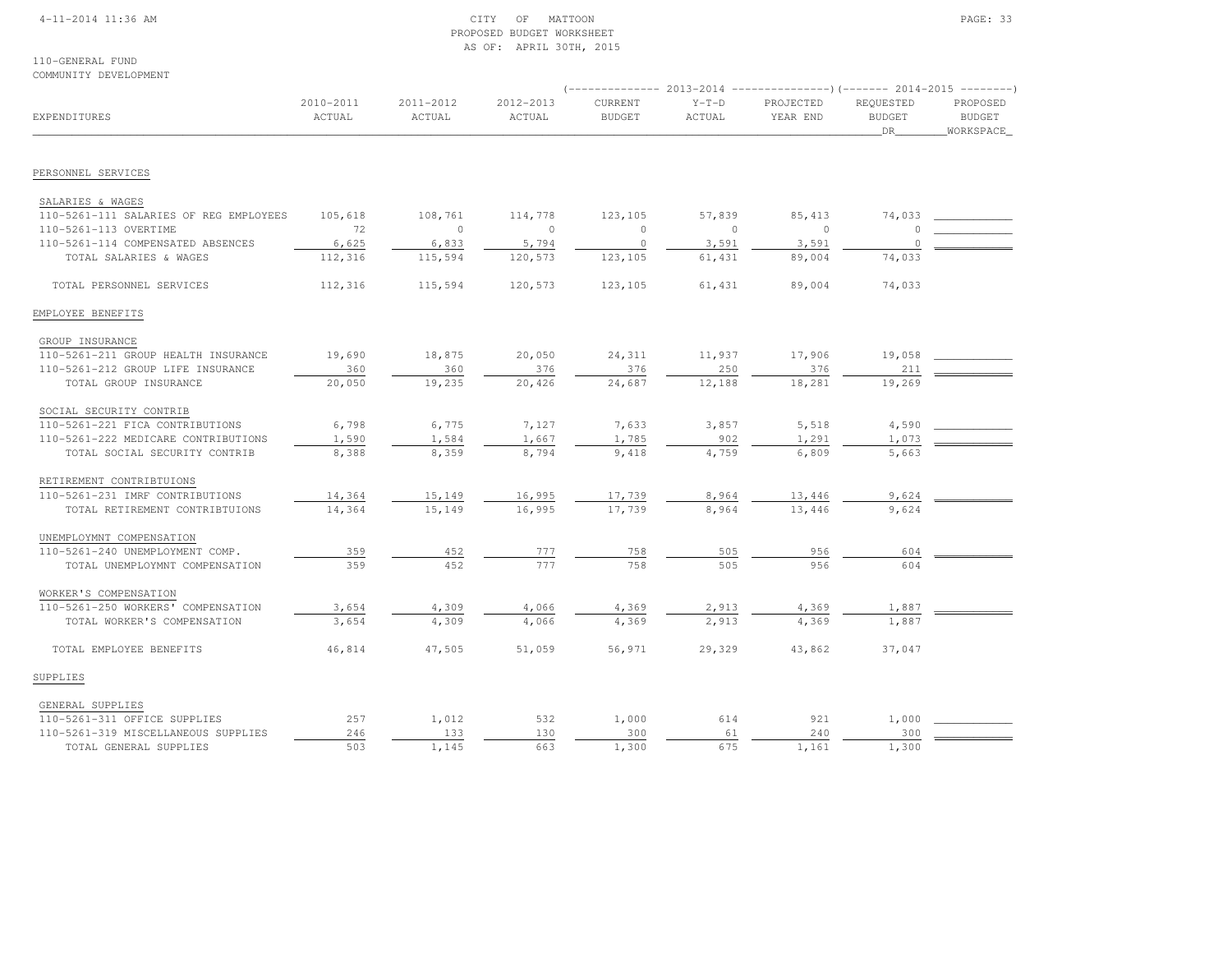## 4-11-2014 11:36 AM CITY OF MATTOON PAGE: 33 PROPOSED BUDGET WORKSHEETAS OF: APRIL 30TH, 2015

110-GENERAL FUNDCOMMUNITY DEVELOPMENT

|                                        |                     |                     |                     |                          |                   | (-------------- 2013-2014 ----------------)(------- 2014-2015 --------) |                            |                           |
|----------------------------------------|---------------------|---------------------|---------------------|--------------------------|-------------------|-------------------------------------------------------------------------|----------------------------|---------------------------|
| <b>EXPENDITURES</b>                    | 2010-2011<br>ACTUAL | 2011-2012<br>ACTUAL | 2012-2013<br>ACTUAL | CURRENT<br><b>BUDGET</b> | $Y-T-D$<br>ACTUAL | PROJECTED<br>YEAR END                                                   | REQUESTED<br><b>BUDGET</b> | PROPOSED<br><b>BUDGET</b> |
|                                        |                     |                     |                     |                          |                   |                                                                         | DR                         | WORKSPACE                 |
| PERSONNEL SERVICES                     |                     |                     |                     |                          |                   |                                                                         |                            |                           |
| SALARIES & WAGES                       |                     |                     |                     |                          |                   |                                                                         |                            |                           |
| 110-5261-111 SALARIES OF REG EMPLOYEES | 105,618             | 108,761             | 114,778             | 123,105                  | 57,839            | 85, 413                                                                 | 74,033                     |                           |
| 110-5261-113 OVERTIME                  | 72                  | $\circ$             | $\circ$             | $\mathbf{0}$             | $\mathbf{0}$      | $\Omega$                                                                | O                          |                           |
| 110-5261-114 COMPENSATED ABSENCES      | 6,625               | 6,833               | 5,794               | $\circ$                  | 3,591             | 3,591                                                                   | $\Omega$                   |                           |
| TOTAL SALARIES & WAGES                 | 112,316             | 115,594             | 120,573             | 123,105                  | 61,431            | 89,004                                                                  | 74,033                     |                           |
| TOTAL PERSONNEL SERVICES               | 112,316             | 115,594             | 120,573             | 123,105                  | 61,431            | 89,004                                                                  | 74,033                     |                           |
| EMPLOYEE BENEFITS                      |                     |                     |                     |                          |                   |                                                                         |                            |                           |
| GROUP INSURANCE                        |                     |                     |                     |                          |                   |                                                                         |                            |                           |
| 110-5261-211 GROUP HEALTH INSURANCE    | 19,690              | 18,875              | 20,050              | 24,311                   | 11,937            | 17,906                                                                  | 19,058                     |                           |
| 110-5261-212 GROUP LIFE INSURANCE      | 360                 | 360                 | 376                 | 376                      | 250               | 376                                                                     | 211                        |                           |
| TOTAL GROUP INSURANCE                  | 20,050              | 19,235              | 20,426              | 24,687                   | 12,188            | 18,281                                                                  | 19,269                     |                           |
| SOCIAL SECURITY CONTRIB                |                     |                     |                     |                          |                   |                                                                         |                            |                           |
| 110-5261-221 FICA CONTRIBUTIONS        | 6,798               | 6,775               | 7,127               | 7,633                    | 3,857             | 5,518                                                                   | 4,590                      |                           |
| 110-5261-222 MEDICARE CONTRIBUTIONS    | 1,590               | 1,584               | 1,667               | 1,785                    | 902               | 1,291                                                                   | 1,073                      |                           |
| TOTAL SOCIAL SECURITY CONTRIB          | 8,388               | 8,359               | 8,794               | 9,418                    | 4,759             | 6,809                                                                   | 5,663                      |                           |
| RETIREMENT CONTRIBTUIONS               |                     |                     |                     |                          |                   |                                                                         |                            |                           |
| 110-5261-231 IMRF CONTRIBUTIONS        | 14,364              | 15,149              | 16,995              | 17,739                   | 8,964             | 13,446                                                                  | 9,624                      |                           |
| TOTAL RETIREMENT CONTRIBTUIONS         | 14,364              | 15,149              | 16,995              | 17,739                   | 8,964             | 13,446                                                                  | 9,624                      |                           |
| UNEMPLOYMNT COMPENSATION               |                     |                     |                     |                          |                   |                                                                         |                            |                           |
| 110-5261-240 UNEMPLOYMENT COMP.        | 359                 | 452                 | 777                 | 758                      | 505               | 956                                                                     | 604                        |                           |
| TOTAL UNEMPLOYMNT COMPENSATION         | 359                 | 452                 | 777                 | 758                      | 505               | 956                                                                     | 604                        |                           |
| WORKER'S COMPENSATION                  |                     |                     |                     |                          |                   |                                                                         |                            |                           |
| 110-5261-250 WORKERS' COMPENSATION     | 3,654               | 4,309               | 4,066               | 4,369                    | 2,913             | 4,369                                                                   | 1,887                      |                           |
| TOTAL WORKER'S COMPENSATION            | 3,654               | 4,309               | 4,066               | 4,369                    | 2,913             | 4,369                                                                   | 1,887                      |                           |
| TOTAL EMPLOYEE BENEFITS                | 46,814              | 47,505              | 51,059              | 56,971                   | 29,329            | 43,862                                                                  | 37,047                     |                           |
| SUPPLIES                               |                     |                     |                     |                          |                   |                                                                         |                            |                           |
|                                        |                     |                     |                     |                          |                   |                                                                         |                            |                           |
| GENERAL SUPPLIES                       |                     |                     |                     |                          |                   |                                                                         |                            |                           |
| 110-5261-311 OFFICE SUPPLIES           | 257                 | 1,012               | 532                 | 1,000                    | 614               | 921                                                                     | 1,000                      |                           |
| 110-5261-319 MISCELLANEOUS SUPPLIES    | 246                 | 133                 | 130                 | 300                      | 61                | 240                                                                     | 300                        |                           |
| TOTAL GENERAL SUPPLIES                 | 503                 | 1,145               | 663                 | 1,300                    | 675               | 1,161                                                                   | 1,300                      |                           |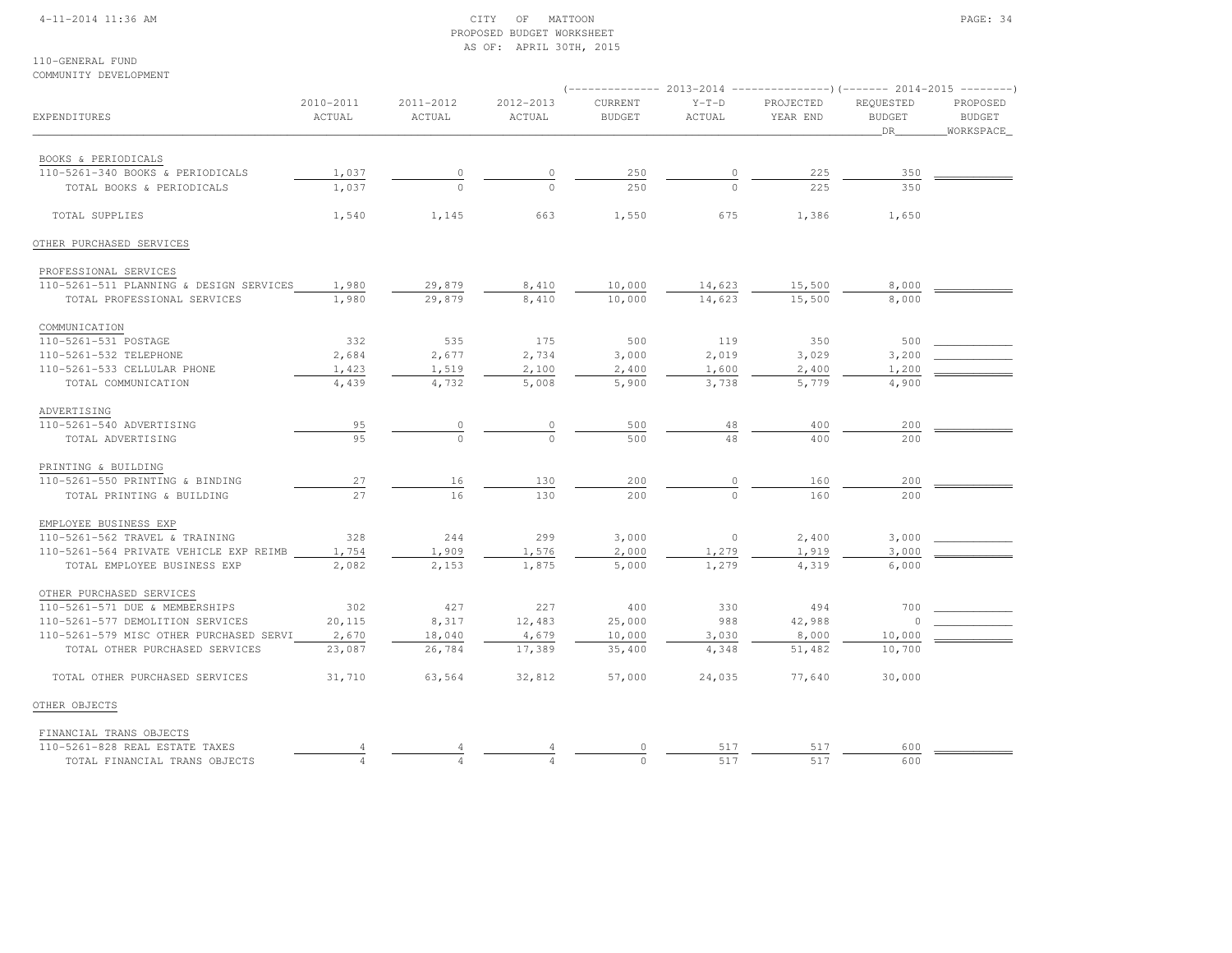## 4-11-2014 11:36 AM CITY OF MATTOON PAGE: 34 PROPOSED BUDGET WORKSHEETAS OF: APRIL 30TH, 2015

#### 110-GENERAL FUNDCOMMUNITY DEVELOPMENT

| EXPENDITURES                            | 2010-2011<br>ACTUAL | 2011-2012<br>ACTUAL | 2012-2013<br>ACTUAL | CURRENT<br><b>BUDGET</b> | $Y-T-D$<br>ACTUAL | PROJECTED<br>YEAR END | REQUESTED<br><b>BUDGET</b><br>DR | PROPOSED<br><b>BUDGET</b><br>WORKSPACE |
|-----------------------------------------|---------------------|---------------------|---------------------|--------------------------|-------------------|-----------------------|----------------------------------|----------------------------------------|
| BOOKS & PERIODICALS                     |                     |                     |                     |                          |                   |                       |                                  |                                        |
| 110-5261-340 BOOKS & PERIODICALS        | 1,037               |                     | 0                   | 250                      | 0                 | 225                   | 350                              |                                        |
| TOTAL BOOKS & PERIODICALS               | 1,037               | $\Omega$            |                     | 250                      |                   | 225                   | 350                              |                                        |
| TOTAL SUPPLIES                          | 1,540               | 1,145               | 663                 | 1,550                    | 675               | 1,386                 | 1,650                            |                                        |
| OTHER PURCHASED SERVICES                |                     |                     |                     |                          |                   |                       |                                  |                                        |
| PROFESSIONAL SERVICES                   |                     |                     |                     |                          |                   |                       |                                  |                                        |
| 110-5261-511 PLANNING & DESIGN SERVICES | 1,980               | 29,879              | 8,410               | 10,000                   | 14,623            | 15,500                | 8,000                            |                                        |
| TOTAL PROFESSIONAL SERVICES             | 1,980               | 29,879              | 8,410               | 10,000                   | 14,623            | 15,500                | 8,000                            |                                        |
| COMMUNICATION                           |                     |                     |                     |                          |                   |                       |                                  |                                        |
| 110-5261-531 POSTAGE                    | 332                 | 535                 | 175                 | 500                      | 119               | 350                   | 500                              |                                        |
| 110-5261-532 TELEPHONE                  | 2,684               | 2,677               | 2,734               | 3,000                    | 2,019             | 3,029                 | 3,200                            |                                        |
| 110-5261-533 CELLULAR PHONE             | 1,423               | 1,519               | 2,100               | 2,400                    | 1,600             | 2,400                 | 1,200                            |                                        |
| TOTAL COMMUNICATION                     | 4,439               | 4,732               | 5,008               | 5,900                    | 3,738             | 5,779                 | 4,900                            |                                        |
| ADVERTISING                             |                     |                     |                     |                          |                   |                       |                                  |                                        |
| 110-5261-540 ADVERTISING                | 95                  | 0                   | 0                   | 500                      | 48                | 400                   | 200                              |                                        |
| TOTAL ADVERTISING                       | 95                  | $\bigcap$           | $\cap$              | 500                      | 48                | 400                   | 200                              |                                        |
| PRINTING & BUILDING                     |                     |                     |                     |                          |                   |                       |                                  |                                        |
| 110-5261-550 PRINTING & BINDING         | 27                  | 16                  | 130                 | 200                      | 0                 | 160                   | 200                              |                                        |
| TOTAL PRINTING & BUILDING               | 27                  | 16                  | 130                 | 200                      | $\cap$            | 160                   | 200                              |                                        |
| EMPLOYEE BUSINESS EXP                   |                     |                     |                     |                          |                   |                       |                                  |                                        |
| 110-5261-562 TRAVEL & TRAINING          | 328                 | 244                 | 299                 | 3,000                    | $\mathbb O$       | 2,400                 | 3,000                            |                                        |
| 110-5261-564 PRIVATE VEHICLE EXP REIMB  | 1,754               | 1,909               | 1,576               | 2,000                    | 1,279             | 1,919                 | 3,000                            |                                        |
| TOTAL EMPLOYEE BUSINESS EXP             | 2,082               | 2,153               | 1,875               | 5,000                    | 1,279             | 4,319                 | 6,000                            |                                        |
| OTHER PURCHASED SERVICES                |                     |                     |                     |                          |                   |                       |                                  |                                        |
| 110-5261-571 DUE & MEMBERSHIPS          | 302                 | 427                 | 227                 | 400                      | 330               | 494                   | 700                              |                                        |
| 110-5261-577 DEMOLITION SERVICES        | 20,115              | 8,317               | 12,483              | 25,000                   | 988               | 42,988                | $\Omega$                         |                                        |
| 110-5261-579 MISC OTHER PURCHASED SERVI | 2,670               | 18,040              | 4,679               | 10,000                   | 3,030             | 8,000                 | 10,000                           |                                        |
| TOTAL OTHER PURCHASED SERVICES          | 23,087              | 26,784              | 17,389              | 35,400                   | 4,348             | 51,482                | 10,700                           |                                        |
| TOTAL OTHER PURCHASED SERVICES          | 31,710              | 63,564              | 32,812              | 57,000                   | 24,035            | 77,640                | 30,000                           |                                        |
| OTHER OBJECTS                           |                     |                     |                     |                          |                   |                       |                                  |                                        |
| FINANCIAL TRANS OBJECTS                 |                     |                     |                     |                          |                   |                       |                                  |                                        |
| 110-5261-828 REAL ESTATE TAXES          |                     |                     |                     |                          | 517               | 517                   | 600                              |                                        |
| TOTAL FINANCIAL TRANS OBJECTS           |                     |                     |                     |                          | 517               | 517                   | 600                              |                                        |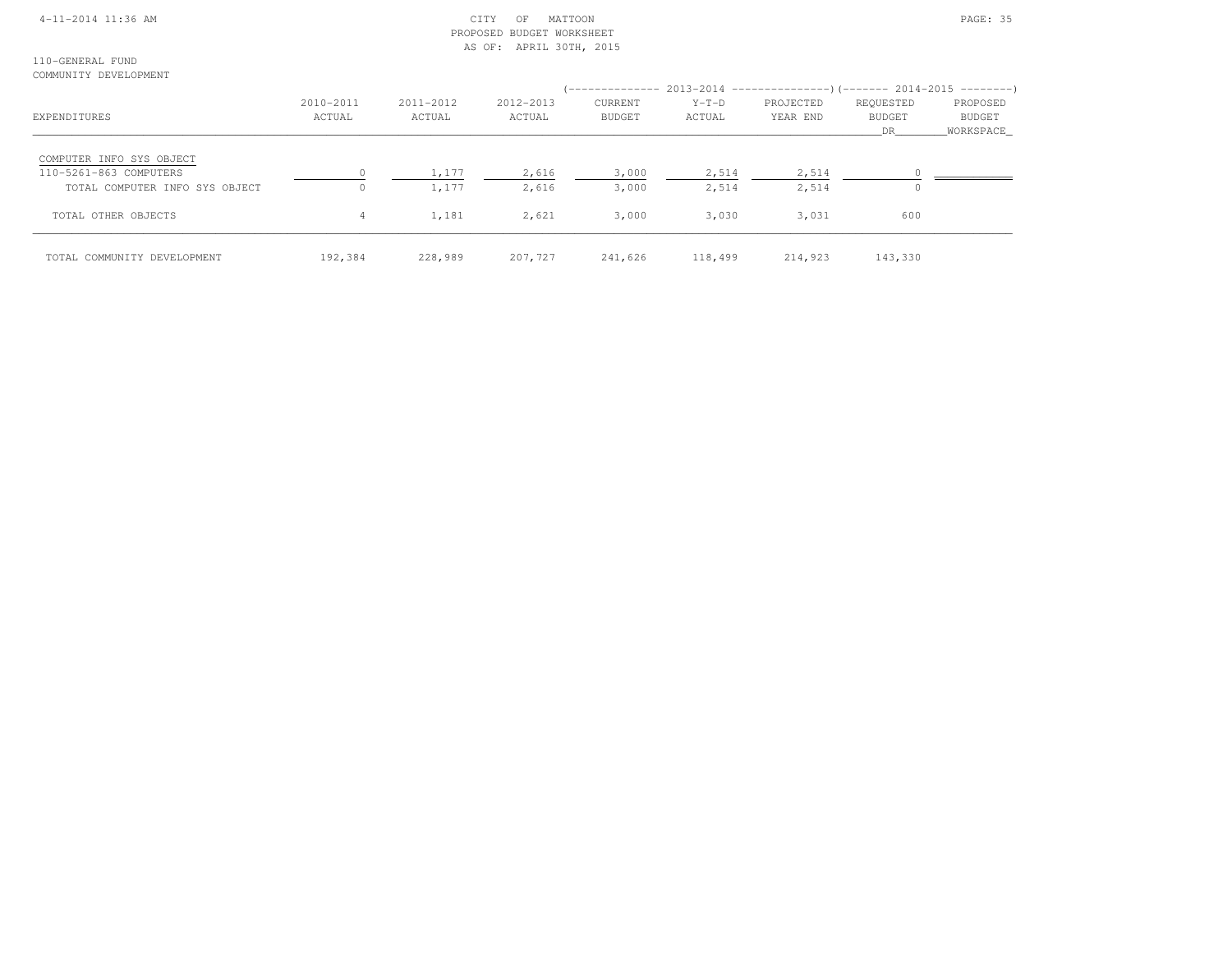## 4-11-2014 11:36 AM CITY OF MATTOON PAGE: 35 PROPOSED BUDGET WORKSHEETAS OF: APRIL 30TH, 2015

110-GENERAL FUNDCOMMUNITY DEVELOPMENT

| EXPENDITURES                                                                         | 2010-2011<br>ACTUAL | 2011-2012<br>ACTUAL | 2012-2013<br>ACTUAL | <b>CURRENT</b><br><b>BUDGET</b> | $Y-T-D$<br>ACTUAL | (-------------- 2013-2014 --------------------        2014-2015 ---------        )<br>PROJECTED<br>YEAR END | REQUESTED<br><b>BUDGET</b><br>DR. | PROPOSED<br><b>BUDGET</b><br>WORKSPACE |
|--------------------------------------------------------------------------------------|---------------------|---------------------|---------------------|---------------------------------|-------------------|-------------------------------------------------------------------------------------------------------------|-----------------------------------|----------------------------------------|
| COMPUTER INFO SYS OBJECT<br>110-5261-863 COMPUTERS<br>TOTAL COMPUTER INFO SYS OBJECT |                     | 1,177<br>1,177      | 2,616<br>2,616      | 3,000<br>3,000                  | 2,514<br>2,514    | 2,514<br>2,514                                                                                              |                                   |                                        |
| TOTAL OTHER OBJECTS                                                                  | 4                   | 1,181               | 2,621               | 3,000                           | 3,030             | 3,031                                                                                                       | 600                               |                                        |
| TOTAL COMMUNITY DEVELOPMENT                                                          | 192,384             | 228,989             | 207,727             | 241,626                         | 118,499           | 214,923                                                                                                     | 143,330                           |                                        |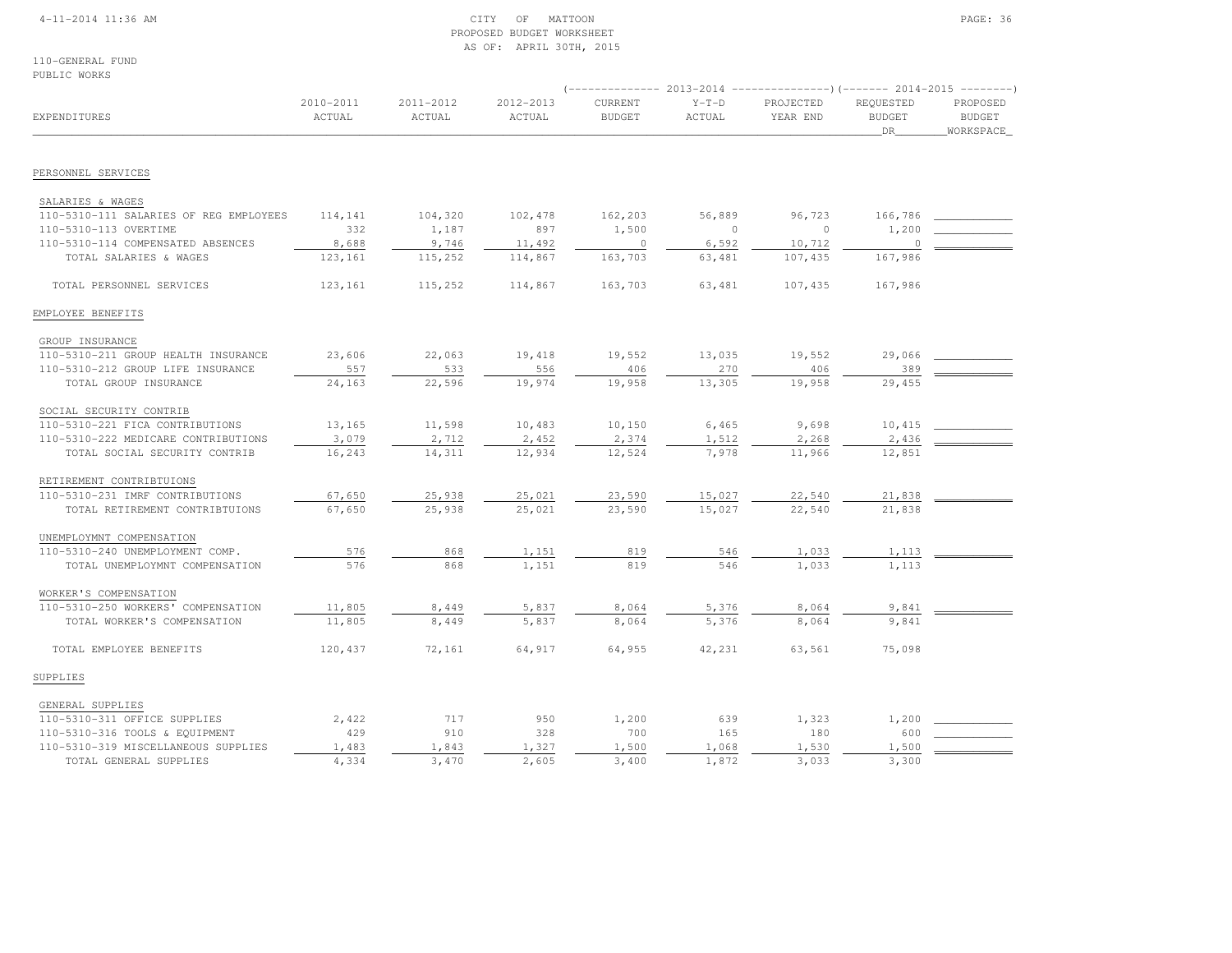## 4-11-2014 11:36 AM CITY OF MATTOON PAGE: 36 PROPOSED BUDGET WORKSHEETAS OF: APRIL 30TH, 2015

110-GENERAL FUNDPUBLIC WORKS

| EXPENDITURES                           | 2010-2011<br>ACTUAL | 2011-2012<br>ACTUAL | 2012-2013<br>ACTUAL | CURRENT<br><b>BUDGET</b> | $Y-T-D$<br>ACTUAL | PROJECTED<br>YEAR END | REQUESTED<br><b>BUDGET</b><br>DR | PROPOSED<br><b>BUDGET</b><br>WORKSPACE |
|----------------------------------------|---------------------|---------------------|---------------------|--------------------------|-------------------|-----------------------|----------------------------------|----------------------------------------|
| PERSONNEL SERVICES                     |                     |                     |                     |                          |                   |                       |                                  |                                        |
|                                        |                     |                     |                     |                          |                   |                       |                                  |                                        |
| SALARIES & WAGES                       |                     |                     |                     |                          |                   |                       |                                  |                                        |
| 110-5310-111 SALARIES OF REG EMPLOYEES | 114,141             | 104,320             | 102,478             | 162,203                  | 56,889            | 96,723                | 166,786                          |                                        |
| 110-5310-113 OVERTIME                  | 332                 | 1,187               | 897                 | 1,500                    | $\circ$           | $\circ$               | 1,200                            |                                        |
| 110-5310-114 COMPENSATED ABSENCES      | 8,688               | 9,746               | 11,492              | $\circ$                  | 6,592             | 10,712                |                                  |                                        |
| TOTAL SALARIES & WAGES                 | 123,161             | 115,252             | 114,867             | 163,703                  | 63,481            | 107,435               | 167,986                          |                                        |
| TOTAL PERSONNEL SERVICES               | 123,161             | 115,252             | 114,867             | 163,703                  | 63,481            | 107,435               | 167,986                          |                                        |
| EMPLOYEE BENEFITS                      |                     |                     |                     |                          |                   |                       |                                  |                                        |
| GROUP INSURANCE                        |                     |                     |                     |                          |                   |                       |                                  |                                        |
| 110-5310-211 GROUP HEALTH INSURANCE    | 23,606              | 22,063              | 19,418              | 19,552                   | 13,035            | 19,552                | 29,066                           |                                        |
| 110-5310-212 GROUP LIFE INSURANCE      | 557                 | 533                 | 556                 | 406                      | 270               | 406                   | 389                              |                                        |
| TOTAL GROUP INSURANCE                  | 24,163              | 22,596              | 19,974              | 19,958                   | 13,305            | 19,958                | 29,455                           |                                        |
| SOCIAL SECURITY CONTRIB                |                     |                     |                     |                          |                   |                       |                                  |                                        |
| 110-5310-221 FICA CONTRIBUTIONS        | 13,165              | 11,598              | 10,483              | 10,150                   | 6,465             | 9,698                 | 10,415                           |                                        |
| 110-5310-222 MEDICARE CONTRIBUTIONS    | 3,079               | 2,712               | 2,452               | 2,374                    | 1,512             | 2,268                 | 2,436                            |                                        |
| TOTAL SOCIAL SECURITY CONTRIB          | 16,243              | 14,311              | 12,934              | 12,524                   | 7,978             | 11,966                | 12,851                           |                                        |
| RETIREMENT CONTRIBTUIONS               |                     |                     |                     |                          |                   |                       |                                  |                                        |
| 110-5310-231 IMRF CONTRIBUTIONS        | 67,650              | 25,938              | 25,021              | 23,590                   | 15,027            | 22,540                | 21,838                           |                                        |
| TOTAL RETIREMENT CONTRIBTUIONS         | 67,650              | 25,938              | 25,021              | 23,590                   | 15,027            | 22,540                | 21,838                           |                                        |
| UNEMPLOYMNT COMPENSATION               |                     |                     |                     |                          |                   |                       |                                  |                                        |
| 110-5310-240 UNEMPLOYMENT COMP.        | 576                 | 868                 | 1,151               | 819                      | 546               | 1,033                 | 1,113                            |                                        |
| TOTAL UNEMPLOYMNT COMPENSATION         | 576                 | 868                 | 1,151               | 819                      | 546               | 1,033                 | 1,113                            |                                        |
| WORKER'S COMPENSATION                  |                     |                     |                     |                          |                   |                       |                                  |                                        |
| 110-5310-250 WORKERS' COMPENSATION     | 11,805              | 8,449               | 5,837               | 8,064                    | 5,376             | 8,064                 | 9,841                            |                                        |
| TOTAL WORKER'S COMPENSATION            | 11,805              | 8,449               | 5,837               | 8,064                    | 5,376             | 8,064                 | 9,841                            |                                        |
| TOTAL EMPLOYEE BENEFITS                | 120,437             | 72,161              | 64,917              | 64,955                   | 42,231            | 63,561                | 75,098                           |                                        |
| SUPPLIES                               |                     |                     |                     |                          |                   |                       |                                  |                                        |
| GENERAL SUPPLIES                       |                     |                     |                     |                          |                   |                       |                                  |                                        |
| 110-5310-311 OFFICE SUPPLIES           | 2,422               | 717                 | 950                 | 1,200                    | 639               | 1,323                 | 1,200                            |                                        |
| 110-5310-316 TOOLS & EQUIPMENT         | 429                 | 910                 | 328                 | 700                      | 165               | 180                   | 600                              |                                        |
| 110-5310-319 MISCELLANEOUS SUPPLIES    | 1,483               | 1,843               | 1,327               | 1,500                    | 1,068             | 1,530                 | 1,500                            |                                        |
| TOTAL GENERAL SUPPLIES                 | 4,334               | 3,470               | 2,605               | 3,400                    | 1,872             | 3,033                 | 3,300                            |                                        |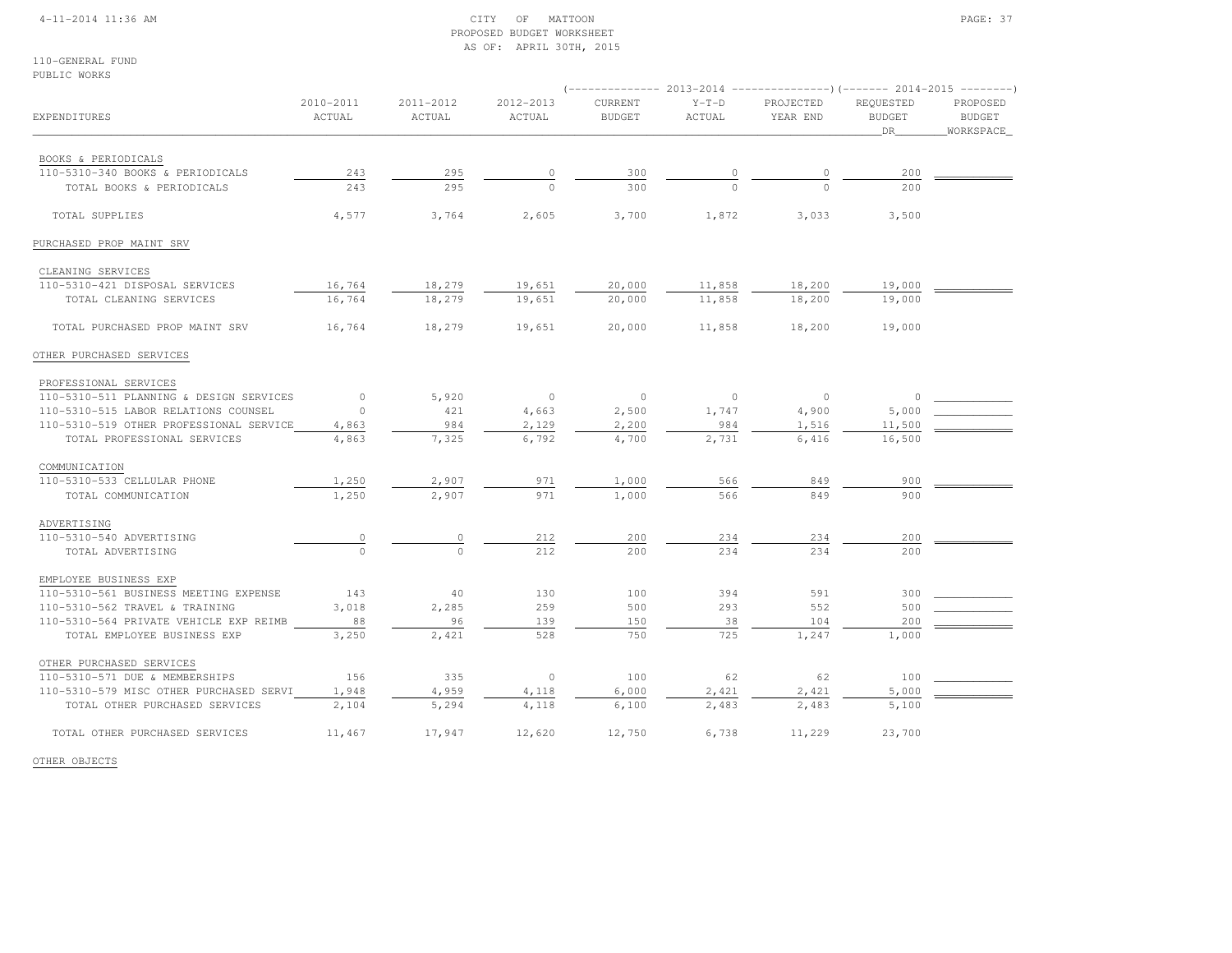### 4-11-2014 11:36 AM CITY OF MATTOON PAGE: 37 PROPOSED BUDGET WORKSHEETAS OF: APRIL 30TH, 2015

110-GENERAL FUNDPUBLIC WORKS

| <b>EXPENDITURES</b>                     | 2010-2011<br>ACTUAL  | 2011-2012<br>ACTUAL | 2012-2013<br>ACTUAL | CURRENT<br><b>BUDGET</b> | $Y-T-D$<br>ACTUAL | PROJECTED<br>YEAR END | REQUESTED<br><b>BUDGET</b><br>DR | PROPOSED<br><b>BUDGET</b><br>WORKSPACE |
|-----------------------------------------|----------------------|---------------------|---------------------|--------------------------|-------------------|-----------------------|----------------------------------|----------------------------------------|
| BOOKS & PERIODICALS                     |                      |                     |                     |                          |                   |                       |                                  |                                        |
| 110-5310-340 BOOKS & PERIODICALS        | 243                  | 295                 |                     | 300                      |                   |                       | 200                              |                                        |
| TOTAL BOOKS & PERIODICALS               | 243                  | 295                 |                     | 300                      |                   |                       | 200                              |                                        |
| TOTAL SUPPLIES                          | 4,577                | 3,764               | 2,605               | 3,700                    | 1,872             | 3,033                 | 3,500                            |                                        |
| PURCHASED PROP MAINT SRV                |                      |                     |                     |                          |                   |                       |                                  |                                        |
| CLEANING SERVICES                       |                      |                     |                     |                          |                   |                       |                                  |                                        |
| 110-5310-421 DISPOSAL SERVICES          | 16,764               | 18,279              | 19,651              | 20,000                   | 11,858            | 18,200                | 19,000                           |                                        |
| TOTAL CLEANING SERVICES                 | 16,764               | 18,279              | 19,651              | 20,000                   | 11,858            | 18,200                | 19,000                           |                                        |
| TOTAL PURCHASED PROP MAINT SRV          | 16,764               | 18,279              | 19,651              | 20,000                   | 11,858            | 18,200                | 19,000                           |                                        |
| OTHER PURCHASED SERVICES                |                      |                     |                     |                          |                   |                       |                                  |                                        |
| PROFESSIONAL SERVICES                   |                      |                     |                     |                          |                   |                       |                                  |                                        |
| 110-5310-511 PLANNING & DESIGN SERVICES | $\overline{0}$       | 5,920               | $\overline{0}$      | $\overline{0}$           | $\circ$           | $\circ$               | $\circ$                          |                                        |
| 110-5310-515 LABOR RELATIONS COUNSEL    | $\Omega$             | 421                 | 4,663               | 2,500                    | 1,747             | 4,900                 | 5,000                            |                                        |
| 110-5310-519 OTHER PROFESSIONAL SERVICE | 4,863                | 984                 | 2,129               | 2,200                    | 984               | 1,516                 | 11,500                           |                                        |
| TOTAL PROFESSIONAL SERVICES             | 4,863                | 7,325               | 6,792               | 4,700                    | 2,731             | 6,416                 | 16,500                           |                                        |
| COMMUNICATION                           |                      |                     |                     |                          |                   |                       |                                  |                                        |
| 110-5310-533 CELLULAR PHONE             | 1,250                | 2,907               | 971                 | 1,000                    | 566               | 849                   | 900                              |                                        |
| TOTAL COMMUNICATION                     | 1,250                | 2,907               | 971                 | 1,000                    | 566               | 849                   | 900                              |                                        |
| ADVERTISING                             |                      |                     |                     |                          |                   |                       |                                  |                                        |
| 110-5310-540 ADVERTISING                | $\frac{0}{\sqrt{2}}$ | 0                   | 212                 | 200                      | 234               | 234                   | 200                              |                                        |
| TOTAL ADVERTISING                       |                      | $\cap$              | 212                 | 200                      | 234               | 234                   | 200                              |                                        |
| EMPLOYEE BUSINESS EXP                   |                      |                     |                     |                          |                   |                       |                                  |                                        |
| 110-5310-561 BUSINESS MEETING EXPENSE   | 143                  | 40                  | 130                 | 100                      | 394               | 591                   | 300                              |                                        |
| 110-5310-562 TRAVEL & TRAINING          | 3,018                | 2,285               | 259                 | 500                      | 293               | 552                   | 500                              |                                        |
| 110-5310-564 PRIVATE VEHICLE EXP REIMB  | 88                   | 96                  | 139                 | 150                      | 38                | 104                   | 200                              |                                        |
| TOTAL EMPLOYEE BUSINESS EXP             | 3,250                | 2,421               | 528                 | 750                      | 725               | 1,247                 | 1,000                            |                                        |
| OTHER PURCHASED SERVICES                |                      |                     |                     |                          |                   |                       |                                  |                                        |
| 110-5310-571 DUE & MEMBERSHIPS          | 156                  | 335                 | $\circ$             | 100                      | 62                | 62                    | 100                              |                                        |
| 110-5310-579 MISC OTHER PURCHASED SERVI | 1,948                | 4,959               | 4,118               | 6,000                    | 2,421             | 2,421                 | 5,000                            |                                        |
| TOTAL OTHER PURCHASED SERVICES          | 2,104                | 5,294               | 4,118               | 6,100                    | 2,483             | 2,483                 | 5,100                            |                                        |
| TOTAL OTHER PURCHASED SERVICES          | 11,467               | 17,947              | 12,620              | 12,750                   | 6,738             | 11,229                | 23,700                           |                                        |

OTHER OBJECTS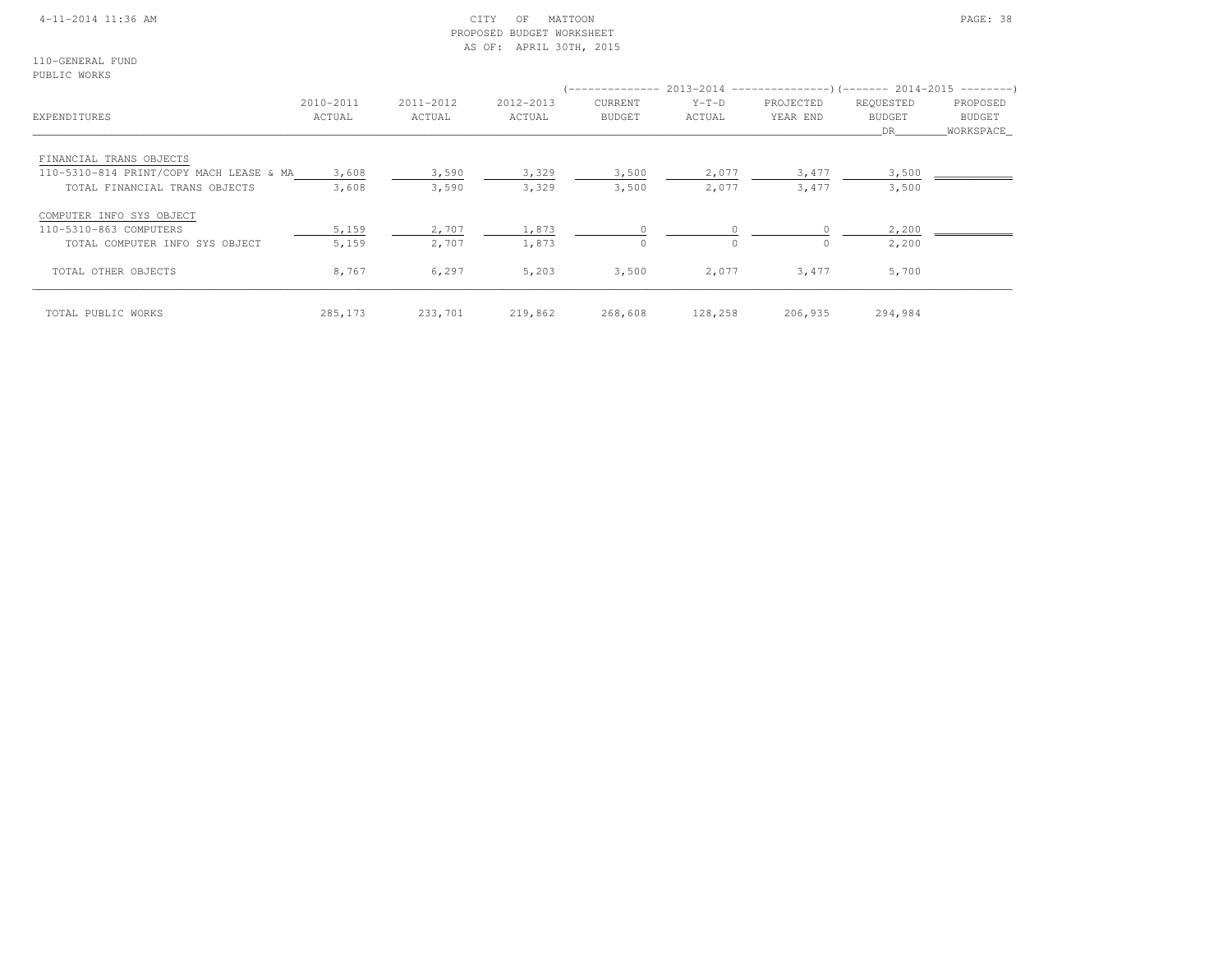### 4-11-2014 11:36 AM CITY OF MATTOON PAGE: 38 PROPOSED BUDGET WORKSHEETAS OF: APRIL 30TH, 2015

110-GENERAL FUNDPUBLIC WORKS

| EXPENDITURES                            | 2010-2011<br>ACTUAL | 2011-2012<br>ACTUAL | 2012-2013<br>ACTUAL | <b>CURRENT</b><br><b>BUDGET</b> | $Y-T-D$<br>ACTUAL | (-------------- 2013-2014 ---------------------- 2014-2015 ----------------------<br>PROJECTED<br>YEAR END | REQUESTED<br><b>BUDGET</b><br>DR. | PROPOSED<br>BUDGET<br>WORKSPACE |
|-----------------------------------------|---------------------|---------------------|---------------------|---------------------------------|-------------------|------------------------------------------------------------------------------------------------------------|-----------------------------------|---------------------------------|
| FINANCIAL TRANS OBJECTS                 |                     |                     |                     |                                 |                   |                                                                                                            |                                   |                                 |
| 110-5310-814 PRINT/COPY MACH LEASE & MA | 3,608               | 3,590               | 3,329               | 3,500                           | 2,077             | 3,477                                                                                                      | 3,500                             |                                 |
| TOTAL FINANCIAL TRANS OBJECTS           | 3,608               | 3,590               | 3,329               | 3,500                           | 2,077             | 3,477                                                                                                      | 3,500                             |                                 |
| COMPUTER INFO SYS OBJECT                |                     |                     |                     |                                 |                   |                                                                                                            |                                   |                                 |
| 110-5310-863 COMPUTERS                  | 5,159               | 2,707               | 1,873               | $\mathbf{0}$                    |                   |                                                                                                            | 2,200                             |                                 |
| TOTAL COMPUTER INFO SYS OBJECT          | 5,159               | 2,707               | 1,873               | $\Omega$                        |                   |                                                                                                            | 2,200                             |                                 |
| TOTAL OTHER OBJECTS                     | 8,767               | 6,297               | 5,203               | 3,500                           | 2,077             | 3,477                                                                                                      | 5,700                             |                                 |
| TOTAL PUBLIC WORKS                      | 285, 173            | 233,701             | 219,862             | 268,608                         | 128,258           | 206,935                                                                                                    | 294,984                           |                                 |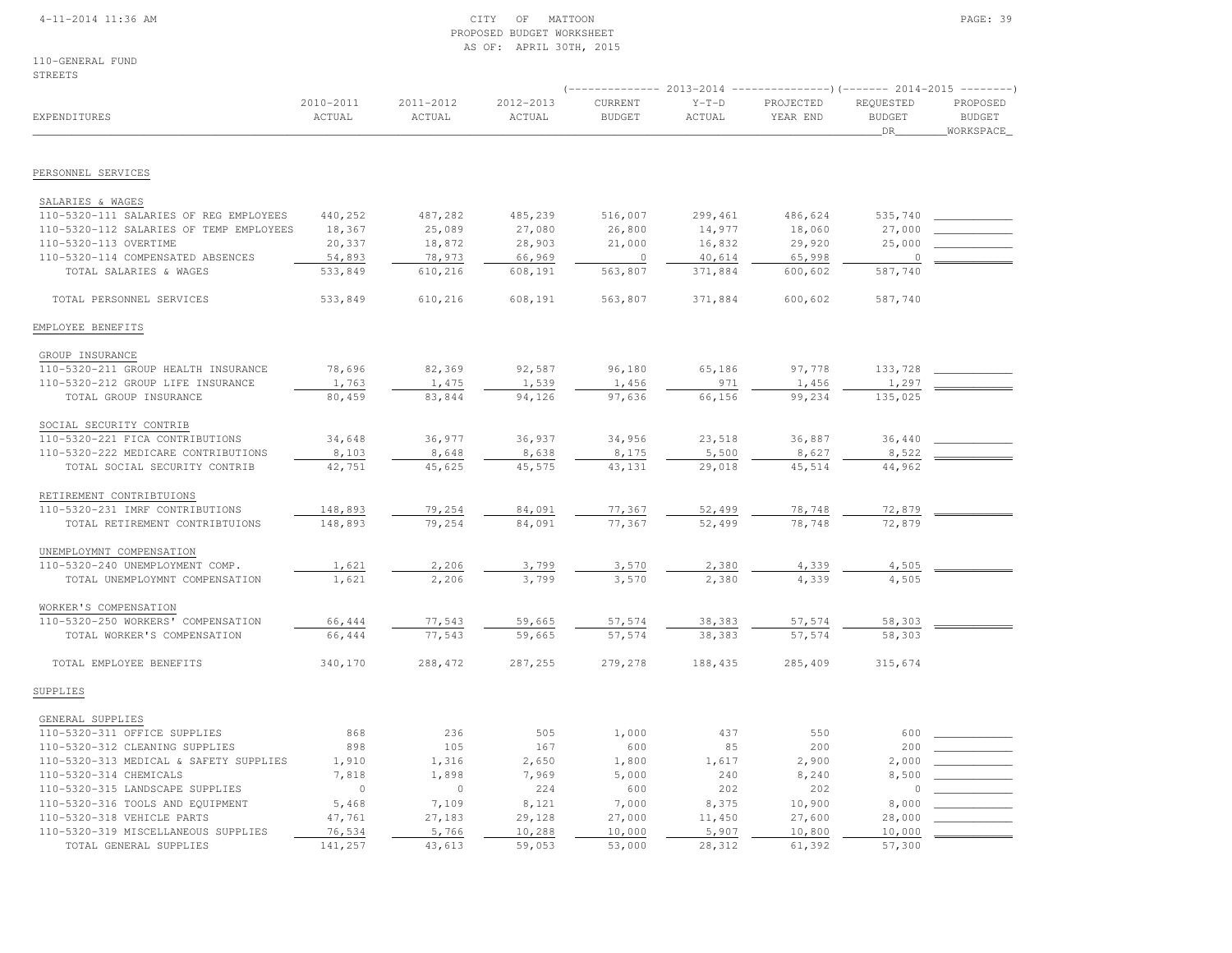### 4-11-2014 11:36 AM CITY OF MATTOON PAGE: 39 PROPOSED BUDGET WORKSHEETAS OF: APRIL 30TH, 2015

110-GENERAL FUNDSTREETS

|                                                            |                     |                     |                     |                          | $($ -------------- 2013-2014 ----------------) (------- 2014-2015 --------) |                       |                                  |                                        |
|------------------------------------------------------------|---------------------|---------------------|---------------------|--------------------------|-----------------------------------------------------------------------------|-----------------------|----------------------------------|----------------------------------------|
| EXPENDITURES                                               | 2010-2011<br>ACTUAL | 2011-2012<br>ACTUAL | 2012-2013<br>ACTUAL | CURRENT<br><b>BUDGET</b> | $Y-T-D$<br>ACTUAL                                                           | PROJECTED<br>YEAR END | REQUESTED<br><b>BUDGET</b><br>DR | PROPOSED<br><b>BUDGET</b><br>WORKSPACE |
| PERSONNEL SERVICES                                         |                     |                     |                     |                          |                                                                             |                       |                                  |                                        |
|                                                            |                     |                     |                     |                          |                                                                             |                       |                                  |                                        |
| SALARIES & WAGES<br>110-5320-111 SALARIES OF REG EMPLOYEES | 440,252             | 487,282             | 485,239             | 516,007                  | 299,461                                                                     | 486,624               | 535,740                          |                                        |
| 110-5320-112 SALARIES OF TEMP EMPLOYEES                    | 18,367              | 25,089              | 27,080              | 26,800                   | 14,977                                                                      | 18,060                | 27,000                           |                                        |
| 110-5320-113 OVERTIME                                      | 20,337              | 18,872              | 28,903              | 21,000                   | 16,832                                                                      | 29,920                | 25,000                           |                                        |
| 110-5320-114 COMPENSATED ABSENCES                          | 54,893              | 78,973              | 66,969              | $\mathbb O$              | 40,614                                                                      | 65,998                | $\circ$                          |                                        |
| TOTAL SALARIES & WAGES                                     | 533,849             | 610,216             | 608,191             | 563,807                  | 371,884                                                                     | 600,602               | 587,740                          |                                        |
|                                                            |                     |                     |                     |                          |                                                                             |                       |                                  |                                        |
| TOTAL PERSONNEL SERVICES                                   | 533,849             | 610,216             | 608,191             | 563,807                  | 371,884                                                                     | 600,602               | 587,740                          |                                        |
| EMPLOYEE BENEFITS                                          |                     |                     |                     |                          |                                                                             |                       |                                  |                                        |
| GROUP INSURANCE                                            |                     |                     |                     |                          |                                                                             |                       |                                  |                                        |
| 110-5320-211 GROUP HEALTH INSURANCE                        | 78,696              | 82,369              | 92,587              | 96,180                   | 65,186                                                                      | 97,778                | 133,728                          |                                        |
| 110-5320-212 GROUP LIFE INSURANCE                          | 1,763               | 1,475               | 1,539               | 1,456                    | 971                                                                         | 1,456                 | 1,297                            |                                        |
| TOTAL GROUP INSURANCE                                      | 80,459              | 83,844              | 94,126              | 97,636                   | 66,156                                                                      | 99,234                | 135,025                          |                                        |
| SOCIAL SECURITY CONTRIB                                    |                     |                     |                     |                          |                                                                             |                       |                                  |                                        |
|                                                            |                     |                     |                     |                          |                                                                             |                       |                                  |                                        |
| 110-5320-221 FICA CONTRIBUTIONS                            | 34,648              | 36,977              | 36,937              | 34,956                   | 23,518                                                                      | 36,887                | 36,440                           |                                        |
| 110-5320-222 MEDICARE CONTRIBUTIONS                        | 8,103               | 8,648               | 8,638               | 8,175                    | 5,500                                                                       | 8,627                 | 8,522                            |                                        |
| TOTAL SOCIAL SECURITY CONTRIB                              | 42,751              | 45,625              | 45,575              | 43,131                   | 29,018                                                                      | 45,514                | 44,962                           |                                        |
| RETIREMENT CONTRIBTUIONS                                   |                     |                     |                     |                          |                                                                             |                       |                                  |                                        |
| 110-5320-231 IMRF CONTRIBUTIONS                            | 148,893             | 79,254              | 84,091              | 77,367                   | 52,499                                                                      | 78,748                | 72,879                           |                                        |
| TOTAL RETIREMENT CONTRIBTUIONS                             | 148,893             | 79,254              | 84,091              | 77,367                   | 52,499                                                                      | 78,748                | 72,879                           |                                        |
|                                                            |                     |                     |                     |                          |                                                                             |                       |                                  |                                        |
| UNEMPLOYMNT COMPENSATION                                   |                     |                     |                     |                          |                                                                             |                       |                                  |                                        |
| 110-5320-240 UNEMPLOYMENT COMP.                            | 1,621               | 2,206               | 3,799               | 3,570                    | 2,380                                                                       | 4,339                 | 4,505                            |                                        |
| TOTAL UNEMPLOYMNT COMPENSATION                             | 1,621               | 2,206               | 3,799               | 3,570                    | 2,380                                                                       | 4,339                 | 4,505                            |                                        |
| WORKER'S COMPENSATION                                      |                     |                     |                     |                          |                                                                             |                       |                                  |                                        |
| 110-5320-250 WORKERS' COMPENSATION                         | 66,444              | 77,543              | 59,665              | 57,574                   | 38,383                                                                      | 57,574                | 58,303                           |                                        |
| TOTAL WORKER'S COMPENSATION                                | 66,444              | 77,543              | 59,665              | 57,574                   | 38,383                                                                      | 57,574                | 58,303                           |                                        |
| TOTAL EMPLOYEE BENEFITS                                    | 340,170             | 288,472             | 287,255             | 279,278                  | 188,435                                                                     | 285,409               | 315,674                          |                                        |
| SUPPLIES                                                   |                     |                     |                     |                          |                                                                             |                       |                                  |                                        |
|                                                            |                     |                     |                     |                          |                                                                             |                       |                                  |                                        |
| GENERAL SUPPLIES                                           |                     |                     |                     |                          |                                                                             |                       |                                  |                                        |
| 110-5320-311 OFFICE SUPPLIES                               | 868                 | 236                 | 505                 | 1,000                    | 437                                                                         | 550                   | 600                              |                                        |
| 110-5320-312 CLEANING SUPPLIES                             | 898                 | 105                 | 167                 | 600                      | 85                                                                          | 200                   | 200                              |                                        |
| 110-5320-313 MEDICAL & SAFETY SUPPLIES                     | 1,910               | 1,316               | 2,650               | 1,800                    | 1,617                                                                       | 2,900                 | 2,000                            |                                        |
| 110-5320-314 CHEMICALS                                     | 7,818               | 1,898               | 7,969               | 5,000                    | 240                                                                         | 8,240                 | 8,500                            |                                        |
| 110-5320-315 LANDSCAPE SUPPLIES                            | $\circ$             | $\circ$             | 224                 | 600                      | 202                                                                         | 202                   | $\circ$                          |                                        |
| 110-5320-316 TOOLS AND EQUIPMENT                           | 5,468               | 7,109               | 8,121               | 7,000                    | 8,375                                                                       | 10,900                | 8,000                            |                                        |
| 110-5320-318 VEHICLE PARTS                                 | 47,761              | 27,183              | 29,128              | 27,000                   | 11,450                                                                      | 27,600                | 28,000                           |                                        |
| 110-5320-319 MISCELLANEOUS SUPPLIES                        | 76,534              | 5,766               | 10,288              | 10,000                   | 5,907                                                                       | 10,800                | 10,000                           |                                        |
| TOTAL GENERAL SUPPLIES                                     | 141,257             | 43,613              | 59,053              | 53,000                   | 28,312                                                                      | 61,392                | 57,300                           |                                        |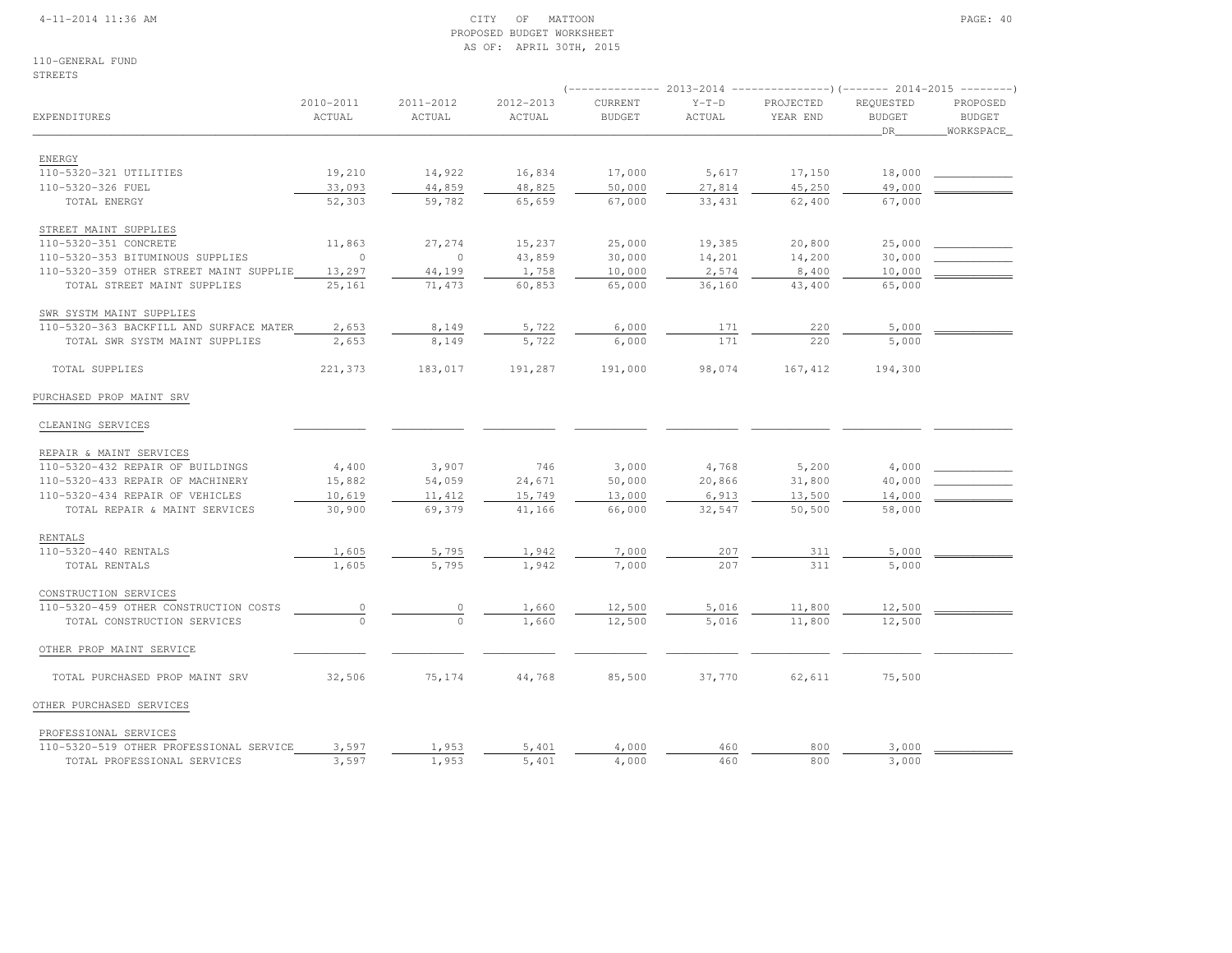### 4-11-2014 11:36 AM CITY OF MATTOON PAGE: 40 PROPOSED BUDGET WORKSHEETAS OF: APRIL 30TH, 2015

110-GENERAL FUNDSTREETS

|                                         |                     |                     |                     | $--------- 2013-2014$    |                   | ----------------) (------- 2014-2015 --------- |                                  |                                        |
|-----------------------------------------|---------------------|---------------------|---------------------|--------------------------|-------------------|------------------------------------------------|----------------------------------|----------------------------------------|
| EXPENDITURES                            | 2010-2011<br>ACTUAL | 2011-2012<br>ACTUAL | 2012-2013<br>ACTUAL | CURRENT<br><b>BUDGET</b> | $Y-T-D$<br>ACTUAL | PROJECTED<br>YEAR END                          | REQUESTED<br><b>BUDGET</b><br>DR | PROPOSED<br><b>BUDGET</b><br>WORKSPACE |
| ENERGY                                  |                     |                     |                     |                          |                   |                                                |                                  |                                        |
| 110-5320-321 UTILITIES                  | 19,210              | 14,922              | 16,834              | 17,000                   | 5,617             | 17,150                                         | 18,000                           |                                        |
| 110-5320-326 FUEL                       | 33,093              | 44,859              | 48,825              | 50,000                   | 27,814            | 45,250                                         | 49,000                           |                                        |
| TOTAL ENERGY                            | 52,303              | 59,782              | 65,659              | 67,000                   | 33,431            | 62,400                                         | 67,000                           |                                        |
| STREET MAINT SUPPLIES                   |                     |                     |                     |                          |                   |                                                |                                  |                                        |
| 110-5320-351 CONCRETE                   | 11,863              | 27,274              | 15,237              | 25,000                   | 19,385            | 20,800                                         | 25,000                           |                                        |
| 110-5320-353 BITUMINOUS SUPPLIES        | $\circ$             | $\circ$             | 43,859              | 30,000                   | 14,201            | 14,200                                         | 30,000                           |                                        |
| 110-5320-359 OTHER STREET MAINT SUPPLIE | 13,297              | 44,199              | 1,758               | 10,000                   | 2,574             | 8,400                                          | 10,000                           |                                        |
| TOTAL STREET MAINT SUPPLIES             | 25,161              | 71,473              | 60,853              | 65,000                   | 36,160            | 43,400                                         | 65,000                           |                                        |
| SWR SYSTM MAINT SUPPLIES                |                     |                     |                     |                          |                   |                                                |                                  |                                        |
| 110-5320-363 BACKFILL AND SURFACE MATER | 2,653               | 8,149               | 5,722               | 6,000                    | 171               | 220                                            | 5,000                            |                                        |
| TOTAL SWR SYSTM MAINT SUPPLIES          | 2,653               | 8,149               | 5,722               | 6,000                    | 171               | 220                                            | 5,000                            |                                        |
| TOTAL SUPPLIES                          | 221,373             | 183,017             | 191,287             | 191,000                  | 98,074            | 167, 412                                       | 194,300                          |                                        |
| PURCHASED PROP MAINT SRV                |                     |                     |                     |                          |                   |                                                |                                  |                                        |
| CLEANING SERVICES                       |                     |                     |                     |                          |                   |                                                |                                  |                                        |
| REPAIR & MAINT SERVICES                 |                     |                     |                     |                          |                   |                                                |                                  |                                        |
| 110-5320-432 REPAIR OF BUILDINGS        | 4,400               | 3,907               | 746                 | 3,000                    | 4,768             | 5,200                                          | 4,000                            |                                        |
| 110-5320-433 REPAIR OF MACHINERY        | 15,882              | 54,059              | 24,671              | 50,000                   | 20,866            | 31,800                                         | 40,000                           |                                        |
| 110-5320-434 REPAIR OF VEHICLES         | 10,619              | 11,412              | 15,749              | 13,000                   | 6,913             | 13,500                                         | 14,000                           |                                        |
| TOTAL REPAIR & MAINT SERVICES           | 30,900              | 69,379              | 41,166              | 66,000                   | 32,547            | 50,500                                         | 58,000                           |                                        |
| RENTALS                                 |                     |                     |                     |                          |                   |                                                |                                  |                                        |
| 110-5320-440 RENTALS                    | 1,605               | 5,795               | 1,942               | 7,000                    | 207               | 311                                            | 5,000                            |                                        |
| TOTAL RENTALS                           | 1,605               | 5,795               | 1,942               | 7,000                    | 207               | 311                                            | 5,000                            |                                        |
| CONSTRUCTION SERVICES                   |                     |                     |                     |                          |                   |                                                |                                  |                                        |
| 110-5320-459 OTHER CONSTRUCTION COSTS   | $\overline{0}$      |                     | 1,660               | 12,500                   | 5,016             | 11,800                                         | 12,500                           |                                        |
| TOTAL CONSTRUCTION SERVICES             | $\Omega$            | $\Omega$            | 1,660               | 12,500                   | 5,016             | 11,800                                         | 12,500                           |                                        |
| OTHER PROP MAINT SERVICE                |                     |                     |                     |                          |                   |                                                |                                  |                                        |
| TOTAL PURCHASED PROP MAINT SRV          | 32,506              | 75,174              | 44,768              | 85,500                   | 37,770            | 62,611                                         | 75,500                           |                                        |
| OTHER PURCHASED SERVICES                |                     |                     |                     |                          |                   |                                                |                                  |                                        |
| PROFESSIONAL SERVICES                   |                     |                     |                     |                          |                   |                                                |                                  |                                        |
| 110-5320-519 OTHER PROFESSIONAL SERVICE | 3,597               | 1,953               | 5,401               | 4,000                    | 460               | 800                                            | 3,000                            |                                        |
| TOTAL PROFESSIONAL SERVICES             | 3,597               | 1,953               | 5,401               | 4,000                    | 460               | 800                                            | 3,000                            |                                        |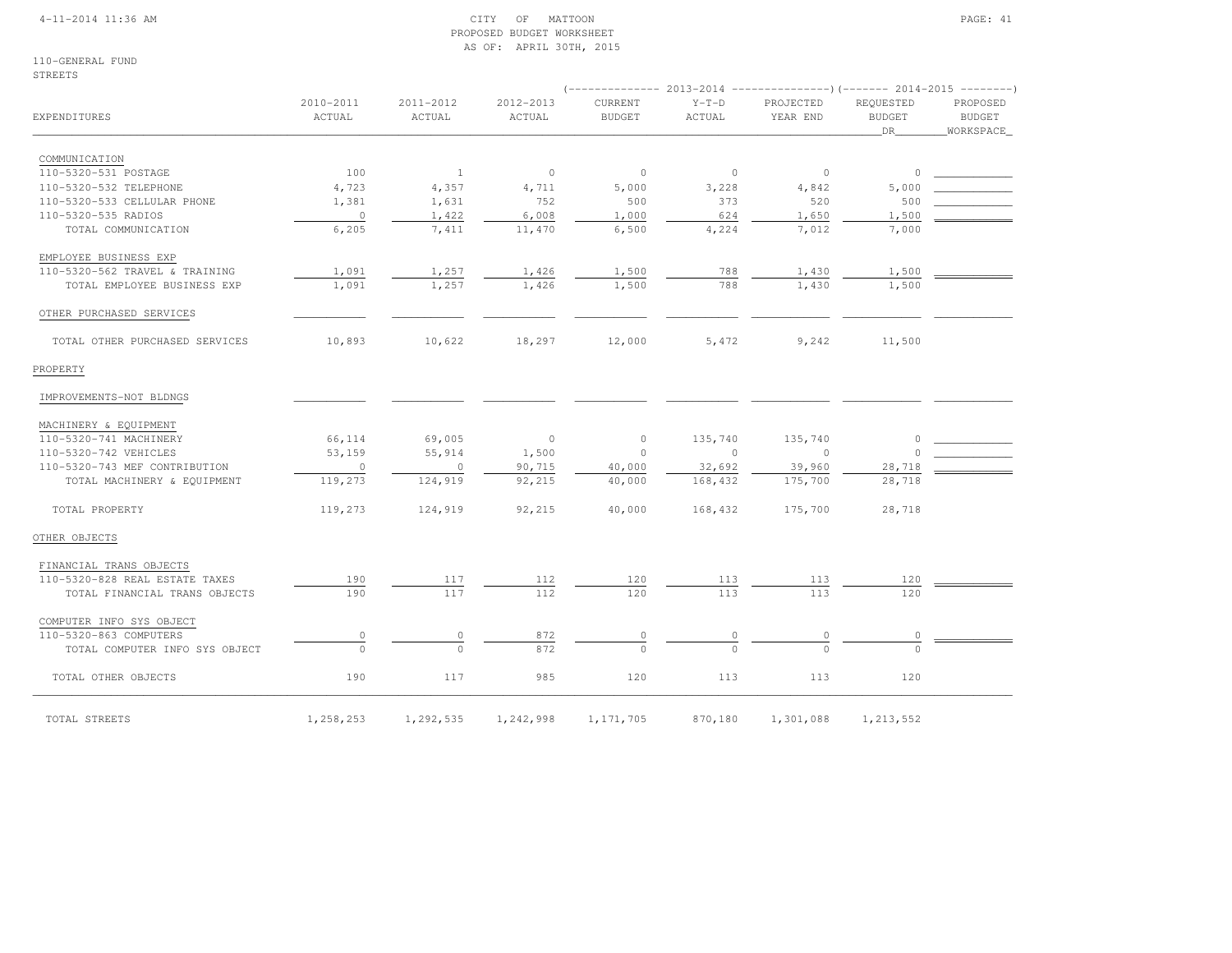### 4-11-2014 11:36 AM CITY OF MATTOON PAGE: 41 PROPOSED BUDGET WORKSHEETAS OF: APRIL 30TH, 2015

110-GENERAL FUNDSTREETS

|                                |                     |                     |                     |                          |                   | (-------------- 2013-2014 -----------------) (------- 2014-2015 ---------) |                                  |                                 |
|--------------------------------|---------------------|---------------------|---------------------|--------------------------|-------------------|----------------------------------------------------------------------------|----------------------------------|---------------------------------|
| EXPENDITURES                   | 2010-2011<br>ACTUAL | 2011-2012<br>ACTUAL | 2012-2013<br>ACTUAL | CURRENT<br><b>BUDGET</b> | $Y-T-D$<br>ACTUAL | PROJECTED<br>YEAR END                                                      | REQUESTED<br><b>BUDGET</b><br>DR | PROPOSED<br>BUDGET<br>WORKSPACE |
| COMMUNICATION                  |                     |                     |                     |                          |                   |                                                                            |                                  |                                 |
| 110-5320-531 POSTAGE           | 100                 | <sup>1</sup>        | $\circ$             | $\circ$                  | $\circ$           | $\circ$                                                                    | $\circ$                          |                                 |
| 110-5320-532 TELEPHONE         | 4,723               | 4,357               | 4,711               | 5,000                    | 3,228             | 4,842                                                                      | 5,000                            |                                 |
| 110-5320-533 CELLULAR PHONE    | 1,381               | 1,631               | 752                 | 500                      | 373               | 520                                                                        | 500                              |                                 |
| 110-5320-535 RADIOS            | $\circ$             | 1,422               | 6,008               | 1,000                    | 624               | 1,650                                                                      | 1,500                            |                                 |
| TOTAL COMMUNICATION            | 6,205               | 7,411               | 11,470              | 6,500                    | 4,224             | 7,012                                                                      | 7,000                            |                                 |
| EMPLOYEE BUSINESS EXP          |                     |                     |                     |                          |                   |                                                                            |                                  |                                 |
| 110-5320-562 TRAVEL & TRAINING | 1,091               | 1,257               | 1,426               | 1,500                    | 788               | 1,430                                                                      | 1,500                            |                                 |
| TOTAL EMPLOYEE BUSINESS EXP    | 1,091               | 1,257               | 1,426               | 1,500                    | 788               | 1,430                                                                      | 1,500                            |                                 |
| OTHER PURCHASED SERVICES       |                     |                     |                     |                          |                   |                                                                            |                                  |                                 |
| TOTAL OTHER PURCHASED SERVICES | 10,893              | 10,622              | 18,297              | 12,000                   | 5,472             | 9,242                                                                      | 11,500                           |                                 |
| PROPERTY                       |                     |                     |                     |                          |                   |                                                                            |                                  |                                 |
| IMPROVEMENTS-NOT BLDNGS        |                     |                     |                     |                          |                   |                                                                            |                                  |                                 |
| MACHINERY & EQUIPMENT          |                     |                     |                     |                          |                   |                                                                            |                                  |                                 |
| 110-5320-741 MACHINERY         | 66,114              | 69,005              | $\circ$             | $\circ$                  | 135,740           | 135,740                                                                    | $\Omega$                         |                                 |
| 110-5320-742 VEHICLES          | 53,159              | 55,914              | 1,500               | $\Omega$                 | $\Omega$          | $\Omega$                                                                   |                                  |                                 |
| 110-5320-743 MEF CONTRIBUTION  | $\circ$             | $\circ$             | 90,715              | 40,000                   | 32,692            | 39,960                                                                     | 28,718                           |                                 |
| TOTAL MACHINERY & EQUIPMENT    | 119,273             | 124,919             | 92,215              | 40,000                   | 168,432           | 175,700                                                                    | 28,718                           |                                 |
| TOTAL PROPERTY                 | 119,273             | 124,919             | 92,215              | 40,000                   | 168,432           | 175,700                                                                    | 28,718                           |                                 |
| OTHER OBJECTS                  |                     |                     |                     |                          |                   |                                                                            |                                  |                                 |
| FINANCIAL TRANS OBJECTS        |                     |                     |                     |                          |                   |                                                                            |                                  |                                 |
| 110-5320-828 REAL ESTATE TAXES | 190                 | 117                 | 112                 | 120                      | 113               | 113                                                                        | 120                              |                                 |
| TOTAL FINANCIAL TRANS OBJECTS  | 190                 | 117                 | 112                 | 120                      | 113               | 113                                                                        | 120                              |                                 |
| COMPUTER INFO SYS OBJECT       |                     |                     |                     |                          |                   |                                                                            |                                  |                                 |
| 110-5320-863 COMPUTERS         | $\circ$             | 0                   | 872                 | 0                        |                   |                                                                            |                                  |                                 |
| TOTAL COMPUTER INFO SYS OBJECT | $\Omega$            | $\circ$             | 872                 | $\Omega$                 | $\cap$            |                                                                            | $\cap$                           |                                 |

TOTAL OTHER OBJECTS 190 117 985 120 113 113 120

TOTAL STREETS 1,258,253 1,292,535 1,242,998 1,171,705 870,180 1,301,088 1,213,552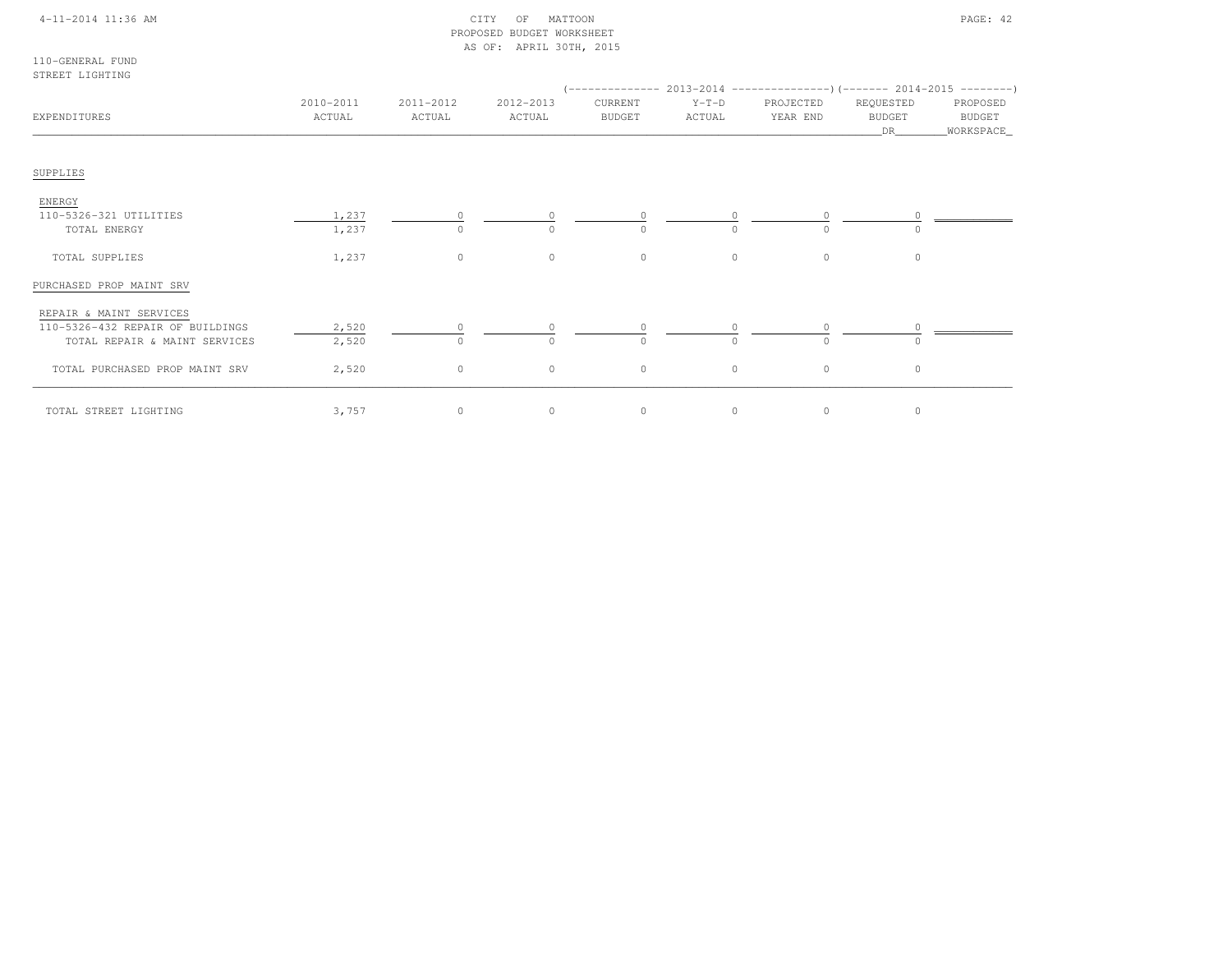## 4-11-2014 11:36 AM CITY OF MATTOON PAGE: 42 PROPOSED BUDGET WORKSHEETAS OF: APRIL 30TH, 2015

110-GENERAL FUNDSTREET LIGHTING

| EXPENDITURES                     | 2010-2011<br>ACTUAL | 2011-2012<br>ACTUAL | 2012-2013<br>ACTUAL | CURRENT<br><b>BUDGET</b> | $Y-T-D$<br>ACTUAL | $(-$ ------------- 2013-2014 -----------------) (------- 2014-2015 ---------)<br>PROJECTED<br>YEAR END | REQUESTED<br><b>BUDGET</b><br>DR | PROPOSED<br>BUDGET<br>_WORKSPACE_ |
|----------------------------------|---------------------|---------------------|---------------------|--------------------------|-------------------|--------------------------------------------------------------------------------------------------------|----------------------------------|-----------------------------------|
| SUPPLIES                         |                     |                     |                     |                          |                   |                                                                                                        |                                  |                                   |
| ENERGY                           |                     |                     |                     |                          |                   |                                                                                                        |                                  |                                   |
| 110-5326-321 UTILITIES           | 1,237               |                     |                     |                          | $\circ$           |                                                                                                        |                                  |                                   |
| TOTAL ENERGY                     | 1,237               | $\Omega$            | $\Omega$            | $\Omega$                 | $\Omega$          | $\cap$                                                                                                 |                                  |                                   |
| TOTAL SUPPLIES                   | 1,237               | $\circ$             | $\circ$             | $\circ$                  | $\circ$           | $\circ$                                                                                                | $\circ$                          |                                   |
| PURCHASED PROP MAINT SRV         |                     |                     |                     |                          |                   |                                                                                                        |                                  |                                   |
| REPAIR & MAINT SERVICES          |                     |                     |                     |                          |                   |                                                                                                        |                                  |                                   |
| 110-5326-432 REPAIR OF BUILDINGS | 2,520               |                     |                     |                          |                   |                                                                                                        |                                  |                                   |
| TOTAL REPAIR & MAINT SERVICES    | 2,520               | $\Omega$            | $\Omega$            | $\Omega$                 | $\Omega$          |                                                                                                        |                                  |                                   |
| TOTAL PURCHASED PROP MAINT SRV   | 2,520               | $\circ$             | $\circ$             | $\circ$                  | $\circ$           | $\circ$                                                                                                | $\circ$                          |                                   |
| TOTAL STREET LIGHTING            | 3,757               | $\circ$             | $\circ$             | $\circ$                  | $\circ$           | $\circ$                                                                                                | 0                                |                                   |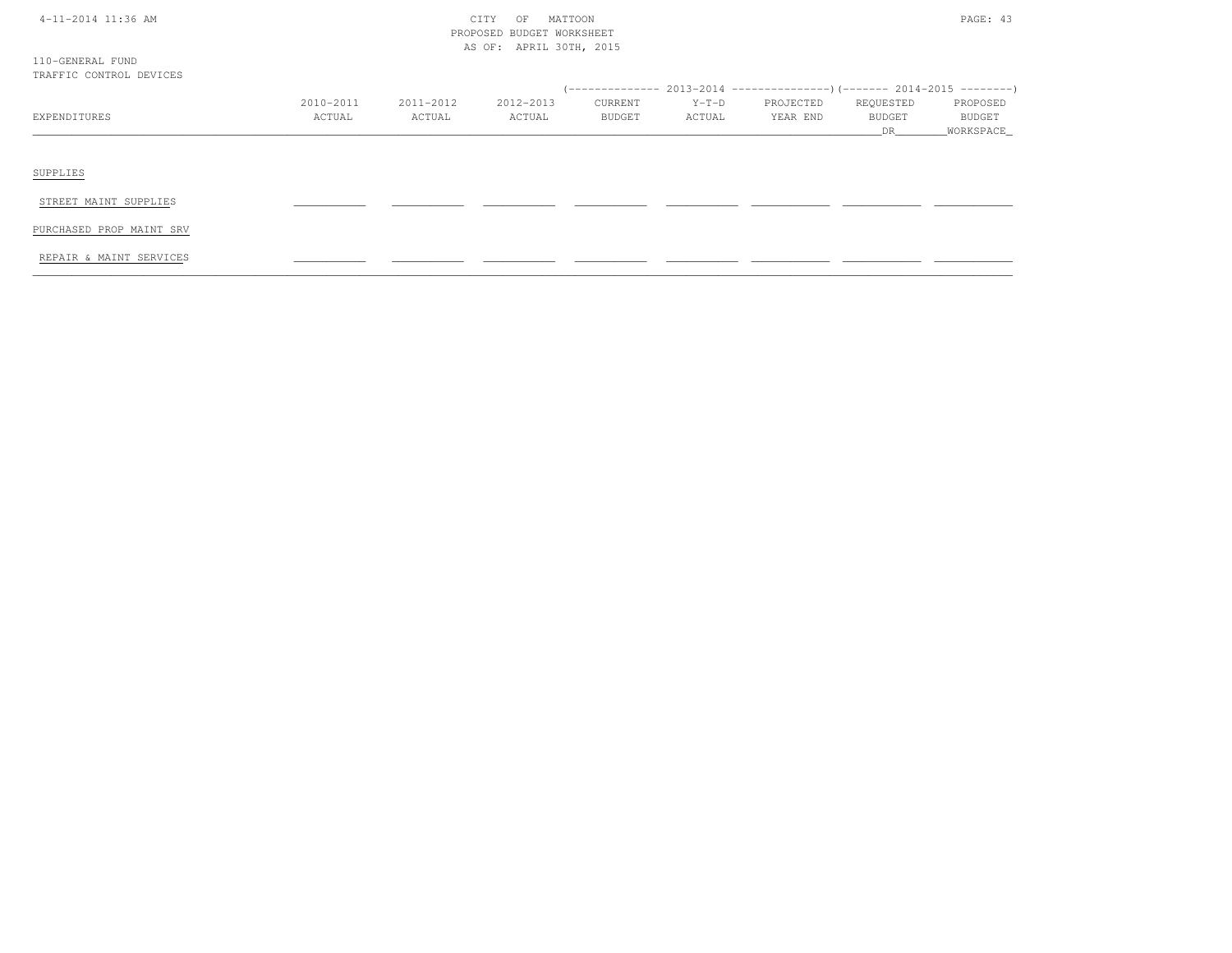|  |  | 4-11-2014 11:36 AM |  |  |
|--|--|--------------------|--|--|
|--|--|--------------------|--|--|

# CITY OF MATTOON PAGE: 43 PROPOSED BUDGET WORKSHEETAS OF: APRIL 30TH, 2015

| 110-GENERAL FUND        |  |  |
|-------------------------|--|--|
| TRAFFIC CONTROL DEVICES |  |  |

|              |           |           |           |               |         | $2013-2014$ ----------------) (------- 2014-2015 ---------) |               |               |
|--------------|-----------|-----------|-----------|---------------|---------|-------------------------------------------------------------|---------------|---------------|
|              | 2010-2011 | 2011-2012 | 2012-2013 | CURRENT       | $Y-T-D$ | PROJECTED                                                   | REQUESTED     | PROPOSED      |
| EXPENDITURES | ACTUAL    | ACTUAL    | ACTUAL    | <b>BUDGET</b> | ACTUAL  | YEAR END                                                    | <b>BUDGET</b> | <b>BUDGET</b> |
|              |           |           |           |               |         |                                                             |               | WORKSPACE     |
|              |           |           |           |               |         |                                                             |               |               |
|              |           |           |           |               |         |                                                             |               |               |

SUPPLIES

STREET MAINT SUPPLIES \_\_\_\_\_\_\_\_\_\_\_ \_\_\_\_\_\_\_\_\_\_\_ \_\_\_\_\_\_\_\_\_\_\_ \_\_\_\_\_\_\_\_\_\_\_ \_\_\_\_\_\_\_\_\_\_\_ \_\_\_\_\_\_\_\_\_\_\_\_ \_\_\_\_\_\_\_\_\_\_\_\_ \_\_\_\_\_\_\_\_\_\_\_\_

PURCHASED PROP MAINT SRV

REPAIR & MAINT SERVICES \_\_\_\_\_\_\_\_\_\_\_ \_\_\_\_\_\_\_\_\_\_\_ \_\_\_\_\_\_\_\_\_\_\_ \_\_\_\_\_\_\_\_\_\_\_ \_\_\_\_\_\_\_\_\_\_\_ \_\_\_\_\_\_\_\_\_\_\_\_ \_\_\_\_\_\_\_\_\_\_\_\_ \_\_\_\_\_\_\_\_\_\_\_\_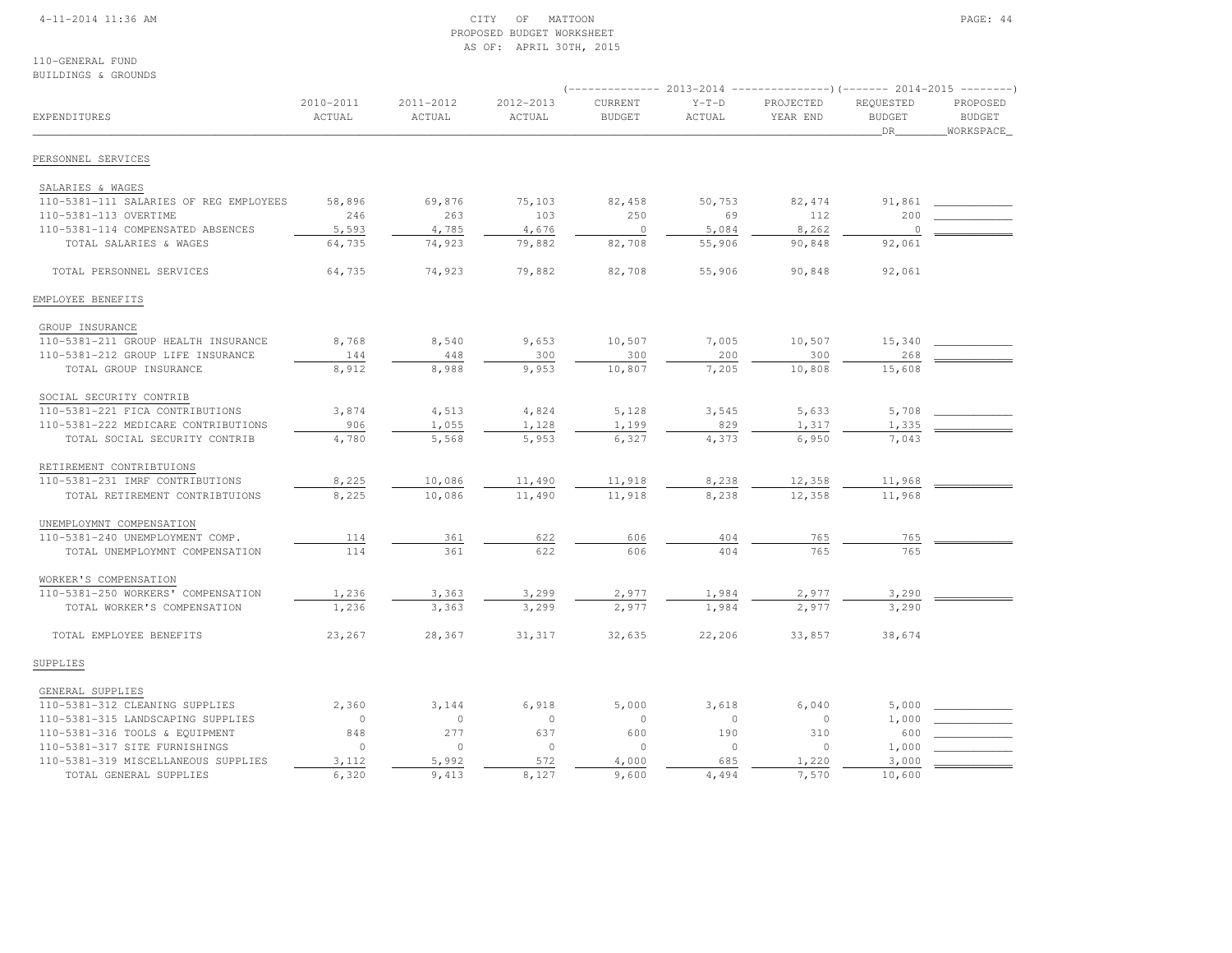### 4-11-2014 11:36 AM CITY OF MATTOON PAGE: 44 PROPOSED BUDGET WORKSHEETAS OF: APRIL 30TH, 2015

110-GENERAL FUNDBUILDINGS & GROUNDS

|                                        |                     |                     |                     |                          |                   | (-------------- 2013-2014 ----------------) (------- 2014-2015 ---------) |                                  |                                        |
|----------------------------------------|---------------------|---------------------|---------------------|--------------------------|-------------------|---------------------------------------------------------------------------|----------------------------------|----------------------------------------|
| EXPENDITURES                           | 2010-2011<br>ACTUAL | 2011-2012<br>ACTUAL | 2012-2013<br>ACTUAL | CURRENT<br><b>BUDGET</b> | $Y-T-D$<br>ACTUAL | PROJECTED<br>YEAR END                                                     | REQUESTED<br><b>BUDGET</b><br>DR | PROPOSED<br><b>BUDGET</b><br>WORKSPACE |
| PERSONNEL SERVICES                     |                     |                     |                     |                          |                   |                                                                           |                                  |                                        |
| SALARIES & WAGES                       |                     |                     |                     |                          |                   |                                                                           |                                  |                                        |
| 110-5381-111 SALARIES OF REG EMPLOYEES | 58,896              | 69,876              | 75,103              | 82,458                   | 50,753            | 82, 474                                                                   | 91,861                           |                                        |
| 110-5381-113 OVERTIME                  | 246                 | 263                 | 103                 | 250                      | 69                | 112                                                                       | 200                              |                                        |
| 110-5381-114 COMPENSATED ABSENCES      | 5,593               | 4,785               | 4,676               | $\circ$                  | 5,084             | 8,262                                                                     | $\circ$                          |                                        |
| TOTAL SALARIES & WAGES                 | 64,735              | 74,923              | 79,882              | 82,708                   | 55,906            | 90,848                                                                    | 92,061                           |                                        |
| TOTAL PERSONNEL SERVICES               | 64,735              | 74,923              | 79,882              | 82,708                   | 55,906            | 90,848                                                                    | 92,061                           |                                        |
| EMPLOYEE BENEFITS                      |                     |                     |                     |                          |                   |                                                                           |                                  |                                        |
| GROUP INSURANCE                        |                     |                     |                     |                          |                   |                                                                           |                                  |                                        |
| 110-5381-211 GROUP HEALTH INSURANCE    | 8,768               | 8,540               | 9,653               | 10,507                   | 7,005             | 10,507                                                                    | 15,340                           |                                        |
| 110-5381-212 GROUP LIFE INSURANCE      | 144                 | 448                 | 300                 | 300                      | 200               | 300                                                                       | 268                              |                                        |
| TOTAL GROUP INSURANCE                  | 8,912               | 8,988               | 9,953               | 10,807                   | 7,205             | 10,808                                                                    | 15,608                           |                                        |
| SOCIAL SECURITY CONTRIB                |                     |                     |                     |                          |                   |                                                                           |                                  |                                        |
| 110-5381-221 FICA CONTRIBUTIONS        | 3,874               | 4,513               | 4,824               | 5,128                    | 3,545             | 5,633                                                                     | 5,708                            |                                        |
| 110-5381-222 MEDICARE CONTRIBUTIONS    | 906                 | 1,055               | 1,128               | 1,199                    | 829               | 1,317                                                                     | 1,335                            |                                        |
| TOTAL SOCIAL SECURITY CONTRIB          | 4,780               | 5,568               | 5,953               | 6,327                    | 4,373             | 6,950                                                                     | 7,043                            |                                        |
| RETIREMENT CONTRIBTUIONS               |                     |                     |                     |                          |                   |                                                                           |                                  |                                        |
| 110-5381-231 IMRF CONTRIBUTIONS        | 8,225               | 10,086              | 11,490              | 11,918                   | 8,238             | 12,358                                                                    | 11,968                           |                                        |
| TOTAL RETIREMENT CONTRIBTUIONS         | 8,225               | 10,086              | 11,490              | 11,918                   | 8,238             | 12,358                                                                    | 11,968                           |                                        |
| UNEMPLOYMNT COMPENSATION               |                     |                     |                     |                          |                   |                                                                           |                                  |                                        |
| 110-5381-240 UNEMPLOYMENT COMP.        | 114                 | 361                 | 622                 | 606                      | 404               | 765                                                                       | 765                              |                                        |
| TOTAL UNEMPLOYMNT COMPENSATION         | 114                 | 361                 | 622                 | 606                      | 404               | 765                                                                       | 765                              |                                        |
| WORKER'S COMPENSATION                  |                     |                     |                     |                          |                   |                                                                           |                                  |                                        |
| 110-5381-250 WORKERS' COMPENSATION     | 1,236               | 3,363               | 3,299               | 2,977                    | 1,984             | 2,977                                                                     | 3,290                            |                                        |
| TOTAL WORKER'S COMPENSATION            | 1,236               | 3,363               | 3,299               | 2,977                    | 1,984             | 2,977                                                                     | 3,290                            |                                        |
| TOTAL EMPLOYEE BENEFITS                | 23,267              | 28,367              | 31,317              | 32,635                   | 22,206            | 33,857                                                                    | 38,674                           |                                        |
| SUPPLIES                               |                     |                     |                     |                          |                   |                                                                           |                                  |                                        |
| GENERAL SUPPLIES                       |                     |                     |                     |                          |                   |                                                                           |                                  |                                        |
| 110-5381-312 CLEANING SUPPLIES         | 2,360               | 3,144               | 6,918               | 5,000                    | 3,618             | 6,040                                                                     | 5,000                            |                                        |
| 110-5381-315 LANDSCAPING SUPPLIES      | $\circ$             | $\circ$             | $\circ$             | $\circ$                  | $\circ$           | $\overline{0}$                                                            | 1,000                            |                                        |
| 110-5381-316 TOOLS & EQUIPMENT         | 848                 | 277                 | 637                 | 600                      | 190               | 310                                                                       | 600                              |                                        |
| 110-5381-317 SITE FURNISHINGS          | $\circ$             | $\circ$             | $\circ$             | $\circ$                  | $\circ$           | $\Omega$                                                                  | 1,000                            |                                        |
| 110-5381-319 MISCELLANEOUS SUPPLIES    | 3,112               | 5,992               | 572                 | 4,000                    | 685               | 1,220                                                                     | 3,000                            |                                        |
| TOTAL GENERAL SUPPLIES                 | 6,320               | 9,413               | 8,127               | 9,600                    | 4,494             | 7.570                                                                     | 10,600                           |                                        |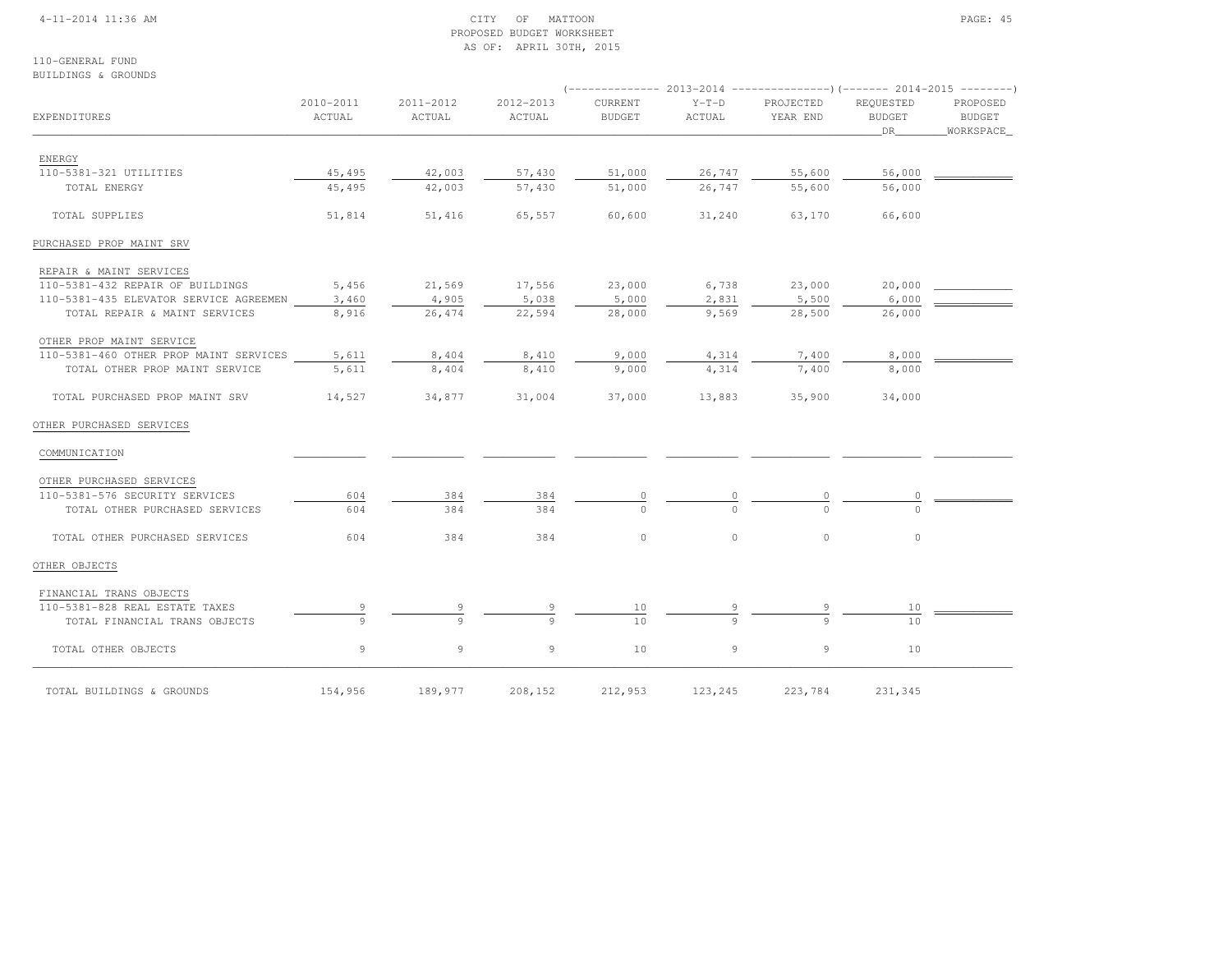### 4-11-2014 11:36 AM CITY OF MATTOON PAGE: 45 PROPOSED BUDGET WORKSHEETAS OF: APRIL 30TH, 2015

110-GENERAL FUNDBUILDINGS & GROUNDS

| EXPENDITURES                           | 2010-2011<br>ACTUAL | 2011-2012<br>ACTUAL | 2012-2013<br>ACTUAL | CURRENT<br><b>BUDGET</b> | $Y-T-D$<br>ACTUAL | PROJECTED<br>YEAR END | REQUESTED<br><b>BUDGET</b><br>DR | PROPOSED<br><b>BUDGET</b><br>_WORKSPACE_ |
|----------------------------------------|---------------------|---------------------|---------------------|--------------------------|-------------------|-----------------------|----------------------------------|------------------------------------------|
| ENERGY                                 |                     |                     |                     |                          |                   |                       |                                  |                                          |
| 110-5381-321 UTILITIES                 | 45,495              | 42,003              | 57,430              | 51,000                   | 26,747            | 55,600                | 56,000                           |                                          |
| TOTAL ENERGY                           | 45,495              | 42,003              | 57,430              | 51,000                   | 26,747            | 55,600                | 56,000                           |                                          |
| TOTAL SUPPLIES                         | 51,814              | 51,416              | 65,557              | 60,600                   | 31,240            | 63,170                | 66,600                           |                                          |
| PURCHASED PROP MAINT SRV               |                     |                     |                     |                          |                   |                       |                                  |                                          |
| REPAIR & MAINT SERVICES                |                     |                     |                     |                          |                   |                       |                                  |                                          |
| 110-5381-432 REPAIR OF BUILDINGS       | 5,456               | 21,569              | 17,556              | 23,000                   | 6,738             | 23,000                | 20,000                           |                                          |
| 110-5381-435 ELEVATOR SERVICE AGREEMEN | 3,460               | 4,905               | 5,038               | 5,000                    | 2,831             | 5,500                 | 6,000                            |                                          |
| TOTAL REPAIR & MAINT SERVICES          | 8,916               | 26,474              | 22,594              | 28,000                   | 9,569             | 28,500                | 26,000                           |                                          |
| OTHER PROP MAINT SERVICE               |                     |                     |                     |                          |                   |                       |                                  |                                          |
| 110-5381-460 OTHER PROP MAINT SERVICES | 5,611               | 8,404               | 8,410               | 9,000                    | 4,314             | 7,400                 | 8,000                            |                                          |
| TOTAL OTHER PROP MAINT SERVICE         | 5,611               | 8,404               | 8,410               | 9,000                    | 4,314             | 7,400                 | 8,000                            |                                          |
| TOTAL PURCHASED PROP MAINT SRV         | 14,527              | 34,877              | 31,004              | 37,000                   | 13,883            | 35,900                | 34,000                           |                                          |
| OTHER PURCHASED SERVICES               |                     |                     |                     |                          |                   |                       |                                  |                                          |
| COMMUNICATION                          |                     |                     |                     |                          |                   |                       |                                  |                                          |
| OTHER PURCHASED SERVICES               |                     |                     |                     |                          |                   |                       |                                  |                                          |
| 110-5381-576 SECURITY SERVICES         | 604                 | 384                 | 384                 |                          |                   |                       |                                  |                                          |
| TOTAL OTHER PURCHASED SERVICES         | 604                 | 384                 | 384                 | $\Omega$                 | $\cap$            | $\cap$                | $\cap$                           |                                          |
| TOTAL OTHER PURCHASED SERVICES         | 604                 | 384                 | 384                 | $\circ$                  | $\circ$           | $\circ$               | $\circ$                          |                                          |
| OTHER OBJECTS                          |                     |                     |                     |                          |                   |                       |                                  |                                          |
| FINANCIAL TRANS OBJECTS                |                     |                     |                     |                          |                   |                       |                                  |                                          |
| 110-5381-828 REAL ESTATE TAXES         | 9                   | 9                   | 9                   | 10                       |                   |                       | 10                               |                                          |
| TOTAL FINANCIAL TRANS OBJECTS          |                     |                     | $\mathsf Q$         | 10                       | $\alpha$          |                       | 10                               |                                          |
| TOTAL OTHER OBJECTS                    | 9                   | $\mathcal{G}$       | 9                   | 10                       | 9                 | 9                     | 10                               |                                          |
| TOTAL BUILDINGS & GROUNDS              | 154,956             | 189,977             | 208,152             | 212,953                  | 123,245           | 223,784               | 231,345                          |                                          |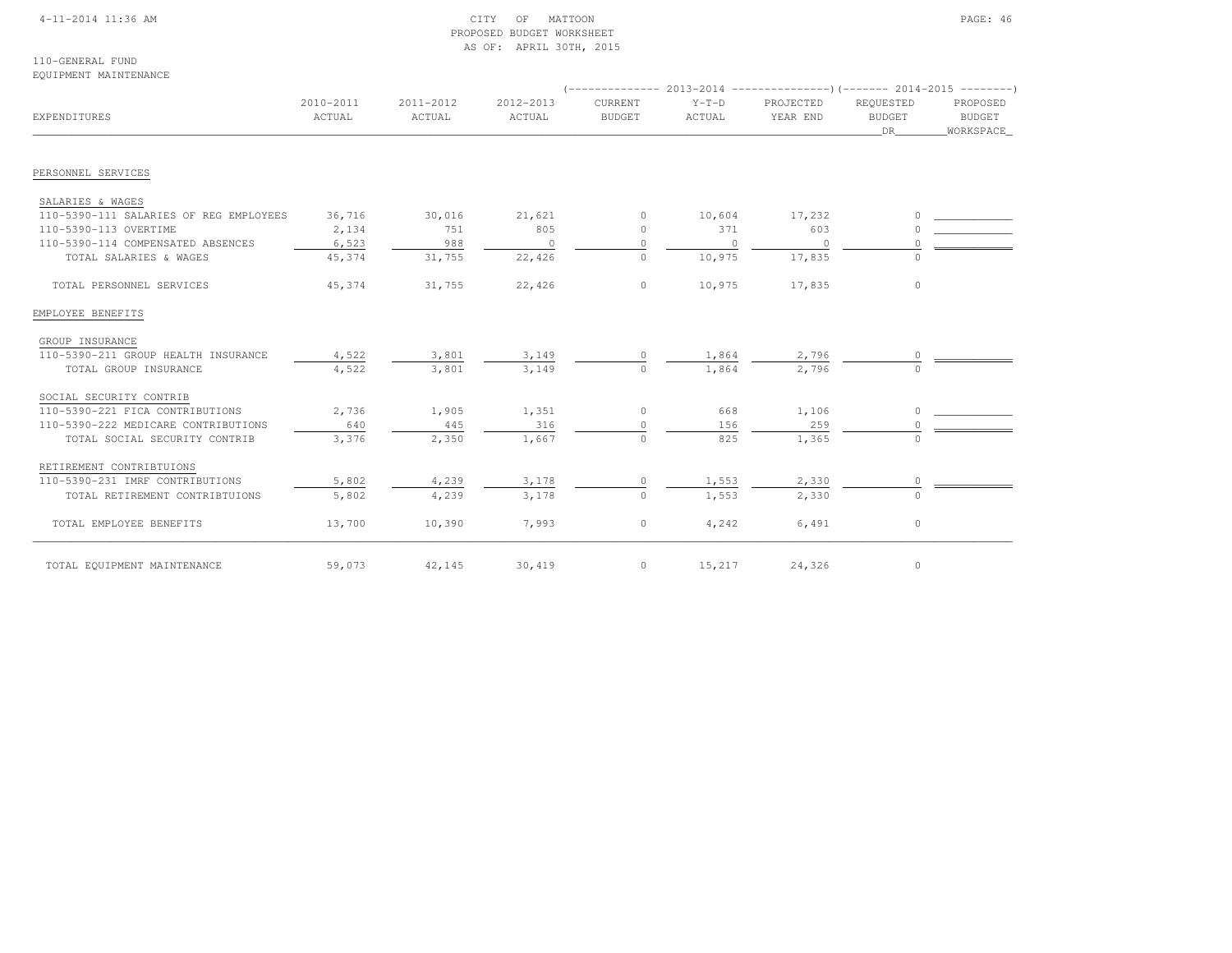### 4-11-2014 11:36 AM CITY OF MATTOON PAGE: 46 PROPOSED BUDGET WORKSHEETAS OF: APRIL 30TH, 2015

110-GENERAL FUNDEQUIPMENT MAINTENANCE

| EXPENDITURES                           | 2010-2011<br>ACTUAL | 2011-2012<br>ACTUAL | 2012-2013<br>ACTUAL | CURRENT<br><b>BUDGET</b> | $Y-T-D$<br>ACTUAL | PROJECTED<br>YEAR END | REQUESTED<br><b>BUDGET</b><br>DR | PROPOSED<br><b>BUDGET</b><br>WORKSPACE |
|----------------------------------------|---------------------|---------------------|---------------------|--------------------------|-------------------|-----------------------|----------------------------------|----------------------------------------|
| PERSONNEL SERVICES                     |                     |                     |                     |                          |                   |                       |                                  |                                        |
|                                        |                     |                     |                     |                          |                   |                       |                                  |                                        |
| SALARIES & WAGES                       |                     |                     |                     |                          |                   |                       |                                  |                                        |
| 110-5390-111 SALARIES OF REG EMPLOYEES | 36,716              | 30,016              | 21,621              | 0                        | 10,604            | 17,232                |                                  |                                        |
| 110-5390-113 OVERTIME                  | 2,134               | 751                 | 805                 | $\circ$                  | 371               | 603                   |                                  |                                        |
| 110-5390-114 COMPENSATED ABSENCES      | 6,523               | 988                 | $\circ$             | $\mathbf{0}$             | $\mathbf{0}$      | $\overline{0}$        |                                  |                                        |
| TOTAL SALARIES & WAGES                 | 45,374              | 31,755              | 22,426              | $\circ$                  | 10,975            | 17,835                | $\Omega$                         |                                        |
| TOTAL PERSONNEL SERVICES               | 45,374              | 31,755              | 22,426              | $\circ$                  | 10,975            | 17,835                | $\circ$                          |                                        |
| EMPLOYEE BENEFITS                      |                     |                     |                     |                          |                   |                       |                                  |                                        |
| GROUP INSURANCE                        |                     |                     |                     |                          |                   |                       |                                  |                                        |
| 110-5390-211 GROUP HEALTH INSURANCE    | 4,522               | 3,801               | 3,149               |                          | 1,864             | 2,796                 |                                  |                                        |
| TOTAL GROUP INSURANCE                  | 4,522               | 3,801               | 3,149               | $\circ$                  | 1,864             | 2,796                 | $\Omega$                         |                                        |
| SOCIAL SECURITY CONTRIB                |                     |                     |                     |                          |                   |                       |                                  |                                        |
| 110-5390-221 FICA CONTRIBUTIONS        | 2,736               | 1,905               | 1,351               | 0                        | 668               | 1,106                 | O.                               |                                        |
| 110-5390-222 MEDICARE CONTRIBUTIONS    | 640                 | 445                 | 316                 | $\circ$                  | 156               | 259                   |                                  |                                        |
| TOTAL SOCIAL SECURITY CONTRIB          | 3,376               | 2,350               | 1,667               | $\Omega$                 | 825               | 1,365                 | $\cap$                           |                                        |
| RETIREMENT CONTRIBTUIONS               |                     |                     |                     |                          |                   |                       |                                  |                                        |
| 110-5390-231 IMRF CONTRIBUTIONS        | 5,802               | 4,239               | 3,178               | $\circ$                  | 1,553             | 2,330                 | 0                                |                                        |
| TOTAL RETIREMENT CONTRIBTUIONS         | 5,802               | 4,239               | 3,178               | $\circ$                  | 1,553             | 2,330                 |                                  |                                        |
| TOTAL EMPLOYEE BENEFITS                | 13,700              | 10,390              | 7,993               | $\circ$                  | 4,242             | 6,491                 | 0                                |                                        |
| TOTAL EQUIPMENT MAINTENANCE            | 59,073              | 42,145              | 30,419              | $\circ$                  | 15,217            | 24,326                | $\circ$                          |                                        |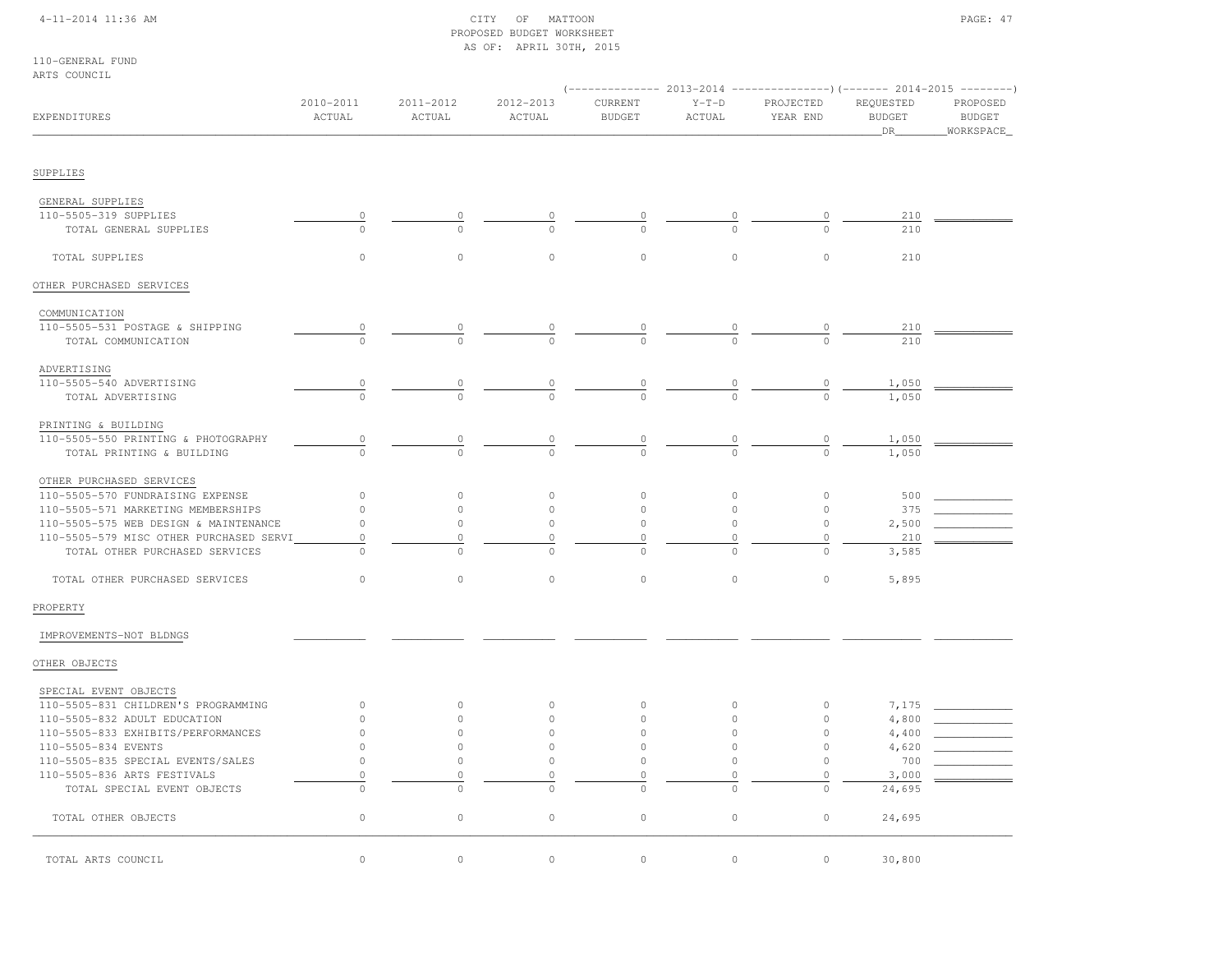## 4-11-2014 11:36 AM CITY OF MATTOON PAGE: 47 PROPOSED BUDGET WORKSHEETAS OF: APRIL 30TH, 2015

110-GENERAL FUNDARTS COUNCIL

| UNTA COOMCTE                            |                                       |                     |                     |                          |                   |                                                                                                   |                                   |                                         |
|-----------------------------------------|---------------------------------------|---------------------|---------------------|--------------------------|-------------------|---------------------------------------------------------------------------------------------------|-----------------------------------|-----------------------------------------|
| EXPENDITURES                            | 2010-2011<br>ACTUAL                   | 2011-2012<br>ACTUAL | 2012-2013<br>ACTUAL | CURRENT<br><b>BUDGET</b> | $Y-T-D$<br>ACTUAL | (-------------- 2013-2014 ----------------) (------- 2014-2015 --------)<br>PROJECTED<br>YEAR END | REQUESTED<br><b>BUDGET</b><br>DR_ | PROPOSED<br><b>BUDGET</b><br>WORKSPACE_ |
| SUPPLIES                                |                                       |                     |                     |                          |                   |                                                                                                   |                                   |                                         |
| GENERAL SUPPLIES                        |                                       |                     |                     |                          |                   |                                                                                                   |                                   |                                         |
| 110-5505-319 SUPPLIES                   | $\mathbb O$                           |                     |                     |                          |                   |                                                                                                   | 210                               |                                         |
| TOTAL GENERAL SUPPLIES                  | $\Omega$                              | $\Omega$            | $\Omega$            | $\Omega$                 |                   | $\Omega$                                                                                          | 210                               |                                         |
|                                         |                                       |                     |                     |                          |                   |                                                                                                   |                                   |                                         |
| TOTAL SUPPLIES                          | $\circ$                               | $\circ$             | $\circ$             | $\circ$                  | $\circ$           | $\circ$                                                                                           | 210                               |                                         |
| OTHER PURCHASED SERVICES                |                                       |                     |                     |                          |                   |                                                                                                   |                                   |                                         |
| COMMUNICATION                           |                                       |                     |                     |                          |                   |                                                                                                   |                                   |                                         |
| 110-5505-531 POSTAGE & SHIPPING         |                                       |                     |                     |                          |                   |                                                                                                   | 210                               |                                         |
| TOTAL COMMUNICATION                     | $\frac{0}{0}$                         | $\cap$              | $\frac{0}{0}$       | $\frac{0}{0}$            | $\frac{0}{0}$     | $\frac{0}{0}$                                                                                     | 210                               |                                         |
| ADVERTISING                             |                                       |                     |                     |                          |                   |                                                                                                   |                                   |                                         |
| 110-5505-540 ADVERTISING                | $\begin{array}{c} 0 \\ 0 \end{array}$ | $\overline{0}$      |                     |                          |                   |                                                                                                   | 1,050                             |                                         |
| TOTAL ADVERTISING                       | $\circ$                               |                     | $\frac{0}{0}$       |                          |                   |                                                                                                   | 1,050                             |                                         |
|                                         |                                       |                     |                     |                          |                   |                                                                                                   |                                   |                                         |
| PRINTING & BUILDING                     |                                       |                     |                     |                          |                   |                                                                                                   |                                   |                                         |
| 110-5505-550 PRINTING & PHOTOGRAPHY     | $\circ$                               | $\overline{0}$      | $\overline{0}$      | $\frac{0}{0}$            | $\frac{0}{0}$     | $\frac{0}{0}$                                                                                     | 1,050                             |                                         |
| TOTAL PRINTING & BUILDING               | $\Omega$                              |                     | $\Omega$            |                          |                   |                                                                                                   | 1,050                             |                                         |
| OTHER PURCHASED SERVICES                |                                       |                     |                     |                          |                   |                                                                                                   |                                   |                                         |
| 110-5505-570 FUNDRAISING EXPENSE        | $\circ$                               | $\circ$             | $\circ$             | $\circ$                  | $\circ$           | $\circ$                                                                                           | 500                               |                                         |
| 110-5505-571 MARKETING MEMBERSHIPS      | $\circ$                               | $\circ$             | 0                   | $\circ$                  | $\circ$           | $\circ$                                                                                           | 375                               |                                         |
| 110-5505-575 WEB DESIGN & MAINTENANCE   | $\circ$                               | $\circ$             | $\circ$             | $\circ$                  | $\circ$           | $\circ$                                                                                           | 2,500                             |                                         |
| 110-5505-579 MISC OTHER PURCHASED SERVI | $\circ$                               | $\circ$             | 0                   | $\circ$                  | $\mathbb O$       | $\circ$                                                                                           | 210                               |                                         |
| TOTAL OTHER PURCHASED SERVICES          | $\Omega$                              | $\bigcap$           | $\circ$             | $\Omega$                 | $\Omega$          | $\Omega$                                                                                          | 3,585                             |                                         |
| TOTAL OTHER PURCHASED SERVICES          | $\circ$                               | $\circ$             | $\circ$             | $\circ$                  | $\circ$           | $\circ$                                                                                           | 5,895                             |                                         |
| PROPERTY                                |                                       |                     |                     |                          |                   |                                                                                                   |                                   |                                         |
| IMPROVEMENTS-NOT BLDNGS                 |                                       |                     |                     |                          |                   |                                                                                                   |                                   |                                         |
| OTHER OBJECTS                           |                                       |                     |                     |                          |                   |                                                                                                   |                                   |                                         |
| SPECIAL EVENT OBJECTS                   |                                       |                     |                     |                          |                   |                                                                                                   |                                   |                                         |
| 110-5505-831 CHILDREN'S PROGRAMMING     | $\circ$                               | $\circ$             | $\circ$             | $\circ$                  | $\circ$           | $\circ$                                                                                           | 7,175                             |                                         |
| 110-5505-832 ADULT EDUCATION            | $\circ$                               | $\circ$             | 0                   | $\mathbf{0}$             | $\circ$           | $\circ$                                                                                           | 4,800                             |                                         |
| 110-5505-833 EXHIBITS/PERFORMANCES      | $\circ$                               | $\circ$             | $\circ$             | $\mathbf{0}$             | $\circ$           | $\circ$                                                                                           | 4,400                             |                                         |
| 110-5505-834 EVENTS                     | $\circ$                               | $\circ$             | $\circ$             | $\circ$                  | $\circ$           | $\circ$                                                                                           | 4,620                             |                                         |
| 110-5505-835 SPECIAL EVENTS/SALES       | $\circ$                               | $\circ$             | $\circ$             | $\circ$                  | $\circ$           | $\circ$                                                                                           | 700                               |                                         |
| 110-5505-836 ARTS FESTIVALS             | $\mathbb O$                           | $\circ$             | 0                   | $\circ$                  | $\circ$           | $\circ$                                                                                           | 3,000                             |                                         |
| TOTAL SPECIAL EVENT OBJECTS             | $\mathbb O$                           | $\Omega$            | $\circ$             | $\circ$                  | $\Omega$          | $\circ$                                                                                           | 24,695                            |                                         |
| TOTAL OTHER OBJECTS                     | $\circ$                               | $\circ$             | $\circ$             | $\circ$                  | $\circ$           | $\circ$                                                                                           | 24,695                            |                                         |
| TOTAL ARTS COUNCIL                      | $\circ$                               | $\circ$             | 0                   | $\circ$                  | $\circ$           | 0                                                                                                 | 30,800                            |                                         |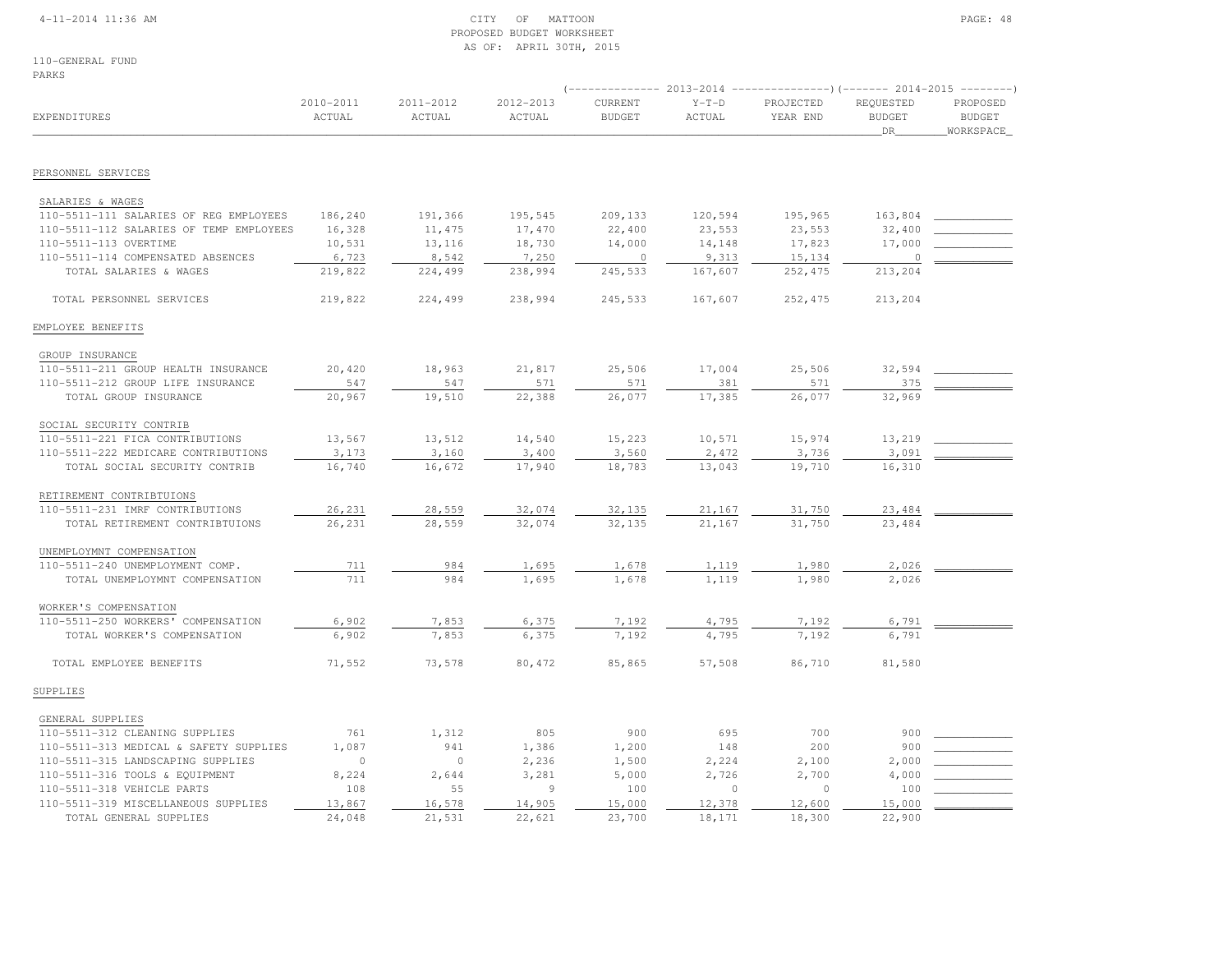### 4-11-2014 11:36 AM CITY OF MATTOON PAGE: 48 PROPOSED BUDGET WORKSHEETAS OF: APRIL 30TH, 2015

110-GENERAL FUNDPARKS

|                                         |                     |                     |                     |                          |                   |                       |                                  | (-------------- 2013-2014 -------------------- 2014-2015 ---------- ) |  |
|-----------------------------------------|---------------------|---------------------|---------------------|--------------------------|-------------------|-----------------------|----------------------------------|-----------------------------------------------------------------------|--|
| EXPENDITURES                            | 2010-2011<br>ACTUAL | 2011-2012<br>ACTUAL | 2012-2013<br>ACTUAL | CURRENT<br><b>BUDGET</b> | $Y-T-D$<br>ACTUAL | PROJECTED<br>YEAR END | REQUESTED<br><b>BUDGET</b><br>DR | PROPOSED<br><b>BUDGET</b><br>WORKSPACE                                |  |
| PERSONNEL SERVICES                      |                     |                     |                     |                          |                   |                       |                                  |                                                                       |  |
|                                         |                     |                     |                     |                          |                   |                       |                                  |                                                                       |  |
| SALARIES & WAGES                        |                     |                     |                     |                          |                   |                       |                                  |                                                                       |  |
| 110-5511-111 SALARIES OF REG EMPLOYEES  | 186,240             | 191,366             | 195,545             | 209,133                  | 120,594           | 195,965               | 163,804                          |                                                                       |  |
| 110-5511-112 SALARIES OF TEMP EMPLOYEES | 16,328              | 11,475              | 17,470              | 22,400                   | 23,553            | 23,553                | 32,400                           |                                                                       |  |
| 110-5511-113 OVERTIME                   | 10,531              | 13,116              | 18,730              | 14,000                   | 14,148            | 17,823                | 17,000                           |                                                                       |  |
| 110-5511-114 COMPENSATED ABSENCES       | 6,723               | 8,542               | 7,250               | $\overline{0}$           | 9,313             | 15,134                | $\Omega$                         |                                                                       |  |
| TOTAL SALARIES & WAGES                  | 219,822             | 224,499             | 238,994             | 245,533                  | 167,607           | 252,475               | 213,204                          |                                                                       |  |
| TOTAL PERSONNEL SERVICES                | 219,822             | 224,499             | 238,994             | 245,533                  | 167,607           | 252,475               | 213,204                          |                                                                       |  |
| EMPLOYEE BENEFITS                       |                     |                     |                     |                          |                   |                       |                                  |                                                                       |  |
| GROUP INSURANCE                         |                     |                     |                     |                          |                   |                       |                                  |                                                                       |  |
| 110-5511-211 GROUP HEALTH INSURANCE     | 20,420              | 18,963              | 21,817              | 25,506                   | 17,004            | 25,506                | 32,594                           |                                                                       |  |
| 110-5511-212 GROUP LIFE INSURANCE       | 547                 | 547                 | 571                 | 571                      | 381               | 571                   | 375                              |                                                                       |  |
| TOTAL GROUP INSURANCE                   | 20,967              | 19,510              | 22,388              | 26,077                   | 17,385            | 26,077                | 32,969                           |                                                                       |  |
| SOCIAL SECURITY CONTRIB                 |                     |                     |                     |                          |                   |                       |                                  |                                                                       |  |
| 110-5511-221 FICA CONTRIBUTIONS         | 13,567              | 13,512              | 14,540              | 15,223                   | 10,571            | 15,974                | 13,219                           |                                                                       |  |
| 110-5511-222 MEDICARE CONTRIBUTIONS     | 3,173               | 3,160               | 3,400               | 3,560                    | 2,472             | 3,736                 | 3,091                            |                                                                       |  |
| TOTAL SOCIAL SECURITY CONTRIB           | 16,740              | 16,672              | 17,940              | 18,783                   | 13,043            | 19,710                | 16,310                           |                                                                       |  |
| RETIREMENT CONTRIBTUIONS                |                     |                     |                     |                          |                   |                       |                                  |                                                                       |  |
| 110-5511-231 IMRF CONTRIBUTIONS         | 26,231              | 28,559              | 32,074              | 32,135                   | 21,167            | 31,750                | 23,484                           |                                                                       |  |
| TOTAL RETIREMENT CONTRIBTUIONS          | 26,231              | 28,559              | 32,074              | 32,135                   | 21,167            | 31,750                | 23,484                           |                                                                       |  |
| UNEMPLOYMNT COMPENSATION                |                     |                     |                     |                          |                   |                       |                                  |                                                                       |  |
| 110-5511-240 UNEMPLOYMENT COMP.         | 711                 | 984                 | 1,695               | 1,678                    | 1,119             | 1,980                 | 2,026                            |                                                                       |  |
| TOTAL UNEMPLOYMNT COMPENSATION          | 711                 | 984                 | 1,695               | 1,678                    | 1,119             | 1,980                 | 2,026                            |                                                                       |  |
| WORKER'S COMPENSATION                   |                     |                     |                     |                          |                   |                       |                                  |                                                                       |  |
| 110-5511-250 WORKERS' COMPENSATION      | 6,902               | 7,853               | 6,375               | 7,192                    | 4,795             | 7,192                 | 6,791                            |                                                                       |  |
| TOTAL WORKER'S COMPENSATION             | 6,902               | 7,853               | 6,375               | 7,192                    | 4,795             | 7,192                 | 6,791                            |                                                                       |  |
| TOTAL EMPLOYEE BENEFITS                 | 71,552              | 73,578              | 80,472              | 85,865                   | 57,508            | 86,710                | 81,580                           |                                                                       |  |
| SUPPLIES                                |                     |                     |                     |                          |                   |                       |                                  |                                                                       |  |
| GENERAL SUPPLIES                        |                     |                     |                     |                          |                   |                       |                                  |                                                                       |  |
| 110-5511-312 CLEANING SUPPLIES          | 761                 | 1,312               | 805                 | 900                      | 695               | 700                   | 900                              |                                                                       |  |
| 110-5511-313 MEDICAL & SAFETY SUPPLIES  | 1,087               | 941                 | 1,386               | 1,200                    | 148               | 200                   | 900                              |                                                                       |  |
| 110-5511-315 LANDSCAPING SUPPLIES       | $\circ$             | $\circ$             | 2,236               | 1,500                    | 2,224             | 2,100                 | 2,000                            |                                                                       |  |
| 110-5511-316 TOOLS & EQUIPMENT          | 8,224               | 2,644               | 3,281               | 5,000                    | 2,726             | 2,700                 | 4,000                            |                                                                       |  |
| 110-5511-318 VEHICLE PARTS              | 108                 | 55                  | $\overline{9}$      | 100                      | $\circ$           | $\Omega$              | 100                              |                                                                       |  |
| 110-5511-319 MISCELLANEOUS SUPPLIES     | 13,867              | 16,578              | 14,905              | 15,000                   | 12,378            | 12,600                | 15,000                           |                                                                       |  |
| TOTAL GENERAL SUPPLIES                  | 24,048              | 21,531              | 22,621              | 23,700                   | 18,171            | 18,300                | 22,900                           |                                                                       |  |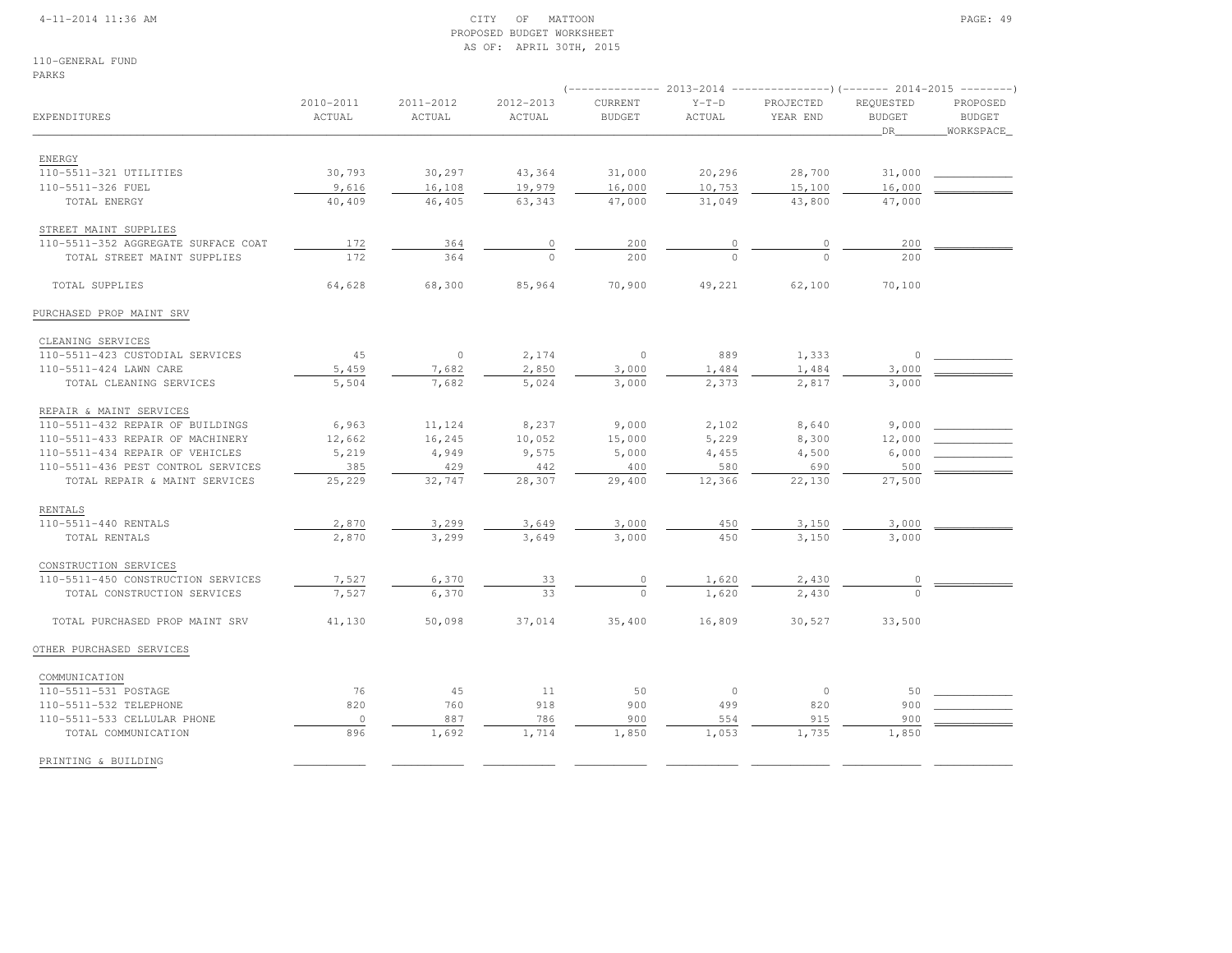### 4-11-2014 11:36 AM CITY OF MATTOON PAGE: 49 PROPOSED BUDGET WORKSHEETAS OF: APRIL 30TH, 2015

110-GENERAL FUNDPARKS

|                                     |                     |                     |                     |                          |                          | (-------------- 2013-2014 ----------------)(------- 2014-2015 --------) |                                         |                                        |
|-------------------------------------|---------------------|---------------------|---------------------|--------------------------|--------------------------|-------------------------------------------------------------------------|-----------------------------------------|----------------------------------------|
| EXPENDITURES                        | 2010-2011<br>ACTUAL | 2011-2012<br>ACTUAL | 2012-2013<br>ACTUAL | CURRENT<br><b>BUDGET</b> | $\verb Y-T-D $<br>ACTUAL | PROJECTED<br>YEAR END                                                   | REQUESTED<br><b>BUDGET</b><br><b>DR</b> | PROPOSED<br><b>BUDGET</b><br>WORKSPACE |
| <b>ENERGY</b>                       |                     |                     |                     |                          |                          |                                                                         |                                         |                                        |
| 110-5511-321 UTILITIES              | 30,793              | 30,297              | 43,364              | 31,000                   | 20,296                   | 28,700                                                                  | 31,000                                  |                                        |
| 110-5511-326 FUEL                   | 9,616               | 16,108              | 19,979              | 16,000                   | 10,753                   | 15,100                                                                  | 16,000                                  |                                        |
| TOTAL ENERGY                        | 40,409              | 46,405              | 63,343              | 47,000                   | 31,049                   | 43,800                                                                  | 47,000                                  |                                        |
| STREET MAINT SUPPLIES               |                     |                     |                     |                          |                          |                                                                         |                                         |                                        |
| 110-5511-352 AGGREGATE SURFACE COAT | 172                 | 364                 | $\circ$             | 200                      |                          | 0                                                                       | 200                                     |                                        |
| TOTAL STREET MAINT SUPPLIES         | 172                 | 364                 | $\cap$              | 200                      |                          |                                                                         | 200                                     |                                        |
| TOTAL SUPPLIES                      | 64,628              | 68,300              | 85,964              | 70,900                   | 49,221                   | 62,100                                                                  | 70,100                                  |                                        |
| PURCHASED PROP MAINT SRV            |                     |                     |                     |                          |                          |                                                                         |                                         |                                        |
| CLEANING SERVICES                   |                     |                     |                     |                          |                          |                                                                         |                                         |                                        |
| 110-5511-423 CUSTODIAL SERVICES     | 45                  | $\circ$             | 2,174               | $\circ$                  | 889                      | 1,333                                                                   | $\circ$                                 |                                        |
| 110-5511-424 LAWN CARE              | 5,459               | 7,682               | 2,850               | 3,000                    | 1,484                    | 1,484                                                                   | 3,000                                   |                                        |
| TOTAL CLEANING SERVICES             | 5,504               | 7,682               | 5,024               | 3,000                    | 2,373                    | 2,817                                                                   | 3,000                                   |                                        |
| REPAIR & MAINT SERVICES             |                     |                     |                     |                          |                          |                                                                         |                                         |                                        |
| 110-5511-432 REPAIR OF BUILDINGS    | 6,963               | 11,124              | 8,237               | 9,000                    | 2,102                    | 8,640                                                                   | 9,000                                   |                                        |
| 110-5511-433 REPAIR OF MACHINERY    | 12,662              | 16,245              | 10,052              | 15,000                   | 5,229                    | 8,300                                                                   | 12,000                                  |                                        |
| 110-5511-434 REPAIR OF VEHICLES     | 5,219               | 4,949               | 9,575               | 5,000                    | 4,455                    | 4,500                                                                   | 6,000                                   |                                        |
| 110-5511-436 PEST CONTROL SERVICES  | 385                 | 429                 | 442                 | 400                      | 580                      | 690                                                                     | 500                                     |                                        |
| TOTAL REPAIR & MAINT SERVICES       | 25,229              | 32,747              | 28,307              | 29,400                   | 12,366                   | 22,130                                                                  | 27,500                                  |                                        |
| RENTALS                             |                     |                     |                     |                          |                          |                                                                         |                                         |                                        |
| 110-5511-440 RENTALS                | 2,870               | 3,299               | 3,649               | 3,000                    | 450                      | 3,150                                                                   | 3,000                                   |                                        |
| TOTAL RENTALS                       | 2,870               | 3,299               | 3,649               | 3,000                    | 450                      | 3,150                                                                   | 3,000                                   |                                        |
| CONSTRUCTION SERVICES               |                     |                     |                     |                          |                          |                                                                         |                                         |                                        |
| 110-5511-450 CONSTRUCTION SERVICES  | 7,527               | 6,370               | 33                  | $\mathbf 0$              | 1,620                    | 2,430                                                                   | 0                                       |                                        |
| TOTAL CONSTRUCTION SERVICES         | 7,527               | 6,370               | 33                  | $\Omega$                 | 1,620                    | 2,430                                                                   | $\Omega$                                |                                        |
| TOTAL PURCHASED PROP MAINT SRV      | 41,130              | 50,098              | 37,014              | 35,400                   | 16,809                   | 30,527                                                                  | 33,500                                  |                                        |
| OTHER PURCHASED SERVICES            |                     |                     |                     |                          |                          |                                                                         |                                         |                                        |
| COMMUNICATION                       |                     |                     |                     |                          |                          |                                                                         |                                         |                                        |
| 110-5511-531 POSTAGE                | 76                  | 45                  | 11                  | 50                       | $\circ$                  | $\circ$                                                                 | 50                                      |                                        |
| 110-5511-532 TELEPHONE              | 820                 | 760                 | 918                 | 900                      | 499                      | 820                                                                     | 900                                     |                                        |
| 110-5511-533 CELLULAR PHONE         | $\circ$             | 887                 | 786                 | 900                      | 554                      | 915                                                                     | 900                                     |                                        |
| TOTAL COMMUNICATION                 | 896                 | 1,692               | 1,714               | 1,850                    | 1,053                    | 1,735                                                                   | 1,850                                   |                                        |
| PRINTING & BUILDING                 |                     |                     |                     |                          |                          |                                                                         |                                         |                                        |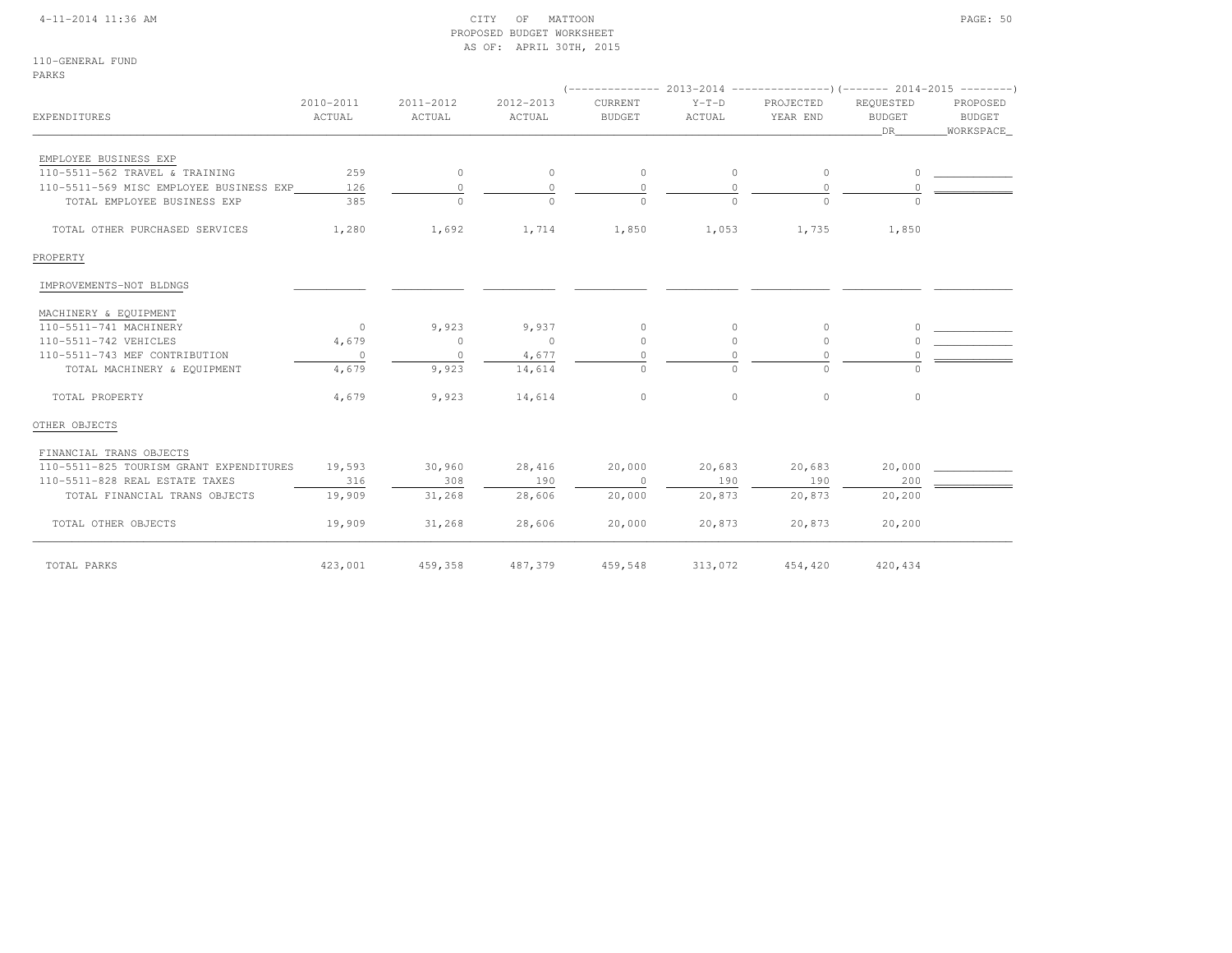|  | 4-11-2014 11:36 AM |
|--|--------------------|
|  |                    |

### $\begin{array}{ccc} \text{CITY} & \text{OF} & \text{MATION} \end{array}$  PROPOSED BUDGET WORKSHEETAS OF: APRIL 30TH, 2015

110-GENERAL FUNDPARKS

|                                         |                     |                     |                     |                          |                   |                       |                            |  | PROPOSED<br>BUDGET<br>DR<br>_WORKSPACE_ |  |  |
|-----------------------------------------|---------------------|---------------------|---------------------|--------------------------|-------------------|-----------------------|----------------------------|--|-----------------------------------------|--|--|
| EXPENDITURES                            | 2010-2011<br>ACTUAL | 2011-2012<br>ACTUAL | 2012-2013<br>ACTUAL | CURRENT<br><b>BUDGET</b> | $Y-T-D$<br>ACTUAL | PROJECTED<br>YEAR END | REOUESTED<br><b>BUDGET</b> |  |                                         |  |  |
| EMPLOYEE BUSINESS EXP                   |                     |                     |                     |                          |                   |                       |                            |  |                                         |  |  |
| 110-5511-562 TRAVEL & TRAINING          | 259                 | $\circ$             | $\circ$             | $\circ$                  | $\circ$           | $\circ$               | $\circ$                    |  |                                         |  |  |
| 110-5511-569 MISC EMPLOYEE BUSINESS EXP | 126                 | $\circ$             | $\Omega$            | $\circ$                  | $\Omega$          | $\Omega$              |                            |  |                                         |  |  |
| TOTAL EMPLOYEE BUSINESS EXP             | 385                 | $\circ$             | $\cap$              | $\Omega$                 | $\Omega$          | $\Omega$              |                            |  |                                         |  |  |
| TOTAL OTHER PURCHASED SERVICES          | 1,280               | 1,692               | 1,714               | 1,850                    | 1,053             | 1,735                 | 1,850                      |  |                                         |  |  |
| PROPERTY                                |                     |                     |                     |                          |                   |                       |                            |  |                                         |  |  |
| IMPROVEMENTS-NOT BLDNGS                 |                     |                     |                     |                          |                   |                       |                            |  |                                         |  |  |
| MACHINERY & EQUIPMENT                   |                     |                     |                     |                          |                   |                       |                            |  |                                         |  |  |
| 110-5511-741 MACHINERY                  | $\overline{0}$      | 9,923               | 9,937               | $\circ$                  | $\circ$           | 0                     |                            |  |                                         |  |  |
| 110-5511-742 VEHICLES                   | 4,679               | $\circ$             | $\sim$ 0            | $\circ$                  | $\circ$           | $\circ$               |                            |  |                                         |  |  |
| 110-5511-743 MEF CONTRIBUTION           | $\circ$             | $\circ$             | 4,677               | $\Omega$                 | $\Omega$          | $\Omega$              |                            |  |                                         |  |  |
| TOTAL MACHINERY & EQUIPMENT             | 4,679               | 9,923               | 14,614              | $\circ$                  | $\circ$           | $\circ$               | $\cap$                     |  |                                         |  |  |
| TOTAL PROPERTY                          | 4,679               | 9,923               | 14,614              | $\circ$                  | $\circ$           | $\circ$               | $\circ$                    |  |                                         |  |  |
| OTHER OBJECTS                           |                     |                     |                     |                          |                   |                       |                            |  |                                         |  |  |
| FINANCIAL TRANS OBJECTS                 |                     |                     |                     |                          |                   |                       |                            |  |                                         |  |  |
| 110-5511-825 TOURISM GRANT EXPENDITURES | 19,593              | 30,960              | 28,416              | 20,000                   | 20,683            | 20,683                | 20,000                     |  |                                         |  |  |
| 110-5511-828 REAL ESTATE TAXES          | 316                 | 308                 | 190                 | $\overline{0}$           | 190               | 190                   | 200                        |  |                                         |  |  |
| TOTAL FINANCIAL TRANS OBJECTS           | 19,909              | 31,268              | 28,606              | 20,000                   | 20,873            | 20,873                | 20,200                     |  |                                         |  |  |
| TOTAL OTHER OBJECTS                     | 19,909              | 31,268              | 28,606              | 20,000                   | 20,873            | 20,873                | 20,200                     |  |                                         |  |  |
| TOTAL PARKS                             | 423,001             | 459,358             | 487,379             | 459,548                  | 313,072           | 454,420               | 420,434                    |  |                                         |  |  |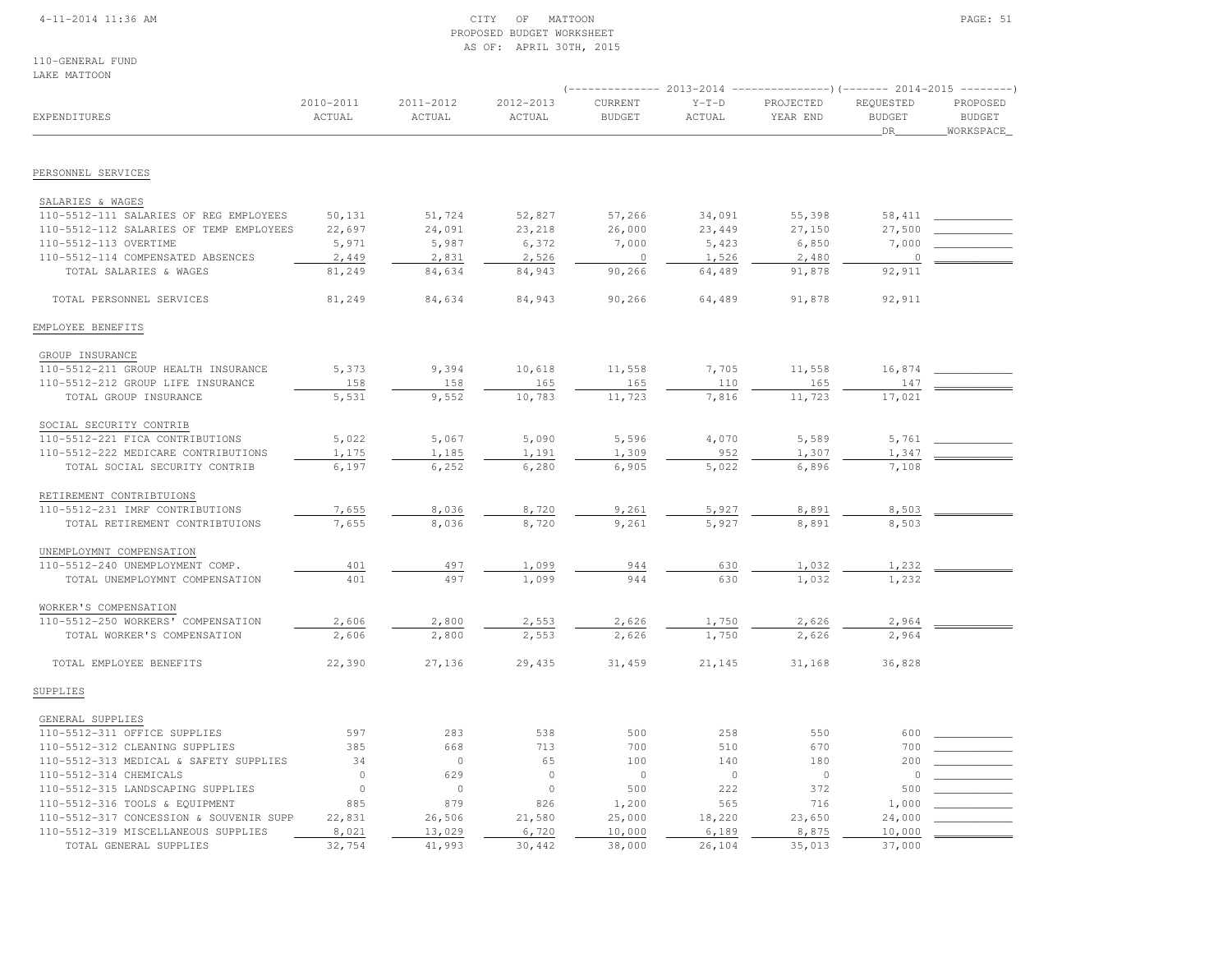### 4-11-2014 11:36 AM CITY OF MATTOON PAGE: 51 PROPOSED BUDGET WORKSHEETAS OF: APRIL 30TH, 2015

110-GENERAL FUNDLAKE MATTOON

| אוטט בבתו שתמש                          |                     |                         |                     |                          |                   | (-------------- 2013-2014 ----------------)(------- 2014-2015 --------) |                                  |                                        |
|-----------------------------------------|---------------------|-------------------------|---------------------|--------------------------|-------------------|-------------------------------------------------------------------------|----------------------------------|----------------------------------------|
| EXPENDITURES                            | 2010-2011<br>ACTUAL | $2011 - 2012$<br>ACTUAL | 2012-2013<br>ACTUAL | CURRENT<br><b>BUDGET</b> | $Y-T-D$<br>ACTUAL | PROJECTED<br>YEAR END                                                   | REQUESTED<br><b>BUDGET</b><br>DR | PROPOSED<br><b>BUDGET</b><br>WORKSPACE |
| PERSONNEL SERVICES                      |                     |                         |                     |                          |                   |                                                                         |                                  |                                        |
|                                         |                     |                         |                     |                          |                   |                                                                         |                                  |                                        |
| SALARIES & WAGES                        |                     |                         |                     |                          |                   |                                                                         |                                  |                                        |
| 110-5512-111 SALARIES OF REG EMPLOYEES  | 50,131              | 51,724                  | 52,827              | 57,266                   | 34,091            | 55,398                                                                  | 58,411                           |                                        |
| 110-5512-112 SALARIES OF TEMP EMPLOYEES | 22,697              | 24,091                  | 23,218              | 26,000                   | 23,449            | 27,150                                                                  | 27,500                           |                                        |
| 110-5512-113 OVERTIME                   | 5,971               | 5,987                   | 6,372               | 7,000                    | 5,423             | 6,850                                                                   | 7,000                            |                                        |
| 110-5512-114 COMPENSATED ABSENCES       | 2,449               | 2,831                   | 2,526               | $\overline{0}$           | 1,526             | 2,480                                                                   | $\circ$                          |                                        |
| TOTAL SALARIES & WAGES                  | 81,249              | 84,634                  | 84,943              | 90,266                   | 64,489            | 91,878                                                                  | 92,911                           |                                        |
| TOTAL PERSONNEL SERVICES                | 81,249              | 84,634                  | 84,943              | 90,266                   | 64,489            | 91,878                                                                  | 92,911                           |                                        |
| EMPLOYEE BENEFITS                       |                     |                         |                     |                          |                   |                                                                         |                                  |                                        |
| GROUP INSURANCE                         |                     |                         |                     |                          |                   |                                                                         |                                  |                                        |
| 110-5512-211 GROUP HEALTH INSURANCE     | 5,373               | 9,394                   | 10,618              | 11,558                   | 7,705             | 11,558                                                                  | 16,874                           |                                        |
| 110-5512-212 GROUP LIFE INSURANCE       | 158                 | 158                     | 165                 | 165                      | 110               | 165                                                                     | 147                              |                                        |
| TOTAL GROUP INSURANCE                   | 5,531               | 9,552                   | 10,783              | 11,723                   | 7,816             | 11,723                                                                  | 17,021                           |                                        |
| SOCIAL SECURITY CONTRIB                 |                     |                         |                     |                          |                   |                                                                         |                                  |                                        |
| 110-5512-221 FICA CONTRIBUTIONS         | 5,022               | 5,067                   | 5,090               | 5,596                    | 4,070             | 5,589                                                                   | 5,761                            |                                        |
| 110-5512-222 MEDICARE CONTRIBUTIONS     | 1,175               | 1,185                   | 1,191               | 1,309                    | 952               | 1,307                                                                   | 1,347                            |                                        |
| TOTAL SOCIAL SECURITY CONTRIB           | 6,197               | 6,252                   | 6,280               | 6,905                    | 5,022             | 6,896                                                                   | 7,108                            |                                        |
| RETIREMENT CONTRIBTUIONS                |                     |                         |                     |                          |                   |                                                                         |                                  |                                        |
| 110-5512-231 IMRF CONTRIBUTIONS         | 7,655               | 8,036                   | 8,720               | 9,261                    | 5,927             | 8,891                                                                   | 8,503                            |                                        |
| TOTAL RETIREMENT CONTRIBTUIONS          | 7,655               | 8,036                   | 8,720               | 9,261                    | 5,927             | 8,891                                                                   | 8,503                            |                                        |
| UNEMPLOYMNT COMPENSATION                |                     |                         |                     |                          |                   |                                                                         |                                  |                                        |
| 110-5512-240 UNEMPLOYMENT COMP.         | 401                 | 497                     | 1,099               | 944                      | 630               | 1,032                                                                   | 1,232                            |                                        |
| TOTAL UNEMPLOYMNT COMPENSATION          | 401                 | 497                     | 1,099               | 944                      | 630               | 1,032                                                                   | 1,232                            |                                        |
| WORKER'S COMPENSATION                   |                     |                         |                     |                          |                   |                                                                         |                                  |                                        |
| 110-5512-250 WORKERS' COMPENSATION      | 2,606               | 2,800                   | 2,553               | 2,626                    | 1,750             | 2,626                                                                   | 2,964                            |                                        |
| TOTAL WORKER'S COMPENSATION             | 2,606               | 2,800                   | 2,553               | 2,626                    | 1,750             | 2,626                                                                   | 2,964                            |                                        |
| TOTAL EMPLOYEE BENEFITS                 | 22,390              | 27,136                  | 29,435              | 31,459                   | 21,145            | 31,168                                                                  | 36,828                           |                                        |
| SUPPLIES                                |                     |                         |                     |                          |                   |                                                                         |                                  |                                        |
| GENERAL SUPPLIES                        |                     |                         |                     |                          |                   |                                                                         |                                  |                                        |
| 110-5512-311 OFFICE SUPPLIES            | 597                 | 283                     | 538                 | 500                      | 258               | 550                                                                     | 600                              |                                        |
| 110-5512-312 CLEANING SUPPLIES          | 385                 | 668                     | 713                 | 700                      | 510               | 670                                                                     | 700                              |                                        |
| 110-5512-313 MEDICAL & SAFETY SUPPLIES  | 34                  | $\circ$                 | 65                  | 100                      | 140               | 180                                                                     | 200                              |                                        |
| 110-5512-314 CHEMICALS                  | $\circ$             | 629                     | $\circ$             | $\circ$                  | $\circ$           | $\circ$                                                                 | $\circ$                          |                                        |
| 110-5512-315 LANDSCAPING SUPPLIES       | $\circ$             | $\circ$                 | $\circ$             | 500                      | 222               | 372                                                                     | 500                              |                                        |
| 110-5512-316 TOOLS & EQUIPMENT          | 885                 | 879                     | 826                 | 1,200                    | 565               | 716                                                                     | 1,000                            |                                        |
| 110-5512-317 CONCESSION & SOUVENIR SUPP | 22,831              | 26,506                  | 21,580              | 25,000                   | 18,220            | 23,650                                                                  | 24,000                           |                                        |
| 110-5512-319 MISCELLANEOUS SUPPLIES     | 8,021               | 13,029                  | 6,720               | 10,000                   | 6,189             | 8,875                                                                   | 10,000                           |                                        |
| TOTAL GENERAL SUPPLIES                  | 32,754              | 41,993                  | 30,442              | 38,000                   | 26,104            | 35,013                                                                  | 37,000                           |                                        |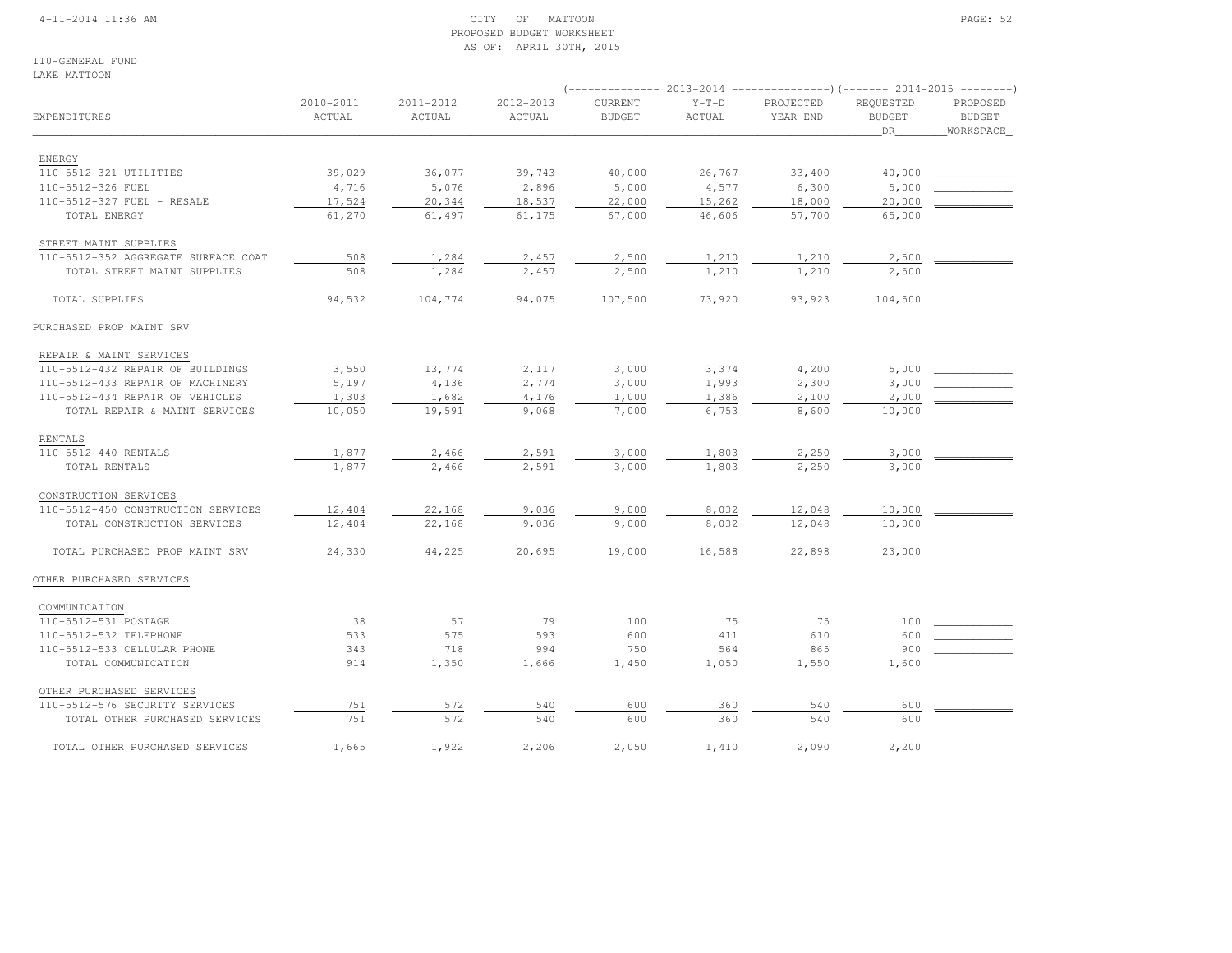### 4-11-2014 11:36 AM CITY OF MATTOON PAGE: 52 PROPOSED BUDGET WORKSHEETAS OF: APRIL 30TH, 2015

110-GENERAL FUNDLAKE MATTOON

|                                     |                     |                     |                     |                          | 2013-2014         | ----------------) (------- 2014-2015 |                                         | $----------$                           |
|-------------------------------------|---------------------|---------------------|---------------------|--------------------------|-------------------|--------------------------------------|-----------------------------------------|----------------------------------------|
| EXPENDITURES                        | 2010-2011<br>ACTUAL | 2011-2012<br>ACTUAL | 2012-2013<br>ACTUAL | CURRENT<br><b>BUDGET</b> | $Y-T-D$<br>ACTUAL | PROJECTED<br>YEAR END                | REQUESTED<br><b>BUDGET</b><br><b>DR</b> | PROPOSED<br><b>BUDGET</b><br>WORKSPACE |
|                                     |                     |                     |                     |                          |                   |                                      |                                         |                                        |
| ENERGY                              |                     |                     |                     |                          |                   |                                      |                                         |                                        |
| 110-5512-321 UTILITIES              | 39,029              | 36,077              | 39,743              | 40,000                   | 26,767            | 33,400                               | 40,000                                  |                                        |
| 110-5512-326 FUEL                   | 4,716               | 5,076               | 2,896               | 5,000                    | 4,577             | 6,300                                | 5,000                                   |                                        |
| 110-5512-327 FUEL - RESALE          | 17,524              | 20,344              | 18,537              | 22,000                   | 15,262            | 18,000                               | 20,000                                  |                                        |
| TOTAL ENERGY                        | 61,270              | 61,497              | 61,175              | 67,000                   | 46,606            | 57,700                               | 65,000                                  |                                        |
| STREET MAINT SUPPLIES               |                     |                     |                     |                          |                   |                                      |                                         |                                        |
| 110-5512-352 AGGREGATE SURFACE COAT | 508                 | 1,284               | 2,457               | 2,500                    | 1,210             | 1,210                                | 2,500                                   |                                        |
| TOTAL STREET MAINT SUPPLIES         | 508                 | 1,284               | 2,457               | 2,500                    | 1,210             | 1,210                                | 2,500                                   |                                        |
| TOTAL SUPPLIES                      | 94,532              | 104,774             | 94,075              | 107,500                  | 73,920            | 93,923                               | 104,500                                 |                                        |
| PURCHASED PROP MAINT SRV            |                     |                     |                     |                          |                   |                                      |                                         |                                        |
| REPAIR & MAINT SERVICES             |                     |                     |                     |                          |                   |                                      |                                         |                                        |
| 110-5512-432 REPAIR OF BUILDINGS    | 3,550               | 13,774              | 2,117               | 3,000                    | 3,374             | 4,200                                | 5,000                                   |                                        |
| 110-5512-433 REPAIR OF MACHINERY    | 5,197               | 4,136               | 2,774               | 3,000                    | 1,993             | 2,300                                | 3,000                                   |                                        |
| 110-5512-434 REPAIR OF VEHICLES     | 1,303               | 1,682               | 4,176               | 1,000                    | 1,386             | 2,100                                | 2,000                                   |                                        |
| TOTAL REPAIR & MAINT SERVICES       | 10,050              | 19,591              | 9,068               | 7,000                    | 6,753             | 8,600                                | 10,000                                  |                                        |
| RENTALS                             |                     |                     |                     |                          |                   |                                      |                                         |                                        |
| 110-5512-440 RENTALS                | 1,877               | 2,466               | 2,591               | 3,000                    | 1,803             | 2,250                                | 3,000                                   |                                        |
| TOTAL RENTALS                       | 1,877               | 2,466               | 2,591               | 3,000                    | 1,803             | 2,250                                | 3,000                                   |                                        |
| CONSTRUCTION SERVICES               |                     |                     |                     |                          |                   |                                      |                                         |                                        |
| 110-5512-450 CONSTRUCTION SERVICES  | 12,404              | 22,168              | 9,036               | 9,000                    | 8,032             | 12,048                               | 10,000                                  |                                        |
| TOTAL CONSTRUCTION SERVICES         | 12,404              | 22,168              | 9,036               | 9,000                    | 8,032             | 12,048                               | 10,000                                  |                                        |
|                                     |                     |                     |                     |                          |                   |                                      |                                         |                                        |
| TOTAL PURCHASED PROP MAINT SRV      | 24,330              | 44,225              | 20,695              | 19,000                   | 16,588            | 22,898                               | 23,000                                  |                                        |
| OTHER PURCHASED SERVICES            |                     |                     |                     |                          |                   |                                      |                                         |                                        |
| COMMUNICATION                       |                     |                     |                     |                          |                   |                                      |                                         |                                        |
| 110-5512-531 POSTAGE                | 38                  | 57                  | 79                  | 100                      | 75                | 75                                   | 100                                     |                                        |
| 110-5512-532 TELEPHONE              | 533                 | 575                 | 593                 | 600                      | 411               | 610                                  | 600                                     |                                        |
| 110-5512-533 CELLULAR PHONE         | 343                 | 718                 | 994                 | 750                      | 564               | 865                                  | 900                                     |                                        |
| TOTAL COMMUNICATION                 | 914                 | 1,350               | 1,666               | 1,450                    | 1,050             | 1,550                                | 1,600                                   |                                        |
| OTHER PURCHASED SERVICES            |                     |                     |                     |                          |                   |                                      |                                         |                                        |
| 110-5512-576 SECURITY SERVICES      | 751                 | 572                 | 540                 | 600                      | 360               | 540                                  | 600                                     |                                        |
| TOTAL OTHER PURCHASED SERVICES      | 751                 | 572                 | 540                 | 600                      | 360               | 540                                  | 600                                     |                                        |
| TOTAL OTHER PURCHASED SERVICES      | 1,665               | 1,922               | 2,206               | 2,050                    | 1,410             | 2,090                                | 2,200                                   |                                        |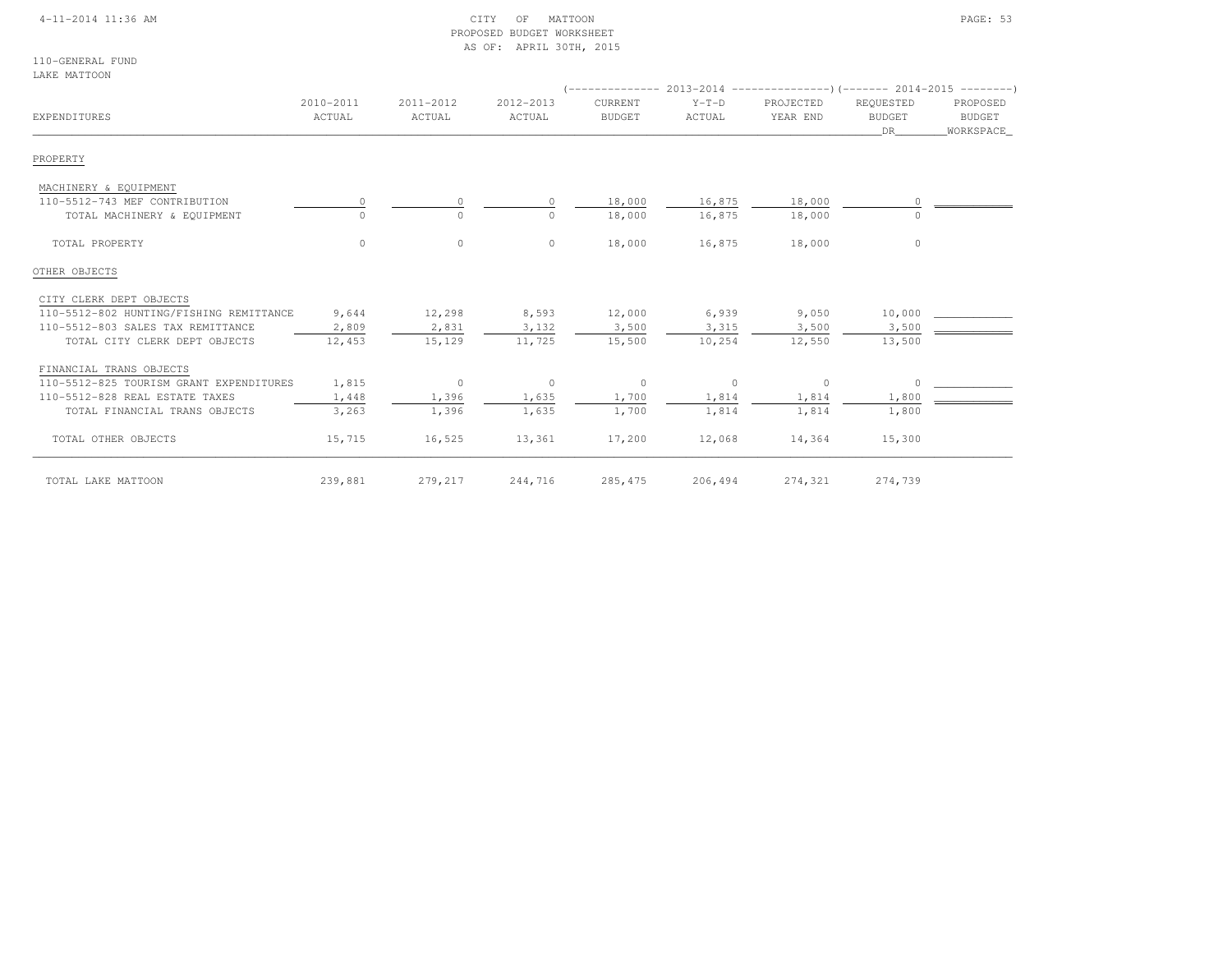### 4-11-2014 11:36 AM CITY OF MATTOON PAGE: 53 PROPOSED BUDGET WORKSHEETAS OF: APRIL 30TH, 2015

110-GENERAL FUNDLAKE MATTOON

| EXPENDITURES                            | 2010-2011<br>ACTUAL | 2011-2012<br>ACTUAL | 2012-2013<br>ACTUAL | CURRENT<br><b>BUDGET</b> | $Y-T-D$<br>ACTUAL | $($ -------------- 2013-2014 --------------------- $($ ------- 2014-2015 ---------)<br>PROJECTED<br>YEAR END | REQUESTED<br><b>BUDGET</b><br>DR. | PROPOSED<br><b>BUDGET</b><br>WORKSPACE |
|-----------------------------------------|---------------------|---------------------|---------------------|--------------------------|-------------------|--------------------------------------------------------------------------------------------------------------|-----------------------------------|----------------------------------------|
| PROPERTY                                |                     |                     |                     |                          |                   |                                                                                                              |                                   |                                        |
| MACHINERY & EQUIPMENT                   |                     |                     |                     |                          |                   |                                                                                                              |                                   |                                        |
| 110-5512-743 MEF CONTRIBUTION           |                     | $\circ$             |                     | 18,000                   | 16,875            | 18,000                                                                                                       |                                   |                                        |
| TOTAL MACHINERY & EQUIPMENT             |                     | $\Omega$            | $\Omega$            | 18,000                   | 16,875            | 18,000                                                                                                       |                                   |                                        |
| TOTAL PROPERTY                          | $\circ$             | $\circ$             | $\circ$             | 18,000                   | 16,875            | 18,000                                                                                                       | $\circ$                           |                                        |
| OTHER OBJECTS                           |                     |                     |                     |                          |                   |                                                                                                              |                                   |                                        |
| CITY CLERK DEPT OBJECTS                 |                     |                     |                     |                          |                   |                                                                                                              |                                   |                                        |
| 110-5512-802 HUNTING/FISHING REMITTANCE | 9,644               | 12,298              | 8,593               | 12,000                   | 6,939             | 9,050                                                                                                        | 10,000                            |                                        |
| 110-5512-803 SALES TAX REMITTANCE       | 2,809               | 2,831               | 3,132               | 3,500                    | 3,315             | 3,500                                                                                                        | 3,500                             |                                        |
| TOTAL CITY CLERK DEPT OBJECTS           | 12,453              | 15,129              | 11,725              | 15,500                   | 10,254            | 12,550                                                                                                       | 13,500                            |                                        |
| FINANCIAL TRANS OBJECTS                 |                     |                     |                     |                          |                   |                                                                                                              |                                   |                                        |
| 110-5512-825 TOURISM GRANT EXPENDITURES | 1,815               | $\circ$             | $\circ$             | $\circ$                  | $\circ$           | 0                                                                                                            | $\cap$                            |                                        |
| 110-5512-828 REAL ESTATE TAXES          | 1,448               | 1,396               | 1,635               | 1,700                    | 1,814             | 1,814                                                                                                        | 1,800                             |                                        |
| TOTAL FINANCIAL TRANS OBJECTS           | 3,263               | 1,396               | 1,635               | 1,700                    | 1,814             | 1,814                                                                                                        | 1,800                             |                                        |
| TOTAL OTHER OBJECTS                     | 15,715              | 16,525              | 13,361              | 17,200                   | 12,068            | 14,364                                                                                                       | 15,300                            |                                        |
| TOTAL LAKE MATTOON                      | 239,881             | 279,217             | 244,716             | 285, 475                 | 206,494           | 274,321                                                                                                      | 274,739                           |                                        |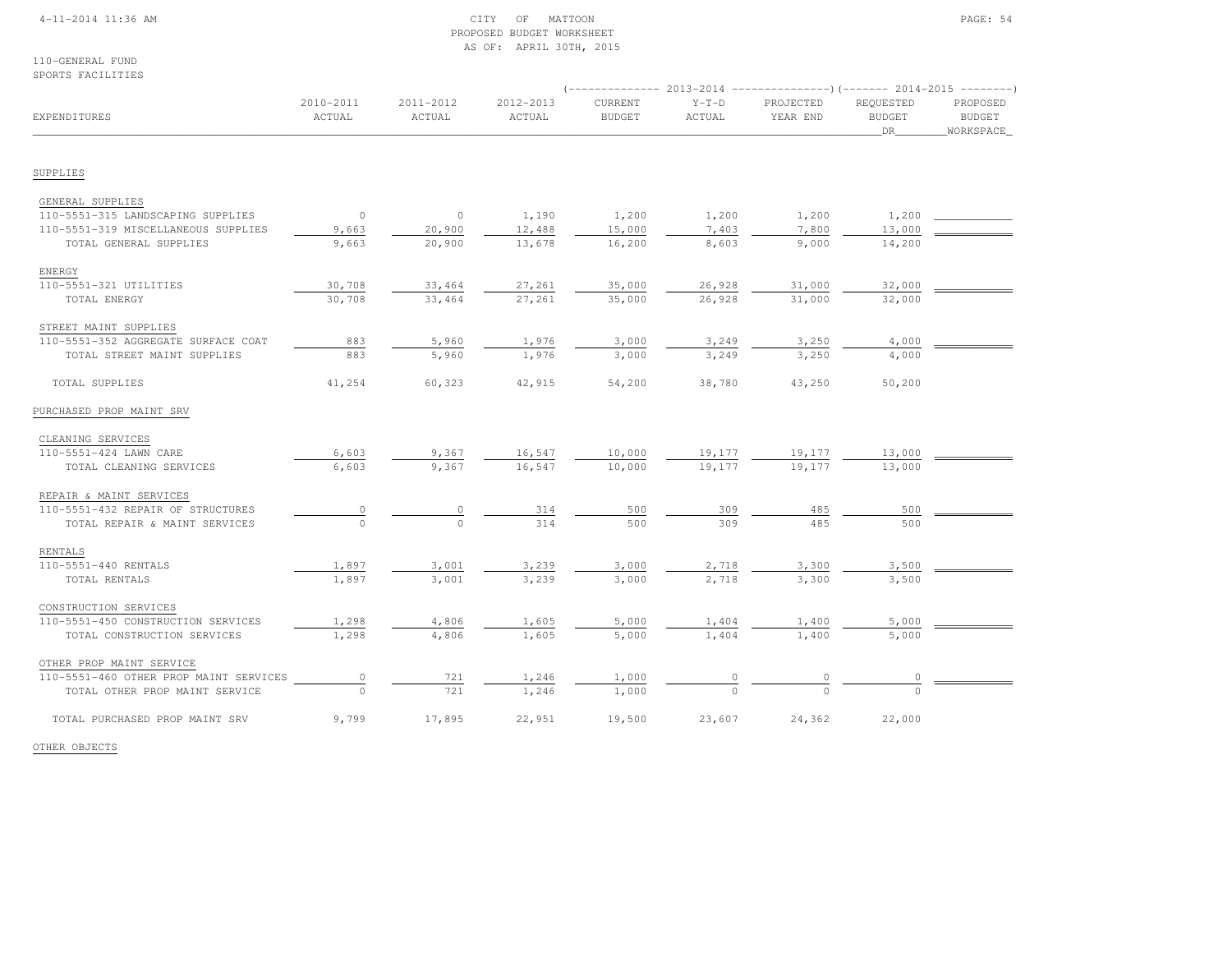### 4-11-2014 11:36 AM CITY OF MATTOON PAGE: 54 PROPOSED BUDGET WORKSHEETAS OF: APRIL 30TH, 2015

110-GENERAL FUNDSPORTS FACILITIES

|                                        |                     |                     |                     |                          |                   |                       |                                         | (-------------- 2013-2014 ----------------) (------- 2014-2015 -------- |  |
|----------------------------------------|---------------------|---------------------|---------------------|--------------------------|-------------------|-----------------------|-----------------------------------------|-------------------------------------------------------------------------|--|
| EXPENDITURES                           | 2010-2011<br>ACTUAL | 2011-2012<br>ACTUAL | 2012-2013<br>ACTUAL | CURRENT<br><b>BUDGET</b> | $Y-T-D$<br>ACTUAL | PROJECTED<br>YEAR END | <b>REOUESTED</b><br><b>BUDGET</b><br>DR | PROPOSED<br><b>BUDGET</b><br>WORKSPACE                                  |  |
|                                        |                     |                     |                     |                          |                   |                       |                                         |                                                                         |  |
| SUPPLIES                               |                     |                     |                     |                          |                   |                       |                                         |                                                                         |  |
| GENERAL SUPPLIES                       |                     |                     |                     |                          |                   |                       |                                         |                                                                         |  |
| 110-5551-315 LANDSCAPING SUPPLIES      | $\overline{0}$      | $\circ$             | 1,190               | 1,200                    | 1,200             | 1,200                 | 1,200                                   |                                                                         |  |
| 110-5551-319 MISCELLANEOUS SUPPLIES    | 9,663               | 20,900              | 12,488              | 15,000                   | 7,403             | 7,800                 | 13,000                                  |                                                                         |  |
| TOTAL GENERAL SUPPLIES                 | 9,663               | 20,900              | 13,678              | 16,200                   | 8,603             | 9,000                 | 14,200                                  |                                                                         |  |
| ENERGY                                 |                     |                     |                     |                          |                   |                       |                                         |                                                                         |  |
| 110-5551-321 UTILITIES                 | 30,708              | 33,464              | 27,261              | 35,000                   | 26,928            | 31,000                | 32,000                                  |                                                                         |  |
| TOTAL ENERGY                           | 30,708              | 33,464              | 27,261              | 35,000                   | 26,928            | 31,000                | 32,000                                  |                                                                         |  |
| STREET MAINT SUPPLIES                  |                     |                     |                     |                          |                   |                       |                                         |                                                                         |  |
| 110-5551-352 AGGREGATE SURFACE COAT    | 883                 | 5,960               | 1,976               | 3,000                    | 3,249             | 3,250                 | 4,000                                   |                                                                         |  |
| TOTAL STREET MAINT SUPPLIES            | 883                 | 5,960               | 1,976               | 3,000                    | 3,249             | 3,250                 | 4,000                                   |                                                                         |  |
| TOTAL SUPPLIES                         | 41,254              | 60,323              | 42,915              | 54,200                   | 38,780            | 43,250                | 50,200                                  |                                                                         |  |
| PURCHASED PROP MAINT SRV               |                     |                     |                     |                          |                   |                       |                                         |                                                                         |  |
| CLEANING SERVICES                      |                     |                     |                     |                          |                   |                       |                                         |                                                                         |  |
| 110-5551-424 LAWN CARE                 | 6,603               | 9,367               | 16,547              | 10,000                   | 19,177            | 19,177                | 13,000                                  |                                                                         |  |
| TOTAL CLEANING SERVICES                | 6,603               | 9,367               | 16,547              | 10,000                   | 19,177            | 19,177                | 13,000                                  |                                                                         |  |
| REPAIR & MAINT SERVICES                |                     |                     |                     |                          |                   |                       |                                         |                                                                         |  |
| 110-5551-432 REPAIR OF STRUCTURES      | $\circ$             |                     | 314                 | 500                      | 309               | 485                   | 500                                     |                                                                         |  |
| TOTAL REPAIR & MAINT SERVICES          | $\Omega$            | $\Omega$            | 314                 | 500                      | 309               | 485                   | 500                                     |                                                                         |  |
| RENTALS                                |                     |                     |                     |                          |                   |                       |                                         |                                                                         |  |
| 110-5551-440 RENTALS                   | 1,897               | 3,001               | 3,239               | 3,000                    | 2,718             | 3,300                 | 3,500                                   |                                                                         |  |
| TOTAL RENTALS                          | 1,897               | 3,001               | 3,239               | 3,000                    | 2,718             | 3,300                 | 3,500                                   |                                                                         |  |
| CONSTRUCTION SERVICES                  |                     |                     |                     |                          |                   |                       |                                         |                                                                         |  |
| 110-5551-450 CONSTRUCTION SERVICES     | 1,298               | 4,806               | 1,605               | 5,000                    | 1,404             | 1,400                 | 5,000                                   |                                                                         |  |
| TOTAL CONSTRUCTION SERVICES            | 1,298               | 4,806               | 1,605               | 5,000                    | 1,404             | 1,400                 | 5,000                                   |                                                                         |  |
| OTHER PROP MAINT SERVICE               |                     |                     |                     |                          |                   |                       |                                         |                                                                         |  |
| 110-5551-460 OTHER PROP MAINT SERVICES | $\circ$             | 721                 | 1,246               | 1,000                    | $\circ$           |                       |                                         |                                                                         |  |
| TOTAL OTHER PROP MAINT SERVICE         | $\cap$              | 721                 | 1,246               | 1,000                    | $\Omega$          | $\cap$                | $\cap$                                  |                                                                         |  |
| TOTAL PURCHASED PROP MAINT SRV         | 9,799               | 17,895              | 22,951              | 19,500                   | 23,607            | 24,362                | 22,000                                  |                                                                         |  |

OTHER OBJECTS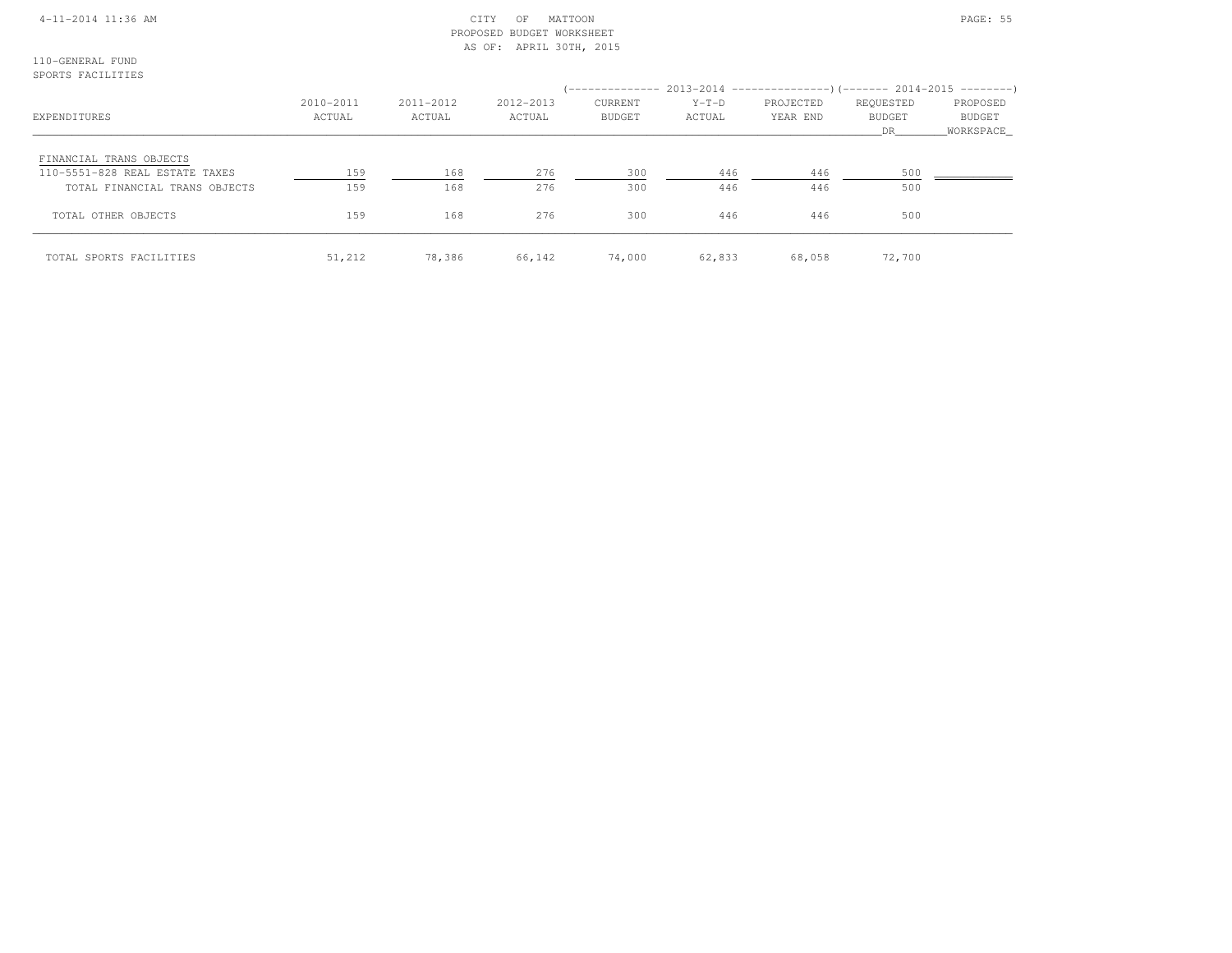### 4-11-2014 11:36 AM CITY OF MATTOON PAGE: 55 PROPOSED BUDGET WORKSHEETAS OF: APRIL 30TH, 2015

110-GENERAL FUNDSPORTS FACILITIES

|                                |           |           |           |               |         | (-------------- 2013-2014 --------------------- 2014-2015 ----------- ) |               |           |
|--------------------------------|-----------|-----------|-----------|---------------|---------|-------------------------------------------------------------------------|---------------|-----------|
|                                | 2010-2011 | 2011-2012 | 2012-2013 | CURRENT       | $Y-T-D$ | PROJECTED                                                               | REQUESTED     | PROPOSED  |
| EXPENDITURES                   | ACTUAL    | ACTUAL    | ACTUAL    | <b>BUDGET</b> | ACTUAL  | YEAR END                                                                | <b>BUDGET</b> | BUDGET    |
|                                |           |           |           |               |         |                                                                         | DR            | WORKSPACE |
| FINANCIAL TRANS OBJECTS        |           |           |           |               |         |                                                                         |               |           |
| 110-5551-828 REAL ESTATE TAXES | 159       | 168       | 276       | 300           | 446     | 446                                                                     | 500           |           |
| TOTAL FINANCIAL TRANS OBJECTS  | 159       | 168       | 276       | 300           | 446     | 446                                                                     | 500           |           |
| TOTAL OTHER OBJECTS            | 159       | 168       | 276       | 300           | 446     | 446                                                                     | 500           |           |
| TOTAL SPORTS FACILITIES        | 51,212    | 78,386    | 66,142    | 74,000        | 62,833  | 68,058                                                                  | 72,700        |           |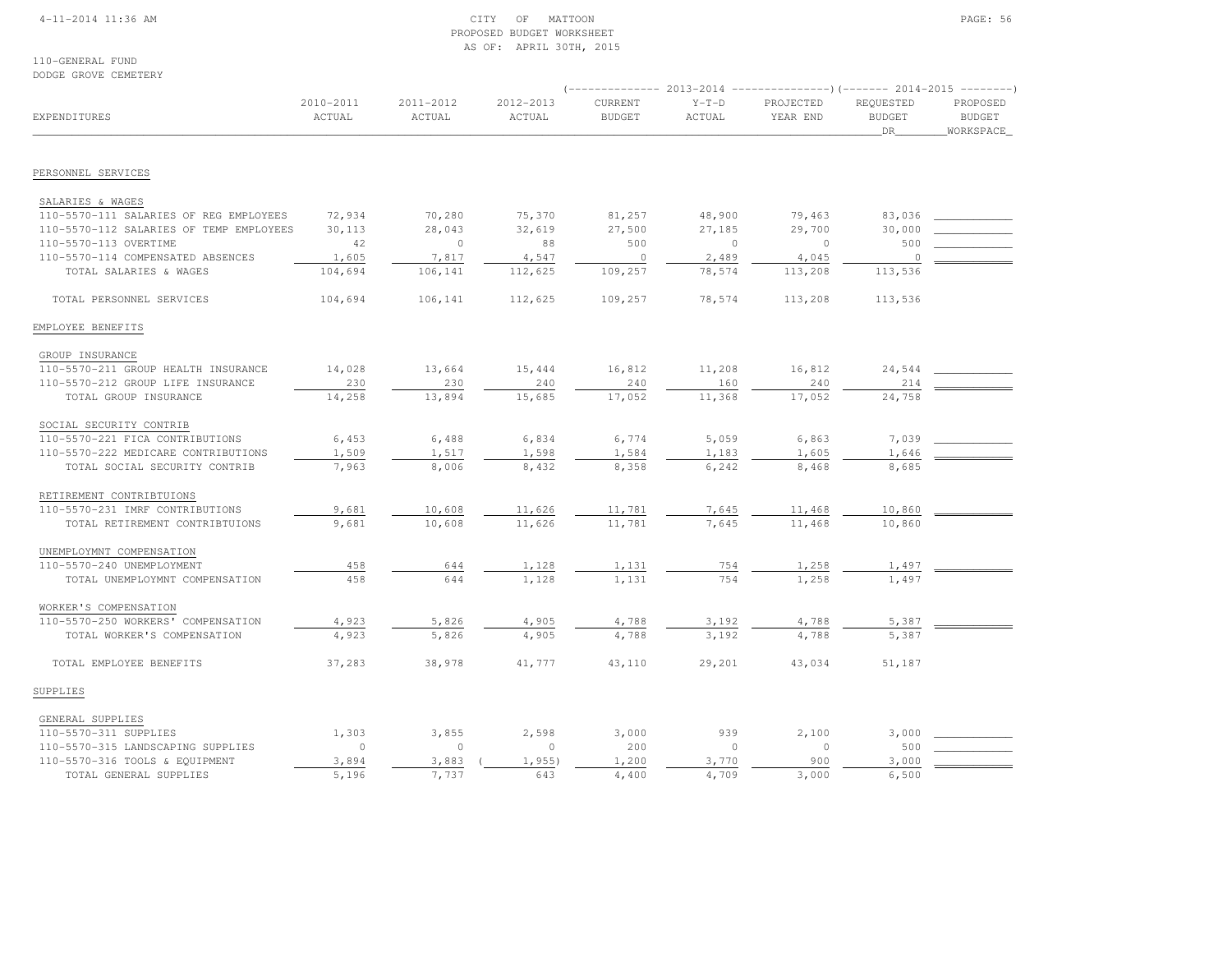### 4-11-2014 11:36 AM CITY OF MATTOON PAGE: 56 PROPOSED BUDGET WORKSHEETAS OF: APRIL 30TH, 2015

110-GENERAL FUNDDODGE GROVE CEMETERY

| EXPENDITURES                            | 2010-2011<br>ACTUAL | 2011-2012<br>ACTUAL | 2012-2013<br>ACTUAL | CURRENT<br><b>BUDGET</b> | $Y-T-D$<br>ACTUAL | PROJECTED<br>YEAR END | REQUESTED<br><b>BUDGET</b><br>_DR_ | PROPOSED<br><b>BUDGET</b><br>WORKSPACE |  |
|-----------------------------------------|---------------------|---------------------|---------------------|--------------------------|-------------------|-----------------------|------------------------------------|----------------------------------------|--|
| PERSONNEL SERVICES                      |                     |                     |                     |                          |                   |                       |                                    |                                        |  |
|                                         |                     |                     |                     |                          |                   |                       |                                    |                                        |  |
| SALARIES & WAGES                        |                     |                     |                     |                          |                   |                       |                                    |                                        |  |
| 110-5570-111 SALARIES OF REG EMPLOYEES  | 72,934              | 70,280              | 75,370              | 81,257                   | 48,900            | 79,463                | 83,036                             |                                        |  |
| 110-5570-112 SALARIES OF TEMP EMPLOYEES | 30,113              | 28,043              | 32,619              | 27,500                   | 27,185            | 29,700                | 30,000                             |                                        |  |
| 110-5570-113 OVERTIME                   | 42                  | $\overline{0}$      | 88                  | 500                      | $\circ$           | $\Omega$              | 500                                |                                        |  |
| 110-5570-114 COMPENSATED ABSENCES       | 1,605               | 7,817               | 4,547               | $\overline{0}$           | 2,489             | 4,045                 | $\circ$                            |                                        |  |
| TOTAL SALARIES & WAGES                  | 104,694             | 106,141             | 112,625             | 109,257                  | 78,574            | 113,208               | 113,536                            |                                        |  |
| TOTAL PERSONNEL SERVICES                | 104,694             | 106,141             | 112,625             | 109,257                  | 78,574            | 113,208               | 113,536                            |                                        |  |
| EMPLOYEE BENEFITS                       |                     |                     |                     |                          |                   |                       |                                    |                                        |  |
| GROUP INSURANCE                         |                     |                     |                     |                          |                   |                       |                                    |                                        |  |
| 110-5570-211 GROUP HEALTH INSURANCE     | 14,028              | 13,664              | 15,444              | 16,812                   | 11,208            | 16,812                | 24,544                             |                                        |  |
| 110-5570-212 GROUP LIFE INSURANCE       | 230                 | 230                 | 240                 | 240                      | 160               | 240                   | 214                                |                                        |  |
| TOTAL GROUP INSURANCE                   | 14,258              | 13,894              | 15,685              | 17,052                   | 11,368            | 17,052                | 24,758                             |                                        |  |
| SOCIAL SECURITY CONTRIB                 |                     |                     |                     |                          |                   |                       |                                    |                                        |  |
| 110-5570-221 FICA CONTRIBUTIONS         | 6,453               | 6,488               | 6,834               | 6,774                    | 5,059             | 6,863                 | 7,039                              |                                        |  |
| 110-5570-222 MEDICARE CONTRIBUTIONS     | 1,509               | 1,517               | 1,598               | 1,584                    | 1,183             | 1,605                 | 1,646                              |                                        |  |
| TOTAL SOCIAL SECURITY CONTRIB           | 7,963               | 8,006               | 8,432               | 8,358                    | 6,242             | 8,468                 | 8,685                              |                                        |  |
| RETIREMENT CONTRIBTUIONS                |                     |                     |                     |                          |                   |                       |                                    |                                        |  |
| 110-5570-231 IMRF CONTRIBUTIONS         | 9,681               | 10,608              | 11,626              | 11,781                   | 7,645             | 11,468                | 10,860                             |                                        |  |
| TOTAL RETIREMENT CONTRIBTUIONS          | 9,681               | 10,608              | 11,626              | 11,781                   | 7,645             | 11,468                | 10,860                             |                                        |  |
| UNEMPLOYMNT COMPENSATION                |                     |                     |                     |                          |                   |                       |                                    |                                        |  |
| 110-5570-240 UNEMPLOYMENT               | 458                 | 644                 | 1,128               | 1,131                    | 754               | 1,258                 | 1,497                              |                                        |  |
| TOTAL UNEMPLOYMNT COMPENSATION          | 458                 | 644                 | 1,128               | 1,131                    | 754               | 1,258                 | 1,497                              |                                        |  |
| WORKER'S COMPENSATION                   |                     |                     |                     |                          |                   |                       |                                    |                                        |  |
| 110-5570-250 WORKERS' COMPENSATION      | 4,923               | 5,826               | 4,905               | 4,788                    | 3,192             | 4,788                 | 5,387                              |                                        |  |
| TOTAL WORKER'S COMPENSATION             | 4,923               | 5,826               | 4,905               | 4,788                    | 3,192             | 4,788                 | 5,387                              |                                        |  |
| TOTAL EMPLOYEE BENEFITS                 | 37,283              | 38,978              | 41,777              | 43,110                   | 29,201            | 43,034                | 51,187                             |                                        |  |
| SUPPLIES                                |                     |                     |                     |                          |                   |                       |                                    |                                        |  |
| GENERAL SUPPLIES                        |                     |                     |                     |                          |                   |                       |                                    |                                        |  |
| 110-5570-311 SUPPLIES                   | 1,303               | 3,855               | 2,598               | 3,000                    | 939               | 2,100                 | 3,000                              |                                        |  |
| 110-5570-315 LANDSCAPING SUPPLIES       | $\Omega$            | $\bigcap$           | $\Omega$            | 200                      | $\Omega$          | $\Omega$              | 500                                |                                        |  |
| 110-5570-316 TOOLS & EQUIPMENT          | 3,894               | 3,883               | 1,955)              | 1,200                    | 3,770             | 900                   | 3,000                              |                                        |  |
| TOTAL GENERAL SUPPLIES                  | 5,196               | 7.737               | 643                 | 4,400                    | 4,709             | 3,000                 | 6,500                              |                                        |  |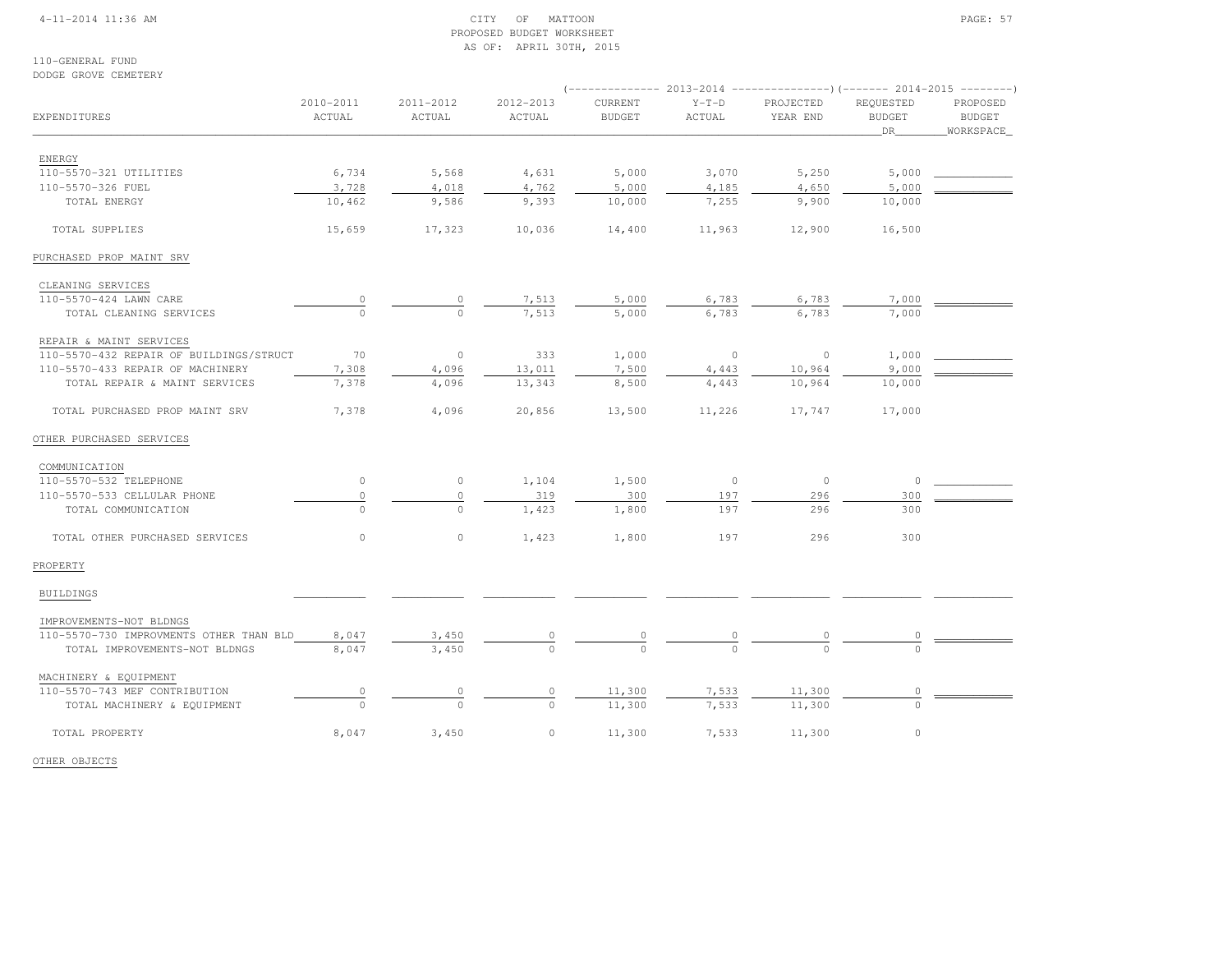### 4-11-2014 11:36 AM CITY OF MATTOON PAGE: 57 PROPOSED BUDGET WORKSHEETAS OF: APRIL 30TH, 2015

110-GENERAL FUNDDODGE GROVE CEMETERY

| EXPENDITURES                            | 2010-2011<br>ACTUAL | 2011-2012<br>ACTUAL | 2012-2013<br>ACTUAL | CURRENT<br><b>BUDGET</b> | $Y-T-D$<br>ACTUAL | PROJECTED<br>YEAR END | <b>REOUESTED</b><br><b>BUDGET</b><br>DR | PROPOSED<br><b>BUDGET</b><br>WORKSPACE |
|-----------------------------------------|---------------------|---------------------|---------------------|--------------------------|-------------------|-----------------------|-----------------------------------------|----------------------------------------|
| ENERGY                                  |                     |                     |                     |                          |                   |                       |                                         |                                        |
| 110-5570-321 UTILITIES                  | 6,734               | 5,568               | 4,631               | 5,000                    | 3,070             | 5,250                 | 5,000                                   |                                        |
| 110-5570-326 FUEL                       | 3,728               | 4,018               | 4,762               | 5,000                    | 4,185             | 4,650                 | 5,000                                   |                                        |
| TOTAL ENERGY                            | 10,462              | 9,586               | 9,393               | 10,000                   | 7,255             | 9,900                 | 10,000                                  |                                        |
| TOTAL SUPPLIES                          | 15,659              | 17,323              | 10,036              | 14,400                   | 11,963            | 12,900                | 16,500                                  |                                        |
| PURCHASED PROP MAINT SRV                |                     |                     |                     |                          |                   |                       |                                         |                                        |
| CLEANING SERVICES                       |                     |                     |                     |                          |                   |                       |                                         |                                        |
| 110-5570-424 LAWN CARE                  | 0                   | 0                   | 7,513               | 5,000                    | 6,783             | 6,783                 | 7,000                                   |                                        |
| TOTAL CLEANING SERVICES                 | $\mathbf{0}$        | $\circ$             | 7,513               | 5,000                    | 6,783             | 6,783                 | 7,000                                   |                                        |
| REPAIR & MAINT SERVICES                 |                     |                     |                     |                          |                   |                       |                                         |                                        |
| 110-5570-432 REPAIR OF BUILDINGS/STRUCT | 70                  | $\circ$             | 333                 | 1,000                    | $\circ$           | $\circ$               | 1,000                                   |                                        |
| 110-5570-433 REPAIR OF MACHINERY        | 7,308               | 4,096               | 13,011              | 7,500                    | 4,443             | 10,964                | 9,000                                   |                                        |
| TOTAL REPAIR & MAINT SERVICES           | 7,378               | 4,096               | 13,343              | 8,500                    | 4,443             | 10,964                | 10,000                                  |                                        |
| TOTAL PURCHASED PROP MAINT SRV          | 7,378               | 4,096               | 20,856              | 13,500                   | 11,226            | 17,747                | 17,000                                  |                                        |
| OTHER PURCHASED SERVICES                |                     |                     |                     |                          |                   |                       |                                         |                                        |
| COMMUNICATION                           |                     |                     |                     |                          |                   |                       |                                         |                                        |
| 110-5570-532 TELEPHONE                  | $\circ$             | $\circ$             | 1,104               | 1,500                    | $\circ$           | $\circ$               | $\circ$                                 |                                        |
| 110-5570-533 CELLULAR PHONE             | $\mathsf{O}\xspace$ | $\circ$             | 319                 | 300                      | 197               | 296                   | 300                                     |                                        |
| TOTAL COMMUNICATION                     | $\mathbf{0}$        | $\circ$             | 1,423               | 1,800                    | 197               | 296                   | 300                                     |                                        |
| TOTAL OTHER PURCHASED SERVICES          | $\circ$             | $\circ$             | 1,423               | 1,800                    | 197               | 296                   | 300                                     |                                        |
| PROPERTY                                |                     |                     |                     |                          |                   |                       |                                         |                                        |
| <b>BUILDINGS</b>                        |                     |                     |                     |                          |                   |                       |                                         |                                        |
| IMPROVEMENTS-NOT BLDNGS                 |                     |                     |                     |                          |                   |                       |                                         |                                        |
| 110-5570-730 IMPROVMENTS OTHER THAN BLD | 8,047               | 3,450               |                     |                          |                   |                       |                                         |                                        |
| TOTAL IMPROVEMENTS-NOT BLDNGS           | 8,047               | 3,450               | $\Omega$            |                          |                   | $\Omega$              |                                         |                                        |
| MACHINERY & EQUIPMENT                   |                     |                     |                     |                          |                   |                       |                                         |                                        |
| 110-5570-743 MEF CONTRIBUTION           | 0                   | $\circ$             | 0                   | 11,300                   | 7,533             | 11,300                | 0                                       |                                        |
| TOTAL MACHINERY & EQUIPMENT             | $\Omega$            | $\mathbf{0}$        | $\circ$             | 11,300                   | 7,533             | 11,300                | $\mathbf 0$                             |                                        |
| TOTAL PROPERTY                          | 8,047               | 3,450               | $\circ$             | 11,300                   | 7,533             | 11,300                | $\circ$                                 |                                        |

OTHER OBJECTS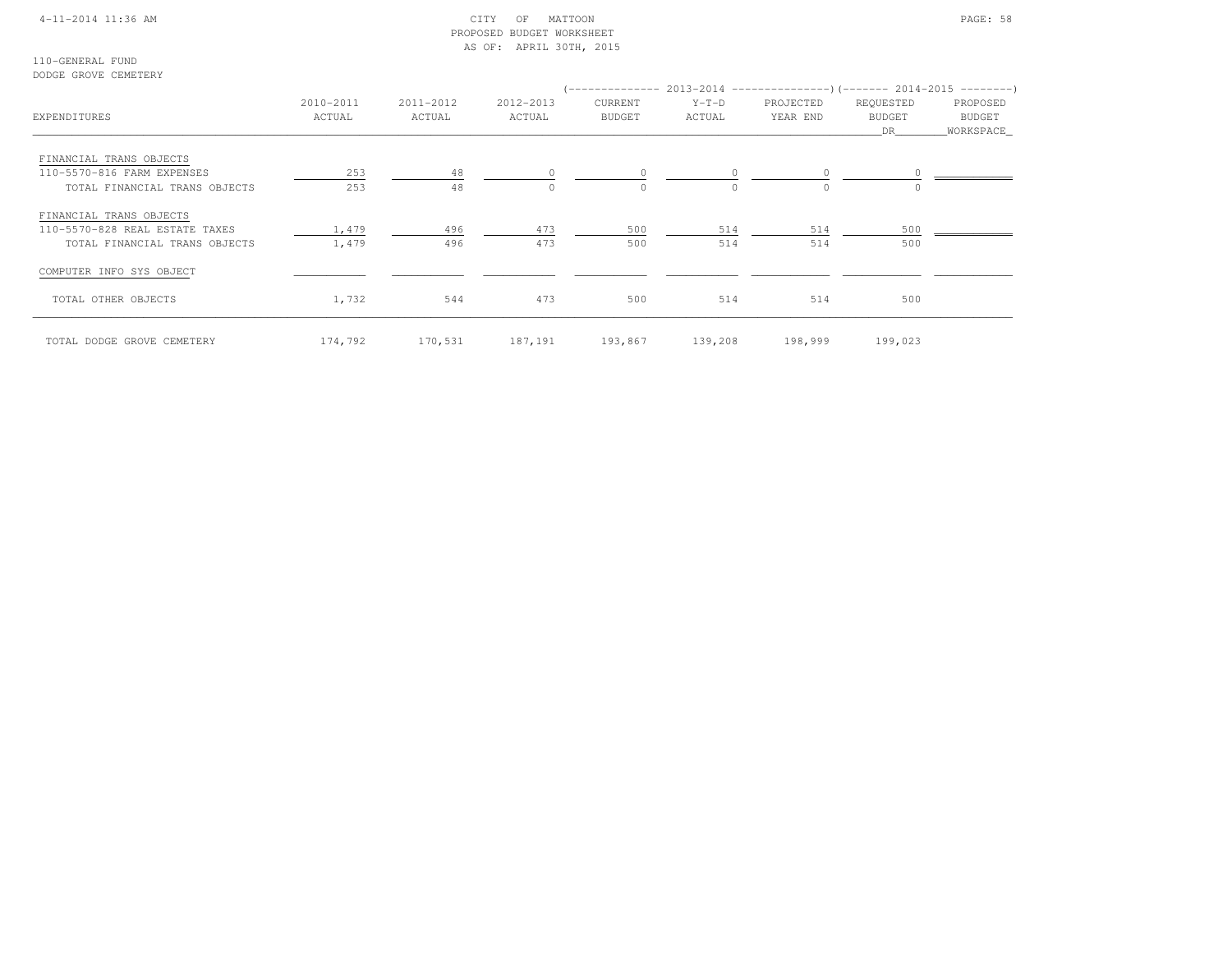### 4-11-2014 11:36 AM CITY OF MATTOON PAGE: 58 PROPOSED BUDGET WORKSHEETAS OF: APRIL 30TH, 2015

110-GENERAL FUNDDODGE GROVE CEMETERY

| DODGE GROVE CEMEIERI                                                                       |                     |                     |                     |                    |                     |                       |                                  |                                   |
|--------------------------------------------------------------------------------------------|---------------------|---------------------|---------------------|--------------------|---------------------|-----------------------|----------------------------------|-----------------------------------|
| EXPENDITURES                                                                               | 2010-2011<br>ACTUAL | 2011-2012<br>ACTUAL | 2012-2013<br>ACTUAL | CURRENT<br>BUDGET  | $Y-T-D$<br>ACTUAL   | PROJECTED<br>YEAR END | REQUESTED<br><b>BUDGET</b><br>DR | PROPOSED<br>BUDGET<br>_WORKSPACE_ |
| FINANCIAL TRANS OBJECTS<br>110-5570-816 FARM EXPENSES<br>TOTAL FINANCIAL TRANS OBJECTS     | 253<br>253          | 48<br>48            | $\circ$<br>$\Omega$ | $\circ$<br>$\circ$ | $\circ$<br>$\Omega$ | $\circ$<br>$\Omega$   |                                  |                                   |
| FINANCIAL TRANS OBJECTS<br>110-5570-828 REAL ESTATE TAXES<br>TOTAL FINANCIAL TRANS OBJECTS | 1,479<br>1,479      | 496<br>496          | 473<br>473          | 500<br>500         | 514<br>514          | 514<br>514            | 500<br>500                       |                                   |
| COMPUTER INFO SYS OBJECT                                                                   |                     |                     |                     |                    |                     |                       |                                  |                                   |
| TOTAL OTHER OBJECTS                                                                        | 1,732               | 544                 | 473                 | 500                | 514                 | 514                   | 500                              |                                   |
| TOTAL DODGE GROVE CEMETERY                                                                 | 174,792             | 170,531             | 187,191             | 193,867            | 139,208             | 198,999               | 199,023                          |                                   |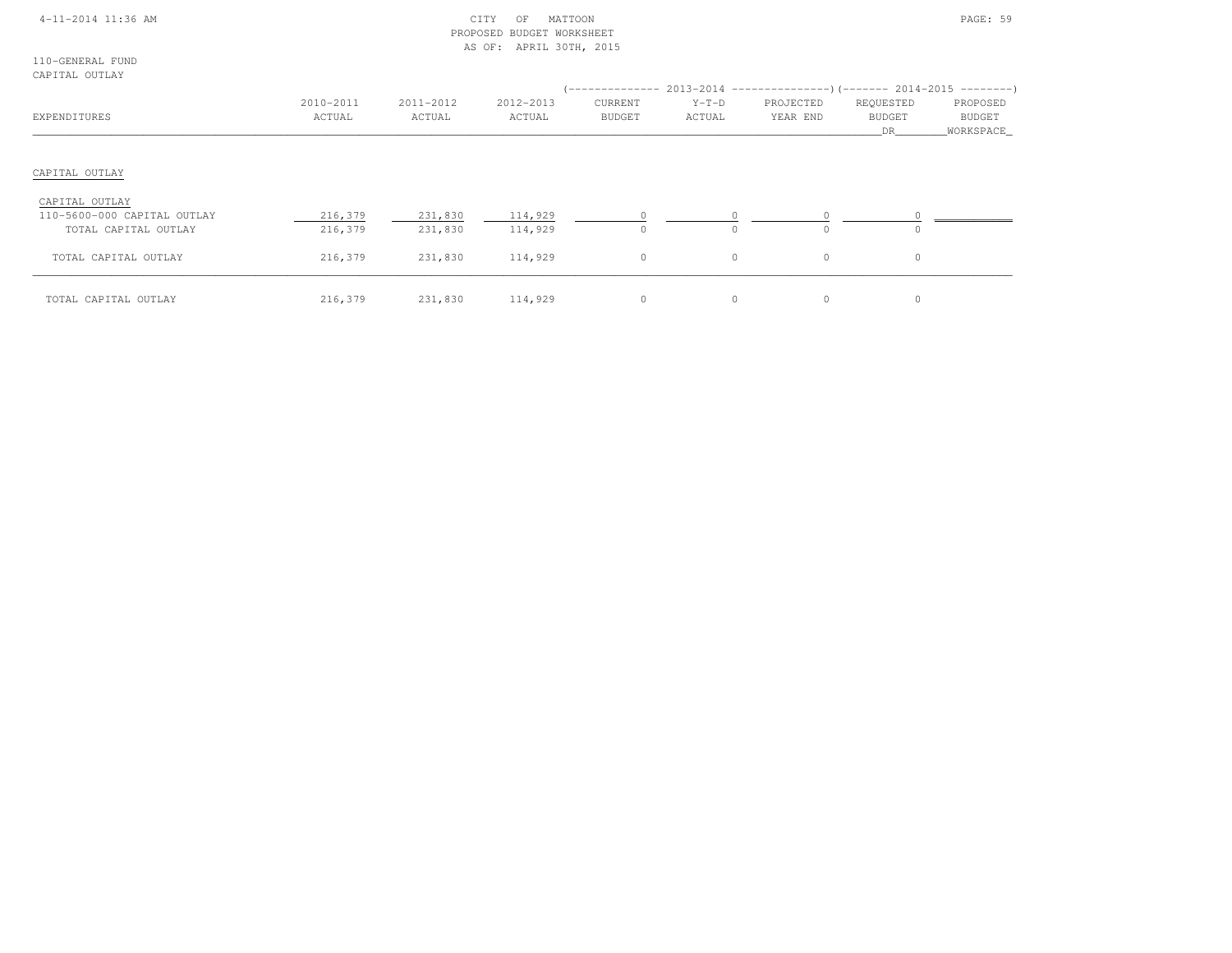|  | 4-11-2014 11:36 AM |  |
|--|--------------------|--|
|  |                    |  |

## $\begin{array}{ccc} \text{CITY} & \text{OF} & \text{MATION} \end{array}$  PROPOSED BUDGET WORKSHEETAS OF: APRIL 30TH, 2015

110-GENERAL FUNDCAPITAL OUTLAY

| ARII UU UULUU                                                         |                     |                     |                     | ( ______________         |                   | $2013-2014$ ----------------)(------- 2014-2015 ---------) |                                  |                                   |
|-----------------------------------------------------------------------|---------------------|---------------------|---------------------|--------------------------|-------------------|------------------------------------------------------------|----------------------------------|-----------------------------------|
| EXPENDITURES                                                          | 2010-2011<br>ACTUAL | 2011-2012<br>ACTUAL | 2012-2013<br>ACTUAL | CURRENT<br><b>BUDGET</b> | $Y-T-D$<br>ACTUAL | PROJECTED<br>YEAR END                                      | REQUESTED<br><b>BUDGET</b><br>DR | PROPOSED<br>BUDGET<br>_WORKSPACE_ |
| CAPITAL OUTLAY                                                        |                     |                     |                     |                          |                   |                                                            |                                  |                                   |
| CAPITAL OUTLAY<br>110-5600-000 CAPITAL OUTLAY<br>TOTAL CAPITAL OUTLAY | 216,379<br>216,379  | 231,830<br>231,830  | 114,929<br>114,929  | $\Omega$                 | $\Omega$          | $\Omega$                                                   | $\circ$                          |                                   |
| TOTAL CAPITAL OUTLAY                                                  | 216,379             | 231,830             | 114,929             | $\circ$                  | $\circ$           | $\circ$                                                    | $\circ$                          |                                   |
| TOTAL CAPITAL OUTLAY                                                  | 216,379             | 231,830             | 114,929             | $\circ$                  | 0                 | $\circ$                                                    | $\circ$                          |                                   |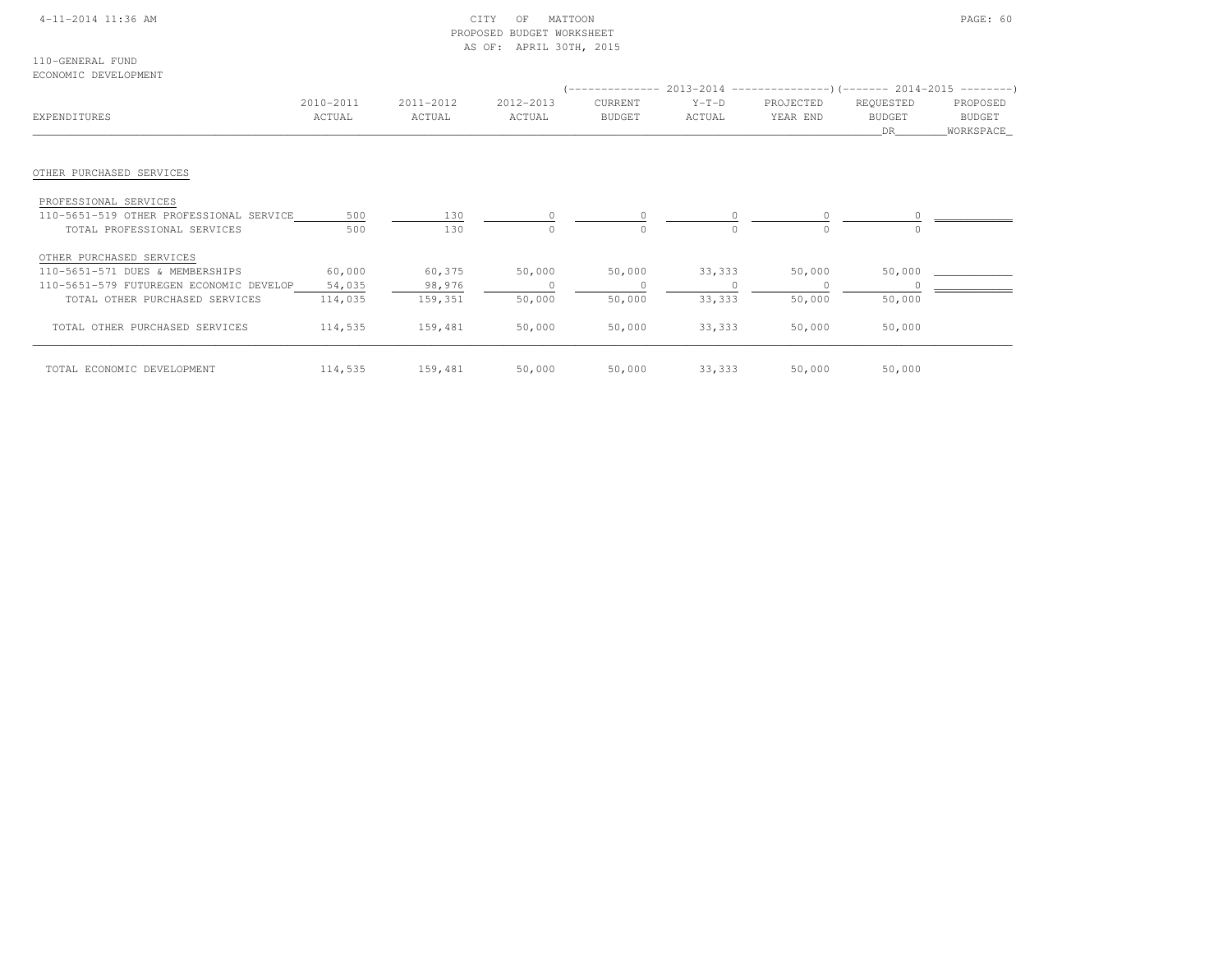### 4-11-2014 11:36 AM CITY OF MATTOON PAGE: 60 PROPOSED BUDGET WORKSHEETAS OF: APRIL 30TH, 2015

110-GENERAL FUNDECONOMIC DEVELOPMENT

|                                         |                     |                     |                     |                          | (-------------- 2013-2014 --------------------- 2014-2015 ---------- ) |                       |                                  |                                   |
|-----------------------------------------|---------------------|---------------------|---------------------|--------------------------|------------------------------------------------------------------------|-----------------------|----------------------------------|-----------------------------------|
| EXPENDITURES                            | 2010-2011<br>ACTUAL | 2011-2012<br>ACTUAL | 2012-2013<br>ACTUAL | CURRENT<br><b>BUDGET</b> | $Y-T-D$<br>ACTUAL                                                      | PROJECTED<br>YEAR END | REQUESTED<br><b>BUDGET</b><br>DR | PROPOSED<br>BUDGET<br>_WORKSPACE_ |
| OTHER PURCHASED SERVICES                |                     |                     |                     |                          |                                                                        |                       |                                  |                                   |
| PROFESSIONAL SERVICES                   |                     |                     |                     |                          |                                                                        |                       |                                  |                                   |
| 110-5651-519 OTHER PROFESSIONAL SERVICE | 500                 | 130                 | $\circ$             |                          | 0                                                                      |                       |                                  |                                   |
| TOTAL PROFESSIONAL SERVICES             | 500                 | 130                 | $\mathbf{0}$        | $\mathbf 0$              | $\Omega$                                                               | $\Omega$              | $\Omega$                         |                                   |
| OTHER PURCHASED SERVICES                |                     |                     |                     |                          |                                                                        |                       |                                  |                                   |
| 110-5651-571 DUES & MEMBERSHIPS         | 60,000              | 60,375              | 50,000              | 50,000                   | 33,333                                                                 | 50,000                | 50,000                           |                                   |
| 110-5651-579 FUTUREGEN ECONOMIC DEVELOP | 54,035              | 98,976              | $\Omega$            | $\Omega$                 |                                                                        |                       |                                  |                                   |
| TOTAL OTHER PURCHASED SERVICES          | 114,035             | 159,351             | 50,000              | 50,000                   | 33,333                                                                 | 50,000                | 50,000                           |                                   |
| TOTAL OTHER PURCHASED SERVICES          | 114,535             | 159,481             | 50,000              | 50,000                   | 33,333                                                                 | 50,000                | 50,000                           |                                   |
| TOTAL ECONOMIC DEVELOPMENT              | 114,535             | 159,481             | 50,000              | 50,000                   | 33,333                                                                 | 50,000                | 50,000                           |                                   |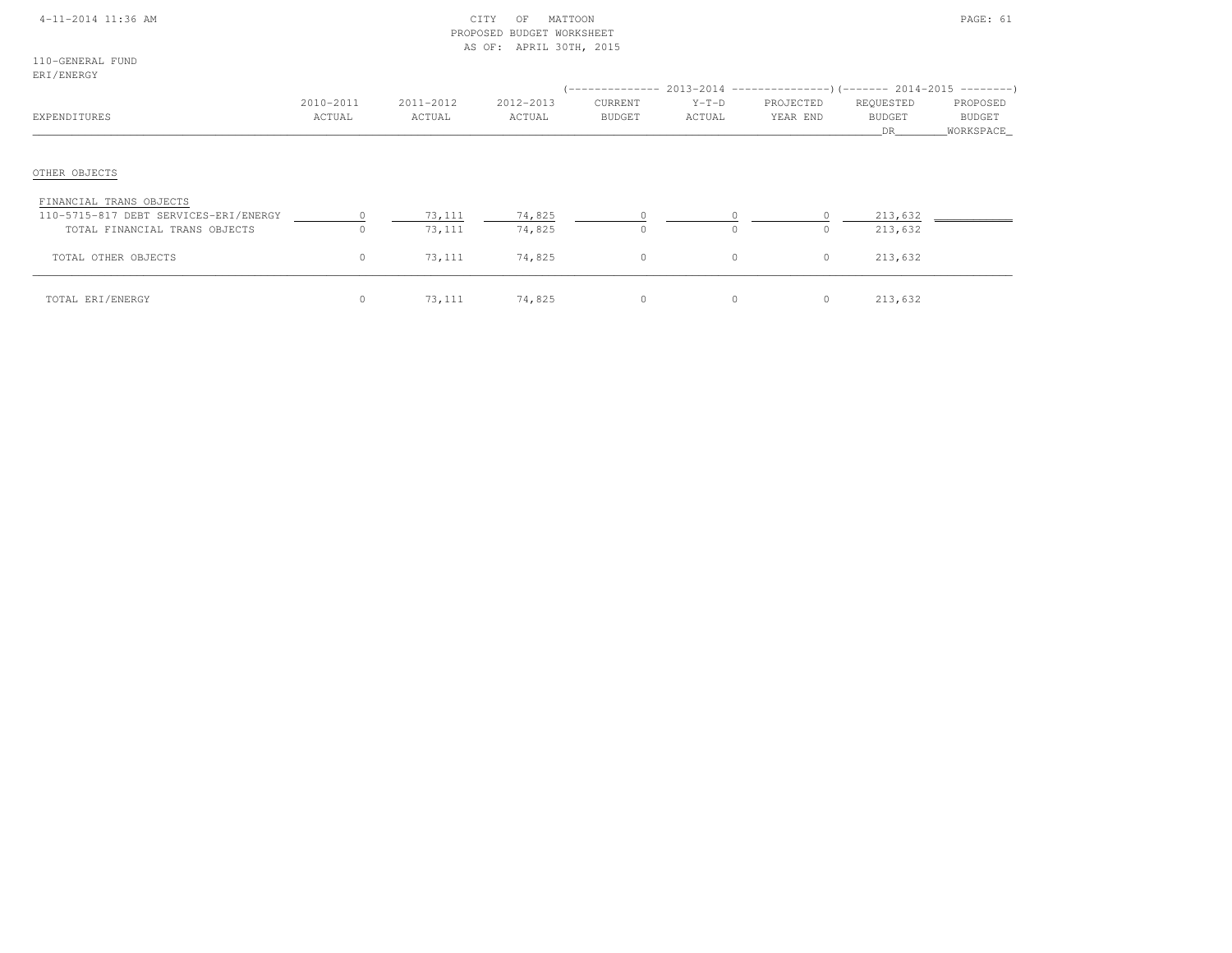### 4-11-2014 11:36 AM CITY OF MATTOON PAGE: 61 PROPOSED BUDGET WORKSHEETAS OF: APRIL 30TH, 2015

110-GENERAL FUNDERI/ENERGY

| -------------<br>EXPENDITURES                                                                     | 2010-2011<br>ACTUAL | 2011-2012<br>ACTUAL | 2012-2013<br>ACTUAL | CURRENT<br><b>BUDGET</b> | $Y-T-D$<br>ACTUAL | PROJECTED<br>YEAR END | REQUESTED<br><b>BUDGET</b><br>DR. | PROPOSED<br>BUDGET<br>WORKSPACE |
|---------------------------------------------------------------------------------------------------|---------------------|---------------------|---------------------|--------------------------|-------------------|-----------------------|-----------------------------------|---------------------------------|
| OTHER OBJECTS                                                                                     |                     |                     |                     |                          |                   |                       |                                   |                                 |
| FINANCIAL TRANS OBJECTS<br>110-5715-817 DEBT SERVICES-ERI/ENERGY<br>TOTAL FINANCIAL TRANS OBJECTS | $\Omega$            | 73,111<br>73,111    | 74,825<br>74,825    | $\Omega$                 | $\Omega$          | $\Omega$              | 213,632<br>213,632                |                                 |
| TOTAL OTHER OBJECTS                                                                               | $\circ$             | 73,111              | 74,825              | $\circ$                  | 0                 | $\circ$               | 213,632                           |                                 |
| TOTAL ERI/ENERGY                                                                                  | $\circ$             | 73,111              | 74,825              | $\circ$                  | 0                 | $\circ$               | 213,632                           |                                 |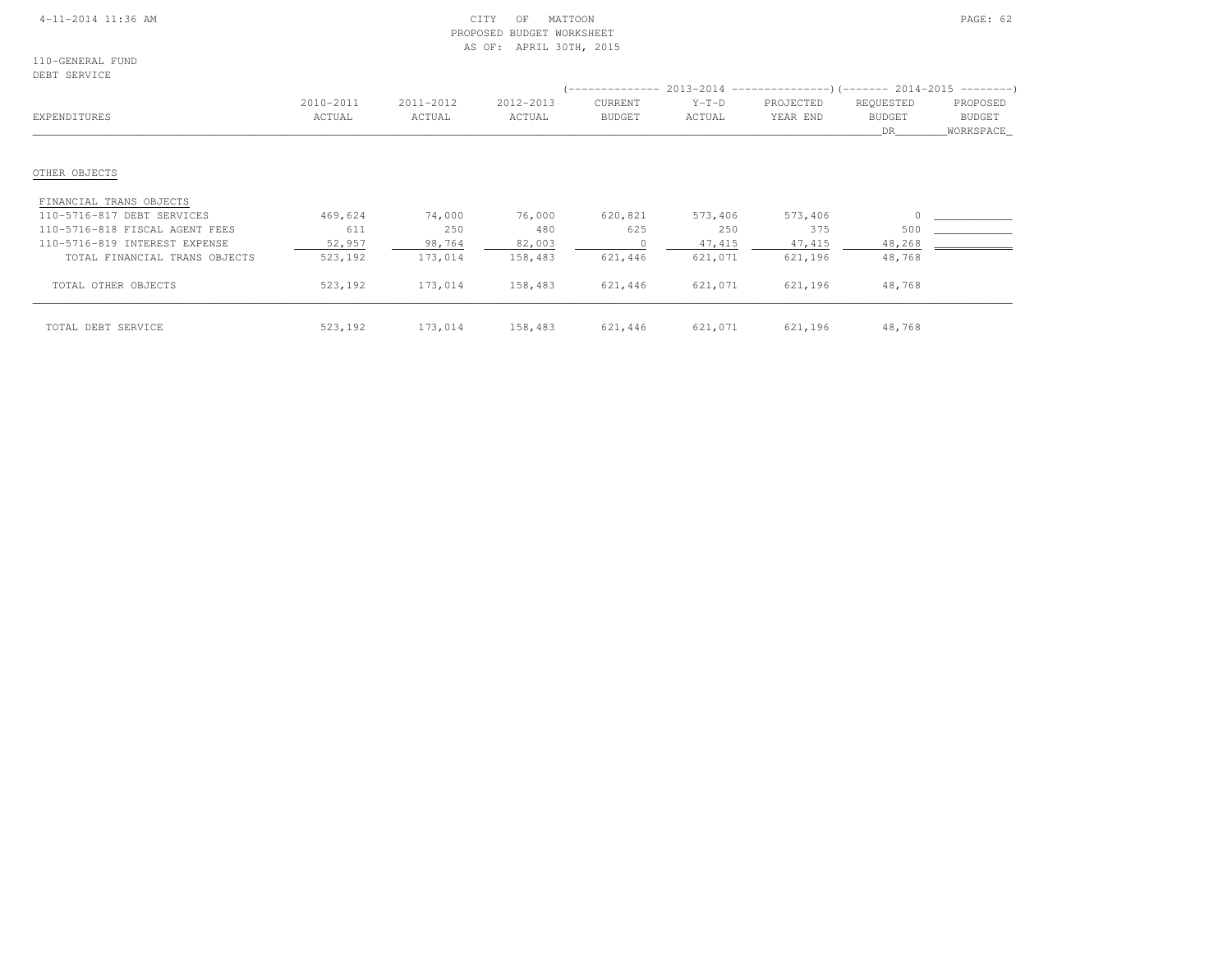### 4-11-2014 11:36 AM CITY OF MATTOON PAGE: 62 PROPOSED BUDGET WORKSHEETAS OF: APRIL 30TH, 2015

110-GENERAL FUNDDEBT SERVICE

| تابالا المحافظ المعاط          |           |           |           |               |         |           |                     |                            |
|--------------------------------|-----------|-----------|-----------|---------------|---------|-----------|---------------------|----------------------------|
|                                | 2010-2011 | 2011-2012 | 2012-2013 | CURRENT       | $Y-T-D$ | PROJECTED | REQUESTED           | PROPOSED                   |
| EXPENDITURES                   | ACTUAL    | ACTUAL    | ACTUAL    | <b>BUDGET</b> | ACTUAL  | YEAR END  | <b>BUDGET</b><br>DR | <b>BUDGET</b><br>WORKSPACE |
| OTHER OBJECTS                  |           |           |           |               |         |           |                     |                            |
| FINANCIAL TRANS OBJECTS        |           |           |           |               |         |           |                     |                            |
| 110-5716-817 DEBT SERVICES     | 469,624   | 74,000    | 76,000    | 620,821       | 573,406 | 573,406   |                     |                            |
| 110-5716-818 FISCAL AGENT FEES | 611       | 250       | 480       | 625           | 250     | 375       | 500                 |                            |
| 110-5716-819 INTEREST EXPENSE  | 52,957    | 98,764    | 82,003    |               | 47,415  | 47,415    | 48,268              |                            |
| TOTAL FINANCIAL TRANS OBJECTS  | 523,192   | 173,014   | 158,483   | 621,446       | 621,071 | 621,196   | 48,768              |                            |
| TOTAL OTHER OBJECTS            | 523,192   | 173,014   | 158,483   | 621,446       | 621,071 | 621,196   | 48,768              |                            |
| TOTAL DEBT SERVICE             | 523,192   | 173,014   | 158,483   | 621,446       | 621,071 | 621,196   | 48,768              |                            |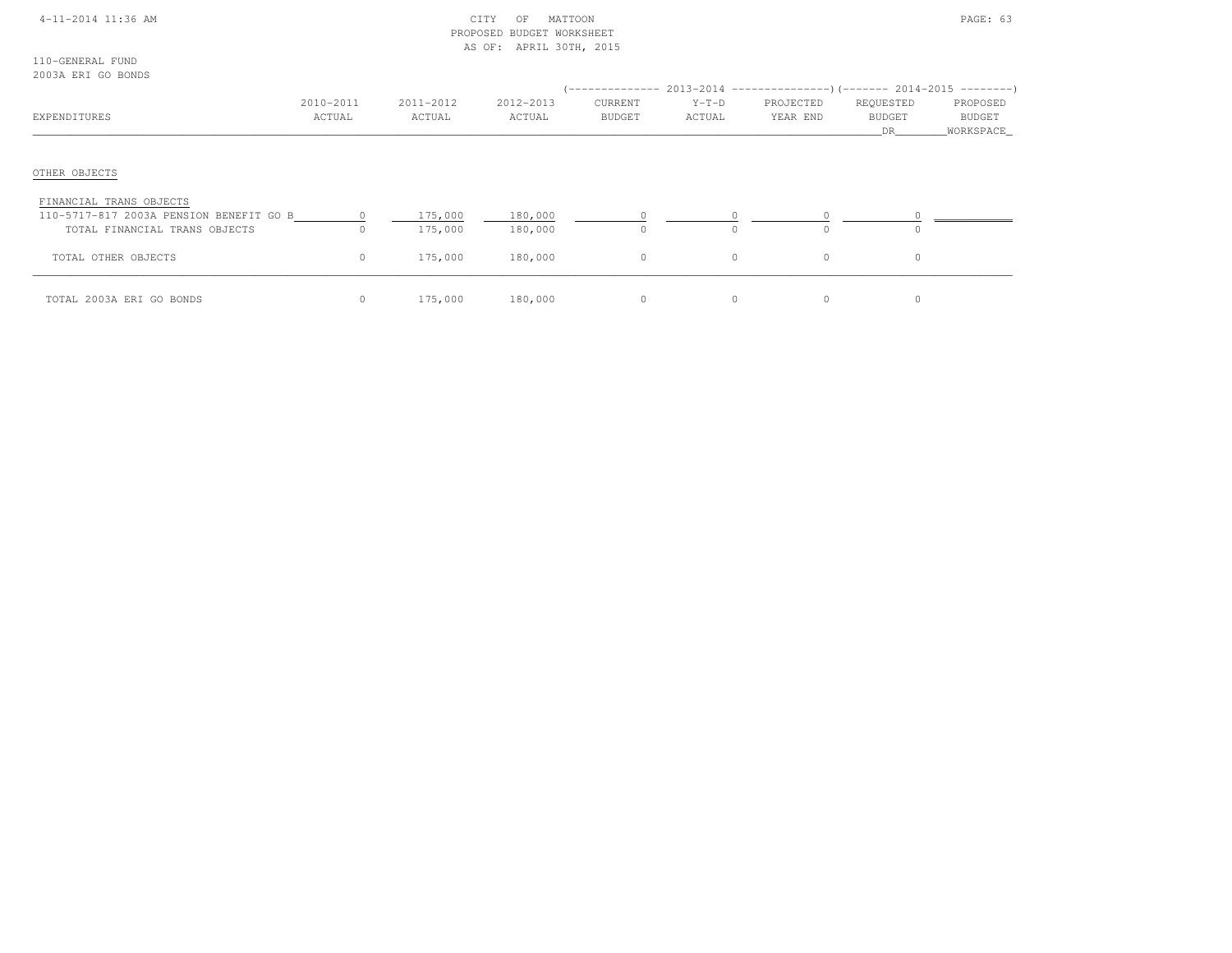### 4-11-2014 11:36 AM CITY OF MATTOON PAGE: 63 PROPOSED BUDGET WORKSHEETAS OF: APRIL 30TH, 2015

110-GENERAL FUND2003A ERI GO BONDS

| 2009N BRI OG BONDO                                                                                  |                     |                     |                     |                          |                   | $(-----12013-2014$ $-----2013-2014$ $[-----1014-2015$ $---2014-2015$ |                                  |                                          |
|-----------------------------------------------------------------------------------------------------|---------------------|---------------------|---------------------|--------------------------|-------------------|----------------------------------------------------------------------|----------------------------------|------------------------------------------|
| EXPENDITURES                                                                                        | 2010-2011<br>ACTUAL | 2011-2012<br>ACTUAL | 2012-2013<br>ACTUAL | CURRENT<br><b>BUDGET</b> | $Y-T-D$<br>ACTUAL | PROJECTED<br>YEAR END                                                | REQUESTED<br><b>BUDGET</b><br>DR | PROPOSED<br><b>BUDGET</b><br>_WORKSPACE_ |
| OTHER OBJECTS                                                                                       |                     |                     |                     |                          |                   |                                                                      |                                  |                                          |
| FINANCIAL TRANS OBJECTS<br>110-5717-817 2003A PENSION BENEFIT GO B<br>TOTAL FINANCIAL TRANS OBJECTS | $\Omega$            | 175,000<br>175,000  | 180,000<br>180,000  | $\Omega$                 | $\Omega$          |                                                                      | $\Omega$                         |                                          |
| TOTAL OTHER OBJECTS                                                                                 | $\circ$             | 175,000             | 180,000             | $\mathbf{0}$             | $\circ$           | $\Omega$                                                             | $\circ$                          |                                          |
| TOTAL 2003A ERI GO BONDS                                                                            |                     | 175,000             | 180,000             | 0                        | 0                 | 0                                                                    |                                  |                                          |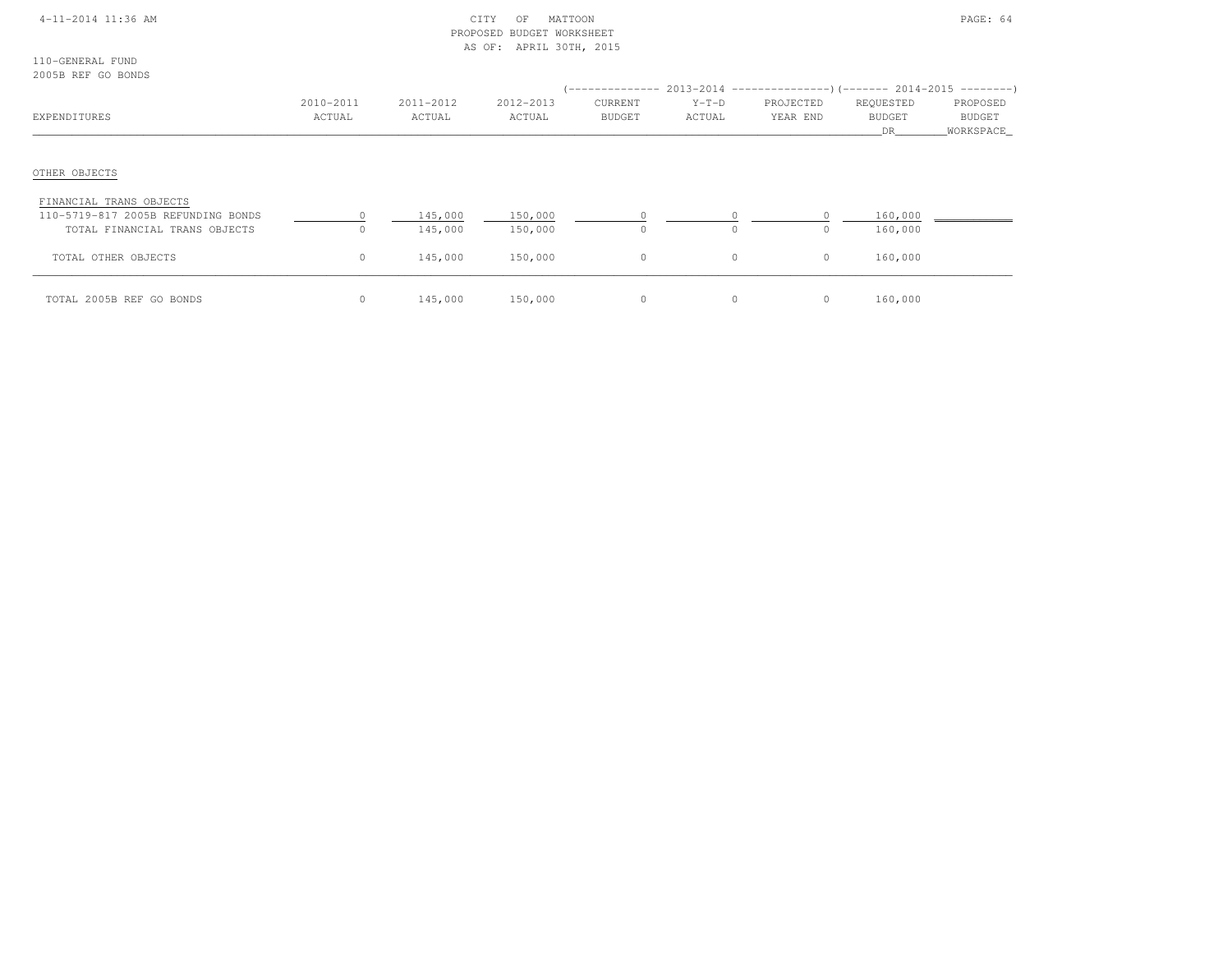### 4-11-2014 11:36 AM CITY OF MATTOON PAGE: 64 PROPOSED BUDGET WORKSHEETAS OF: APRIL 30TH, 2015

110-GENERAL FUND2005B REF GO BONDS

| 200JD INSE GO DONDU                                                 |                     |                     |                     |                          |                   |                       |                                  |                                 |
|---------------------------------------------------------------------|---------------------|---------------------|---------------------|--------------------------|-------------------|-----------------------|----------------------------------|---------------------------------|
| EXPENDITURES                                                        | 2010-2011<br>ACTUAL | 2011-2012<br>ACTUAL | 2012-2013<br>ACTUAL | CURRENT<br><b>BUDGET</b> | $Y-T-D$<br>ACTUAL | PROJECTED<br>YEAR END | REQUESTED<br><b>BUDGET</b><br>DR | PROPOSED<br>BUDGET<br>WORKSPACE |
| OTHER OBJECTS                                                       |                     |                     |                     |                          |                   |                       |                                  |                                 |
| FINANCIAL TRANS OBJECTS                                             |                     |                     |                     |                          |                   |                       |                                  |                                 |
| 110-5719-817 2005B REFUNDING BONDS<br>TOTAL FINANCIAL TRANS OBJECTS | $\circ$             | 145,000<br>145,000  | 150,000<br>150,000  | $\Omega$                 | $\Omega$          | $\Omega$              | 160,000<br>160,000               |                                 |
| TOTAL OTHER OBJECTS                                                 | $\circ$             | 145,000             | 150,000             | $\circ$                  | $\circ$           | $\circ$               | 160,000                          |                                 |
| TOTAL 2005B REF GO BONDS                                            | $\circ$             | 145,000             | 150,000             | $\circ$                  | $\circ$           | $\circ$               | 160,000                          |                                 |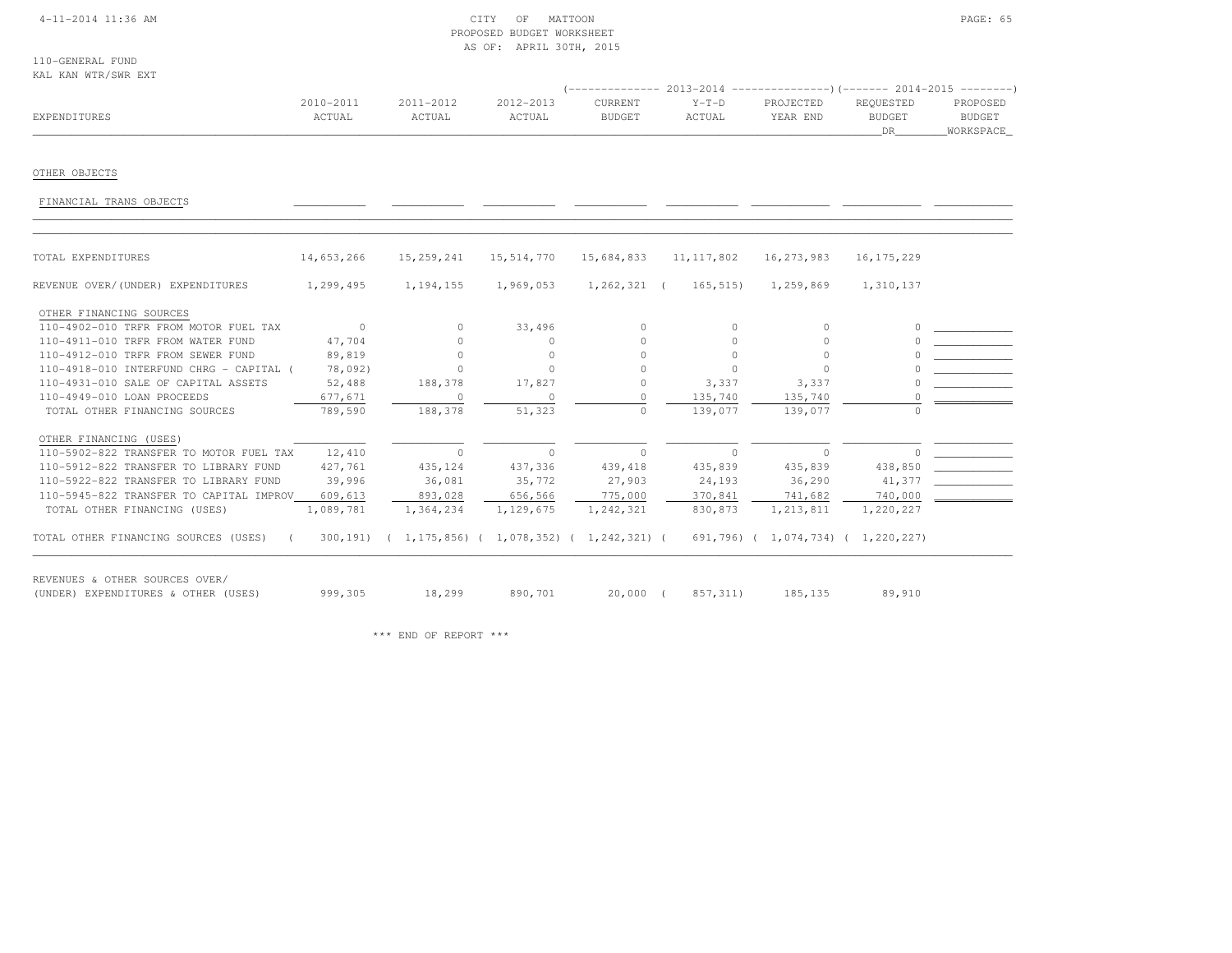## 4-11-2014 11:36 AM CITY OF MATTOON PAGE: 65 PROPOSED BUDGET WORKSHEETAS OF: APRIL 30TH, 2015

110-GENERAL FUNDKAL KAN WTR/SWR EXT

|              | 2010-2011 | 2011-2012 | 2012-2013 | CURRENT       | $Y-T-D$ | PROJECTED | REOUESTED | PROPOSED      |
|--------------|-----------|-----------|-----------|---------------|---------|-----------|-----------|---------------|
| EXPENDITURES | ACTUAL    | ACTUAL    | ACTUAL    | <b>BUDGET</b> | ACTUAL  | YEAR END  | BUDGET    | <b>BUDGET</b> |
|              |           |           |           |               |         |           |           | WORKSPACE     |

# OTHER OBJECTS

FINANCIAL TRANS OBJECTS \_\_\_\_\_\_\_\_\_\_\_ \_\_\_\_\_\_\_\_\_\_\_ \_\_\_\_\_\_\_\_\_\_\_ \_\_\_\_\_\_\_\_\_\_\_ \_\_\_\_\_\_\_\_\_\_\_ \_\_\_\_\_\_\_\_\_\_\_\_ \_\_\_\_\_\_\_\_\_\_\_\_ \_\_\_\_\_\_\_\_\_\_\_\_

| TOTAL EXPENDITURES                      | 14,653,266 | 15, 259, 241                                      | 15,514,770 | 15,684,833     | 11, 117, 802   | 16, 273, 983                       | 16, 175, 229 |
|-----------------------------------------|------------|---------------------------------------------------|------------|----------------|----------------|------------------------------------|--------------|
| REVENUE OVER/(UNDER) EXPENDITURES       | 1,299,495  | 1, 194, 155                                       | 1,969,053  | $1,262,321$ (  | 165, 515       | 1,259,869                          | 1,310,137    |
| OTHER FINANCING SOURCES                 |            |                                                   |            |                |                |                                    |              |
| 110-4902-010 TRFR FROM MOTOR FUEL TAX   | $\sim$ 0   | $\circ$                                           | 33,496     | $\Omega$       | $\Omega$       | $\Omega$                           |              |
| 110-4911-010 TRFR FROM WATER FUND       | 47,704     | $\cap$                                            | $\bigcap$  | $\cap$         | $\Omega$       | O.                                 |              |
| 110-4912-010 TRFR FROM SEWER FUND       | 89,819     | $\Omega$                                          | $\Omega$   | $\Omega$       |                |                                    |              |
| 110-4918-010 INTERFUND CHRG - CAPITAL ( | 78,092)    | $\Omega$                                          | $\bigcap$  |                | $\Omega$       | $\cap$                             |              |
| 110-4931-010 SALE OF CAPITAL ASSETS     | 52,488     | 188,378                                           | 17,827     | 0              | 3,337          | 3,337                              |              |
| 110-4949-010 LOAN PROCEEDS              | 677,671    |                                                   |            |                | 135,740        | 135,740                            |              |
| TOTAL OTHER FINANCING SOURCES           | 789,590    | 188,378                                           | 51,323     | $\cap$         | 139,077        | 139,077                            |              |
| OTHER FINANCING (USES)                  |            |                                                   |            |                |                |                                    |              |
| 110-5902-822 TRANSFER TO MOTOR FUEL TAX | 12,410     | $\circ$                                           | $\circ$    | $\overline{0}$ | $\overline{0}$ | $\sim$ 0                           | $\circ$      |
| 110-5912-822 TRANSFER TO LIBRARY FUND   | 427,761    | 435,124                                           | 437,336    | 439, 418       | 435,839        | 435,839                            | 438,850      |
| 110-5922-822 TRANSFER TO LIBRARY FUND   | 39,996     | 36,081                                            | 35,772     | 27,903         | 24,193         | 36,290                             | 41,377       |
| 110-5945-822 TRANSFER TO CAPITAL IMPROV | 609,613    | 893,028                                           | 656,566    | 775,000        | 370,841        | 741,682                            | 740,000      |
| TOTAL OTHER FINANCING (USES)            | 1,089,781  | 1,364,234                                         | 1,129,675  | 1,242,321      | 830,873        | 1,213,811                          | 1,220,227    |
| TOTAL OTHER FINANCING SOURCES (USES) (  | 300,191)   | $(1, 175, 856)$ $(1, 078, 352)$ $(1, 242, 321)$ ( |            |                |                | 691,796) ( 1,074,734) ( 1,220,227) |              |

\*\*\* END OF REPORT \*\*\*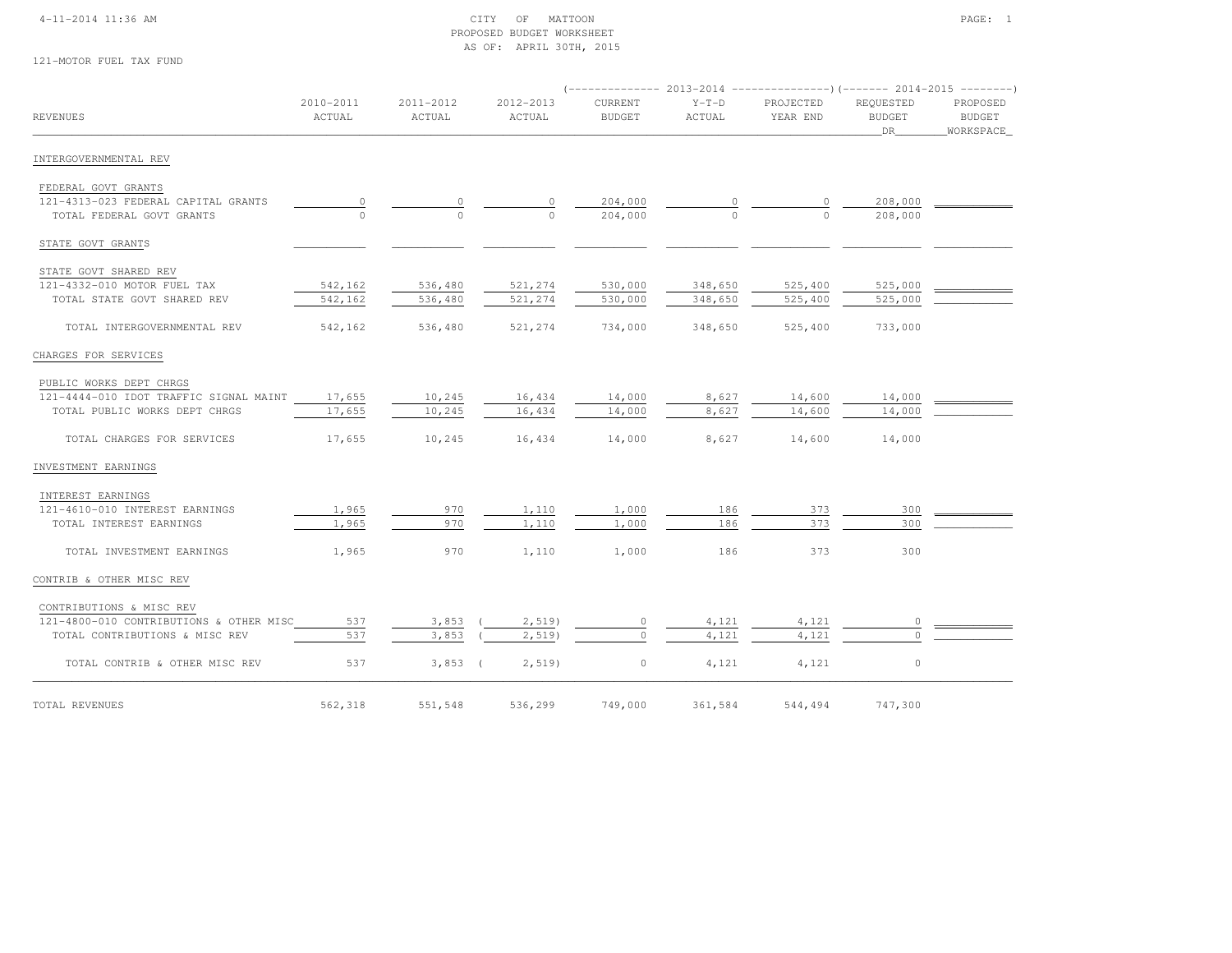### 4-11-2014 11:36 AM CITY OF MATTOON PAGE: 1 PROPOSED BUDGET WORKSHEETAS OF: APRIL 30TH, 2015

#### 121-MOTOR FUEL TAX FUND

| <b>REVENUES</b>                                                  | 2010-2011<br>ACTUAL | 2011-2012<br>ACTUAL | 2012-2013<br>ACTUAL | <b>CURRENT</b><br><b>BUDGET</b> | $Y-T-D$<br>ACTUAL | PROJECTED<br>YEAR END | REQUESTED<br><b>BUDGET</b><br>DR | PROPOSED<br>BUDGET<br>WORKSPACE |
|------------------------------------------------------------------|---------------------|---------------------|---------------------|---------------------------------|-------------------|-----------------------|----------------------------------|---------------------------------|
| INTERGOVERNMENTAL REV                                            |                     |                     |                     |                                 |                   |                       |                                  |                                 |
| FEDERAL GOVT GRANTS                                              |                     |                     |                     |                                 |                   |                       |                                  |                                 |
| 121-4313-023 FEDERAL CAPITAL GRANTS<br>TOTAL FEDERAL GOVT GRANTS | 0<br>$\Omega$       | 0<br>$\Omega$       | $\cap$              | 204,000<br>204,000              | $\Omega$          | 0<br>$\Omega$         | 208,000<br>208,000               |                                 |
| STATE GOVT GRANTS                                                |                     |                     |                     |                                 |                   |                       |                                  |                                 |
|                                                                  |                     |                     |                     |                                 |                   |                       |                                  |                                 |
| STATE GOVT SHARED REV<br>121-4332-010 MOTOR FUEL TAX             | 542,162             | 536,480             | 521,274             | 530,000                         | 348,650           | 525,400               | 525,000                          |                                 |
| TOTAL STATE GOVT SHARED REV                                      | 542,162             | 536,480             | 521,274             | 530,000                         | 348,650           | 525,400               | 525,000                          |                                 |
| TOTAL INTERGOVERNMENTAL REV                                      | 542,162             | 536,480             | 521,274             | 734,000                         | 348,650           | 525,400               | 733,000                          |                                 |
| CHARGES FOR SERVICES                                             |                     |                     |                     |                                 |                   |                       |                                  |                                 |
| PUBLIC WORKS DEPT CHRGS                                          |                     |                     |                     |                                 |                   |                       |                                  |                                 |
| 121-4444-010 IDOT TRAFFIC SIGNAL MAINT 17,655                    |                     | 10,245              | 16,434              | 14,000                          | 8,627             | 14,600                | 14,000                           |                                 |
| TOTAL PUBLIC WORKS DEPT CHRGS                                    | 17,655              | 10,245              | 16,434              | 14,000                          | 8,627             | 14,600                | 14,000                           |                                 |
| TOTAL CHARGES FOR SERVICES                                       | 17,655              | 10,245              | 16,434              | 14,000                          | 8,627             | 14,600                | 14,000                           |                                 |
| INVESTMENT EARNINGS                                              |                     |                     |                     |                                 |                   |                       |                                  |                                 |
| INTEREST EARNINGS                                                |                     |                     |                     |                                 |                   |                       |                                  |                                 |
| 121-4610-010 INTEREST EARNINGS                                   | 1,965               | 970                 | 1,110               | 1,000                           | 186               | 373                   | 300                              |                                 |
| TOTAL INTEREST EARNINGS                                          | 1,965               | 970                 | 1,110               | 1,000                           | 186               | 373                   | 300                              |                                 |
| TOTAL INVESTMENT EARNINGS                                        | 1,965               | 970                 | 1,110               | 1,000                           | 186               | 373                   | 300                              |                                 |
| CONTRIB & OTHER MISC REV                                         |                     |                     |                     |                                 |                   |                       |                                  |                                 |
| CONTRIBUTIONS & MISC REV                                         |                     |                     |                     |                                 |                   |                       |                                  |                                 |
| 121-4800-010 CONTRIBUTIONS & OTHER MISC                          | 537                 | 3,853               | 2,519               | $\mathbf 0$                     | 4,121             | 4,121                 | $\circ$                          |                                 |
| TOTAL CONTRIBUTIONS & MISC REV                                   | 537                 | 3,853               | 2,519               | $\circ$                         | 4,121             | 4,121                 | $\Omega$                         |                                 |
| TOTAL CONTRIB & OTHER MISC REV                                   | 537                 | $3,853$ (           | 2,519               | $\circ$                         | 4,121             | 4,121                 | $\circ$                          |                                 |
| TOTAL REVENUES                                                   | 562,318             | 551,548             | 536,299             | 749,000                         | 361,584           | 544,494               | 747,300                          |                                 |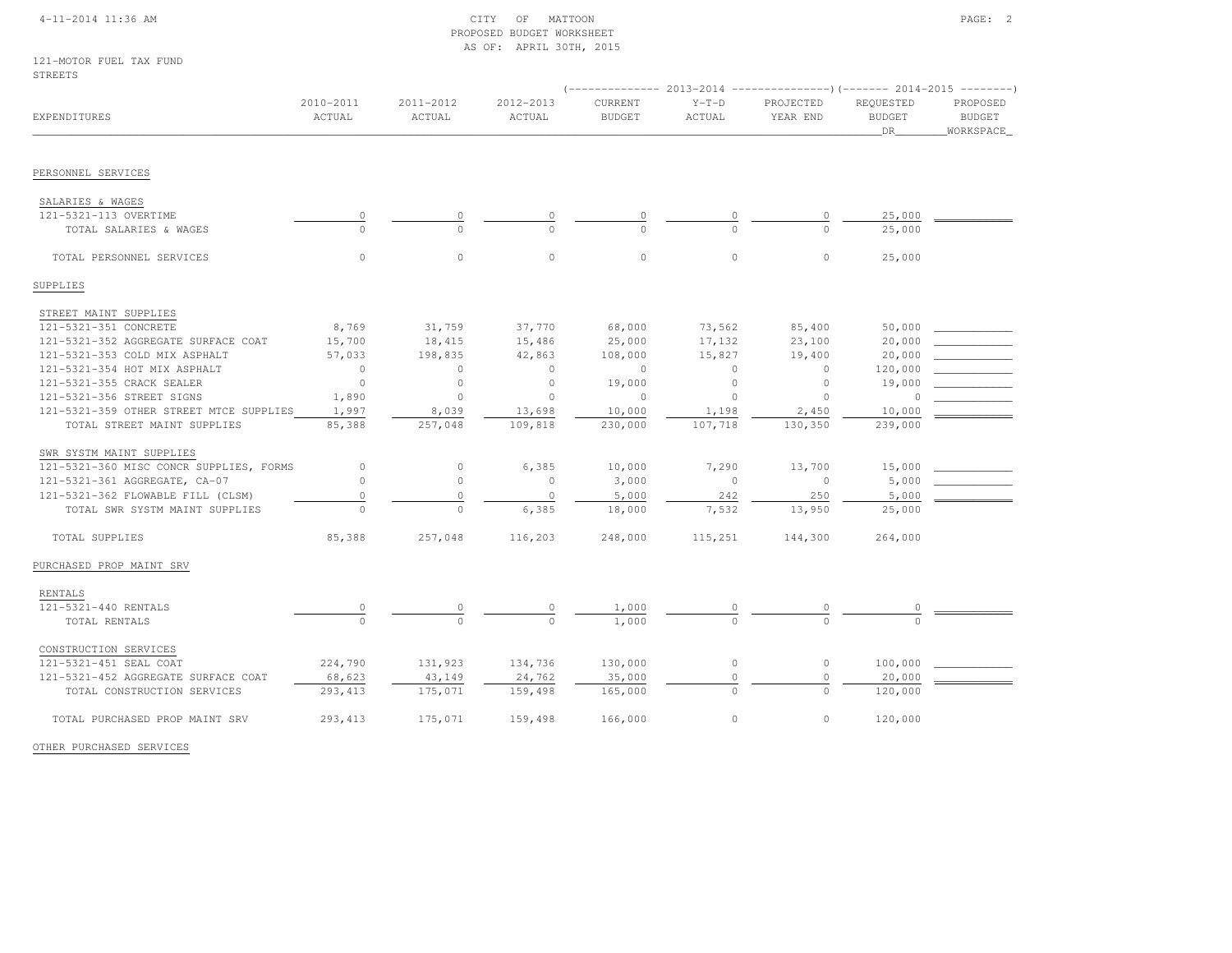### 4-11-2014 11:36 AM CITY OF MATTOON PAGE: 2 PROPOSED BUDGET WORKSHEETAS OF: APRIL 30TH, 2015

| 121-MOTOR FUEL TAX FUND |  |  |
|-------------------------|--|--|
| STREETS                 |  |  |

|                                         |                         |                     |                     |                          | $---------2013-2014$<br>----------------) (------- 2014-2015 ---------) |                       |                                  |                                          |
|-----------------------------------------|-------------------------|---------------------|---------------------|--------------------------|-------------------------------------------------------------------------|-----------------------|----------------------------------|------------------------------------------|
| EXPENDITURES                            | $2010 - 2011$<br>ACTUAL | 2011-2012<br>ACTUAL | 2012-2013<br>ACTUAL | CURRENT<br><b>BUDGET</b> | $Y-T-D$<br>ACTUAL                                                       | PROJECTED<br>YEAR END | REQUESTED<br><b>BUDGET</b><br>DR | PROPOSED<br><b>BUDGET</b><br>_WORKSPACE_ |
|                                         |                         |                     |                     |                          |                                                                         |                       |                                  |                                          |
| PERSONNEL SERVICES                      |                         |                     |                     |                          |                                                                         |                       |                                  |                                          |
| SALARIES & WAGES                        |                         |                     |                     |                          |                                                                         |                       |                                  |                                          |
| 121-5321-113 OVERTIME                   | $\overline{0}$          |                     |                     |                          |                                                                         |                       | 25,000                           |                                          |
| TOTAL SALARIES & WAGES                  | $\Omega$                | $\Omega$            |                     | $\cap$                   |                                                                         | $\cap$                | 25,000                           |                                          |
| TOTAL PERSONNEL SERVICES                | $\Omega$                | $\circ$             | $\circ$             | $\circ$                  | $\circ$                                                                 | $\circ$               | 25,000                           |                                          |
| SUPPLIES                                |                         |                     |                     |                          |                                                                         |                       |                                  |                                          |
| STREET MAINT SUPPLIES                   |                         |                     |                     |                          |                                                                         |                       |                                  |                                          |
| 121-5321-351 CONCRETE                   | 8,769                   | 31,759              | 37,770              | 68,000                   | 73,562                                                                  | 85,400                | 50,000                           |                                          |
| 121-5321-352 AGGREGATE SURFACE COAT     | 15,700                  | 18,415              | 15,486              | 25,000                   | 17,132                                                                  | 23,100                | 20,000                           |                                          |
| 121-5321-353 COLD MIX ASPHALT           | 57,033                  | 198,835             | 42,863              | 108,000                  | 15,827                                                                  | 19,400                | 20,000                           |                                          |
| 121-5321-354 HOT MIX ASPHALT            | $\circ$                 | $\circ$             | $\circ$             | $\circ$                  | $\circ$                                                                 | $\circ$               | 120,000                          |                                          |
| 121-5321-355 CRACK SEALER               | $\circ$                 | $\circ$             | $\circ$             | 19,000                   | $\circ$                                                                 | $\circ$               | 19,000                           |                                          |
| 121-5321-356 STREET SIGNS               | 1,890                   | $\circ$             | $\circ$             | $\circ$                  | $\circ$                                                                 | $\circ$               | $\cap$                           |                                          |
| 121-5321-359 OTHER STREET MTCE SUPPLIES | 1,997                   | 8,039               | 13,698              | 10,000                   | 1,198                                                                   | 2,450                 | 10,000                           |                                          |
| TOTAL STREET MAINT SUPPLIES             | 85,388                  | 257,048             | 109,818             | 230,000                  | 107,718                                                                 | 130,350               | 239,000                          |                                          |
| SWR SYSTM MAINT SUPPLIES                |                         |                     |                     |                          |                                                                         |                       |                                  |                                          |
| 121-5321-360 MISC CONCR SUPPLIES, FORMS | $\circ$                 | $\circ$             | 6,385               | 10,000                   | 7,290                                                                   | 13,700                | 15,000                           |                                          |
| 121-5321-361 AGGREGATE, CA-07           | $\circ$                 | $\circ$             | $\circ$             | 3,000                    | $\circ$                                                                 | $\Omega$              | 5,000                            |                                          |
| 121-5321-362 FLOWABLE FILL (CLSM)       | $\circ$                 | $\circ$             | $\circ$             | 5,000                    | 242                                                                     | 250                   | 5,000                            |                                          |
| TOTAL SWR SYSTM MAINT SUPPLIES          | $\Omega$                | $\circ$             | 6,385               | 18,000                   | 7,532                                                                   | 13,950                | 25,000                           |                                          |
| TOTAL SUPPLIES                          | 85,388                  | 257,048             | 116,203             | 248,000                  | 115,251                                                                 | 144,300               | 264,000                          |                                          |
| PURCHASED PROP MAINT SRV                |                         |                     |                     |                          |                                                                         |                       |                                  |                                          |
| RENTALS                                 |                         |                     |                     |                          |                                                                         |                       |                                  |                                          |
| 121-5321-440 RENTALS                    | $\frac{0}{0}$           |                     | $\Omega$            | 1,000                    | 0                                                                       | 0                     |                                  |                                          |
| TOTAL RENTALS                           |                         | $\circ$             | $\Omega$            | 1,000                    | $\Omega$                                                                | $\Omega$              | $\Omega$                         |                                          |
| CONSTRUCTION SERVICES                   |                         |                     |                     |                          |                                                                         |                       |                                  |                                          |
| 121-5321-451 SEAL COAT                  | 224,790                 | 131,923             | 134,736             | 130,000                  | $\circ$                                                                 | $\circ$               | 100,000                          |                                          |
| 121-5321-452 AGGREGATE SURFACE COAT     | 68,623                  | 43,149              | 24,762              | 35,000                   | $\circ$                                                                 | $\circ$               | 20,000                           |                                          |
| TOTAL CONSTRUCTION SERVICES             | 293, 413                | 175,071             | 159,498             | 165,000                  | $\circ$                                                                 | $\circ$               | 120,000                          |                                          |
| TOTAL PURCHASED PROP MAINT SRV          | 293, 413                | 175,071             | 159,498             | 166,000                  | $\circ$                                                                 | $\circ$               | 120,000                          |                                          |
| OTHER PURCHASED SERVICES                |                         |                     |                     |                          |                                                                         |                       |                                  |                                          |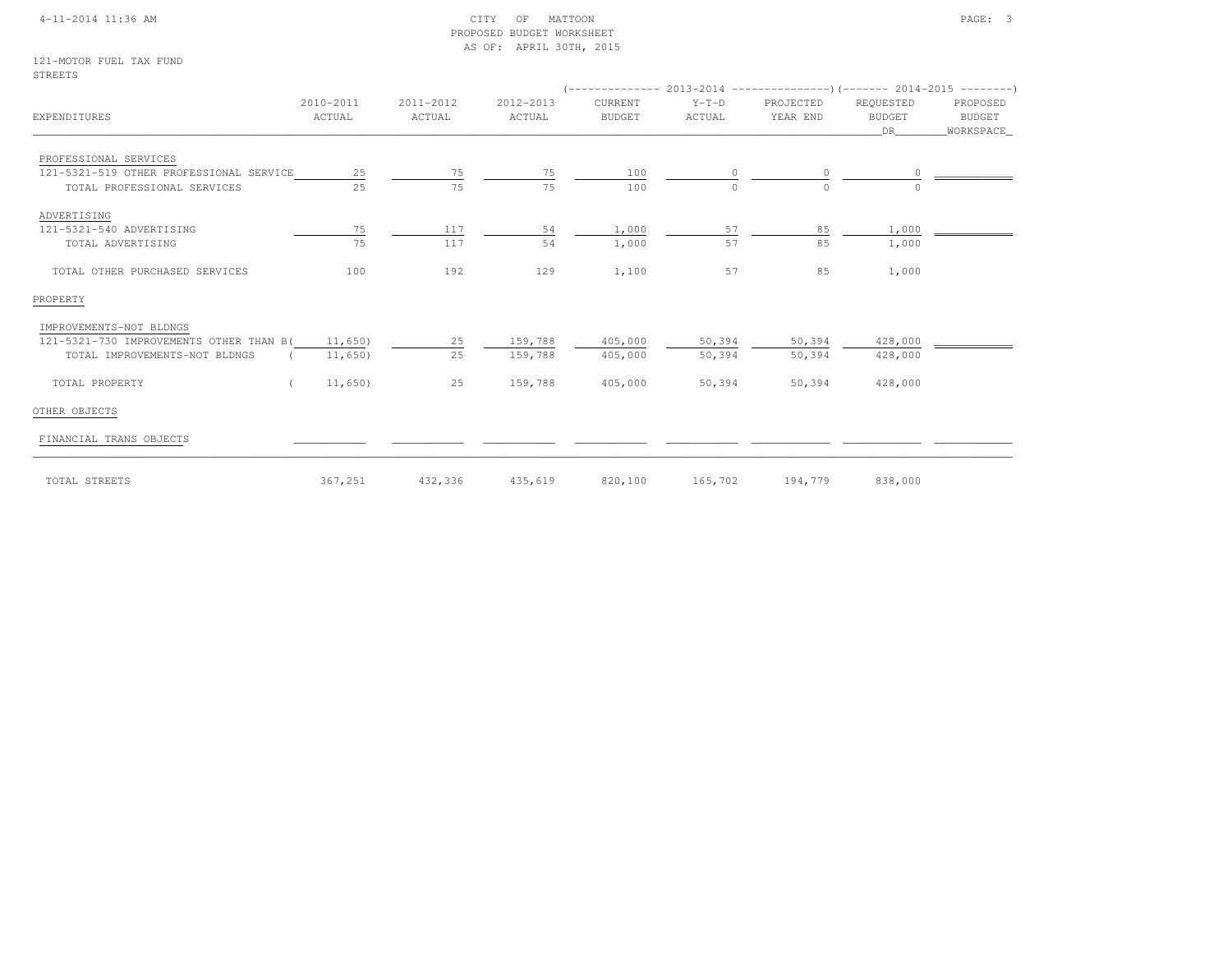### 4-11-2014 11:36 AM CITY OF MATTOON PAGE: 3 PROPOSED BUDGET WORKSHEETAS OF: APRIL 30TH, 2015

121-MOTOR FUEL TAX FUNDSTREETS

| EXPENDITURES                            | 2010-2011<br>ACTUAL | 2011-2012<br>ACTUAL | 2012-2013<br>ACTUAL | CURRENT<br><b>BUDGET</b> | $Y-T-D$<br>ACTUAL | PROJECTED<br>YEAR END | REQUESTED<br><b>BUDGET</b><br>DR | PROPOSED<br>BUDGET<br>WORKSPACE_ |  |  |
|-----------------------------------------|---------------------|---------------------|---------------------|--------------------------|-------------------|-----------------------|----------------------------------|----------------------------------|--|--|
|                                         |                     |                     |                     |                          |                   |                       |                                  |                                  |  |  |
| PROFESSIONAL SERVICES                   |                     |                     |                     |                          |                   |                       |                                  |                                  |  |  |
| 121-5321-519 OTHER PROFESSIONAL SERVICE | 25                  | 75                  | 75                  | 100                      |                   |                       |                                  |                                  |  |  |
| TOTAL PROFESSIONAL SERVICES             | 2.5                 | 75                  | 75                  | 100                      | $\Omega$          | $\cap$                |                                  |                                  |  |  |
| ADVERTISING                             |                     |                     |                     |                          |                   |                       |                                  |                                  |  |  |
| 121-5321-540 ADVERTISING                | 75                  | 117                 | 54                  | 1,000                    | 57                | 85                    | 1,000                            |                                  |  |  |
| TOTAL ADVERTISING                       | 75                  | 117                 | 54                  | 1,000                    | 57                | 85                    | 1,000                            |                                  |  |  |
| TOTAL OTHER PURCHASED SERVICES          | 100                 | 192                 | 129                 | 1,100                    | 57                | 85                    | 1,000                            |                                  |  |  |
| PROPERTY                                |                     |                     |                     |                          |                   |                       |                                  |                                  |  |  |
| IMPROVEMENTS-NOT BLDNGS                 |                     |                     |                     |                          |                   |                       |                                  |                                  |  |  |
| 121-5321-730 IMPROVEMENTS OTHER THAN B( | 11,650)             | 25                  | 159,788             | 405,000                  | 50,394            | 50,394                | 428,000                          |                                  |  |  |
| TOTAL IMPROVEMENTS-NOT BLDNGS           | 11,650)             | 25                  | 159,788             | 405,000                  | 50,394            | 50,394                | 428,000                          |                                  |  |  |
| TOTAL PROPERTY                          | 11,650)             | 25                  | 159,788             | 405,000                  | 50,394            | 50,394                | 428,000                          |                                  |  |  |
| OTHER OBJECTS                           |                     |                     |                     |                          |                   |                       |                                  |                                  |  |  |
| FINANCIAL TRANS OBJECTS                 |                     |                     |                     |                          |                   |                       |                                  |                                  |  |  |
| TOTAL STREETS                           | 367,251             | 432,336             | 435,619             | 820,100                  | 165,702           | 194,779               | 838,000                          |                                  |  |  |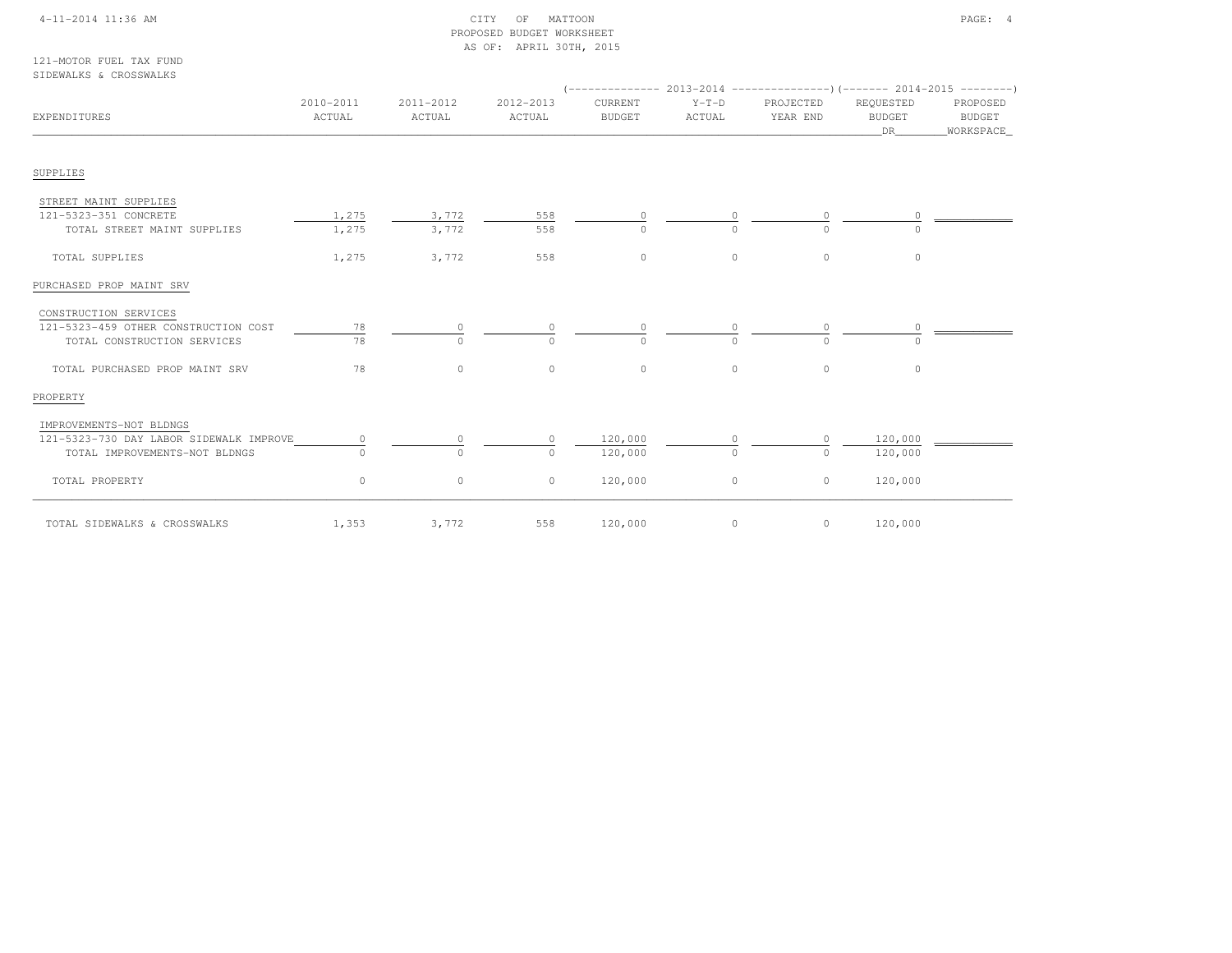### 4-11-2014 11:36 AM CITY OF MATTOON PAGE: 4 PROPOSED BUDGET WORKSHEETAS OF: APRIL 30TH, 2015

121-MOTOR FUEL TAX FUNDSIDEWALKS & CROSSWALKS

| EXPENDITURES                            | 2010-2011<br>ACTUAL | 2011-2012<br>ACTUAL | 2012-2013<br>ACTUAL | CURRENT<br><b>BUDGET</b> | $Y-T-D$<br>ACTUAL | PROJECTED<br>YEAR END | REQUESTED<br><b>BUDGET</b><br>DR | PROPOSED<br>BUDGET<br>_WORKSPACE_ |  |
|-----------------------------------------|---------------------|---------------------|---------------------|--------------------------|-------------------|-----------------------|----------------------------------|-----------------------------------|--|
| SUPPLIES                                |                     |                     |                     |                          |                   |                       |                                  |                                   |  |
|                                         |                     |                     |                     |                          |                   |                       |                                  |                                   |  |
| STREET MAINT SUPPLIES                   |                     |                     |                     |                          |                   |                       |                                  |                                   |  |
| 121-5323-351 CONCRETE                   | 1,275               | 3,772               | 558                 |                          |                   |                       |                                  |                                   |  |
| TOTAL STREET MAINT SUPPLIES             | 1,275               | 3,772               | 558                 | $\cap$                   |                   |                       |                                  |                                   |  |
| TOTAL SUPPLIES                          | 1,275               | 3,772               | 558                 | $\Omega$                 | $\Omega$          | $\Omega$              | $\Omega$                         |                                   |  |
| PURCHASED PROP MAINT SRV                |                     |                     |                     |                          |                   |                       |                                  |                                   |  |
| CONSTRUCTION SERVICES                   |                     |                     |                     |                          |                   |                       |                                  |                                   |  |
| 121-5323-459 OTHER CONSTRUCTION COST    | 78                  | 0                   |                     |                          |                   |                       |                                  |                                   |  |
| TOTAL CONSTRUCTION SERVICES             | 78                  | $\bigcap$           |                     | <sup>n</sup>             |                   | $\cap$                |                                  |                                   |  |
| TOTAL PURCHASED PROP MAINT SRV          | 78                  | $\circ$             | $\circ$             | $\circ$                  | $\circ$           | $\circ$               | $\circ$                          |                                   |  |
| PROPERTY                                |                     |                     |                     |                          |                   |                       |                                  |                                   |  |
| IMPROVEMENTS-NOT BLDNGS                 |                     |                     |                     |                          |                   |                       |                                  |                                   |  |
| 121-5323-730 DAY LABOR SIDEWALK IMPROVE |                     |                     |                     | 120,000                  |                   |                       | 120,000                          |                                   |  |
| TOTAL IMPROVEMENTS-NOT BLDNGS           |                     | $\Omega$            | $\bigcap$           | 120,000                  | $\cap$            | $\cap$                | 120,000                          |                                   |  |
| TOTAL PROPERTY                          | $\circ$             | $\circ$             | $\circ$             | 120,000                  | $\circ$           | $\circ$               | 120,000                          |                                   |  |
| TOTAL SIDEWALKS & CROSSWALKS            | 1,353               | 3,772               | 558                 | 120,000                  | $\circ$           | $\circ$               | 120,000                          |                                   |  |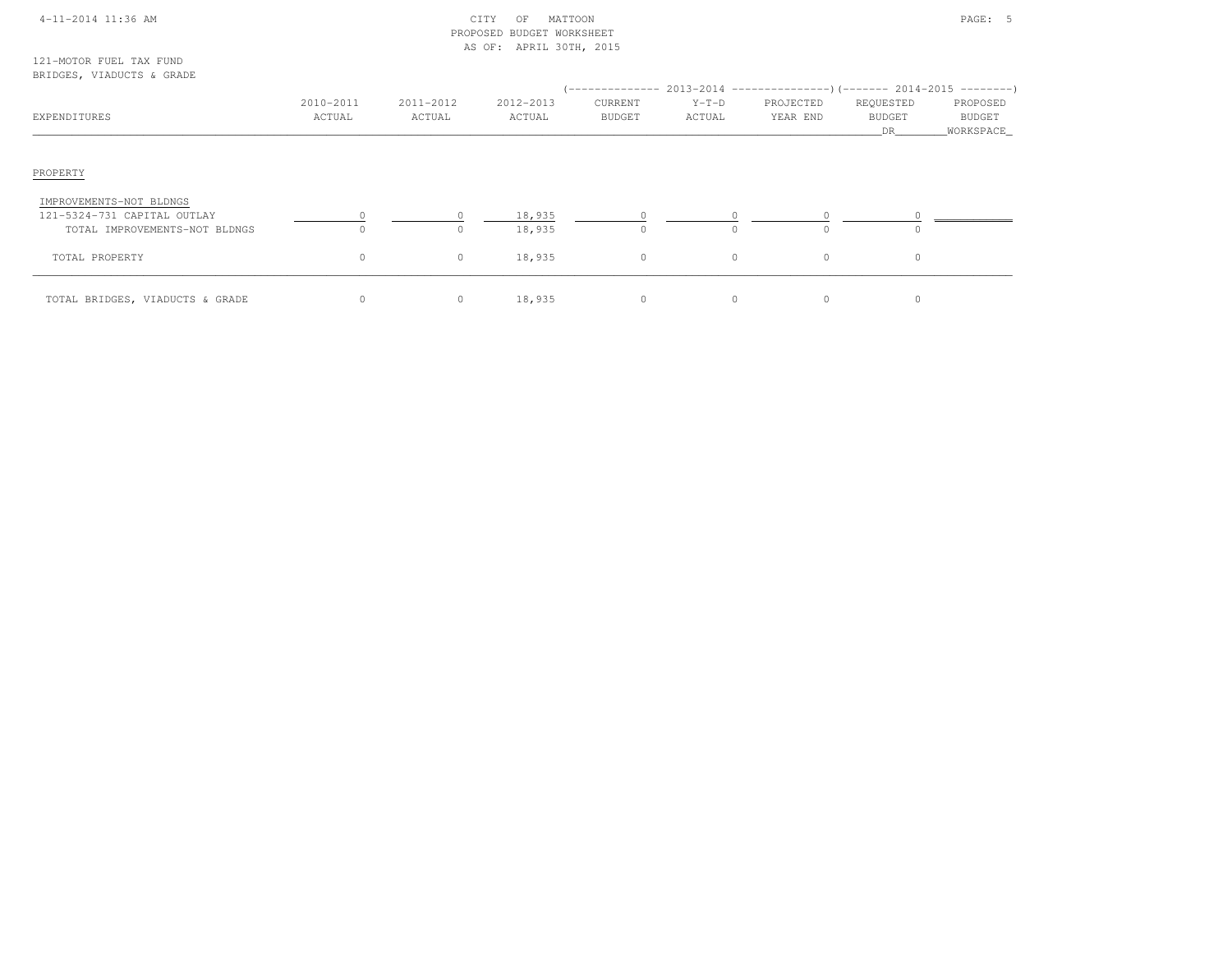| 4-11-2014 11:36 AM |  |
|--------------------|--|
|                    |  |

# $\text{CITY}$  OF MATTOON PAGE: 5 PROPOSED BUDGET WORKSHEETAS OF: APRIL 30TH, 2015

121-MOTOR FUEL TAX FUNDBRIDGES, VIADUCTS & GRADE

| EXPENDITURES                                                                            | 2010-2011<br>ACTUAL | 2011-2012<br>ACTUAL | 2012-2013<br>ACTUAL | CURRENT<br><b>BUDGET</b> | $Y-T-D$<br>ACTUAL | (-------------- 2013-2014 -------------------- ) (------- 2014-2015 ----------)<br>PROJECTED<br>YEAR END | REQUESTED<br><b>BUDGET</b><br>DR | PROPOSED<br><b>BUDGET</b><br>_WORKSPACE_ |
|-----------------------------------------------------------------------------------------|---------------------|---------------------|---------------------|--------------------------|-------------------|----------------------------------------------------------------------------------------------------------|----------------------------------|------------------------------------------|
| PROPERTY                                                                                |                     |                     |                     |                          |                   |                                                                                                          |                                  |                                          |
| IMPROVEMENTS-NOT BLDNGS<br>121-5324-731 CAPITAL OUTLAY<br>TOTAL IMPROVEMENTS-NOT BLDNGS | $\Omega$            | $\circ$             | 18,935<br>18,935    | 0<br>$\Omega$            | 0                 |                                                                                                          | $\Omega$                         |                                          |
| TOTAL PROPERTY                                                                          | 0                   | $\circ$             | 18,935              | $\mathbf{0}$             | $\circ$           | $\Omega$                                                                                                 | $\circ$                          |                                          |
| TOTAL BRIDGES, VIADUCTS & GRADE                                                         |                     | $\circ$             | 18,935              | 0                        | 0                 | $\Omega$                                                                                                 | $\circ$                          |                                          |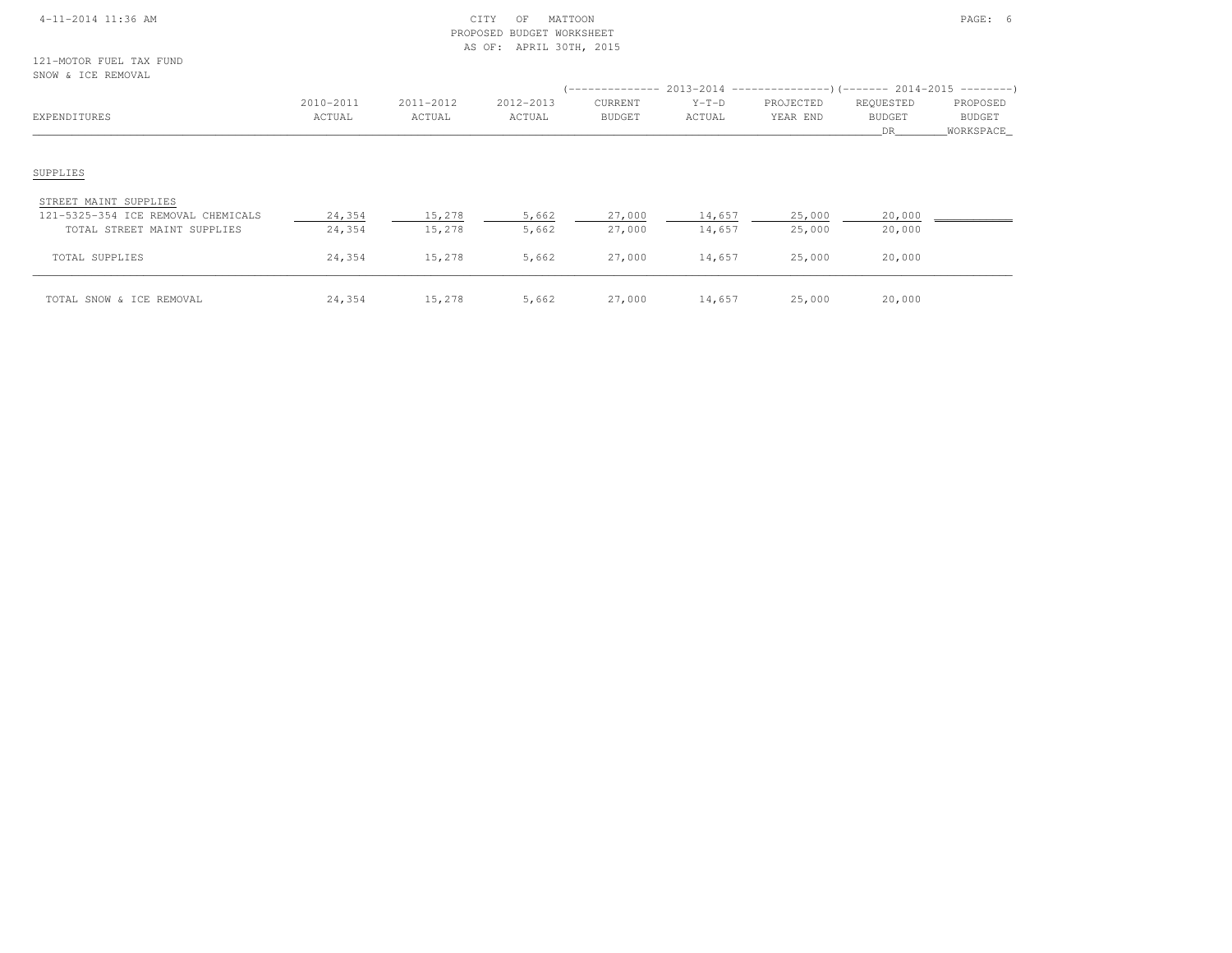### 4-11-2014 11:36 AM CITY OF MATTOON PAGE: 6 PROPOSED BUDGET WORKSHEETAS OF: APRIL 30TH, 2015

121-MOTOR FUEL TAX FUNDSNOW & ICE REMOVAL

| SNOW & ICE REMOVAL                                                                         |                     |                     |                     |                          |                   | (-------------- 2013-2014 --------------------- 2014-2015 ---------- ) |                                  |                                        |
|--------------------------------------------------------------------------------------------|---------------------|---------------------|---------------------|--------------------------|-------------------|------------------------------------------------------------------------|----------------------------------|----------------------------------------|
| EXPENDITURES                                                                               | 2010-2011<br>ACTUAL | 2011-2012<br>ACTUAL | 2012-2013<br>ACTUAL | CURRENT<br><b>BUDGET</b> | $Y-T-D$<br>ACTUAL | PROJECTED<br>YEAR END                                                  | REQUESTED<br><b>BUDGET</b><br>DR | PROPOSED<br><b>BUDGET</b><br>WORKSPACE |
| SUPPLIES                                                                                   |                     |                     |                     |                          |                   |                                                                        |                                  |                                        |
| STREET MAINT SUPPLIES<br>121-5325-354 ICE REMOVAL CHEMICALS<br>TOTAL STREET MAINT SUPPLIES | 24,354<br>24,354    | 15,278<br>15,278    | 5,662<br>5,662      | 27,000<br>27,000         | 14,657<br>14,657  | 25,000<br>25,000                                                       | 20,000<br>20,000                 |                                        |
| TOTAL SUPPLIES                                                                             | 24,354              | 15,278              | 5,662               | 27,000                   | 14,657            | 25,000                                                                 | 20,000                           |                                        |
| TOTAL SNOW & ICE REMOVAL                                                                   | 24,354              | 15,278              | 5,662               | 27,000                   | 14,657            | 25,000                                                                 | 20,000                           |                                        |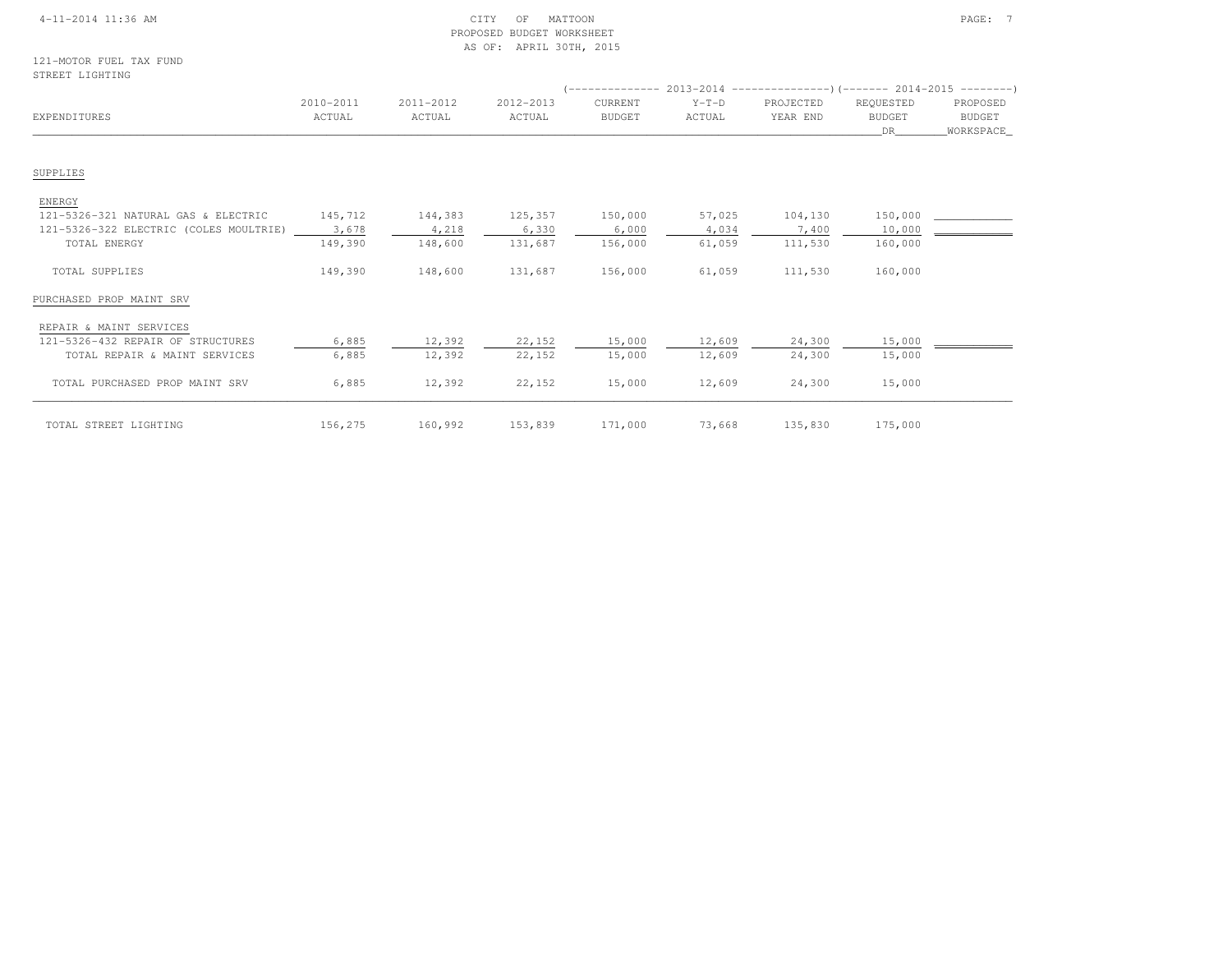### 4-11-2014 11:36 AM CITY OF MATTOON PAGE: 7 PROPOSED BUDGET WORKSHEETAS OF: APRIL 30TH, 2015

| EXPENDITURES                           | 2010-2011<br>ACTUAL | 2011-2012<br>ACTUAL | 2012-2013<br>ACTUAL | CURRENT<br><b>BUDGET</b> | $Y-T-D$<br>ACTUAL | PROJECTED<br>YEAR END | REQUESTED<br><b>BUDGET</b><br>DR | PROPOSED<br>BUDGET<br>WORKSPACE |
|----------------------------------------|---------------------|---------------------|---------------------|--------------------------|-------------------|-----------------------|----------------------------------|---------------------------------|
| SUPPLIES                               |                     |                     |                     |                          |                   |                       |                                  |                                 |
| ENERGY                                 |                     |                     |                     |                          |                   |                       |                                  |                                 |
| 121-5326-321 NATURAL GAS & ELECTRIC    | 145,712             | 144,383             | 125,357             | 150,000                  | 57,025            | 104,130               | 150,000                          |                                 |
| 121-5326-322 ELECTRIC (COLES MOULTRIE) | 3,678               | 4,218               | 6,330               | 6,000                    | 4,034             | 7,400                 | 10,000                           |                                 |
| TOTAL ENERGY                           | 149,390             | 148,600             | 131,687             | 156,000                  | 61,059            | 111,530               | 160,000                          |                                 |
| TOTAL SUPPLIES                         | 149,390             | 148,600             | 131,687             | 156,000                  | 61,059            | 111,530               | 160,000                          |                                 |
| PURCHASED PROP MAINT SRV               |                     |                     |                     |                          |                   |                       |                                  |                                 |
| REPAIR & MAINT SERVICES                |                     |                     |                     |                          |                   |                       |                                  |                                 |
| 121-5326-432 REPAIR OF STRUCTURES      | 6,885               | 12,392              | 22,152              | 15,000                   | 12,609            | 24,300                | 15,000                           |                                 |
| TOTAL REPAIR & MAINT SERVICES          | 6,885               | 12,392              | 22,152              | 15,000                   | 12,609            | 24,300                | 15,000                           |                                 |
| TOTAL PURCHASED PROP MAINT SRV         | 6,885               | 12,392              | 22,152              | 15,000                   | 12,609            | 24,300                | 15,000                           |                                 |
|                                        |                     |                     |                     |                          |                   |                       |                                  |                                 |

TOTAL STREET LIGHTING  $156, 275$   $160, 992$   $153, 839$   $171, 000$   $73, 668$   $135, 830$   $175, 000$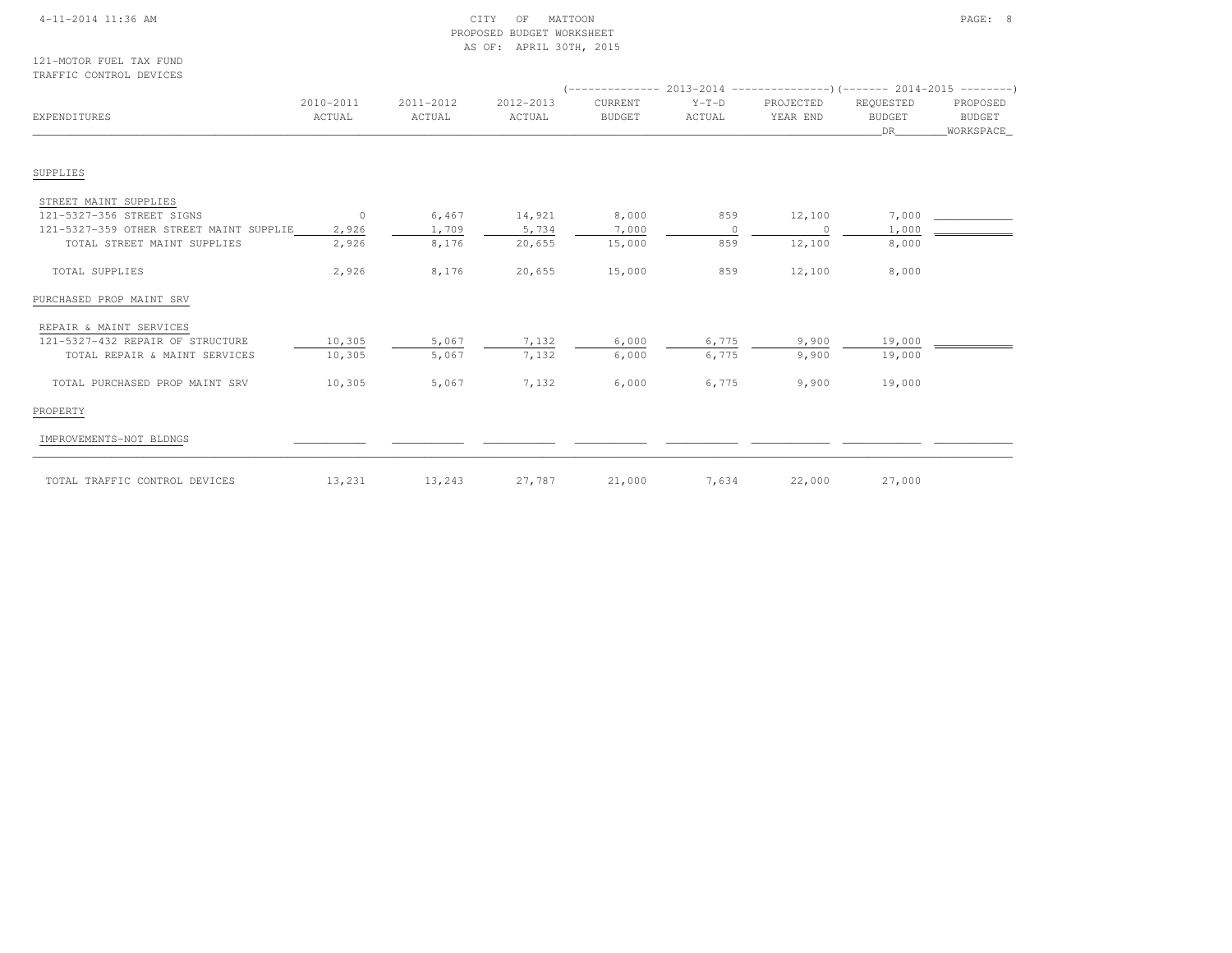### 4-11-2014 11:36 AM CITY OF MATTOON PAGE: 8 PROPOSED BUDGET WORKSHEETAS OF: APRIL 30TH, 2015

121-MOTOR FUEL TAX FUNDTRAFFIC CONTROL DEVICES

|                                         |                     |                     |                     |                          |                   | $($ -------------- 2013-2014 --------------------- $($ ------- 2014-2015 ---------) |                                  |                                        |
|-----------------------------------------|---------------------|---------------------|---------------------|--------------------------|-------------------|-------------------------------------------------------------------------------------|----------------------------------|----------------------------------------|
| EXPENDITURES                            | 2010-2011<br>ACTUAL | 2011-2012<br>ACTUAL | 2012-2013<br>ACTUAL | CURRENT<br><b>BUDGET</b> | $Y-T-D$<br>ACTUAL | PROJECTED<br>YEAR END                                                               | REQUESTED<br><b>BUDGET</b><br>DR | PROPOSED<br><b>BUDGET</b><br>WORKSPACE |
| SUPPLIES                                |                     |                     |                     |                          |                   |                                                                                     |                                  |                                        |
| STREET MAINT SUPPLIES                   |                     |                     |                     |                          |                   |                                                                                     |                                  |                                        |
| 121-5327-356 STREET SIGNS               | $\overline{0}$      | 6,467               | 14,921              | 8,000                    | 859               | 12,100                                                                              | 7,000                            |                                        |
| 121-5327-359 OTHER STREET MAINT SUPPLIE | 2,926               | 1,709               | 5,734               | 7,000                    | $\Omega$          | $\Omega$                                                                            | 1,000                            |                                        |
| TOTAL STREET MAINT SUPPLIES             | 2,926               | 8,176               | 20,655              | 15,000                   | 859               | 12,100                                                                              | 8,000                            |                                        |
| TOTAL SUPPLIES                          | 2,926               | 8,176               | 20,655              | 15,000                   | 859               | 12,100                                                                              | 8,000                            |                                        |
| PURCHASED PROP MAINT SRV                |                     |                     |                     |                          |                   |                                                                                     |                                  |                                        |
| REPAIR & MAINT SERVICES                 |                     |                     |                     |                          |                   |                                                                                     |                                  |                                        |
| 121-5327-432 REPAIR OF STRUCTURE        | 10,305              | 5,067               | 7,132               | 6,000                    | 6,775             | 9,900                                                                               | 19,000                           |                                        |
| TOTAL REPAIR & MAINT SERVICES           | 10,305              | 5,067               | 7,132               | 6,000                    | 6,775             | 9,900                                                                               | 19,000                           |                                        |
| TOTAL PURCHASED PROP MAINT SRV          | 10,305              | 5,067               | 7,132               | 6,000                    | 6,775             | 9,900                                                                               | 19,000                           |                                        |
| PROPERTY                                |                     |                     |                     |                          |                   |                                                                                     |                                  |                                        |
| IMPROVEMENTS-NOT BLDNGS                 |                     |                     |                     |                          |                   |                                                                                     |                                  |                                        |
| TOTAL TRAFFIC CONTROL DEVICES           | 13,231              | 13,243              | 27,787              | 21,000                   | 7,634             | 22,000                                                                              | 27,000                           |                                        |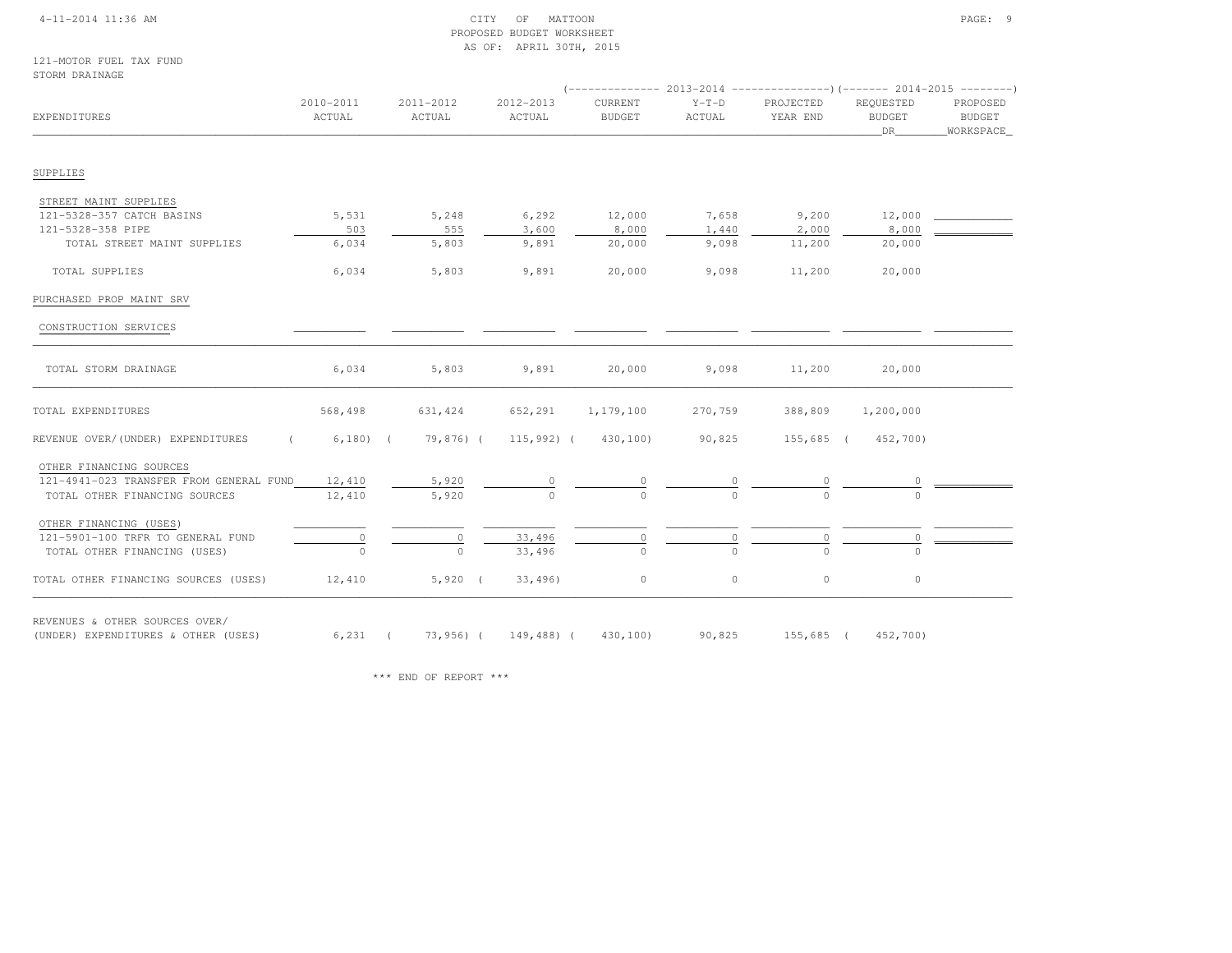### 4-11-2014 11:36 AM CITY OF MATTOON PAGE: 9 PROPOSED BUDGET WORKSHEETAS OF: APRIL 30TH, 2015

121-MOTOR FUEL TAX FUNDSTORM DRAINAGE

| EXPENDITURES                                                          | 2010-2011<br>ACTUAL | 2011-2012<br>ACTUAL                   | 2012-2013<br>ACTUAL | CURRENT<br><b>BUDGET</b> | $Y-T-D$<br>ACTUAL | PROJECTED<br>YEAR END | REOUESTED<br><b>BUDGET</b><br>DR | PROPOSED<br>BUDGET<br>WORKSPACE |
|-----------------------------------------------------------------------|---------------------|---------------------------------------|---------------------|--------------------------|-------------------|-----------------------|----------------------------------|---------------------------------|
| SUPPLIES                                                              |                     |                                       |                     |                          |                   |                       |                                  |                                 |
|                                                                       |                     |                                       |                     |                          |                   |                       |                                  |                                 |
| STREET MAINT SUPPLIES                                                 |                     |                                       |                     |                          |                   |                       |                                  |                                 |
| 121-5328-357 CATCH BASINS                                             | 5,531               | 5,248                                 | 6,292               | 12,000                   | 7,658             | 9,200                 | 12,000                           |                                 |
| 121-5328-358 PIPE                                                     | 503                 | 555                                   | 3,600               | 8,000                    | 1,440             | 2,000                 | 8,000                            |                                 |
| TOTAL STREET MAINT SUPPLIES                                           | 6,034               | 5,803                                 | 9,891               | 20,000                   | 9,098             | 11,200                | 20,000                           |                                 |
| TOTAL SUPPLIES                                                        | 6,034               | 5,803                                 | 9,891               | 20,000                   | 9,098             | 11,200                | 20,000                           |                                 |
| PURCHASED PROP MAINT SRV                                              |                     |                                       |                     |                          |                   |                       |                                  |                                 |
| CONSTRUCTION SERVICES                                                 |                     |                                       |                     |                          |                   |                       |                                  |                                 |
| TOTAL STORM DRAINAGE                                                  | 6,034               | 5,803                                 | 9,891               | 20,000                   | 9,098             | 11,200                | 20,000                           |                                 |
| TOTAL EXPENDITURES                                                    | 568,498             | 631,424                               | 652,291             | 1,179,100                | 270,759           | 388,809               | 1,200,000                        |                                 |
| REVENUE OVER/(UNDER) EXPENDITURES                                     | (6, 180)            | 79,876) (                             |                     | $115,992$ ( $430,100$ )  | 90,825            | 155,685 (             | 452,700)                         |                                 |
| OTHER FINANCING SOURCES                                               |                     |                                       |                     |                          |                   |                       |                                  |                                 |
| 121-4941-023 TRANSFER FROM GENERAL FUND                               | 12,410              | 5,920                                 |                     |                          |                   |                       |                                  |                                 |
| TOTAL OTHER FINANCING SOURCES                                         | 12,410              | 5,920                                 |                     |                          |                   |                       |                                  |                                 |
| OTHER FINANCING (USES)                                                |                     |                                       |                     |                          |                   |                       |                                  |                                 |
| 121-5901-100 TRFR TO GENERAL FUND                                     |                     | $\frac{0}{\sqrt{2}}$                  | 33,496              | $\frac{0}{0}$            |                   | 0                     |                                  |                                 |
| TOTAL OTHER FINANCING (USES)                                          |                     | $\Omega$                              | 33,496              |                          |                   |                       |                                  |                                 |
| TOTAL OTHER FINANCING SOURCES (USES)                                  | 12,410              | $5,920$ (                             | 33,496)             | $\circ$                  | $\circ$           | $\circ$               | $\circ$                          |                                 |
|                                                                       |                     |                                       |                     |                          |                   |                       |                                  |                                 |
| REVENUES & OTHER SOURCES OVER/<br>(UNDER) EXPENDITURES & OTHER (USES) |                     | 6,231 ( 73,956) ( 149,488) ( 430,100) |                     |                          | 90,825            | 155,685 (452,700)     |                                  |                                 |

\*\*\* END OF REPORT \*\*\*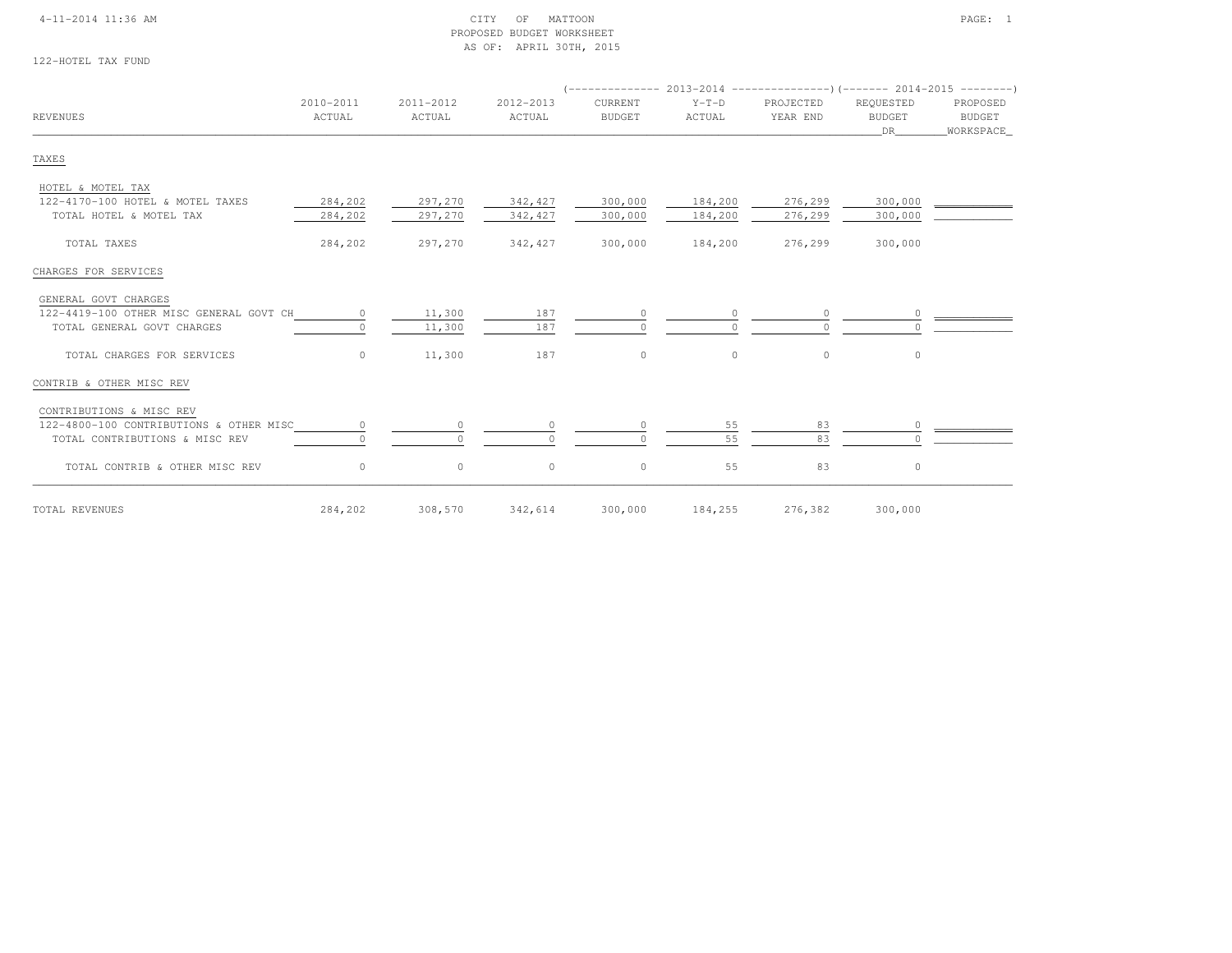### 4-11-2014 11:36 AM CITY OF MATTOON PAGE: 1 PROPOSED BUDGET WORKSHEETAS OF: APRIL 30TH, 2015

122-HOTEL TAX FUND

| REVENUES                                | 2010-2011<br>ACTUAL | 2011-2012<br>ACTUAL | 2012-2013<br>ACTUAL | CURRENT<br><b>BUDGET</b> | $Y-T-D$<br>ACTUAL | PROJECTED<br>YEAR END | REQUESTED<br><b>BUDGET</b><br>DR | PROPOSED<br>BUDGET<br>WORKSPACE |  |
|-----------------------------------------|---------------------|---------------------|---------------------|--------------------------|-------------------|-----------------------|----------------------------------|---------------------------------|--|
| TAXES                                   |                     |                     |                     |                          |                   |                       |                                  |                                 |  |
| HOTEL & MOTEL TAX                       |                     |                     |                     |                          |                   |                       |                                  |                                 |  |
| 122-4170-100 HOTEL & MOTEL TAXES        | 284,202             | 297,270             | 342,427             | 300,000                  | 184,200           | 276,299               | 300,000                          |                                 |  |
| TOTAL HOTEL & MOTEL TAX                 | 284,202             | 297,270             | 342,427             | 300,000                  | 184,200           | 276,299               | 300,000                          |                                 |  |
| TOTAL TAXES                             | 284,202             | 297,270             | 342,427             | 300,000                  | 184,200           | 276,299               | 300,000                          |                                 |  |
| CHARGES FOR SERVICES                    |                     |                     |                     |                          |                   |                       |                                  |                                 |  |
| GENERAL GOVT CHARGES                    |                     |                     |                     |                          |                   |                       |                                  |                                 |  |
| 122-4419-100 OTHER MISC GENERAL GOVT CH | $\circ$             | 11,300              | 187                 | $\circ$                  |                   |                       |                                  |                                 |  |
| TOTAL GENERAL GOVT CHARGES              |                     | 11,300              | 187                 | $\Omega$                 |                   |                       |                                  |                                 |  |
| TOTAL CHARGES FOR SERVICES              | $\Omega$            | 11,300              | 187                 | $\circ$                  | $\circ$           | $\circ$               | $\circ$                          |                                 |  |
| CONTRIB & OTHER MISC REV                |                     |                     |                     |                          |                   |                       |                                  |                                 |  |
| CONTRIBUTIONS & MISC REV                |                     |                     |                     |                          |                   |                       |                                  |                                 |  |
| 122-4800-100 CONTRIBUTIONS & OTHER MISC |                     | $\circ$             |                     | $\circ$                  | 55                | 83                    |                                  |                                 |  |
| TOTAL CONTRIBUTIONS & MISC REV          |                     | $\bigcap$           |                     | $\Omega$                 | 55                | 83                    |                                  |                                 |  |
| TOTAL CONTRIB & OTHER MISC REV          | $\circ$             | $\circ$             | $\circ$             | $\circ$                  | 55                | 83                    | 0                                |                                 |  |

TOTAL REVENUES 284,202 308,570 342,614 300,000 184,255 276,382 300,000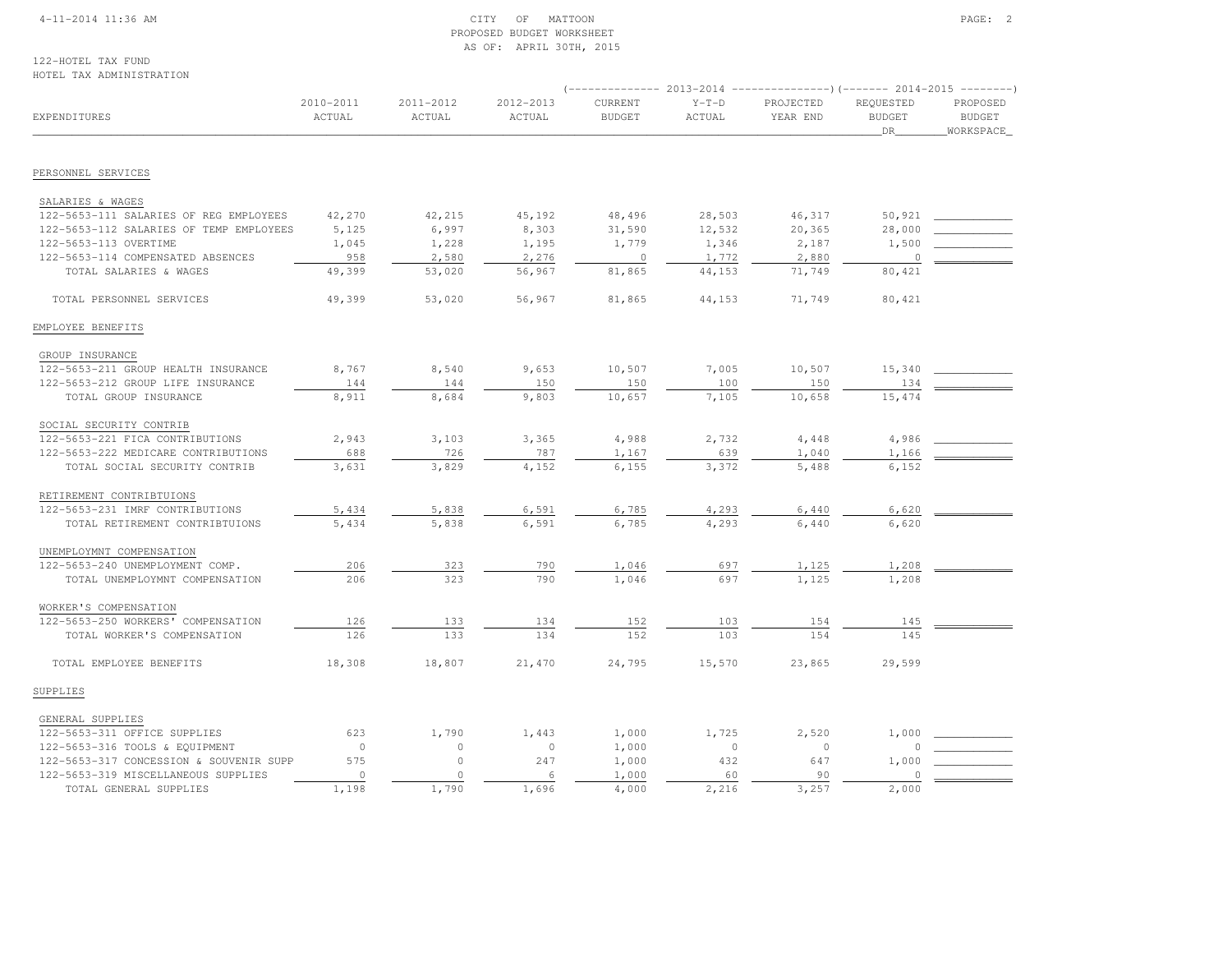### 4-11-2014 11:36 AM CITY OF MATTOON PAGE: 2 PROPOSED BUDGET WORKSHEETAS OF: APRIL 30TH, 2015

122-HOTEL TAX FUNDHOTEL TAX ADMINISTRATION

|                                         |                     |                     |                     | $---------2013-2014$     |                          | ----------------) (------- 2014-2015 ---------) |                                  |                                        |
|-----------------------------------------|---------------------|---------------------|---------------------|--------------------------|--------------------------|-------------------------------------------------|----------------------------------|----------------------------------------|
| EXPENDITURES                            | 2010-2011<br>ACTUAL | 2011-2012<br>ACTUAL | 2012-2013<br>ACTUAL | CURRENT<br><b>BUDGET</b> | $Y-T-D$<br><b>ACTUAL</b> | PROJECTED<br>YEAR END                           | REQUESTED<br><b>BUDGET</b><br>DR | PROPOSED<br><b>BUDGET</b><br>WORKSPACE |
|                                         |                     |                     |                     |                          |                          |                                                 |                                  |                                        |
| PERSONNEL SERVICES                      |                     |                     |                     |                          |                          |                                                 |                                  |                                        |
| SALARIES & WAGES                        |                     |                     |                     |                          |                          |                                                 |                                  |                                        |
| 122-5653-111 SALARIES OF REG EMPLOYEES  | 42,270              | 42,215              | 45,192              | 48,496                   | 28,503                   | 46,317                                          | 50,921                           |                                        |
| 122-5653-112 SALARIES OF TEMP EMPLOYEES | 5,125               | 6,997               | 8,303               | 31,590                   | 12,532                   | 20,365                                          | 28,000                           |                                        |
| 122-5653-113 OVERTIME                   | 1,045               | 1,228               | 1,195               | 1,779                    | 1,346                    | 2,187                                           | 1,500                            |                                        |
| 122-5653-114 COMPENSATED ABSENCES       | 958                 | 2,580               | 2,276               | $\overline{0}$           | 1,772                    | 2,880                                           | $\circ$                          |                                        |
| TOTAL SALARIES & WAGES                  | 49,399              | 53,020              | 56,967              | 81,865                   | 44,153                   | 71,749                                          | 80,421                           |                                        |
| TOTAL PERSONNEL SERVICES                | 49,399              | 53,020              | 56,967              | 81,865                   | 44,153                   | 71,749                                          | 80,421                           |                                        |
| EMPLOYEE BENEFITS                       |                     |                     |                     |                          |                          |                                                 |                                  |                                        |
| GROUP INSURANCE                         |                     |                     |                     |                          |                          |                                                 |                                  |                                        |
| 122-5653-211 GROUP HEALTH INSURANCE     | 8,767               | 8,540               | 9,653               | 10,507                   | 7,005                    | 10,507                                          | 15,340                           |                                        |
| 122-5653-212 GROUP LIFE INSURANCE       | 144                 | 144                 | 150                 | 150                      | 100                      | 150                                             | 134                              |                                        |
| TOTAL GROUP INSURANCE                   | 8,911               | 8,684               | 9,803               | 10,657                   | 7,105                    | 10,658                                          | 15,474                           |                                        |
| SOCIAL SECURITY CONTRIB                 |                     |                     |                     |                          |                          |                                                 |                                  |                                        |
| 122-5653-221 FICA CONTRIBUTIONS         | 2,943               | 3,103               | 3,365               | 4,988                    | 2,732                    | 4,448                                           | 4,986                            |                                        |
| 122-5653-222 MEDICARE CONTRIBUTIONS     | 688                 | 726                 | 787                 | 1,167                    | 639                      | 1,040                                           | 1,166                            |                                        |
| TOTAL SOCIAL SECURITY CONTRIB           | 3,631               | 3,829               | 4,152               | 6,155                    | 3,372                    | 5,488                                           | 6,152                            |                                        |
| RETIREMENT CONTRIBTUIONS                |                     |                     |                     |                          |                          |                                                 |                                  |                                        |
| 122-5653-231 IMRF CONTRIBUTIONS         | 5,434               | 5,838               | 6,591               | 6,785                    | 4,293                    | 6,440                                           | 6,620                            |                                        |
| TOTAL RETIREMENT CONTRIBTUIONS          | 5,434               | 5,838               | 6,591               | 6,785                    | 4,293                    | 6,440                                           | 6,620                            |                                        |
| UNEMPLOYMNT COMPENSATION                |                     |                     |                     |                          |                          |                                                 |                                  |                                        |
| 122-5653-240 UNEMPLOYMENT COMP.         | 206                 | 323                 | 790                 | 1,046                    | 697                      | 1,125                                           | 1,208                            |                                        |
| TOTAL UNEMPLOYMNT COMPENSATION          | 206                 | 323                 | 790                 | 1,046                    | 697                      | 1,125                                           | 1,208                            |                                        |
| WORKER'S COMPENSATION                   |                     |                     |                     |                          |                          |                                                 |                                  |                                        |
| 122-5653-250 WORKERS' COMPENSATION      | 126                 | 133                 | 134                 | 152                      | 103                      | 154                                             | 145                              |                                        |
| TOTAL WORKER'S COMPENSATION             | 126                 | 133                 | 134                 | 152                      | 103                      | 154                                             | 145                              |                                        |
| TOTAL EMPLOYEE BENEFITS                 | 18,308              | 18,807              | 21,470              | 24,795                   | 15,570                   | 23,865                                          | 29,599                           |                                        |
| SUPPLIES                                |                     |                     |                     |                          |                          |                                                 |                                  |                                        |
| GENERAL SUPPLIES                        |                     |                     |                     |                          |                          |                                                 |                                  |                                        |
| 122-5653-311 OFFICE SUPPLIES            | 623                 | 1,790               | 1,443               | 1,000                    | 1,725                    | 2,520                                           | 1,000                            |                                        |
| 122-5653-316 TOOLS & EQUIPMENT          | $\circ$             | $\circ$             | $\mathbf{0}$        | 1,000                    | $\circ$                  | $\circ$                                         | $\Omega$                         |                                        |
| 122-5653-317 CONCESSION & SOUVENIR SUPP | 575                 | $\circ$             | 247                 | 1,000                    | 432                      | 647                                             | 1,000                            |                                        |
| 122-5653-319 MISCELLANEOUS SUPPLIES     | $\mathbb O$         | $\circ$             | 6                   | 1,000                    | 60                       | 90                                              | 0                                |                                        |
| TOTAL GENERAL SUPPLIES                  | 1,198               | 1,790               | 1,696               | 4,000                    | 2,216                    | 3,257                                           | 2,000                            |                                        |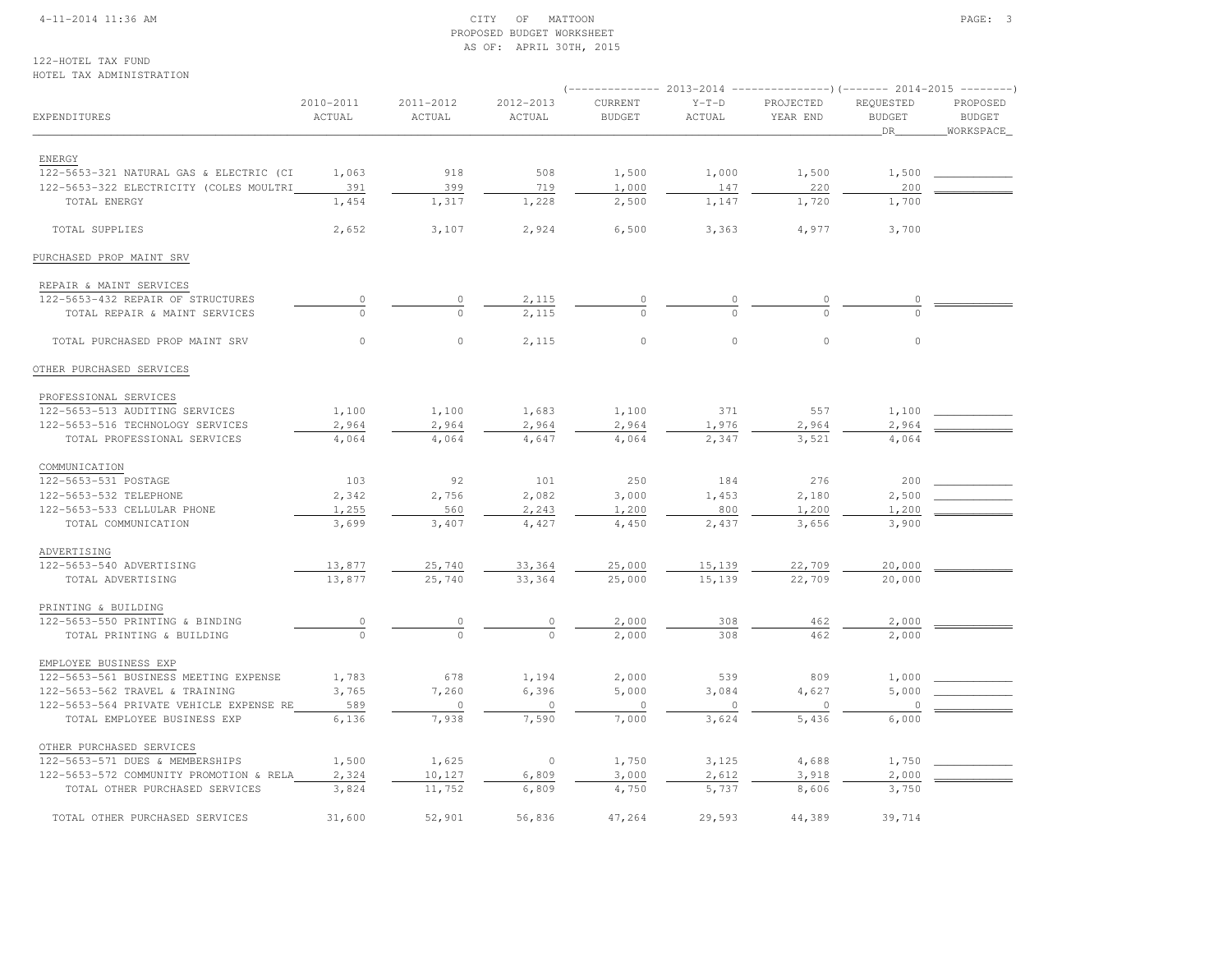### 4-11-2014 11:36 AM CITY OF MATTOON PAGE: 3 PROPOSED BUDGET WORKSHEETAS OF: APRIL 30TH, 2015

122-HOTEL TAX FUNDHOTEL TAX ADMINISTRATION

|                                                         |                     |                     |                     | ----------- 2013-2014    |                   | ----------------) (------- 2014-2015 ---------) |                                  |                                         |  |
|---------------------------------------------------------|---------------------|---------------------|---------------------|--------------------------|-------------------|-------------------------------------------------|----------------------------------|-----------------------------------------|--|
| EXPENDITURES                                            | 2010-2011<br>ACTUAL | 2011-2012<br>ACTUAL | 2012-2013<br>ACTUAL | CURRENT<br><b>BUDGET</b> | $Y-T-D$<br>ACTUAL | PROJECTED<br>YEAR END                           | REQUESTED<br><b>BUDGET</b><br>DR | PROPOSED<br><b>BUDGET</b><br>WORKSPACE_ |  |
|                                                         |                     |                     |                     |                          |                   |                                                 |                                  |                                         |  |
| ENERGY                                                  |                     | 918                 | 508                 |                          |                   |                                                 | 1,500                            |                                         |  |
| 122-5653-321 NATURAL GAS & ELECTRIC (CI                 | 1,063               | 399                 |                     | 1,500                    | 1,000             | 1,500                                           |                                  |                                         |  |
| 122-5653-322 ELECTRICITY (COLES MOULTRI<br>TOTAL ENERGY | 391<br>1,454        | 1,317               | 719<br>1,228        | 1,000<br>2,500           | 147<br>1,147      | 220<br>1,720                                    | 200<br>1,700                     |                                         |  |
|                                                         |                     |                     |                     |                          |                   |                                                 |                                  |                                         |  |
| TOTAL SUPPLIES                                          | 2,652               | 3,107               | 2,924               | 6,500                    | 3,363             | 4,977                                           | 3,700                            |                                         |  |
| PURCHASED PROP MAINT SRV                                |                     |                     |                     |                          |                   |                                                 |                                  |                                         |  |
| REPAIR & MAINT SERVICES                                 |                     |                     |                     |                          |                   |                                                 |                                  |                                         |  |
| 122-5653-432 REPAIR OF STRUCTURES                       | 0                   | 0                   | 2,115               |                          |                   |                                                 |                                  |                                         |  |
| TOTAL REPAIR & MAINT SERVICES                           | $\cap$              | $\Omega$            | 2,115               | $\cap$                   |                   | $\cap$                                          |                                  |                                         |  |
| TOTAL PURCHASED PROP MAINT SRV                          | $\circ$             | $\circ$             | 2,115               | $\mathbb O$              | $\mathbb O$       | $\circ$                                         | $\circ$                          |                                         |  |
| OTHER PURCHASED SERVICES                                |                     |                     |                     |                          |                   |                                                 |                                  |                                         |  |
| PROFESSIONAL SERVICES                                   |                     |                     |                     |                          |                   |                                                 |                                  |                                         |  |
| 122-5653-513 AUDITING SERVICES                          | 1,100               | 1,100               | 1,683               | 1,100                    | 371               | 557                                             | 1,100                            |                                         |  |
| 122-5653-516 TECHNOLOGY SERVICES                        | 2,964               | 2,964               | 2,964               | 2,964                    | 1,976             | 2,964                                           | 2,964                            |                                         |  |
| TOTAL PROFESSIONAL SERVICES                             | 4,064               | 4,064               | 4,647               | 4,064                    | 2,347             | 3,521                                           | 4,064                            |                                         |  |
| COMMUNICATION                                           |                     |                     |                     |                          |                   |                                                 |                                  |                                         |  |
| 122-5653-531 POSTAGE                                    | 103                 | 92                  | 101                 | 250                      | 184               | 276                                             | 200                              |                                         |  |
| 122-5653-532 TELEPHONE                                  | 2,342               | 2,756               | 2,082               | 3,000                    | 1,453             | 2,180                                           | 2,500                            |                                         |  |
| 122-5653-533 CELLULAR PHONE                             | 1,255               | 560                 | 2,243               | 1,200                    | 800               | 1,200                                           | 1,200                            |                                         |  |
| TOTAL COMMUNICATION                                     | 3,699               | 3,407               | 4,427               | 4,450                    | 2,437             | 3,656                                           | 3,900                            |                                         |  |
|                                                         |                     |                     |                     |                          |                   |                                                 |                                  |                                         |  |
| ADVERTISING                                             |                     |                     |                     |                          |                   |                                                 |                                  |                                         |  |
| 122-5653-540 ADVERTISING                                | 13,877              | 25,740              | 33,364              | 25,000                   | 15,139            | 22,709                                          | 20,000                           |                                         |  |
| TOTAL ADVERTISING                                       | 13,877              | 25,740              | 33,364              | 25,000                   | 15,139            | 22,709                                          | 20,000                           |                                         |  |
| PRINTING & BUILDING                                     |                     |                     |                     |                          |                   |                                                 |                                  |                                         |  |
| 122-5653-550 PRINTING & BINDING                         | $\circ$             | $\overline{0}$      | $\circ$             | 2,000                    | 308               | 462                                             | 2,000                            |                                         |  |
| TOTAL PRINTING & BUILDING                               |                     | $\mathbf{0}$        | $\mathbf{0}$        | 2,000                    | 308               | 462                                             | 2,000                            |                                         |  |
| EMPLOYEE BUSINESS EXP                                   |                     |                     |                     |                          |                   |                                                 |                                  |                                         |  |
| 122-5653-561 BUSINESS MEETING EXPENSE                   | 1,783               | 678                 | 1,194               | 2,000                    | 539               | 809                                             | 1,000                            |                                         |  |
| 122-5653-562 TRAVEL & TRAINING                          | 3,765               | 7,260               | 6,396               | 5,000                    | 3,084             | 4,627                                           | 5,000                            |                                         |  |
| 122-5653-564 PRIVATE VEHICLE EXPENSE RE                 | 589                 | $\circ$             | $\circ$             | $\circ$                  | $\circ$           | $\circ$                                         | $\cap$                           |                                         |  |
| TOTAL EMPLOYEE BUSINESS EXP                             | 6,136               | 7,938               | 7,590               | 7,000                    | 3,624             | 5,436                                           | 6,000                            |                                         |  |
| OTHER PURCHASED SERVICES                                |                     |                     |                     |                          |                   |                                                 |                                  |                                         |  |
| 122-5653-571 DUES & MEMBERSHIPS                         | 1,500               | 1,625               | $\circ$             | 1,750                    | 3,125             | 4,688                                           | 1,750                            |                                         |  |
| 122-5653-572 COMMUNITY PROMOTION & RELA                 | 2,324               | 10,127              | 6,809               | 3,000                    | 2,612             | 3,918                                           | 2,000                            |                                         |  |
| TOTAL OTHER PURCHASED SERVICES                          | 3,824               | 11,752              | 6,809               | 4,750                    | 5,737             | 8,606                                           | 3,750                            |                                         |  |
| TOTAL OTHER PURCHASED SERVICES                          | 31,600              | 52,901              | 56,836              | 47,264                   | 29,593            | 44,389                                          | 39,714                           |                                         |  |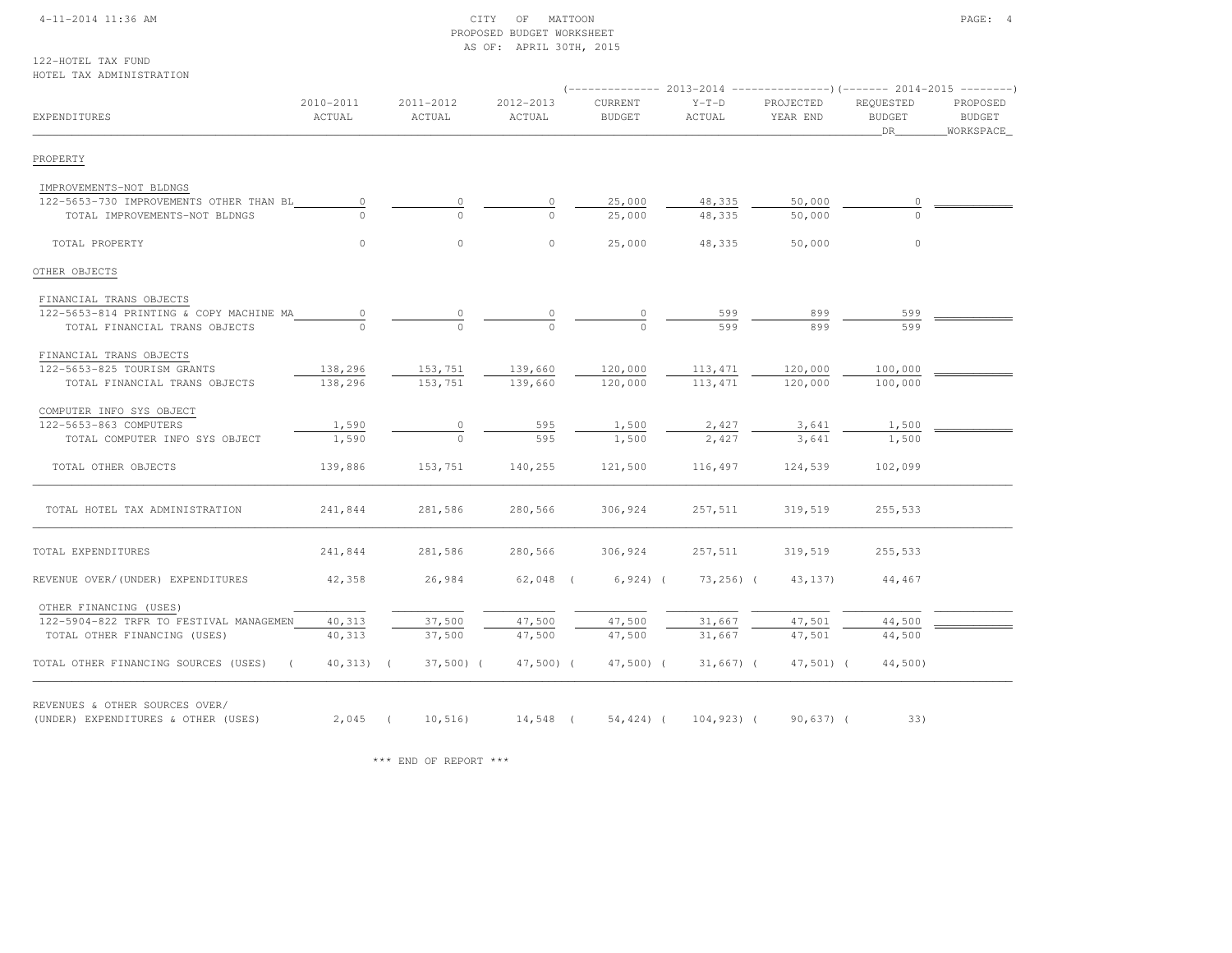### 4-11-2014 11:36 AM CITY OF MATTOON PAGE: 4 PROPOSED BUDGET WORKSHEETAS OF: APRIL 30TH, 2015

122-HOTEL TAX FUNDHOTEL TAX ADMINISTRATION

| EXPENDITURES                                                          | 2010-2011<br>ACTUAL      | 2011-2012<br>ACTUAL                                     | 2012-2013<br>ACTUAL | CURRENT<br><b>BUDGET</b> | $Y-T-D$<br>ACTUAL  | PROJECTED<br>YEAR END | REQUESTED<br><b>BUDGET</b><br>DR <sub>1</sub> | PROPOSED<br>BUDGET<br>_WORKSPACE_ |
|-----------------------------------------------------------------------|--------------------------|---------------------------------------------------------|---------------------|--------------------------|--------------------|-----------------------|-----------------------------------------------|-----------------------------------|
| PROPERTY                                                              |                          |                                                         |                     |                          |                    |                       |                                               |                                   |
| IMPROVEMENTS-NOT BLDNGS                                               |                          |                                                         |                     |                          |                    |                       |                                               |                                   |
| 122-5653-730 IMPROVEMENTS OTHER THAN BL                               | $\circ$                  | 0                                                       | 0                   | 25,000                   | 48,335             | 50,000                | 0                                             |                                   |
| TOTAL IMPROVEMENTS-NOT BLDNGS                                         |                          |                                                         |                     | 25,000                   | 48,335             | 50,000                |                                               |                                   |
| TOTAL PROPERTY                                                        | $\circ$                  | $\circ$                                                 | $\circ$             | 25,000                   | 48,335             | 50,000                | $\circ$                                       |                                   |
| OTHER OBJECTS                                                         |                          |                                                         |                     |                          |                    |                       |                                               |                                   |
| FINANCIAL TRANS OBJECTS                                               |                          |                                                         |                     |                          |                    |                       |                                               |                                   |
| 122-5653-814 PRINTING & COPY MACHINE MA                               | $\overline{\phantom{0}}$ | $\circ$                                                 |                     | 0                        | 599                | 899                   | 599                                           |                                   |
| TOTAL FINANCIAL TRANS OBJECTS                                         |                          |                                                         |                     |                          | 599                | 899                   | 599                                           |                                   |
| FINANCIAL TRANS OBJECTS                                               |                          |                                                         |                     |                          |                    |                       |                                               |                                   |
| 122-5653-825 TOURISM GRANTS                                           | 138,296                  | 153,751                                                 | 139,660             | 120,000                  | 113,471 120,000    |                       | 100,000                                       |                                   |
| TOTAL FINANCIAL TRANS OBJECTS                                         | 138,296                  | 153,751                                                 | 139,660             | 120,000                  | 113,471            | 120,000               | 100,000                                       |                                   |
| COMPUTER INFO SYS OBJECT                                              |                          |                                                         |                     |                          |                    |                       |                                               |                                   |
| 122-5653-863 COMPUTERS                                                | 1,590                    | $\circ$                                                 | 595                 | 1,500                    | 2,427              | 3,641                 | 1,500                                         |                                   |
| TOTAL COMPUTER INFO SYS OBJECT                                        | 1,590                    | $\Omega$                                                | 595                 | 1,500                    | 2,427              | 3,641                 | 1,500                                         |                                   |
| TOTAL OTHER OBJECTS                                                   | 139,886                  | 153,751                                                 | 140,255             | 121,500                  | 116,497            | 124,539               | 102,099                                       |                                   |
| TOTAL HOTEL TAX ADMINISTRATION                                        | 241,844                  | 281,586                                                 | 280,566             | 306,924                  | 257,511            | 319,519               | 255,533                                       |                                   |
| TOTAL EXPENDITURES                                                    | 241,844                  | 281,586                                                 | 280,566             | 306,924                  | 257,511            | 319,519               | 255,533                                       |                                   |
| REVENUE OVER/(UNDER) EXPENDITURES                                     | 42,358                   | 26,984                                                  | 62,048 (            | $6,924$ ) (              | 73,256) (          | 43, 137)              | 44,467                                        |                                   |
| OTHER FINANCING (USES)                                                |                          |                                                         |                     |                          |                    |                       |                                               |                                   |
| 122-5904-822 TRFR TO FESTIVAL MANAGEMEN                               | 40,313                   | 37,500                                                  | 47,500              | 47,500                   | 31,667             | 47,501                | 44,500                                        |                                   |
| TOTAL OTHER FINANCING (USES)                                          | 40,313                   | 37,500                                                  | 47,500              | 47,500                   | 31,667             | 47,501                | 44,500                                        |                                   |
| TOTAL OTHER FINANCING SOURCES (USES) (                                | $40,313)$ (              | $37,500$ (                                              | 47,500) (           |                          | 47,500) (31,667) ( | $47,501$ (            | 44,500)                                       |                                   |
| REVENUES & OTHER SOURCES OVER/<br>(UNDER) EXPENDITURES & OTHER (USES) |                          | 2,045 ( 10,516) 14,548 ( 54,424) ( 104,923) ( 90,637) ( |                     |                          |                    |                       | 33)                                           |                                   |

\*\*\* END OF REPORT \*\*\*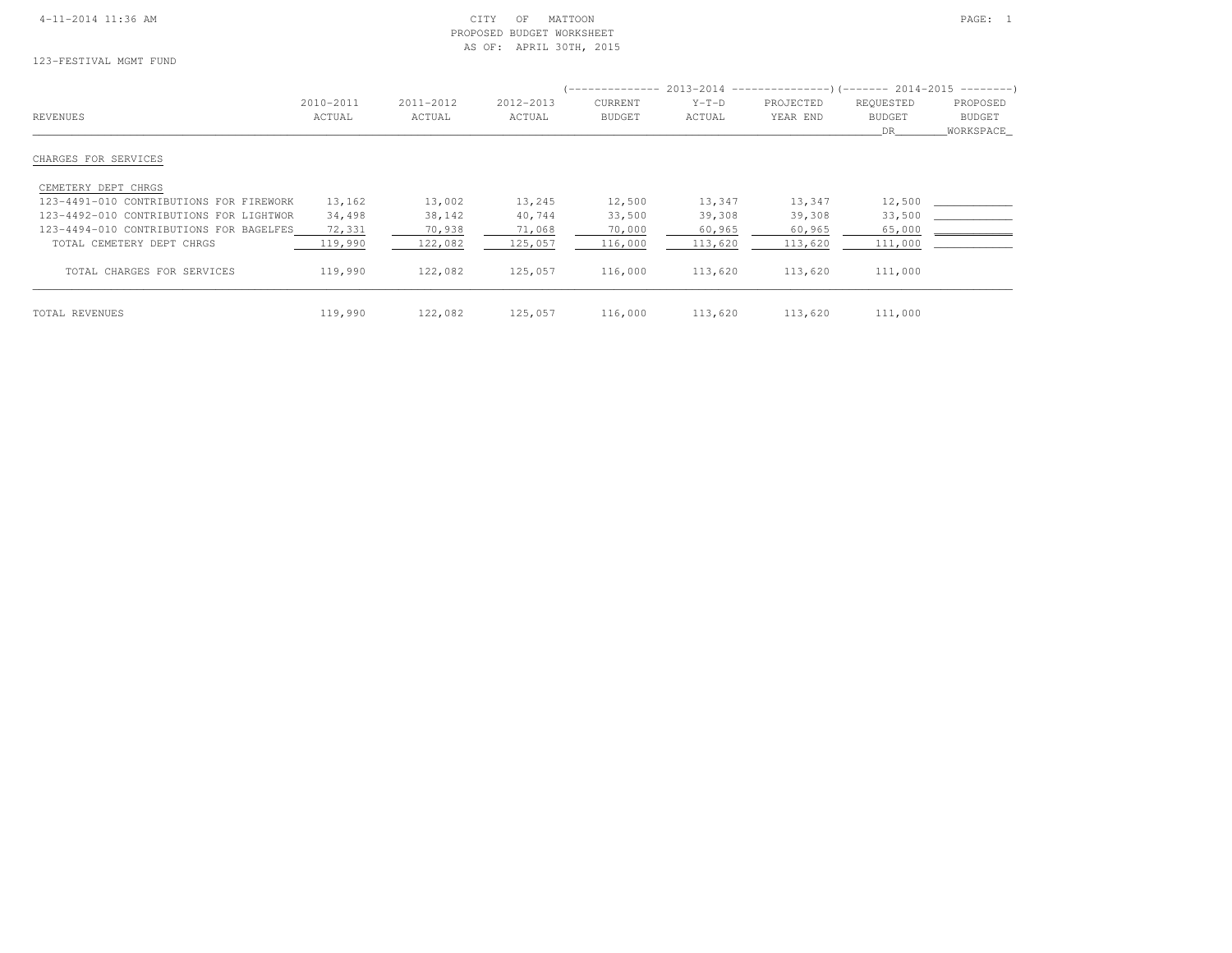# 4-11-2014 11:36 AM CITY OF MATTOON PAGE: 1 PROPOSED BUDGET WORKSHEETAS OF: APRIL 30TH, 2015

123-FESTIVAL MGMT FUND

|                                         |           |           |           |               |         |           | (-------------- 2013-2014 --------------------- 2014-2015 ----------------------- |               |  |
|-----------------------------------------|-----------|-----------|-----------|---------------|---------|-----------|-----------------------------------------------------------------------------------|---------------|--|
|                                         | 2010-2011 | 2011-2012 | 2012-2013 | CURRENT       | $Y-T-D$ | PROJECTED | REQUESTED                                                                         | PROPOSED      |  |
| REVENUES                                | ACTUAL    | ACTUAL    | ACTUAL    | <b>BUDGET</b> | ACTUAL  | YEAR END  | <b>BUDGET</b>                                                                     | <b>BUDGET</b> |  |
|                                         |           |           |           |               |         |           | DR.                                                                               | WORKSPACE     |  |
| CHARGES FOR SERVICES                    |           |           |           |               |         |           |                                                                                   |               |  |
| CEMETERY DEPT CHRGS                     |           |           |           |               |         |           |                                                                                   |               |  |
| 123-4491-010 CONTRIBUTIONS FOR FIREWORK | 13,162    | 13,002    | 13,245    | 12,500        | 13,347  | 13,347    | 12,500                                                                            |               |  |
| 123-4492-010 CONTRIBUTIONS FOR LIGHTWOR | 34,498    | 38,142    | 40,744    | 33,500        | 39,308  | 39,308    | 33,500                                                                            |               |  |
| 123-4494-010 CONTRIBUTIONS FOR BAGELFES | 72,331    | 70,938    | 71,068    | 70,000        | 60,965  | 60,965    | 65,000                                                                            |               |  |
| TOTAL CEMETERY DEPT CHRGS               | 119,990   | 122,082   | 125,057   | 116,000       | 113,620 | 113,620   | 111,000                                                                           |               |  |
| TOTAL CHARGES FOR SERVICES              | 119,990   | 122,082   | 125,057   | 116,000       | 113,620 | 113,620   | 111,000                                                                           |               |  |
| TOTAL REVENUES                          | 119,990   | 122,082   | 125,057   | 116,000       | 113,620 | 113,620   | 111,000                                                                           |               |  |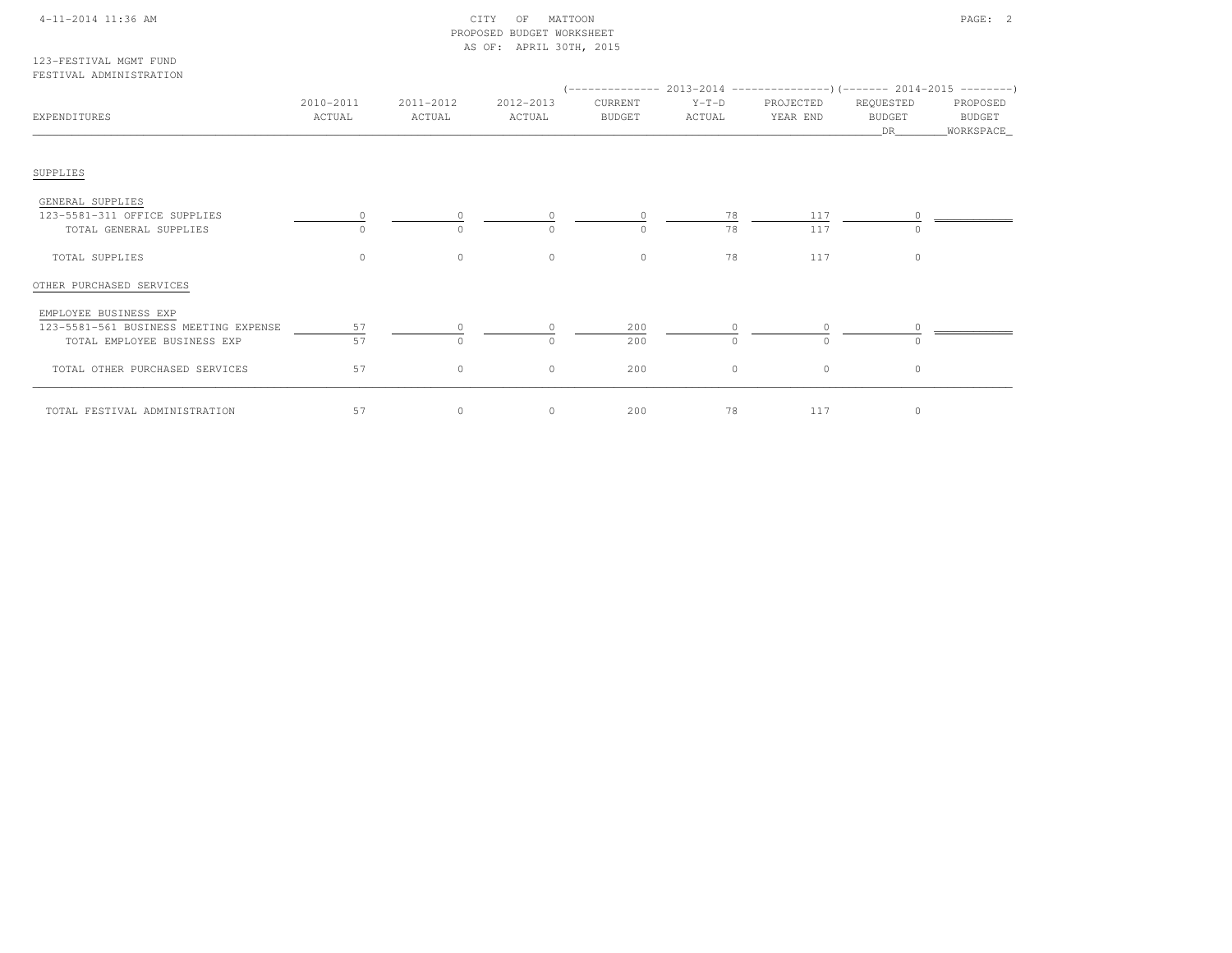# 4-11-2014 11:36 AM CITY OF MATTOON PAGE: 2 PROPOSED BUDGET WORKSHEETAS OF: APRIL 30TH, 2015

123-FESTIVAL MGMT FUNDFESTIVAL ADMINISTRATION

| EXPENDITURES                                                                                  | 2010-2011<br>ACTUAL | 2011-2012<br>ACTUAL | 2012-2013<br>ACTUAL | CURRENT<br><b>BUDGET</b> | $Y-T-D$<br>ACTUAL | PROJECTED<br>YEAR END | REQUESTED<br><b>BUDGET</b><br>DR | PROPOSED<br>BUDGET<br>_WORKSPACE_ |
|-----------------------------------------------------------------------------------------------|---------------------|---------------------|---------------------|--------------------------|-------------------|-----------------------|----------------------------------|-----------------------------------|
| SUPPLIES                                                                                      |                     |                     |                     |                          |                   |                       |                                  |                                   |
| GENERAL SUPPLIES<br>123-5581-311 OFFICE SUPPLIES<br>TOTAL GENERAL SUPPLIES                    |                     | $\Omega$            | $\cap$              | $\Omega$                 | 78<br>78          | 117<br>117            |                                  |                                   |
| TOTAL SUPPLIES                                                                                | $\circ$             | $\circ$             | $\circ$             | $\circ$                  | 78                | 117                   | $\circ$                          |                                   |
| OTHER PURCHASED SERVICES                                                                      |                     |                     |                     |                          |                   |                       |                                  |                                   |
| EMPLOYEE BUSINESS EXP<br>123-5581-561 BUSINESS MEETING EXPENSE<br>TOTAL EMPLOYEE BUSINESS EXP | 57<br>57            | $\Omega$            | $\circ$             | 200<br>200               | $\Omega$          |                       |                                  |                                   |
| TOTAL OTHER PURCHASED SERVICES                                                                | 57                  | $\circ$             | $\circ$             | 200                      | $\circ$           | $\circ$               | $\circ$                          |                                   |
| TOTAL FESTIVAL ADMINISTRATION                                                                 | 57                  | $\circ$             | $\circ$             | 200                      | 78                | 117                   | 0                                |                                   |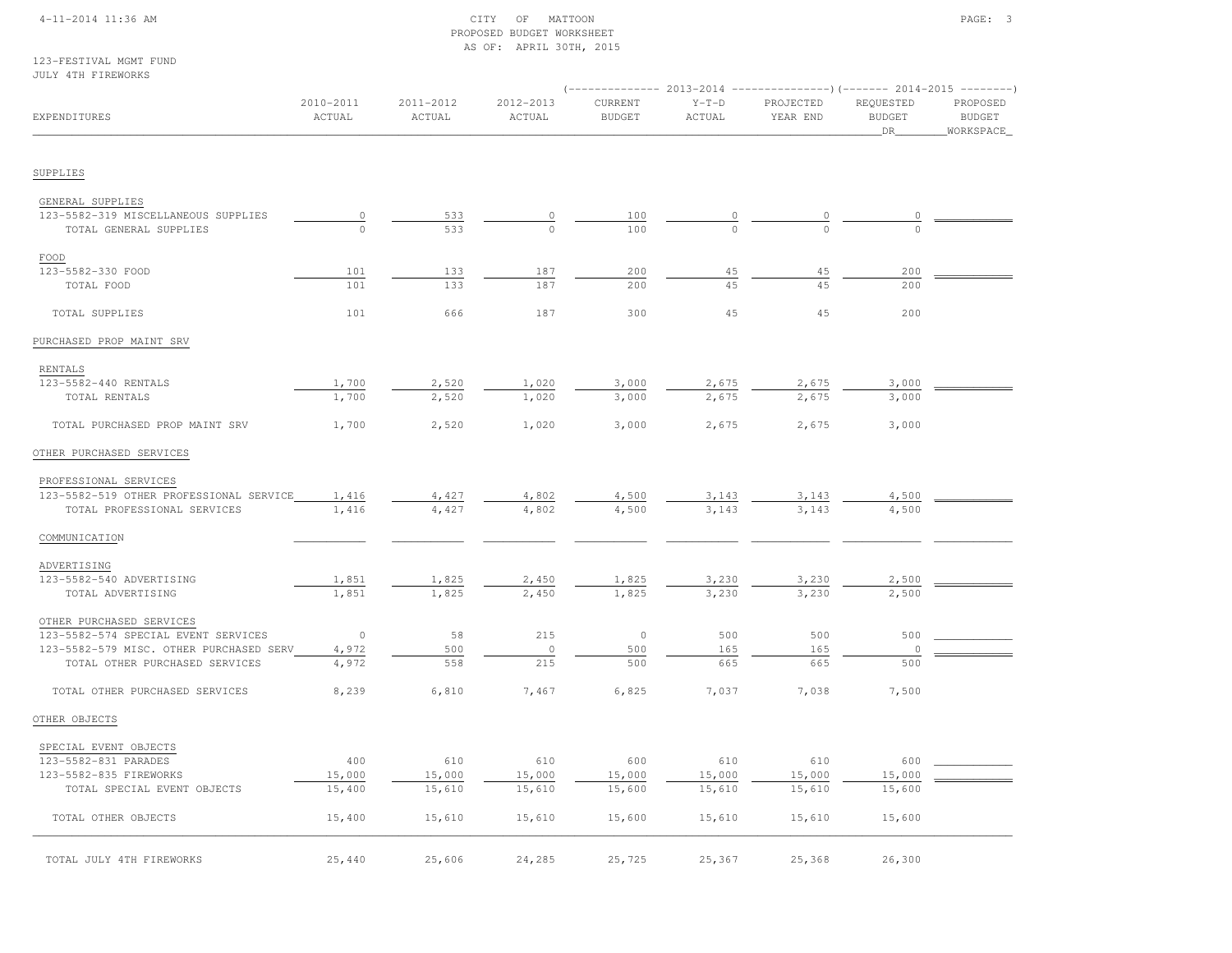### 4-11-2014 11:36 AM CITY OF MATTOON PAGE: 3 PROPOSED BUDGET WORKSHEETAS OF: APRIL 30TH, 2015

123-FESTIVAL MGMT FUNDJULY 4TH FIREWORKS

| OULL SIN FIREWORNS                                      |                     |                     |                     |                          |                   |                       |                                  |                                        |  |
|---------------------------------------------------------|---------------------|---------------------|---------------------|--------------------------|-------------------|-----------------------|----------------------------------|----------------------------------------|--|
| EXPENDITURES                                            | 2010-2011<br>ACTUAL | 2011-2012<br>ACTUAL | 2012-2013<br>ACTUAL | CURRENT<br><b>BUDGET</b> | $Y-T-D$<br>ACTUAL | PROJECTED<br>YEAR END | REQUESTED<br><b>BUDGET</b><br>DR | PROPOSED<br><b>BUDGET</b><br>WORKSPACE |  |
| SUPPLIES                                                |                     |                     |                     |                          |                   |                       |                                  |                                        |  |
|                                                         |                     |                     |                     |                          |                   |                       |                                  |                                        |  |
| GENERAL SUPPLIES<br>123-5582-319 MISCELLANEOUS SUPPLIES | $\mathbb O$         | 533                 | $\circ$             | 100                      |                   |                       |                                  |                                        |  |
| TOTAL GENERAL SUPPLIES                                  | $\circ$             | 533                 | $\Omega$            | 100                      | $\Omega$          | $\cap$                | $\Omega$                         |                                        |  |
|                                                         |                     |                     |                     |                          |                   |                       |                                  |                                        |  |
| FOOD                                                    |                     |                     |                     |                          |                   |                       |                                  |                                        |  |
| 123-5582-330 FOOD                                       | 101                 | 133                 | 187                 | 200                      | 45                | 45                    | 200                              |                                        |  |
| TOTAL FOOD                                              | 101                 | 133                 | 187                 | 200                      | 45                | 45                    | 200                              |                                        |  |
| TOTAL SUPPLIES                                          | 101                 | 666                 | 187                 | 300                      | 45                | 45                    | 200                              |                                        |  |
| PURCHASED PROP MAINT SRV                                |                     |                     |                     |                          |                   |                       |                                  |                                        |  |
| RENTALS                                                 |                     |                     |                     |                          |                   |                       |                                  |                                        |  |
| 123-5582-440 RENTALS                                    | 1,700               | 2,520               | 1,020               | 3,000                    | 2,675             | 2,675                 | 3,000                            |                                        |  |
| TOTAL RENTALS                                           | 1,700               | 2,520               | 1,020               | 3,000                    | 2,675             | 2,675                 | 3,000                            |                                        |  |
| TOTAL PURCHASED PROP MAINT SRV                          | 1,700               | 2,520               | 1,020               | 3,000                    | 2,675             | 2,675                 | 3,000                            |                                        |  |
| OTHER PURCHASED SERVICES                                |                     |                     |                     |                          |                   |                       |                                  |                                        |  |
|                                                         |                     |                     |                     |                          |                   |                       |                                  |                                        |  |
| PROFESSIONAL SERVICES                                   |                     |                     |                     |                          |                   |                       |                                  |                                        |  |
| 123-5582-519 OTHER PROFESSIONAL SERVICE                 | 1,416               | 4,427               | 4,802               | 4,500                    | 3,143             | 3,143                 | 4,500                            |                                        |  |
| TOTAL PROFESSIONAL SERVICES                             | 1,416               | 4,427               | 4,802               | 4,500                    | 3,143             | 3,143                 | 4,500                            |                                        |  |
| COMMUNICATION                                           |                     |                     |                     |                          |                   |                       |                                  |                                        |  |
| ADVERTISING                                             |                     |                     |                     |                          |                   |                       |                                  |                                        |  |
| 123-5582-540 ADVERTISING                                | 1,851               | 1,825               | 2,450               | 1,825                    | 3,230             | 3,230                 | 2,500                            |                                        |  |
| TOTAL ADVERTISING                                       | 1,851               | 1,825               | 2,450               | 1,825                    | 3,230             | 3,230                 | 2,500                            |                                        |  |
| OTHER PURCHASED SERVICES                                |                     |                     |                     |                          |                   |                       |                                  |                                        |  |
| 123-5582-574 SPECIAL EVENT SERVICES                     | $\circ$             | 58                  | 215                 | $\circ$                  | 500               | 500                   | 500                              |                                        |  |
| 123-5582-579 MISC. OTHER PURCHASED SERV                 | 4,972               | 500                 | $\circ$             | 500                      | 165               | 165                   | 0                                |                                        |  |
| TOTAL OTHER PURCHASED SERVICES                          | 4,972               | 558                 | 215                 | 500                      | 665               | 665                   | 500                              |                                        |  |
| TOTAL OTHER PURCHASED SERVICES                          | 8,239               | 6,810               | 7,467               | 6,825                    | 7,037             | 7,038                 | 7,500                            |                                        |  |
| OTHER OBJECTS                                           |                     |                     |                     |                          |                   |                       |                                  |                                        |  |
|                                                         |                     |                     |                     |                          |                   |                       |                                  |                                        |  |
| SPECIAL EVENT OBJECTS                                   |                     |                     |                     |                          |                   |                       |                                  |                                        |  |
| 123-5582-831 PARADES                                    | 400                 | 610                 | 610                 | 600                      | 610               | 610                   | 600                              |                                        |  |
| 123-5582-835 FIREWORKS                                  | 15,000              | 15,000              | 15,000              | 15,000                   | 15,000            | 15,000                | 15,000                           |                                        |  |
| TOTAL SPECIAL EVENT OBJECTS                             | 15,400              | 15,610              | 15,610              | 15,600                   | 15,610            | 15,610                | 15,600                           |                                        |  |
| TOTAL OTHER OBJECTS                                     | 15,400              | 15,610              | 15,610              | 15,600                   | 15,610            | 15,610                | 15,600                           |                                        |  |
|                                                         | 25,440              | 25,606              | 24,285              | 25,725                   | 25,367            | 25,368                | 26,300                           |                                        |  |
| TOTAL JULY 4TH FIREWORKS                                |                     |                     |                     |                          |                   |                       |                                  |                                        |  |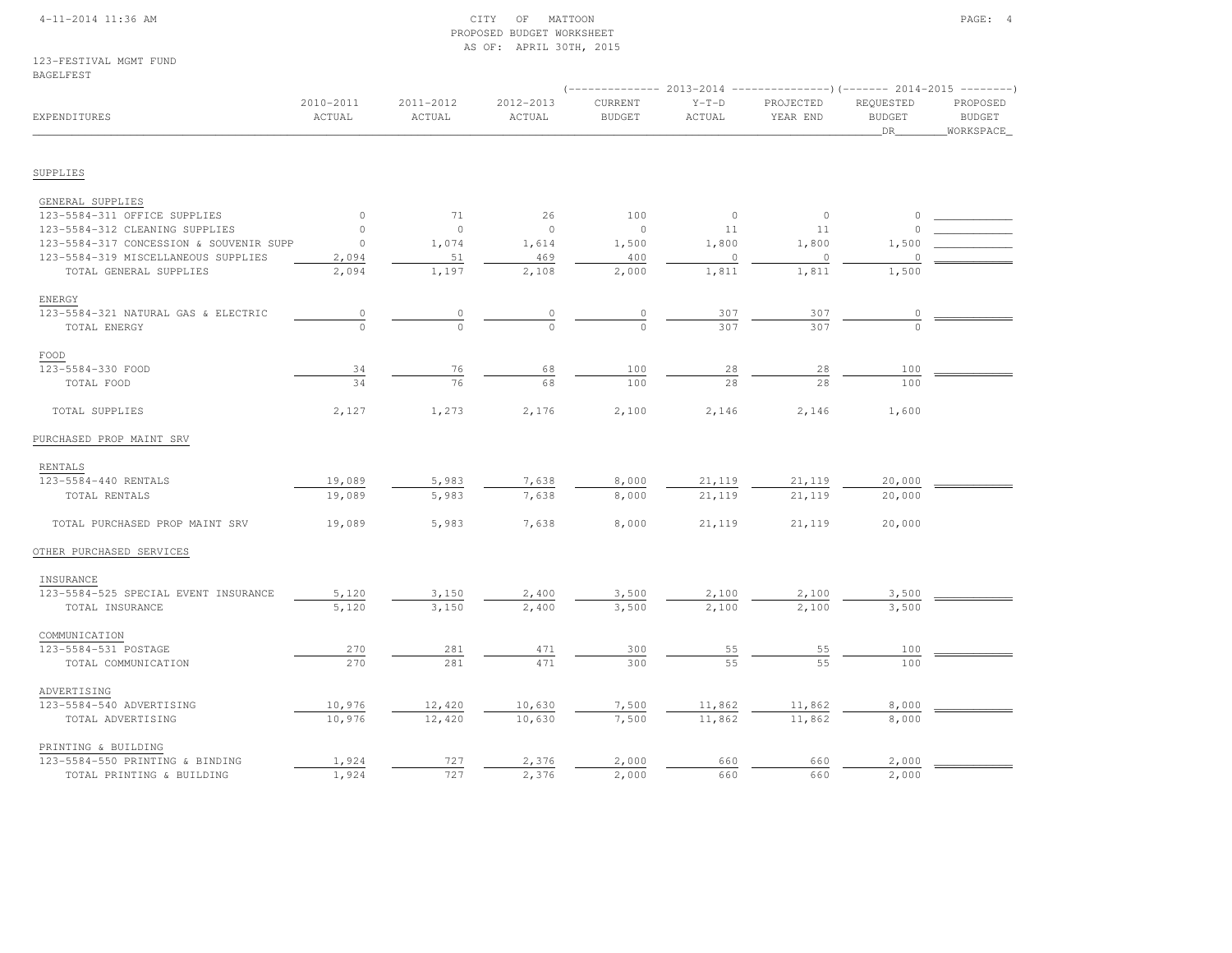### 4-11-2014 11:36 AM CITY OF MATTOON PAGE: 4 PROPOSED BUDGET WORKSHEETAS OF: APRIL 30TH, 2015

123-FESTIVAL MGMT FUNDBAGELFEST

|                                         |                     |                     |                     |                          |                          | ------------ 2013-2014 -----------------) (------- 2014-2015 ---------) |                                         |                                        |
|-----------------------------------------|---------------------|---------------------|---------------------|--------------------------|--------------------------|-------------------------------------------------------------------------|-----------------------------------------|----------------------------------------|
| <b>EXPENDITURES</b>                     | 2010-2011<br>ACTUAL | 2011-2012<br>ACTUAL | 2012-2013<br>ACTUAL | CURRENT<br><b>BUDGET</b> | $Y-T-D$<br>ACTUAL        | PROJECTED<br>YEAR END                                                   | REQUESTED<br><b>BUDGET</b><br><b>DR</b> | PROPOSED<br><b>BUDGET</b><br>WORKSPACE |
|                                         |                     |                     |                     |                          |                          |                                                                         |                                         |                                        |
| SUPPLIES                                |                     |                     |                     |                          |                          |                                                                         |                                         |                                        |
| GENERAL SUPPLIES                        |                     |                     |                     |                          |                          |                                                                         |                                         |                                        |
| 123-5584-311 OFFICE SUPPLIES            | $\circ$             | 71                  | 26                  | 100                      | $\overline{\phantom{0}}$ | $\circ$                                                                 | $\circ$                                 |                                        |
| 123-5584-312 CLEANING SUPPLIES          | $\circ$             | $\circ$             | $\overline{0}$      | $\mathbf{0}$             | 11                       | 11                                                                      |                                         |                                        |
| 123-5584-317 CONCESSION & SOUVENIR SUPP | $\circ$             | 1,074               | 1,614               | 1,500                    | 1,800                    | 1,800                                                                   | 1,500                                   |                                        |
| 123-5584-319 MISCELLANEOUS SUPPLIES     | 2,094               | 51                  | 469                 | 400                      | $\circ$                  | $\circ$                                                                 |                                         |                                        |
| TOTAL GENERAL SUPPLIES                  | 2,094               | 1,197               | 2,108               | 2,000                    | 1,811                    | 1,811                                                                   | 1,500                                   |                                        |
| ENERGY                                  |                     |                     |                     |                          |                          |                                                                         |                                         |                                        |
| 123-5584-321 NATURAL GAS & ELECTRIC     | $\circ$             | $\circ$             | 0                   | $\circ$                  | 307                      | 307                                                                     | 0                                       |                                        |
| TOTAL ENERGY                            | $\Omega$            | $\bigcap$           | $\Omega$            | $\Omega$                 | 307                      | 307                                                                     | $\bigcap$                               |                                        |
| FOOD                                    |                     |                     |                     |                          |                          |                                                                         |                                         |                                        |
| 123-5584-330 FOOD                       | 34                  | 76                  | 68                  | 100                      | 28                       | 28                                                                      | 100                                     |                                        |
| TOTAL FOOD                              | 34                  | 76                  | 68                  | 100                      | 28                       | 28                                                                      | 100                                     |                                        |
| TOTAL SUPPLIES                          | 2,127               | 1,273               | 2,176               | 2,100                    | 2,146                    | 2,146                                                                   | 1,600                                   |                                        |
| PURCHASED PROP MAINT SRV                |                     |                     |                     |                          |                          |                                                                         |                                         |                                        |
| RENTALS                                 |                     |                     |                     |                          |                          |                                                                         |                                         |                                        |
| 123-5584-440 RENTALS                    | 19,089              | 5,983               | 7,638               | 8,000                    | 21,119                   | 21,119                                                                  | 20,000                                  |                                        |
| TOTAL RENTALS                           | 19,089              | 5,983               | 7,638               | 8,000                    | 21,119                   | 21,119                                                                  | 20,000                                  |                                        |
| TOTAL PURCHASED PROP MAINT SRV          | 19,089              | 5,983               | 7,638               | 8,000                    | 21,119                   | 21,119                                                                  | 20,000                                  |                                        |
| OTHER PURCHASED SERVICES                |                     |                     |                     |                          |                          |                                                                         |                                         |                                        |
| INSURANCE                               |                     |                     |                     |                          |                          |                                                                         |                                         |                                        |
| 123-5584-525 SPECIAL EVENT INSURANCE    | 5,120               | 3,150               | 2,400               | 3,500                    | 2,100                    | 2,100                                                                   | 3,500                                   |                                        |
| TOTAL INSURANCE                         | 5,120               | 3,150               | 2,400               | 3,500                    | 2,100                    | 2,100                                                                   | 3,500                                   |                                        |
| COMMUNICATION                           |                     |                     |                     |                          |                          |                                                                         |                                         |                                        |
| 123-5584-531 POSTAGE                    | 270                 | 281                 | 471                 | 300                      | 55                       | 55                                                                      | 100                                     |                                        |
| TOTAL COMMUNICATION                     | 270                 | 281                 | 471                 | 300                      | 55                       | 5.5                                                                     | 100                                     |                                        |
| ADVERTISING                             |                     |                     |                     |                          |                          |                                                                         |                                         |                                        |
| 123-5584-540 ADVERTISING                | 10,976              | 12,420              | 10,630              | 7,500                    | 11,862                   | 11,862                                                                  | 8,000                                   |                                        |
| TOTAL ADVERTISING                       | 10,976              | 12,420              | 10,630              | 7,500                    | 11,862                   | 11,862                                                                  | 8,000                                   |                                        |
| PRINTING & BUILDING                     |                     |                     |                     |                          |                          |                                                                         |                                         |                                        |
| 123-5584-550 PRINTING & BINDING         | 1,924               | 727                 | 2,376               | 2,000                    | 660                      | 660                                                                     | 2,000                                   |                                        |
| TOTAL PRINTING & BUILDING               | 1,924               | 727                 | 2,376               | 2,000                    | 660                      | 660                                                                     | 2,000                                   |                                        |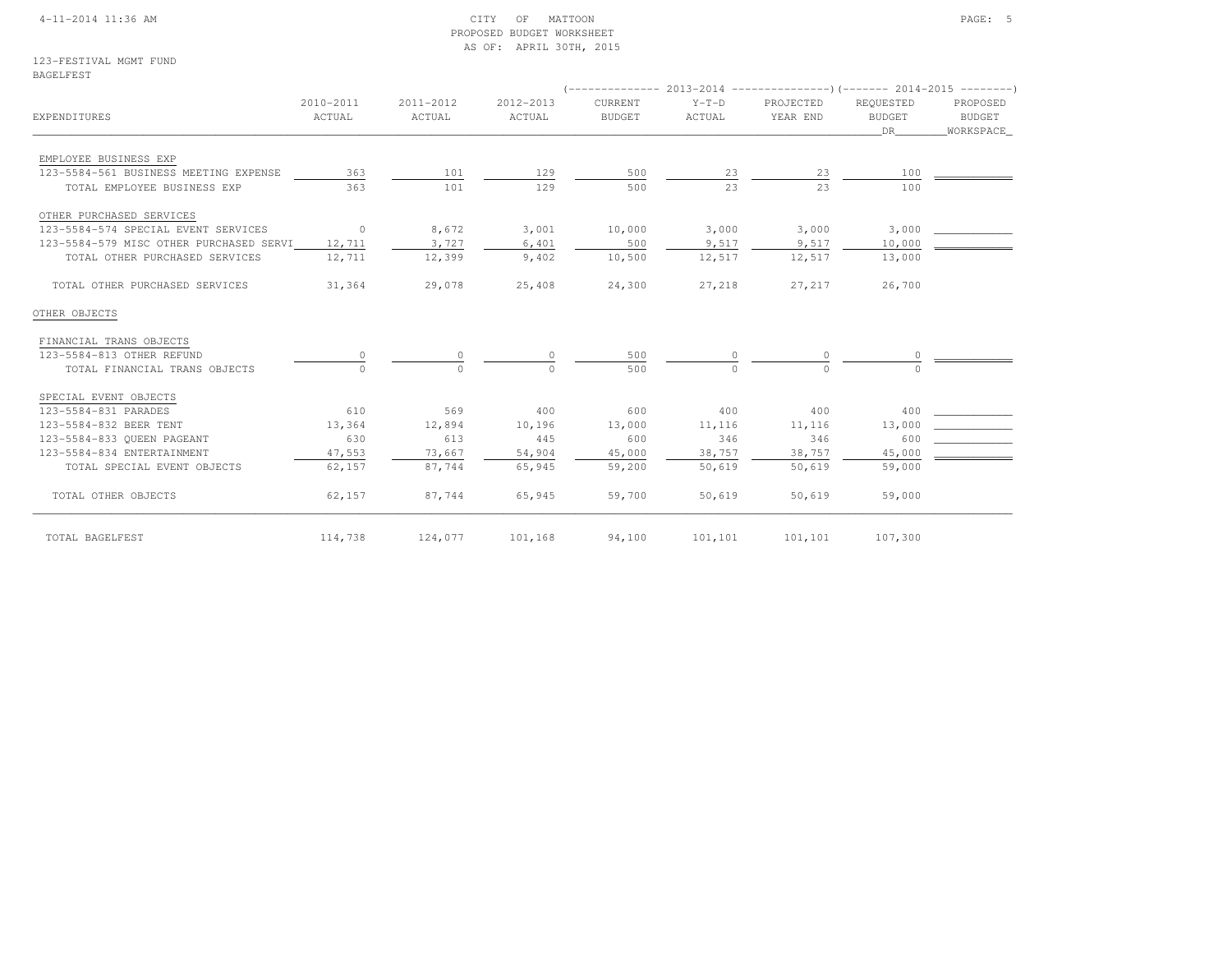### 4-11-2014 11:36 AM CITY OF MATTOON PAGE: 5 PROPOSED BUDGET WORKSHEETAS OF: APRIL 30TH, 2015

123-FESTIVAL MGMT FUNDBAGELFEST

| EXPENDITURES                            | 2010-2011<br>ACTUAL | 2011-2012<br>ACTUAL | 2012-2013<br>ACTUAL | CURRENT<br><b>BUDGET</b> | $Y-T-D$<br>ACTUAL | PROJECTED<br>YEAR END | REOUESTED<br><b>BUDGET</b><br>DR 1999 | PROPOSED<br>BUDGET<br>_WORKSPACE_ |  |
|-----------------------------------------|---------------------|---------------------|---------------------|--------------------------|-------------------|-----------------------|---------------------------------------|-----------------------------------|--|
| EMPLOYEE BUSINESS EXP                   |                     |                     |                     |                          |                   |                       |                                       |                                   |  |
| 123-5584-561 BUSINESS MEETING EXPENSE   | 363                 | 101                 | 129                 | 500                      | 23                | 23                    | 100                                   |                                   |  |
| TOTAL EMPLOYEE BUSINESS EXP             | 363                 | 101                 | 129                 | 500                      | 23                | 23                    | 100                                   |                                   |  |
| OTHER PURCHASED SERVICES                |                     |                     |                     |                          |                   |                       |                                       |                                   |  |
| 123-5584-574 SPECIAL EVENT SERVICES     | $\sim$ 0            | 8,672               | 3,001               | 10,000                   | 3,000             | 3,000                 | 3,000                                 |                                   |  |
| 123-5584-579 MISC OTHER PURCHASED SERVI | 12,711              | 3,727               | 6,401               | 500                      | 9,517             | 9,517                 | 10,000                                |                                   |  |
| TOTAL OTHER PURCHASED SERVICES          | 12,711              | 12,399              | 9,402               | 10,500                   | 12,517            | 12,517                | 13,000                                |                                   |  |
| TOTAL OTHER PURCHASED SERVICES          | 31,364              | 29,078              | 25,408              | 24,300                   | 27,218            | 27,217                | 26,700                                |                                   |  |
| OTHER OBJECTS                           |                     |                     |                     |                          |                   |                       |                                       |                                   |  |
| FINANCIAL TRANS OBJECTS                 |                     |                     |                     |                          |                   |                       |                                       |                                   |  |
| 123-5584-813 OTHER REFUND               |                     |                     |                     | 500                      |                   |                       |                                       |                                   |  |
| TOTAL FINANCIAL TRANS OBJECTS           |                     |                     |                     | 500                      |                   |                       |                                       |                                   |  |
| SPECIAL EVENT OBJECTS                   |                     |                     |                     |                          |                   |                       |                                       |                                   |  |
| 123-5584-831 PARADES                    | 610                 | 569                 | 400                 | 600                      | 400               | 400                   | 400                                   |                                   |  |
| 123-5584-832 BEER TENT                  | 13,364              | 12,894              | 10,196              | 13,000                   | 11,116            | 11,116                | 13,000                                |                                   |  |
| 123-5584-833 QUEEN PAGEANT              | 630                 | 613                 | 445                 | 600                      | 346               | 346                   | 600                                   |                                   |  |
| 123-5584-834 ENTERTAINMENT              | 47,553              | 73,667              | 54,904              | 45,000                   | 38,757            | 38,757                | 45,000                                |                                   |  |
| TOTAL SPECIAL EVENT OBJECTS             | 62,157              | 87,744              | 65,945              | 59,200                   | 50,619            | 50,619                | 59,000                                |                                   |  |
| TOTAL OTHER OBJECTS                     | 62,157              | 87,744              | 65,945              | 59,700                   | 50,619            | 50,619                | 59,000                                |                                   |  |
| TOTAL BAGELFEST                         | 114,738             | 124,077             | 101,168             | 94,100                   | 101,101           | 101,101               | 107,300                               |                                   |  |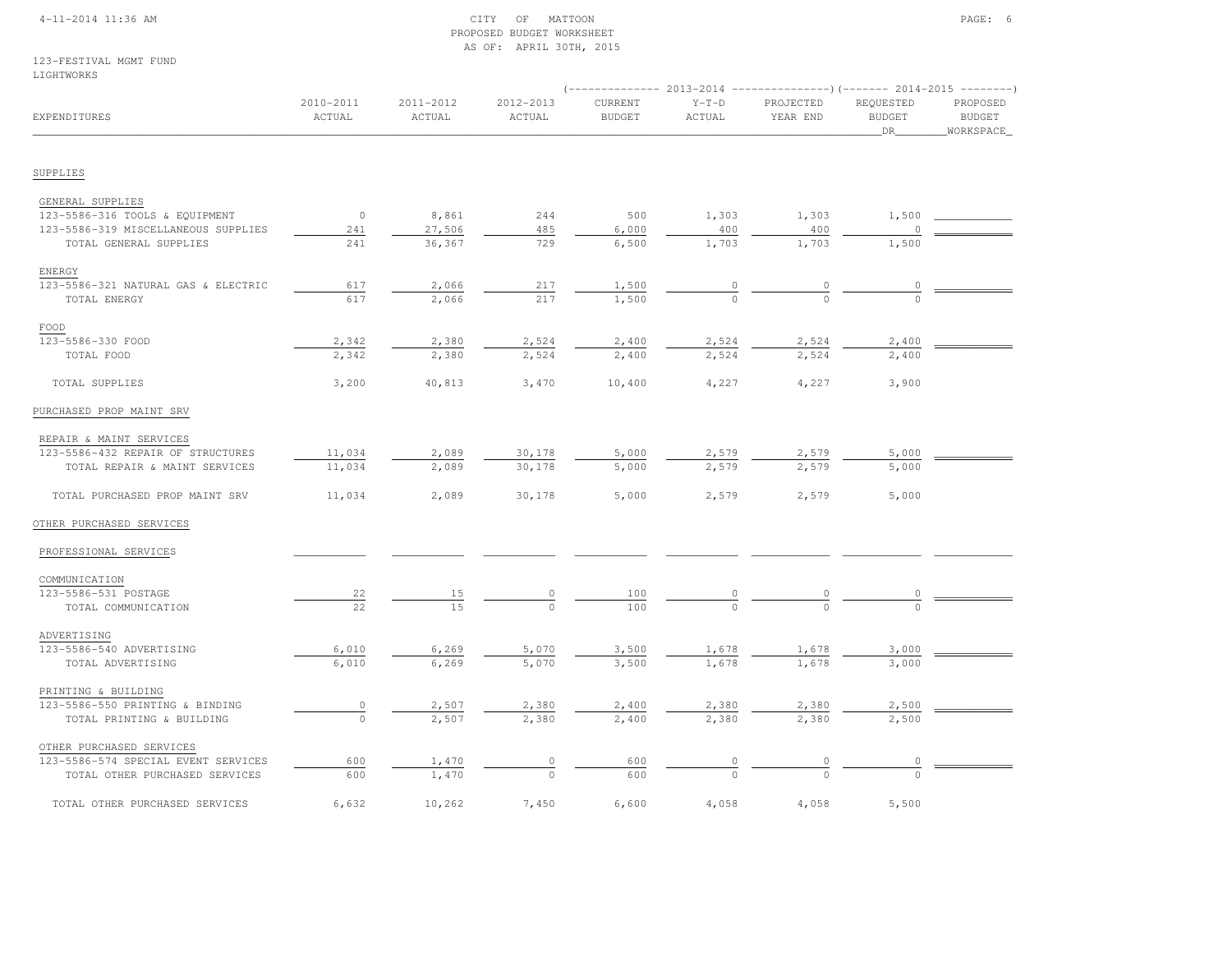### 4-11-2014 11:36 AM CITY OF MATTOON PAGE: 6 PROPOSED BUDGET WORKSHEETAS OF: APRIL 30TH, 2015

|                                     |                     |                     |                     |                          |                   | ----------- 2013-2014 ----------------)(-------- 2014-2015 --------) |                                  |                                        |
|-------------------------------------|---------------------|---------------------|---------------------|--------------------------|-------------------|----------------------------------------------------------------------|----------------------------------|----------------------------------------|
| EXPENDITURES                        | 2010-2011<br>ACTUAL | 2011-2012<br>ACTUAL | 2012-2013<br>ACTUAL | CURRENT<br><b>BUDGET</b> | $Y-T-D$<br>ACTUAL | PROJECTED<br>YEAR END                                                | REQUESTED<br><b>BUDGET</b><br>DR | PROPOSED<br><b>BUDGET</b><br>WORKSPACE |
|                                     |                     |                     |                     |                          |                   |                                                                      |                                  |                                        |
| SUPPLIES                            |                     |                     |                     |                          |                   |                                                                      |                                  |                                        |
| GENERAL SUPPLIES                    |                     |                     |                     |                          |                   |                                                                      |                                  |                                        |
| 123-5586-316 TOOLS & EQUIPMENT      | $\circ$             | 8,861               | 244                 | 500                      | 1,303             | 1,303                                                                | 1,500                            |                                        |
| 123-5586-319 MISCELLANEOUS SUPPLIES | 241                 | 27,506              | 485                 | 6,000                    | 400               | 400                                                                  |                                  |                                        |
| TOTAL GENERAL SUPPLIES              | 241                 | 36,367              | 729                 | 6,500                    | 1,703             | 1,703                                                                | 1,500                            |                                        |
| ENERGY                              |                     |                     |                     |                          |                   |                                                                      |                                  |                                        |
| 123-5586-321 NATURAL GAS & ELECTRIC | 617                 | 2,066               | 217                 | 1,500                    | $\overline{0}$    | $\overline{0}$                                                       | $\overline{0}$                   |                                        |
| TOTAL ENERGY                        | 617                 | 2,066               | 217                 | 1,500                    |                   |                                                                      |                                  |                                        |
| FOOD                                |                     |                     |                     |                          |                   |                                                                      |                                  |                                        |
| 123-5586-330 FOOD                   | 2,342               | 2,380               | 2,524               | 2,400                    | 2,524             | 2,524                                                                | 2,400                            |                                        |
| TOTAL FOOD                          | 2,342               | 2,380               | 2,524               | 2,400                    | 2,524             | 2,524                                                                | 2,400                            |                                        |
| TOTAL SUPPLIES                      | 3,200               | 40,813              | 3,470               | 10,400                   | 4,227             | 4,227                                                                | 3,900                            |                                        |
| PURCHASED PROP MAINT SRV            |                     |                     |                     |                          |                   |                                                                      |                                  |                                        |
| REPAIR & MAINT SERVICES             |                     |                     |                     |                          |                   |                                                                      |                                  |                                        |
| 123-5586-432 REPAIR OF STRUCTURES   | 11,034              | 2,089               | 30,178              | 5,000                    | 2,579             | 2,579                                                                | 5,000                            |                                        |
| TOTAL REPAIR & MAINT SERVICES       | 11,034              | 2,089               | 30,178              | 5,000                    | 2,579             | 2,579                                                                | 5,000                            |                                        |
| TOTAL PURCHASED PROP MAINT SRV      | 11,034              | 2,089               | 30,178              | 5,000                    | 2,579             | 2,579                                                                | 5,000                            |                                        |
| OTHER PURCHASED SERVICES            |                     |                     |                     |                          |                   |                                                                      |                                  |                                        |
| PROFESSIONAL SERVICES               |                     |                     |                     |                          |                   |                                                                      |                                  |                                        |
| COMMUNICATION                       |                     |                     |                     |                          |                   |                                                                      |                                  |                                        |
| 123-5586-531 POSTAGE                | 22                  | 15                  | 0                   | 100                      |                   |                                                                      |                                  |                                        |
| TOTAL COMMUNICATION                 | 22                  | 15                  | $\Omega$            | 100                      |                   |                                                                      |                                  |                                        |
| ADVERTISING                         |                     |                     |                     |                          |                   |                                                                      |                                  |                                        |
| 123-5586-540 ADVERTISING            | 6,010               | 6,269               | 5,070               | 3,500                    | 1,678             | 1,678                                                                | 3,000                            |                                        |
| TOTAL ADVERTISING                   | 6,010               | 6,269               | 5,070               | 3,500                    | 1,678             | 1,678                                                                | 3,000                            |                                        |
| PRINTING & BUILDING                 |                     |                     |                     |                          |                   |                                                                      |                                  |                                        |
| 123-5586-550 PRINTING & BINDING     | $\circ$             | 2,507               | 2,380               | 2,400                    | 2,380             | 2,380                                                                | 2,500                            |                                        |
| TOTAL PRINTING & BUILDING           | $\circ$             | 2,507               | 2,380               | 2,400                    | 2,380             | 2,380                                                                | 2,500                            |                                        |
| OTHER PURCHASED SERVICES            |                     |                     |                     |                          |                   |                                                                      |                                  |                                        |
| 123-5586-574 SPECIAL EVENT SERVICES | 600                 | 1,470               | $\circ$             | 600                      | $\overline{0}$    | $\overline{0}$                                                       | 0                                |                                        |
| TOTAL OTHER PURCHASED SERVICES      | 600                 | 1,470               | $\cap$              | 600                      |                   |                                                                      |                                  |                                        |
| TOTAL OTHER PURCHASED SERVICES      | 6,632               | 10,262              | 7,450               | 6,600                    | 4,058             | 4,058                                                                | 5,500                            |                                        |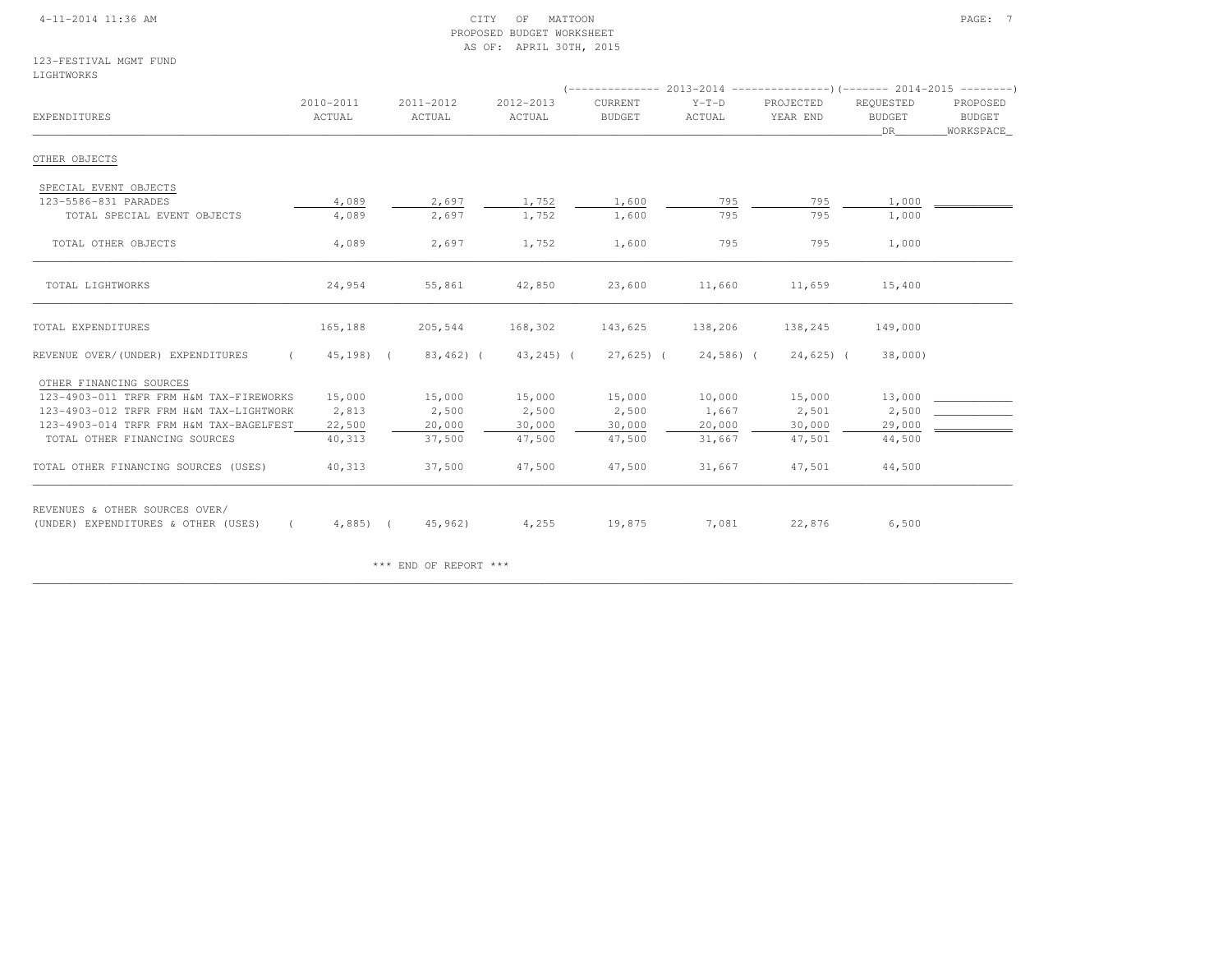### 4-11-2014 11:36 AM CITY OF MATTOON PAGE: 7 PROPOSED BUDGET WORKSHEETAS OF: APRIL 30TH, 2015

### 123-FESTIVAL MGMT FUNDLIGHTWORKS

| EXPENDITURES                                                          | 2010-2011<br>ACTUAL | 2011-2012<br>ACTUAL | 2012-2013<br>ACTUAL | CURRENT<br><b>BUDGET</b> | $Y-T-D$<br>ACTUAL | PROJECTED<br>YEAR END | REQUESTED<br><b>BUDGET</b><br>DR | PROPOSED<br><b>BUDGET</b><br>WORKSPACE |  |
|-----------------------------------------------------------------------|---------------------|---------------------|---------------------|--------------------------|-------------------|-----------------------|----------------------------------|----------------------------------------|--|
| OTHER OBJECTS                                                         |                     |                     |                     |                          |                   |                       |                                  |                                        |  |
| SPECIAL EVENT OBJECTS                                                 |                     |                     |                     |                          |                   |                       |                                  |                                        |  |
| 123-5586-831 PARADES                                                  | 4,089               | 2,697               | 1,752               | 1,600                    | 795               | 795                   | 1,000                            |                                        |  |
| TOTAL SPECIAL EVENT OBJECTS                                           | 4,089               | 2,697               | 1,752               | 1,600                    | 795               | 795                   | 1,000                            |                                        |  |
| TOTAL OTHER OBJECTS                                                   | 4,089               | 2,697               | 1,752               | 1,600                    | 795               | 795                   | 1,000                            |                                        |  |
| TOTAL LIGHTWORKS                                                      | 24,954              | 55,861              | 42,850              | 23,600                   | 11,660            | 11,659                | 15,400                           |                                        |  |
| TOTAL EXPENDITURES                                                    | 165,188             | 205,544             | 168,302             | 143,625                  | 138,206           | 138,245               | 149,000                          |                                        |  |
| REVENUE OVER/(UNDER) EXPENDITURES                                     | 45,198) (           | $83,462$ ) (        | $43, 245$ ) (       | $27,625$ ) (             | 24,586) (         | $24,625$ ) (          | 38,000)                          |                                        |  |
| OTHER FINANCING SOURCES                                               |                     |                     |                     |                          |                   |                       |                                  |                                        |  |
| 123-4903-011 TRFR FRM H&M TAX-FIREWORKS                               | 15,000              | 15,000              | 15,000              | 15,000                   | 10,000            | 15,000                | 13,000                           |                                        |  |
| 123-4903-012 TRFR FRM H&M TAX-LIGHTWORK                               | 2,813               | 2,500               | 2,500               | 2,500                    | 1,667             | 2,501                 | 2,500                            |                                        |  |
| 123-4903-014 TRFR FRM H&M TAX-BAGELFEST                               | 22,500              | 20,000              | 30,000              | 30,000                   | 20,000            | 30,000                | 29,000                           |                                        |  |
| TOTAL OTHER FINANCING SOURCES                                         | 40,313              | 37,500              | 47,500              | 47,500                   | 31,667            | 47,501                | 44,500                           |                                        |  |
| TOTAL OTHER FINANCING SOURCES (USES)                                  | 40,313              | 37,500              | 47,500              | 47,500                   | 31,667            | 47,501                | 44,500                           |                                        |  |
| REVENUES & OTHER SOURCES OVER/<br>(UNDER) EXPENDITURES & OTHER (USES) | $4,885$ ) (         | 45,962)             | 4,255               | 19,875                   | 7,081             | 22,876                | 6,500                            |                                        |  |

\*\*\* END OF REPORT \*\*\*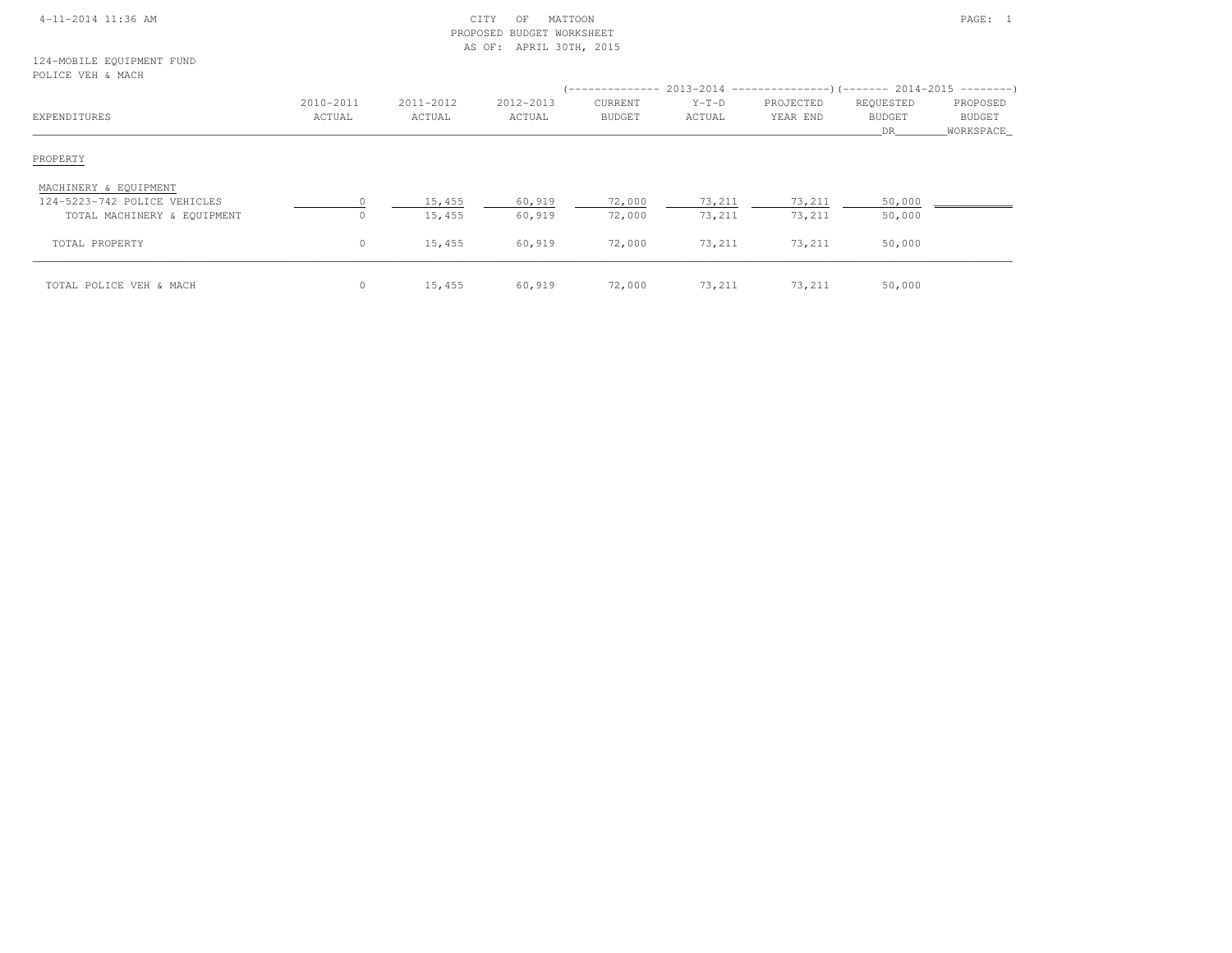| 4-11-2014 11:36 AM |  |
|--------------------|--|
|                    |  |

### $\begin{array}{ccc} \text{CITY} & \text{OF} & \text{MATION} \end{array}$  PROPOSED BUDGET WORKSHEETAS OF: APRIL 30TH, 2015

124-MOBILE EQUIPMENT FUNDPOLICE VEH & MACH

| EXPENDITURES                 | 2010-2011<br>ACTUAL | 2011-2012<br>ACTUAL | 2012-2013<br>ACTUAL | ______________<br>CURRENT<br>BUDGET | $Y-T-D$<br>ACTUAL | $2013-2014$ ----------------)(------- 2014-2015 ---------)<br>PROJECTED<br>YEAR END | REQUESTED<br><b>BUDGET</b><br>DR. | PROPOSED<br><b>BUDGET</b><br>WORKSPACE |
|------------------------------|---------------------|---------------------|---------------------|-------------------------------------|-------------------|-------------------------------------------------------------------------------------|-----------------------------------|----------------------------------------|
| PROPERTY                     |                     |                     |                     |                                     |                   |                                                                                     |                                   |                                        |
| MACHINERY & EQUIPMENT        |                     |                     |                     |                                     |                   |                                                                                     |                                   |                                        |
| 124-5223-742 POLICE VEHICLES |                     | 15,455              | 60,919              | 72,000                              | 73,211            | 73,211                                                                              | 50,000                            |                                        |
| TOTAL MACHINERY & EQUIPMENT  | $\Omega$            | 15,455              | 60,919              | 72,000                              | 73,211            | 73,211                                                                              | 50,000                            |                                        |
| TOTAL PROPERTY               | $\circ$             | 15,455              | 60,919              | 72,000                              | 73,211            | 73,211                                                                              | 50,000                            |                                        |
| TOTAL POLICE VEH & MACH      | $\circ$             | 15,455              | 60,919              | 72,000                              | 73,211            | 73,211                                                                              | 50,000                            |                                        |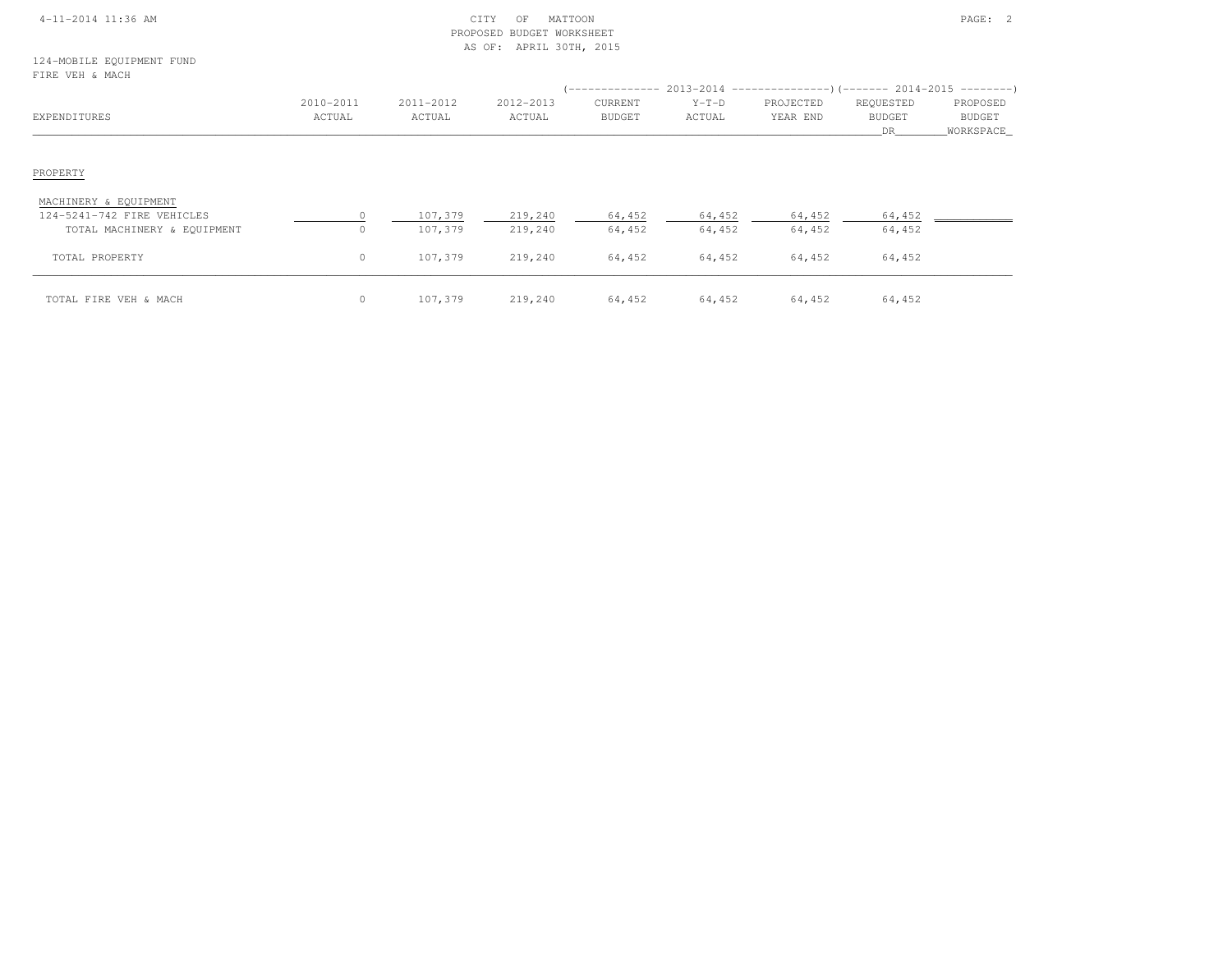|  | 4-11-2014 11:36 AM |  |
|--|--------------------|--|
|  |                    |  |

### 4-11-2014 CITY OF MATTOON PAGE: 2 PROPOSED BUDGET WORKSHEETAS OF: APRIL 30TH, 2015

124-MOBILE EQUIPMENT FUNDFIRE VEH & MACH

| FIRE VEH & MACH                                                                    |                       |                     |                     |                          |                   | (-------------- 2013-2014 ---------------------- 2014-2015 ---------------------- |                                  |                                        |
|------------------------------------------------------------------------------------|-----------------------|---------------------|---------------------|--------------------------|-------------------|-----------------------------------------------------------------------------------|----------------------------------|----------------------------------------|
| EXPENDITURES                                                                       | 2010-2011<br>ACTUAL   | 2011-2012<br>ACTUAL | 2012-2013<br>ACTUAL | CURRENT<br><b>BUDGET</b> | $Y-T-D$<br>ACTUAL | PROJECTED<br>YEAR END                                                             | REQUESTED<br><b>BUDGET</b><br>DR | PROPOSED<br><b>BUDGET</b><br>WORKSPACE |
| PROPERTY                                                                           |                       |                     |                     |                          |                   |                                                                                   |                                  |                                        |
| MACHINERY & EQUIPMENT<br>124-5241-742 FIRE VEHICLES<br>TOTAL MACHINERY & EQUIPMENT | $\bigcap$<br>$\Omega$ | 107,379<br>107,379  | 219,240<br>219,240  | 64,452<br>64,452         | 64,452<br>64,452  | 64,452<br>64,452                                                                  | 64,452<br>64,452                 |                                        |
| TOTAL PROPERTY                                                                     | $\circ$               | 107,379             | 219,240             | 64,452                   | 64,452            | 64,452                                                                            | 64,452                           |                                        |
| TOTAL FIRE VEH & MACH                                                              | $\circ$               | 107,379             | 219,240             | 64,452                   | 64,452            | 64,452                                                                            | 64,452                           |                                        |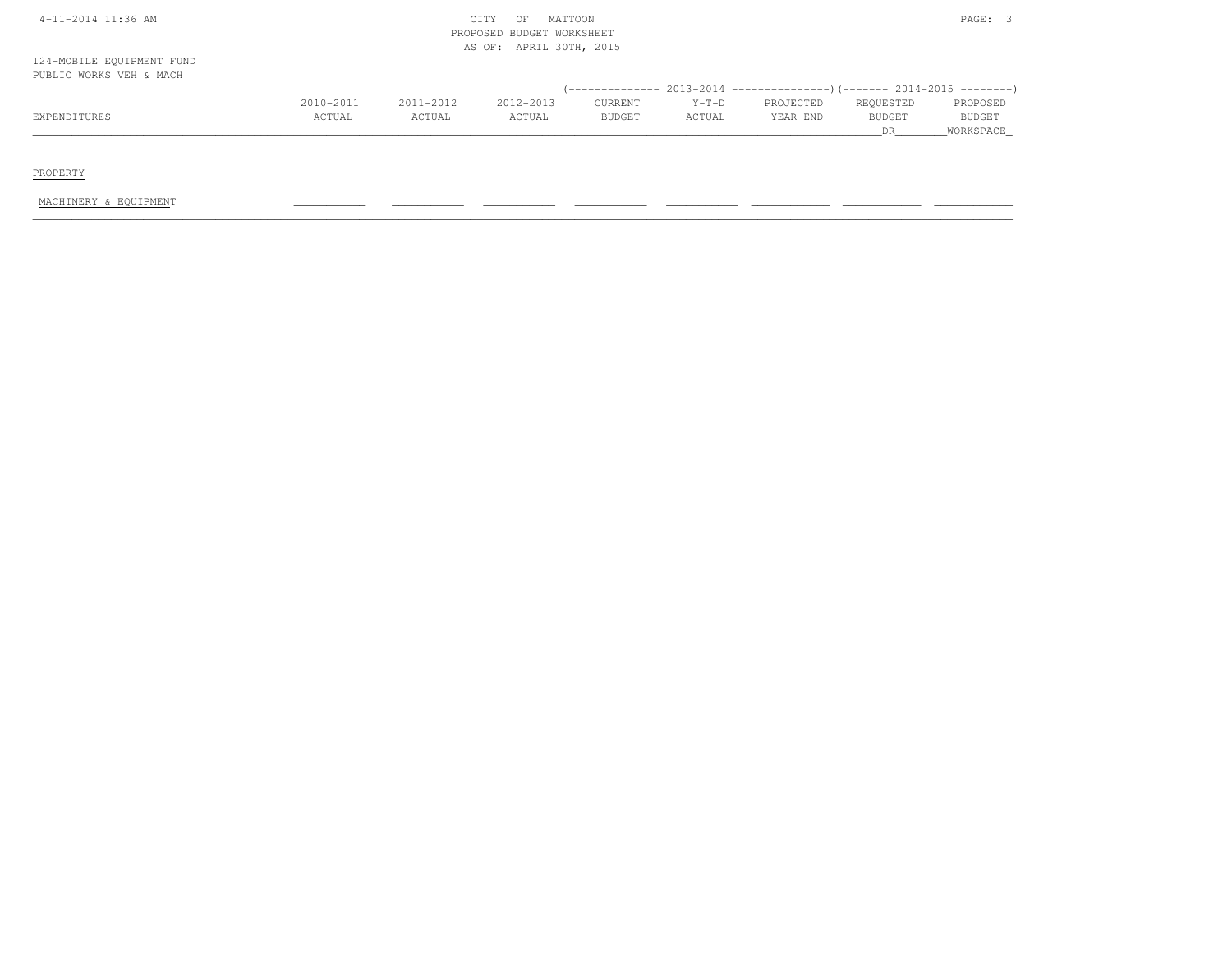| 4-11-2014 11:36 AM        |           |           | MATTOON<br>CITY<br>OF<br>PROPOSED BUDGET WORKSHEET |               |         |           |               | PAGE: 3       |
|---------------------------|-----------|-----------|----------------------------------------------------|---------------|---------|-----------|---------------|---------------|
|                           |           |           | AS OF: APRIL 30TH, 2015                            |               |         |           |               |               |
| 124-MOBILE EQUIPMENT FUND |           |           |                                                    |               |         |           |               |               |
| PUBLIC WORKS VEH & MACH   |           |           |                                                    |               |         |           |               |               |
|                           |           |           |                                                    |               |         |           |               |               |
|                           | 2010-2011 | 2011-2012 | 2012-2013                                          | CURRENT       | $Y-T-D$ | PROJECTED | REQUESTED     | PROPOSED      |
| EXPENDITURES              | ACTUAL    | ACTUAL    | ACTUAL                                             | <b>BUDGET</b> | ACTUAL  | YEAR END  | <b>BUDGET</b> | <b>BUDGET</b> |
|                           |           |           |                                                    |               |         |           | DR.           | WORKSPACE     |

PROPERTY

MACHINERY & EQUIPMENT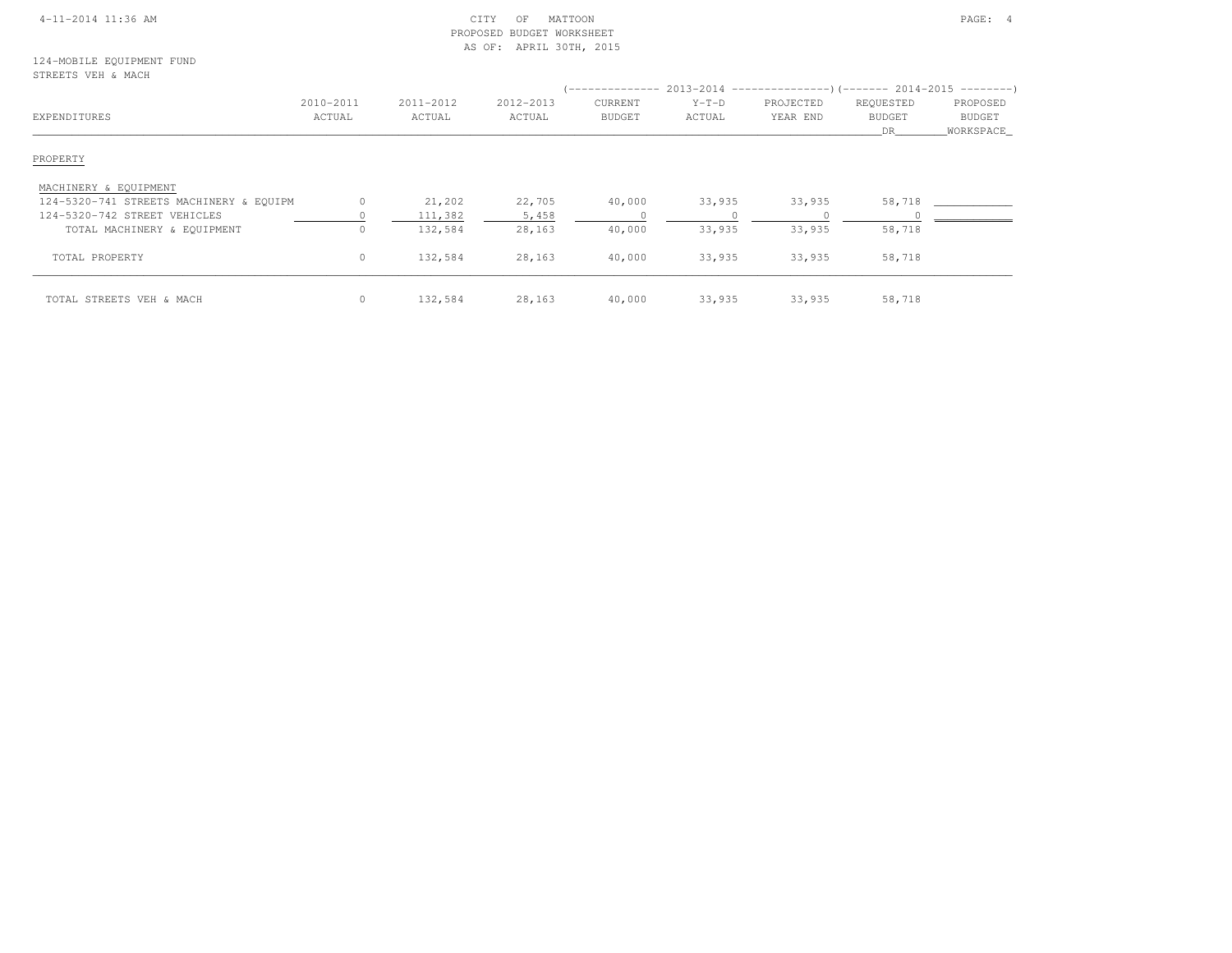| $4-11-2014$ 11:36 AM |
|----------------------|
|----------------------|

### CITY OF MATTOON **Example 2014** 2014 11:36 AM CITY OF MATTOON PROPOSED BUDGET WORKSHEETAS OF: APRIL 30TH, 2015

### 124-MOBILE EQUIPMENT FUNDSTREETS VEH & MACH

| EXPENDITURES                            | 2010-2011<br>ACTUAL | 2011-2012<br>ACTUAL | 2012-2013<br>ACTUAL | <b>CURRENT</b><br><b>BUDGET</b> | $Y-T-D$<br>ACTUAL | (-------------- 2013-2014 ----------------) (------- 2014-2015 ---------)<br>PROJECTED<br>YEAR END | REQUESTED<br><b>BUDGET</b> | PROPOSED<br><b>BUDGET</b> |
|-----------------------------------------|---------------------|---------------------|---------------------|---------------------------------|-------------------|----------------------------------------------------------------------------------------------------|----------------------------|---------------------------|
|                                         |                     |                     |                     |                                 |                   |                                                                                                    | <b>DR</b>                  | WORKSPACE                 |
| PROPERTY                                |                     |                     |                     |                                 |                   |                                                                                                    |                            |                           |
| MACHINERY & EQUIPMENT                   |                     |                     |                     |                                 |                   |                                                                                                    |                            |                           |
| 124-5320-741 STREETS MACHINERY & EQUIPM | $\circ$             | 21,202              | 22,705              | 40,000                          | 33,935            | 33,935                                                                                             | 58,718                     |                           |
| 124-5320-742 STREET VEHICLES            |                     | 111,382             | 5,458               | $\cap$                          |                   |                                                                                                    |                            |                           |
| TOTAL MACHINERY & EQUIPMENT             | $\Omega$            | 132,584             | 28,163              | 40,000                          | 33,935            | 33,935                                                                                             | 58,718                     |                           |
| TOTAL PROPERTY                          | $\circ$             | 132,584             | 28,163              | 40,000                          | 33,935            | 33,935                                                                                             | 58,718                     |                           |
| TOTAL STREETS VEH & MACH                | $\Omega$            | 132,584             | 28,163              | 40,000                          | 33,935            | 33,935                                                                                             | 58,718                     |                           |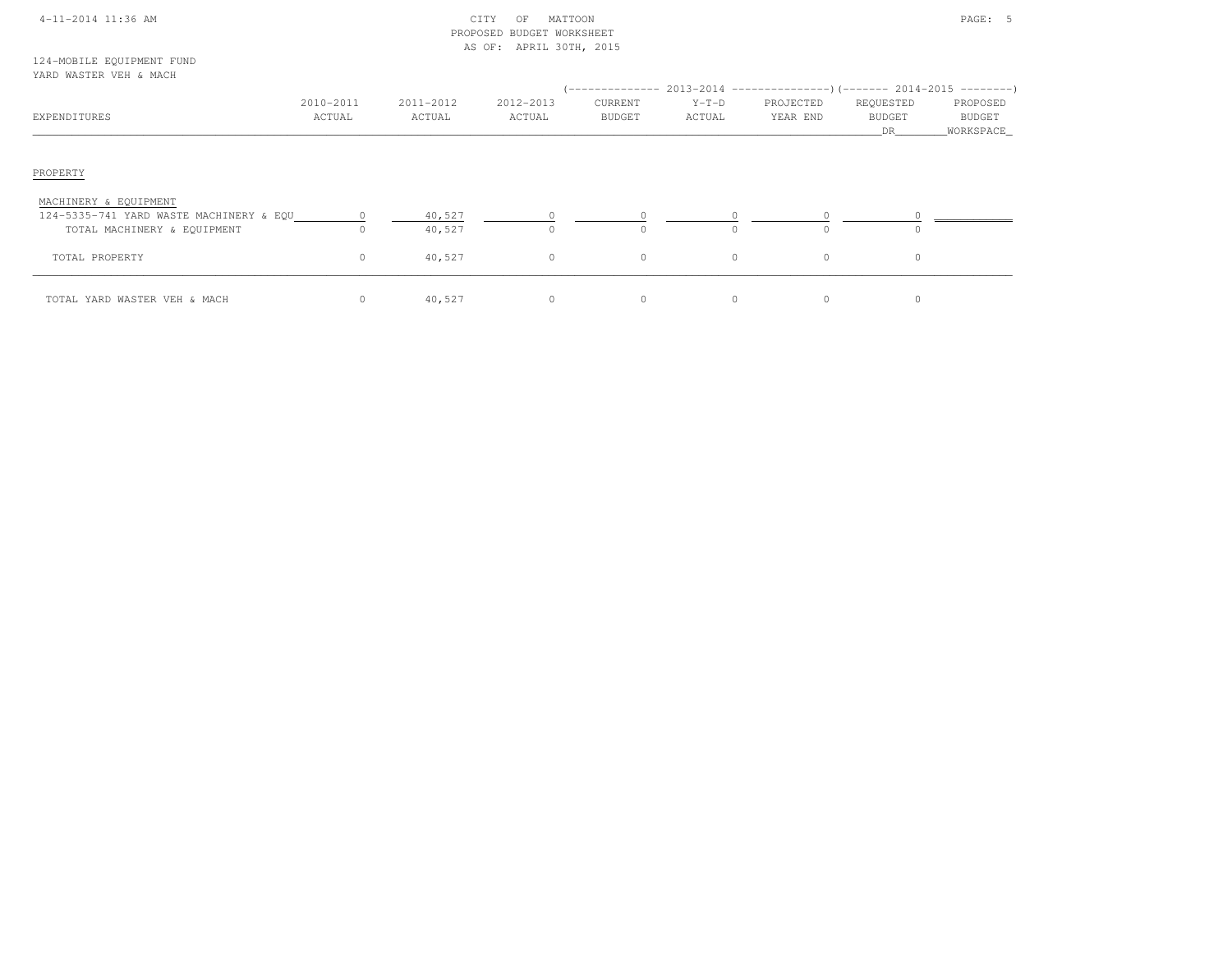| 4-11-2014 11:36 AM |  |  |
|--------------------|--|--|
|                    |  |  |

## $\begin{array}{ccc} \text{CITY} & \text{OF} & \text{MATION} \end{array}$  PROPOSED BUDGET WORKSHEETAS OF: APRIL 30TH, 2015

#### 124-MOBILE EQUIPMENT FUNDYARD WASTER VEH & MACH

| IAKU WASILK VLH & MACH                                                                          |                     |                     |                     | --------------           |                   | $2013-2014$ ---------------)(------- 2014-2015 --------) |                                  |                                 |
|-------------------------------------------------------------------------------------------------|---------------------|---------------------|---------------------|--------------------------|-------------------|----------------------------------------------------------|----------------------------------|---------------------------------|
| EXPENDITURES                                                                                    | 2010-2011<br>ACTUAL | 2011-2012<br>ACTUAL | 2012-2013<br>ACTUAL | CURRENT<br><b>BUDGET</b> | $Y-T-D$<br>ACTUAL | PROJECTED<br>YEAR END                                    | REQUESTED<br><b>BUDGET</b><br>DR | PROPOSED<br>BUDGET<br>WORKSPACE |
| PROPERTY                                                                                        |                     |                     |                     |                          |                   |                                                          |                                  |                                 |
| MACHINERY & EQUIPMENT<br>124-5335-741 YARD WASTE MACHINERY & EQU<br>TOTAL MACHINERY & EQUIPMENT | $\Omega$            | 40,527<br>40,527    |                     | $\Omega$                 | $\cap$            |                                                          | $\bigcap$                        |                                 |
| TOTAL PROPERTY                                                                                  | $\circ$             | 40,527              | $\circ$             | $\circ$                  | $\circ$           | $\circ$                                                  | 0                                |                                 |
| TOTAL YARD WASTER VEH & MACH                                                                    | 0                   | 40,527              | $\circ$             | 0                        |                   | $\circ$                                                  | 0                                |                                 |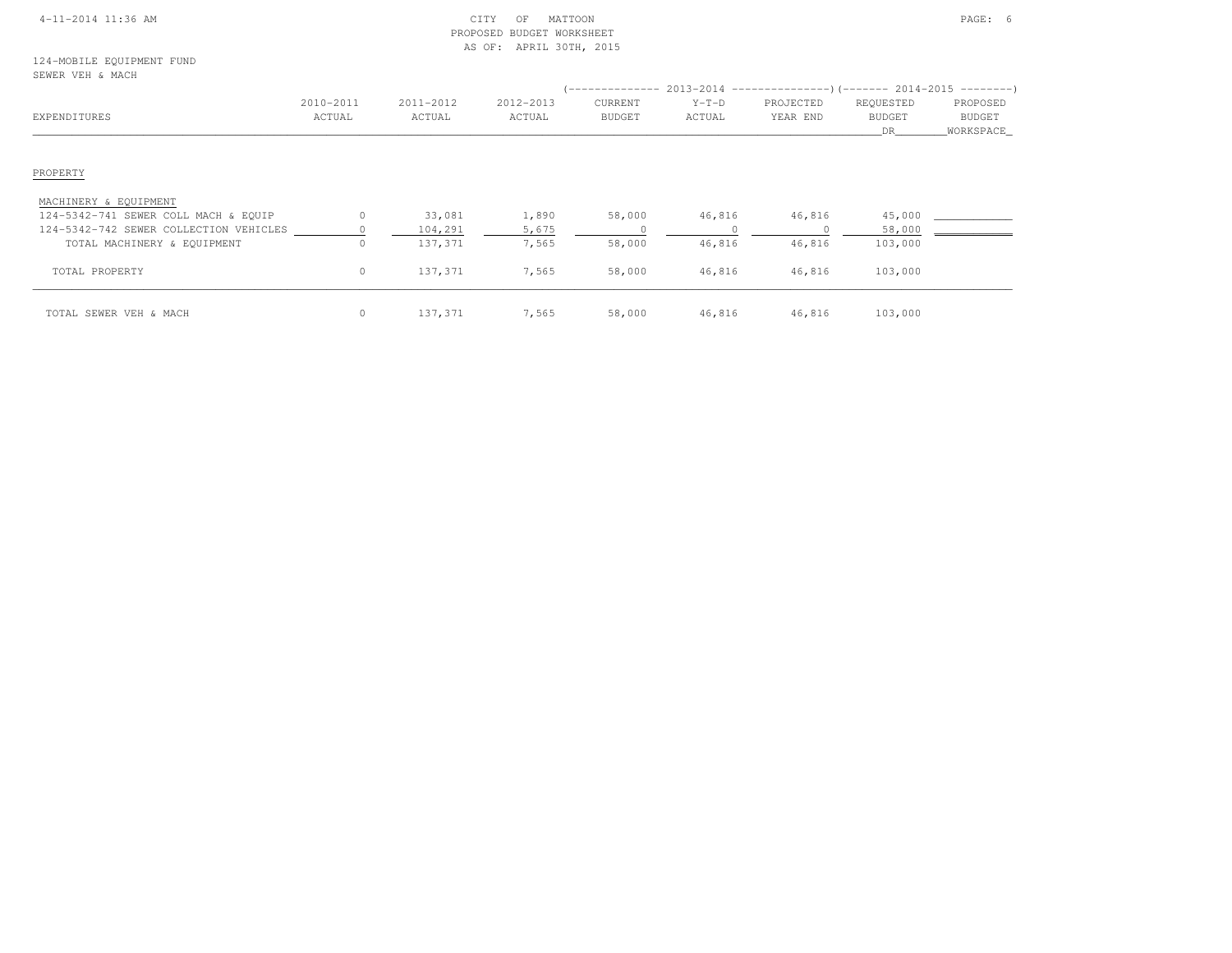### 4-11-2014 11:36 AM CITY OF MATTOON PAGE: 6 PROPOSED BUDGET WORKSHEETAS OF: APRIL 30TH, 2015

| EXPENDITURES                           | 2010-2011<br>ACTUAL | 2011-2012<br>ACTUAL | 2012-2013<br>ACTUAL | CURRENT<br><b>BUDGET</b> | $Y-T-D$<br>ACTUAL | PROJECTED<br>YEAR END | REQUESTED<br><b>BUDGET</b><br>DR. | PROPOSED<br>BUDGET<br>WORKSPACE_ |
|----------------------------------------|---------------------|---------------------|---------------------|--------------------------|-------------------|-----------------------|-----------------------------------|----------------------------------|
| PROPERTY                               |                     |                     |                     |                          |                   |                       |                                   |                                  |
| MACHINERY & EQUIPMENT                  |                     |                     |                     |                          |                   |                       |                                   |                                  |
| 124-5342-741 SEWER COLL MACH & EQUIP   | 0                   | 33,081              | 1,890               | 58,000                   | 46,816            | 46,816                | 45,000                            |                                  |
| 124-5342-742 SEWER COLLECTION VEHICLES |                     | 104,291             | 5,675               |                          |                   | $\Omega$              | 58,000                            |                                  |
| TOTAL MACHINERY & EQUIPMENT            | $\circ$             | 137,371             | 7,565               | 58,000                   | 46,816            | 46,816                | 103,000                           |                                  |
| TOTAL PROPERTY                         | $\circ$             | 137,371             | 7,565               | 58,000                   | 46,816            | 46,816                | 103,000                           |                                  |
| TOTAL SEWER VEH & MACH                 | $\circ$             | 137,371             | 7,565               | 58,000                   | 46,816            | 46,816                | 103,000                           |                                  |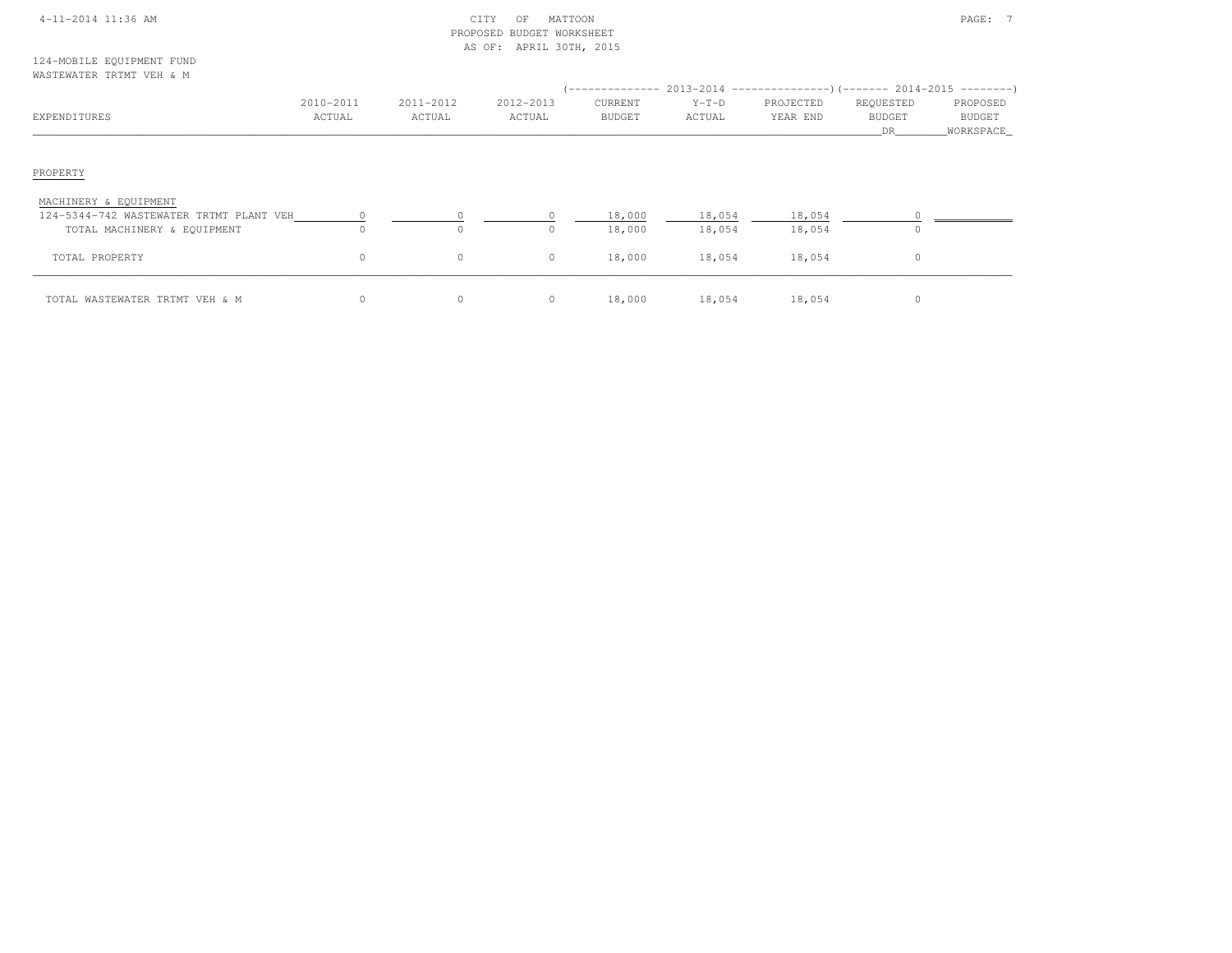|  | $4 - 11 - 2014$ 11:36 AM |  |
|--|--------------------------|--|
|  |                          |  |

### 4-11-2014 CITY OF MATTOON CITY OF MATTOON PAGE: 7 PROPOSED BUDGET WORKSHEETAS OF: APRIL 30TH, 2015

124-MOBILE EQUIPMENT FUNDWASTEWATER TRTMT VEH & M

| EXPENDITURES                                                     | 2010-2011<br>ACTUAL | 2011-2012<br>ACTUAL | 2012-2013<br>ACTUAL | CURRENT<br><b>BUDGET</b> | $Y-T-D$<br>ACTUAL | PROJECTED<br>YEAR END | REQUESTED<br><b>BUDGET</b><br>DR. | PROPOSED<br>BUDGET<br>_WORKSPACE_ |
|------------------------------------------------------------------|---------------------|---------------------|---------------------|--------------------------|-------------------|-----------------------|-----------------------------------|-----------------------------------|
| PROPERTY                                                         |                     |                     |                     |                          |                   |                       |                                   |                                   |
| MACHINERY & EQUIPMENT<br>124-5344-742 WASTEWATER TRTMT PLANT VEH |                     |                     |                     | 18,000                   | 18,054            | 18,054                |                                   |                                   |
| TOTAL MACHINERY & EQUIPMENT                                      | $\Omega$            | $\mathbf{0}$        | $\circ$             | 18,000                   | 18,054            | 18,054                | $\Omega$                          |                                   |
| TOTAL PROPERTY                                                   | 0                   | 0                   | $\circ$             | 18,000                   | 18,054            | 18,054                | 0                                 |                                   |
| TOTAL WASTEWATER TRTMT VEH & M                                   | 0                   | 0                   | $\circ$             | 18,000                   | 18,054            | 18,054                | $\Omega$                          |                                   |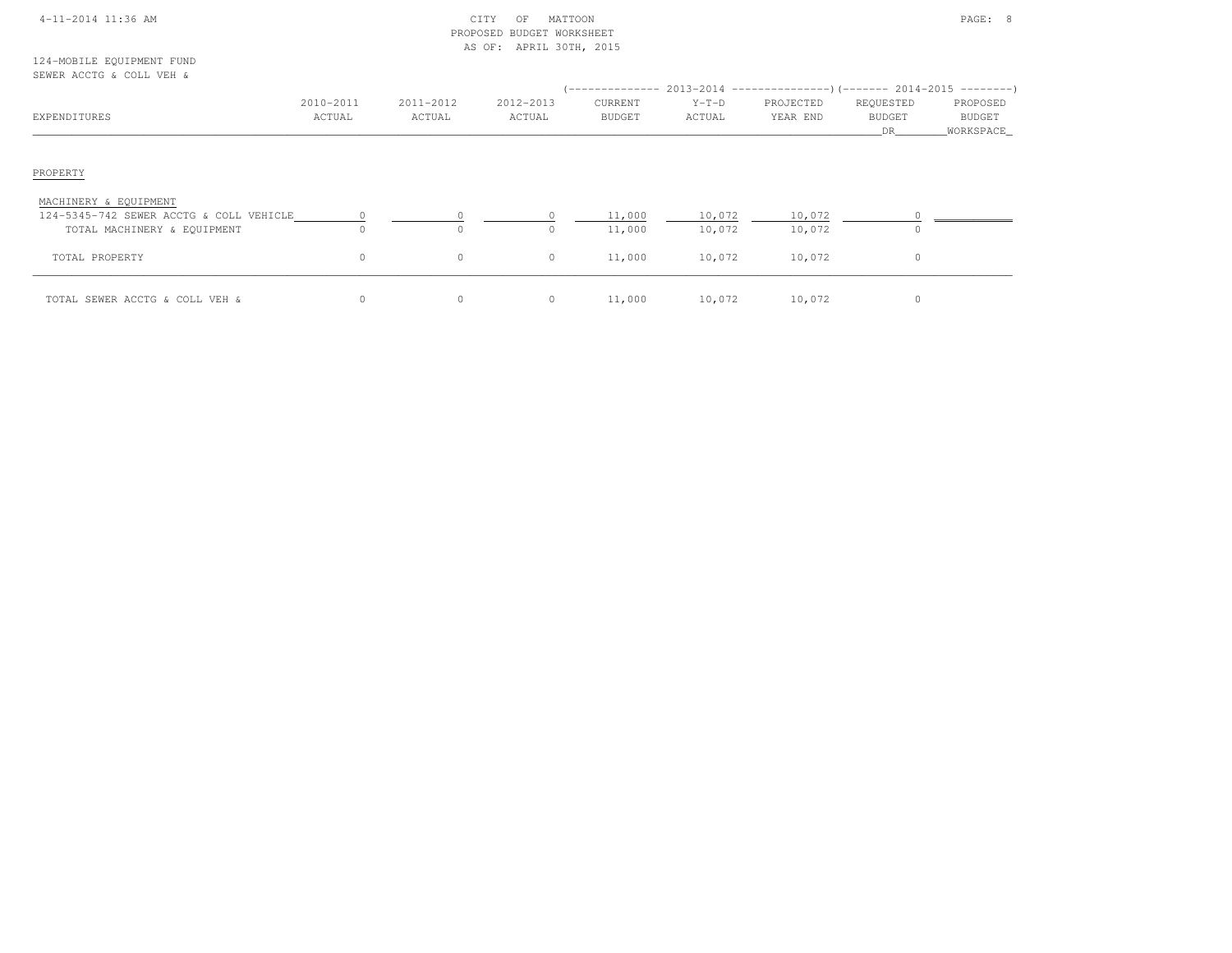| $4-11-2014$ 11:36 AM |  |
|----------------------|--|
|                      |  |

### $\begin{array}{ccc} \text{CITY} & \text{OF} & \text{MATION} \end{array}$  PROPOSED BUDGET WORKSHEETAS OF: APRIL 30TH, 2015

124-MOBILE EQUIPMENT FUNDSEWER ACCTG & COLL VEH &

| ARMEN UCCIO & COUR ARII &                                                                       |                     |                     |                     |                          |                   | $($ -------------- 2013-2014 ----------------) (------- 2014-2015 ---------) |                                  |                                   |
|-------------------------------------------------------------------------------------------------|---------------------|---------------------|---------------------|--------------------------|-------------------|------------------------------------------------------------------------------|----------------------------------|-----------------------------------|
| EXPENDITURES                                                                                    | 2010-2011<br>ACTUAL | 2011-2012<br>ACTUAL | 2012-2013<br>ACTUAL | CURRENT<br><b>BUDGET</b> | $Y-T-D$<br>ACTUAL | PROJECTED<br>YEAR END                                                        | REQUESTED<br><b>BUDGET</b><br>DR | PROPOSED<br>BUDGET<br>_WORKSPACE_ |
| PROPERTY                                                                                        |                     |                     |                     |                          |                   |                                                                              |                                  |                                   |
| MACHINERY & EQUIPMENT<br>124-5345-742 SEWER ACCTG & COLL VEHICLE<br>TOTAL MACHINERY & EQUIPMENT |                     | $\Omega$            | $\Omega$            | 11,000<br>11,000         | 10,072<br>10,072  | 10,072<br>10,072                                                             |                                  |                                   |
| TOTAL PROPERTY                                                                                  | 0                   | $\circ$             | $\circ$             | 11,000                   | 10,072            | 10,072                                                                       | 0                                |                                   |
| TOTAL SEWER ACCTG & COLL VEH &                                                                  |                     | $\circ$             | $\circ$             | 11,000                   | 10,072            | 10,072                                                                       | 0                                |                                   |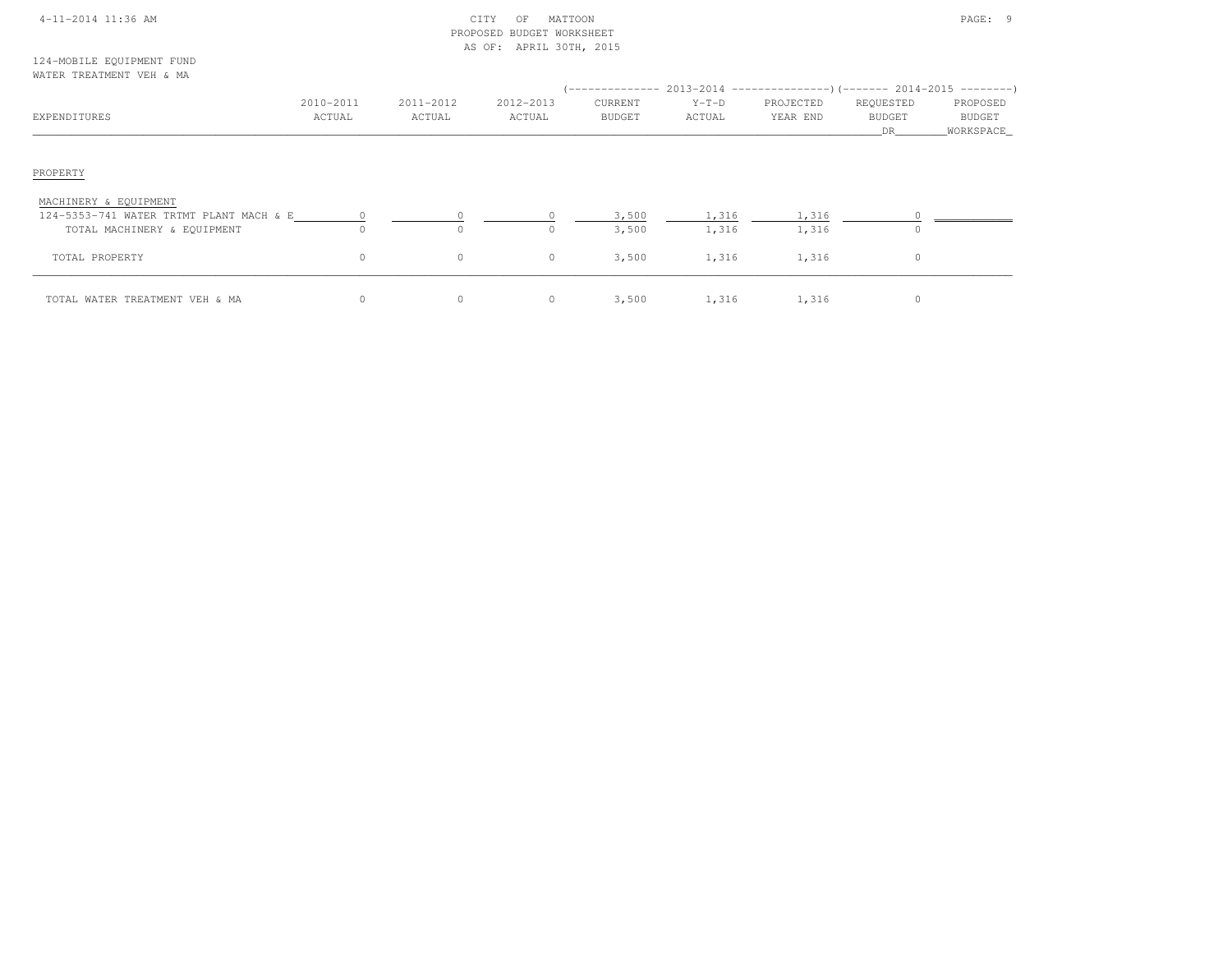|  | 4-11-2014 11:36 AM |  |
|--|--------------------|--|
|  |                    |  |

### 4-11-2014 CITY OF MATTOON CITY OF MATTOON PAGE: 9 PROPOSED BUDGET WORKSHEETAS OF: APRIL 30TH, 2015

#### 124-MOBILE EQUIPMENT FUNDWATER TREATMENT VEH & MA

| EXPENDITURES                                                     | 2010-2011<br>ACTUAL | 2011-2012<br>ACTUAL  | 2012-2013<br>ACTUAL | CURRENT<br>BUDGET | $Y-T-D$<br>ACTUAL | PROJECTED<br>YEAR END | REQUESTED<br><b>BUDGET</b><br>DR <sub>am</sub> | PROPOSED<br>BUDGET<br>WORKSPACE |
|------------------------------------------------------------------|---------------------|----------------------|---------------------|-------------------|-------------------|-----------------------|------------------------------------------------|---------------------------------|
| PROPERTY                                                         |                     |                      |                     |                   |                   |                       |                                                |                                 |
| MACHINERY & EQUIPMENT<br>124-5353-741 WATER TRTMT PLANT MACH & E |                     |                      |                     | 3,500             | 1,316             | 1,316                 |                                                |                                 |
| TOTAL MACHINERY & EQUIPMENT<br>TOTAL PROPERTY                    | $\Omega$<br>$\circ$ | $\bigcap$<br>$\circ$ | $\Omega$<br>$\circ$ | 3,500<br>3,500    | 1,316<br>1,316    | 1,316<br>1,316        | $\Omega$<br>$\circ$                            |                                 |
| TOTAL WATER TREATMENT VEH & MA                                   | $\circ$             | $\circ$              | $\circ$             | 3,500             | 1,316             | 1,316                 |                                                |                                 |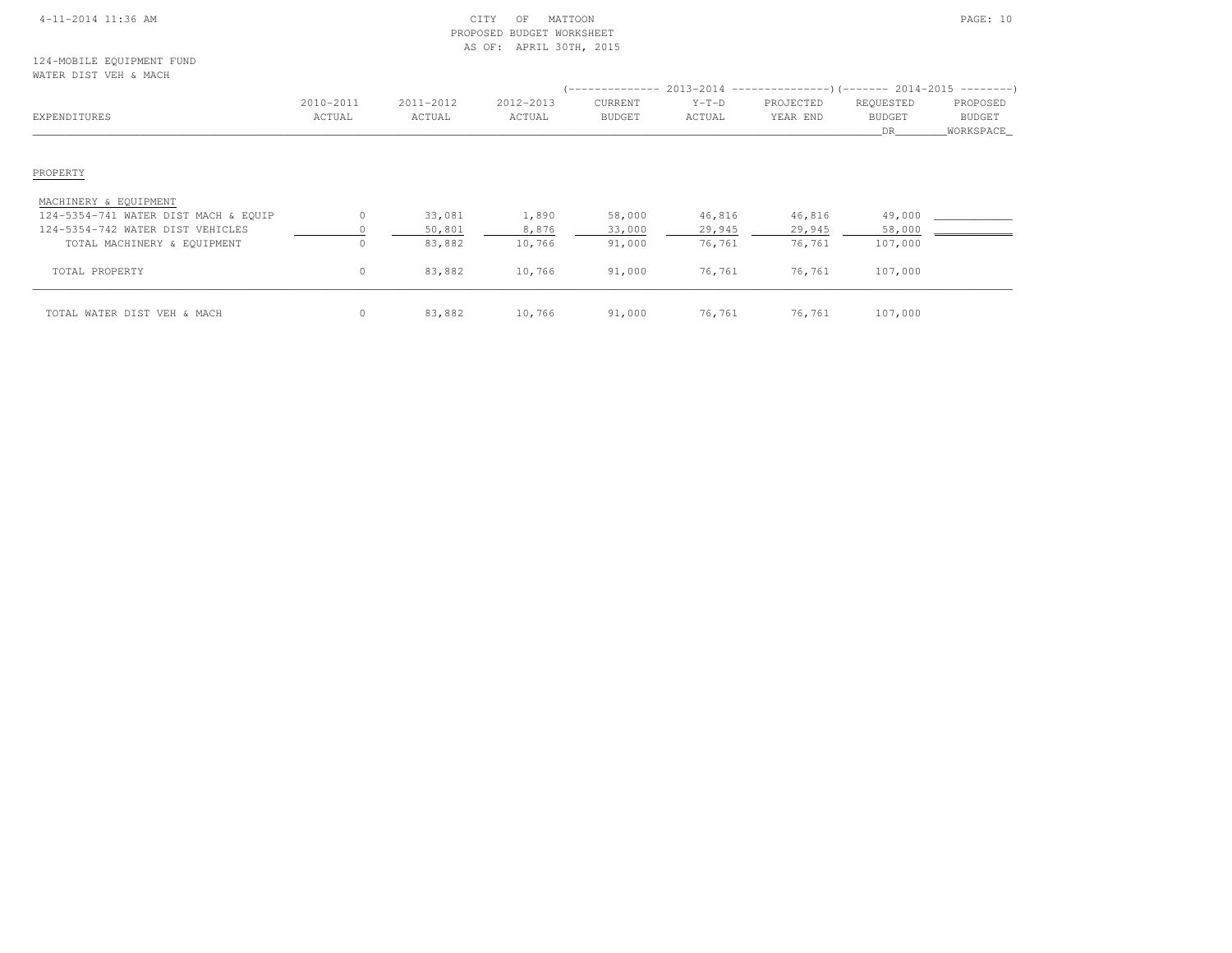### 4-11-2014 11:36 AM CITY OF MATTOON PAGE: 10 PROPOSED BUDGET WORKSHEETAS OF: APRIL 30TH, 2015

124-MOBILE EQUIPMENT FUNDWATER DIST VEH & MACH

| EXPENDITURES                         | 2010-2011<br>ACTUAL | 2011-2012<br>ACTUAL | 2012-2013<br>ACTUAL | CURRENT<br><b>BUDGET</b> | $Y-T-D$<br>ACTUAL | (-------------- 2013-2014 ----------------) (------- 2014-2015 ---------)<br>PROJECTED<br>YEAR END | REQUESTED<br><b>BUDGET</b> | PROPOSED<br>BUDGET |
|--------------------------------------|---------------------|---------------------|---------------------|--------------------------|-------------------|----------------------------------------------------------------------------------------------------|----------------------------|--------------------|
|                                      |                     |                     |                     |                          |                   |                                                                                                    | DR                         | WORKSPACE_         |
| PROPERTY                             |                     |                     |                     |                          |                   |                                                                                                    |                            |                    |
| MACHINERY & EQUIPMENT                |                     |                     |                     |                          |                   |                                                                                                    |                            |                    |
| 124-5354-741 WATER DIST MACH & EQUIP | $\Omega$            | 33,081              | 1,890               | 58,000                   | 46,816            | 46,816                                                                                             | 49,000                     |                    |
| 124-5354-742 WATER DIST VEHICLES     |                     | 50,801              | 8,876               | 33,000                   | 29,945            | 29,945                                                                                             | 58,000                     |                    |
| TOTAL MACHINERY & EQUIPMENT          |                     | 83,882              | 10,766              | 91,000                   | 76,761            | 76,761                                                                                             | 107,000                    |                    |
| TOTAL PROPERTY                       | $\circ$             | 83,882              | 10,766              | 91,000                   | 76,761            | 76,761                                                                                             | 107,000                    |                    |
| TOTAL WATER DIST VEH & MACH          | $\circ$             | 83,882              | 10,766              | 91,000                   | 76,761            | 76,761                                                                                             | 107,000                    |                    |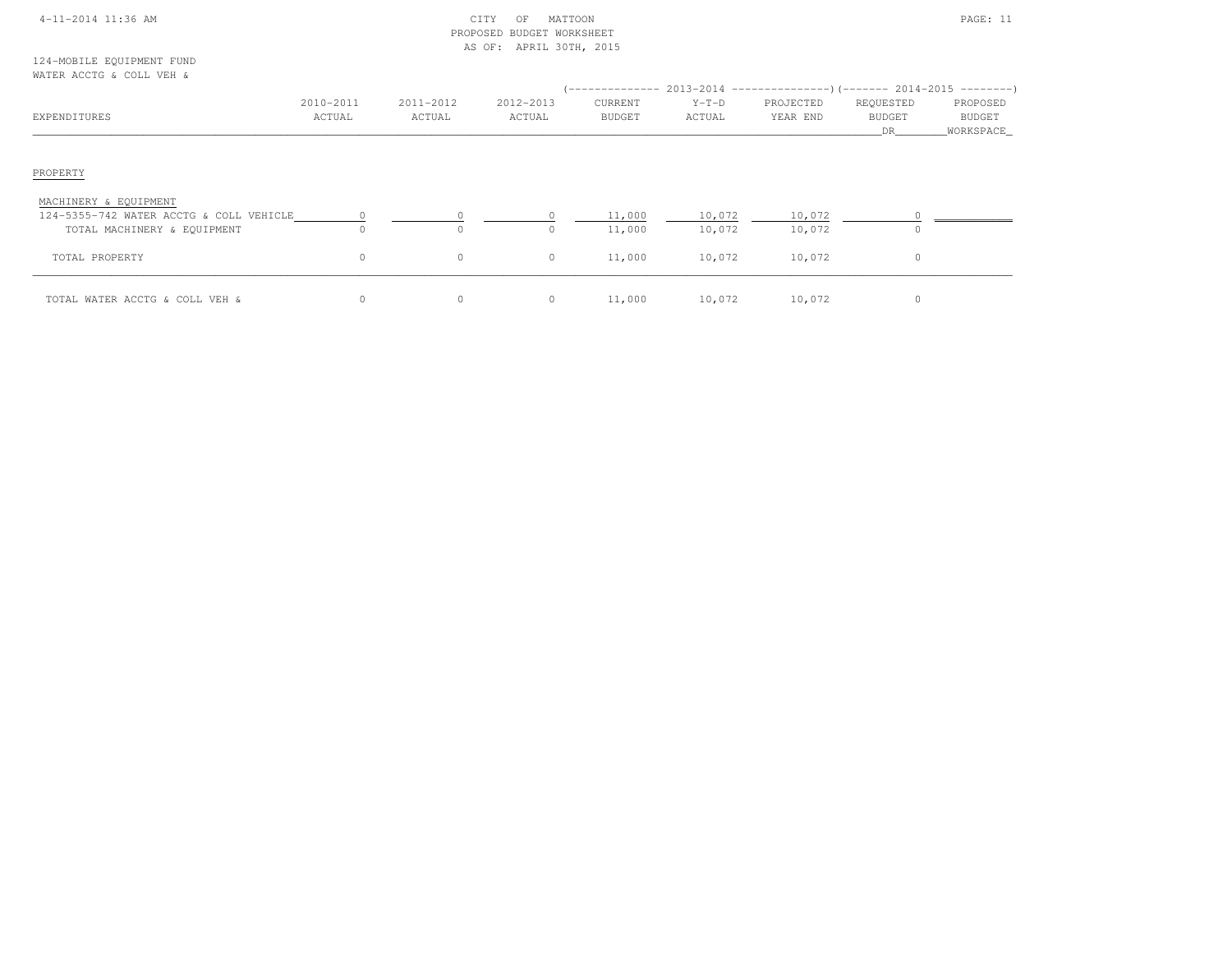| 4-11-2014 11:36 AM |  |  |
|--------------------|--|--|
|                    |  |  |

### $\begin{array}{ccc} \text{CITY} & \text{OF} & \text{MATION} \end{array}$  PROPOSED BUDGET WORKSHEETAS OF: APRIL 30TH, 2015

124-MOBILE EQUIPMENT FUNDWATER ACCTG & COLL VEH &

| WALLER ACCIOUT COMMUNIST                                               |                      |                     |                     |                          |                   | (-------------- 2013-2014 ---------------------- 2014-2015 ---------------------- |                                  |                                   |
|------------------------------------------------------------------------|----------------------|---------------------|---------------------|--------------------------|-------------------|-----------------------------------------------------------------------------------|----------------------------------|-----------------------------------|
| EXPENDITURES                                                           | 2010-2011<br>ACTUAL  | 2011-2012<br>ACTUAL | 2012-2013<br>ACTUAL | CURRENT<br><b>BUDGET</b> | $Y-T-D$<br>ACTUAL | PROJECTED<br>YEAR END                                                             | REQUESTED<br><b>BUDGET</b><br>DR | PROPOSED<br>BUDGET<br>_WORKSPACE_ |
| PROPERTY                                                               |                      |                     |                     |                          |                   |                                                                                   |                                  |                                   |
| MACHINERY & EQUIPMENT                                                  |                      |                     |                     |                          |                   |                                                                                   |                                  |                                   |
| 124-5355-742 WATER ACCTG & COLL VEHICLE<br>TOTAL MACHINERY & EQUIPMENT | $\sim$ 0<br>$\Omega$ | $\Omega$            | $\Omega$            | 11,000<br>11,000         | 10,072<br>10,072  | 10,072<br>10,072                                                                  | $\Omega$                         |                                   |
| TOTAL PROPERTY                                                         | 0                    | $\circ$             | $\circ$             | 11,000                   | 10,072            | 10,072                                                                            | 0                                |                                   |
| TOTAL WATER ACCTG & COLL VEH &                                         | 0                    | 0                   | $\circ$             | 11,000                   | 10,072            | 10,072                                                                            | 0                                |                                   |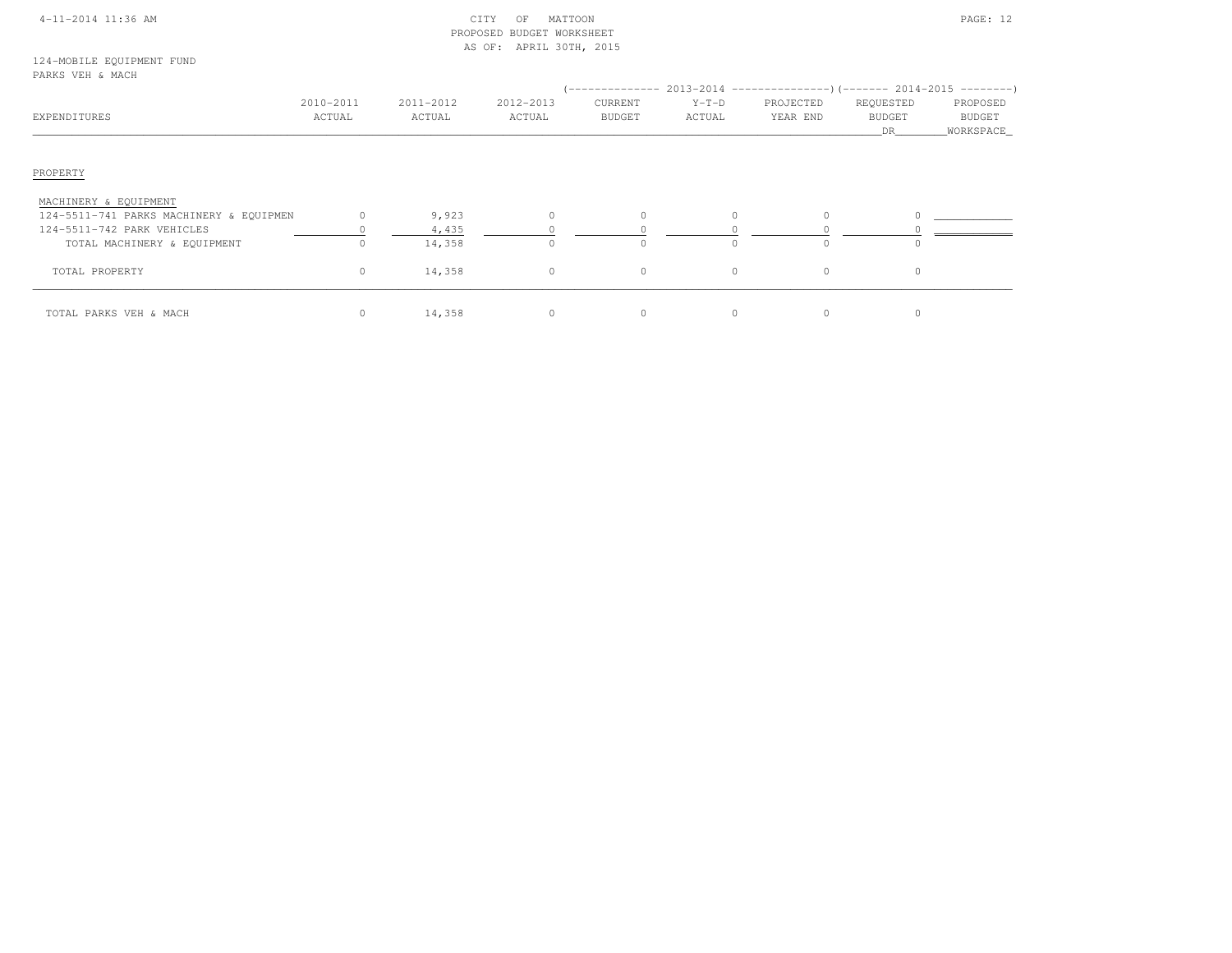### 4-11-2014 11:36 AM CITY OF MATTOON PAGE: 12 PROPOSED BUDGET WORKSHEETAS OF: APRIL 30TH, 2015

124-MOBILE EQUIPMENT FUNDPARKS VEH & MACH

| EXPENDITURES                            | 2010-2011<br>ACTUAL | 2011-2012<br>ACTUAL | 2012-2013<br>ACTUAL | CURRENT<br><b>BUDGET</b> | $Y-T-D$<br>ACTUAL | -------------- 2013-2014 -------------------- (------- 2014-2015 ----------)<br>PROJECTED<br>YEAR END | REQUESTED<br><b>BUDGET</b><br>DR. | PROPOSED<br>BUDGET<br>WORKSPACE_ |
|-----------------------------------------|---------------------|---------------------|---------------------|--------------------------|-------------------|-------------------------------------------------------------------------------------------------------|-----------------------------------|----------------------------------|
| PROPERTY                                |                     |                     |                     |                          |                   |                                                                                                       |                                   |                                  |
| MACHINERY & EQUIPMENT                   |                     |                     |                     |                          |                   |                                                                                                       |                                   |                                  |
| 124-5511-741 PARKS MACHINERY & EQUIPMEN | $\Omega$            | 9,923               | $\Omega$            | $\Omega$                 |                   |                                                                                                       |                                   |                                  |
| 124-5511-742 PARK VEHICLES              |                     | 4,435               |                     |                          |                   |                                                                                                       |                                   |                                  |
| TOTAL MACHINERY & EQUIPMENT             |                     | 14,358              |                     | $\Omega$                 |                   |                                                                                                       |                                   |                                  |
| TOTAL PROPERTY                          | $\circ$             | 14,358              | $\circ$             | $\circ$                  | $\circ$           | $\circ$                                                                                               | $\Omega$                          |                                  |
| TOTAL PARKS VEH & MACH                  | $\circ$             | 14,358              | $\mathbf{0}$        | $\circ$                  |                   |                                                                                                       |                                   |                                  |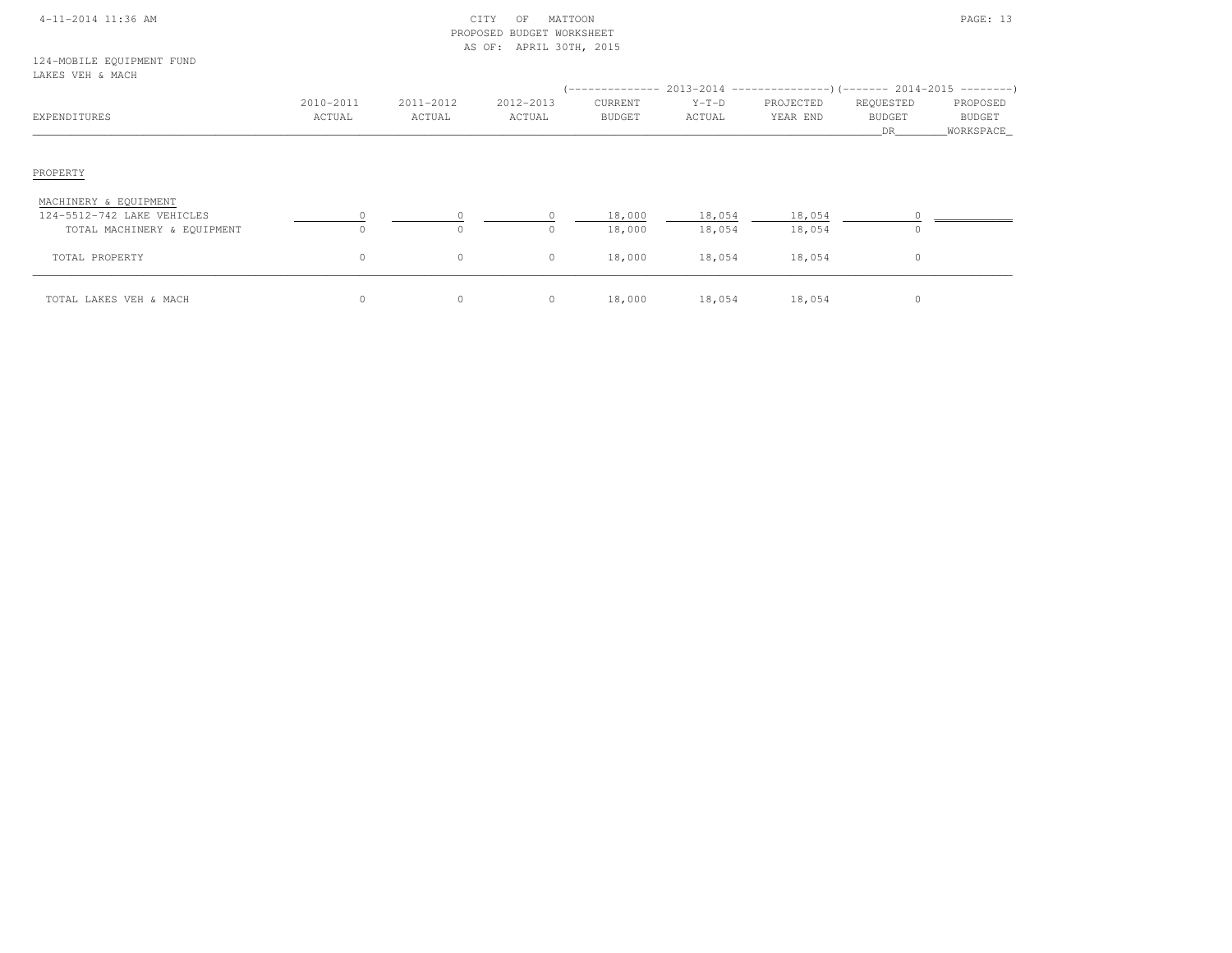| $4 - 11 - 2014$ 11:36 AM |
|--------------------------|
|--------------------------|

# $\begin{array}{ccc} \text{CITY} & \text{OF} & \text{MATION} \end{array}$  PROPOSED BUDGET WORKSHEETAS OF: APRIL 30TH, 2015

124-MOBILE EQUIPMENT FUNDLAKES VEH & MACH

| minuu viin a mion                                   |                     |                     |                     |                          |                   |                       |                                  |                                          |
|-----------------------------------------------------|---------------------|---------------------|---------------------|--------------------------|-------------------|-----------------------|----------------------------------|------------------------------------------|
| EXPENDITURES                                        | 2010-2011<br>ACTUAL | 2011-2012<br>ACTUAL | 2012-2013<br>ACTUAL | CURRENT<br><b>BUDGET</b> | $Y-T-D$<br>ACTUAL | PROJECTED<br>YEAR END | REQUESTED<br><b>BUDGET</b><br>DR | PROPOSED<br><b>BUDGET</b><br>_WORKSPACE_ |
| PROPERTY                                            |                     |                     |                     |                          |                   |                       |                                  |                                          |
| MACHINERY & EQUIPMENT<br>124-5512-742 LAKE VEHICLES |                     |                     |                     | 18,000                   | 18,054            | 18,054                |                                  |                                          |
| TOTAL MACHINERY & EQUIPMENT                         |                     | $\circ$             | $\Omega$            | 18,000                   | 18,054            | 18,054                |                                  |                                          |
| TOTAL PROPERTY                                      | $\circ$             | $\circ$             | $\circ$             | 18,000                   | 18,054            | 18,054                | $\circ$                          |                                          |
| TOTAL LAKES VEH & MACH                              | $\circ$             | $\circ$             | $\circ$             | 18,000                   | 18,054            | 18,054                | $\circ$                          |                                          |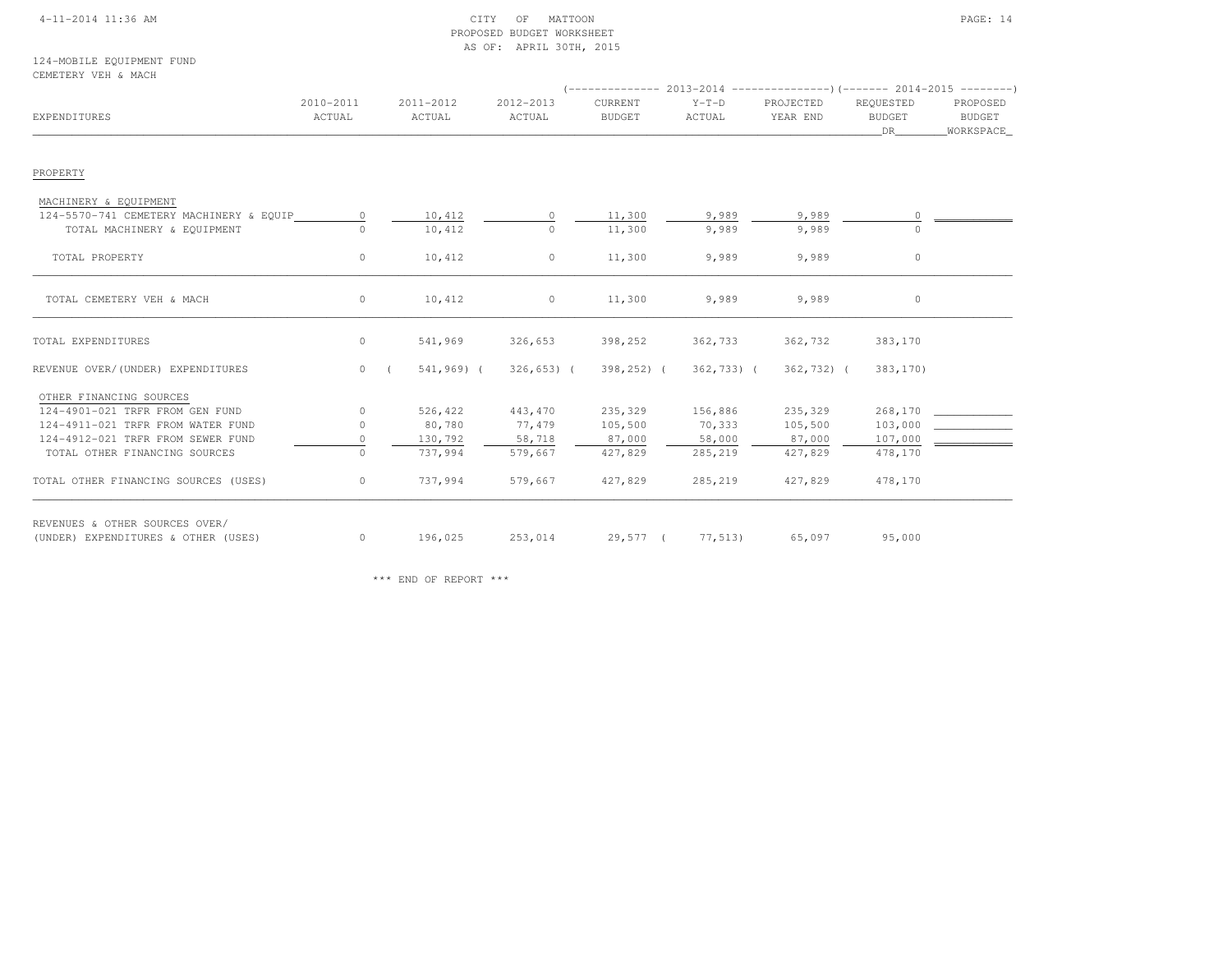### 4-11-2014 11:36 AM CITY OF MATTOON PAGE: 14 PROPOSED BUDGET WORKSHEETAS OF: APRIL 30TH, 2015

124-MOBILE EQUIPMENT FUNDCEMETERY VEH & MACH

| EXPENDITURES                            | 2010-2011<br>ACTUAL | 2011-2012<br>ACTUAL      | 2012-2013<br>ACTUAL      | CURRENT<br><b>BUDGET</b> | $Y-T-D$<br>ACTUAL | PROJECTED<br>YEAR END | REOUESTED<br><b>BUDGET</b><br>DR | PROPOSED<br>BUDGET<br>WORKSPACE |
|-----------------------------------------|---------------------|--------------------------|--------------------------|--------------------------|-------------------|-----------------------|----------------------------------|---------------------------------|
| PROPERTY                                |                     |                          |                          |                          |                   |                       |                                  |                                 |
| MACHINERY & EQUIPMENT                   |                     |                          |                          |                          |                   |                       |                                  |                                 |
| 124-5570-741 CEMETERY MACHINERY & EQUIP | $\circ$             | 10,412                   | $\circ$                  | 11,300                   | 9,989             | 9,989                 |                                  |                                 |
| TOTAL MACHINERY & EQUIPMENT             | $\bigcap$           | 10,412                   | $\Omega$                 | 11,300                   | 9,989             | 9,989                 |                                  |                                 |
| TOTAL PROPERTY                          | $\circ$             | 10,412                   | $\circ$                  | 11,300                   | 9,989             | 9,989                 | 0                                |                                 |
| TOTAL CEMETERY VEH & MACH               | $\circ$             | 10,412                   | $\circ$                  | 11,300                   | 9,989             | 9,989                 | $\circ$                          |                                 |
| TOTAL EXPENDITURES                      | $\circ$             | 541,969                  | 326,653                  | 398,252                  | 362,733           | 362,732               | 383,170                          |                                 |
| REVENUE OVER/(UNDER) EXPENDITURES       | $\overline{0}$      | 541,969) (<br>$\sqrt{2}$ | $326, 653)$ (            | $398, 252$ ) (           | $362,733$ ) (     | 362,732) (            | 383,170)                         |                                 |
| OTHER FINANCING SOURCES                 |                     |                          |                          |                          |                   |                       |                                  |                                 |
| 124-4901-021 TRFR FROM GEN FUND         | $\circ$             | 526,422                  | 443,470                  | 235,329                  | 156,886           | 235,329               | 268,170                          |                                 |
| 124-4911-021 TRFR FROM WATER FUND       | $\circ$             | 80,780                   | 77,479                   | 105,500                  | 70,333            | 105,500               | 103,000                          |                                 |
| 124-4912-021 TRFR FROM SEWER FUND       | $\circ$             | 130,792                  | 58,718                   | 87,000                   | 58,000            | 87,000                | 107,000                          |                                 |
| TOTAL OTHER FINANCING SOURCES           | $\circ$             | 737,994                  | 579,667                  | 427,829                  | 285,219           | 427,829               | 478,170                          |                                 |
| TOTAL OTHER FINANCING SOURCES (USES)    | $\circ$             | 737,994                  | 579,667                  | 427,829                  | 285,219           | 427,829               | 478,170                          |                                 |
| REVENUES & OTHER SOURCES OVER/          |                     |                          |                          |                          |                   |                       |                                  |                                 |
| (UNDER) EXPENDITURES & OTHER (USES)     | $\circ$             | 196,025                  | 253,014 29,577 ( 77,513) |                          |                   | 65,097                | 95,000                           |                                 |

\*\*\* END OF REPORT \*\*\*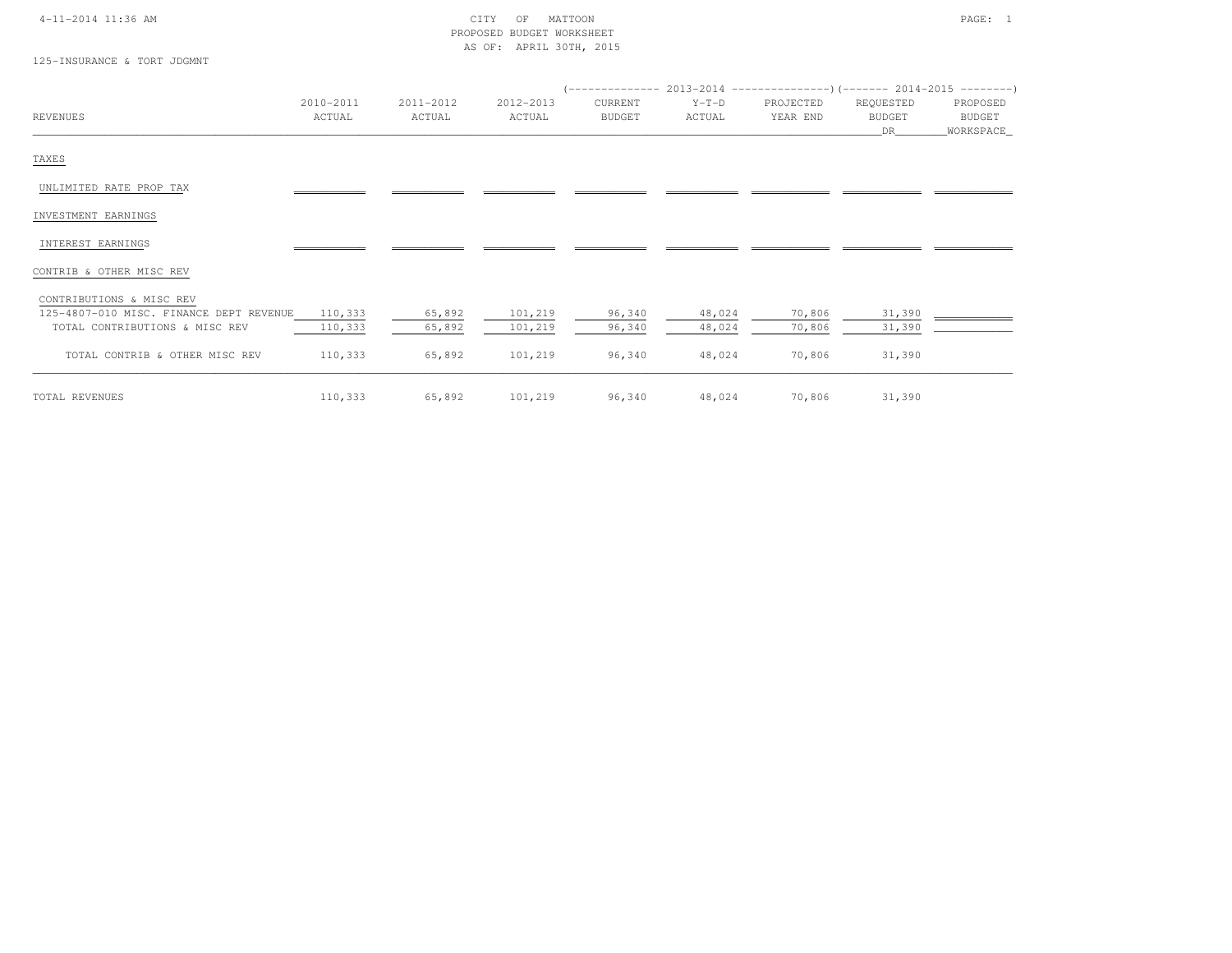## 4-11-2014 11:36 AM CITY OF MATTOON PAGE: 1 PROPOSED BUDGET WORKSHEETAS OF: APRIL 30TH, 2015

125-INSURANCE & TORT JDGMNT

|                                         | 2010-2011 | 2011-2012 | 2012-2013 | CURRENT       | $Y-T-D$ | PROJECTED | REQUESTED     | PROPOSED    |
|-----------------------------------------|-----------|-----------|-----------|---------------|---------|-----------|---------------|-------------|
| <b>REVENUES</b>                         | ACTUAL    | ACTUAL    | ACTUAL    | <b>BUDGET</b> | ACTUAL  | YEAR END  | <b>BUDGET</b> | BUDGET      |
|                                         |           |           |           |               |         |           | DR            | _WORKSPACE_ |
| TAXES                                   |           |           |           |               |         |           |               |             |
| UNLIMITED RATE PROP TAX                 |           |           |           |               |         |           |               |             |
| INVESTMENT EARNINGS                     |           |           |           |               |         |           |               |             |
| INTEREST EARNINGS                       |           |           |           |               |         |           |               |             |
| CONTRIB & OTHER MISC REV                |           |           |           |               |         |           |               |             |
| CONTRIBUTIONS & MISC REV                |           |           |           |               |         |           |               |             |
| 125-4807-010 MISC. FINANCE DEPT REVENUE | 110,333   | 65,892    | 101,219   | 96,340        | 48,024  | 70,806    | 31,390        |             |
| TOTAL CONTRIBUTIONS & MISC REV          | 110,333   | 65,892    | 101,219   | 96,340        | 48,024  | 70,806    | 31,390        |             |
| TOTAL CONTRIB & OTHER MISC REV          | 110,333   | 65,892    | 101,219   | 96,340        | 48,024  | 70,806    | 31,390        |             |
| TOTAL REVENUES                          | 110,333   | 65,892    | 101,219   | 96,340        | 48,024  | 70,806    | 31,390        |             |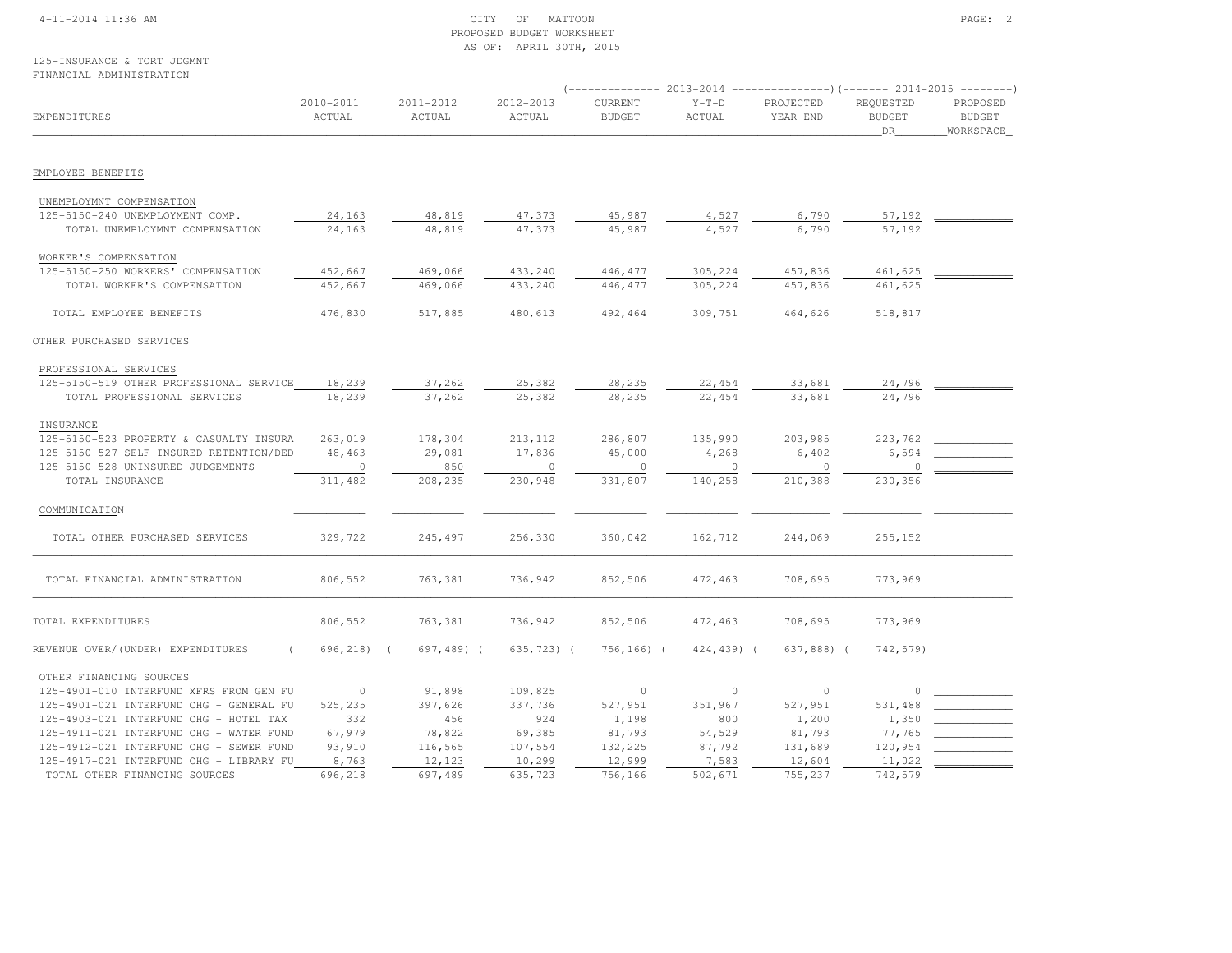### 4-11-2014 11:36 AM CITY OF MATTOON PAGE: 2 PROPOSED BUDGET WORKSHEETAS OF: APRIL 30TH, 2015

|                                         |                     |                     |                     | $---------2013-2014$<br>--------------)(------- 2014-2015 ---------) |                   |                       |                                   |                                         |
|-----------------------------------------|---------------------|---------------------|---------------------|----------------------------------------------------------------------|-------------------|-----------------------|-----------------------------------|-----------------------------------------|
| EXPENDITURES                            | 2010-2011<br>ACTUAL | 2011-2012<br>ACTUAL | 2012-2013<br>ACTUAL | CURRENT<br><b>BUDGET</b>                                             | $Y-T-D$<br>ACTUAL | PROJECTED<br>YEAR END | REQUESTED<br><b>BUDGET</b><br>DR. | PROPOSED<br><b>BUDGET</b><br>WORKSPACE_ |
| EMPLOYEE BENEFITS                       |                     |                     |                     |                                                                      |                   |                       |                                   |                                         |
|                                         |                     |                     |                     |                                                                      |                   |                       |                                   |                                         |
| UNEMPLOYMNT COMPENSATION                |                     |                     |                     |                                                                      |                   |                       |                                   |                                         |
| 125-5150-240 UNEMPLOYMENT COMP.         | 24,163              | 48,819              | 47,373              | 45,987                                                               | 4,527             | 6,790                 | 57,192                            |                                         |
| TOTAL UNEMPLOYMNT COMPENSATION          | 24,163              | 48,819              | 47,373              | 45,987                                                               | 4,527             | 6,790                 | 57,192                            |                                         |
| WORKER'S COMPENSATION                   |                     |                     |                     |                                                                      |                   |                       |                                   |                                         |
| 125-5150-250 WORKERS' COMPENSATION      | 452,667             | 469,066             | 433,240             | 446, 477                                                             | 305,224           | 457,836               | 461,625                           |                                         |
| TOTAL WORKER'S COMPENSATION             | 452,667             | 469,066             | 433,240             | 446,477                                                              | 305,224           | 457,836               | 461,625                           |                                         |
| TOTAL EMPLOYEE BENEFITS                 | 476,830             | 517,885             | 480,613             | 492,464                                                              | 309,751           | 464,626               | 518,817                           |                                         |
| OTHER PURCHASED SERVICES                |                     |                     |                     |                                                                      |                   |                       |                                   |                                         |
| PROFESSIONAL SERVICES                   |                     |                     |                     |                                                                      |                   |                       |                                   |                                         |
| 125-5150-519 OTHER PROFESSIONAL SERVICE | 18,239              | 37,262              | 25,382              | 28,235                                                               | 22,454            | 33,681                | 24,796                            |                                         |
| TOTAL PROFESSIONAL SERVICES             | 18,239              | 37,262              | 25,382              | 28,235                                                               | 22,454            | 33,681                | 24,796                            |                                         |
| INSURANCE                               |                     |                     |                     |                                                                      |                   |                       |                                   |                                         |
| 125-5150-523 PROPERTY & CASUALTY INSURA | 263,019             | 178,304             | 213,112             | 286,807                                                              | 135,990           | 203,985               | 223,762                           |                                         |
| 125-5150-527 SELF INSURED RETENTION/DED | 48,463              | 29,081              | 17,836              | 45,000                                                               | 4,268             | 6,402                 | 6,594                             |                                         |
| 125-5150-528 UNINSURED JUDGEMENTS       | $\circ$             | 850                 | $\circ$             | $\circ$                                                              | $\circ$           | $\Omega$              |                                   |                                         |
| TOTAL INSURANCE                         | 311,482             | 208,235             | 230,948             | 331,807                                                              | 140,258           | 210,388               | 230,356                           |                                         |
| COMMUNICATION                           |                     |                     |                     |                                                                      |                   |                       |                                   |                                         |
| TOTAL OTHER PURCHASED SERVICES          | 329,722             | 245,497             | 256,330             | 360,042                                                              | 162,712           | 244,069               | 255,152                           |                                         |
| TOTAL FINANCIAL ADMINISTRATION          | 806,552             | 763,381             | 736,942             | 852,506                                                              | 472,463           | 708,695               | 773,969                           |                                         |
| TOTAL EXPENDITURES                      | 806,552             | 763,381             | 736,942             | 852,506                                                              | 472,463           | 708,695               | 773,969                           |                                         |
| REVENUE OVER/(UNDER) EXPENDITURES       | 696,218)            | 697,489) (          | $635, 723)$ (       | $756, 166)$ (                                                        | $424, 439$ (      | 637,888) (            | 742,579)                          |                                         |
| OTHER FINANCING SOURCES                 |                     |                     |                     |                                                                      |                   |                       |                                   |                                         |
| 125-4901-010 INTERFUND XFRS FROM GEN FU | $\circ$             | 91,898              | 109,825             | $\circ$                                                              | $\circ$           | $\circ$               |                                   |                                         |
| 125-4901-021 INTERFUND CHG - GENERAL FU | 525,235             | 397,626             | 337,736             | 527,951                                                              | 351,967           | 527,951               | 531,488                           |                                         |
| 125-4903-021 INTERFUND CHG - HOTEL TAX  | 332                 | 456                 | 924                 | 1,198                                                                | 800               | 1,200                 | 1,350                             |                                         |
| 125-4911-021 INTERFUND CHG - WATER FUND | 67,979              | 78,822              | 69,385              | 81,793                                                               | 54,529            | 81,793                | 77,765                            |                                         |
| 125-4912-021 INTERFUND CHG - SEWER FUND | 93,910              | 116,565             | 107,554             | 132,225                                                              | 87,792            | 131,689               | 120,954                           |                                         |
| 125-4917-021 INTERFUND CHG - LIBRARY FU | 8,763               | 12,123              | 10,299              | 12,999                                                               | 7,583             | 12,604                | 11,022                            |                                         |
| TOTAL OTHER FINANCING SOURCES           | 696,218             | 697,489             | 635,723             | 756,166                                                              | 502,671           | 755,237               | 742,579                           |                                         |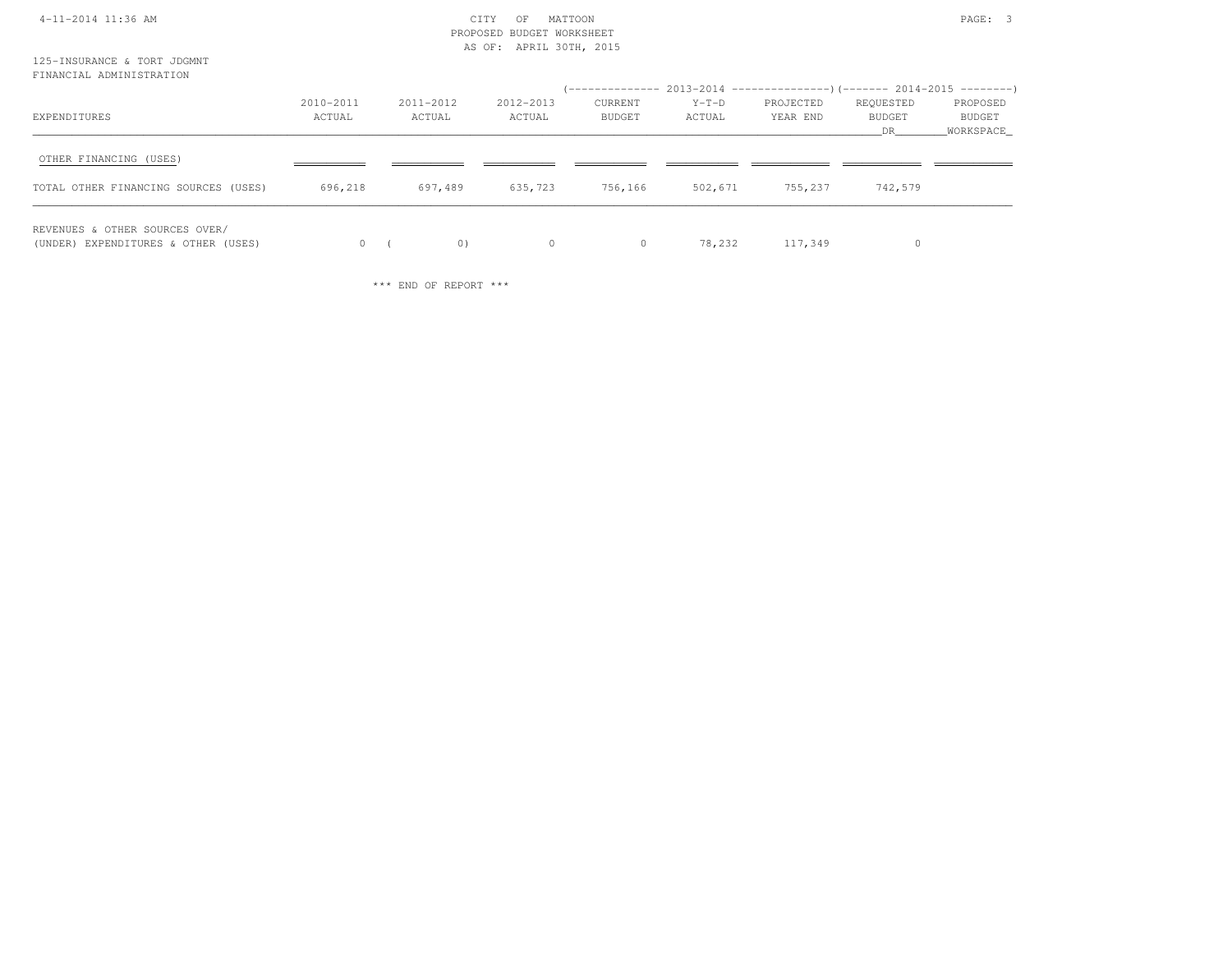|  |  | 4-11-2014 11:36 AM |
|--|--|--------------------|
|--|--|--------------------|

### $\begin{array}{ccc} \text{CITY} & \text{OF} & \text{MATION} \end{array}$  PROPOSED BUDGET WORKSHEETAS OF: APRIL 30TH, 2015

125-INSURANCE & TORT JDGMNTFINANCIAL ADMINISTRATION

| EXPENDITURES                                                          | 2010-2011<br>ACTUAL | 2011-2012<br>ACTUAL | 2012-2013<br>ACTUAL | CURRENT<br><b>BUDGET</b> | $Y-T-D$<br>ACTUAL | (-------------- 2013-2014 ----------------)(------- 2014-2015 ---------)<br>PROJECTED<br>YEAR END | REQUESTED<br>BUDGET<br>DR | PROPOSED<br>BUDGET<br>WORKSPACE |
|-----------------------------------------------------------------------|---------------------|---------------------|---------------------|--------------------------|-------------------|---------------------------------------------------------------------------------------------------|---------------------------|---------------------------------|
| OTHER FINANCING (USES)<br>TOTAL OTHER FINANCING SOURCES (USES)        | 696,218             | 697,489             | 635,723             | 756,166                  | 502,671           | 755,237                                                                                           | 742,579                   |                                 |
| REVENUES & OTHER SOURCES OVER/<br>(UNDER) EXPENDITURES & OTHER (USES) |                     | 0)                  | $\Omega$            | $\circ$                  | 78,232            | 117,349                                                                                           |                           |                                 |

\*\*\* END OF REPORT \*\*\*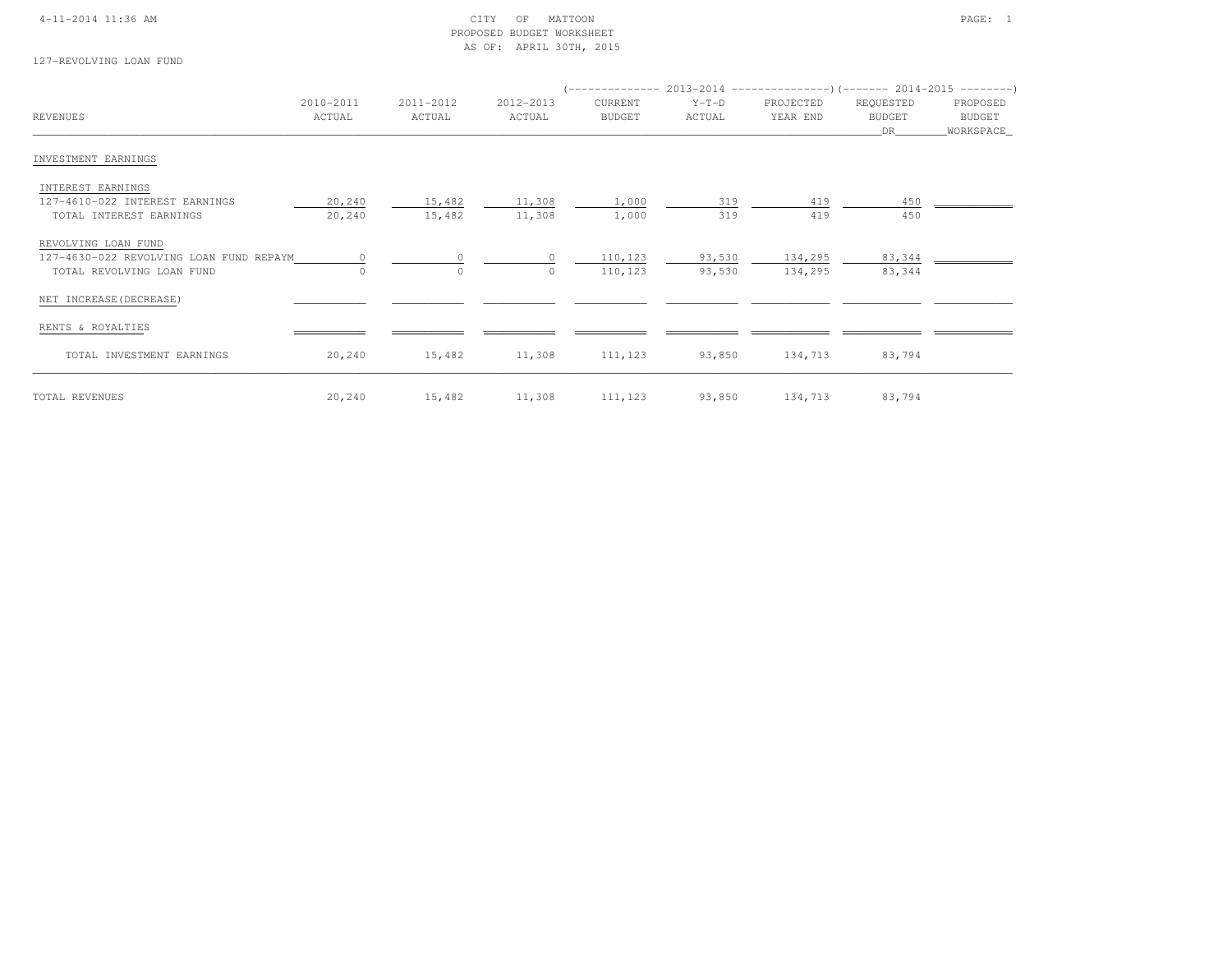### 4-11-2014 11:36 AM CITY OF MATTOON PAGE: 1 PROPOSED BUDGET WORKSHEETAS OF: APRIL 30TH, 2015

127-REVOLVING LOAN FUND

|                                         |           |           |                |         |         | $($ -------------- 2013-2014 ----------------) (------- 2014-2015 ---------) |           |             |
|-----------------------------------------|-----------|-----------|----------------|---------|---------|------------------------------------------------------------------------------|-----------|-------------|
|                                         | 2010-2011 | 2011-2012 | 2012-2013      | CURRENT | $Y-T-D$ | PROJECTED                                                                    | REQUESTED | PROPOSED    |
| REVENUES                                | ACTUAL    | ACTUAL    | ACTUAL         | BUDGET  | ACTUAL  | YEAR END                                                                     | BUDGET    | BUDGET      |
|                                         |           |           |                |         |         |                                                                              | DR        | _WORKSPACE_ |
| INVESTMENT EARNINGS                     |           |           |                |         |         |                                                                              |           |             |
| INTEREST EARNINGS                       |           |           |                |         |         |                                                                              |           |             |
| 127-4610-022 INTEREST EARNINGS          | 20,240    | 15,482    | 11,308         | 1,000   | 319     | 419                                                                          | 450       |             |
| TOTAL INTEREST EARNINGS                 | 20,240    | 15,482    | 11,308         | 1,000   | 319     | 419                                                                          | 450       |             |
| REVOLVING LOAN FUND                     |           |           |                |         |         |                                                                              |           |             |
| 127-4630-022 REVOLVING LOAN FUND REPAYM | $\circ$   | $\Omega$  | $\Omega$       | 110,123 | 93,530  | 134,295                                                                      | 83,344    |             |
| TOTAL REVOLVING LOAN FUND               | $\circ$   | $\circ$   | $\Omega$       | 110,123 | 93,530  | 134,295                                                                      | 83,344    |             |
| NET INCREASE (DECREASE)                 |           |           |                |         |         |                                                                              |           |             |
| RENTS & ROYALTIES                       |           |           |                |         |         |                                                                              |           |             |
| TOTAL INVESTMENT EARNINGS               | 20,240    | 15,482    | 11,308 111,123 |         | 93,850  | 134,713                                                                      | 83,794    |             |
| TOTAL REVENUES                          | 20,240    | 15,482    | 11,308 111,123 |         |         | 93,850 134,713                                                               | 83,794    |             |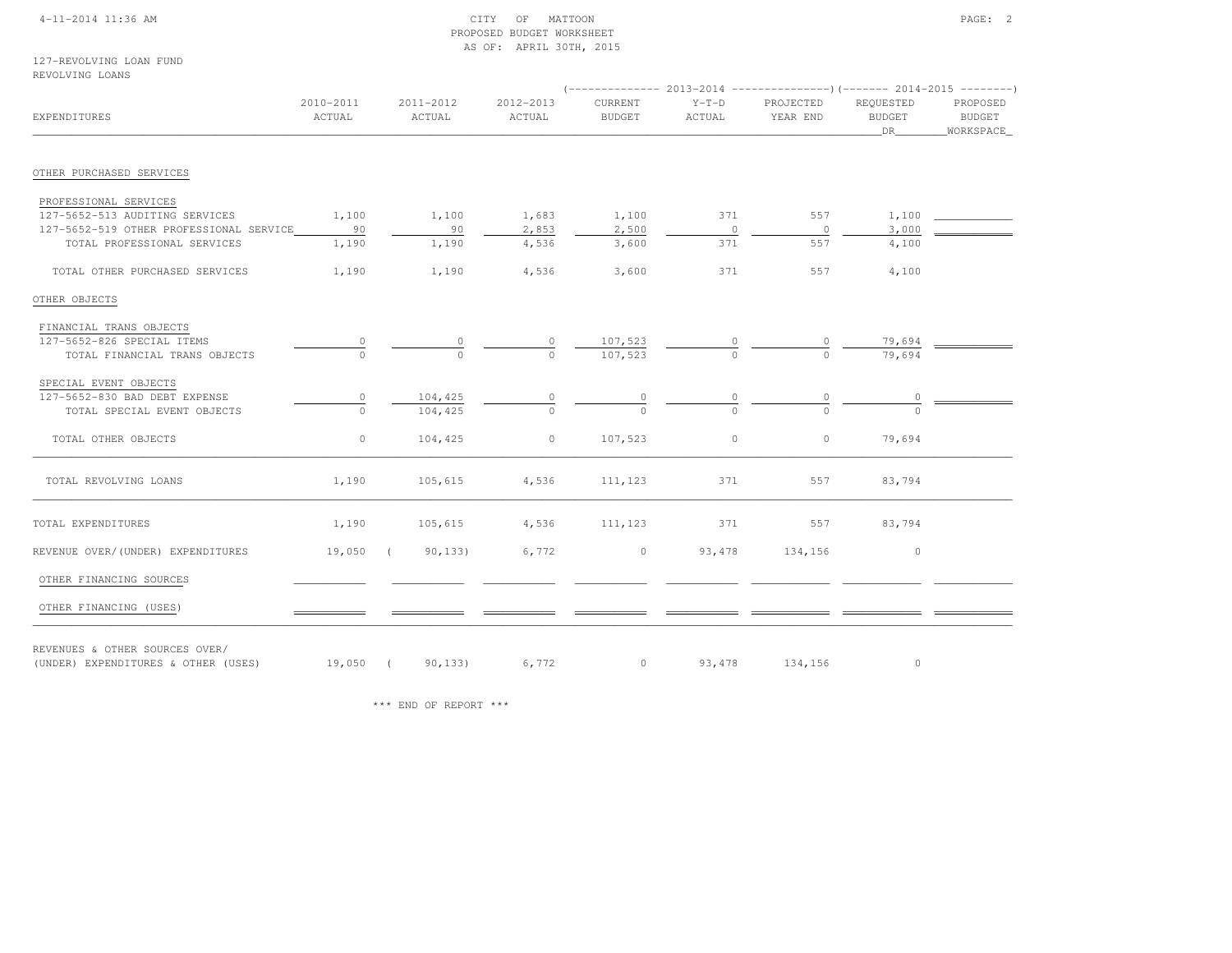### 4-11-2014 11:36 AM CITY OF MATTOON PAGE: 2 PROPOSED BUDGET WORKSHEETAS OF: APRIL 30TH, 2015

127-REVOLVING LOAN FUNDREVOLVING LOANS

| EXPENDITURES                            | $2010 - 2011$<br>ACTUAL | 2011-2012<br>ACTUAL    | 2012-2013<br>ACTUAL | CURRENT<br><b>BUDGET</b> | $Y-T-D$<br>ACTUAL | PROJECTED<br>YEAR END | REOUESTED<br><b>BUDGET</b><br>DR   | PROPOSED<br>BUDGET<br>WORKSPACE |
|-----------------------------------------|-------------------------|------------------------|---------------------|--------------------------|-------------------|-----------------------|------------------------------------|---------------------------------|
| OTHER PURCHASED SERVICES                |                         |                        |                     |                          |                   |                       |                                    |                                 |
|                                         |                         |                        |                     |                          |                   |                       |                                    |                                 |
| PROFESSIONAL SERVICES                   |                         |                        |                     |                          |                   |                       |                                    |                                 |
| 127-5652-513 AUDITING SERVICES          | 1,100                   | 1,100                  | 1,683               | 1,100                    | 371               | 557                   | 1,100                              |                                 |
| 127-5652-519 OTHER PROFESSIONAL SERVICE | 90                      | 90                     | 2,853               | 2,500                    | $\overline{0}$    | $\overline{0}$        | 3,000                              |                                 |
| TOTAL PROFESSIONAL SERVICES             | 1,190                   | 1,190                  | 4,536               | 3,600                    | 371               | 557                   | 4,100                              |                                 |
| TOTAL OTHER PURCHASED SERVICES          | 1,190                   | 1,190                  | 4,536               | 3,600                    | 371               | 557                   | 4,100                              |                                 |
| OTHER OBJECTS                           |                         |                        |                     |                          |                   |                       |                                    |                                 |
| FINANCIAL TRANS OBJECTS                 |                         |                        |                     |                          |                   |                       |                                    |                                 |
| 127-5652-826 SPECIAL ITEMS              |                         |                        | $\circ$             | 107,523                  |                   |                       | 79,694                             |                                 |
| TOTAL FINANCIAL TRANS OBJECTS           |                         |                        |                     | 107,523                  | $\frac{0}{0}$     |                       | 79,694                             |                                 |
| SPECIAL EVENT OBJECTS                   |                         |                        |                     |                          |                   |                       |                                    |                                 |
| 127-5652-830 BAD DEBT EXPENSE           | 0                       | 104,425                | $\frac{0}{0}$       | $\frac{0}{0}$            | $\frac{0}{0}$     |                       | $\begin{array}{c}\n0\n\end{array}$ |                                 |
| TOTAL SPECIAL EVENT OBJECTS             |                         | 104,425                |                     |                          |                   |                       |                                    |                                 |
| TOTAL OTHER OBJECTS                     | $\circ$                 | 104,425                | $\circ$             | 107,523                  | $\circ$           | $\circ$               | 79,694                             |                                 |
| TOTAL REVOLVING LOANS                   | 1,190                   | 105,615                | 4,536               | 111,123                  | 371               | 557                   | 83,794                             |                                 |
| TOTAL EXPENDITURES                      | 1,190                   | 105,615                | 4,536               | 111,123                  | 371               | 557                   | 83,794                             |                                 |
| REVENUE OVER/(UNDER) EXPENDITURES       | 19,050                  | 90, 133)<br>$\sqrt{2}$ | 6,772               | $\circ$                  | 93,478            | 134,156               | $\circ$                            |                                 |
| OTHER FINANCING SOURCES                 |                         |                        |                     |                          |                   |                       |                                    |                                 |
|                                         |                         |                        |                     |                          |                   |                       |                                    |                                 |
| OTHER FINANCING (USES)                  |                         |                        |                     |                          |                   |                       |                                    |                                 |
| REVENUES & OTHER SOURCES OVER/          |                         |                        |                     |                          |                   |                       |                                    |                                 |
| (UNDER) EXPENDITURES & OTHER (USES)     |                         | 19,050 (90,133) 6,772  |                     | 0 93, 478 134, 156       |                   |                       | $\circ$                            |                                 |

\*\*\* END OF REPORT \*\*\*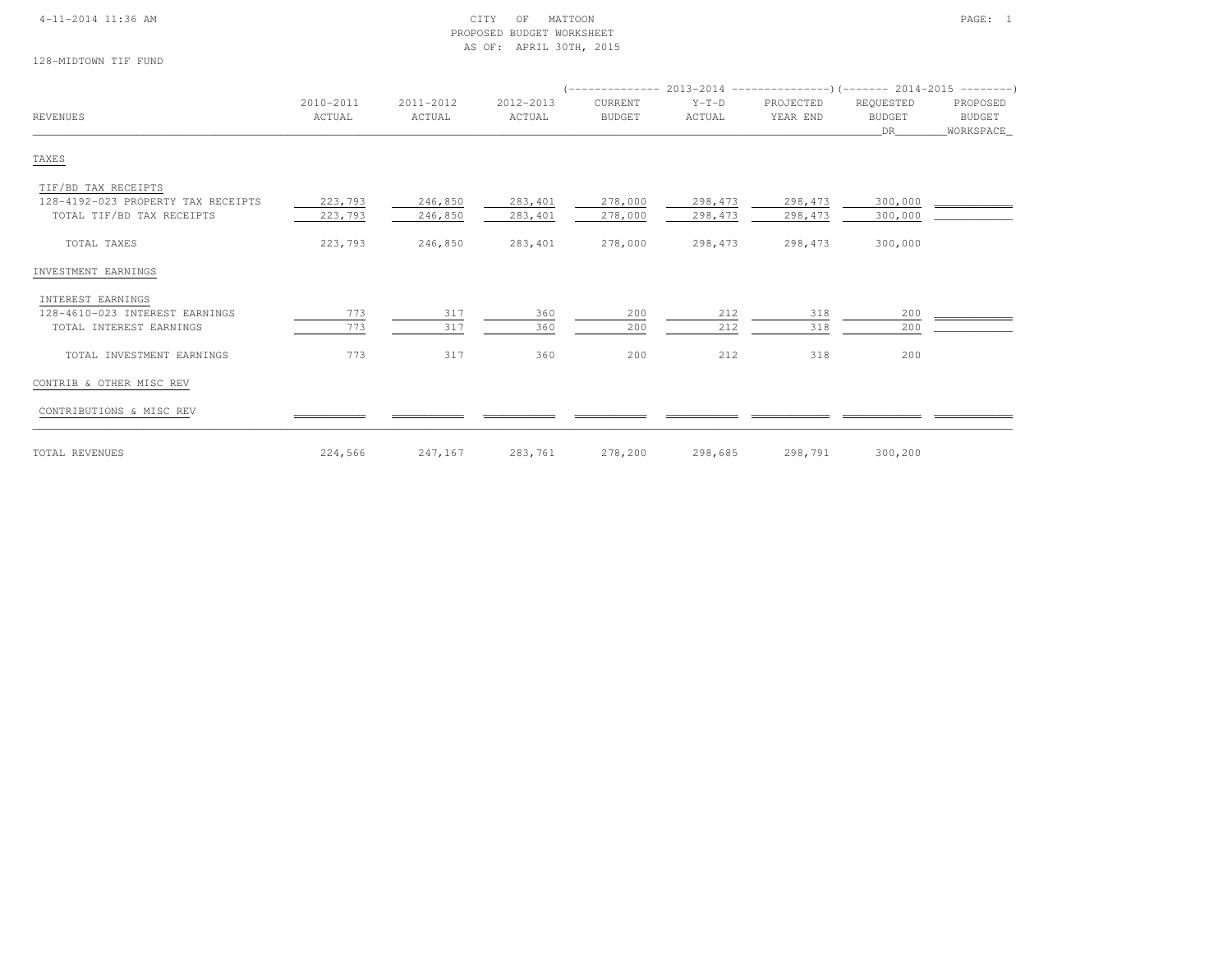### 4-11-2014 11:36 AM CITY OF MATTOON PAGE: 1 PROPOSED BUDGET WORKSHEETAS OF: APRIL 30TH, 2015

128-MIDTOWN TIF FUND

| <b>REVENUES</b>                    |                     |                     |                     |                          |                   |                       |                                  |                                 |
|------------------------------------|---------------------|---------------------|---------------------|--------------------------|-------------------|-----------------------|----------------------------------|---------------------------------|
|                                    | 2010-2011<br>ACTUAL | 2011-2012<br>ACTUAL | 2012-2013<br>ACTUAL | CURRENT<br><b>BUDGET</b> | $Y-T-D$<br>ACTUAL | PROJECTED<br>YEAR END | REQUESTED<br><b>BUDGET</b><br>DR | PROPOSED<br>BUDGET<br>WORKSPACE |
| TAXES                              |                     |                     |                     |                          |                   |                       |                                  |                                 |
| TIF/BD TAX RECEIPTS                |                     |                     |                     |                          |                   |                       |                                  |                                 |
| 128-4192-023 PROPERTY TAX RECEIPTS | 223,793             | 246,850             | 283,401             | 278,000                  | 298,473           | 298,473               | 300,000                          |                                 |
| TOTAL TIF/BD TAX RECEIPTS          | 223,793             | 246,850             | 283,401             | 278,000                  | 298,473           | 298,473               | 300,000                          |                                 |
| TOTAL TAXES                        | 223,793             | 246,850             | 283,401             | 278,000                  | 298,473           | 298,473               | 300,000                          |                                 |
| INVESTMENT EARNINGS                |                     |                     |                     |                          |                   |                       |                                  |                                 |
| INTEREST EARNINGS                  |                     |                     |                     |                          |                   |                       |                                  |                                 |
| 128-4610-023 INTEREST EARNINGS     | 773                 | 317                 | 360                 | 200                      | 212               | 318                   | 200                              |                                 |
| TOTAL INTEREST EARNINGS            | 773                 | 317                 | 360                 | 200                      | 212               | 318                   | 200                              |                                 |
| TOTAL INVESTMENT EARNINGS          | 773                 | 317                 | 360                 | 200                      | 212               | 318                   | 200                              |                                 |
| CONTRIB & OTHER MISC REV           |                     |                     |                     |                          |                   |                       |                                  |                                 |
| CONTRIBUTIONS & MISC REV           |                     |                     |                     |                          |                   |                       |                                  |                                 |
| TOTAL REVENUES                     | 224,566             | 247,167             | 283,761             | 278,200                  | 298,685           | 298,791               | 300,200                          |                                 |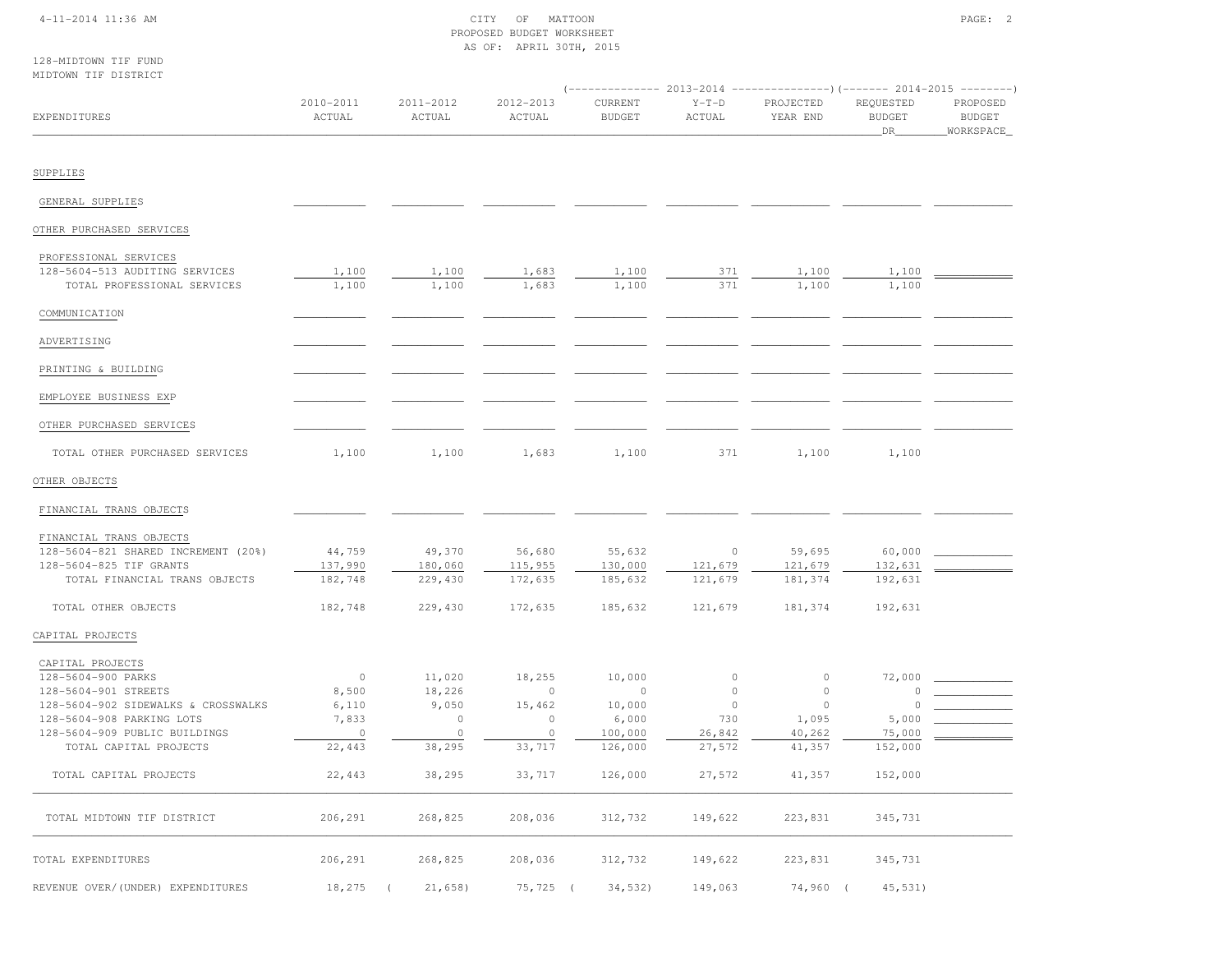### 4-11-2014 11:36 AM CITY OF MATTOON PAGE: 2 PROPOSED BUDGET WORKSHEETAS OF: APRIL 30TH, 2015

128-MIDTOWN TIF FUND

| MIDTOWN TIF DISTRICT                                                                                                                                                                          |                                                         |                                                           |                                                             | (-------------- 2013-2014 ----------------) (------- 2014-2015 --------- |                                                                  |                                                            |                                                |                                        |  |
|-----------------------------------------------------------------------------------------------------------------------------------------------------------------------------------------------|---------------------------------------------------------|-----------------------------------------------------------|-------------------------------------------------------------|--------------------------------------------------------------------------|------------------------------------------------------------------|------------------------------------------------------------|------------------------------------------------|----------------------------------------|--|
| EXPENDITURES                                                                                                                                                                                  | 2010-2011<br>ACTUAL                                     | 2011-2012<br>ACTUAL                                       | 2012-2013<br>ACTUAL                                         | CURRENT<br><b>BUDGET</b>                                                 | $Y-T-D$<br>ACTUAL                                                | PROJECTED<br>YEAR END                                      | REQUESTED<br><b>BUDGET</b><br>DR               | PROPOSED<br><b>BUDGET</b><br>WORKSPACE |  |
| SUPPLIES                                                                                                                                                                                      |                                                         |                                                           |                                                             |                                                                          |                                                                  |                                                            |                                                |                                        |  |
| GENERAL SUPPLIES                                                                                                                                                                              |                                                         |                                                           |                                                             |                                                                          |                                                                  |                                                            |                                                |                                        |  |
| OTHER PURCHASED SERVICES                                                                                                                                                                      |                                                         |                                                           |                                                             |                                                                          |                                                                  |                                                            |                                                |                                        |  |
| PROFESSIONAL SERVICES<br>128-5604-513 AUDITING SERVICES<br>TOTAL PROFESSIONAL SERVICES                                                                                                        | 1,100<br>1,100                                          | 1,100<br>1,100                                            | 1,683<br>1,683                                              | 1,100<br>1,100                                                           | 371<br>371                                                       | 1,100<br>1,100                                             | 1,100<br>1,100                                 |                                        |  |
| COMMUNICATION                                                                                                                                                                                 |                                                         |                                                           |                                                             |                                                                          |                                                                  |                                                            |                                                |                                        |  |
| ADVERTISING                                                                                                                                                                                   |                                                         |                                                           |                                                             |                                                                          |                                                                  |                                                            |                                                |                                        |  |
| PRINTING & BUILDING                                                                                                                                                                           |                                                         |                                                           |                                                             |                                                                          |                                                                  |                                                            |                                                |                                        |  |
| EMPLOYEE BUSINESS EXP                                                                                                                                                                         |                                                         |                                                           |                                                             |                                                                          |                                                                  |                                                            |                                                |                                        |  |
| OTHER PURCHASED SERVICES                                                                                                                                                                      |                                                         |                                                           |                                                             |                                                                          |                                                                  |                                                            |                                                |                                        |  |
| TOTAL OTHER PURCHASED SERVICES                                                                                                                                                                | 1,100                                                   | 1,100                                                     | 1,683                                                       | 1,100                                                                    | 371                                                              | 1,100                                                      | 1,100                                          |                                        |  |
| OTHER OBJECTS                                                                                                                                                                                 |                                                         |                                                           |                                                             |                                                                          |                                                                  |                                                            |                                                |                                        |  |
| FINANCIAL TRANS OBJECTS                                                                                                                                                                       |                                                         |                                                           |                                                             |                                                                          |                                                                  |                                                            |                                                |                                        |  |
| FINANCIAL TRANS OBJECTS<br>128-5604-821 SHARED INCREMENT (20%)<br>128-5604-825 TIF GRANTS<br>TOTAL FINANCIAL TRANS OBJECTS                                                                    | 44,759<br>137,990<br>182,748                            | 49,370<br>180,060<br>229,430                              | 56,680<br>115,955<br>172,635                                | 55,632<br>130,000<br>185,632                                             | $\circ$<br>121,679<br>121,679                                    | 59,695<br>121,679<br>181,374                               | 60,000<br>132,631<br>192,631                   |                                        |  |
| TOTAL OTHER OBJECTS                                                                                                                                                                           | 182,748                                                 | 229,430                                                   | 172,635                                                     | 185,632                                                                  | 121,679                                                          | 181,374                                                    | 192,631                                        |                                        |  |
| CAPITAL PROJECTS                                                                                                                                                                              |                                                         |                                                           |                                                             |                                                                          |                                                                  |                                                            |                                                |                                        |  |
| CAPITAL PROJECTS<br>128-5604-900 PARKS<br>128-5604-901 STREETS<br>128-5604-902 SIDEWALKS & CROSSWALKS<br>128-5604-908 PARKING LOTS<br>128-5604-909 PUBLIC BUILDINGS<br>TOTAL CAPITAL PROJECTS | $\circ$<br>8,500<br>6,110<br>7,833<br>$\circ$<br>22,443 | 11,020<br>18,226<br>9,050<br>$\circ$<br>$\circ$<br>38,295 | 18,255<br>$\circ$<br>15,462<br>$\circ$<br>$\circ$<br>33,717 | 10,000<br>$\circ$<br>10,000<br>6,000<br>100,000<br>126,000               | $\mathbb O$<br>$\mathbb O$<br>$\circ$<br>730<br>26,842<br>27,572 | $\circ$<br>$\circ$<br>$\circ$<br>1,095<br>40,262<br>41,357 | 72,000<br>0<br>0<br>5,000<br>75,000<br>152,000 |                                        |  |
| TOTAL CAPITAL PROJECTS                                                                                                                                                                        | 22,443                                                  | 38,295                                                    | 33,717                                                      | 126,000                                                                  | 27,572                                                           | 41,357                                                     | 152,000                                        |                                        |  |
| TOTAL MIDTOWN TIF DISTRICT                                                                                                                                                                    | 206,291                                                 | 268,825                                                   | 208,036                                                     | 312,732                                                                  | 149,622                                                          | 223,831                                                    | 345,731                                        |                                        |  |
| TOTAL EXPENDITURES                                                                                                                                                                            | 206,291                                                 | 268,825                                                   | 208,036                                                     | 312,732                                                                  | 149,622                                                          | 223,831                                                    | 345,731                                        |                                        |  |
| REVENUE OVER/(UNDER) EXPENDITURES                                                                                                                                                             | 18,275                                                  | 21,658                                                    | $75, 725$ (                                                 | 34,532                                                                   | 149,063                                                          | 74,960                                                     | 45,531)                                        |                                        |  |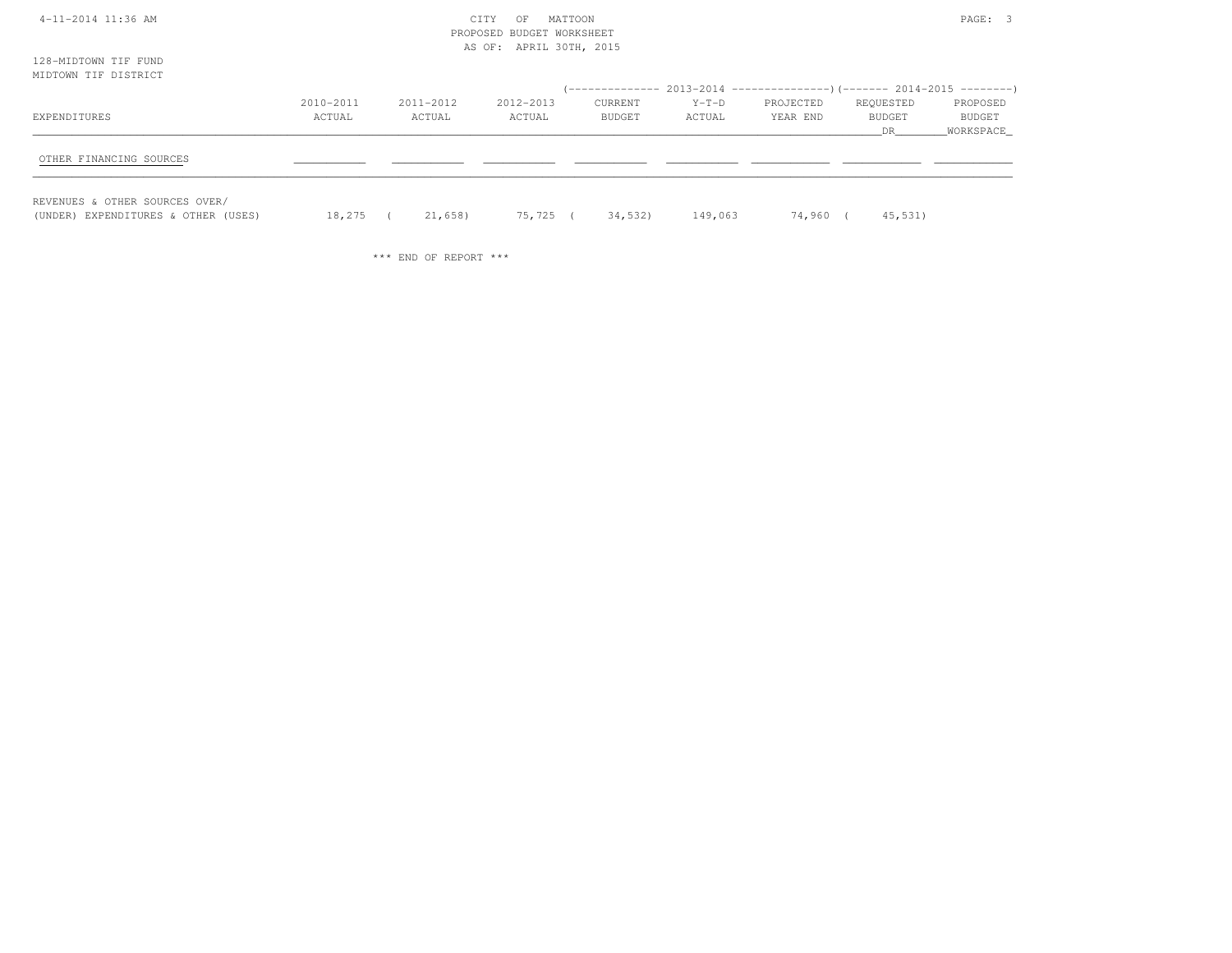| 4-11-2014 11:36 AM<br>128-MIDTOWN TIF FUND                            |                     |                     | MATTOON<br>CITY<br>OF<br>PROPOSED BUDGET WORKSHEET<br>AS OF: APRIL 30TH, 2015 |                   |                   |                       |                                                                           | PAGE: 3                         |
|-----------------------------------------------------------------------|---------------------|---------------------|-------------------------------------------------------------------------------|-------------------|-------------------|-----------------------|---------------------------------------------------------------------------|---------------------------------|
| MIDTOWN TIF DISTRICT                                                  |                     |                     |                                                                               |                   |                   |                       | (-------------- 2013-2014 ----------------) (------- 2014-2015 ---------) |                                 |
| EXPENDITURES                                                          | 2010-2011<br>ACTUAL | 2011-2012<br>ACTUAL | 2012-2013<br>ACTUAL                                                           | CURRENT<br>BUDGET | $Y-T-D$<br>ACTUAL | PROJECTED<br>YEAR END | REQUESTED<br><b>BUDGET</b><br>DR                                          | PROPOSED<br>BUDGET<br>WORKSPACE |
| OTHER FINANCING SOURCES                                               |                     |                     |                                                                               |                   |                   |                       |                                                                           |                                 |
| REVENUES & OTHER SOURCES OVER/<br>(UNDER) EXPENDITURES & OTHER (USES) | 18,275 (            | 21,658)             | 75,725 (                                                                      | 34,532)           | 149,063           | 74,960 (              | 45,531)                                                                   |                                 |

\*\*\* END OF REPORT \*\*\*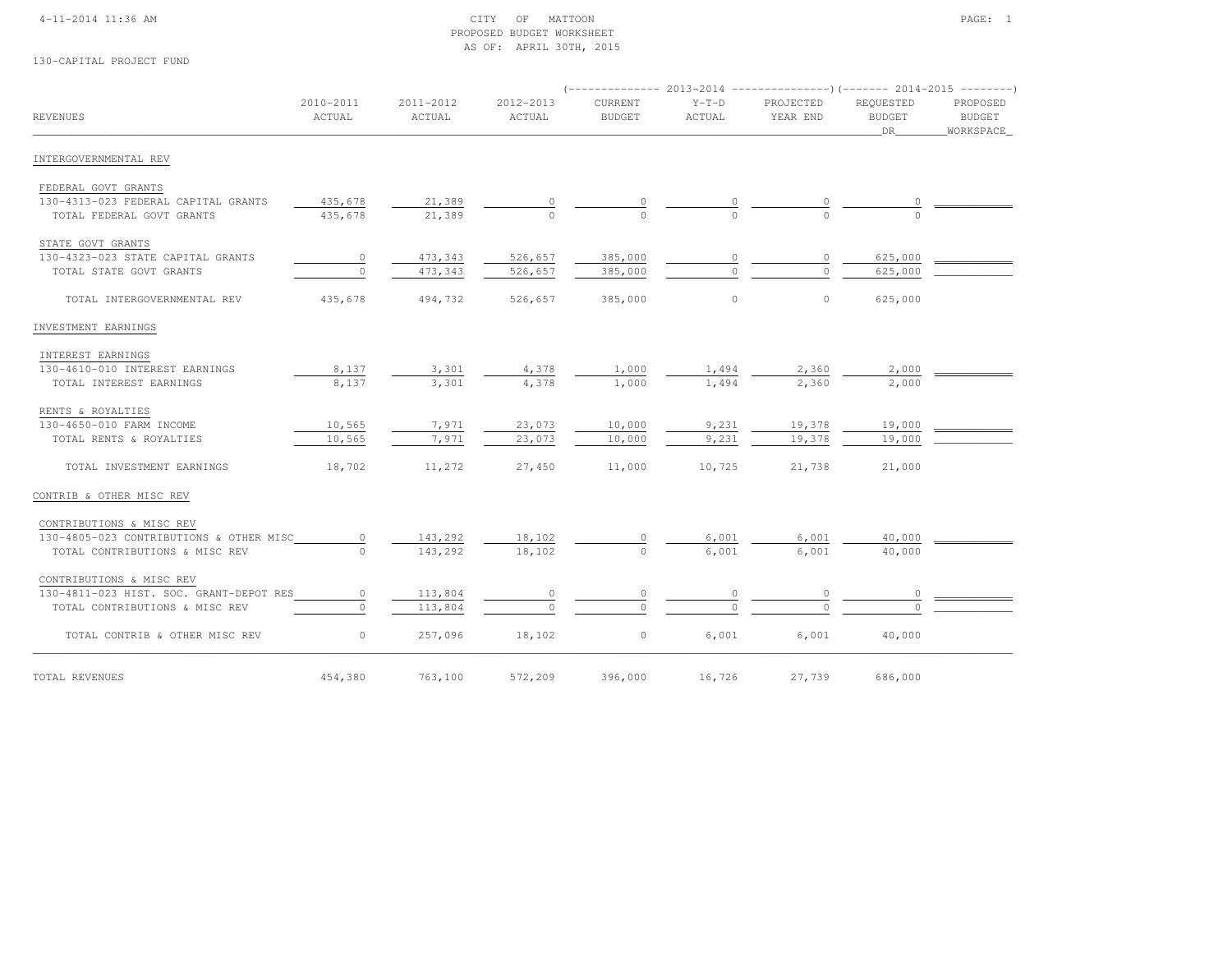### 4-11-2014 11:36 AM CITY OF MATTOON PAGE: 1 PROPOSED BUDGET WORKSHEETAS OF: APRIL 30TH, 2015

# 130-CAPITAL PROJECT FUND

|                                         |                     |                     |                     | ( --------------         | 2013-2014         |                       |                                  |                                        |
|-----------------------------------------|---------------------|---------------------|---------------------|--------------------------|-------------------|-----------------------|----------------------------------|----------------------------------------|
| REVENUES                                | 2010-2011<br>ACTUAL | 2011-2012<br>ACTUAL | 2012-2013<br>ACTUAL | CURRENT<br><b>BUDGET</b> | $Y-T-D$<br>ACTUAL | PROJECTED<br>YEAR END | REQUESTED<br><b>BUDGET</b><br>DR | PROPOSED<br><b>BUDGET</b><br>WORKSPACE |
| INTERGOVERNMENTAL REV                   |                     |                     |                     |                          |                   |                       |                                  |                                        |
| FEDERAL GOVT GRANTS                     |                     |                     |                     |                          |                   |                       |                                  |                                        |
| 130-4313-023 FEDERAL CAPITAL GRANTS     | 435,678             | 21,389              |                     | 0                        |                   |                       |                                  |                                        |
| TOTAL FEDERAL GOVT GRANTS               | 435,678             | 21,389              | $\Omega$            | $\Omega$                 |                   | $\cap$                |                                  |                                        |
| STATE GOVT GRANTS                       |                     |                     |                     |                          |                   |                       |                                  |                                        |
| 130-4323-023 STATE CAPITAL GRANTS       | $\circ$             | 473,343             | 526,657             | 385,000                  | 0                 | 0                     | 625,000                          |                                        |
| TOTAL STATE GOVT GRANTS                 | $\circ$             | 473,343             | 526,657             | 385,000                  | $\cap$            | 0                     | 625,000                          |                                        |
| TOTAL INTERGOVERNMENTAL REV             | 435,678             | 494,732             | 526,657             | 385,000                  | $\circ$           | $\circ$               | 625,000                          |                                        |
| INVESTMENT EARNINGS                     |                     |                     |                     |                          |                   |                       |                                  |                                        |
| INTEREST EARNINGS                       |                     |                     |                     |                          |                   |                       |                                  |                                        |
| 130-4610-010 INTEREST EARNINGS          | 8,137               | 3,301               | 4,378               | 1,000                    | 1,494             | 2,360                 | 2,000                            |                                        |
| TOTAL INTEREST EARNINGS                 | 8,137               | 3,301               | 4,378               | 1,000                    | 1,494             | 2,360                 | 2,000                            |                                        |
| RENTS & ROYALTIES                       |                     |                     |                     |                          |                   |                       |                                  |                                        |
| 130-4650-010 FARM INCOME                | 10,565              | 7,971               | 23,073              | 10,000                   | 9,231             | 19,378                | 19,000                           |                                        |
| TOTAL RENTS & ROYALTIES                 | 10,565              | 7,971               | 23,073              | 10,000                   | 9,231             | 19,378                | 19,000                           |                                        |
| TOTAL INVESTMENT EARNINGS               | 18,702              | 11,272              | 27,450              | 11,000                   | 10,725            | 21,738                | 21,000                           |                                        |
| CONTRIB & OTHER MISC REV                |                     |                     |                     |                          |                   |                       |                                  |                                        |
| CONTRIBUTIONS & MISC REV                |                     |                     |                     |                          |                   |                       |                                  |                                        |
| 130-4805-023 CONTRIBUTIONS & OTHER MISC | 0                   | 143,292             | 18,102              | 0                        | 6,001             | 6,001                 | 40,000                           |                                        |
| TOTAL CONTRIBUTIONS & MISC REV          | $\bigcap$           | 143,292             | 18,102              | $\Omega$                 | 6,001             | 6,001                 | 40,000                           |                                        |
| CONTRIBUTIONS & MISC REV                |                     |                     |                     |                          |                   |                       |                                  |                                        |
| 130-4811-023 HIST. SOC. GRANT-DEPOT RES | $\circ$             | 113,804             | $\circ$             | 0                        | 0                 | 0                     | 0                                |                                        |
| TOTAL CONTRIBUTIONS & MISC REV          | $\circ$             | 113,804             | $\circ$             | $\Omega$                 | $\cap$            | $\Omega$              |                                  |                                        |
| TOTAL CONTRIB & OTHER MISC REV          | $\circ$             | 257,096             | 18,102              | $\circ$                  | 6,001             | 6,001                 | 40,000                           |                                        |
| TOTAL REVENUES                          | 454,380             | 763,100             | 572,209             | 396,000                  | 16,726            | 27,739                | 686,000                          |                                        |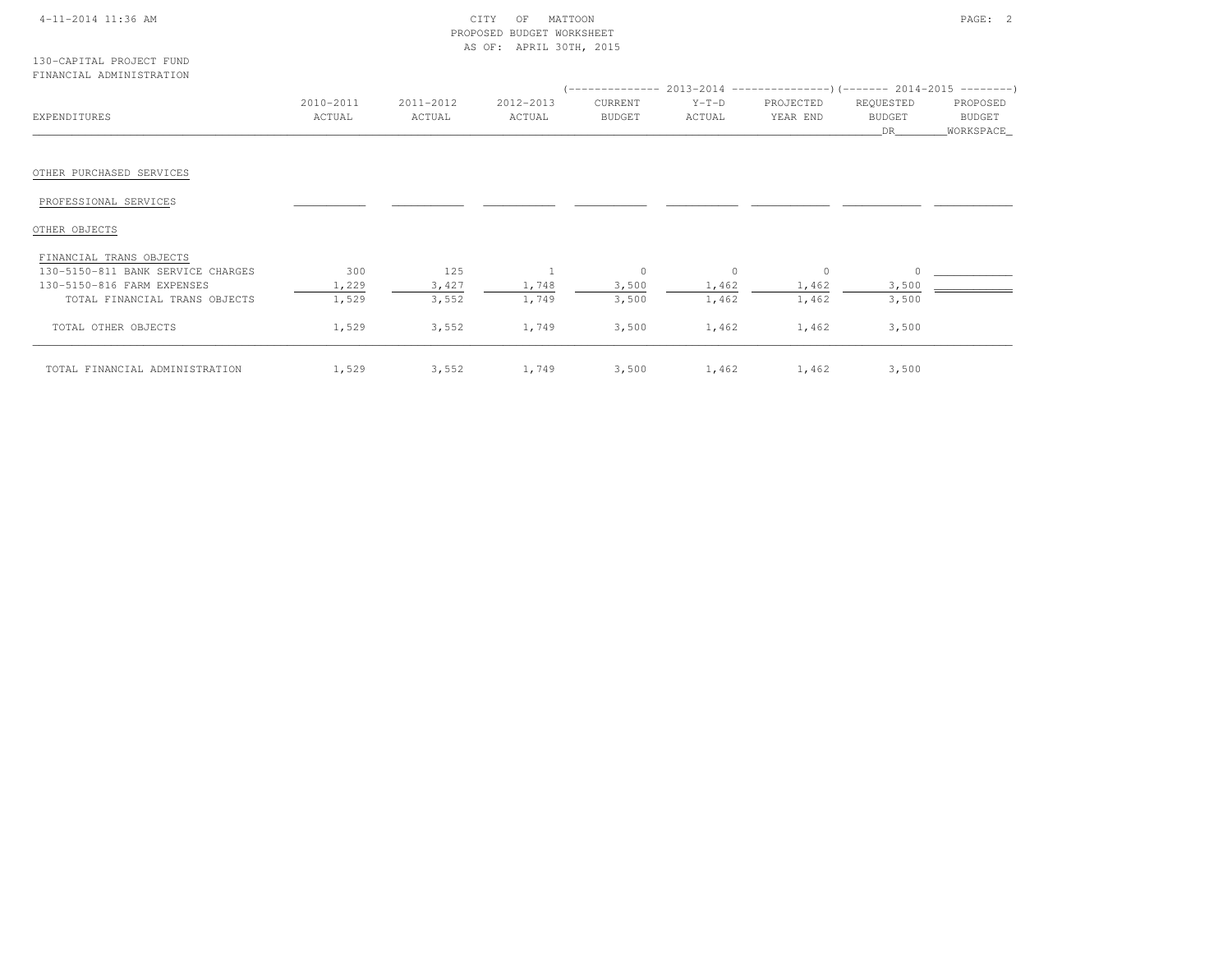# 4-11-2014 11:36 AM CITY OF MATTOON PAGE: 2 PROPOSED BUDGET WORKSHEETAS OF: APRIL 30TH, 2015

| 130-CAPITAL PROJECT FUND |  |  |
|--------------------------|--|--|
| FINANCIAL ADMINISTRATION |  |  |

|                                   |           |           |           |         |          |           | $($ -------------- 2013-2014 ----------------) (------- 2014-2015 ---------) |             |  |
|-----------------------------------|-----------|-----------|-----------|---------|----------|-----------|------------------------------------------------------------------------------|-------------|--|
|                                   | 2010-2011 | 2011-2012 | 2012-2013 | CURRENT | $Y-T-D$  | PROJECTED | REQUESTED                                                                    | PROPOSED    |  |
| EXPENDITURES                      | ACTUAL    | ACTUAL    | ACTUAL    | BUDGET  | ACTUAL   | YEAR END  | <b>BUDGET</b>                                                                | BUDGET      |  |
|                                   |           |           |           |         |          |           | DR                                                                           | _WORKSPACE_ |  |
|                                   |           |           |           |         |          |           |                                                                              |             |  |
| OTHER PURCHASED SERVICES          |           |           |           |         |          |           |                                                                              |             |  |
| PROFESSIONAL SERVICES             |           |           |           |         |          |           |                                                                              |             |  |
| OTHER OBJECTS                     |           |           |           |         |          |           |                                                                              |             |  |
| FINANCIAL TRANS OBJECTS           |           |           |           |         |          |           |                                                                              |             |  |
| 130-5150-811 BANK SERVICE CHARGES | 300       | 125       |           | $\circ$ | $\Omega$ | $\circ$   |                                                                              |             |  |
| 130-5150-816 FARM EXPENSES        | 1,229     | 3,427     | 1,748     | 3,500   | 1,462    | 1,462     | 3,500                                                                        |             |  |
| TOTAL FINANCIAL TRANS OBJECTS     | 1,529     | 3,552     | 1,749     | 3,500   | 1,462    | 1,462     | 3,500                                                                        |             |  |
| TOTAL OTHER OBJECTS               | 1,529     | 3,552     | 1,749     | 3,500   | 1,462    | 1,462     | 3,500                                                                        |             |  |
| TOTAL FINANCIAL ADMINISTRATION    | 1,529     | 3,552     | 1,749     | 3,500   | 1,462    | 1,462     | 3,500                                                                        |             |  |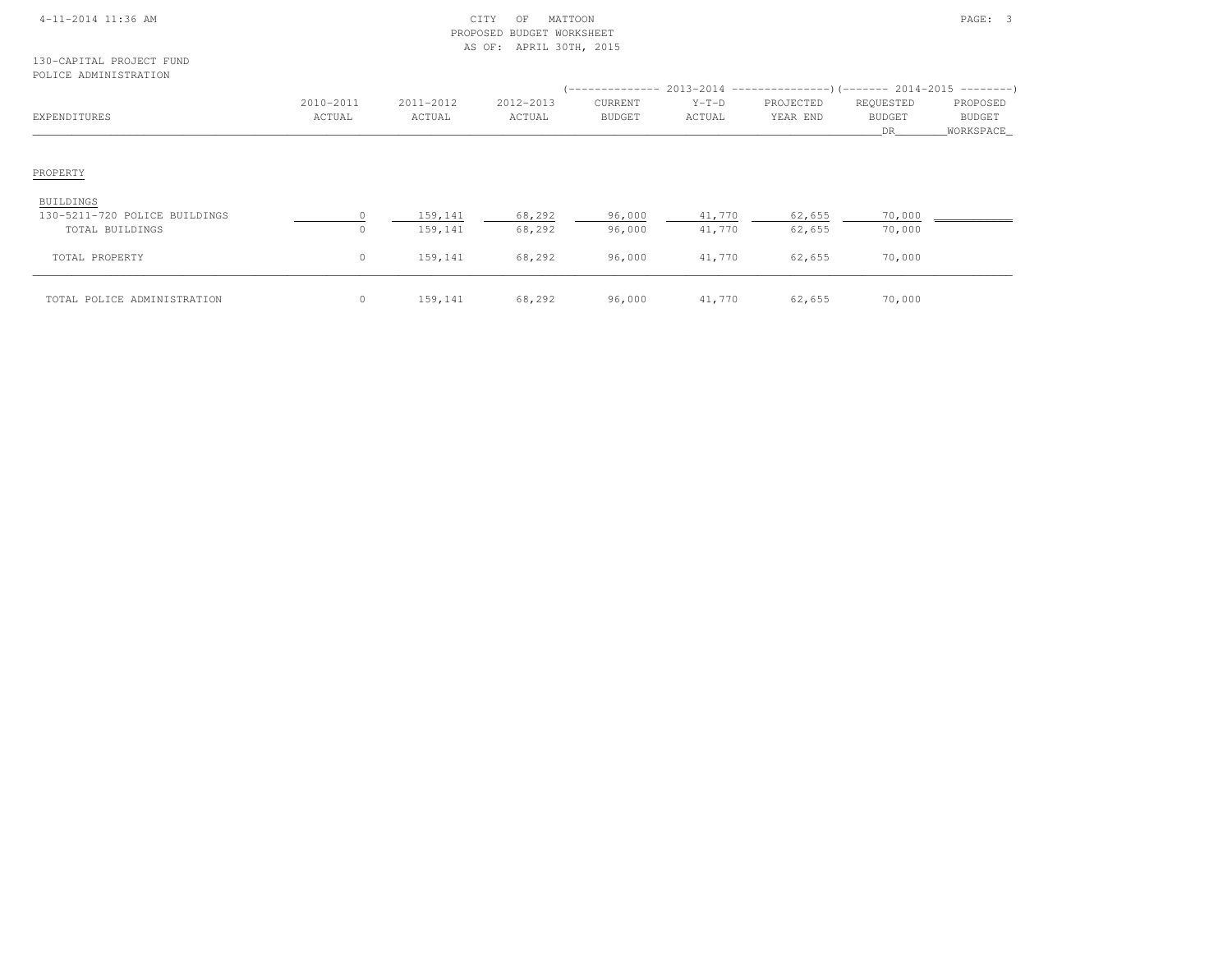|  | 4-11-2014 11:36 AM |  |
|--|--------------------|--|
|  |                    |  |

## $\begin{array}{cccccccccc} \text{CITY} & \text{OF} & \text{MATTON} \end{array}$  PROPOSED BUDGET WORKSHEETAS OF: APRIL 30TH, 2015

## 130-CAPITAL PROJECT FUNDPOLICE ADMINISTRATION

| EXPENDITURES                  | 2010-2011<br>ACTUAL | 2011-2012<br>ACTUAL | 2012-2013<br>ACTUAL | '--------------<br>CURRENT<br><b>BUDGET</b> | $Y-T-D$<br>ACTUAL | PROJECTED<br>YEAR END | REQUESTED<br><b>BUDGET</b><br>DR | PROPOSED<br>BUDGET<br>_WORKSPACE_ |
|-------------------------------|---------------------|---------------------|---------------------|---------------------------------------------|-------------------|-----------------------|----------------------------------|-----------------------------------|
| PROPERTY<br>BUILDINGS         |                     |                     |                     |                                             |                   |                       |                                  |                                   |
| 130-5211-720 POLICE BUILDINGS | $\cap$              | 159,141             | 68,292              | 96,000                                      | 41,770            | 62,655                | 70,000                           |                                   |
| TOTAL BUILDINGS               | $\circ$             | 159,141             | 68,292              | 96,000                                      | 41,770            | 62,655                | 70,000                           |                                   |
| TOTAL PROPERTY                | $\circ$             | 159,141             | 68,292              | 96,000                                      | 41,770            | 62,655                | 70,000                           |                                   |
| TOTAL POLICE ADMINISTRATION   | $\circ$             | 159,141             | 68,292              | 96,000                                      | 41,770            | 62,655                | 70,000                           |                                   |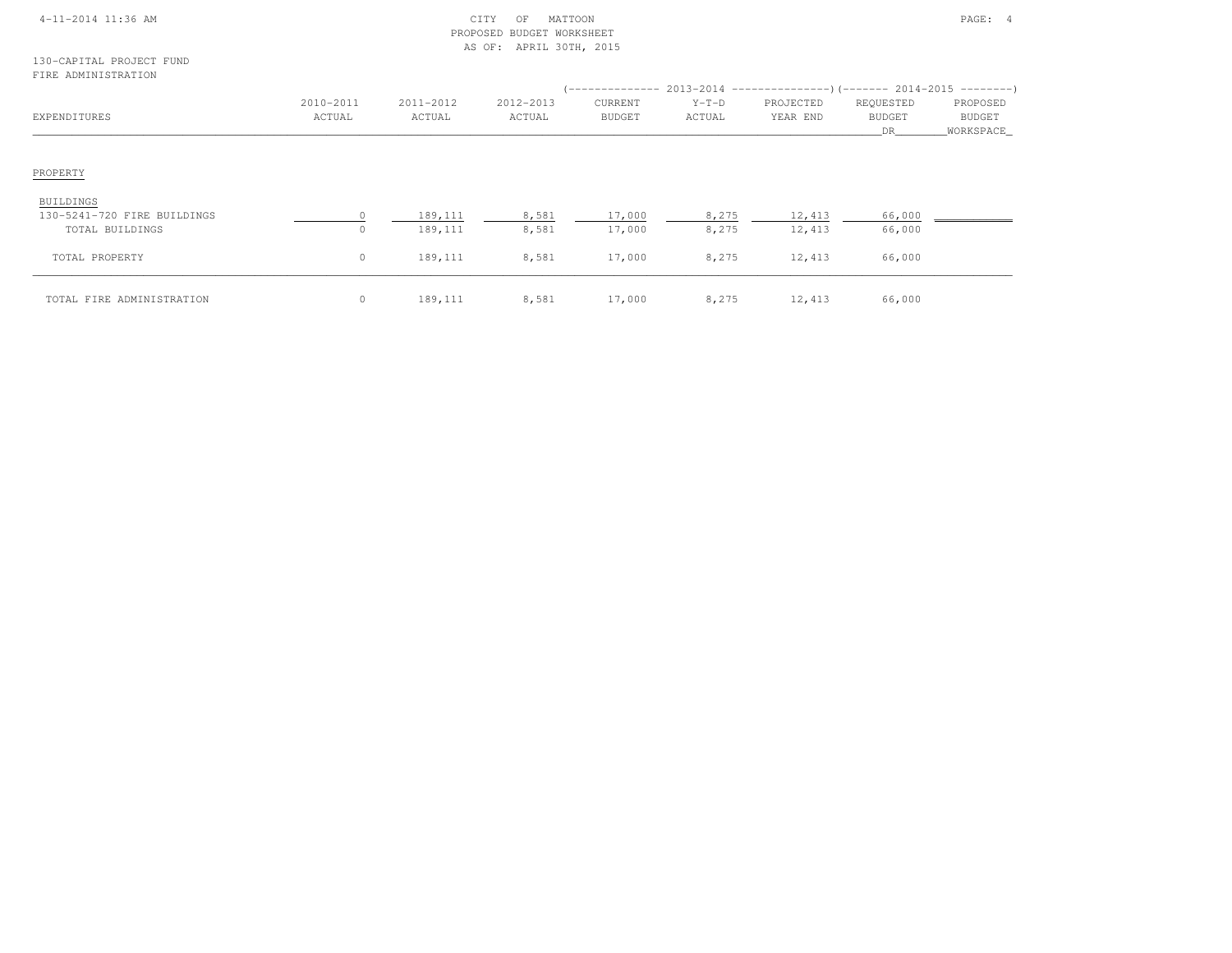|  | 4-11-2014 11:36 AM |  |
|--|--------------------|--|
|  |                    |  |

## $\text{CITY}$  OF MATTOON PAGE: 4 PROPOSED BUDGET WORKSHEETAS OF: APRIL 30TH, 2015

## 130-CAPITAL PROJECT FUNDFIRE ADMINISTRATION

| EXPENDITURES                                                | 2010-2011<br>ACTUAL | 2011-2012<br>ACTUAL | 2012-2013<br>ACTUAL | CURRENT<br>BUDGET | $Y-T-D$<br>ACTUAL | $($ -------------- 2013-2014 -----------------) (------- 2014-2015 ---------)<br>PROJECTED<br>YEAR END | REQUESTED<br><b>BUDGET</b><br><b>DR</b> | PROPOSED<br>BUDGET<br>_WORKSPACE_ |
|-------------------------------------------------------------|---------------------|---------------------|---------------------|-------------------|-------------------|--------------------------------------------------------------------------------------------------------|-----------------------------------------|-----------------------------------|
| PROPERTY                                                    |                     |                     |                     |                   |                   |                                                                                                        |                                         |                                   |
| BUILDINGS<br>130-5241-720 FIRE BUILDINGS<br>TOTAL BUILDINGS | $\Omega$<br>$\circ$ | 189,111<br>189,111  | 8,581<br>8,581      | 17,000<br>17,000  | 8,275<br>8,275    | 12,413<br>12,413                                                                                       | 66,000<br>66,000                        |                                   |
| TOTAL PROPERTY                                              | $\circ$             | 189,111             | 8,581               | 17,000            | 8,275             | 12,413                                                                                                 | 66,000                                  |                                   |
| TOTAL FIRE ADMINISTRATION                                   | $\circ$             | 189,111             | 8,581               | 17,000            | 8,275             | 12,413                                                                                                 | 66,000                                  |                                   |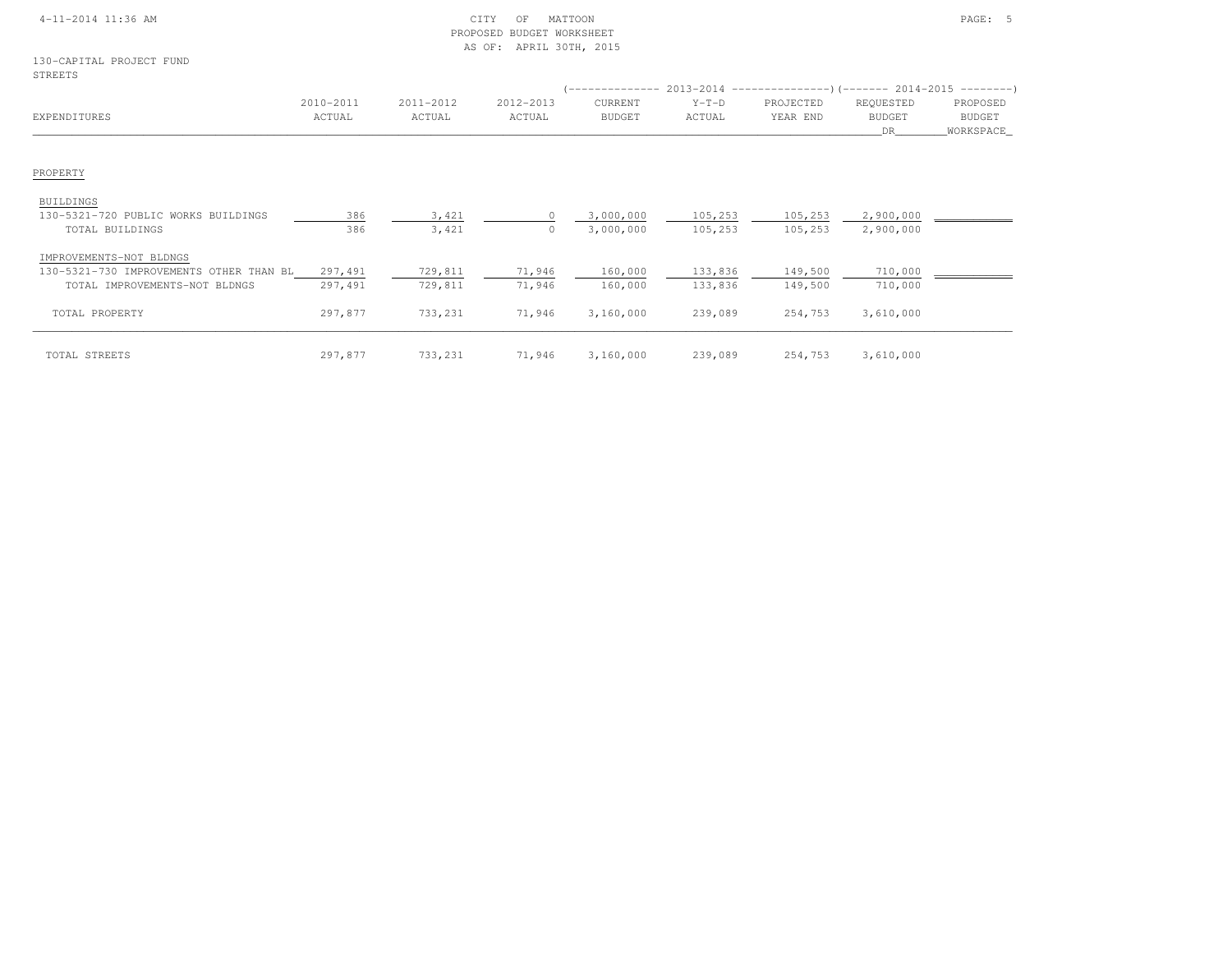|                                                                          |                     |                     | PROPOSED BUDGET WORKSHEET<br>AS OF: APRIL 30TH, 2015 |                          |                                                                                                    |                       |                                   |                                        |
|--------------------------------------------------------------------------|---------------------|---------------------|------------------------------------------------------|--------------------------|----------------------------------------------------------------------------------------------------|-----------------------|-----------------------------------|----------------------------------------|
| 130-CAPITAL PROJECT FUND<br>STREETS                                      |                     |                     |                                                      |                          |                                                                                                    |                       |                                   |                                        |
| EXPENDITURES                                                             | 2010-2011<br>ACTUAL | 2011-2012<br>ACTUAL | 2012-2013<br>ACTUAL                                  | CURRENT<br><b>BUDGET</b> | $($ -------------- 2013-2014 -----------------) (------- 2014-2015 ---------)<br>$Y-T-D$<br>ACTUAL | PROJECTED<br>YEAR END | REQUESTED<br><b>BUDGET</b><br>DR. | PROPOSED<br><b>BUDGET</b><br>WORKSPACE |
| PROPERTY                                                                 |                     |                     |                                                      |                          |                                                                                                    |                       |                                   |                                        |
| <b>BUILDINGS</b><br>130-5321-720 PUBLIC WORKS BUILDINGS                  | 386                 | 3,421               |                                                      | 3,000,000                | 105,253                                                                                            | 105,253               | 2,900,000                         |                                        |
| TOTAL BUILDINGS                                                          | 386                 | 3,421               | $\circ$                                              | 3,000,000                | 105,253                                                                                            | 105,253               | 2,900,000                         |                                        |
| IMPROVEMENTS-NOT BLDNGS                                                  |                     |                     |                                                      |                          |                                                                                                    |                       |                                   |                                        |
| 130-5321-730 IMPROVEMENTS OTHER THAN BL<br>TOTAL IMPROVEMENTS-NOT BLDNGS | 297,491<br>297,491  | 729,811<br>729,811  | 71,946<br>71,946                                     | 160,000<br>160,000       | 133,836<br>133,836                                                                                 | 149,500<br>149,500    | 710,000<br>710,000                |                                        |
| TOTAL PROPERTY                                                           | 297,877             | 733,231             | 71,946                                               | 3,160,000                | 239,089                                                                                            | 254,753               | 3,610,000                         |                                        |
| TOTAL STREETS                                                            | 297,877             | 733,231             | 71,946                                               | 3,160,000                | 239,089                                                                                            | 254,753               | 3,610,000                         |                                        |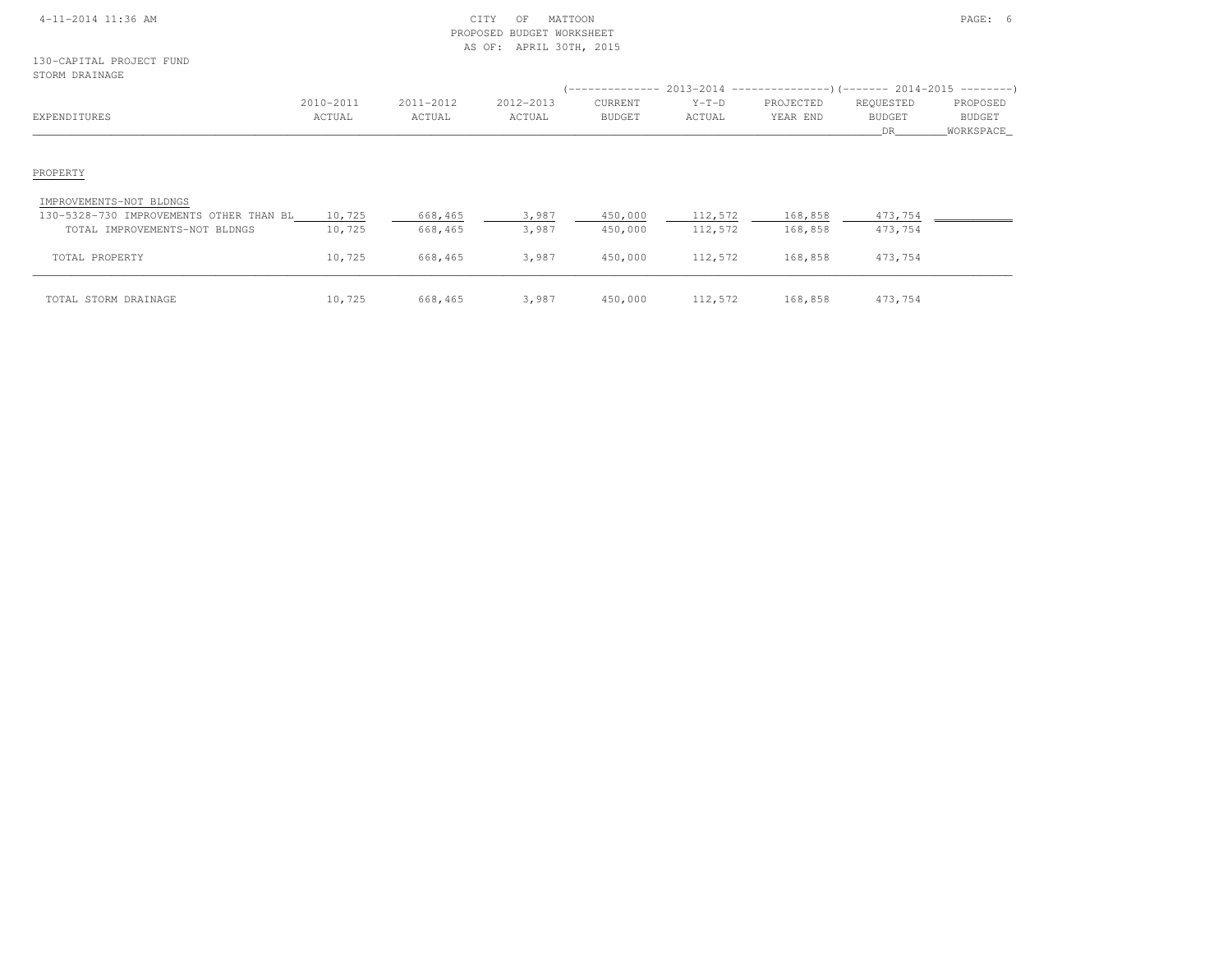## 4-11-2014 11:36 AM CITY OF MATTOON PAGE: 6 PROPOSED BUDGET WORKSHEETAS OF: APRIL 30TH, 2015

## 130-CAPITAL PROJECT FUNDST<sub>(</sub>

| STORM DRAINAGE                                                            |                     |                     |                     |                                 |                   | (-------------- 2013-2014 -----------------) (------- 2014-2015 ---------) |                                  |                                        |
|---------------------------------------------------------------------------|---------------------|---------------------|---------------------|---------------------------------|-------------------|----------------------------------------------------------------------------|----------------------------------|----------------------------------------|
| EXPENDITURES                                                              | 2010-2011<br>ACTUAL | 2011-2012<br>ACTUAL | 2012-2013<br>ACTUAL | <b>CURRENT</b><br><b>BUDGET</b> | $Y-T-D$<br>ACTUAL | PROJECTED<br>YEAR END                                                      | REQUESTED<br><b>BUDGET</b><br>DR | PROPOSED<br><b>BUDGET</b><br>WORKSPACE |
| PROPERTY                                                                  |                     |                     |                     |                                 |                   |                                                                            |                                  |                                        |
| IMPROVEMENTS-NOT BLDNGS<br>130-5328-730 IMPROVEMENTS OTHER THAN BL 10,725 |                     | 668,465             | 3,987               | 450,000                         | 112,572           | 168,858                                                                    | 473,754                          |                                        |
| TOTAL IMPROVEMENTS-NOT BLDNGS                                             | 10,725              | 668,465             | 3,987               | 450,000                         | 112,572           | 168,858                                                                    | 473,754                          |                                        |
| TOTAL PROPERTY                                                            | 10,725              | 668,465             | 3,987               | 450,000                         | 112,572           | 168,858                                                                    | 473,754                          |                                        |
| TOTAL STORM DRAINAGE                                                      | 10,725              | 668,465             | 3,987               | 450,000                         | 112,572           | 168,858                                                                    | 473,754                          |                                        |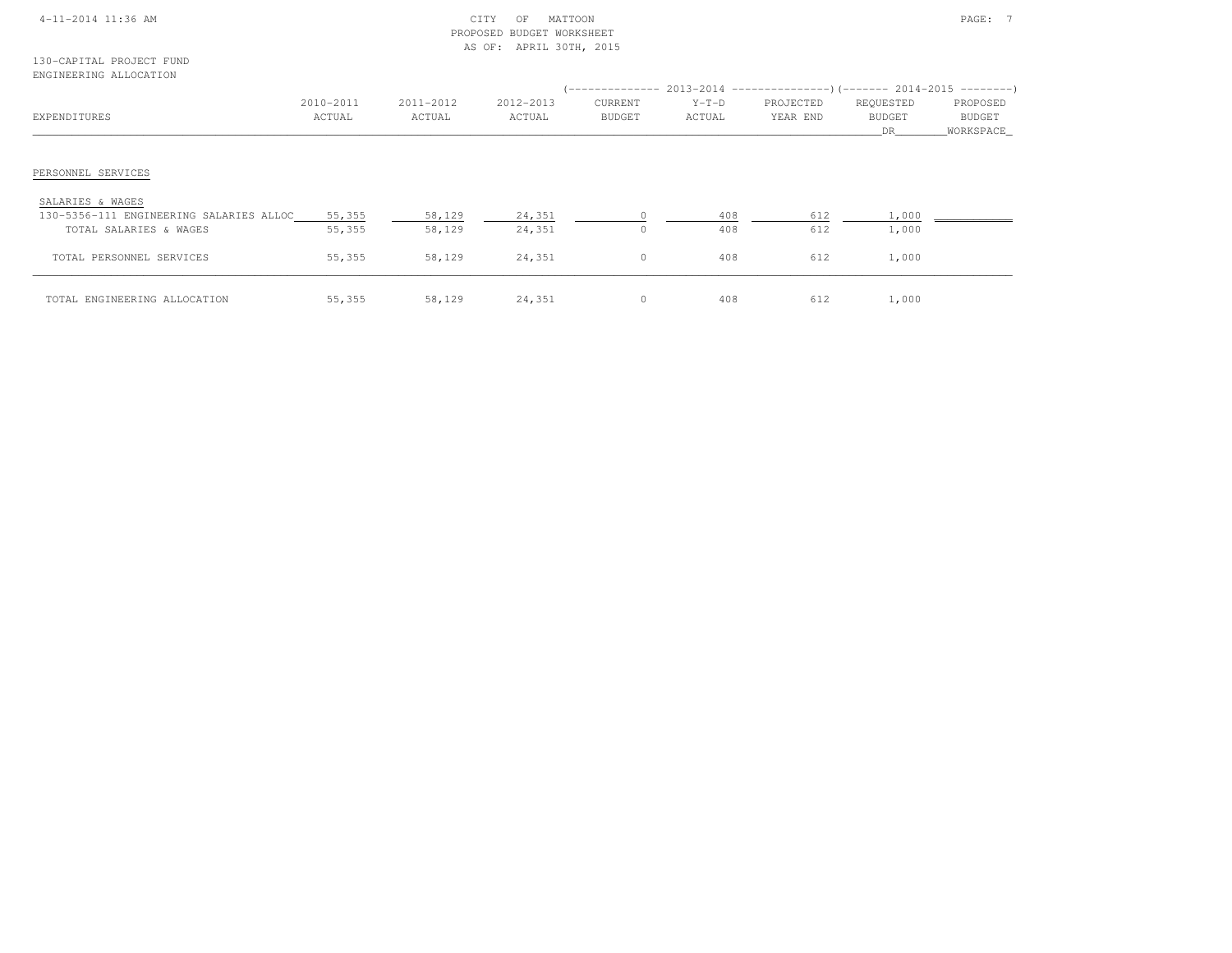| 4-11-2014 11:36 AM |  |  |  |  |
|--------------------|--|--|--|--|
|                    |  |  |  |  |

## 4-11-2014 CITY OF MATTOON PAGE: 7 AM CITY OF MATTOON PAGE: 7 PROPOSED BUDGET WORKSHEETAS OF: APRIL 30TH, 2015

#### 130-CAPITAL PROJECT FUNDENGINEERING ALLOCATION

|                                         |                     |                     |                     |                          |                   | (-------------- 2013-2014 --------------------- 2014-2015 ---------- ) |                                   |                                        |
|-----------------------------------------|---------------------|---------------------|---------------------|--------------------------|-------------------|------------------------------------------------------------------------|-----------------------------------|----------------------------------------|
| EXPENDITURES                            | 2010-2011<br>ACTUAL | 2011-2012<br>ACTUAL | 2012-2013<br>ACTUAL | CURRENT<br><b>BUDGET</b> | $Y-T-D$<br>ACTUAL | PROJECTED<br>YEAR END                                                  | REQUESTED<br><b>BUDGET</b><br>DR. | PROPOSED<br><b>BUDGET</b><br>WORKSPACE |
| PERSONNEL SERVICES<br>SALARIES & WAGES  |                     |                     |                     |                          |                   |                                                                        |                                   |                                        |
| 130-5356-111 ENGINEERING SALARIES ALLOC | 55,355              | 58,129              | 24,351              |                          | 408               | 612                                                                    | 1,000                             |                                        |
| TOTAL SALARIES & WAGES                  | 55,355              | 58,129              | 24,351              | $\Omega$                 | 408               | 612                                                                    | 1,000                             |                                        |
| TOTAL PERSONNEL SERVICES                | 55,355              | 58,129              | 24,351              | $\mathbf{0}$             | 408               | 612                                                                    | 1,000                             |                                        |
| TOTAL ENGINEERING ALLOCATION            | 55,355              | 58,129              | 24,351              | $\circ$                  | 408               | 612                                                                    | 1,000                             |                                        |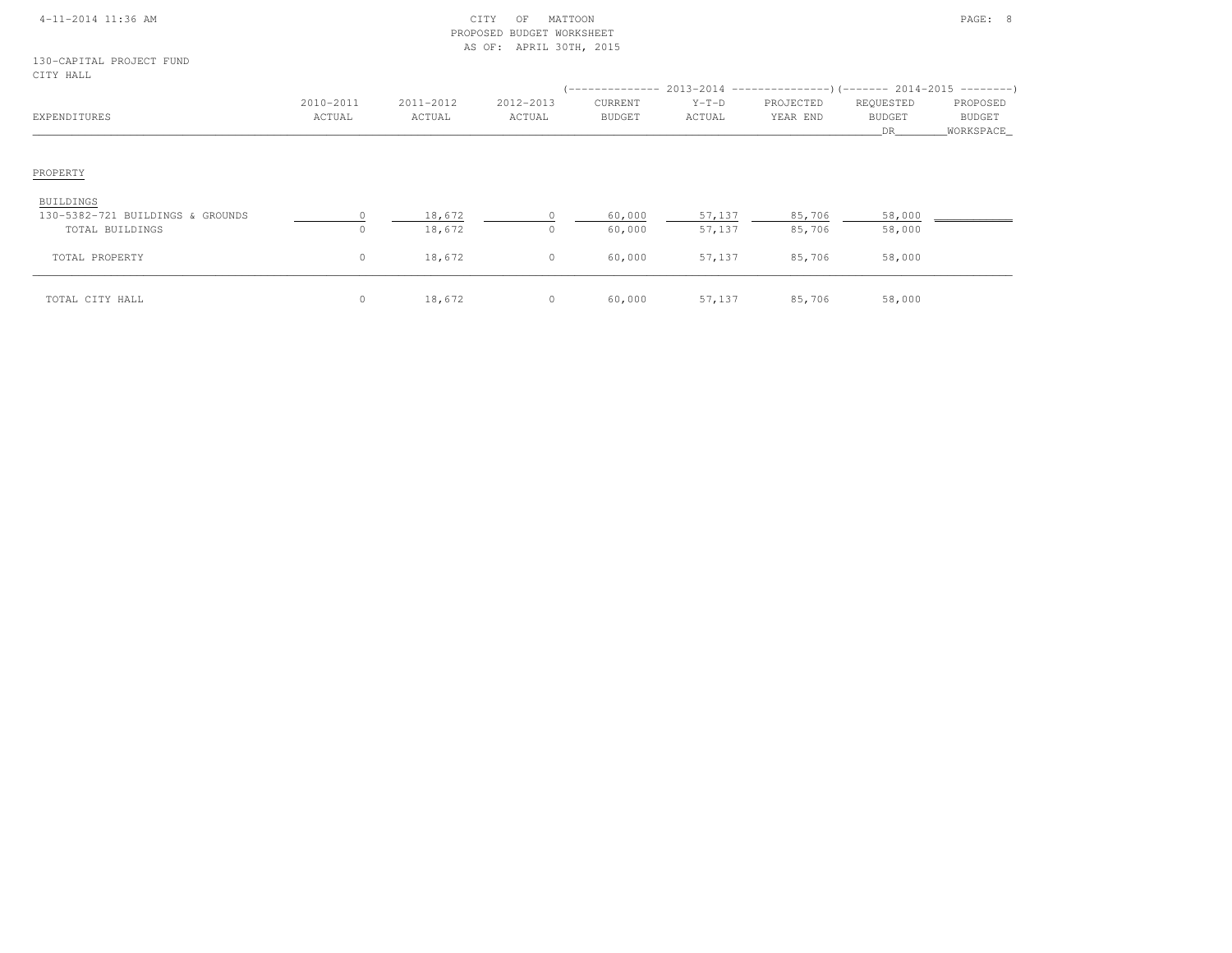| 4-11-2014 11:36 AM |  |
|--------------------|--|
|                    |  |

## $\begin{array}{ccc} \text{CITY} & \text{OF} & \text{MATTON} \end{array}$  PROPOSED BUDGET WORKSHEETAS OF: APRIL 30TH, 2015

130-CAPITAL PROJECT FUNDCITY HALL

| CITI HATP                                     |                     |                     |                     |                          |                   |                       | (-------------- 2013-2014 ----------------) (------- 2014-2015 ---------) |                                          |
|-----------------------------------------------|---------------------|---------------------|---------------------|--------------------------|-------------------|-----------------------|---------------------------------------------------------------------------|------------------------------------------|
| EXPENDITURES                                  | 2010-2011<br>ACTUAL | 2011-2012<br>ACTUAL | 2012-2013<br>ACTUAL | CURRENT<br><b>BUDGET</b> | $Y-T-D$<br>ACTUAL | PROJECTED<br>YEAR END | REQUESTED<br><b>BUDGET</b><br>DR.                                         | PROPOSED<br><b>BUDGET</b><br>_WORKSPACE_ |
| PROPERTY                                      |                     |                     |                     |                          |                   |                       |                                                                           |                                          |
| BUILDINGS<br>130-5382-721 BUILDINGS & GROUNDS |                     | 18,672              |                     | 60,000                   | 57,137            | 85,706                | 58,000                                                                    |                                          |
| TOTAL BUILDINGS                               | $\Omega$            | 18,672              |                     | 60,000                   | 57,137            | 85,706                | 58,000                                                                    |                                          |
| TOTAL PROPERTY                                | $\circ$             | 18,672              | $\circ$             | 60,000                   | 57,137            | 85,706                | 58,000                                                                    |                                          |
| TOTAL CITY HALL                               | $\circ$             | 18,672              | $\circ$             | 60,000                   | 57,137            | 85,706                | 58,000                                                                    |                                          |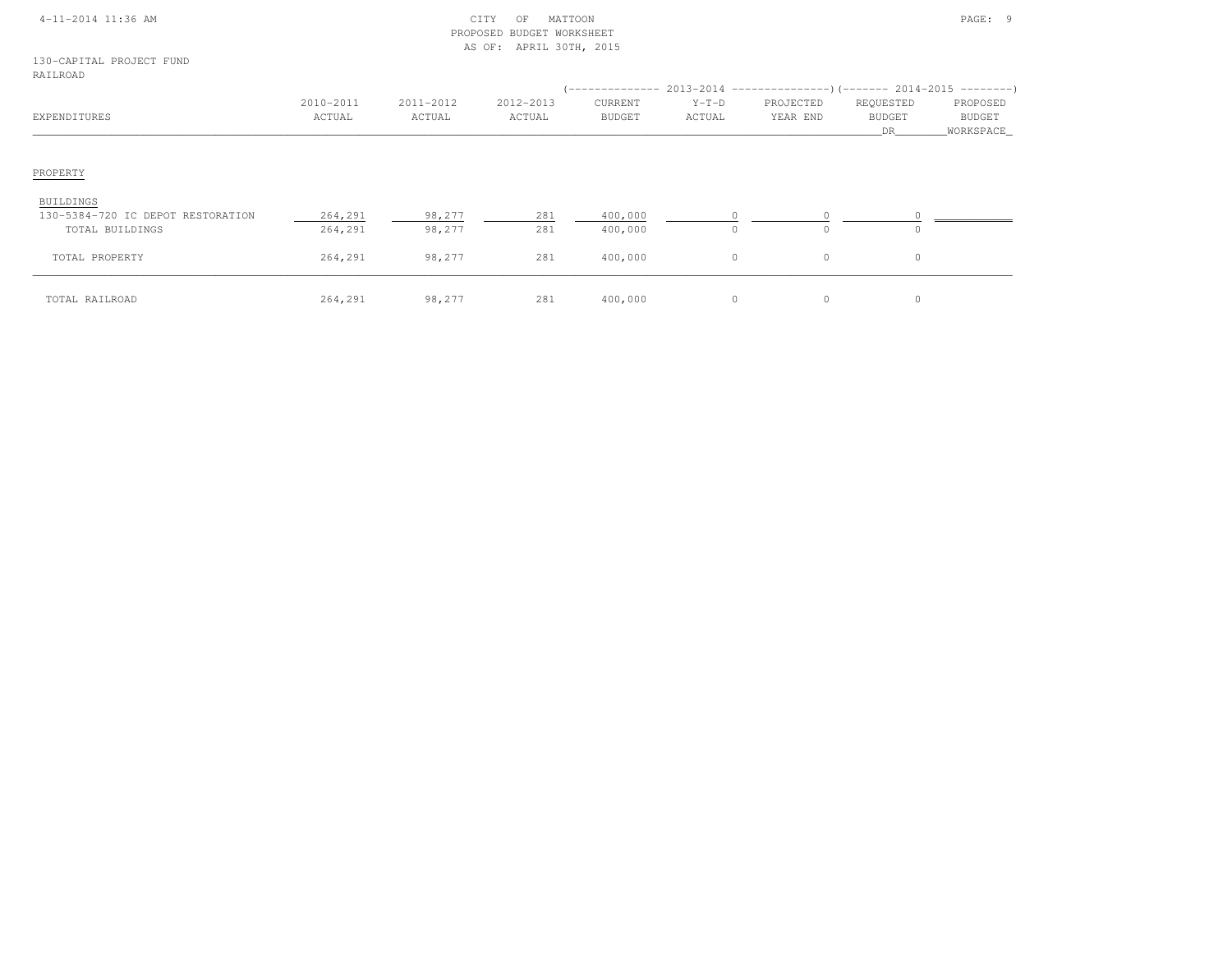| $4 - 11 - 2014$ 11:36 AM |  |
|--------------------------|--|
|                          |  |

## 4-11-2014 11:36 AM CITY OF MATTOON PAGE: 9 PROPOSED BUDGET WORKSHEETAS OF: APRIL 30TH, 2015

130-CAPITAL PROJECT FUNDRAILROAD

| RAILROAD                          |                     |                     |                     |                          |                   | -------------- 2013-2014 -------------------- (------- 2014-2015 ----------) |                                         |                                        |
|-----------------------------------|---------------------|---------------------|---------------------|--------------------------|-------------------|------------------------------------------------------------------------------|-----------------------------------------|----------------------------------------|
| EXPENDITURES                      | 2010-2011<br>ACTUAL | 2011-2012<br>ACTUAL | 2012-2013<br>ACTUAL | CURRENT<br><b>BUDGET</b> | $Y-T-D$<br>ACTUAL | PROJECTED<br>YEAR END                                                        | REQUESTED<br><b>BUDGET</b><br><b>DR</b> | PROPOSED<br><b>BUDGET</b><br>WORKSPACE |
| PROPERTY                          |                     |                     |                     |                          |                   |                                                                              |                                         |                                        |
| BUILDINGS                         |                     |                     |                     |                          |                   |                                                                              |                                         |                                        |
| 130-5384-720 IC DEPOT RESTORATION | 264,291             | 98,277              | 281                 | 400,000                  |                   |                                                                              |                                         |                                        |
| TOTAL BUILDINGS                   | 264,291             | 98,277              | 281                 | 400,000                  | 0                 | 0                                                                            | $\circ$                                 |                                        |
| TOTAL PROPERTY                    | 264,291             | 98,277              | 281                 | 400,000                  | 0                 | $\circ$                                                                      | $\circ$                                 |                                        |
| TOTAL RAILROAD                    | 264,291             | 98,277              | 281                 | 400,000                  | 0                 | $\circ$                                                                      | $\circ$                                 |                                        |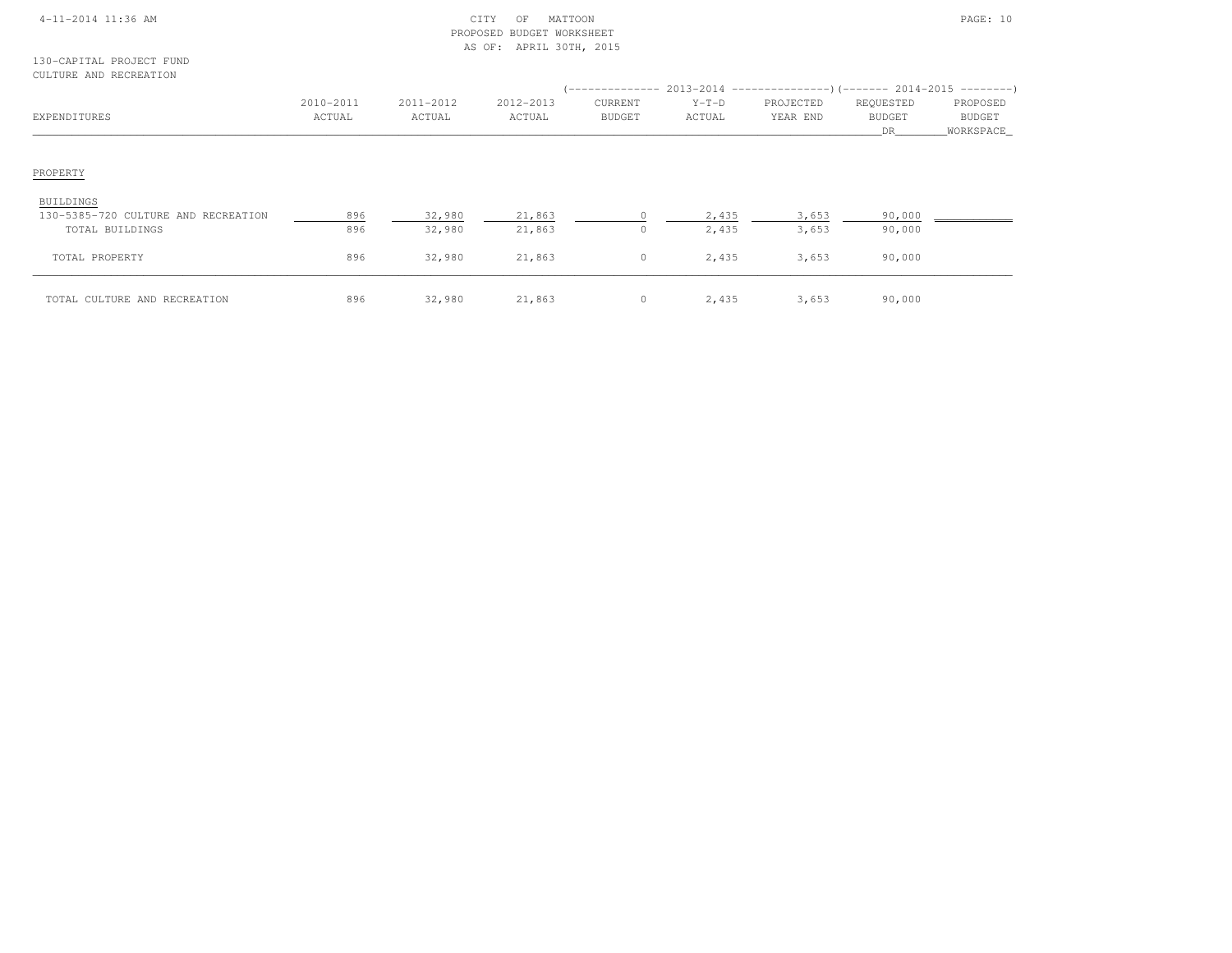|  | 4-11-2014 11:36 AM |  |
|--|--------------------|--|
|  |                    |  |

## $\begin{array}{ccc} \textrm{CITY} & \textrm{OF} & \textrm{MATION} \end{array}$  PROPOSED BUDGET WORKSHEETAS OF: APRIL 30TH, 2015

#### 130-CAPITAL PROJECT FUNDCULTURE AND RECREATION

| COLIONE AND NECKEAIION              |                     |                     |                     |                          |                   |                       |                                  |                                   |
|-------------------------------------|---------------------|---------------------|---------------------|--------------------------|-------------------|-----------------------|----------------------------------|-----------------------------------|
| EXPENDITURES                        | 2010-2011<br>ACTUAL | 2011-2012<br>ACTUAL | 2012-2013<br>ACTUAL | CURRENT<br><b>BUDGET</b> | $Y-T-D$<br>ACTUAL | PROJECTED<br>YEAR END | REQUESTED<br><b>BUDGET</b><br>DR | PROPOSED<br>BUDGET<br>_WORKSPACE_ |
|                                     |                     |                     |                     |                          |                   |                       |                                  |                                   |
| PROPERTY                            |                     |                     |                     |                          |                   |                       |                                  |                                   |
| BUILDINGS                           |                     |                     |                     |                          |                   |                       |                                  |                                   |
| 130-5385-720 CULTURE AND RECREATION | 896                 | 32,980              | 21,863              | $\Omega$                 | 2,435             | 3,653                 | 90,000                           |                                   |
| TOTAL BUILDINGS                     | 896                 | 32,980              | 21,863              | $\circ$                  | 2,435             | 3,653                 | 90,000                           |                                   |
| TOTAL PROPERTY                      | 896                 | 32,980              | 21,863              | $\circ$                  | 2,435             | 3,653                 | 90,000                           |                                   |
| TOTAL CULTURE AND RECREATION        | 896                 | 32,980              | 21,863              | $\circ$                  | 2,435             | 3,653                 | 90,000                           |                                   |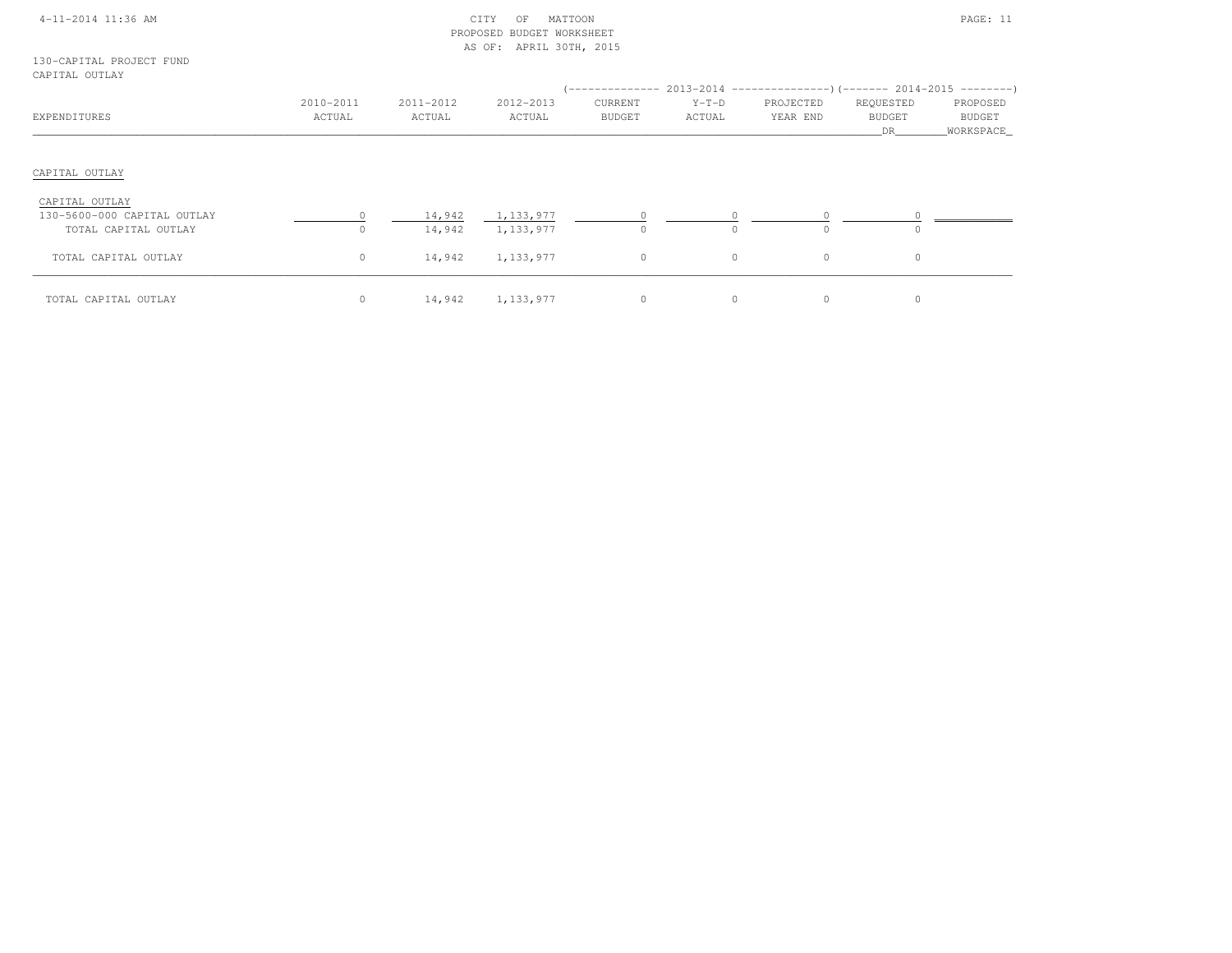|  | 4-11-2014 11:36 AM |  |
|--|--------------------|--|
|  |                    |  |

## $\begin{array}{ccc} \text{CITY} & \text{OF} & \text{MATION} \end{array}$  PROPOSED BUDGET WORKSHEETAS OF: APRIL 30TH, 2015

#### 130-CAPITAL PROJECT FUNDCAPITAL OUTLAY

|                             |                     |                     |                     |                          |                   | (-------------- 2013-2014 ----------------) (------- 2014-2015 ---------) |                                  |                                          |
|-----------------------------|---------------------|---------------------|---------------------|--------------------------|-------------------|---------------------------------------------------------------------------|----------------------------------|------------------------------------------|
| EXPENDITURES                | 2010-2011<br>ACTUAL | 2011-2012<br>ACTUAL | 2012-2013<br>ACTUAL | CURRENT<br><b>BUDGET</b> | $Y-T-D$<br>ACTUAL | PROJECTED<br>YEAR END                                                     | REQUESTED<br><b>BUDGET</b><br>DR | PROPOSED<br><b>BUDGET</b><br>_WORKSPACE_ |
| CAPITAL OUTLAY              |                     |                     |                     |                          |                   |                                                                           |                                  |                                          |
|                             |                     |                     |                     |                          |                   |                                                                           |                                  |                                          |
| CAPITAL OUTLAY              |                     |                     |                     |                          |                   |                                                                           |                                  |                                          |
| 130-5600-000 CAPITAL OUTLAY |                     | 14,942              | 1,133,977           |                          |                   |                                                                           |                                  |                                          |
| TOTAL CAPITAL OUTLAY        | $\circ$             | 14,942              | 1,133,977           | $\circ$                  |                   | $\Omega$                                                                  | $\circ$                          |                                          |
| TOTAL CAPITAL OUTLAY        | $\circ$             | 14,942              | 1,133,977           | $\circ$                  | $\circ$           | $\circ$                                                                   | $\circ$                          |                                          |
| TOTAL CAPITAL OUTLAY        | $\circ$             | 14,942              | 1,133,977           | 0                        | $\circ$           | $\circ$                                                                   | $\circ$                          |                                          |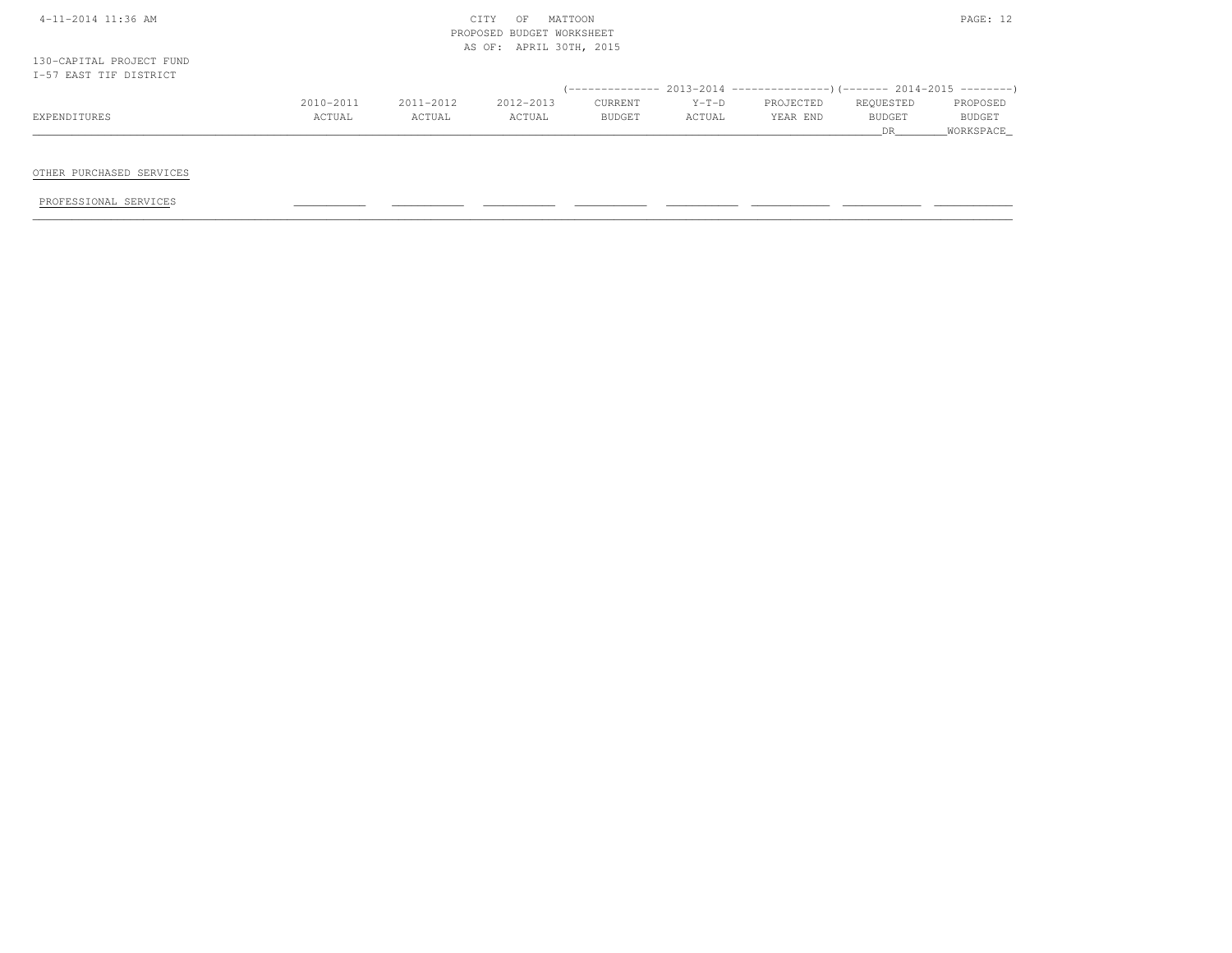|  | 4-11-2014 11:36 AM |  |  |
|--|--------------------|--|--|
|  |                    |  |  |

## $\text{CITY}$  OF MATTOON  $\text{PAGE: } 12$  PROPOSED BUDGET WORKSHEETAS OF: APRIL 30TH, 2015

130-CAPITAL PROJECT FUNDI-57 EAST TIF DISTRICT

|              |           |           |                      | (-------------- 2013-2014 |                      | ----------------)(------- 2014-2015 ---------) |               |               |
|--------------|-----------|-----------|----------------------|---------------------------|----------------------|------------------------------------------------|---------------|---------------|
|              | 2010-2011 | 2011-2012 | $2012 - 2013$        | CURRENT                   | $Y-T-D$              | PROJECTED                                      | REQUESTED     | PROPOSED      |
| EXPENDITURE: | CTUAL     | ACTUAL    | <b><i>ACTUAL</i></b> | <b>BUDGET</b>             | <b><i>ACTUAL</i></b> | YEAR END                                       | <b>BUDGET</b> | <b>BUDGET</b> |
|              |           |           |                      |                           |                      |                                                |               |               |

OTHER PURCHASED SERVICES

PROFESSIONAL SERVICES \_\_\_\_\_\_\_\_\_\_\_ \_\_\_\_\_\_\_\_\_\_\_ \_\_\_\_\_\_\_\_\_\_\_ \_\_\_\_\_\_\_\_\_\_\_ \_\_\_\_\_\_\_\_\_\_\_ \_\_\_\_\_\_\_\_\_\_\_\_ \_\_\_\_\_\_\_\_\_\_\_\_ \_\_\_\_\_\_\_\_\_\_\_\_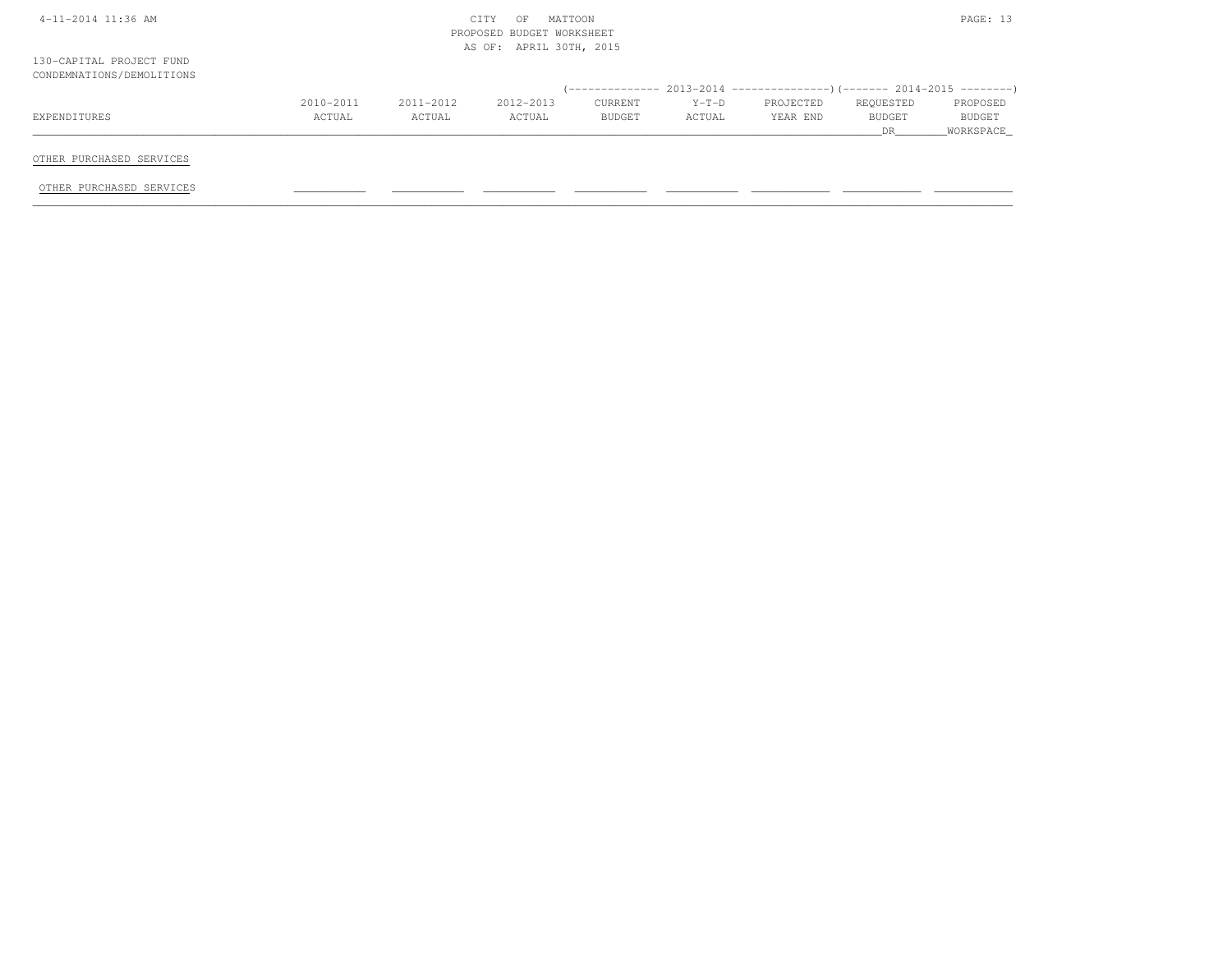|                                                       | MATTOON<br>CITY<br>OF<br>PROPOSED BUDGET WORKSHEET<br>AS OF: APRIL 30TH, 2015 |           |           |         |         |                                                                              |           | PAGE: 13      |
|-------------------------------------------------------|-------------------------------------------------------------------------------|-----------|-----------|---------|---------|------------------------------------------------------------------------------|-----------|---------------|
| 130-CAPITAL PROJECT FUND<br>CONDEMNATIONS/DEMOLITIONS |                                                                               |           |           |         |         |                                                                              |           |               |
|                                                       |                                                                               |           |           |         |         | $($ -------------- 2013-2014 ----------------) (------- 2014-2015 ---------) |           |               |
|                                                       | 2010-2011                                                                     | 2011-2012 | 2012-2013 | CURRENT | $Y-T-D$ | PROJECTED                                                                    | REQUESTED | PROPOSED      |
| EXPENDITURES                                          | ACTUAL                                                                        | ACTUAL    | ACTUAL    | BUDGET  | ACTUAL  | YEAR END                                                                     | BUDGET    | <b>BUDGET</b> |
|                                                       |                                                                               |           |           |         |         |                                                                              | DR.       | WORKSPACE     |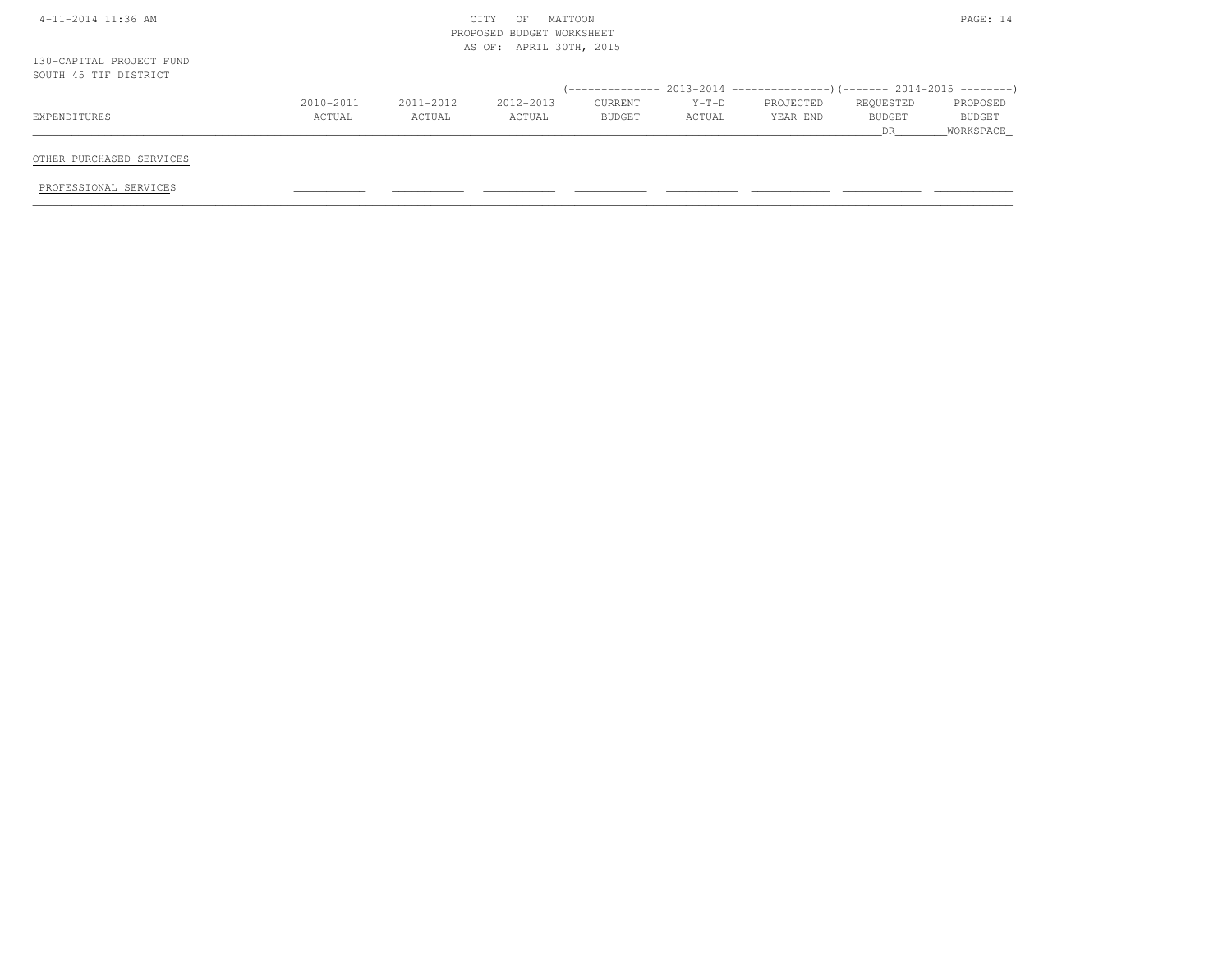|                                                   |           |           | MATTOON<br>CITY<br>OF<br>PROPOSED BUDGET WORKSHEET<br>AS OF: APRIL 30TH, 2015 |         |         |           |           | PAGE: 14  |
|---------------------------------------------------|-----------|-----------|-------------------------------------------------------------------------------|---------|---------|-----------|-----------|-----------|
| 130-CAPITAL PROJECT FUND<br>SOUTH 45 TIF DISTRICT |           |           |                                                                               |         |         |           |           |           |
|                                                   |           |           |                                                                               |         |         |           |           |           |
|                                                   | 2010-2011 | 2011-2012 | 2012-2013                                                                     | CURRENT | $Y-T-D$ | PROJECTED | REQUESTED | PROPOSED  |
| EXPENDITURES                                      | ACTUAL    | ACTUAL    | ACTUAL                                                                        | BUDGET  | ACTUAL  | YEAR END  | BUDGET    | BUDGET    |
|                                                   |           |           |                                                                               |         |         |           | DR        | WORKSPACE |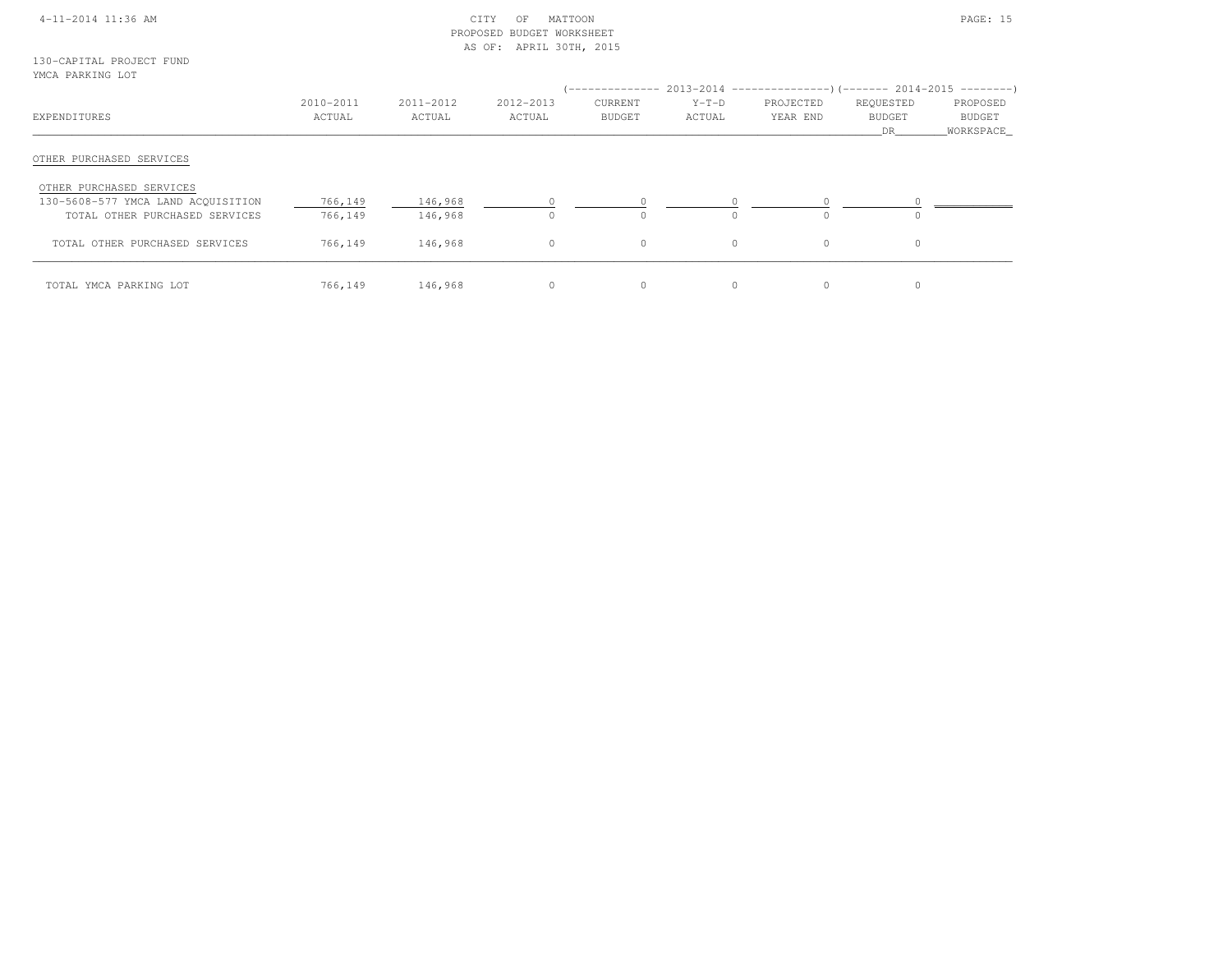## 4-11-2014 11:36 AM CITY OF MATTOON PAGE: 15 PROPOSED BUDGET WORKSHEETAS OF: APRIL 30TH, 2015

130-CAPITAL PROJECT FUNDYMCA PARKING LOT

| $1.1011$ $1.11111110$ $1.11111$    |                     |                     |                     |                          |                   | (-------------- 2013-2014 ----------------) (------- 2014-2015 ---------) |                                   |                                 |
|------------------------------------|---------------------|---------------------|---------------------|--------------------------|-------------------|---------------------------------------------------------------------------|-----------------------------------|---------------------------------|
| EXPENDITURES                       | 2010-2011<br>ACTUAL | 2011-2012<br>ACTUAL | 2012-2013<br>ACTUAL | CURRENT<br><b>BUDGET</b> | $Y-T-D$<br>ACTUAL | PROJECTED<br>YEAR END                                                     | REQUESTED<br><b>BUDGET</b><br>DR. | PROPOSED<br>BUDGET<br>WORKSPACE |
| OTHER PURCHASED SERVICES           |                     |                     |                     |                          |                   |                                                                           |                                   |                                 |
| OTHER PURCHASED SERVICES           |                     |                     |                     |                          |                   |                                                                           |                                   |                                 |
| 130-5608-577 YMCA LAND ACQUISITION | 766,149             | 146,968             |                     |                          |                   |                                                                           |                                   |                                 |
| TOTAL OTHER PURCHASED SERVICES     | 766,149             | 146,968             |                     | $\Omega$                 |                   | $\cap$                                                                    | $\bigcap$                         |                                 |
| TOTAL OTHER PURCHASED SERVICES     | 766,149             | 146,968             | $\Omega$            | $\Omega$                 | $\Omega$          | $\Omega$                                                                  | $\circ$                           |                                 |
| TOTAL YMCA PARKING LOT             | 766,149             | 146,968             |                     | 0                        |                   | $\Omega$                                                                  |                                   |                                 |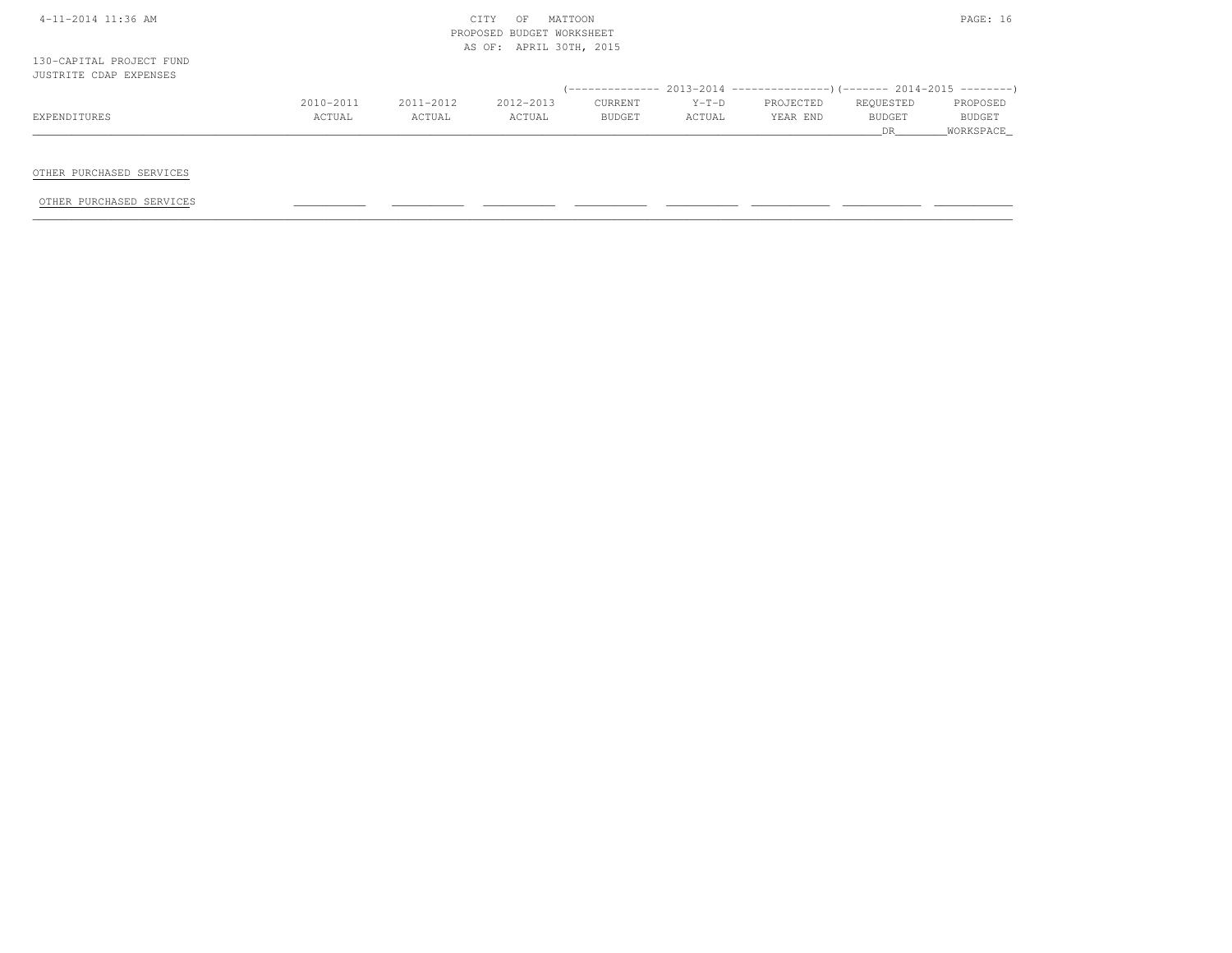| $4-11-2014$ 11:36 AM |  |
|----------------------|--|
|                      |  |

## $\text{CITY}$  OF MATTOON  $\text{PAGE: } 16$  PROPOSED BUDGET WORKSHEETAS OF: APRIL 30TH, 2015

130-CAPITAL PROJECT FUNDJUSTRITE CDAP EXPENSES

|              | 2010-2011    | $2011 - 2012$ | 2012-2013 | CURRENT       | $Y-T-D$      | PROJECTED | REQUESTED     | PROPOSED      |
|--------------|--------------|---------------|-----------|---------------|--------------|-----------|---------------|---------------|
| EXPENDITURES | <b>CTUAL</b> | <b>ACTUAL</b> | ACTUAL    | <b>BUDGET</b> | <b>CTUAL</b> | YEAR END  | <b>BUDGET</b> | <b>BUDGET</b> |
|              |              |               |           |               |              |           |               |               |

OTHER PURCHASED SERVICES

OTHER PURCHASED SERVICES \_\_\_\_\_\_\_\_\_\_\_ \_\_\_\_\_\_\_\_\_\_\_ \_\_\_\_\_\_\_\_\_\_\_ \_\_\_\_\_\_\_\_\_\_\_ \_\_\_\_\_\_\_\_\_\_\_ \_\_\_\_\_\_\_\_\_\_\_\_ \_\_\_\_\_\_\_\_\_\_\_\_ \_\_\_\_\_\_\_\_\_\_\_\_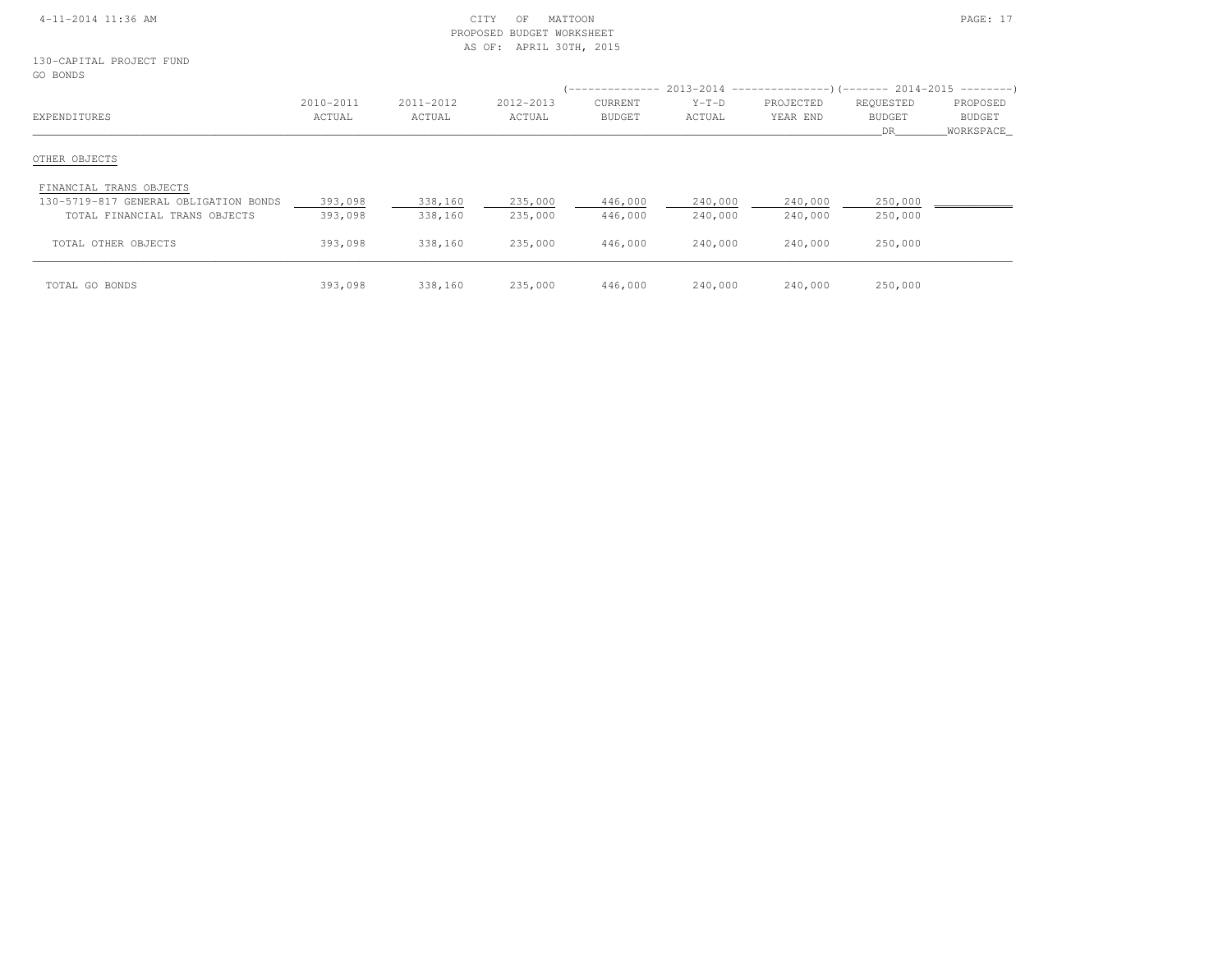## 4-11-2014 11:36 AM CITY OF MATTOON PAGE: 17 PROPOSED BUDGET WORKSHEETAS OF: APRIL 30TH, 2015

130-CAPITAL PROJECT FUNDGO BONDS

| --------                              |                     |                     |                     |                          |                   | (-------------- 2013-2014 --------------------       2014-2015 ------------------ |                                  |                                 |
|---------------------------------------|---------------------|---------------------|---------------------|--------------------------|-------------------|-----------------------------------------------------------------------------------|----------------------------------|---------------------------------|
| EXPENDITURES                          | 2010-2011<br>ACTUAL | 2011-2012<br>ACTUAL | 2012-2013<br>ACTUAL | CURRENT<br><b>BUDGET</b> | $Y-T-D$<br>ACTUAL | PROJECTED<br>YEAR END                                                             | REQUESTED<br><b>BUDGET</b><br>DR | PROPOSED<br>BUDGET<br>WORKSPACE |
| OTHER OBJECTS                         |                     |                     |                     |                          |                   |                                                                                   |                                  |                                 |
| FINANCIAL TRANS OBJECTS               |                     |                     |                     |                          |                   |                                                                                   |                                  |                                 |
| 130-5719-817 GENERAL OBLIGATION BONDS | 393,098             | 338,160             | 235,000             | 446,000                  | 240,000           | 240,000                                                                           | 250,000                          |                                 |
| TOTAL FINANCIAL TRANS OBJECTS         | 393,098             | 338,160             | 235,000             | 446,000                  | 240,000           | 240,000                                                                           | 250,000                          |                                 |
| TOTAL OTHER OBJECTS                   | 393,098             | 338,160             | 235,000             | 446,000                  | 240,000           | 240,000                                                                           | 250,000                          |                                 |
| TOTAL GO BONDS                        | 393,098             | 338,160             | 235,000             | 446,000                  | 240,000           | 240,000                                                                           | 250,000                          |                                 |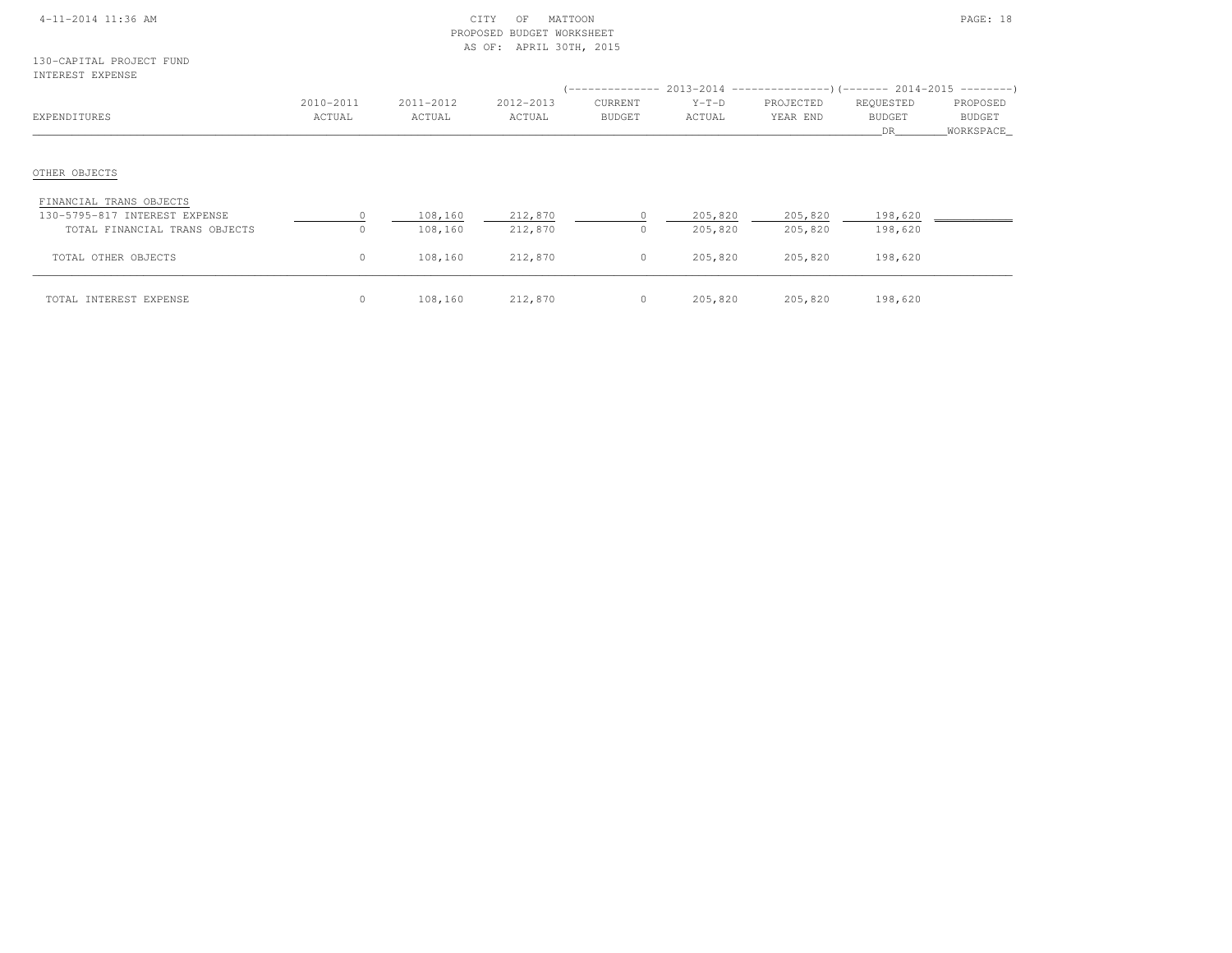| 4-11-2014 11:36 AM |
|--------------------|
|--------------------|

## $\begin{array}{ccc} \text{CITY} & \text{OF} & \text{MATION} \end{array}$  PROPOSED BUDGET WORKSHEETAS OF: APRIL 30TH, 2015

130-CAPITAL PROJECT FUNDINTEREST EXPENSE

| INIERESI EXPENSE                                                                          |                      |                     |                     |                          |                    |                       | $(-----12013-2014$ $-----2013-2014$ $[-----1014-2015$ $---2014-2015$ |                                 |
|-------------------------------------------------------------------------------------------|----------------------|---------------------|---------------------|--------------------------|--------------------|-----------------------|----------------------------------------------------------------------|---------------------------------|
| EXPENDITURES                                                                              | 2010-2011<br>ACTUAL  | 2011-2012<br>ACTUAL | 2012-2013<br>ACTUAL | CURRENT<br><b>BUDGET</b> | $Y-T-D$<br>ACTUAL  | PROJECTED<br>YEAR END | REQUESTED<br><b>BUDGET</b><br>DR                                     | PROPOSED<br>BUDGET<br>WORKSPACE |
| OTHER OBJECTS                                                                             |                      |                     |                     |                          |                    |                       |                                                                      |                                 |
| FINANCIAL TRANS OBJECTS<br>130-5795-817 INTEREST EXPENSE<br>TOTAL FINANCIAL TRANS OBJECTS | $\Omega$<br>$\Omega$ | 108,160<br>108,160  | 212,870<br>212,870  | 0                        | 205,820<br>205,820 | 205,820<br>205,820    | 198,620<br>198,620                                                   |                                 |
| TOTAL OTHER OBJECTS                                                                       | $\circ$              | 108,160             | 212,870             | $\circ$                  | 205,820            | 205,820               | 198,620                                                              |                                 |
| TOTAL INTEREST EXPENSE                                                                    | $\circ$              | 108,160             | 212,870             | $\circ$                  | 205,820            | 205,820               | 198,620                                                              |                                 |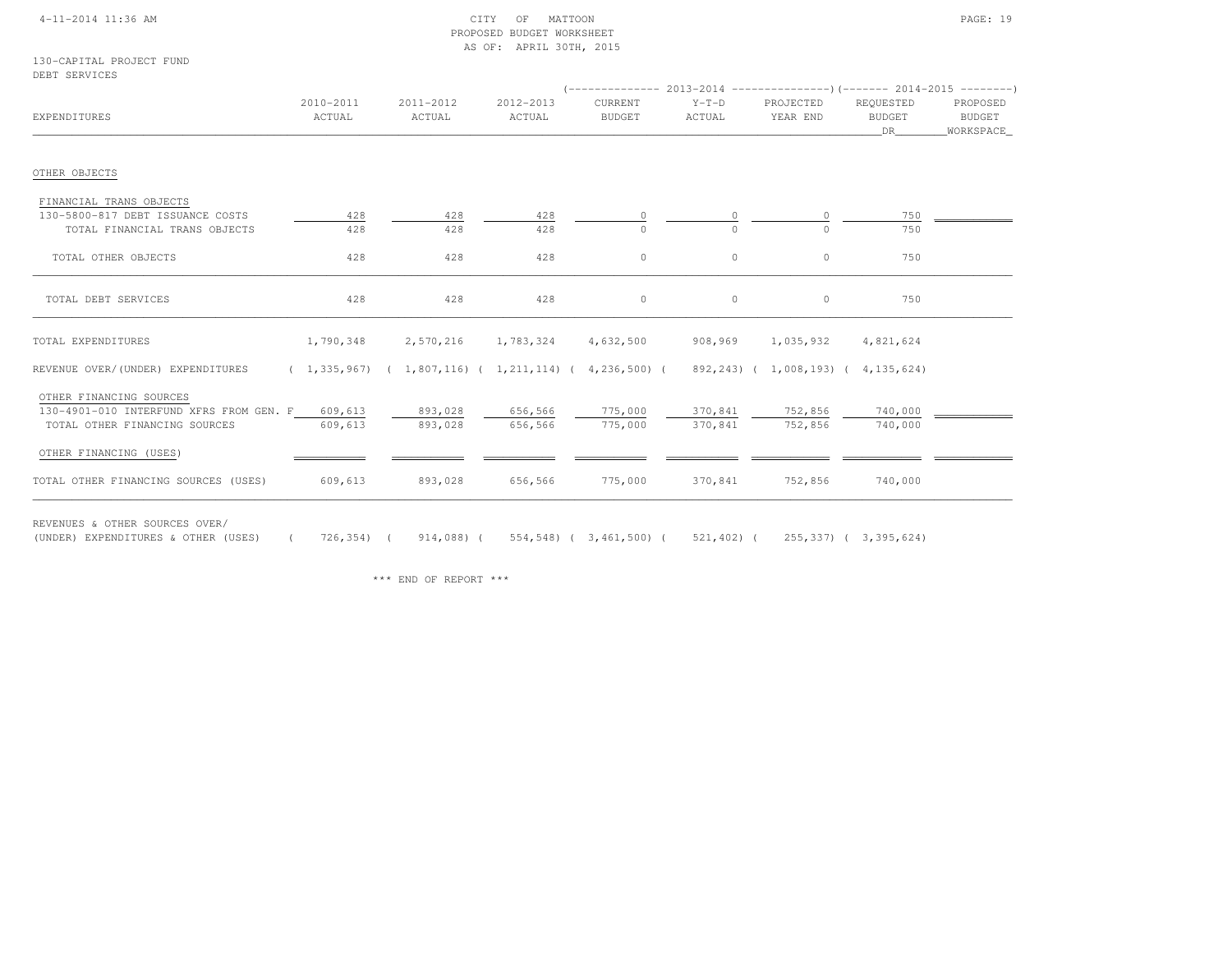## 4-11-2014 11:36 AM CITY OF MATTOON PAGE: 19 PROPOSED BUDGET WORKSHEETAS OF: APRIL 30TH, 2015

130-CAPITAL PROJECT FUNDDEBT SERVICES

| EXPENDITURES                                                             | 2010-2011<br>ACTUAL | 2011-2012<br>ACTUAL                                       | 2012-2013<br>ACTUAL | CURRENT<br><b>BUDGET</b> | $Y-T-D$<br>ACTUAL  | PROJECTED<br>YEAR END   | REQUESTED<br><b>BUDGET</b><br>DR | PROPOSED<br>BUDGET<br>WORKSPACE_ |
|--------------------------------------------------------------------------|---------------------|-----------------------------------------------------------|---------------------|--------------------------|--------------------|-------------------------|----------------------------------|----------------------------------|
| OTHER OBJECTS                                                            |                     |                                                           |                     |                          |                    |                         |                                  |                                  |
| FINANCIAL TRANS OBJECTS                                                  |                     |                                                           |                     |                          |                    |                         |                                  |                                  |
| 130-5800-817 DEBT ISSUANCE COSTS                                         | 428                 | 428                                                       | 428                 | <sup>0</sup>             |                    |                         | 750                              |                                  |
| TOTAL FINANCIAL TRANS OBJECTS                                            | 428                 | 428                                                       | 428                 | $\Omega$                 | $\Omega$           | $\cap$                  | 750                              |                                  |
| TOTAL OTHER OBJECTS                                                      | 428                 | 428                                                       | 428                 | $\circ$                  | $\circ$            | $\circ$                 | 750                              |                                  |
| TOTAL DEBT SERVICES                                                      | 428                 | 428                                                       | 428                 | $\circ$                  | $\circ$            | $\circ$                 | 750                              |                                  |
| TOTAL EXPENDITURES                                                       | 1,790,348           | 2,570,216                                                 | 1,783,324           | 4,632,500                | 908,969            | 1,035,932               | 4,821,624                        |                                  |
| REVENUE OVER/(UNDER) EXPENDITURES                                        |                     | $(1,335,967)$ $(1,807,116)$ $(1,211,114)$ $(4,236,500)$ ( |                     |                          |                    | 892,243) ( 1,008,193) ( | 4, 135, 624)                     |                                  |
| OTHER FINANCING SOURCES                                                  |                     |                                                           |                     |                          |                    |                         |                                  |                                  |
| 130-4901-010 INTERFUND XFRS FROM GEN. F<br>TOTAL OTHER FINANCING SOURCES | 609,613<br>609,613  | 893,028<br>893,028                                        | 656,566<br>656,566  | 775,000<br>775,000       | 370,841<br>370,841 | 752,856<br>752,856      | 740,000<br>740,000               |                                  |
| OTHER FINANCING (USES)                                                   |                     |                                                           |                     |                          |                    |                         |                                  |                                  |
| TOTAL OTHER FINANCING SOURCES (USES)                                     | 609,613             | 893,028                                                   | 656,566             | 775,000                  | 370,841            | 752,856                 | 740,000                          |                                  |

REVENUES & OTHER SOURCES OVER/

(UNDER) EXPENDITURES & OTHER (USES) ( 726,354) ( 914,088) ( 554,548) ( 3,461,500) ( 521,402) ( 255,337) ( 3,395,624)

\*\*\* END OF REPORT \*\*\*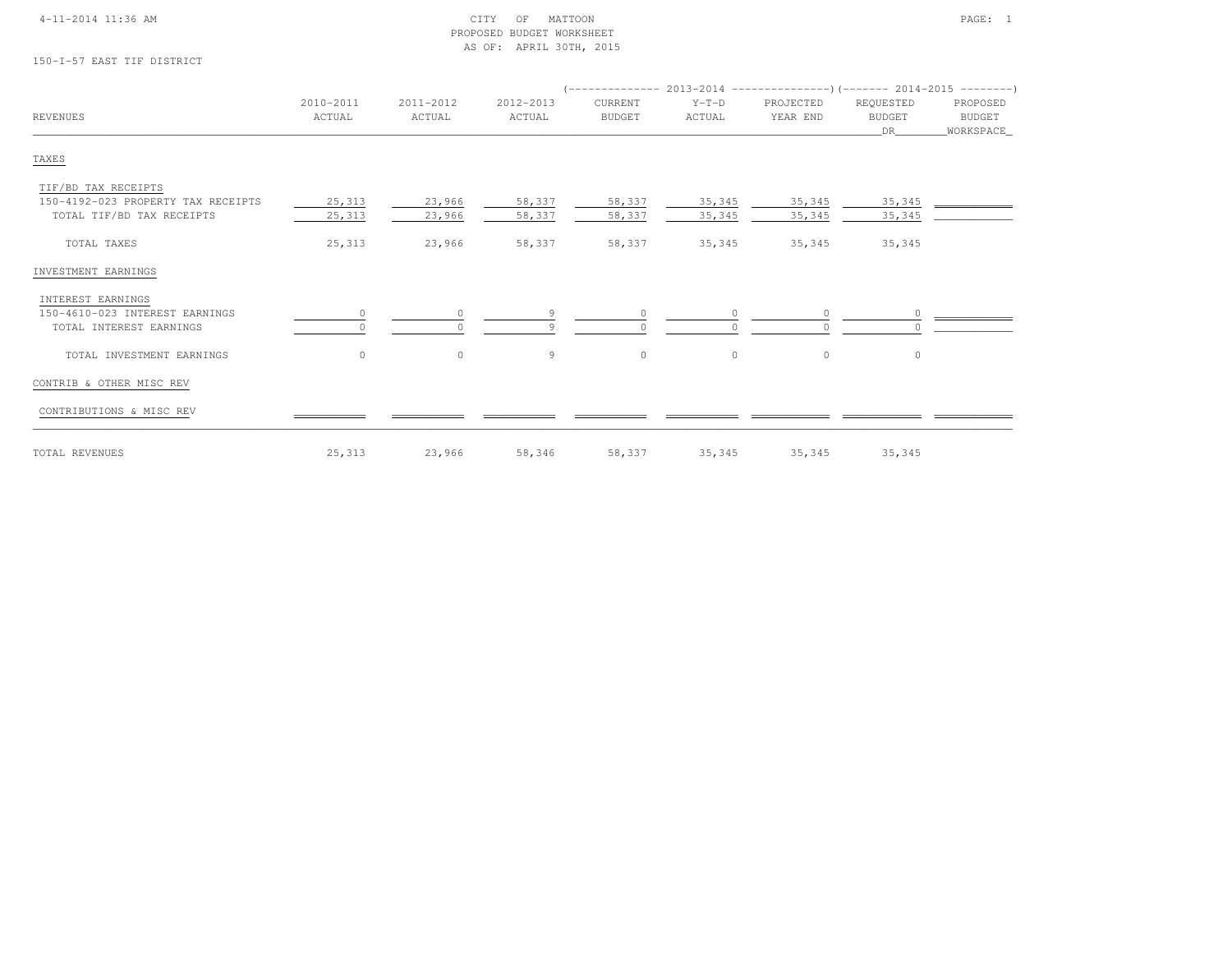## 4-11-2014 11:36 AM CITY OF MATTOON PAGE: 1 PROPOSED BUDGET WORKSHEETAS OF: APRIL 30TH, 2015

150-I-57 EAST TIF DISTRICT

| <b>REVENUES</b>                                           | 2010-2011<br>ACTUAL | 2011-2012<br>ACTUAL | 2012-2013<br>ACTUAL | CURRENT<br><b>BUDGET</b> | $Y-T-D$<br>ACTUAL | PROJECTED<br>YEAR END | REQUESTED<br><b>BUDGET</b> | PROPOSED<br>BUDGET |
|-----------------------------------------------------------|---------------------|---------------------|---------------------|--------------------------|-------------------|-----------------------|----------------------------|--------------------|
| TAXES                                                     |                     |                     |                     |                          |                   |                       | DR.                        | WORKSPACE          |
|                                                           |                     |                     |                     |                          |                   |                       |                            |                    |
| TIF/BD TAX RECEIPTS<br>150-4192-023 PROPERTY TAX RECEIPTS | 25,313              | 23,966              | 58,337              | 58,337                   | 35,345            | 35,345                | 35,345                     |                    |
| TOTAL TIF/BD TAX RECEIPTS                                 | 25,313              | 23,966              | 58,337              | 58,337                   | 35,345            | 35,345                | 35,345                     |                    |
| TOTAL TAXES                                               | 25,313              | 23,966              | 58,337              | 58,337                   | 35,345            | 35,345                | 35,345                     |                    |
| INVESTMENT EARNINGS                                       |                     |                     |                     |                          |                   |                       |                            |                    |
| INTEREST EARNINGS                                         |                     |                     |                     |                          |                   |                       |                            |                    |
| 150-4610-023 INTEREST EARNINGS                            | $\circ$             |                     | Q                   | $\Omega$                 | $\Omega$          | $\circ$               |                            |                    |
| TOTAL INTEREST EARNINGS                                   |                     |                     |                     |                          | $\cap$            | $\Omega$              |                            |                    |
| TOTAL INVESTMENT EARNINGS                                 | $\circ$             | $\circ$             | 9                   | $\circ$                  | $\circ$           | $\circ$               | $\circ$                    |                    |
| CONTRIB & OTHER MISC REV                                  |                     |                     |                     |                          |                   |                       |                            |                    |
| CONTRIBUTIONS & MISC REV                                  |                     |                     |                     |                          |                   |                       |                            |                    |
| TOTAL REVENUES                                            | 25,313              | 23,966              | 58,346              | 58,337                   | 35,345            | 35,345                | 35,345                     |                    |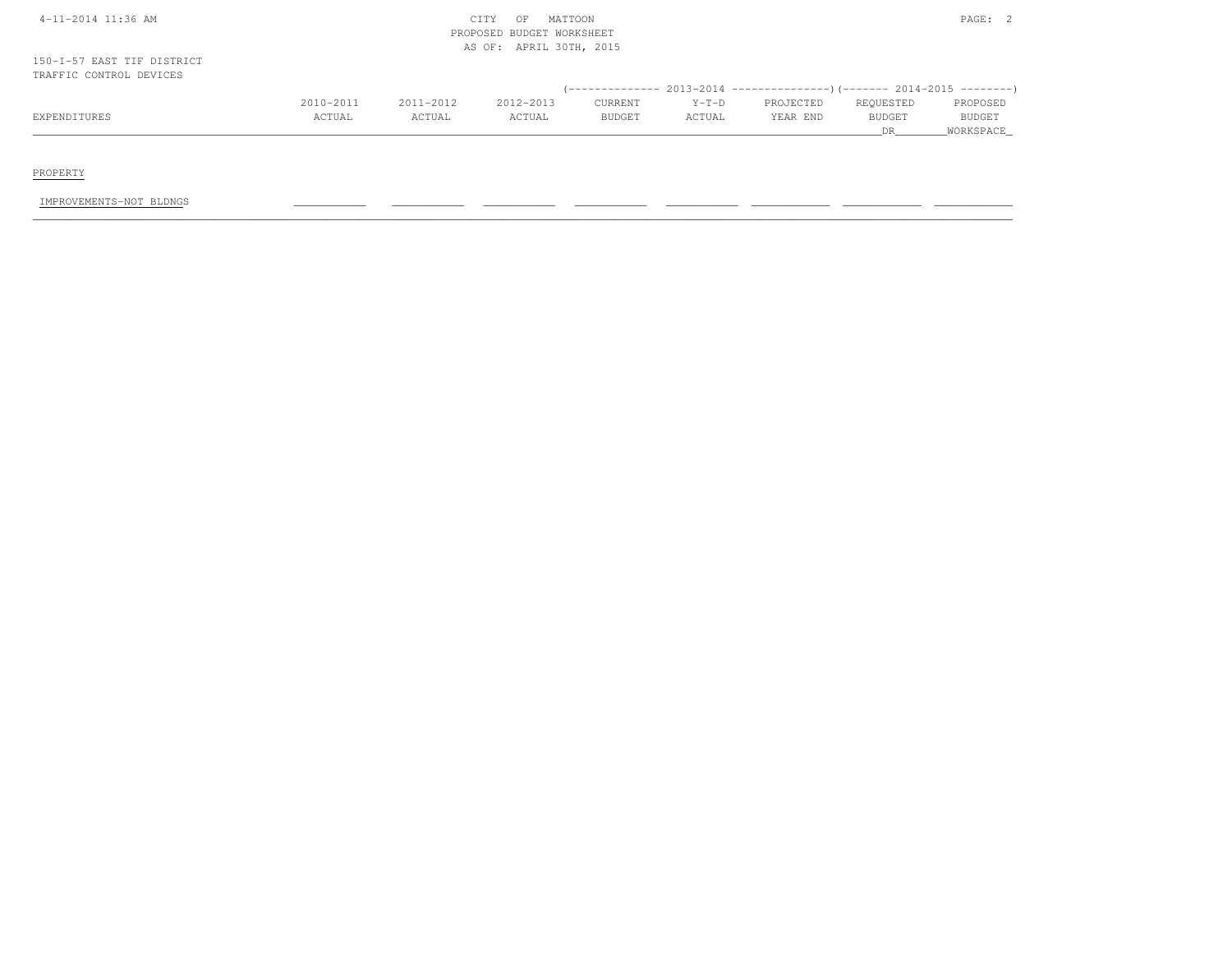| 4-11-2014 11:36 AM                                    |           |           | MATTOON<br>CITY<br>OF<br>PROPOSED BUDGET WORKSHEET |               |         |                                                                         |                      | PAGE: 2             |
|-------------------------------------------------------|-----------|-----------|----------------------------------------------------|---------------|---------|-------------------------------------------------------------------------|----------------------|---------------------|
|                                                       |           |           | AS OF: APRIL 30TH, 2015                            |               |         |                                                                         |                      |                     |
| 150-I-57 EAST TIF DISTRICT<br>TRAFFIC CONTROL DEVICES |           |           |                                                    |               |         | (-------------- 2013-2014 ----------------)(------- 2014-2015 --------) |                      |                     |
|                                                       | 2010-2011 | 2011-2012 | 2012-2013                                          | CURRENT       | $Y-T-D$ | PROJECTED                                                               | REQUESTED            | PROPOSED            |
| EXPENDITURES                                          | ACTUAL    | ACTUAL    | ACTUAL                                             | <b>BUDGET</b> | ACTUAL  | YEAR END                                                                | <b>BUDGET</b><br>DR. | BUDGET<br>WORKSPACE |

PROPERTY

IMPROVEMENTS-NOT BLDNGS \_\_\_\_\_\_\_\_\_\_\_ \_\_\_\_\_\_\_\_\_\_\_ \_\_\_\_\_\_\_\_\_\_\_ \_\_\_\_\_\_\_\_\_\_\_ \_\_\_\_\_\_\_\_\_\_\_ \_\_\_\_\_\_\_\_\_\_\_\_ \_\_\_\_\_\_\_\_\_\_\_\_ \_\_\_\_\_\_\_\_\_\_\_\_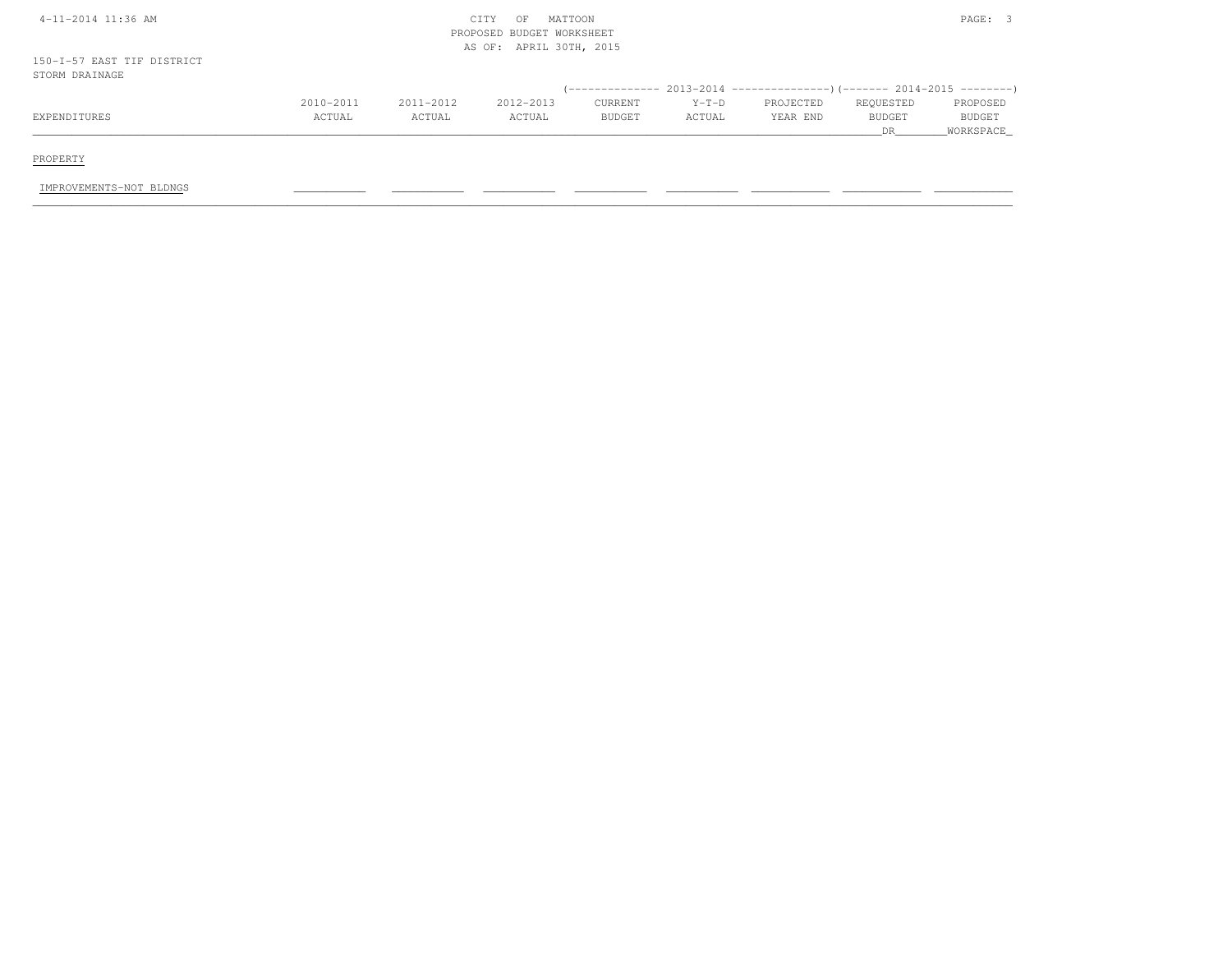| 4-11-2014 11:36 AM                           |           |           | MATTOON<br>CITY<br>OF<br>PROPOSED BUDGET WORKSHEET<br>AS OF: APRIL 30TH, 2015 |         |         |                                                                              |               | PAGE: 3   |
|----------------------------------------------|-----------|-----------|-------------------------------------------------------------------------------|---------|---------|------------------------------------------------------------------------------|---------------|-----------|
| 150-I-57 EAST TIF DISTRICT<br>STORM DRAINAGE |           |           |                                                                               |         |         |                                                                              |               |           |
|                                              |           |           |                                                                               |         |         | $($ -------------- 2013-2014 ----------------) (------- 2014-2015 ---------) |               |           |
|                                              | 2010-2011 | 2011-2012 | 2012-2013                                                                     | CURRENT | $Y-T-D$ | PROJECTED                                                                    | REQUESTED     | PROPOSED  |
| EXPENDITURES                                 | ACTUAL    | ACTUAL    | ACTUAL                                                                        | BUDGET  | ACTUAL  | YEAR END                                                                     | <b>BUDGET</b> | BUDGET    |
|                                              |           |           |                                                                               |         |         |                                                                              | <b>DR</b>     | WORKSPACE |
|                                              |           |           |                                                                               |         |         |                                                                              |               |           |
| PROPERTY                                     |           |           |                                                                               |         |         |                                                                              |               |           |

IMPROVEMENTS-NOT BLDNGS \_\_\_\_\_\_\_\_\_\_\_ \_\_\_\_\_\_\_\_\_\_\_ \_\_\_\_\_\_\_\_\_\_\_ \_\_\_\_\_\_\_\_\_\_\_ \_\_\_\_\_\_\_\_\_\_\_ \_\_\_\_\_\_\_\_\_\_\_\_ \_\_\_\_\_\_\_\_\_\_\_\_ \_\_\_\_\_\_\_\_\_\_\_\_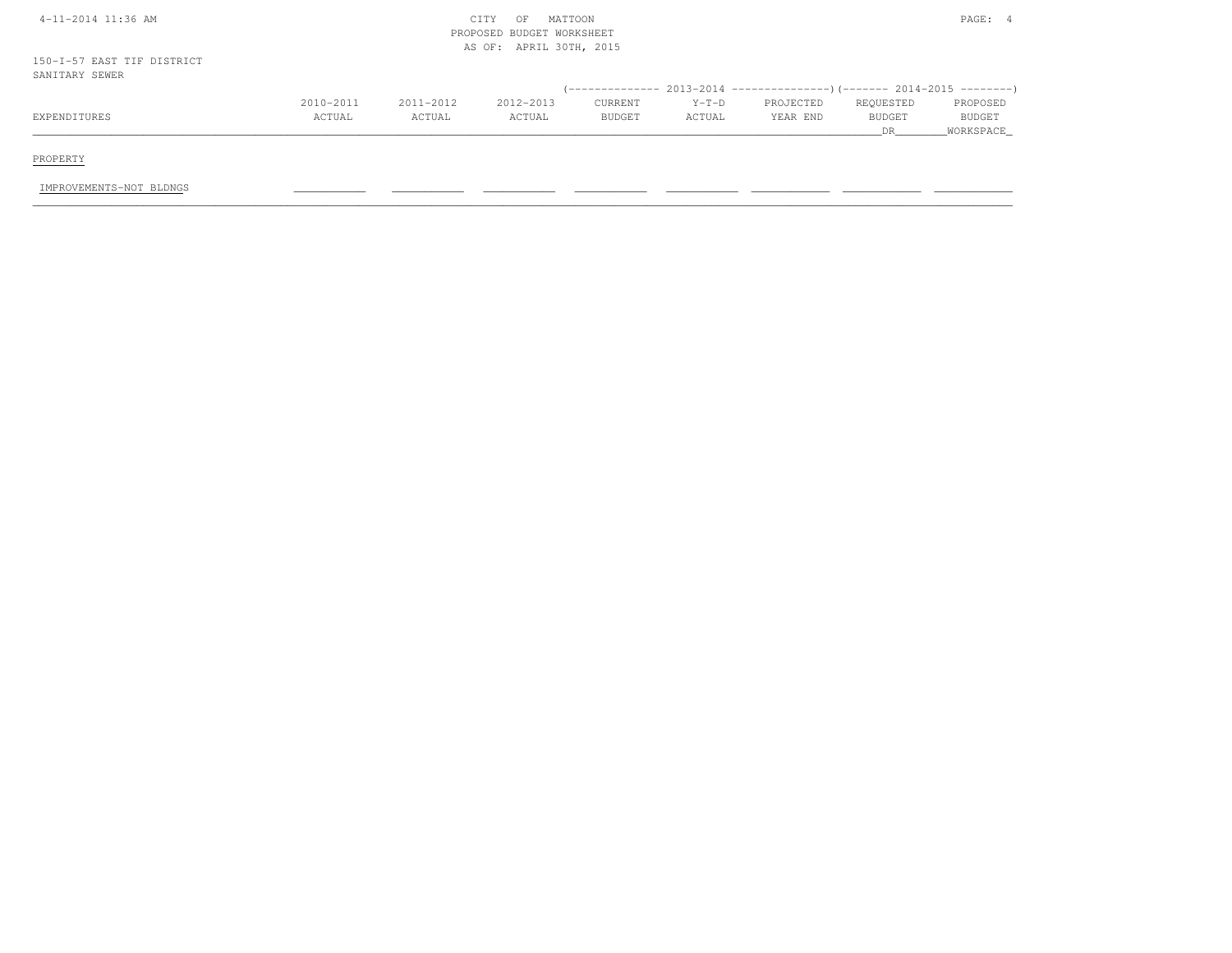| 4-11-2014 11:36 AM                           |           |           | MATTOON<br>CITY<br>OF<br>PROPOSED BUDGET WORKSHEET<br>AS OF: APRIL 30TH, 2015 |                |         |                                                           |                      | PAGE: 4             |
|----------------------------------------------|-----------|-----------|-------------------------------------------------------------------------------|----------------|---------|-----------------------------------------------------------|----------------------|---------------------|
| 150-I-57 EAST TIF DISTRICT<br>SANITARY SEWER |           |           |                                                                               |                |         |                                                           |                      |                     |
|                                              |           |           |                                                                               | -------------- |         | $2013-2014$ ----------------)(------- 2014-2015 --------) |                      |                     |
|                                              | 2010-2011 | 2011-2012 | 2012-2013                                                                     | CURRENT        | $Y-T-D$ | PROJECTED                                                 | REQUESTED            | PROPOSED            |
| EXPENDITURES                                 | ACTUAL    | ACTUAL    | ACTUAL                                                                        | <b>BUDGET</b>  | ACTUAL  | YEAR END                                                  | <b>BUDGET</b><br>DR. | BUDGET<br>WORKSPACE |
| PROPERTY                                     |           |           |                                                                               |                |         |                                                           |                      |                     |
| IMPROVEMENTS-NOT BLDNGS                      |           |           |                                                                               |                |         |                                                           |                      |                     |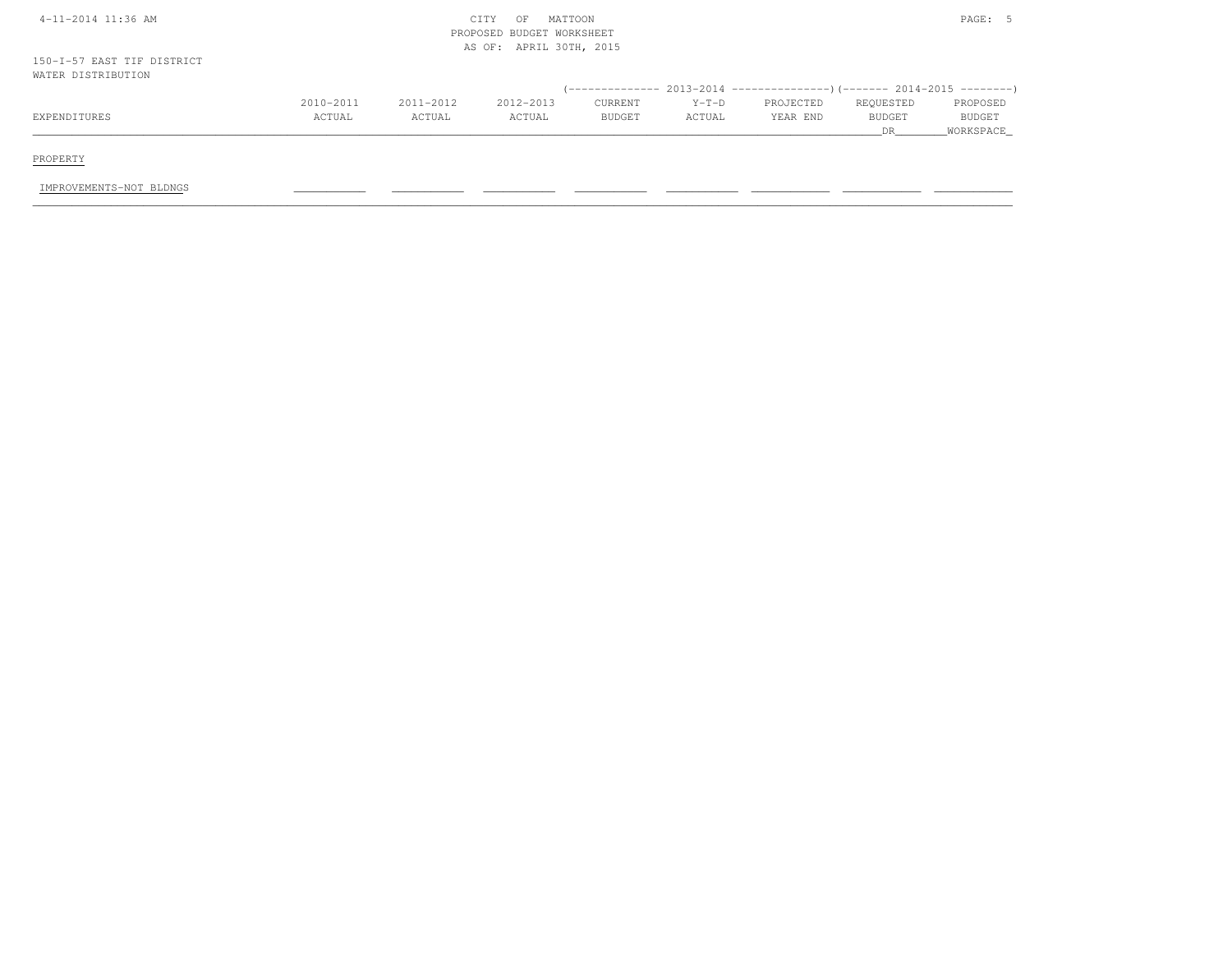| 4-11-2014 11:36 AM                               |           |           | MATTOON<br>CITY<br>OF<br>PROPOSED BUDGET WORKSHEET<br>AS OF: APRIL 30TH, 2015 |         |         |                                                                           |               | PAGE: 5   |
|--------------------------------------------------|-----------|-----------|-------------------------------------------------------------------------------|---------|---------|---------------------------------------------------------------------------|---------------|-----------|
| 150-I-57 EAST TIF DISTRICT<br>WATER DISTRIBUTION |           |           |                                                                               |         |         |                                                                           |               |           |
|                                                  |           |           |                                                                               |         |         | (-------------- 2013-2014 ----------------) (------- 2014-2015 ---------) |               |           |
|                                                  | 2010-2011 | 2011-2012 | 2012-2013                                                                     | CURRENT | $Y-T-D$ | PROJECTED                                                                 | REQUESTED     | PROPOSED  |
| EXPENDITURES                                     | ACTUAL    | ACTUAL    | ACTUAL                                                                        | BUDGET  | ACTUAL  | YEAR END                                                                  | <b>BUDGET</b> | BUDGET    |
|                                                  |           |           |                                                                               |         |         |                                                                           | DR.           | WORKSPACE |
|                                                  |           |           |                                                                               |         |         |                                                                           |               |           |
| PROPERTY                                         |           |           |                                                                               |         |         |                                                                           |               |           |
| IMPROVEMENTS-NOT BLDNGS                          |           |           |                                                                               |         |         |                                                                           |               |           |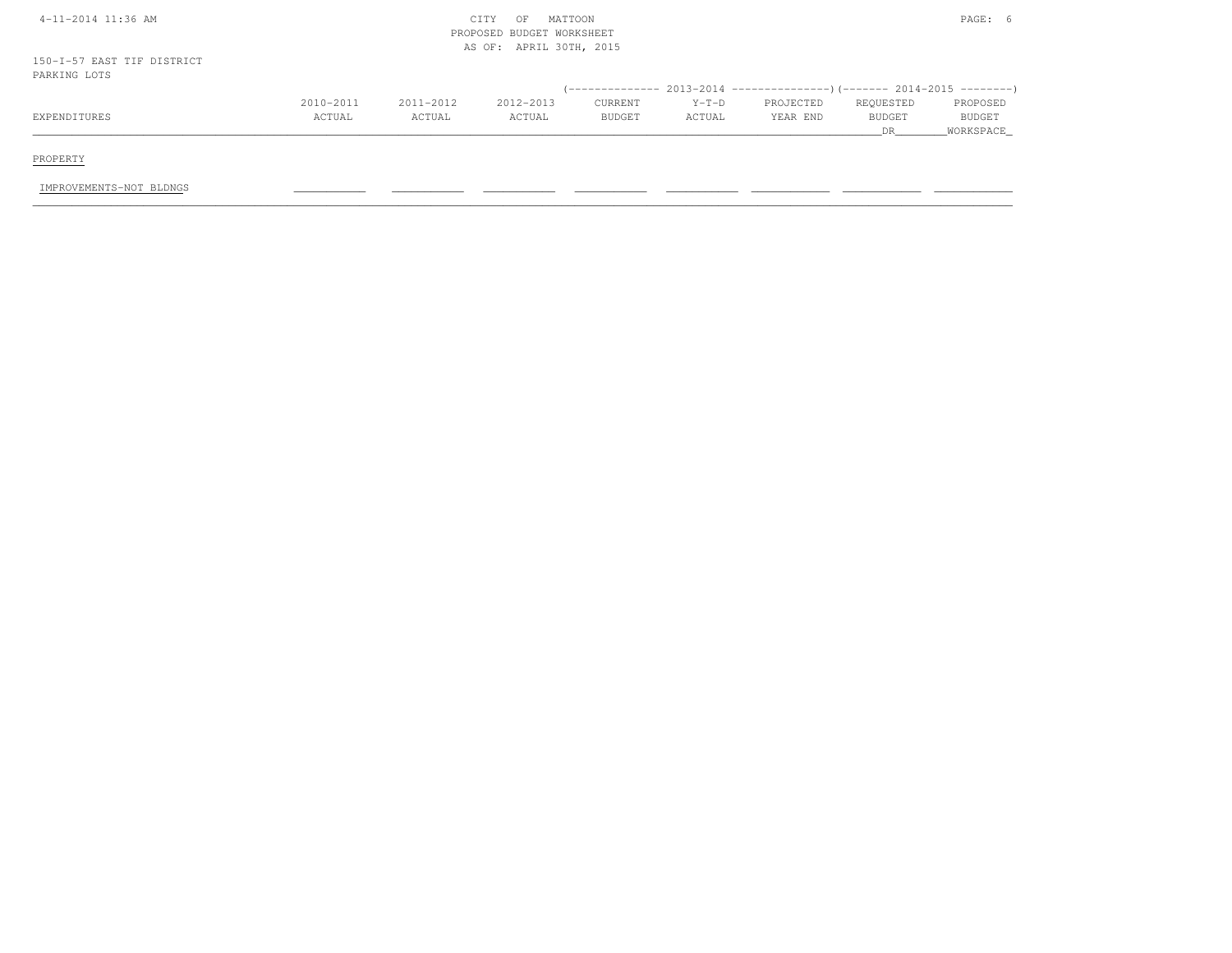| 4-11-2014 11:36 AM                         |           |           | MATTOON<br>CITY<br>OF<br>PROPOSED BUDGET WORKSHEET |                                    |         |                                                                         |               | PAGE: 6                    |
|--------------------------------------------|-----------|-----------|----------------------------------------------------|------------------------------------|---------|-------------------------------------------------------------------------|---------------|----------------------------|
| 150-I-57 EAST TIF DISTRICT<br>PARKING LOTS |           |           | AS OF: APRIL 30TH, 2015                            |                                    |         |                                                                         |               |                            |
|                                            | 2010-2011 | 2011-2012 | 2012-2013                                          | ( ______________<br><b>CURRENT</b> | $Y-T-D$ | $2013-2014$ ----------------)(------- 2014-2015 ---------)<br>PROJECTED | REQUESTED     | PROPOSED                   |
| EXPENDITURES                               | ACTUAL    | ACTUAL    | ACTUAL                                             | <b>BUDGET</b>                      | ACTUAL  | YEAR END                                                                | BUDGET<br>DR. | <b>BUDGET</b><br>WORKSPACE |
| PROPERTY                                   |           |           |                                                    |                                    |         |                                                                         |               |                            |
| IMPROVEMENTS-NOT BLDNGS                    |           |           |                                                    |                                    |         |                                                                         |               |                            |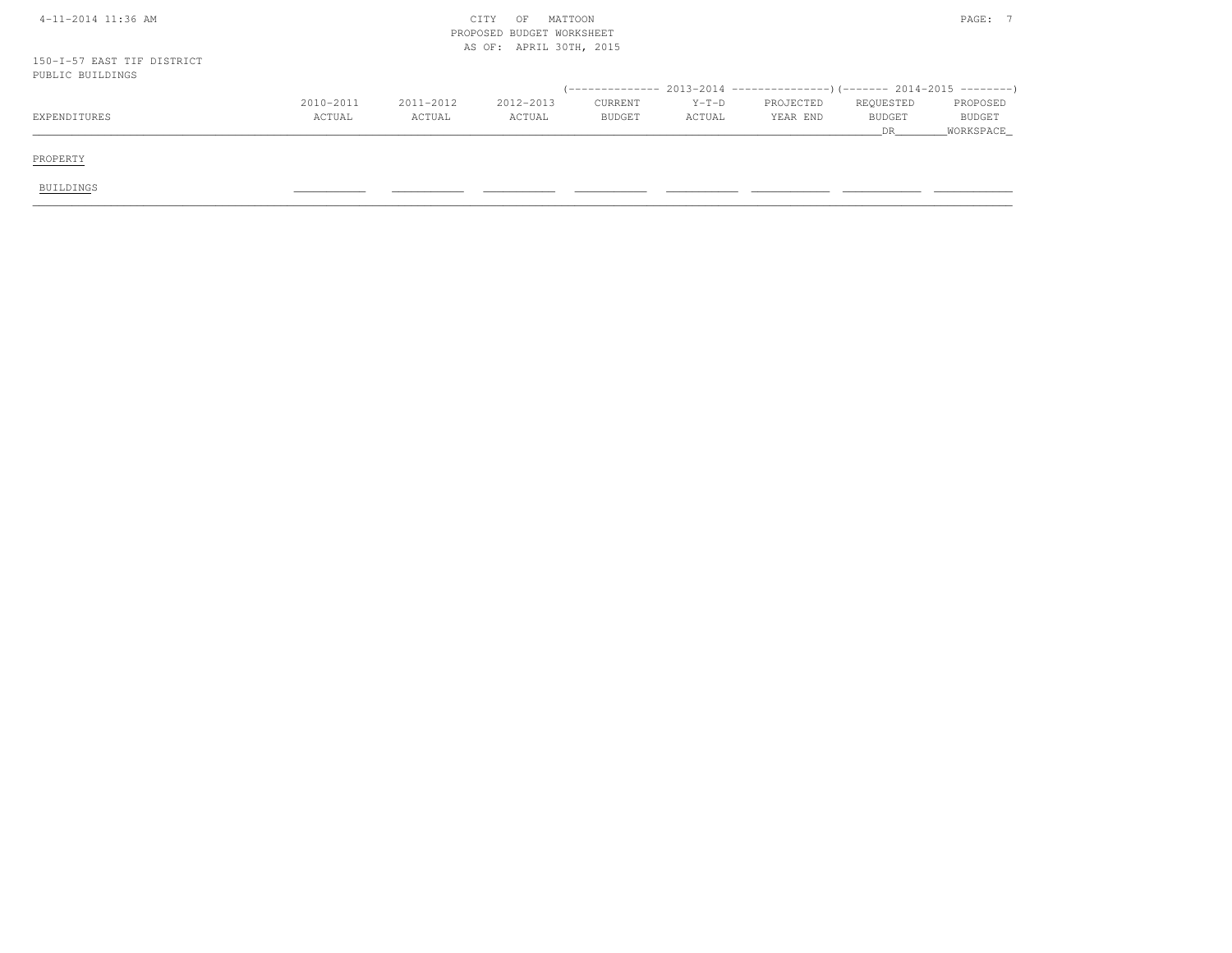| 4-11-2014 11:36 AM                             |           |           | MATTOON<br>CITY<br>OF<br>PROPOSED BUDGET WORKSHEET<br>AS OF: APRIL 30TH, 2015 |               |         |                                                                           |               | PAGE: 7       |
|------------------------------------------------|-----------|-----------|-------------------------------------------------------------------------------|---------------|---------|---------------------------------------------------------------------------|---------------|---------------|
| 150-I-57 EAST TIF DISTRICT<br>PUBLIC BUILDINGS |           |           |                                                                               |               |         |                                                                           |               |               |
|                                                |           |           |                                                                               |               |         | (-------------- 2013-2014 ----------------) (------- 2014-2015 ---------) |               |               |
|                                                | 2010-2011 | 2011-2012 | 2012-2013                                                                     | CURRENT       | $Y-T-D$ | PROJECTED                                                                 | REQUESTED     | PROPOSED      |
| EXPENDITURES                                   | ACTUAL    | ACTUAL    | ACTUAL                                                                        | <b>BUDGET</b> | ACTUAL  | YEAR END                                                                  | <b>BUDGET</b> | <b>BUDGET</b> |
|                                                |           |           |                                                                               |               |         |                                                                           | DR            | WORKSPACE     |
| PROPERTY                                       |           |           |                                                                               |               |         |                                                                           |               |               |
|                                                |           |           |                                                                               |               |         |                                                                           |               |               |
| BUILDINGS                                      |           |           |                                                                               |               |         |                                                                           |               |               |
|                                                |           |           |                                                                               |               |         |                                                                           |               |               |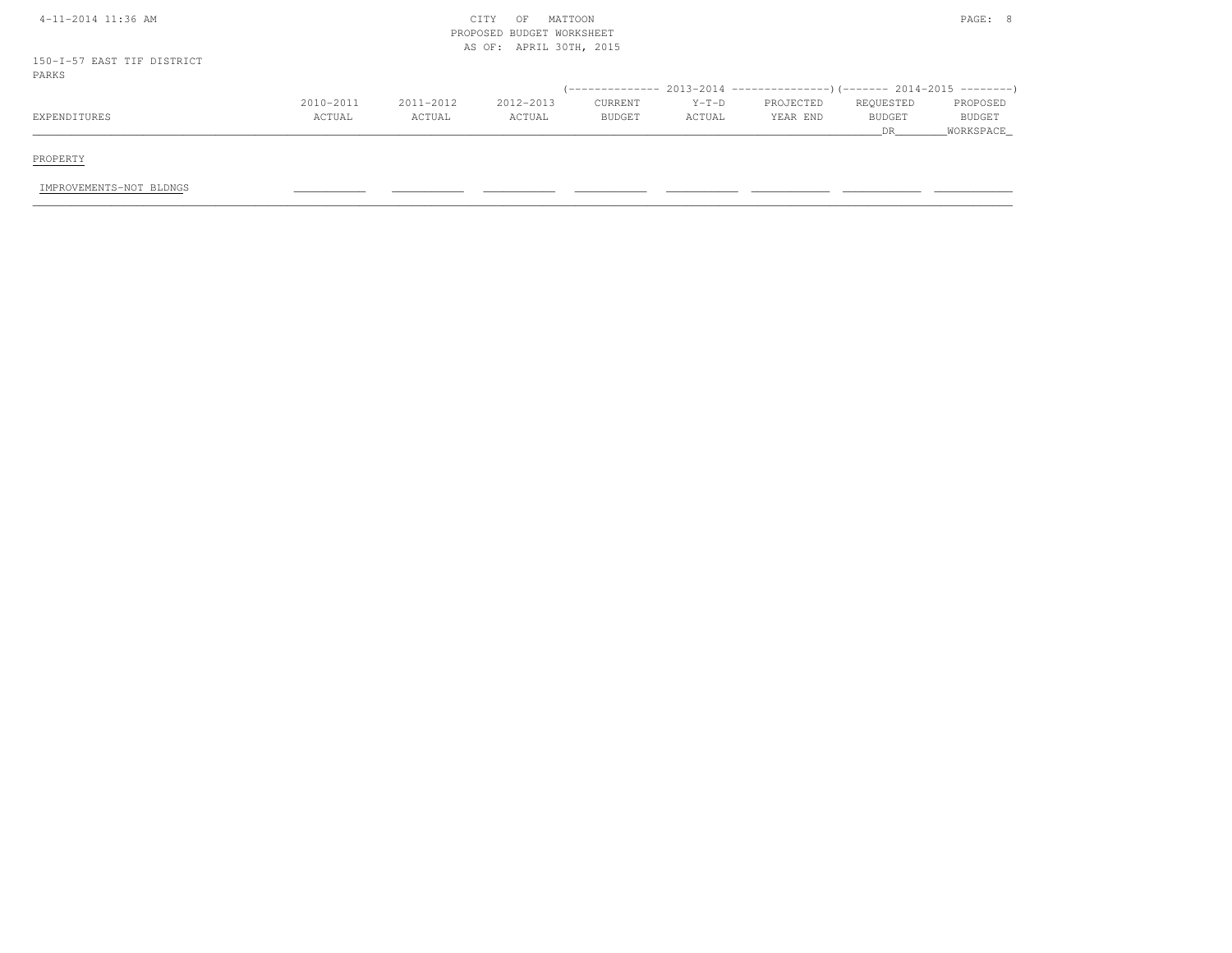| 4-11-2014 11:36 AM                  | MATTOON<br>CITY<br>OF<br>PROPOSED BUDGET WORKSHEET<br>AS OF: APRIL 30TH, 2015 |               |           |               |         |           |               |               |
|-------------------------------------|-------------------------------------------------------------------------------|---------------|-----------|---------------|---------|-----------|---------------|---------------|
| 150-I-57 EAST TIF DISTRICT<br>PARKS |                                                                               |               |           |               |         |           |               |               |
|                                     |                                                                               |               |           |               |         |           |               |               |
|                                     | $2010 - 2011$                                                                 | $2011 - 2012$ | 2012-2013 | CURRENT       | $Y-T-D$ | PROJECTED | REQUESTED     | PROPOSED      |
| EXPENDITURES                        | ACTUAL                                                                        | ACTUAL        | ACTUAL    | <b>BUDGET</b> | ACTUAL  | YEAR END  | <b>BUDGET</b> | <b>BUDGET</b> |
|                                     |                                                                               |               |           |               |         |           | DR.           | WORKSPACE     |
|                                     |                                                                               |               |           |               |         |           |               |               |
| PROPERTY                            |                                                                               |               |           |               |         |           |               |               |

IMPROVEMENTS-NOT BLDNGS \_\_\_\_\_\_\_\_\_\_\_ \_\_\_\_\_\_\_\_\_\_\_ \_\_\_\_\_\_\_\_\_\_\_ \_\_\_\_\_\_\_\_\_\_\_ \_\_\_\_\_\_\_\_\_\_\_ \_\_\_\_\_\_\_\_\_\_\_\_ \_\_\_\_\_\_\_\_\_\_\_\_ \_\_\_\_\_\_\_\_\_\_\_\_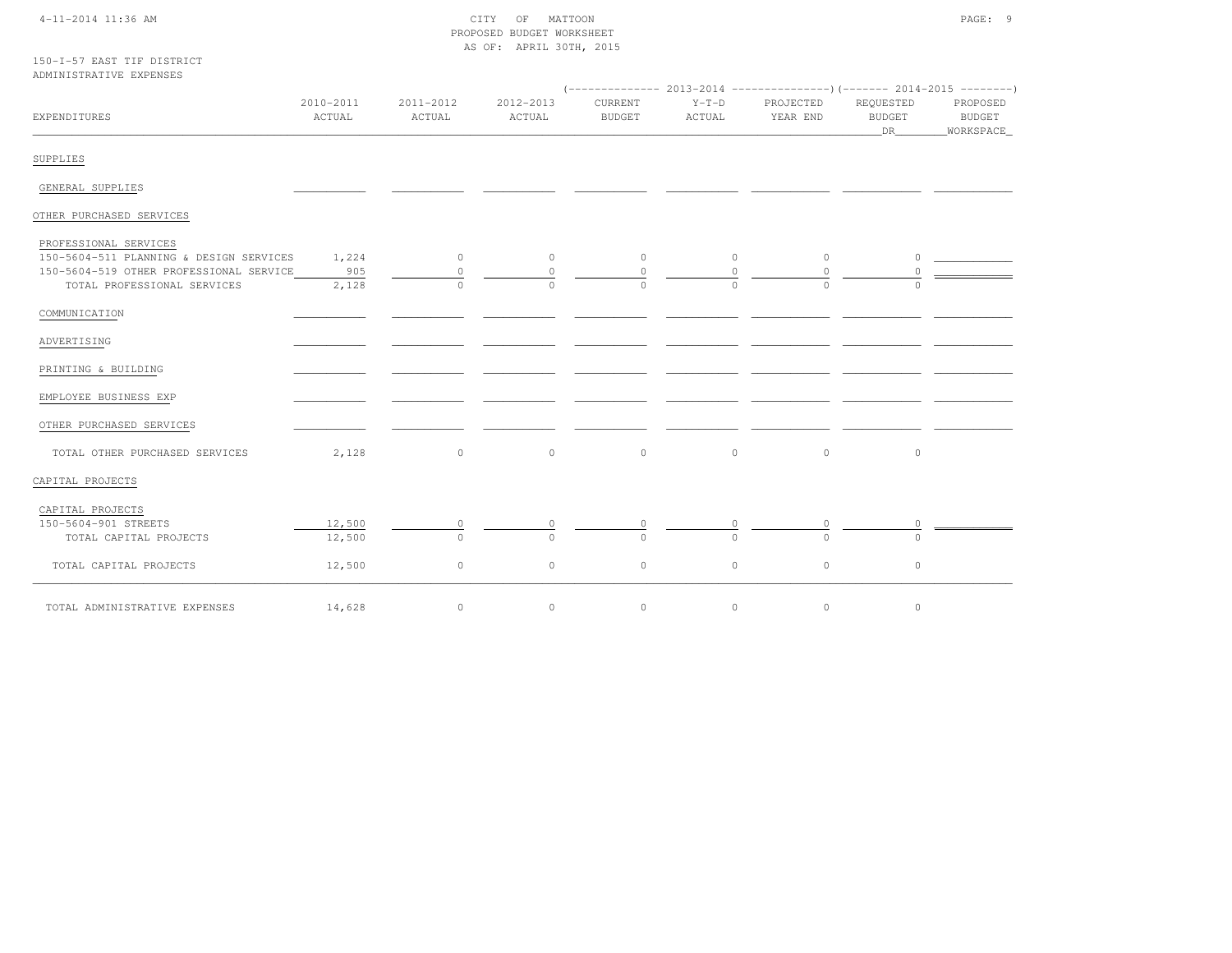## 4-11-2014 11:36 AM CITY OF MATTOON PAGE: 9 PROPOSED BUDGET WORKSHEETAS OF: APRIL 30TH, 2015

|                         |  | 150-T-57 EAST TIF DISTRICT |
|-------------------------|--|----------------------------|
| ADMINISTRATIVE EXPENSES |  |                            |

| EXPENDITURES                                                           | 2010-2011<br>ACTUAL | 2011-2012<br>ACTUAL | 2012-2013<br>ACTUAL | CURRENT<br><b>BUDGET</b> | $Y-T-D$<br>ACTUAL    | PROJECTED<br>YEAR END | REQUESTED<br>BUDGET<br>DR | PROPOSED<br><b>BUDGET</b><br>_WORKSPACE_ |
|------------------------------------------------------------------------|---------------------|---------------------|---------------------|--------------------------|----------------------|-----------------------|---------------------------|------------------------------------------|
| SUPPLIES                                                               |                     |                     |                     |                          |                      |                       |                           |                                          |
| GENERAL SUPPLIES                                                       |                     |                     |                     |                          |                      |                       |                           |                                          |
| OTHER PURCHASED SERVICES                                               |                     |                     |                     |                          |                      |                       |                           |                                          |
| PROFESSIONAL SERVICES<br>150-5604-511 PLANNING & DESIGN SERVICES       | 1,224               | $\circ$             | $\circ$             | $\circ$                  | $\circ$              | $\circ$               | $\circ$                   |                                          |
| 150-5604-519 OTHER PROFESSIONAL SERVICE<br>TOTAL PROFESSIONAL SERVICES | 905<br>2,128        | $\circ$<br>$\Omega$ | $\Omega$<br>$\cap$  | $\circ$<br>$\Omega$      | $\Omega$<br>$\Omega$ | $\Omega$<br>$\Omega$  | $\bigcap$                 |                                          |
| COMMUNICATION                                                          |                     |                     |                     |                          |                      |                       |                           |                                          |
| ADVERTISING                                                            |                     |                     |                     |                          |                      |                       |                           |                                          |
| PRINTING & BUILDING                                                    |                     |                     |                     |                          |                      |                       |                           |                                          |
| EMPLOYEE BUSINESS EXP                                                  |                     |                     |                     |                          |                      |                       |                           |                                          |
| OTHER PURCHASED SERVICES                                               |                     |                     |                     |                          |                      |                       |                           |                                          |
| TOTAL OTHER PURCHASED SERVICES                                         | 2,128               | $\circ$             | $\circ$             | $\circ$                  | $\circ$              | $\circ$               | $\circ$                   |                                          |
| CAPITAL PROJECTS                                                       |                     |                     |                     |                          |                      |                       |                           |                                          |
| CAPITAL PROJECTS<br>150-5604-901 STREETS                               | 12,500              | $\circ$             | $\circ$             |                          |                      |                       | $\circ$                   |                                          |
| TOTAL CAPITAL PROJECTS                                                 | 12,500              | $\Omega$            |                     |                          |                      |                       | $\cap$                    |                                          |
| TOTAL CAPITAL PROJECTS                                                 | 12,500              | $\circ$             | $\circ$             | $\circ$                  | $\circ$              | $\circ$               | $\circ$                   |                                          |
| TOTAL ADMINISTRATIVE EXPENSES                                          | 14,628              | $\circ$             | $\circ$             | $\mathbb O$              | $\circ$              | $\circ$               | $\circ$                   |                                          |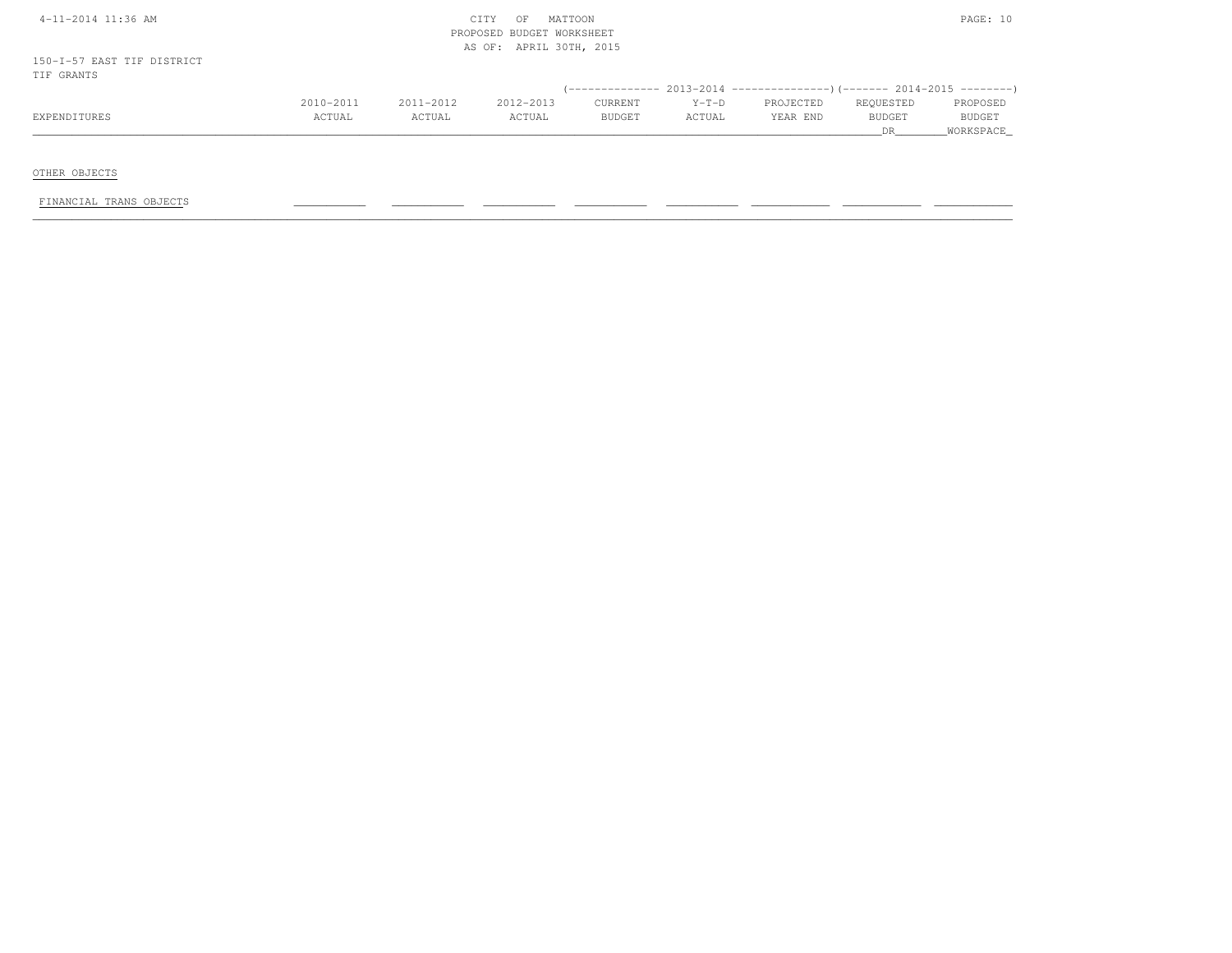|        |           | CITY<br>OF | MATTOON   |                                                                 |          |           | PAGE: 10            |
|--------|-----------|------------|-----------|-----------------------------------------------------------------|----------|-----------|---------------------|
|        |           |            |           |                                                                 |          |           |                     |
|        |           |            |           |                                                                 |          |           | PROPOSED            |
| ACTUAL | ACTUAL    | ACTUAL     | BUDGET    | ACTUAL                                                          | YEAR END | BUDGET    | BUDGET<br>WORKSPACE |
|        | 2010-2011 | 2011-2012  | 2012-2013 | PROPOSED BUDGET WORKSHEET<br>AS OF: APRIL 30TH, 2015<br>CURRENT | $Y-T-D$  | PROJECTED | REQUESTED<br>DR.    |

OTHER OBJECTS

FINANCIAL TRANS OBJECTS \_\_\_\_\_\_\_\_\_\_\_ \_\_\_\_\_\_\_\_\_\_\_ \_\_\_\_\_\_\_\_\_\_\_ \_\_\_\_\_\_\_\_\_\_\_ \_\_\_\_\_\_\_\_\_\_\_ \_\_\_\_\_\_\_\_\_\_\_\_ \_\_\_\_\_\_\_\_\_\_\_\_ \_\_\_\_\_\_\_\_\_\_\_\_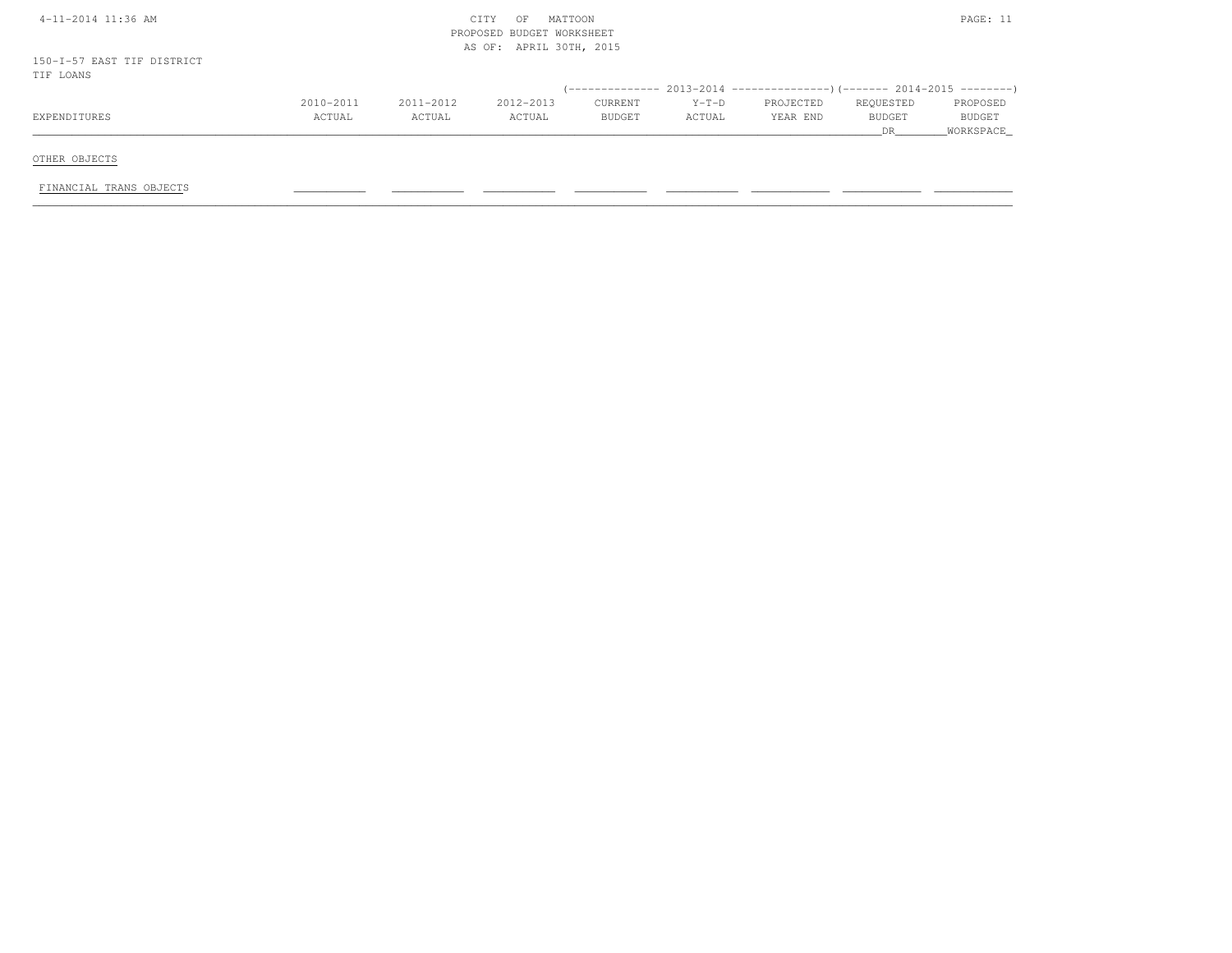| 4-11-2014 11:36 AM                      | MATTOON<br>CITY<br>OF<br>PROPOSED BUDGET WORKSHEET<br>APRIL 30TH, 2015<br>AS OF: |                     |                     |                          |                   |                                                                                |                                   |                                        |
|-----------------------------------------|----------------------------------------------------------------------------------|---------------------|---------------------|--------------------------|-------------------|--------------------------------------------------------------------------------|-----------------------------------|----------------------------------------|
| 150-I-57 EAST TIF DISTRICT<br>TIF LOANS |                                                                                  |                     |                     |                          |                   |                                                                                |                                   |                                        |
|                                         |                                                                                  |                     |                     |                          |                   | (-------------- 2013-2014 -------------------- ) (------- 2014-2015 ---------) |                                   |                                        |
| EXPENDITURES                            | 2010-2011<br>ACTUAL                                                              | 2011-2012<br>ACTUAL | 2012-2013<br>ACTUAL | <b>CURRENT</b><br>BUDGET | $Y-T-D$<br>ACTUAL | PROJECTED<br>YEAR END                                                          | REQUESTED<br><b>BUDGET</b><br>DR. | PROPOSED<br><b>BUDGET</b><br>WORKSPACE |
| OTHER OBJECTS                           |                                                                                  |                     |                     |                          |                   |                                                                                |                                   |                                        |
| FINANCIAL TRANS OBJECTS                 |                                                                                  |                     |                     |                          |                   |                                                                                |                                   |                                        |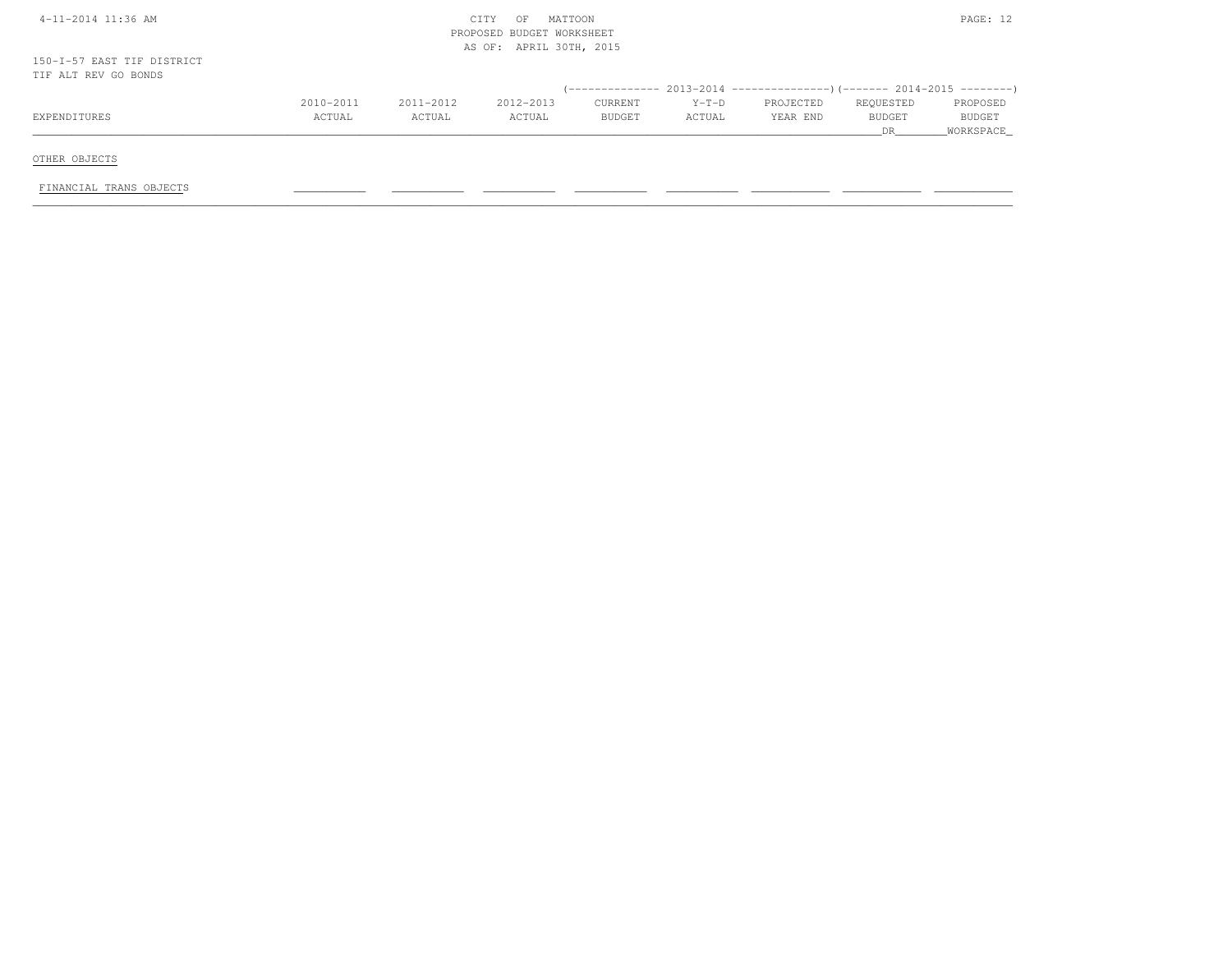| 4-11-2014 11:36 AM                                 | MATTOON<br>CITY<br>OF<br>PROPOSED BUDGET WORKSHEET<br>AS OF: APRIL 30TH, 2015 |           |           |               |         |                                                                              |                     |                     |  |  |
|----------------------------------------------------|-------------------------------------------------------------------------------|-----------|-----------|---------------|---------|------------------------------------------------------------------------------|---------------------|---------------------|--|--|
| 150-I-57 EAST TIF DISTRICT<br>TIF ALT REV GO BONDS |                                                                               |           |           |               |         |                                                                              |                     |                     |  |  |
|                                                    |                                                                               |           |           |               |         | $($ -------------- 2013-2014 ----------------) (------- 2014-2015 ---------) |                     |                     |  |  |
|                                                    | 2010-2011                                                                     | 2011-2012 | 2012-2013 | CURRENT       | $Y-T-D$ | PROJECTED                                                                    | REQUESTED           | PROPOSED            |  |  |
| EXPENDITURES                                       | ACTUAL                                                                        | ACTUAL    | ACTUAL    | <b>BUDGET</b> | ACTUAL  | YEAR END                                                                     | BUDGET<br><b>DR</b> | BUDGET<br>WORKSPACE |  |  |
| OTHER OBJECTS                                      |                                                                               |           |           |               |         |                                                                              |                     |                     |  |  |
| FINANCIAL TRANS OBJECTS                            |                                                                               |           |           |               |         |                                                                              |                     |                     |  |  |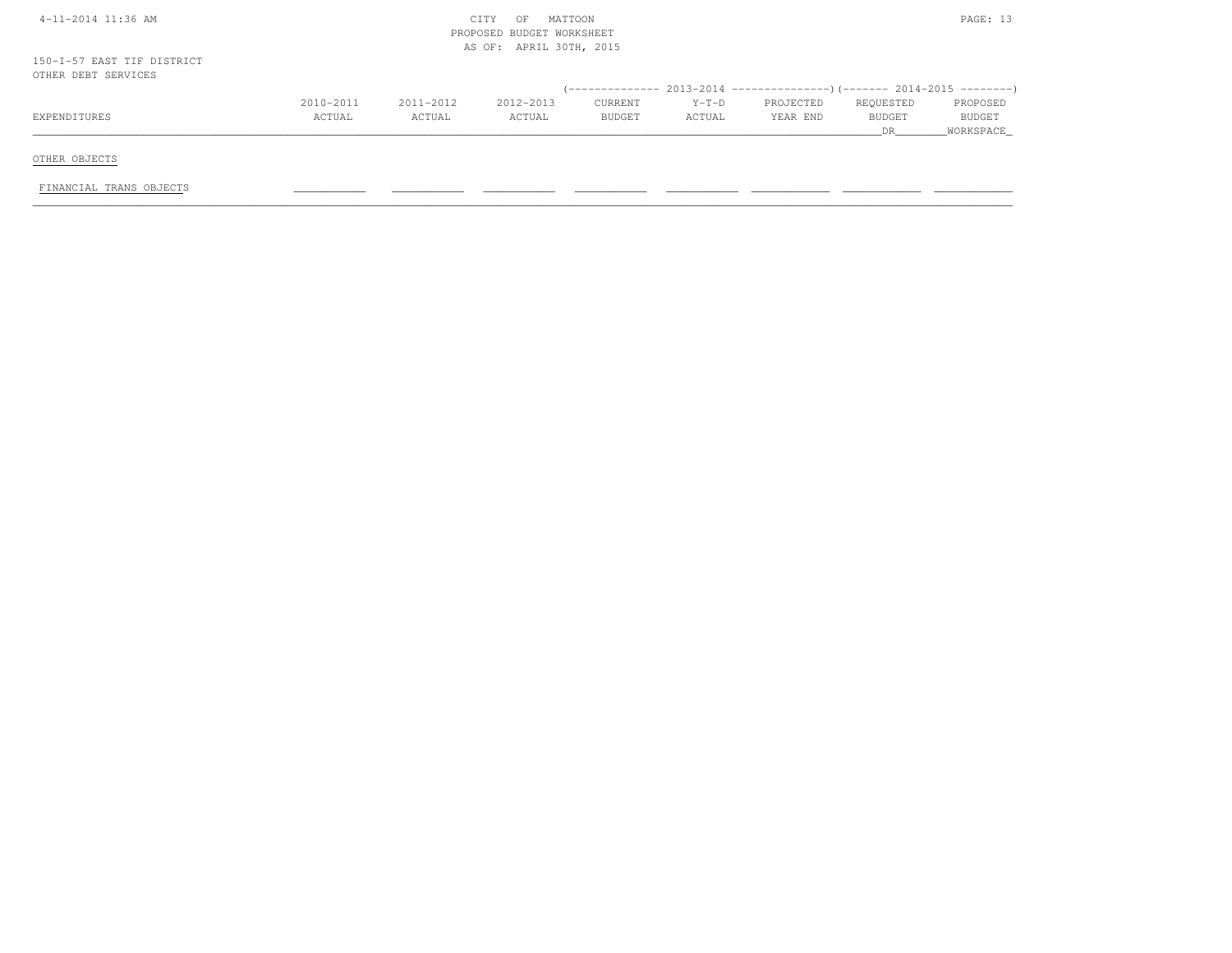| $4-11-2014$ 11:36 AM                              | MATTOON<br>CITY<br>OF<br>PROPOSED BUDGET WORKSHEET |           |                         |         |         |           |               |           |  |
|---------------------------------------------------|----------------------------------------------------|-----------|-------------------------|---------|---------|-----------|---------------|-----------|--|
| 150-I-57 EAST TIF DISTRICT<br>OTHER DEBT SERVICES |                                                    |           | AS OF: APRIL 30TH, 2015 |         |         |           |               |           |  |
|                                                   |                                                    |           |                         |         |         |           |               |           |  |
|                                                   | 2010-2011                                          | 2011-2012 | 2012-2013               | CURRENT | $Y-T-D$ | PROJECTED | REQUESTED     | PROPOSED  |  |
| EXPENDITURES                                      | ACTUAL                                             | ACTUAL    | ACTUAL                  | BUDGET  | ACTUAL  | YEAR END  | <b>BUDGET</b> | BUDGET    |  |
|                                                   |                                                    |           |                         |         |         |           | DR            | WORKSPACE |  |
| OTHER OBJECTS                                     |                                                    |           |                         |         |         |           |               |           |  |
| FINANCIAL TRANS OBJECTS                           |                                                    |           |                         |         |         |           |               |           |  |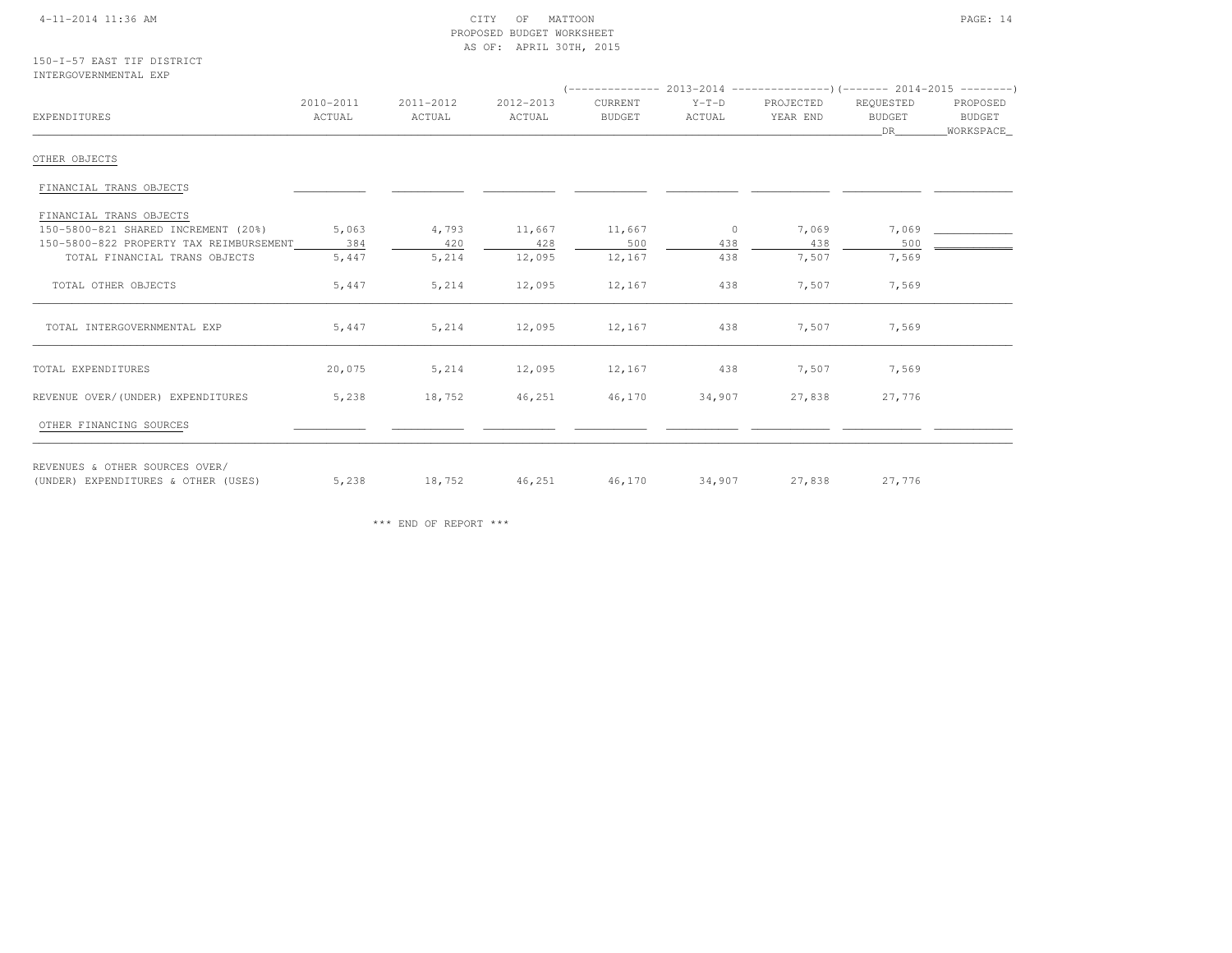## 4-11-2014 11:36 AM CITY OF MATTOON PAGE: 14 PROPOSED BUDGET WORKSHEETAS OF: APRIL 30TH, 2015

## 150-I-57 EAST TIF DISTRICTINTERGOVERNMENTAL EXP

| EXPENDITURES                                                          | 2010-2011<br>ACTUAL | 2011-2012<br>ACTUAL | 2012-2013<br>ACTUAL | CURRENT<br><b>BUDGET</b> | $Y-T-D$<br>ACTUAL | PROJECTED<br>YEAR END | REQUESTED<br>BUDGET<br>DR | PROPOSED<br>BUDGET<br>_WORKSPACE_ |
|-----------------------------------------------------------------------|---------------------|---------------------|---------------------|--------------------------|-------------------|-----------------------|---------------------------|-----------------------------------|
| OTHER OBJECTS                                                         |                     |                     |                     |                          |                   |                       |                           |                                   |
| FINANCIAL TRANS OBJECTS                                               |                     |                     |                     |                          |                   |                       |                           |                                   |
| FINANCIAL TRANS OBJECTS                                               |                     |                     |                     |                          |                   |                       |                           |                                   |
| 150-5800-821 SHARED INCREMENT (20%)                                   | 5,063               | 4,793               | 11,667              | 11,667                   | $\overline{0}$    | 7,069                 | 7,069                     |                                   |
| 150-5800-822 PROPERTY TAX REIMBURSEMENT                               | 384                 | 420                 | 428                 | 500                      | 438               | 438                   | 500                       |                                   |
| TOTAL FINANCIAL TRANS OBJECTS                                         | 5,447               | 5,214               | 12,095              | 12,167                   | 438               | 7,507                 | 7,569                     |                                   |
| TOTAL OTHER OBJECTS                                                   | 5,447               | 5,214               | 12,095              | 12,167                   | 438               | 7,507                 | 7,569                     |                                   |
| TOTAL INTERGOVERNMENTAL EXP                                           | 5,447               | 5,214               | 12,095              | 12,167                   | 438               | 7,507                 | 7,569                     |                                   |
| TOTAL EXPENDITURES                                                    | 20,075              | 5,214               | 12,095              | 12,167                   | 438               | 7,507                 | 7,569                     |                                   |
| REVENUE OVER/(UNDER) EXPENDITURES                                     | 5,238               | 18,752              | 46,251              | 46,170                   | 34,907            | 27,838                | 27,776                    |                                   |
| OTHER FINANCING SOURCES                                               |                     |                     |                     |                          |                   |                       |                           |                                   |
| REVENUES & OTHER SOURCES OVER/<br>(UNDER) EXPENDITURES & OTHER (USES) | 5,238               | 18,752              | 46,251              | 46,170                   | 34,907            | 27,838                | 27,776                    |                                   |

\*\*\* END OF REPORT \*\*\*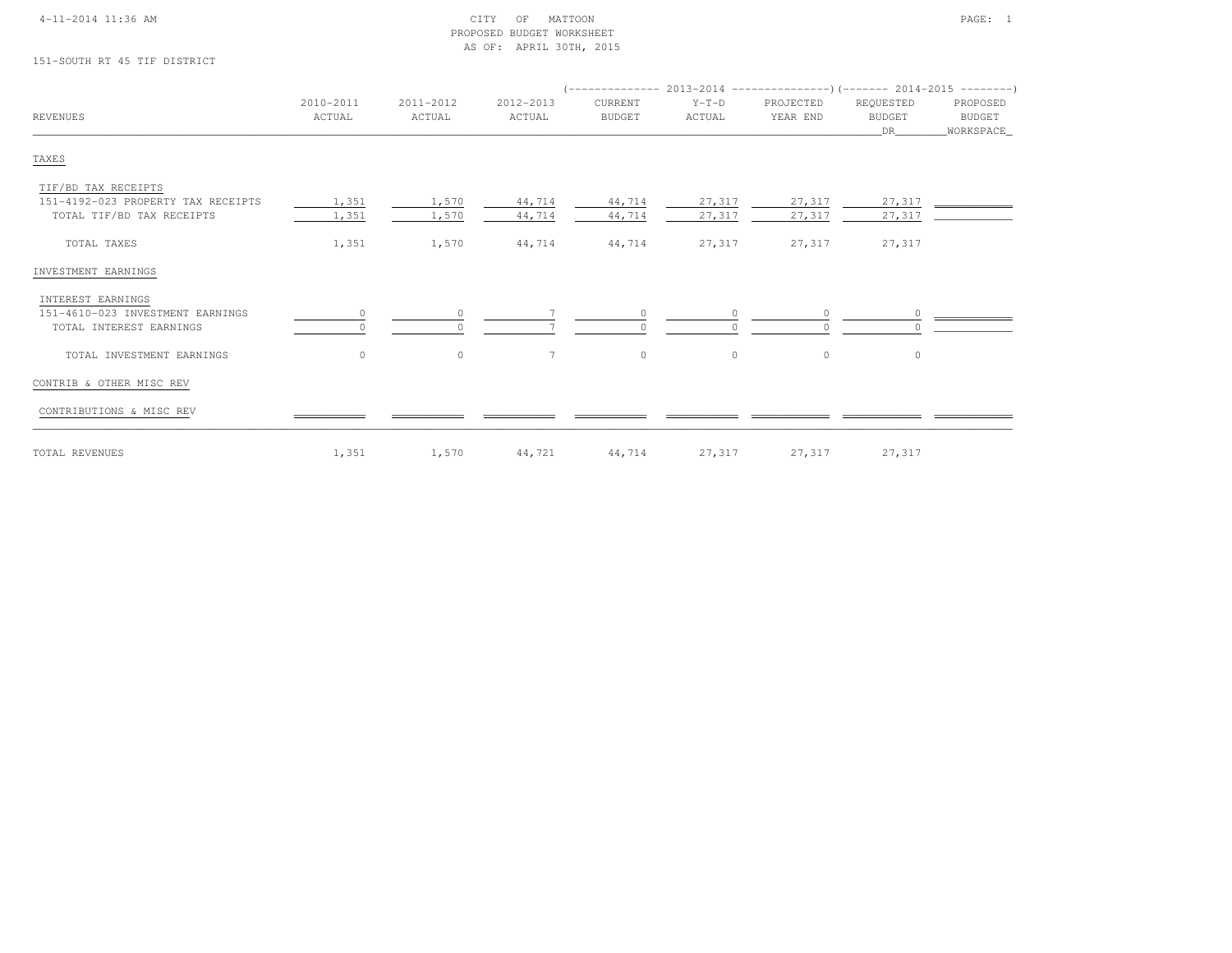## 4-11-2014 11:36 AM CITY OF MATTOON PAGE: 1 PROPOSED BUDGET WORKSHEETAS OF: APRIL 30TH, 2015

151-SOUTH RT 45 TIF DISTRICT

| REVENUES                           | 2010-2011<br>ACTUAL | 2011-2012<br>ACTUAL | 2012-2013<br>ACTUAL | CURRENT<br><b>BUDGET</b> | $Y-T-D$<br>ACTUAL | PROJECTED<br>YEAR END | REQUESTED<br><b>BUDGET</b><br>DR | PROPOSED<br>BUDGET<br>WORKSPACE |
|------------------------------------|---------------------|---------------------|---------------------|--------------------------|-------------------|-----------------------|----------------------------------|---------------------------------|
| TAXES                              |                     |                     |                     |                          |                   |                       |                                  |                                 |
| TIF/BD TAX RECEIPTS                |                     |                     |                     |                          |                   |                       |                                  |                                 |
| 151-4192-023 PROPERTY TAX RECEIPTS | 1,351               | 1,570               | 44,714              | 44,714                   | 27,317            | 27,317                | 27,317                           |                                 |
| TOTAL TIF/BD TAX RECEIPTS          | 1,351               | 1,570               | 44,714              | 44,714                   | 27,317            | 27,317                | 27,317                           |                                 |
| TOTAL TAXES                        | 1,351               | 1,570               | 44,714              | 44,714                   | 27,317            | 27,317                | 27,317                           |                                 |
| INVESTMENT EARNINGS                |                     |                     |                     |                          |                   |                       |                                  |                                 |
| INTEREST EARNINGS                  |                     |                     |                     |                          |                   |                       |                                  |                                 |
| 151-4610-023 INVESTMENT EARNINGS   | $\circ$             |                     |                     | $\Omega$                 |                   | $\Omega$              |                                  |                                 |
| TOTAL INTEREST EARNINGS            |                     |                     |                     |                          |                   | $\cap$                |                                  |                                 |
| TOTAL INVESTMENT EARNINGS          | $\circ$             | $\circ$             | $\overline{7}$      | $\circ$                  | $\circ$           | $\circ$               | $\circ$                          |                                 |
| CONTRIB & OTHER MISC REV           |                     |                     |                     |                          |                   |                       |                                  |                                 |
| CONTRIBUTIONS & MISC REV           |                     |                     |                     |                          |                   |                       |                                  |                                 |
| TOTAL REVENUES                     | 1,351               | 1,570               | 44,721              | 44,714                   | 27,317            | 27,317                | 27,317                           |                                 |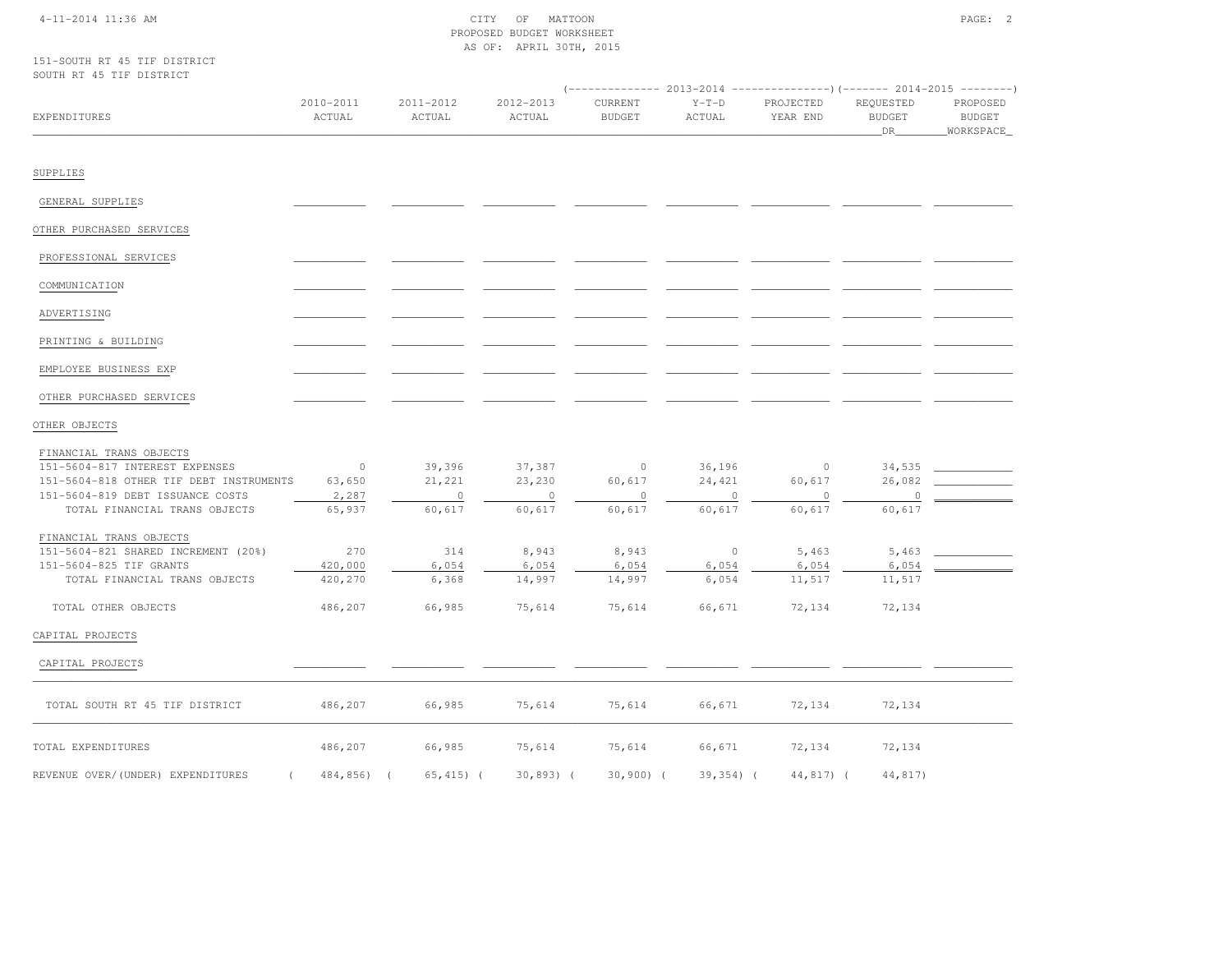# 4-11-2014 11:36 AM CITY OF MATTOON PAGE: 2 PROPOSED BUDGET WORKSHEETAS OF: APRIL 30TH, 2015

151-SOUTH RT 45 TIF DISTRICTSOUTH RT 45 TIF DISTRICT

| OOGIN MI 40 III DIGINIGI                                  |                     |                     |                     | $(----------2013-2014$ ---------------) (------- 2014-2015 -------) |                   |                       |                                  |                                        |
|-----------------------------------------------------------|---------------------|---------------------|---------------------|---------------------------------------------------------------------|-------------------|-----------------------|----------------------------------|----------------------------------------|
| EXPENDITURES                                              | 2010-2011<br>ACTUAL | 2011-2012<br>ACTUAL | 2012-2013<br>ACTUAL | CURRENT<br><b>BUDGET</b>                                            | $Y-T-D$<br>ACTUAL | PROJECTED<br>YEAR END | REQUESTED<br><b>BUDGET</b><br>DR | PROPOSED<br><b>BUDGET</b><br>WORKSPACE |
| SUPPLIES                                                  |                     |                     |                     |                                                                     |                   |                       |                                  |                                        |
| GENERAL SUPPLIES                                          |                     |                     |                     |                                                                     |                   |                       |                                  |                                        |
| OTHER PURCHASED SERVICES                                  |                     |                     |                     |                                                                     |                   |                       |                                  |                                        |
| PROFESSIONAL SERVICES                                     |                     |                     |                     |                                                                     |                   |                       |                                  |                                        |
| COMMUNICATION                                             |                     |                     |                     |                                                                     |                   |                       |                                  |                                        |
| ADVERTISING                                               |                     |                     |                     |                                                                     |                   |                       |                                  |                                        |
| PRINTING & BUILDING                                       |                     |                     |                     |                                                                     |                   |                       |                                  |                                        |
| EMPLOYEE BUSINESS EXP                                     |                     |                     |                     |                                                                     |                   |                       |                                  |                                        |
| OTHER PURCHASED SERVICES                                  |                     |                     |                     |                                                                     |                   |                       |                                  |                                        |
| OTHER OBJECTS                                             |                     |                     |                     |                                                                     |                   |                       |                                  |                                        |
| FINANCIAL TRANS OBJECTS<br>151-5604-817 INTEREST EXPENSES | $\overline{0}$      | 39,396              | 37,387              | $\sim$ 0                                                            | 36,196            | $\circ$               | 34,535                           |                                        |
| 151-5604-818 OTHER TIF DEBT INSTRUMENTS                   | 63,650              | 21,221              | 23,230              | 60,617                                                              | 24,421            | 60,617                | 26,082                           |                                        |
| 151-5604-819 DEBT ISSUANCE COSTS                          | 2,287               | $\overline{0}$      | $\overline{0}$      | $\overline{0}$                                                      | $\circ$           | $\circ$               | $\circ$                          |                                        |
| TOTAL FINANCIAL TRANS OBJECTS                             | 65,937              | 60,617              | 60,617              | 60,617                                                              | 60,617            | 60,617                | 60,617                           |                                        |
| FINANCIAL TRANS OBJECTS                                   |                     |                     |                     |                                                                     |                   |                       |                                  |                                        |
| 151-5604-821 SHARED INCREMENT (20%)                       | 270                 | 314                 | 8,943               | 8,943                                                               | $\sim$ 0          | 5,463                 | 5,463                            |                                        |
| 151-5604-825 TIF GRANTS                                   | 420,000             | 6,054               | 6,054               | 6,054                                                               | 6,054             | 6,054                 | 6,054                            |                                        |
| TOTAL FINANCIAL TRANS OBJECTS                             | 420,270             | 6,368               | 14,997              | 14,997                                                              | 6,054             | 11,517                | 11,517                           |                                        |
| TOTAL OTHER OBJECTS                                       | 486,207             | 66,985              | 75,614              | 75,614                                                              | 66,671            | 72,134                | 72,134                           |                                        |
| CAPITAL PROJECTS                                          |                     |                     |                     |                                                                     |                   |                       |                                  |                                        |
| CAPITAL PROJECTS                                          |                     |                     |                     |                                                                     |                   |                       |                                  |                                        |
| TOTAL SOUTH RT 45 TIF DISTRICT                            | 486,207             | 66,985              | 75,614              | 75,614                                                              | 66,671            | 72,134                | 72,134                           |                                        |
| TOTAL EXPENDITURES                                        | 486,207             | 66,985              | 75,614              | 75,614                                                              | 66,671            | 72,134                | 72,134                           |                                        |
| REVENUE OVER/(UNDER) EXPENDITURES                         | 484,856) (          | $65, 415)$ (        | $30,893)$ (         | $30,900$ (                                                          | $39,354)$ (       | 44,817) (             | 44,817)                          |                                        |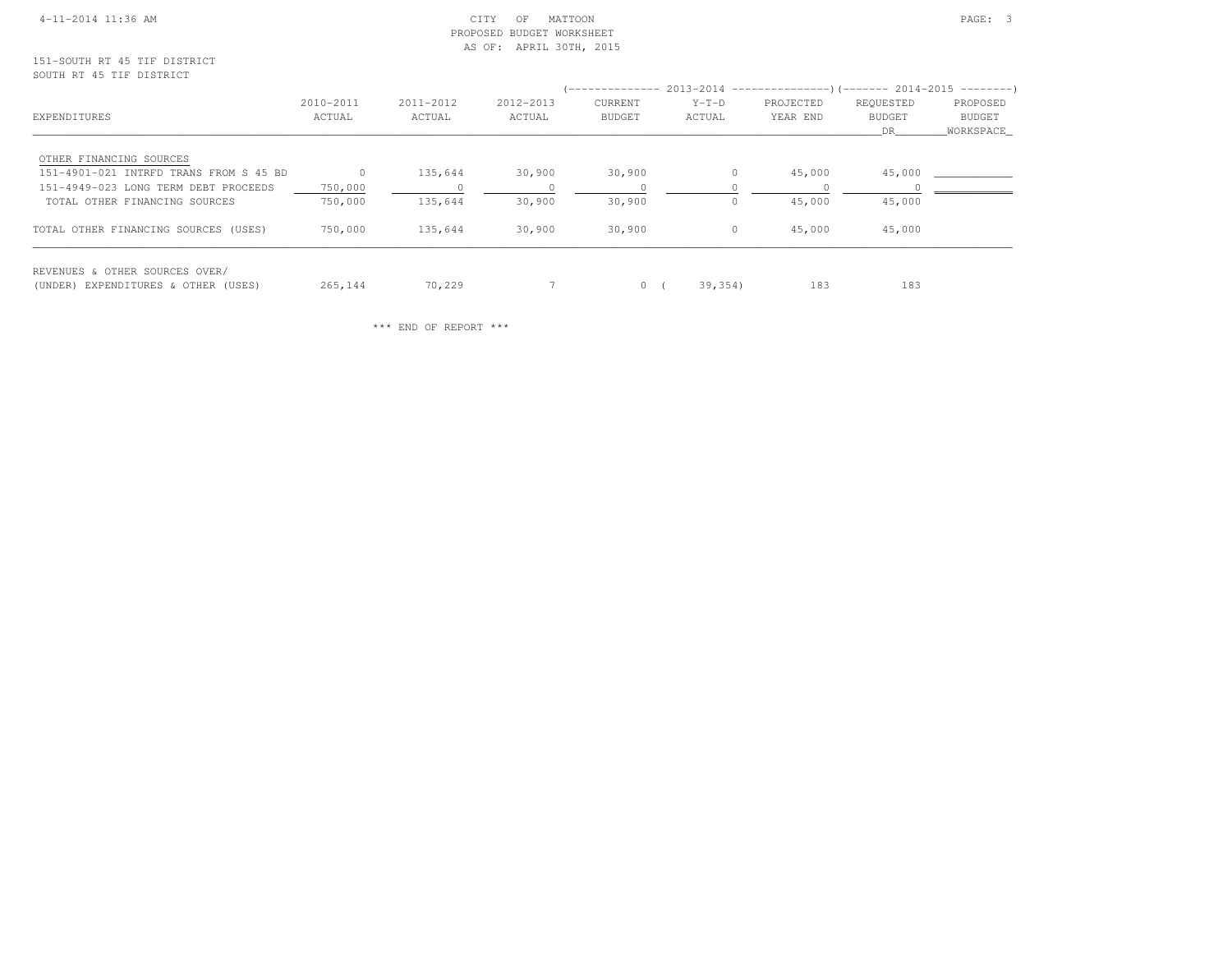## 4-11-2014 11:36 AM CITY OF MATTOON PAGE: 3 PROPOSED BUDGET WORKSHEETAS OF: APRIL 30TH, 2015

|                                        |           |           |           | (-------------- 2013-2014 -----------------) (------- 2014-2015 ---------) |          |           |               |           |
|----------------------------------------|-----------|-----------|-----------|----------------------------------------------------------------------------|----------|-----------|---------------|-----------|
|                                        | 2010-2011 | 2011-2012 | 2012-2013 | <b>CURRENT</b>                                                             | $Y-T-D$  | PROJECTED | REQUESTED     | PROPOSED  |
| EXPENDITURES                           | ACTUAL    | ACTUAL    | ACTUAL    | BUDGET                                                                     | ACTUAL   | YEAR END  | <b>BUDGET</b> | BUDGET    |
|                                        |           |           |           |                                                                            |          |           | DR.           | WORKSPACE |
| OTHER FINANCING SOURCES                |           |           |           |                                                                            |          |           |               |           |
| 151-4901-021 INTRFD TRANS FROM S 45 BD |           | 135,644   | 30,900    | 30,900                                                                     |          | 45,000    | 45,000        |           |
| 151-4949-023 LONG TERM DEBT PROCEEDS   | 750,000   |           |           |                                                                            |          |           |               |           |
| TOTAL OTHER FINANCING SOURCES          | 750,000   | 135,644   | 30,900    | 30,900                                                                     |          | 45,000    | 45,000        |           |
| TOTAL OTHER FINANCING SOURCES (USES)   | 750,000   | 135,644   | 30,900    | 30,900                                                                     | $\Omega$ | 45,000    | 45,000        |           |
| REVENUES & OTHER SOURCES OVER/         |           |           |           |                                                                            |          |           |               |           |
| (UNDER) EXPENDITURES & OTHER (USES)    | 265,144   | 70,229    |           | $0 \sqrt{2}$                                                               | 39,354)  | 183       | 183           |           |

\*\*\* END OF REPORT \*\*\*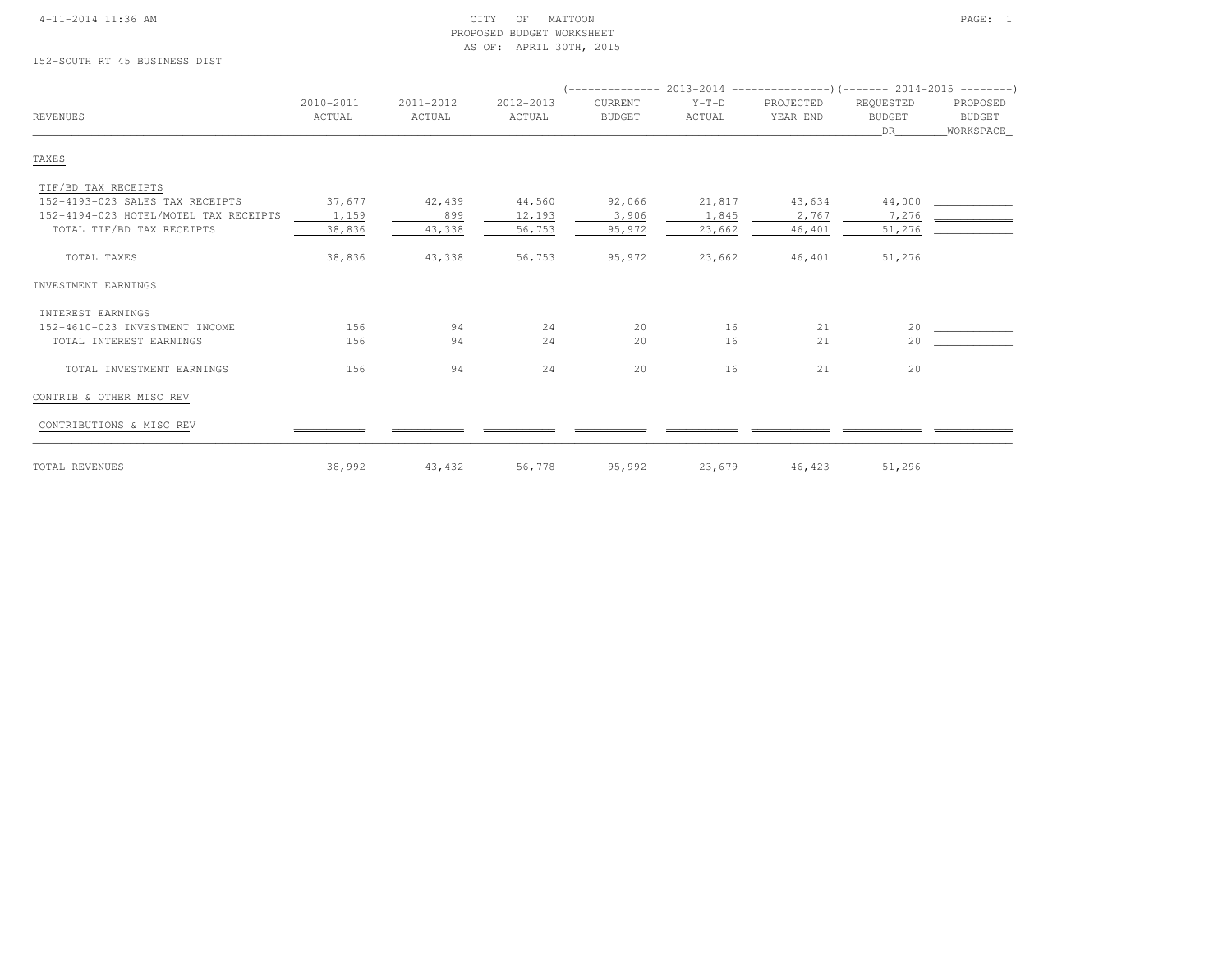## 4-11-2014 11:36 AM CITY OF MATTOON PAGE: 1 PROPOSED BUDGET WORKSHEETAS OF: APRIL 30TH, 2015

152-SOUTH RT 45 BUSINESS DIST

| <b>REVENUES</b>                       | 2010-2011<br>ACTUAL | 2011-2012<br>ACTUAL | 2012-2013<br>ACTUAL | CURRENT<br><b>BUDGET</b> | $Y-T-D$<br>ACTUAL | PROJECTED<br>YEAR END | REQUESTED<br><b>BUDGET</b> | PROPOSED<br><b>BUDGET</b> |
|---------------------------------------|---------------------|---------------------|---------------------|--------------------------|-------------------|-----------------------|----------------------------|---------------------------|
|                                       |                     |                     |                     |                          |                   |                       | DR                         | WORKSPACE_                |
| TAXES                                 |                     |                     |                     |                          |                   |                       |                            |                           |
| TIF/BD TAX RECEIPTS                   |                     |                     |                     |                          |                   |                       |                            |                           |
| 152-4193-023 SALES TAX RECEIPTS       | 37,677              | 42,439              | 44,560              | 92,066                   | 21,817            | 43,634                | 44,000                     |                           |
| 152-4194-023 HOTEL/MOTEL TAX RECEIPTS | 1,159               | 899                 | 12,193              | 3,906                    | 1,845             | 2,767                 | 7,276                      |                           |
| TOTAL TIF/BD TAX RECEIPTS             | 38,836              | 43,338              | 56,753              | 95,972                   | 23,662            | 46,401                | 51,276                     |                           |
| TOTAL TAXES                           | 38,836              | 43,338              | 56,753              | 95,972                   | 23,662            | 46,401                | 51,276                     |                           |
| INVESTMENT EARNINGS                   |                     |                     |                     |                          |                   |                       |                            |                           |
| INTEREST EARNINGS                     |                     |                     |                     |                          |                   |                       |                            |                           |
| 152-4610-023 INVESTMENT INCOME        | 156                 | 94                  | 24                  | 20                       | 16                | 21                    | 20                         |                           |
| TOTAL INTEREST EARNINGS               | 156                 | 94                  | 24                  | 20                       | 16                | 21                    | 20                         |                           |
| TOTAL INVESTMENT EARNINGS             | 156                 | 94                  | 24                  | 20                       | 16                | 21                    | 20                         |                           |
| CONTRIB & OTHER MISC REV              |                     |                     |                     |                          |                   |                       |                            |                           |
| CONTRIBUTIONS & MISC REV              |                     |                     |                     |                          |                   |                       |                            |                           |
| TOTAL REVENUES                        | 38,992              | 43,432              | 56,778              | 95,992                   | 23,679            | 46,423                | 51,296                     |                           |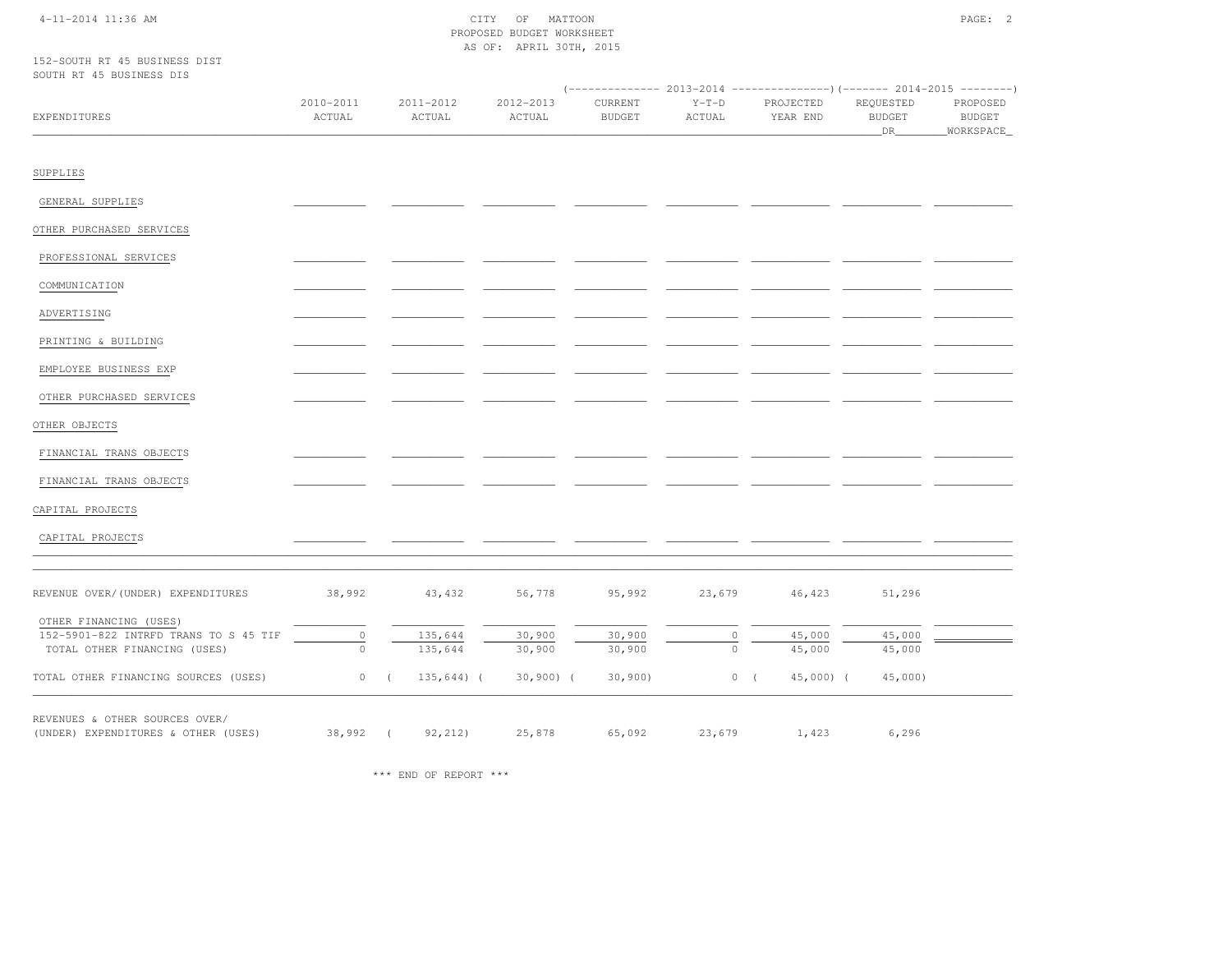#### 4-11-2014 11:36 AM CITY OF MATTOON PAGE: 2 PROPOSED BUDGET WORKSHEETAS OF: APRIL 30TH, 2015

152-SOUTH RT 45 BUSINESS DISTSOUTH RT 45 BUSINESS DIS

| PONTH KT 40 BUPINEPP DIP              |                     |            |                     |                     |                          |                   |                       |                                   |                                  |
|---------------------------------------|---------------------|------------|---------------------|---------------------|--------------------------|-------------------|-----------------------|-----------------------------------|----------------------------------|
| EXPENDITURES                          | 2010-2011<br>ACTUAL |            | 2011-2012<br>ACTUAL | 2012-2013<br>ACTUAL | CURRENT<br><b>BUDGET</b> | $Y-T-D$<br>ACTUAL | PROJECTED<br>YEAR END | REQUESTED<br><b>BUDGET</b><br>DR_ | PROPOSED<br>BUDGET<br>WORKSPACE_ |
| SUPPLIES                              |                     |            |                     |                     |                          |                   |                       |                                   |                                  |
| GENERAL SUPPLIES                      |                     |            |                     |                     |                          |                   |                       |                                   |                                  |
| OTHER PURCHASED SERVICES              |                     |            |                     |                     |                          |                   |                       |                                   |                                  |
| PROFESSIONAL SERVICES                 |                     |            |                     |                     |                          |                   |                       |                                   |                                  |
| COMMUNICATION                         |                     |            |                     |                     |                          |                   |                       |                                   |                                  |
| ADVERTISING                           |                     |            |                     |                     |                          |                   |                       |                                   |                                  |
| PRINTING & BUILDING                   |                     |            |                     |                     |                          |                   |                       |                                   |                                  |
| EMPLOYEE BUSINESS EXP                 |                     |            |                     |                     |                          |                   |                       |                                   |                                  |
| OTHER PURCHASED SERVICES              |                     |            |                     |                     |                          |                   |                       |                                   |                                  |
| OTHER OBJECTS                         |                     |            |                     |                     |                          |                   |                       |                                   |                                  |
| FINANCIAL TRANS OBJECTS               |                     |            |                     |                     |                          |                   |                       |                                   |                                  |
| FINANCIAL TRANS OBJECTS               |                     |            |                     |                     |                          |                   |                       |                                   |                                  |
| CAPITAL PROJECTS                      |                     |            |                     |                     |                          |                   |                       |                                   |                                  |
| CAPITAL PROJECTS                      |                     |            |                     |                     |                          |                   |                       |                                   |                                  |
| REVENUE OVER/(UNDER) EXPENDITURES     | 38,992              |            | 43,432              | 56,778              | 95,992                   | 23,679            | 46,423                | 51,296                            |                                  |
| OTHER FINANCING (USES)                |                     |            |                     |                     |                          |                   |                       |                                   |                                  |
| 152-5901-822 INTRFD TRANS TO S 45 TIF | $\circ$             |            | 135,644             | 30,900              | 30,900                   | $\circ$           | 45,000                | 45,000                            |                                  |
| TOTAL OTHER FINANCING (USES)          | $\circ$             |            | 135,644             | 30,900              | 30,900                   | $\circ$           | 45,000                | 45,000                            |                                  |
| TOTAL OTHER FINANCING SOURCES (USES)  | $\circ$             | $\sqrt{2}$ | $135,644$ ) (       | $30,900)$ (         | 30,900                   |                   | 0(<br>$45,000$ ) (    | $45,000$ )                        |                                  |
| REVENUES & OTHER SOURCES OVER/        |                     |            |                     |                     |                          |                   |                       |                                   |                                  |
| (UNDER) EXPENDITURES & OTHER (USES)   | $38,992$ (          |            | 92, 212)            | 25,878              | 65,092                   | 23,679            | 1,423                 | 6,296                             |                                  |

\*\*\* END OF REPORT \*\*\*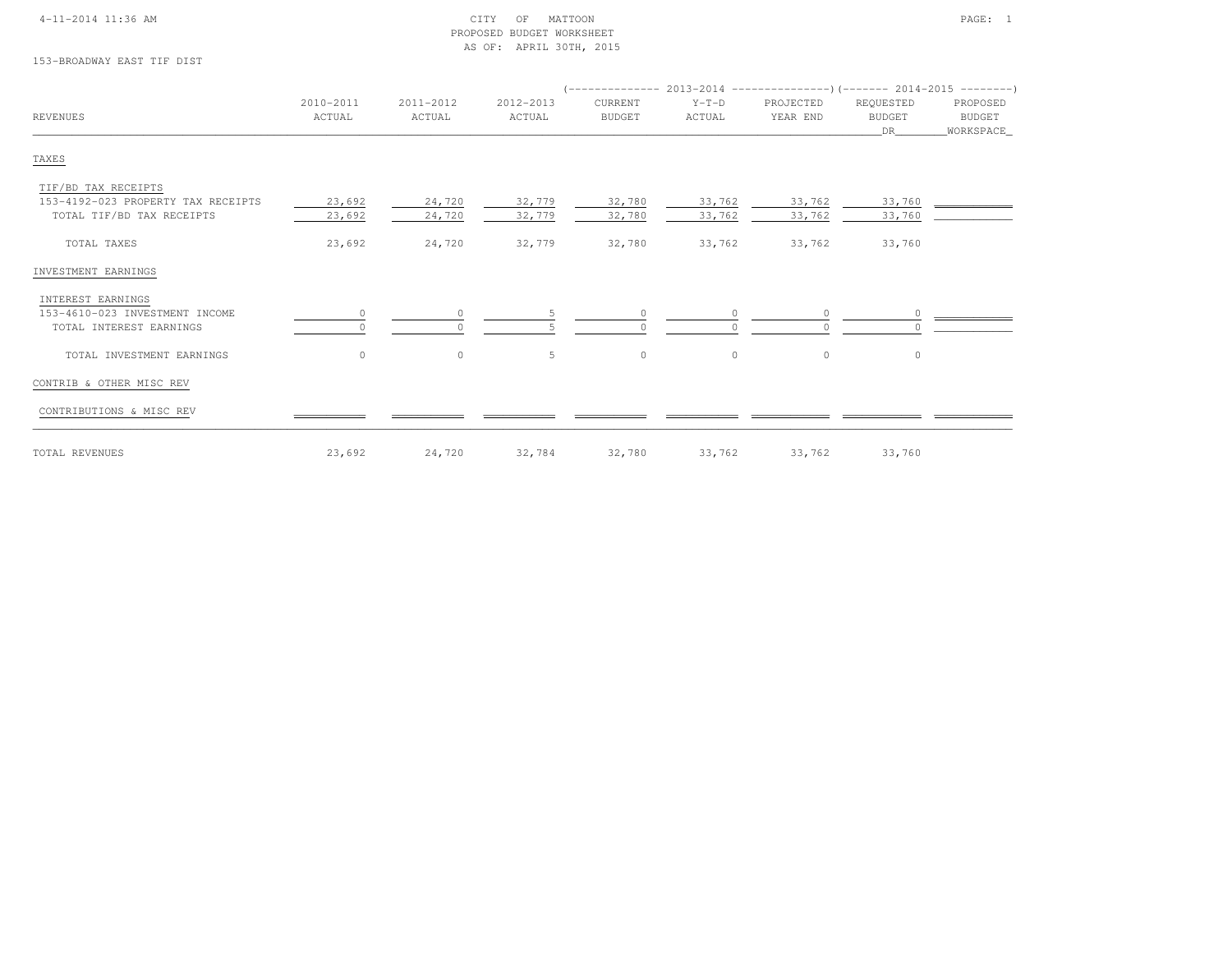#### 4-11-2014 11:36 AM CITY OF MATTOON PAGE: 1 PROPOSED BUDGET WORKSHEETAS OF: APRIL 30TH, 2015

153-BROADWAY EAST TIF DIST

| <b>REVENUES</b>                    | 2010-2011<br>ACTUAL | 2011-2012<br>ACTUAL | 2012-2013<br>ACTUAL | CURRENT<br><b>BUDGET</b> | $Y-T-D$<br>ACTUAL | PROJECTED<br>YEAR END | REQUESTED<br><b>BUDGET</b> | PROPOSED<br>BUDGET |
|------------------------------------|---------------------|---------------------|---------------------|--------------------------|-------------------|-----------------------|----------------------------|--------------------|
|                                    |                     |                     |                     |                          |                   |                       | DR                         | _WORKSPACE_        |
| TAXES                              |                     |                     |                     |                          |                   |                       |                            |                    |
| TIF/BD TAX RECEIPTS                |                     |                     |                     |                          |                   |                       |                            |                    |
| 153-4192-023 PROPERTY TAX RECEIPTS | 23,692              | 24,720              | 32,779              | 32,780                   | 33,762            | 33,762                | 33,760                     |                    |
| TOTAL TIF/BD TAX RECEIPTS          | 23,692              | 24,720              | 32,779              | 32,780                   | 33,762            | 33,762                | 33,760                     |                    |
| TOTAL TAXES                        | 23,692              | 24,720              | 32,779              | 32,780                   | 33,762            | 33,762                | 33,760                     |                    |
| INVESTMENT EARNINGS                |                     |                     |                     |                          |                   |                       |                            |                    |
| INTEREST EARNINGS                  |                     |                     |                     |                          |                   |                       |                            |                    |
| 153-4610-023 INVESTMENT INCOME     | $\circ$             |                     |                     | $\Omega$                 | $\Omega$          | $\circ$               |                            |                    |
| TOTAL INTEREST EARNINGS            |                     |                     |                     |                          |                   | $\Omega$              |                            |                    |
| TOTAL INVESTMENT EARNINGS          | $\circ$             | $\circ$             | 5                   | $\circ$                  | $\circ$           | $\circ$               | $\circ$                    |                    |
| CONTRIB & OTHER MISC REV           |                     |                     |                     |                          |                   |                       |                            |                    |
| CONTRIBUTIONS & MISC REV           |                     |                     |                     |                          |                   |                       |                            |                    |
| TOTAL REVENUES                     | 23,692              | 24,720              | 32,784              | 32,780                   | 33,762            | 33,762                | 33,760                     |                    |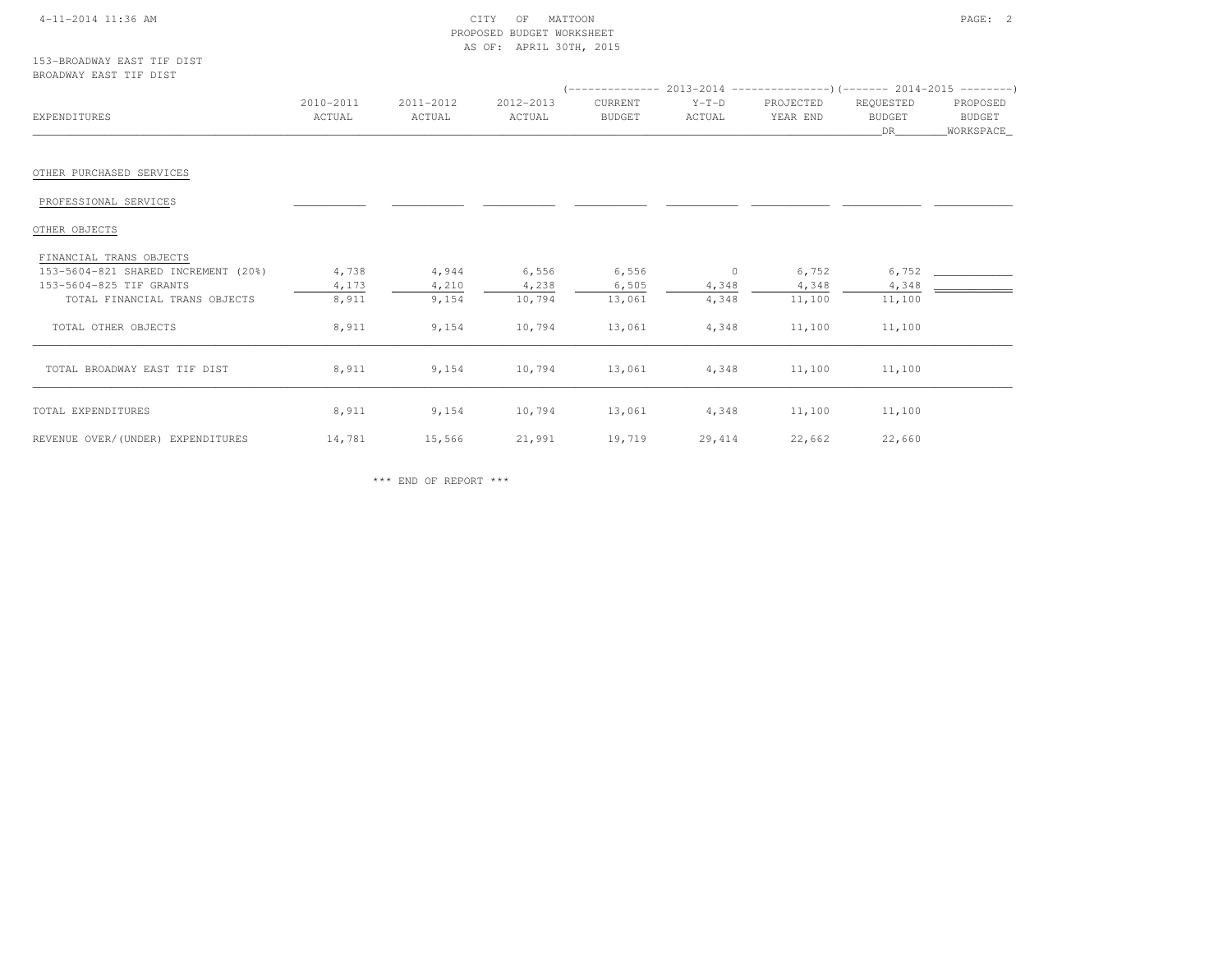#### 4-11-2014 11:36 AM CITY OF MATTOON PAGE: 2 PROPOSED BUDGET WORKSHEETAS OF: APRIL 30TH, 2015

153-BROADWAY EAST TIF DISTBROADWAY EAST TIF DIST

| EXPENDITURES                                                                              | 2010-2011<br>ACTUAL | 2011-2012<br>ACTUAL | 2012-2013<br>ACTUAL | CURRENT<br><b>BUDGET</b> | $Y-T-D$<br>ACTUAL | PROJECTED<br>YEAR END | REQUESTED<br><b>BUDGET</b><br>DR | PROPOSED<br><b>BUDGET</b><br>WORKSPACE_ |
|-------------------------------------------------------------------------------------------|---------------------|---------------------|---------------------|--------------------------|-------------------|-----------------------|----------------------------------|-----------------------------------------|
| OTHER PURCHASED SERVICES                                                                  |                     |                     |                     |                          |                   |                       |                                  |                                         |
| PROFESSIONAL SERVICES                                                                     |                     |                     |                     |                          |                   |                       |                                  |                                         |
| OTHER OBJECTS                                                                             |                     |                     |                     |                          |                   |                       |                                  |                                         |
| FINANCIAL TRANS OBJECTS<br>153-5604-821 SHARED INCREMENT (20%)<br>153-5604-825 TIF GRANTS | 4,738<br>4,173      | 4,944<br>4,210      | 6,556<br>4,238      | 6,556<br>6,505           | $\circ$<br>4,348  | 6,752<br>4,348        | 6,752<br>4,348                   |                                         |
| TOTAL FINANCIAL TRANS OBJECTS                                                             | 8,911               | 9,154               | 10,794              | 13,061                   | 4,348             | 11,100                | 11,100                           |                                         |
| TOTAL OTHER OBJECTS                                                                       | 8,911               | 9,154               | 10,794              | 13,061                   | 4,348             | 11,100                | 11,100                           |                                         |
| TOTAL BROADWAY EAST TIF DIST                                                              | 8,911               | 9,154               | 10,794              | 13,061                   | 4,348             | 11,100                | 11,100                           |                                         |
| TOTAL EXPENDITURES                                                                        | 8,911               | 9,154               | 10,794              | 13,061                   | 4,348             | 11,100                | 11,100                           |                                         |
| REVENUE OVER/(UNDER) EXPENDITURES                                                         | 14,781              | 15,566              | 21,991              | 19,719                   | 29,414            | 22,662                | 22,660                           |                                         |

\*\*\* END OF REPORT \*\*\*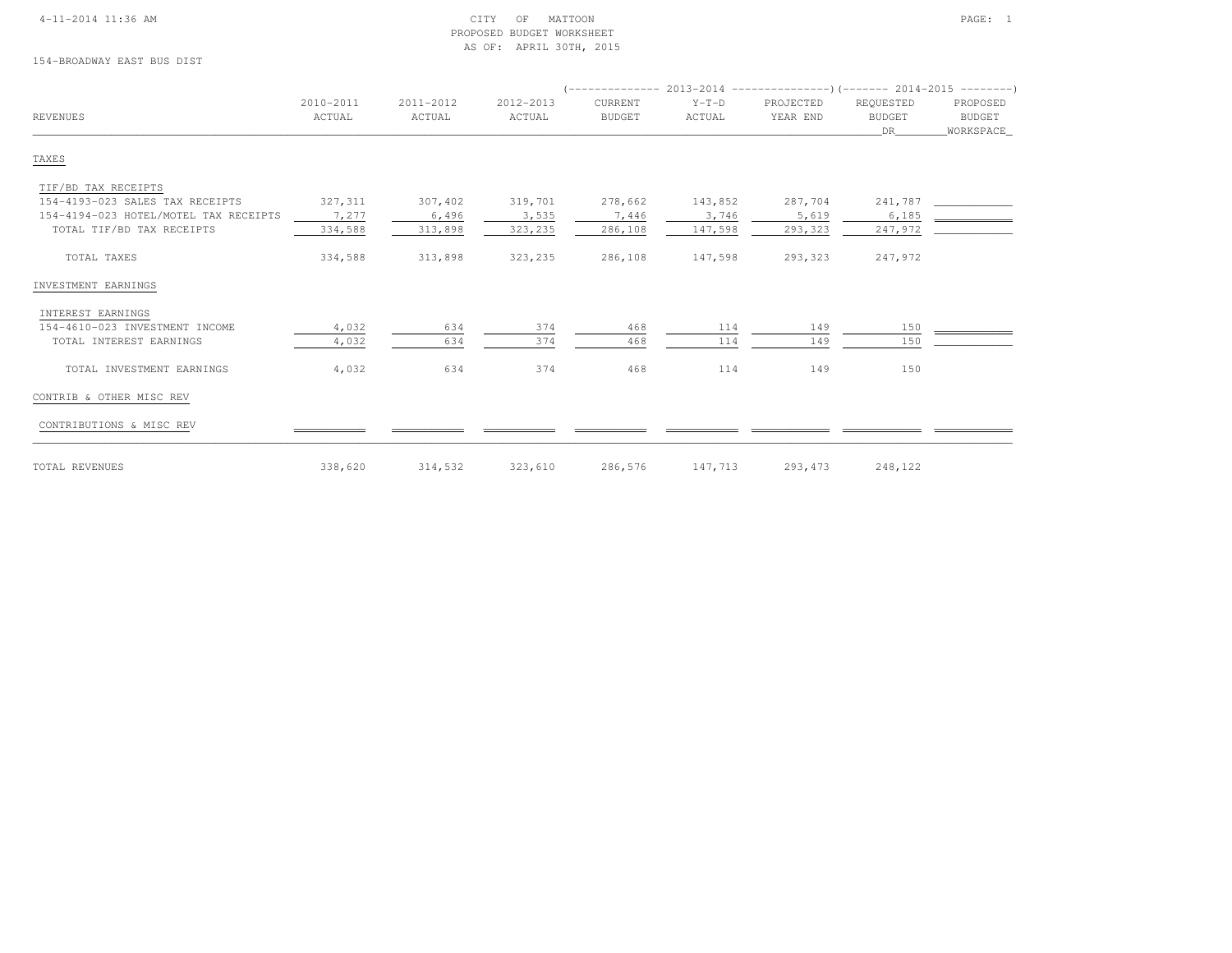#### 4-11-2014 11:36 AM CITY OF MATTOON PAGE: 1 PROPOSED BUDGET WORKSHEETAS OF: APRIL 30TH, 2015

154-BROADWAY EAST BUS DIST

|                                       | 2010-2011 | 2011-2012 | 2012-2013 | CURRENT       | $Y-T-D$ | PROJECTED | REQUESTED     | PROPOSED  |
|---------------------------------------|-----------|-----------|-----------|---------------|---------|-----------|---------------|-----------|
| <b>REVENUES</b>                       | ACTUAL    | ACTUAL    | ACTUAL    | <b>BUDGET</b> | ACTUAL  | YEAR END  | <b>BUDGET</b> | BUDGET    |
|                                       |           |           |           |               |         |           | DR            | WORKSPACE |
| TAXES                                 |           |           |           |               |         |           |               |           |
| TIF/BD TAX RECEIPTS                   |           |           |           |               |         |           |               |           |
| 154-4193-023 SALES TAX RECEIPTS       | 327,311   | 307,402   | 319,701   | 278,662       | 143,852 | 287,704   | 241,787       |           |
| 154-4194-023 HOTEL/MOTEL TAX RECEIPTS | 7,277     | 6,496     | 3,535     | 7,446         | 3,746   | 5,619     | 6,185         |           |
| TOTAL TIF/BD TAX RECEIPTS             | 334,588   | 313,898   | 323,235   | 286,108       | 147,598 | 293,323   | 247,972       |           |
| TOTAL TAXES                           | 334,588   | 313,898   | 323,235   | 286,108       | 147,598 | 293,323   | 247,972       |           |
| INVESTMENT EARNINGS                   |           |           |           |               |         |           |               |           |
| INTEREST EARNINGS                     |           |           |           |               |         |           |               |           |
| 154-4610-023 INVESTMENT INCOME        | 4,032     | 634       | 374       | 468           | 114     | 149       | 150           |           |
| TOTAL INTEREST EARNINGS               | 4,032     | 634       | 374       | 468           | 114     | 149       | 150           |           |
| TOTAL INVESTMENT EARNINGS             | 4,032     | 634       | 374       | 468           | 114     | 149       | 150           |           |
| CONTRIB & OTHER MISC REV              |           |           |           |               |         |           |               |           |
| CONTRIBUTIONS & MISC REV              |           |           |           |               |         |           |               |           |
| TOTAL REVENUES                        | 338,620   | 314,532   | 323,610   | 286,576       | 147,713 | 293, 473  | 248,122       |           |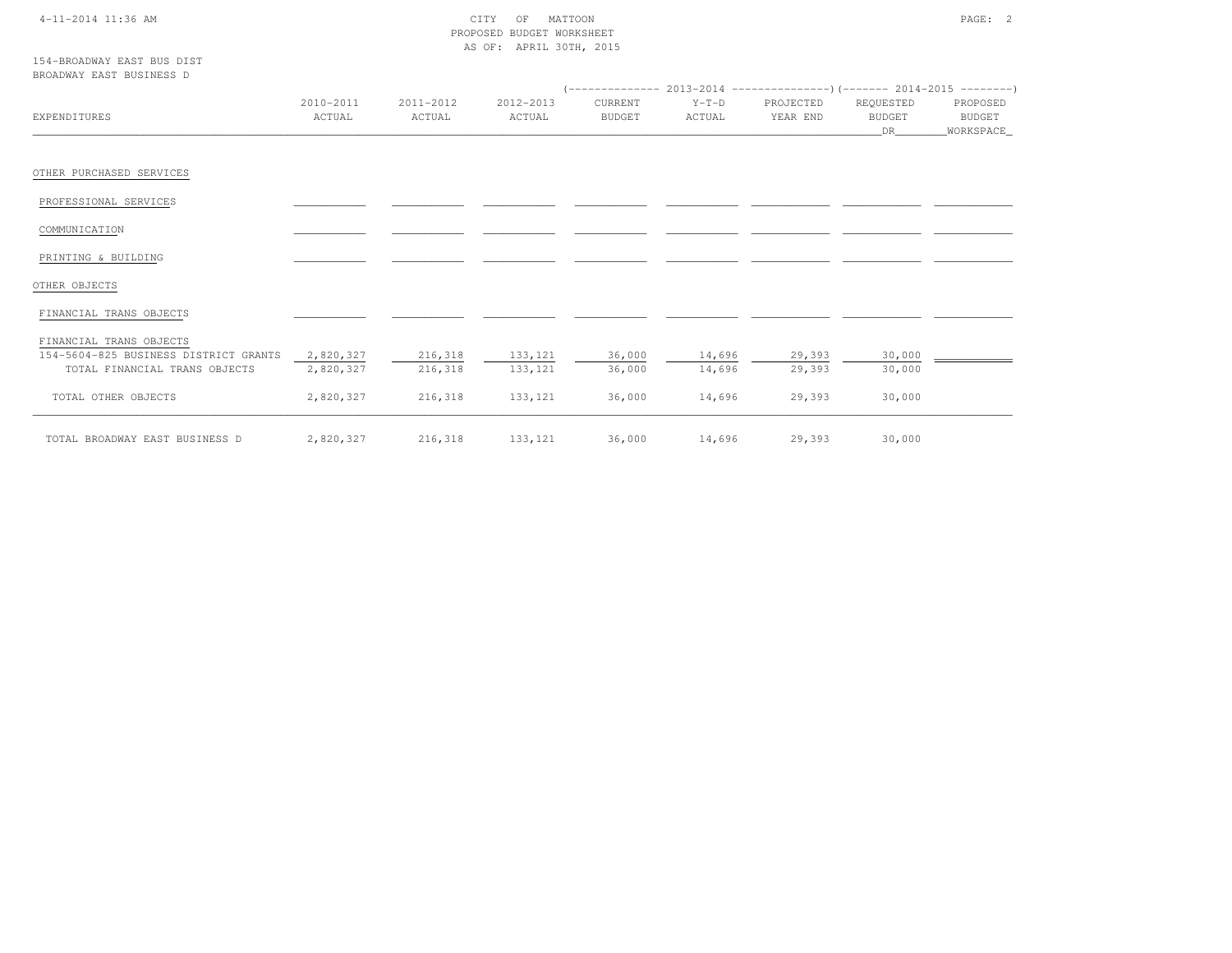#### 4-11-2014 11:36 AM CITY OF MATTOON PAGE: 2 PROPOSED BUDGET WORKSHEETAS OF: APRIL 30TH, 2015

154-BROADWAY EAST BUS DISTBROADWAY EAST BUSINESS D

|                                       |           |           |           |               |         |           | $($ -------------- 2013-2014 ----------------) (------- 2014-2015 ---------) |           |
|---------------------------------------|-----------|-----------|-----------|---------------|---------|-----------|------------------------------------------------------------------------------|-----------|
|                                       | 2010-2011 | 2011-2012 | 2012-2013 | CURRENT       | $Y-T-D$ | PROJECTED | REQUESTED                                                                    | PROPOSED  |
| EXPENDITURES                          | ACTUAL    | ACTUAL    | ACTUAL    | <b>BUDGET</b> | ACTUAL  | YEAR END  | <b>BUDGET</b>                                                                | BUDGET    |
|                                       |           |           |           |               |         |           | DR                                                                           | WORKSPACE |
| OTHER PURCHASED SERVICES              |           |           |           |               |         |           |                                                                              |           |
| PROFESSIONAL SERVICES                 |           |           |           |               |         |           |                                                                              |           |
| COMMUNICATION                         |           |           |           |               |         |           |                                                                              |           |
| PRINTING & BUILDING                   |           |           |           |               |         |           |                                                                              |           |
| OTHER OBJECTS                         |           |           |           |               |         |           |                                                                              |           |
| FINANCIAL TRANS OBJECTS               |           |           |           |               |         |           |                                                                              |           |
| FINANCIAL TRANS OBJECTS               |           |           |           |               |         |           |                                                                              |           |
| 154-5604-825 BUSINESS DISTRICT GRANTS | 2,820,327 | 216,318   | 133, 121  | 36,000        | 14,696  | 29,393    | 30,000                                                                       |           |
| TOTAL FINANCIAL TRANS OBJECTS         | 2,820,327 | 216,318   | 133, 121  | 36,000        | 14,696  | 29,393    | 30,000                                                                       |           |
| TOTAL OTHER OBJECTS                   | 2,820,327 | 216,318   | 133, 121  | 36,000        | 14,696  | 29,393    | 30,000                                                                       |           |
| TOTAL BROADWAY EAST BUSINESS D        | 2,820,327 | 216,318   | 133, 121  | 36,000        | 14,696  | 29,393    | 30,000                                                                       |           |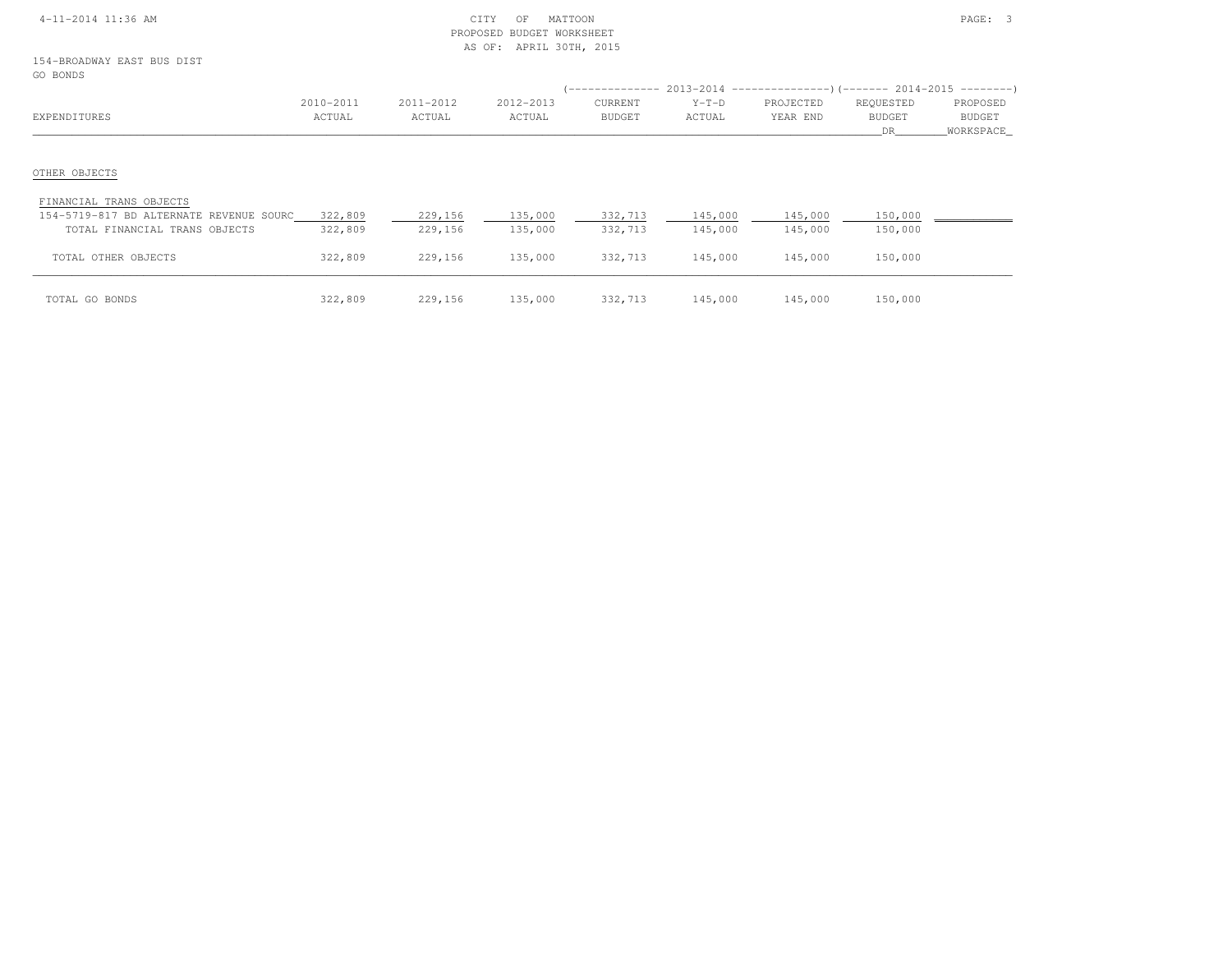#### 4-11-2014 11:36 AM CITY OF MATTOON PAGE: 3 PROPOSED BUDGET WORKSHEETAS OF: APRIL 30TH, 2015

154-BROADWAY EAST BUS DISTGC

| GO BONDS                                |                     |                     |                     | ( -------------          |                   | $2013-2014$ ----------------)(------- 2014-2015 ---------) |                            |                    |
|-----------------------------------------|---------------------|---------------------|---------------------|--------------------------|-------------------|------------------------------------------------------------|----------------------------|--------------------|
| EXPENDITURES                            | 2010-2011<br>ACTUAL | 2011-2012<br>ACTUAL | 2012-2013<br>ACTUAL | CURRENT<br><b>BUDGET</b> | $Y-T-D$<br>ACTUAL | PROJECTED<br>YEAR END                                      | REQUESTED<br><b>BUDGET</b> | PROPOSED<br>BUDGET |
|                                         |                     |                     |                     |                          |                   |                                                            | DR.                        | WORKSPACE          |
| OTHER OBJECTS                           |                     |                     |                     |                          |                   |                                                            |                            |                    |
| FINANCIAL TRANS OBJECTS                 |                     |                     |                     |                          |                   |                                                            |                            |                    |
| 154-5719-817 BD ALTERNATE REVENUE SOURC | 322,809             | 229,156             | 135,000             | 332,713                  | 145,000           | 145,000                                                    | 150,000                    |                    |
| TOTAL FINANCIAL TRANS OBJECTS           | 322,809             | 229,156             | 135,000             | 332,713                  | 145,000           | 145,000                                                    | 150,000                    |                    |
| TOTAL OTHER OBJECTS                     | 322,809             | 229,156             | 135,000             | 332,713                  | 145,000           | 145,000                                                    | 150,000                    |                    |
| TOTAL GO BONDS                          | 322,809             | 229,156             | 135,000             | 332,713                  | 145,000           | 145,000                                                    | 150,000                    |                    |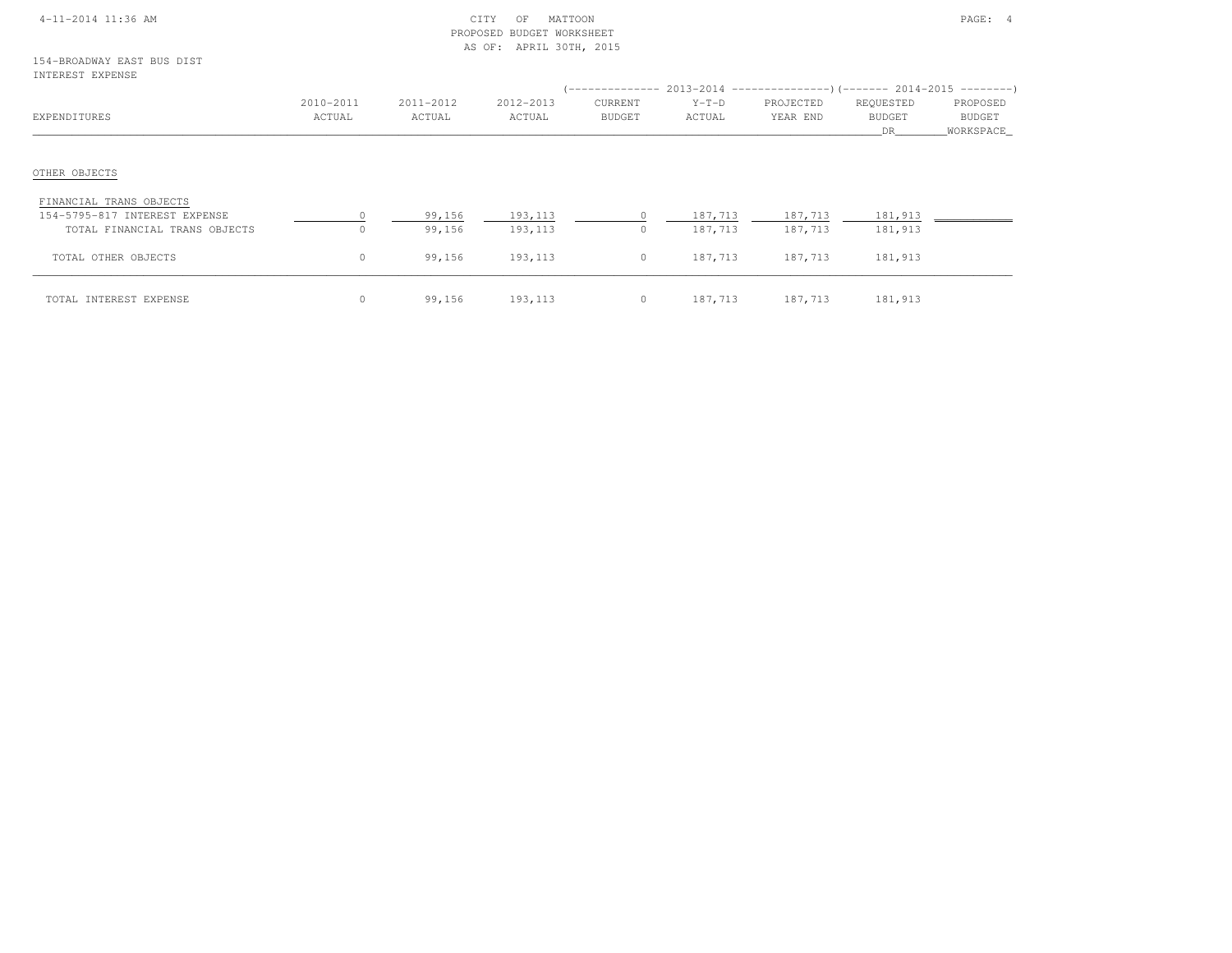|  | 4-11-2014 11:36 AM |  |
|--|--------------------|--|
|  |                    |  |

#### $\begin{array}{ccc} \text{CITY} & \text{OF} & \text{MATTCON} \end{array}$  PROPOSED BUDGET WORKSHEETAS OF: APRIL 30TH, 2015

| TMITWEST FYLTMOT              |                     |                     |                     |                          |                   |                       | (-------------- 2013-2014 --------------------       2014-2015 ------------------ |                                 |
|-------------------------------|---------------------|---------------------|---------------------|--------------------------|-------------------|-----------------------|-----------------------------------------------------------------------------------|---------------------------------|
| EXPENDITURES                  | 2010-2011<br>ACTUAL | 2011-2012<br>ACTUAL | 2012-2013<br>ACTUAL | CURRENT<br><b>BUDGET</b> | $Y-T-D$<br>ACTUAL | PROJECTED<br>YEAR END | REQUESTED<br><b>BUDGET</b><br>DR                                                  | PROPOSED<br>BUDGET<br>WORKSPACE |
| OTHER OBJECTS                 |                     |                     |                     |                          |                   |                       |                                                                                   |                                 |
| FINANCIAL TRANS OBJECTS       |                     |                     |                     |                          |                   |                       |                                                                                   |                                 |
| 154-5795-817 INTEREST EXPENSE | $\bigcap$           | 99,156              | 193,113             |                          | 187,713           | 187,713               | 181,913                                                                           |                                 |
| TOTAL FINANCIAL TRANS OBJECTS | $\Omega$            | 99,156              | 193,113             | 0                        | 187,713           | 187,713               | 181,913                                                                           |                                 |
| TOTAL OTHER OBJECTS           | $\circ$             | 99,156              | 193,113             | $\circ$                  | 187,713           | 187,713               | 181,913                                                                           |                                 |
| TOTAL INTEREST EXPENSE        | $\circ$             | 99,156              | 193,113             | $\circ$                  | 187,713           | 187,713               | 181,913                                                                           |                                 |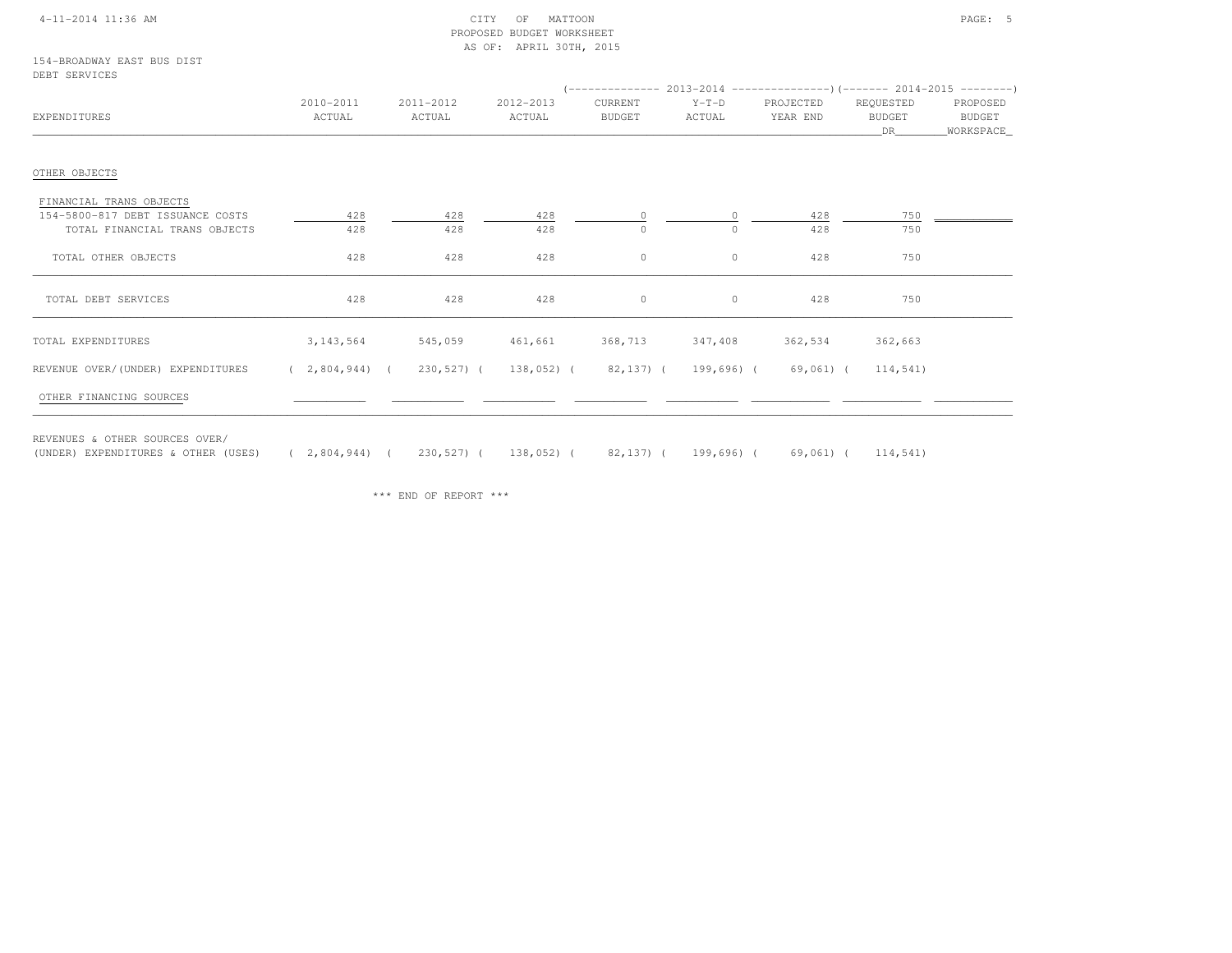#### 4-11-2014 11:36 AM CITY OF MATTOON PAGE: 5 PROPOSED BUDGET WORKSHEETAS OF: APRIL 30TH, 2015

154-BROADWAY EAST BUS DISTDEBT SERVICES

| טשטועומדט ומשע                                                                               |                                                                               |                     |                     |                   |                     |                         |                             |                                   |
|----------------------------------------------------------------------------------------------|-------------------------------------------------------------------------------|---------------------|---------------------|-------------------|---------------------|-------------------------|-----------------------------|-----------------------------------|
| EXPENDITURES                                                                                 | 2010-2011<br>ACTUAL                                                           | 2011-2012<br>ACTUAL | 2012-2013<br>ACTUAL | CURRENT<br>BUDGET | $Y-T-D$<br>ACTUAL   | PROJECTED<br>YEAR END   | REQUESTED<br>BUDGET<br>DR 1 | PROPOSED<br>BUDGET<br>_WORKSPACE_ |
| OTHER OBJECTS                                                                                |                                                                               |                     |                     |                   |                     |                         |                             |                                   |
| FINANCIAL TRANS OBJECTS<br>154-5800-817 DEBT ISSUANCE COSTS<br>TOTAL FINANCIAL TRANS OBJECTS | 428<br>428                                                                    | 428<br>428          | 428<br>428          | $\Omega$          | $\circ$<br>$\Omega$ | 428<br>428              | 750<br>750                  |                                   |
| TOTAL OTHER OBJECTS                                                                          | 428                                                                           | 428                 | 428                 | $\circ$           | $\circ$             | 428                     | 750                         |                                   |
| TOTAL DEBT SERVICES                                                                          | 428                                                                           | 428                 | 428                 | $\circ$           | $\circ$             | 428                     | 750                         |                                   |
| TOTAL EXPENDITURES                                                                           | 3, 143, 564                                                                   |                     | 545,059 461,661     |                   |                     | 368,713 347,408 362,534 | 362,663                     |                                   |
| REVENUE OVER/(UNDER) EXPENDITURES<br>OTHER FINANCING SOURCES                                 | $(2,804,944)$ ( 230,527) ( 138,052) ( 82,137) ( 199,696) ( 69,061) ( 114,541) |                     |                     |                   |                     |                         |                             |                                   |
| REVENUES & OTHER SOURCES OVER/                                                               |                                                                               |                     |                     |                   |                     |                         |                             |                                   |

\*\*\* END OF REPORT \*\*\*

(UNDER) EXPENDITURES & OTHER (USES) ( 2,804,944) ( 230,527) ( 138,052) ( 82,137) ( 199,696) ( 69,061) ( 114,541)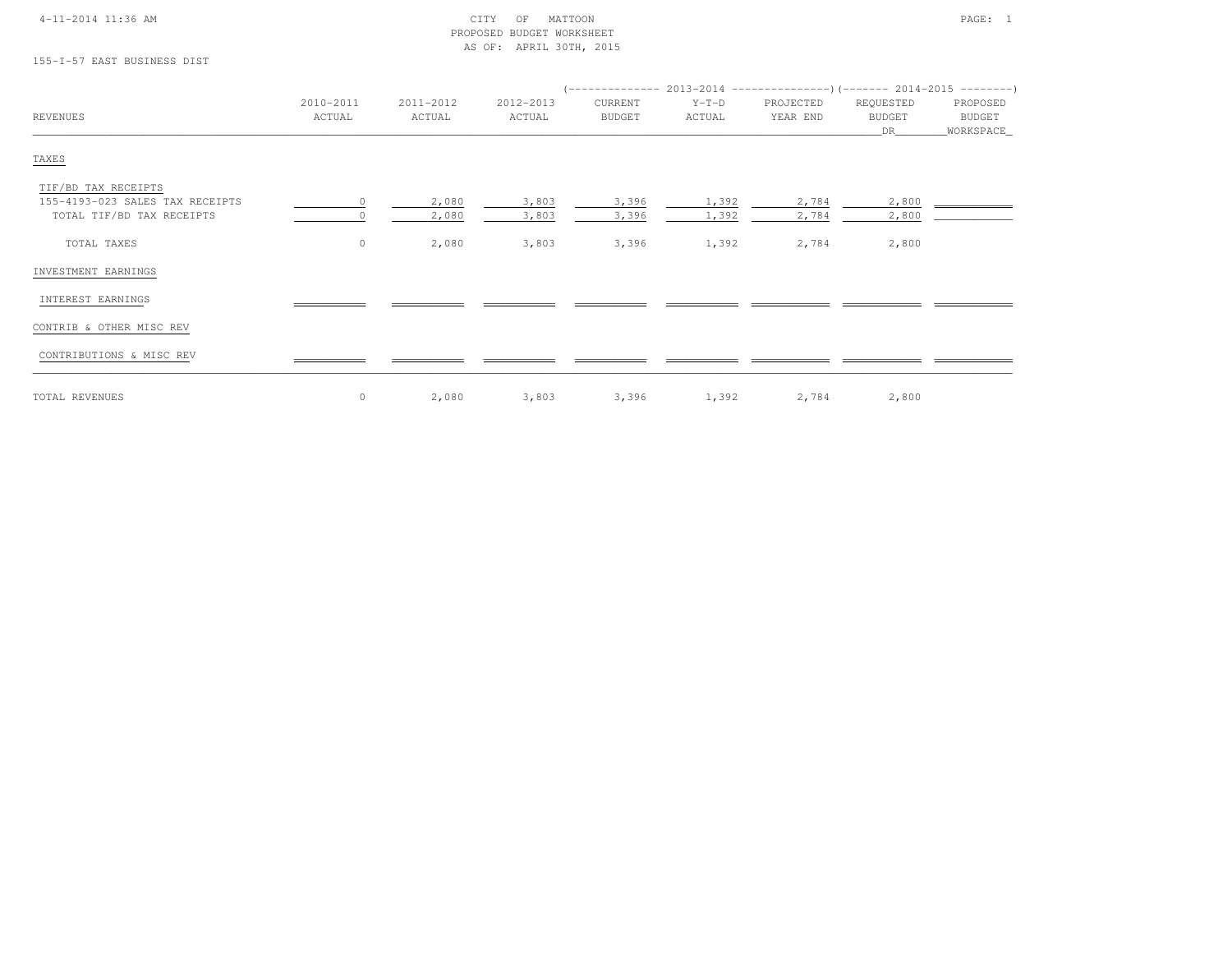#### 4-11-2014 11:36 AM CITY OF MATTOON PAGE: 1 PROPOSED BUDGET WORKSHEETAS OF: APRIL 30TH, 2015

## 155-I-57 EAST BUSINESS DIST

| 2010-2011 | 2011-2012                    | 2012-2013                | CURRENT                  | $Y-T-D$                  | PROJECTED                | REQUESTED                  | PROPOSED                              |
|-----------|------------------------------|--------------------------|--------------------------|--------------------------|--------------------------|----------------------------|---------------------------------------|
|           |                              |                          |                          |                          |                          |                            | BUDGET                                |
|           |                              |                          |                          |                          |                          |                            | WORKSPACE_                            |
|           |                              |                          |                          |                          |                          |                            |                                       |
|           |                              |                          |                          |                          |                          |                            |                                       |
| $\Omega$  | 2,080                        | 3,803                    | 3,396                    | 1,392                    | 2,784                    | 2,800                      |                                       |
|           | 2,080                        | 3,803                    | 3,396                    | 1,392                    | 2,784                    | 2,800                      |                                       |
|           |                              |                          |                          |                          |                          |                            |                                       |
|           |                              |                          |                          |                          |                          |                            |                                       |
|           |                              |                          |                          |                          |                          |                            |                                       |
|           |                              |                          |                          |                          |                          |                            |                                       |
|           |                              |                          |                          |                          |                          |                            |                                       |
|           |                              |                          |                          |                          |                          |                            |                                       |
|           |                              |                          |                          |                          |                          |                            |                                       |
|           | ACTUAL<br>$\circ$<br>$\circ$ | ACTUAL<br>2,080<br>2,080 | ACTUAL<br>3,803<br>3,803 | BUDGET<br>3,396<br>3,396 | ACTUAL<br>1,392<br>1,392 | YEAR END<br>2,784<br>2,784 | <b>BUDGET</b><br>DR<br>2,800<br>2,800 |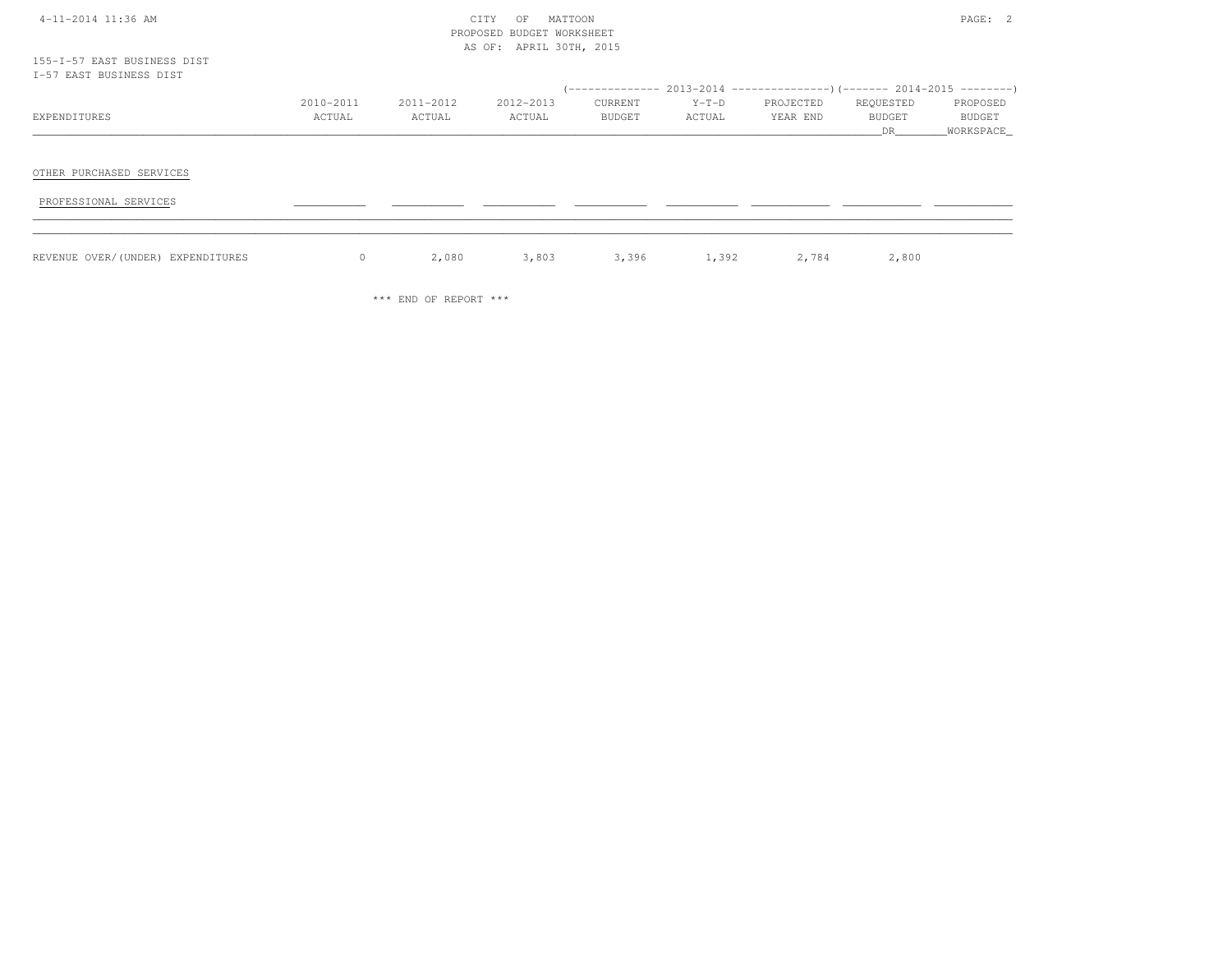| 4-11-2014 11:36 AM |  |  |  |  |
|--------------------|--|--|--|--|
|--------------------|--|--|--|--|

#### 4-11-2014 CITY OF MATTOON PAGE: 2 PROPOSED BUDGET WORKSHEETAS OF: APRIL 30TH, 2015

| I-57 EAST BUSINESS DIST           |           |           |           |         |         |                                                                              |           |           |
|-----------------------------------|-----------|-----------|-----------|---------|---------|------------------------------------------------------------------------------|-----------|-----------|
|                                   |           |           |           |         |         | $($ -------------- 2013-2014 ----------------) (------- 2014-2015 ---------) |           |           |
|                                   | 2010-2011 | 2011-2012 | 2012-2013 | CURRENT | $Y-T-D$ | PROJECTED                                                                    | REQUESTED | PROPOSED  |
| EXPENDITURES                      | ACTUAL    | ACTUAL    | ACTUAL    | BUDGET  | ACTUAL  | YEAR END                                                                     | BUDGET    | BUDGET    |
|                                   |           |           |           |         |         |                                                                              | DR        | WORKSPACE |
|                                   |           |           |           |         |         |                                                                              |           |           |
|                                   |           |           |           |         |         |                                                                              |           |           |
| OTHER PURCHASED SERVICES          |           |           |           |         |         |                                                                              |           |           |
|                                   |           |           |           |         |         |                                                                              |           |           |
| PROFESSIONAL SERVICES             |           |           |           |         |         |                                                                              |           |           |
|                                   |           |           |           |         |         |                                                                              |           |           |
|                                   |           |           |           |         |         |                                                                              |           |           |
| REVENUE OVER/(UNDER) EXPENDITURES | $\circ$   | 2,080     | 3,803     | 3,396   | 1,392   | 2,784                                                                        | 2,800     |           |
|                                   |           |           |           |         |         |                                                                              |           |           |

\*\*\* END OF REPORT \*\*\*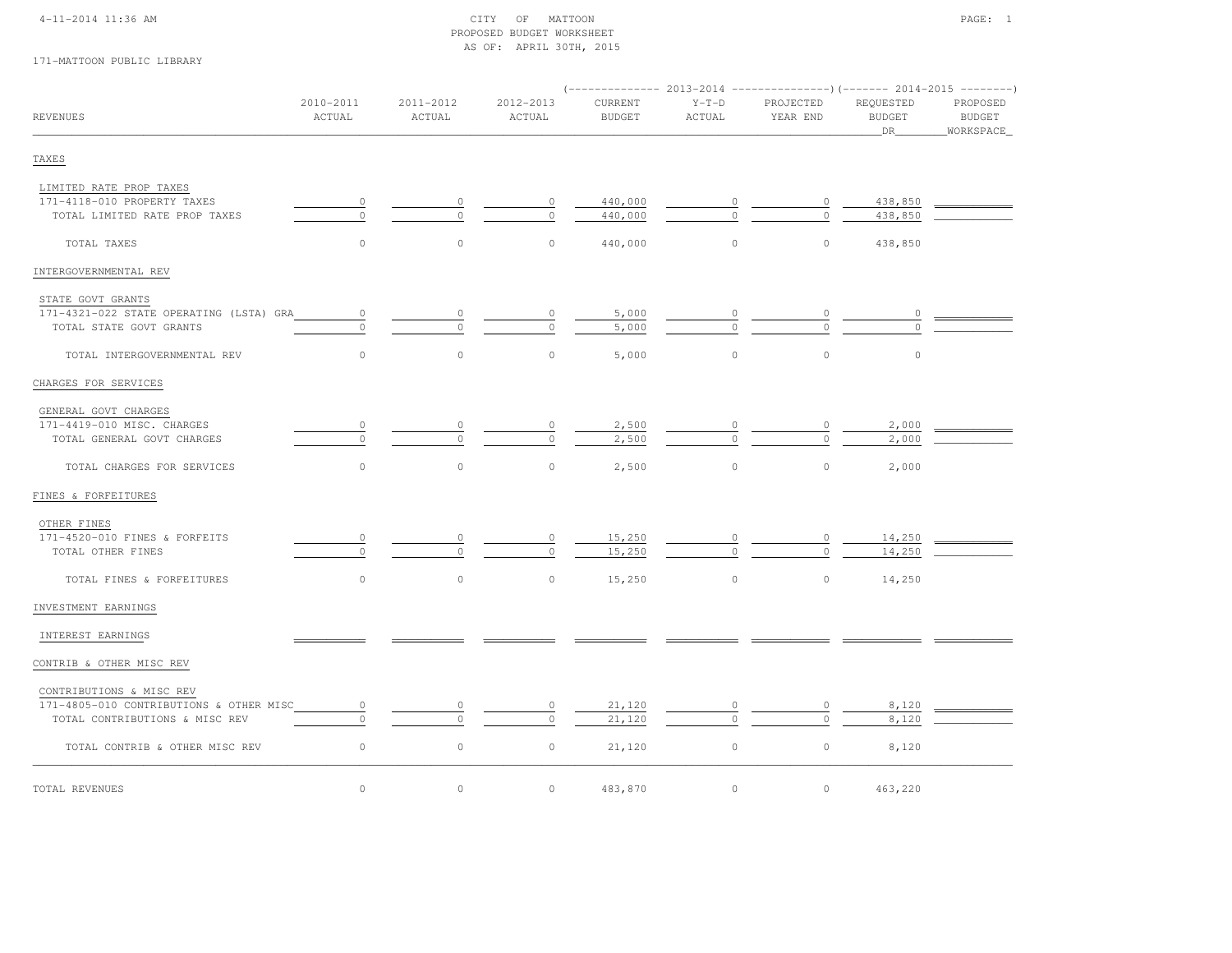#### 4-11-2014 11:36 AM CITY OF MATTOON PAGE: 1 PROPOSED BUDGET WORKSHEETAS OF: APRIL 30TH, 2015

## 171-MATTOON PUBLIC LIBRARY

| <b>REVENUES</b>                         | 2010-2011<br>ACTUAL | 2011-2012<br>ACTUAL | 2012-2013<br>ACTUAL | CURRENT<br><b>BUDGET</b> | $Y-T-D$<br>ACTUAL | PROJECTED<br>YEAR END | REQUESTED<br><b>BUDGET</b><br>DR | PROPOSED<br>BUDGET<br>WORKSPACE |  |
|-----------------------------------------|---------------------|---------------------|---------------------|--------------------------|-------------------|-----------------------|----------------------------------|---------------------------------|--|
| TAXES                                   |                     |                     |                     |                          |                   |                       |                                  |                                 |  |
| LIMITED RATE PROP TAXES                 |                     |                     |                     |                          |                   |                       |                                  |                                 |  |
| 171-4118-010 PROPERTY TAXES             | $\circ$             | $\circ$             | $\circ$             | 440,000                  | $\circ$           | $\circ$               | 438,850                          |                                 |  |
| TOTAL LIMITED RATE PROP TAXES           | $\circ$             | $\circ$             | $\circ$             | 440,000                  |                   | $\Omega$              | 438,850                          |                                 |  |
| TOTAL TAXES                             | $\circ$             | $\circ$             | $\circ$             | 440,000                  | $\circ$           | $\circ$               | 438,850                          |                                 |  |
| INTERGOVERNMENTAL REV                   |                     |                     |                     |                          |                   |                       |                                  |                                 |  |
| STATE GOVT GRANTS                       |                     |                     |                     |                          |                   |                       |                                  |                                 |  |
| 171-4321-022 STATE OPERATING (LSTA) GRA | $\circ$             | 0                   |                     | 5,000                    |                   |                       |                                  |                                 |  |
| TOTAL STATE GOVT GRANTS                 | $\circ$             | $\cap$              | $\cap$              | 5,000                    |                   |                       |                                  |                                 |  |
| TOTAL INTERGOVERNMENTAL REV             | $\circ$             | $\circ$             | $\circ$             | 5,000                    | $\circ$           | $\circ$               | $\circ$                          |                                 |  |
| CHARGES FOR SERVICES                    |                     |                     |                     |                          |                   |                       |                                  |                                 |  |
| GENERAL GOVT CHARGES                    |                     |                     |                     |                          |                   |                       |                                  |                                 |  |
| 171-4419-010 MISC. CHARGES              |                     |                     | 0                   | 2,500                    |                   |                       | 2,000                            |                                 |  |
| TOTAL GENERAL GOVT CHARGES              | $\Omega$            | $\Omega$            | $\Omega$            | 2,500                    | $\Omega$          | $\Omega$              | 2,000                            |                                 |  |
| TOTAL CHARGES FOR SERVICES              | $\circ$             | $\circ$             | $\circ$             | 2,500                    | $\circ$           | $\circ$               | 2,000                            |                                 |  |
| FINES & FORFEITURES                     |                     |                     |                     |                          |                   |                       |                                  |                                 |  |
| OTHER FINES                             |                     |                     |                     |                          |                   |                       |                                  |                                 |  |
| 171-4520-010 FINES & FORFEITS           | $\circ$             | 0                   | $\circ$             | 15,250                   | 0                 | $\circ$               | 14,250                           |                                 |  |
| TOTAL OTHER FINES                       | $\circ$             | $\Omega$            | $\Omega$            | 15,250                   | $\Omega$          | $\circ$               | 14,250                           |                                 |  |
| TOTAL FINES & FORFEITURES               | $\circ$             | $\circ$             | $\circ$             | 15,250                   | $\circ$           | $\circ$               | 14,250                           |                                 |  |
| INVESTMENT EARNINGS                     |                     |                     |                     |                          |                   |                       |                                  |                                 |  |
| INTEREST EARNINGS                       |                     |                     |                     |                          |                   |                       |                                  |                                 |  |
| CONTRIB & OTHER MISC REV                |                     |                     |                     |                          |                   |                       |                                  |                                 |  |
| CONTRIBUTIONS & MISC REV                |                     |                     |                     |                          |                   |                       |                                  |                                 |  |
| 171-4805-010 CONTRIBUTIONS & OTHER MISC | $\circ$             |                     | 0                   | 21,120                   |                   | 0                     | 8,120                            |                                 |  |
| TOTAL CONTRIBUTIONS & MISC REV          | $\Omega$            | $\Omega$            | $\circ$             | 21,120                   | $\Omega$          | $\cap$                | 8,120                            |                                 |  |
| TOTAL CONTRIB & OTHER MISC REV          | $\circ$             | $\circ$             | $\circ$             | 21,120                   | $\circ$           | $\circ$               | 8,120                            |                                 |  |
| TOTAL REVENUES                          | $\circ$             | $\circ$             | $\circ$             | 483,870                  | $\circ$           | $\circ$               | 463,220                          |                                 |  |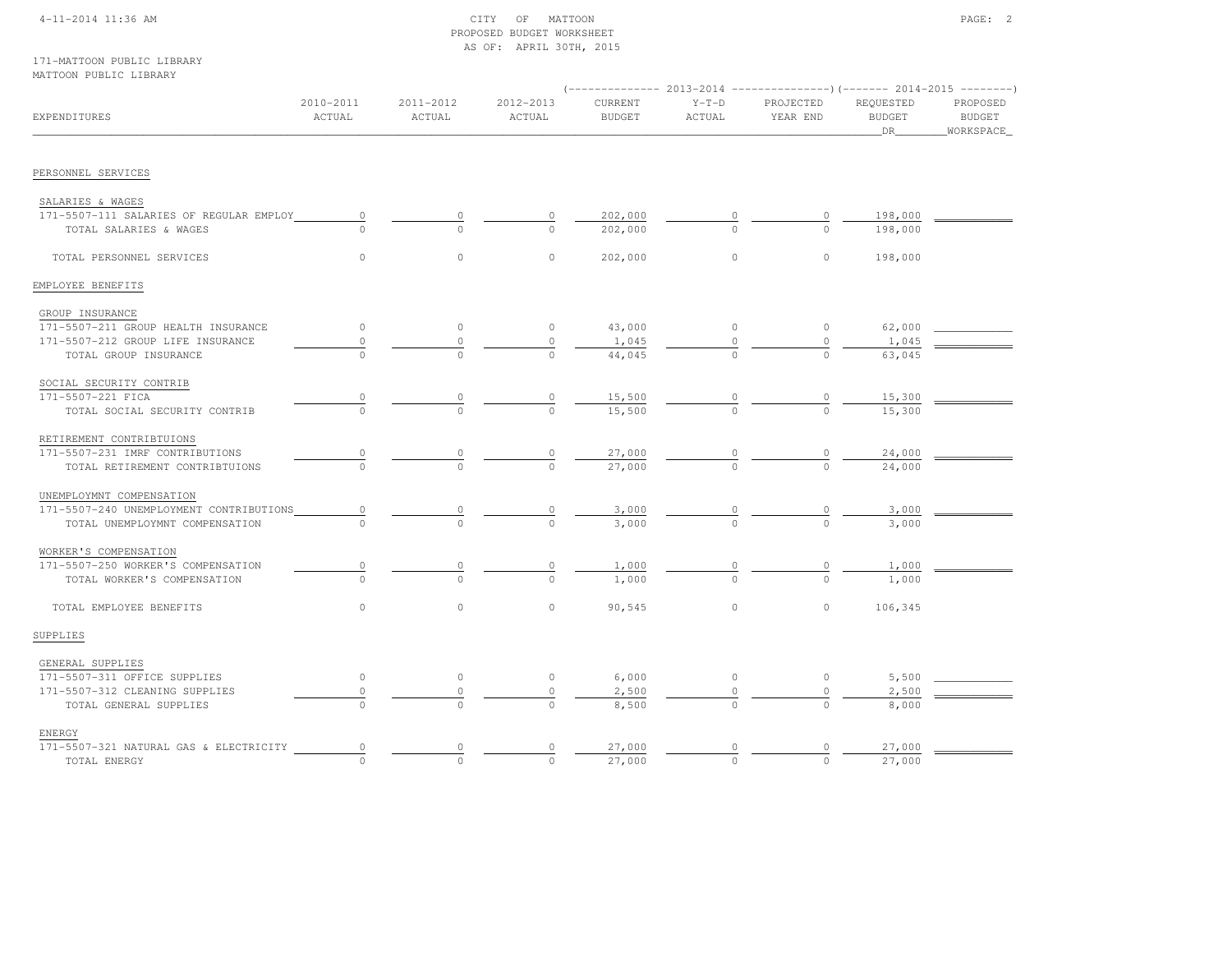#### 4-11-2014 11:36 AM CITY OF MATTOON PAGE: 2 PROPOSED BUDGET WORKSHEETAS OF: APRIL 30TH, 2015

#### 171-MATTOON PUBLIC LIBRARYMATTOON PUBLIC LIBRARY

| EXPENDITURES                            | 2010-2011<br>ACTUAL | 2011-2012<br>ACTUAL | 2012-2013<br>ACTUAL | CURRENT<br><b>BUDGET</b> | $Y-T-D$<br>ACTUAL | PROJECTED<br>YEAR END | REQUESTED<br><b>BUDGET</b><br>DR | PROPOSED<br><b>BUDGET</b><br>WORKSPACE |  |
|-----------------------------------------|---------------------|---------------------|---------------------|--------------------------|-------------------|-----------------------|----------------------------------|----------------------------------------|--|
|                                         |                     |                     |                     |                          |                   |                       |                                  |                                        |  |
| PERSONNEL SERVICES                      |                     |                     |                     |                          |                   |                       |                                  |                                        |  |
| SALARIES & WAGES                        |                     |                     |                     |                          |                   |                       |                                  |                                        |  |
| 171-5507-111 SALARIES OF REGULAR EMPLOY | $\circ$             | 0                   | 0                   | 202,000                  |                   |                       | 198,000                          |                                        |  |
| TOTAL SALARIES & WAGES                  | $\cap$              | $\Omega$            | $\Omega$            | 202,000                  | $\Omega$          | $\Omega$              | 198,000                          |                                        |  |
| TOTAL PERSONNEL SERVICES                | $\circ$             | $\circ$             | $\circ$             | 202,000                  | $\circ$           | $\circ$               | 198,000                          |                                        |  |
| EMPLOYEE BENEFITS                       |                     |                     |                     |                          |                   |                       |                                  |                                        |  |
| GROUP INSURANCE                         |                     |                     |                     |                          |                   |                       |                                  |                                        |  |
| 171-5507-211 GROUP HEALTH INSURANCE     | $\circ$             | $\circ$             | $\circ$             | 43,000                   | $\overline{0}$    | $\circ$               | 62,000                           |                                        |  |
| 171-5507-212 GROUP LIFE INSURANCE       |                     |                     |                     | 1,045                    |                   | 0                     | 1,045                            |                                        |  |
| TOTAL GROUP INSURANCE                   |                     |                     |                     | 44,045                   |                   |                       | 63,045                           |                                        |  |
| SOCIAL SECURITY CONTRIB                 |                     |                     |                     |                          |                   |                       |                                  |                                        |  |
| 171-5507-221 FICA                       |                     |                     | 0                   | 15,500                   |                   |                       | 15,300                           |                                        |  |
| TOTAL SOCIAL SECURITY CONTRIB           | $\Omega$            | $\Omega$            | $\Omega$            | 15,500                   | $\Omega$          | $\Omega$              | 15,300                           |                                        |  |
| RETIREMENT CONTRIBTUIONS                |                     |                     |                     |                          |                   |                       |                                  |                                        |  |
| 171-5507-231 IMRF CONTRIBUTIONS         |                     |                     | 0                   | 27,000                   |                   |                       | 24,000                           |                                        |  |
| TOTAL RETIREMENT CONTRIBTUIONS          |                     | $\Omega$            | $\Omega$            | 27,000                   |                   | $\Omega$              | 24,000                           |                                        |  |
| UNEMPLOYMNT COMPENSATION                |                     |                     |                     |                          |                   |                       |                                  |                                        |  |
| 171-5507-240 UNEMPLOYMENT CONTRIBUTIONS | 0                   |                     | 0                   | 3,000                    |                   |                       | 3,000                            |                                        |  |
| TOTAL UNEMPLOYMNT COMPENSATION          |                     | $\Omega$            | $\Omega$            | 3,000                    | $\Omega$          | $\Omega$              | 3,000                            |                                        |  |
| WORKER'S COMPENSATION                   |                     |                     |                     |                          |                   |                       |                                  |                                        |  |
| 171-5507-250 WORKER'S COMPENSATION      | 0                   |                     | 0                   | 1,000                    |                   |                       | 1,000                            |                                        |  |
| TOTAL WORKER'S COMPENSATION             |                     | $\cap$              | $\Omega$            | 1,000                    |                   |                       | 1,000                            |                                        |  |
| TOTAL EMPLOYEE BENEFITS                 | $\Omega$            | $\circ$             | $\circ$             | 90,545                   | $\circ$           | $\circ$               | 106,345                          |                                        |  |
| SUPPLIES                                |                     |                     |                     |                          |                   |                       |                                  |                                        |  |
| GENERAL SUPPLIES                        |                     |                     |                     |                          |                   |                       |                                  |                                        |  |
| 171-5507-311 OFFICE SUPPLIES            | $\circ$             | $\circ$             | $\circ$             | 6,000                    | $\circ$           | $\circ$               | 5,500                            |                                        |  |
| 171-5507-312 CLEANING SUPPLIES          | $\circ$             | $\circ$             | $\Omega$            | 2,500                    | $\circ$           | $\circ$               | 2,500                            |                                        |  |
| TOTAL GENERAL SUPPLIES                  |                     | $\Omega$            |                     | 8,500                    | $\cap$            | $\Omega$              | 8,000                            |                                        |  |
| ENERGY                                  |                     |                     |                     |                          |                   |                       |                                  |                                        |  |
| 171-5507-321 NATURAL GAS & ELECTRICITY  | $\circ$             | $\circ$             |                     | 27,000                   |                   | 0                     | 27,000                           |                                        |  |
| TOTAL ENERGY                            | $\cap$              |                     | $\Omega$            | 27,000                   | $\circ$           | $\circ$               | 27,000                           |                                        |  |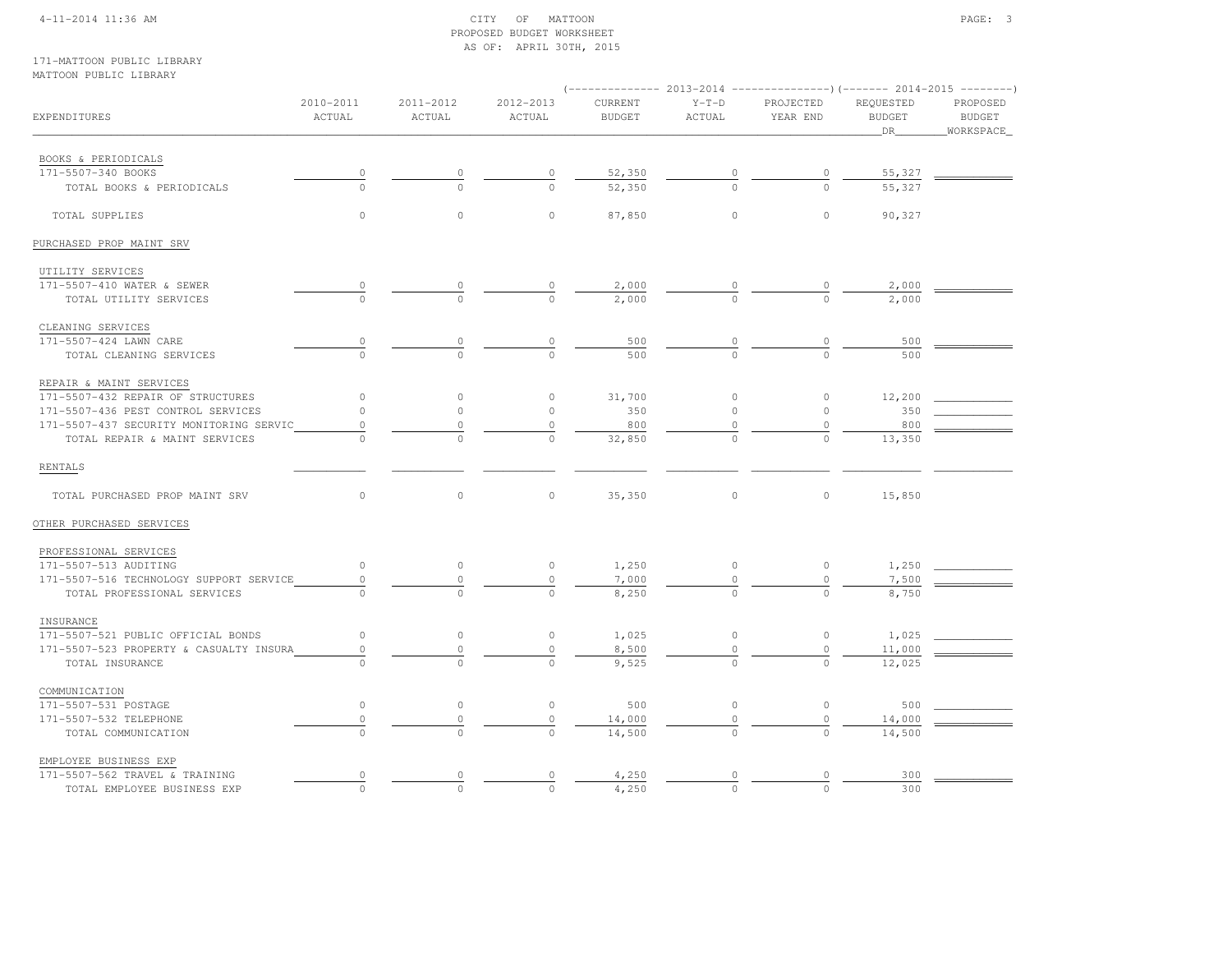#### 4-11-2014 11:36 AM CITY OF MATTOON PAGE: 3 PROPOSED BUDGET WORKSHEETAS OF: APRIL 30TH, 2015

#### 171-MATTOON PUBLIC LIBRARYMATTOON PUBLIC LIBRARY

|                                         |                     |                     |                     | (-------------- 2013-2014 ----------------) (------- 2014-2015 -------- |                      |                       |                                  |                                        |
|-----------------------------------------|---------------------|---------------------|---------------------|-------------------------------------------------------------------------|----------------------|-----------------------|----------------------------------|----------------------------------------|
| EXPENDITURES                            | 2010-2011<br>ACTUAL | 2011-2012<br>ACTUAL | 2012-2013<br>ACTUAL | CURRENT<br><b>BUDGET</b>                                                | $Y-T-D$<br>ACTUAL    | PROJECTED<br>YEAR END | REQUESTED<br><b>BUDGET</b><br>DR | PROPOSED<br><b>BUDGET</b><br>WORKSPACE |
|                                         |                     |                     |                     |                                                                         |                      |                       |                                  |                                        |
| BOOKS & PERIODICALS                     |                     |                     |                     |                                                                         |                      |                       |                                  |                                        |
| 171-5507-340 BOOKS                      | $\overline{0}$      |                     | $\overline{0}$      | 52,350                                                                  |                      |                       | 55,327                           |                                        |
| TOTAL BOOKS & PERIODICALS               | $\Omega$            |                     |                     | 52,350                                                                  |                      |                       | 55,327                           |                                        |
| TOTAL SUPPLIES                          | $\circ$             | $\circ$             | $\circ$             | 87,850                                                                  | $\mathbf{0}$         | $\circ$               | 90,327                           |                                        |
| PURCHASED PROP MAINT SRV                |                     |                     |                     |                                                                         |                      |                       |                                  |                                        |
| UTILITY SERVICES                        |                     |                     |                     |                                                                         |                      |                       |                                  |                                        |
| 171-5507-410 WATER & SEWER              | $\overline{0}$      |                     |                     | 2,000                                                                   |                      |                       | 2,000                            |                                        |
| TOTAL UTILITY SERVICES                  |                     | $\Omega$            | $\overline{0}$      | 2,000                                                                   |                      | $\Omega$              | 2,000                            |                                        |
| CLEANING SERVICES                       |                     |                     |                     |                                                                         |                      |                       |                                  |                                        |
| 171-5507-424 LAWN CARE                  | $\overline{0}$      | 0                   | $\circ$             | 500                                                                     | $\frac{0}{\sqrt{2}}$ | 0                     | 500                              |                                        |
| TOTAL CLEANING SERVICES                 | $\Omega$            | $\Omega$            | $\cap$              | 500                                                                     | $\Omega$             | $\Omega$              | 500                              |                                        |
| REPAIR & MAINT SERVICES                 |                     |                     |                     |                                                                         |                      |                       |                                  |                                        |
| 171-5507-432 REPAIR OF STRUCTURES       | $\circ$             | $\circ$             | $\circ$             | 31,700                                                                  | $\circ$              | $\circ$               | 12,200                           |                                        |
| 171-5507-436 PEST CONTROL SERVICES      | $\circ$             | $\circ$             | $\circ$             | 350                                                                     | $\circ$              | $\circ$               | 350                              |                                        |
| 171-5507-437 SECURITY MONITORING SERVIC | $\circ$             | $\Omega$            | $\mathbb O$         | 800                                                                     | $\mathbf 0$          | $\circ$               | 800                              |                                        |
| TOTAL REPAIR & MAINT SERVICES           |                     |                     |                     | 32,850                                                                  |                      | $\Omega$              | 13,350                           |                                        |
| RENTALS                                 |                     |                     |                     |                                                                         |                      |                       |                                  |                                        |
| TOTAL PURCHASED PROP MAINT SRV          | $\circ$             | $\circ$             | $\circ$             | 35,350                                                                  | $\circ$              | $\circ$               | 15,850                           |                                        |
| OTHER PURCHASED SERVICES                |                     |                     |                     |                                                                         |                      |                       |                                  |                                        |
| PROFESSIONAL SERVICES                   |                     |                     |                     |                                                                         |                      |                       |                                  |                                        |
| 171-5507-513 AUDITING                   | $\circ$             | $\circ$             | $\circ$             | 1,250                                                                   | $\circ$              | $\circ$               | 1,250                            |                                        |
| 171-5507-516 TECHNOLOGY SUPPORT SERVICE | $\circ$             | $\circ$             | $\mathbb O$         | 7,000                                                                   | $\circ$              | $\circ$               | 7,500                            |                                        |
| TOTAL PROFESSIONAL SERVICES             |                     |                     |                     | 8,250                                                                   |                      | $\Omega$              | 8,750                            |                                        |
| INSURANCE                               |                     |                     |                     |                                                                         |                      |                       |                                  |                                        |
| 171-5507-521 PUBLIC OFFICIAL BONDS      | $\circ$             | $\circ$             | $\circ$             | 1,025                                                                   | $\circ$              | $\circ$               | 1,025                            |                                        |
| 171-5507-523 PROPERTY & CASUALTY INSURA | $\circ$             | 0                   | 0                   | 8,500                                                                   | 0                    | 0                     | 11,000                           |                                        |
| TOTAL INSURANCE                         | $\cap$              | $\cap$              | $\Omega$            | 9,525                                                                   | $\cap$               | $\Omega$              | 12,025                           |                                        |
| COMMUNICATION                           |                     |                     |                     |                                                                         |                      |                       |                                  |                                        |
| 171-5507-531 POSTAGE                    | $\circ$             | $\circ$             | $\circ$             | 500                                                                     | $\circ$              | $\circ$               | 500                              |                                        |
| 171-5507-532 TELEPHONE                  | $\mathbb O$         | $\circ$             | $\mathbb O$         | 14,000                                                                  | $\circ$              | $\circ$               | 14,000                           |                                        |
| TOTAL COMMUNICATION                     | $\mathbf 0$         | $\circ$             | $\circ$             | 14,500                                                                  | $\circ$              | $\circ$               | 14,500                           |                                        |
| EMPLOYEE BUSINESS EXP                   |                     |                     |                     |                                                                         |                      |                       |                                  |                                        |
| 171-5507-562 TRAVEL & TRAINING          | 0                   | 0                   | 0                   | 4,250                                                                   | 0                    | 0                     | 300                              |                                        |
| TOTAL EMPLOYEE BUSINESS EXP             | $\circ$             | $\Omega$            | $\Omega$            | 4,250                                                                   | $\Omega$             | $\Omega$              | 300                              |                                        |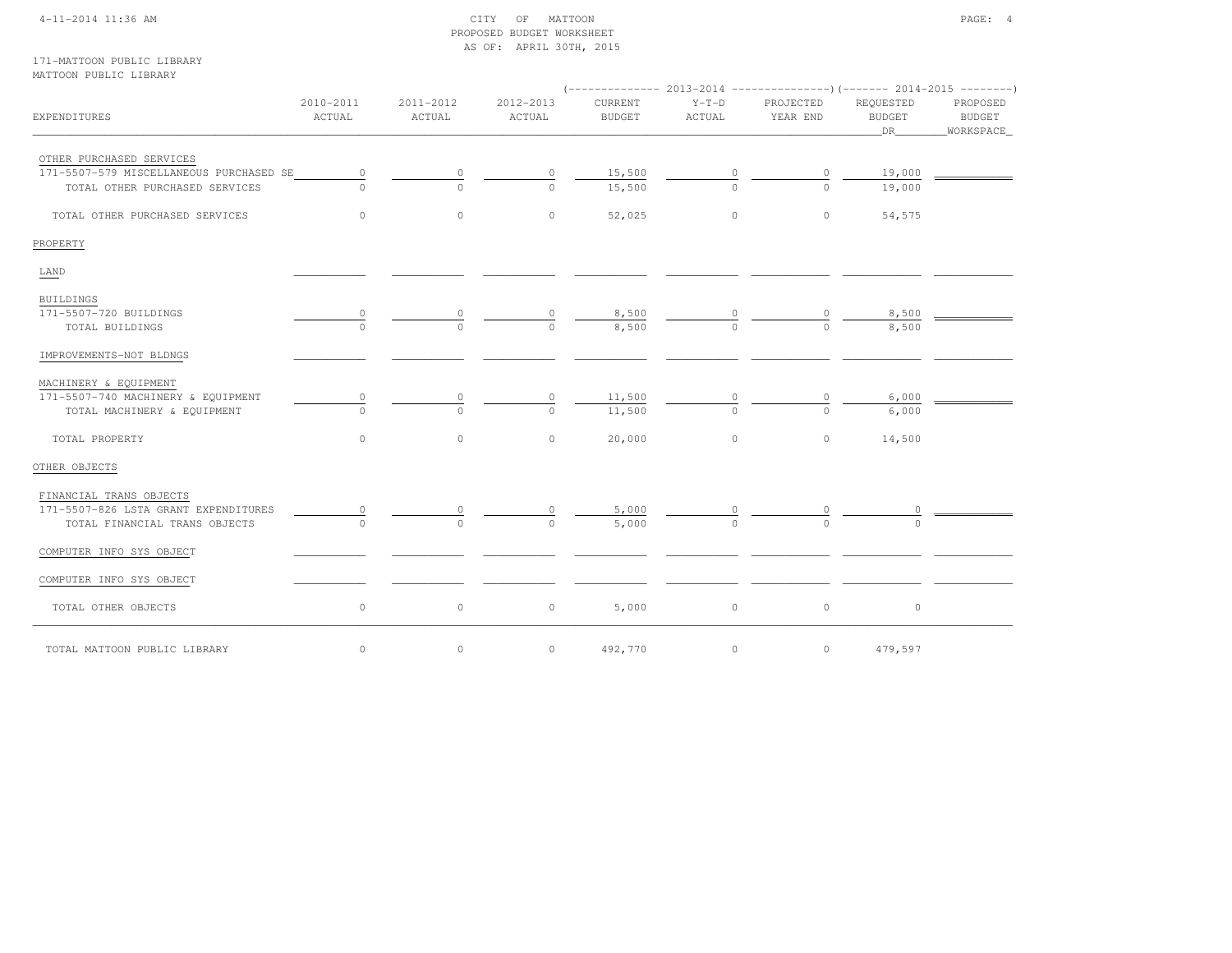#### 4-11-2014 11:36 AM CITY OF MATTOON PAGE: 4 PROPOSED BUDGET WORKSHEETAS OF: APRIL 30TH, 2015

#### 171-MATTOON PUBLIC LIBRARYMATTOON PUBLIC LIBRARY

| IMILIOON LODDIC BIBRING                   |                     |                     |                     |                          |                   |                       |                                  |                                          |  |
|-------------------------------------------|---------------------|---------------------|---------------------|--------------------------|-------------------|-----------------------|----------------------------------|------------------------------------------|--|
| EXPENDITURES                              | 2010-2011<br>ACTUAL | 2011-2012<br>ACTUAL | 2012-2013<br>ACTUAL | CURRENT<br><b>BUDGET</b> | $Y-T-D$<br>ACTUAL | PROJECTED<br>YEAR END | REQUESTED<br><b>BUDGET</b><br>DR | PROPOSED<br><b>BUDGET</b><br>_WORKSPACE_ |  |
| OTHER PURCHASED SERVICES                  |                     |                     |                     |                          |                   |                       |                                  |                                          |  |
| 171-5507-579 MISCELLANEOUS PURCHASED SE   | $\circ$             | $\circ$             | 0                   | 15,500                   | $\mathbf 0$       | $\circ$               | 19,000                           |                                          |  |
| TOTAL OTHER PURCHASED SERVICES            | $\Omega$            | $\cap$              | $\cap$              | 15,500                   | $\Omega$          | $\Omega$              | 19,000                           |                                          |  |
| TOTAL OTHER PURCHASED SERVICES            | $\circ$             | $\circ$             | $\circ$             | 52,025                   | $\circ$           | $\circ$               | 54,575                           |                                          |  |
| PROPERTY                                  |                     |                     |                     |                          |                   |                       |                                  |                                          |  |
| LAND                                      |                     |                     |                     |                          |                   |                       |                                  |                                          |  |
| <b>BUILDINGS</b>                          |                     |                     |                     |                          |                   |                       |                                  |                                          |  |
| 171-5507-720 BUILDINGS<br>TOTAL BUILDINGS | 0<br>$\cap$         | $\cap$              | $\cap$              | 8,500<br>8,500           | $\Omega$          | $\Omega$              | 8,500<br>8,500                   |                                          |  |
|                                           |                     |                     |                     |                          |                   |                       |                                  |                                          |  |
| IMPROVEMENTS-NOT BLDNGS                   |                     |                     |                     |                          |                   |                       |                                  |                                          |  |
| MACHINERY & EQUIPMENT                     |                     |                     |                     |                          |                   |                       |                                  |                                          |  |
| 171-5507-740 MACHINERY & EQUIPMENT        | 0                   |                     | 0                   | 11,500                   |                   |                       | 6,000                            |                                          |  |
| TOTAL MACHINERY & EQUIPMENT               | $\cap$              | $\Omega$            | $\cap$              | 11,500                   | $\Omega$          | $\cap$                | 6,000                            |                                          |  |
| TOTAL PROPERTY                            | $\circ$             | $\circ$             | $\Omega$            | 20,000                   | $\circ$           | $\circ$               | 14,500                           |                                          |  |
| OTHER OBJECTS                             |                     |                     |                     |                          |                   |                       |                                  |                                          |  |
| FINANCIAL TRANS OBJECTS                   |                     |                     |                     |                          |                   |                       |                                  |                                          |  |
| 171-5507-826 LSTA GRANT EXPENDITURES      | 0                   |                     |                     | 5,000                    |                   |                       |                                  |                                          |  |
| TOTAL FINANCIAL TRANS OBJECTS             | $\Omega$            | $\bigcap$           | $\Omega$            | 5,000                    |                   | $\cap$                |                                  |                                          |  |
| COMPUTER INFO SYS OBJECT                  |                     |                     |                     |                          |                   |                       |                                  |                                          |  |
| COMPUTER INFO SYS OBJECT                  |                     |                     |                     |                          |                   |                       |                                  |                                          |  |
| TOTAL OTHER OBJECTS                       | $\circ$             | $\circ$             | $\circ$             | 5,000                    | $\circ$           | $\circ$               | $\circ$                          |                                          |  |
| TOTAL MATTOON PUBLIC LIBRARY              | $\circ$             | $\circ$             | $\circ$             | 492,770                  | $\circ$           | $\circ$               | 479,597                          |                                          |  |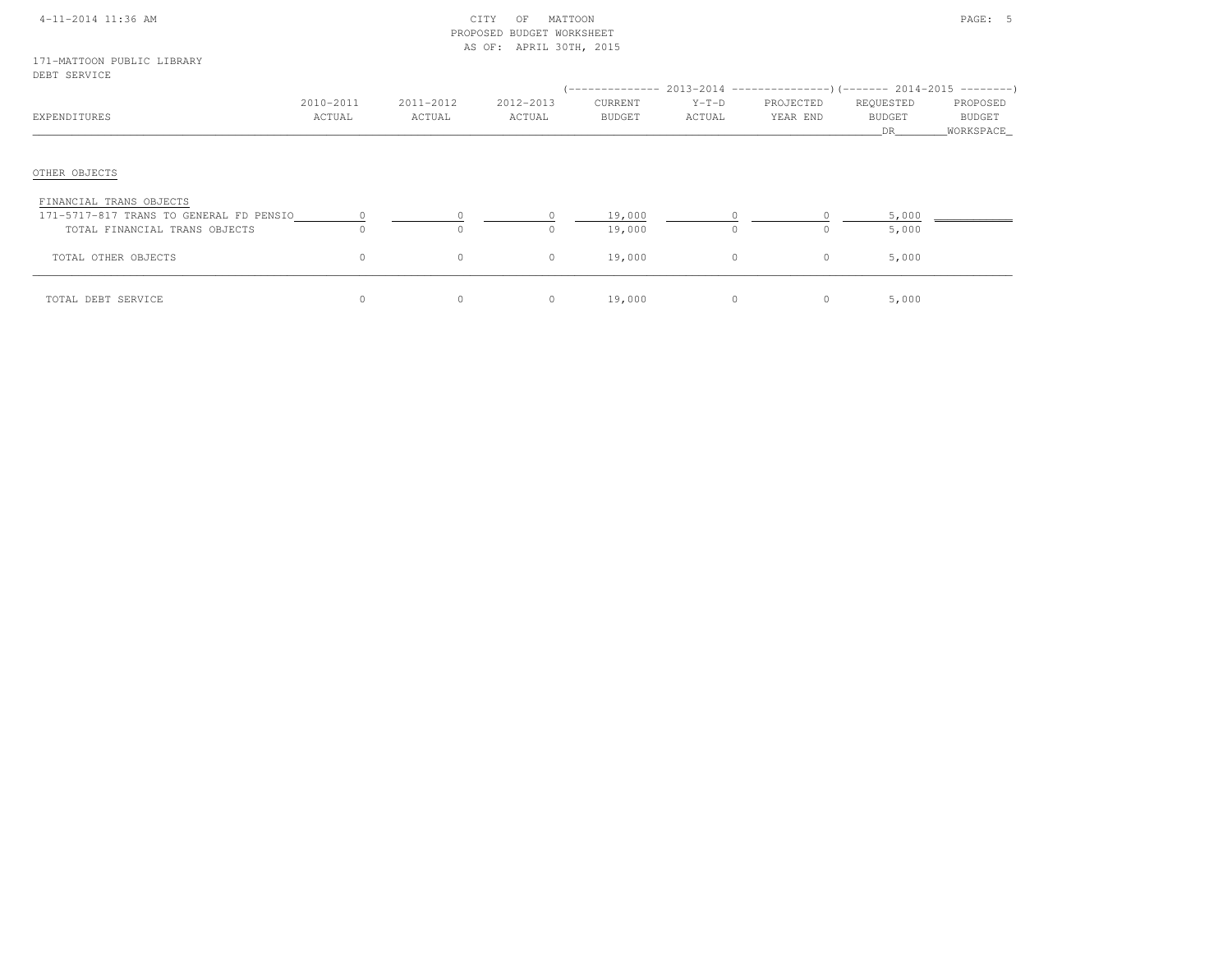|  | 4-11-2014 11:36 AM |  |
|--|--------------------|--|
|  |                    |  |

#### $\begin{array}{ccc} \text{CITY} & \text{OF} & \text{MATTOON} \end{array}$  PROPOSED BUDGET WORKSHEETAS OF: APRIL 30TH, 2015

#### 171-MATTOON PUBLIC LIBRARYDEBT SERVICE

| EXPENDITURES                                                       | 2010-2011<br>ACTUAL | 2011-2012<br>ACTUAL | 2012-2013<br>ACTUAL | '--------------<br>CURRENT<br><b>BUDGET</b> | $Y-T-D$<br>ACTUAL | $2013-2014$ ----------------)(------- 2014-2015 ---------)<br>PROJECTED<br>YEAR END | REQUESTED<br><b>BUDGET</b><br><b>DR</b> | PROPOSED<br><b>BUDGET</b><br>_WORKSPACE_ |
|--------------------------------------------------------------------|---------------------|---------------------|---------------------|---------------------------------------------|-------------------|-------------------------------------------------------------------------------------|-----------------------------------------|------------------------------------------|
| OTHER OBJECTS                                                      |                     |                     |                     |                                             |                   |                                                                                     |                                         |                                          |
| FINANCIAL TRANS OBJECTS<br>171-5717-817 TRANS TO GENERAL FD PENSIO |                     |                     |                     | 19,000                                      |                   |                                                                                     | 5,000                                   |                                          |
| TOTAL FINANCIAL TRANS OBJECTS                                      |                     | $\circ$             | $\circ$             | 19,000                                      | $\Omega$          |                                                                                     | 5,000                                   |                                          |
| TOTAL OTHER OBJECTS                                                | $\Omega$            | $\circ$             | $\circ$             | 19,000                                      | 0                 | $\circ$                                                                             | 5,000                                   |                                          |
| TOTAL DEBT SERVICE                                                 |                     | $\circ$             | $\circ$             | 19,000                                      | $\Omega$          | $\circ$                                                                             | 5,000                                   |                                          |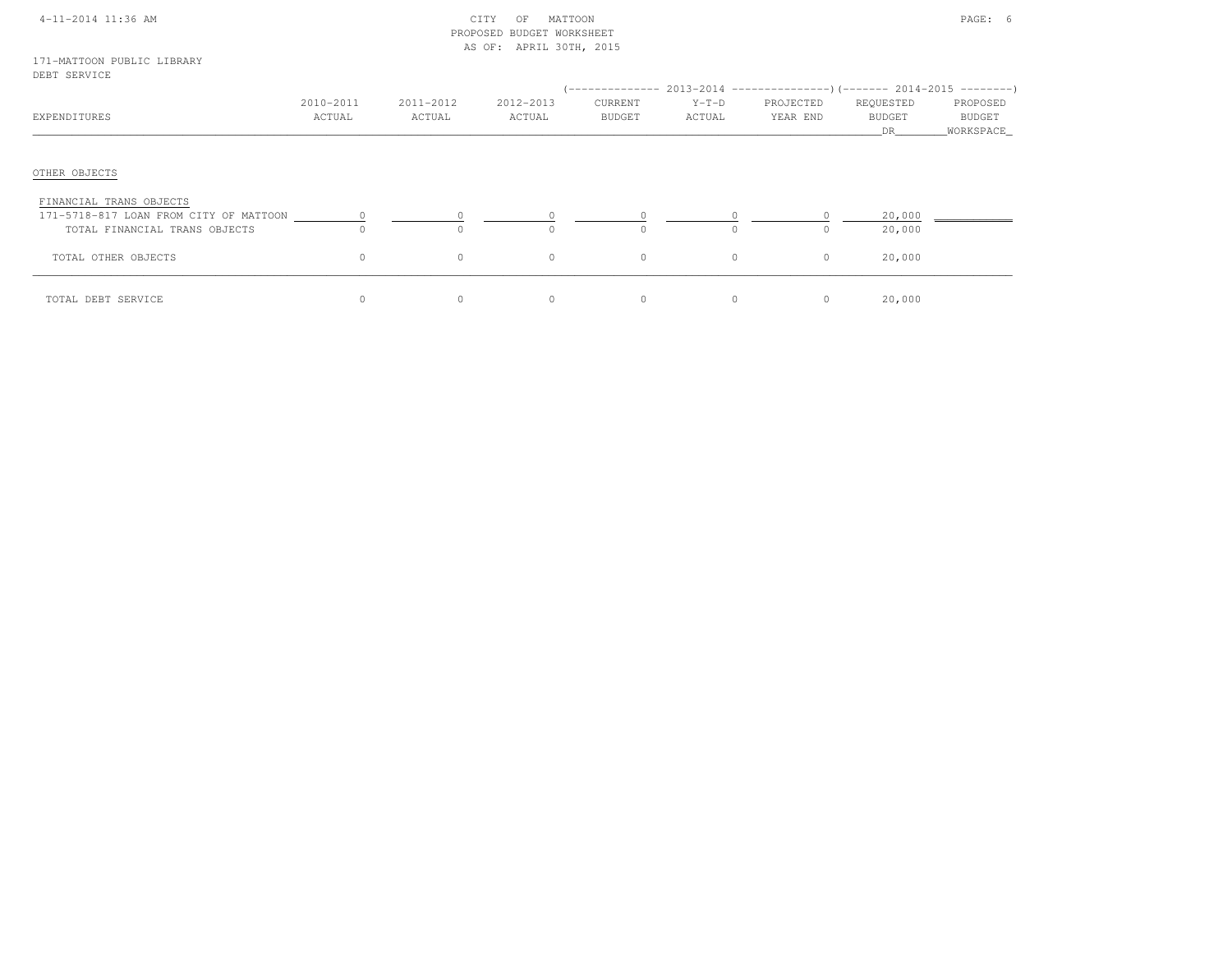|  | 4-11-2014 11:36 AM |  |
|--|--------------------|--|
|  |                    |  |

#### $\begin{array}{ccccccc}\n\text{CITY} & \text{OF} & \text{MATTON}\n\end{array}$  PROPOSED BUDGET WORKSHEETAS OF: APRIL 30TH, 2015

#### 171-MATTOON PUBLIC LIBRARYDEBT SERVICE

| EXPENDITURES                                                                                       | 2010-2011<br>ACTUAL | 2011-2012<br>ACTUAL        | 2012-2013<br>ACTUAL  | CURRENT<br>BUDGET | $Y-T-D$<br>ACTUAL | PROJECTED<br>YEAR END | REQUESTED<br><b>BUDGET</b><br>DR | PROPOSED<br>BUDGET<br>WORKSPACE |
|----------------------------------------------------------------------------------------------------|---------------------|----------------------------|----------------------|-------------------|-------------------|-----------------------|----------------------------------|---------------------------------|
| OTHER OBJECTS                                                                                      |                     |                            |                      |                   |                   |                       |                                  |                                 |
| FINANCIAL TRANS OBJECTS<br>171-5718-817 LOAN FROM CITY OF MATTOON<br>TOTAL FINANCIAL TRANS OBJECTS | $\Omega$            | $\overline{0}$<br>$\Omega$ | $\sim$ 0<br>$\Omega$ |                   |                   | $\Omega$              | 20,000<br>20,000                 |                                 |
| TOTAL OTHER OBJECTS                                                                                | $\circ$             | $\circ$                    | 0                    | $\circ$           | $\circ$           | $\circ$               | 20,000                           |                                 |
| TOTAL DEBT SERVICE                                                                                 |                     | $\mathbf{0}$               | 0                    |                   | $\circ$           | $\circ$               | 20,000                           |                                 |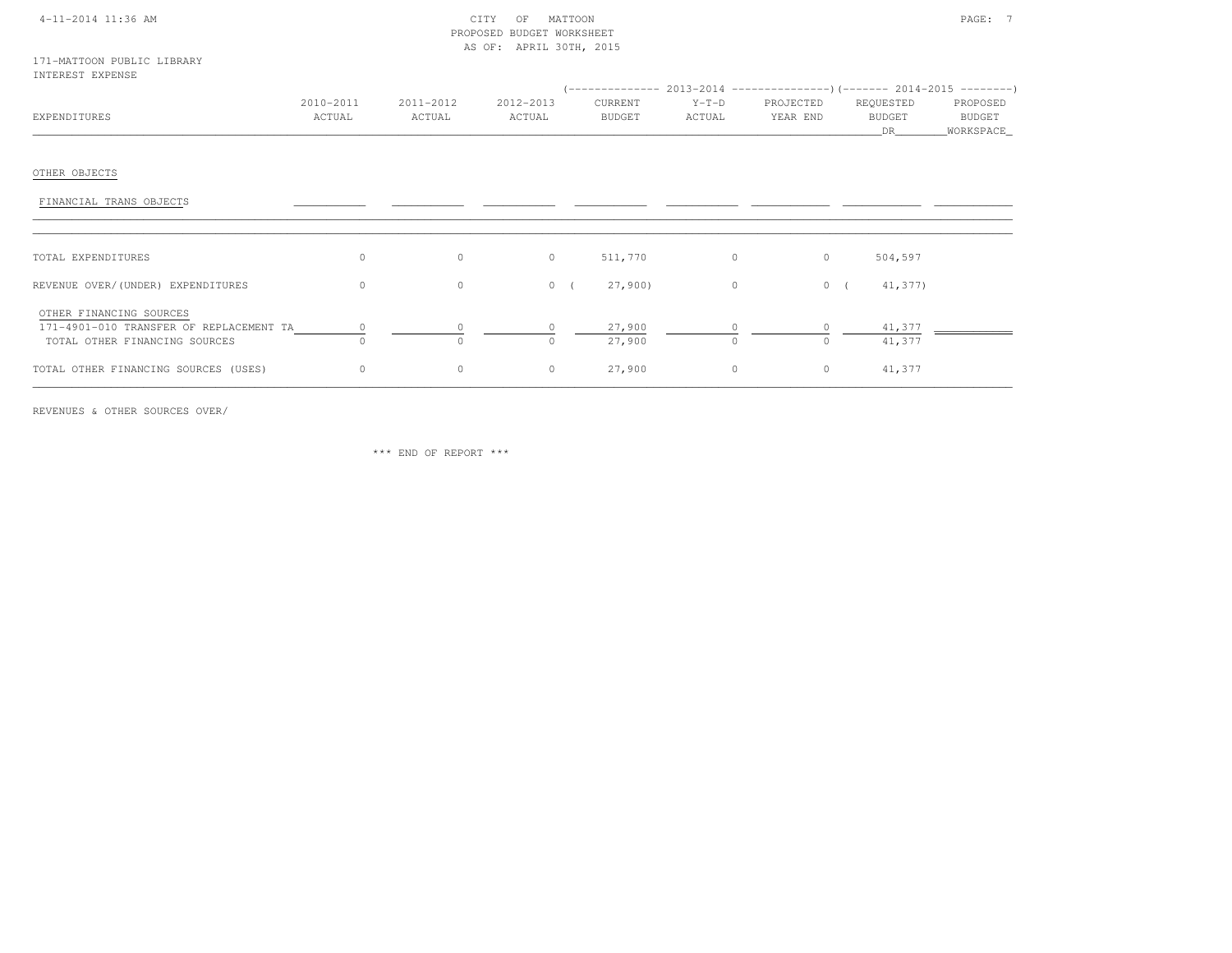#### 4-11-2014 11:36 AM CITY OF MATTOON PAGE: 7 PROPOSED BUDGET WORKSHEETAS OF: APRIL 30TH, 2015

|              | 2010-2011 | 2011-2012 | 2012-2013     | CURRENT       | $Y-T-D$ | PROJECTED | REQUESTED     | PROPOSED      |
|--------------|-----------|-----------|---------------|---------------|---------|-----------|---------------|---------------|
| EXPENDITURES | CTUAL     | ACTUAL    | <b>ACTUAL</b> | <b>BUDGET</b> | ACTUAL  | YEAR END  | <b>BUDGET</b> | <b>BUDGET</b> |
|              |           |           |               |               |         |           |               | WORKSPACE_    |

## OTHER OBJECTS

| FINANCIAL TRANS OBJECTS                                                                             |          |         |          |                  |                |                             |  |
|-----------------------------------------------------------------------------------------------------|----------|---------|----------|------------------|----------------|-----------------------------|--|
| TOTAL EXPENDITURES                                                                                  | $\Omega$ | $\circ$ | $\circ$  | 511,770          | $\overline{0}$ | 504,597<br>$\circ$          |  |
| REVENUE OVER/(UNDER) EXPENDITURES                                                                   | $\Omega$ | $\circ$ | 0(       | 27,900)          | $\circ$        | 41,377)<br>0(               |  |
| OTHER FINANCING SOURCES<br>171-4901-010 TRANSFER OF REPLACEMENT TA<br>TOTAL OTHER FINANCING SOURCES | $\Omega$ | $\circ$ | $\Omega$ | 27,900<br>27,900 | $\Omega$       | 41,377<br>41,377<br>$\circ$ |  |
| TOTAL OTHER FINANCING SOURCES (USES)                                                                | $\Omega$ | $\circ$ | $\circ$  | 27,900           | $\circ$        | 41,377<br>$\circ$           |  |

REVENUES & OTHER SOURCES OVER/

\*\*\* END OF REPORT \*\*\*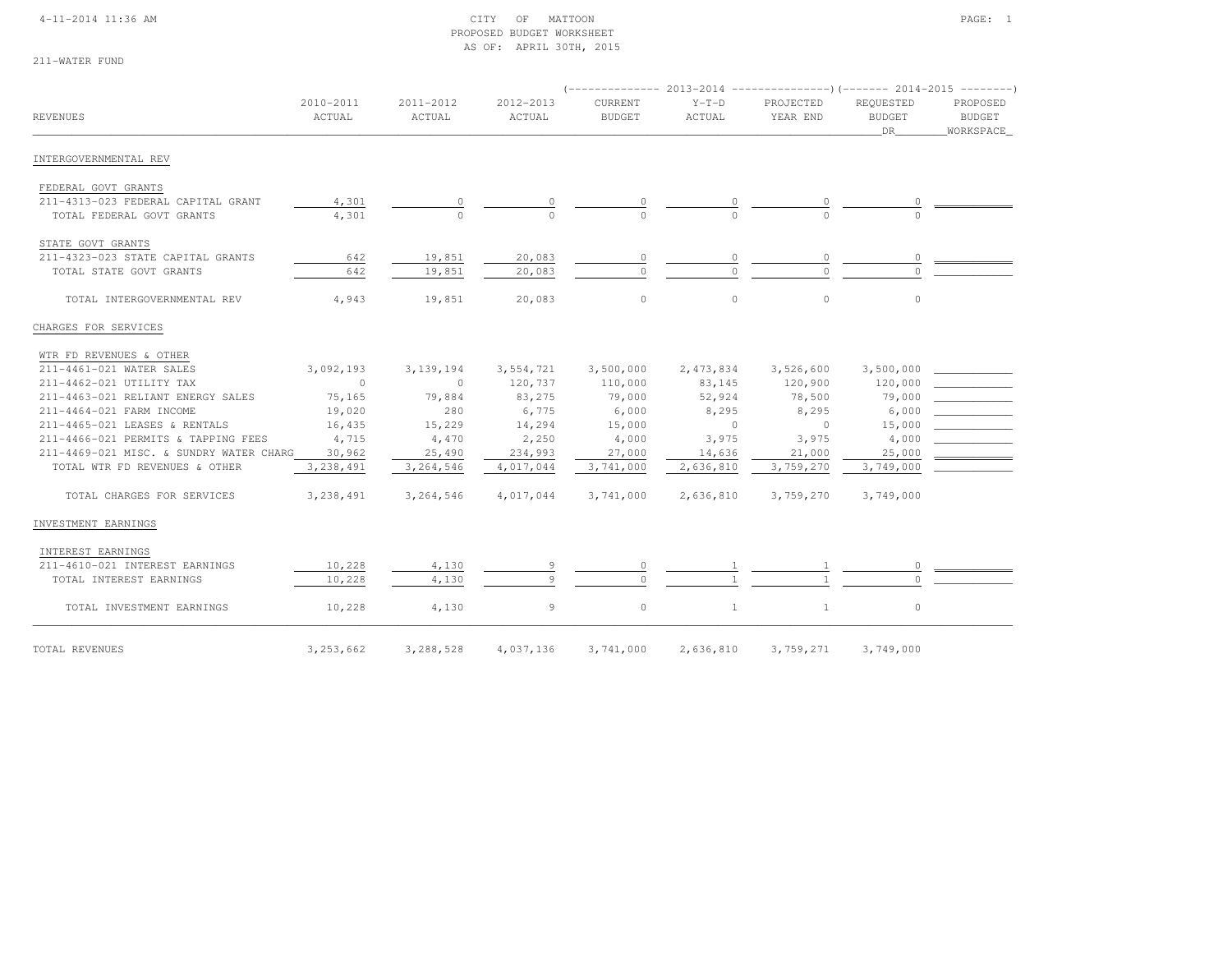#### 4-11-2014 11:36 AM CITY OF MATTOON PAGE: 1 PROPOSED BUDGET WORKSHEETAS OF: APRIL 30TH, 2015

| 211-WATER FUND |  |
|----------------|--|
|                |  |

| <b>REVENUES</b>                         | 2010-2011<br>ACTUAL | 2011-2012<br>ACTUAL | 2012-2013<br>ACTUAL | CURRENT<br><b>BUDGET</b> | $Y-T-D$<br>ACTUAL | PROJECTED<br>YEAR END | REQUESTED<br><b>BUDGET</b><br>DR. | PROPOSED<br><b>BUDGET</b><br>WORKSPACE |
|-----------------------------------------|---------------------|---------------------|---------------------|--------------------------|-------------------|-----------------------|-----------------------------------|----------------------------------------|
| INTERGOVERNMENTAL REV                   |                     |                     |                     |                          |                   |                       |                                   |                                        |
| FEDERAL GOVT GRANTS                     |                     |                     |                     |                          |                   |                       |                                   |                                        |
| 211-4313-023 FEDERAL CAPITAL GRANT      | 4,301               | 0                   |                     |                          |                   |                       |                                   |                                        |
| TOTAL FEDERAL GOVT GRANTS               | 4,301               |                     |                     |                          |                   |                       |                                   |                                        |
| STATE GOVT GRANTS                       |                     |                     |                     |                          |                   |                       |                                   |                                        |
| 211-4323-023 STATE CAPITAL GRANTS       | 642                 | 19,851              | 20,083              | $\circ$                  | 0                 | 0                     | $\circ$                           |                                        |
| TOTAL STATE GOVT GRANTS                 | 642                 | 19,851              | 20,083              | $\Omega$                 |                   |                       |                                   |                                        |
| TOTAL INTERGOVERNMENTAL REV             | 4,943               | 19,851              | 20,083              | $\circ$                  | $\circ$           | $\circ$               | $\circ$                           |                                        |
| CHARGES FOR SERVICES                    |                     |                     |                     |                          |                   |                       |                                   |                                        |
| WTR FD REVENUES & OTHER                 |                     |                     |                     |                          |                   |                       |                                   |                                        |
| 211-4461-021 WATER SALES                | 3,092,193           | 3, 139, 194         | 3,554,721           | 3,500,000                | 2,473,834         | 3,526,600             | 3,500,000                         |                                        |
| 211-4462-021 UTILITY TAX                | $\Omega$            | $\Omega$            | 120,737             | 110,000                  | 83,145            | 120,900               | 120,000                           |                                        |
| 211-4463-021 RELIANT ENERGY SALES       | 75,165              | 79,884              | 83,275              | 79,000                   | 52,924            | 78,500                | 79,000                            |                                        |
| 211-4464-021 FARM INCOME                | 19,020              | 280                 | 6,775               | 6,000                    | 8,295             | 8,295                 | 6,000                             |                                        |
| 211-4465-021 LEASES & RENTALS           | 16,435              | 15,229              | 14,294              | 15,000                   | $\circ$           | $\circ$               | 15,000                            |                                        |
| 211-4466-021 PERMITS & TAPPING FEES     | 4,715               | 4,470               | 2,250               | 4,000                    | 3,975             | 3,975                 | 4,000                             |                                        |
| 211-4469-021 MISC. & SUNDRY WATER CHARG | 30,962              | 25,490              | 234,993             | 27,000                   | 14,636            | 21,000                | 25,000                            |                                        |
| TOTAL WTR FD REVENUES & OTHER           | 3, 238, 491         | 3, 264, 546         | 4,017,044           | 3,741,000                | 2,636,810         | 3,759,270             | 3,749,000                         |                                        |
| TOTAL CHARGES FOR SERVICES              | 3,238,491           | 3,264,546           | 4,017,044           | 3,741,000                | 2,636,810         | 3,759,270             | 3,749,000                         |                                        |
| INVESTMENT EARNINGS                     |                     |                     |                     |                          |                   |                       |                                   |                                        |
| INTEREST EARNINGS                       |                     |                     |                     |                          |                   |                       |                                   |                                        |
| 211-4610-021 INTEREST EARNINGS          | 10,228              | 4,130               |                     |                          |                   |                       |                                   |                                        |
| TOTAL INTEREST EARNINGS                 | 10,228              | 4,130               | $\alpha$            | $\Omega$                 |                   |                       |                                   |                                        |
| TOTAL INVESTMENT EARNINGS               | 10,228              | 4,130               | 9                   | $\circ$                  | $\mathbf{1}$      | $\mathbf{1}$          | $\circ$                           |                                        |
| TOTAL REVENUES                          | 3,253,662           | 3,288,528           | 4,037,136           | 3,741,000                | 2,636,810         | 3,759,271             | 3,749,000                         |                                        |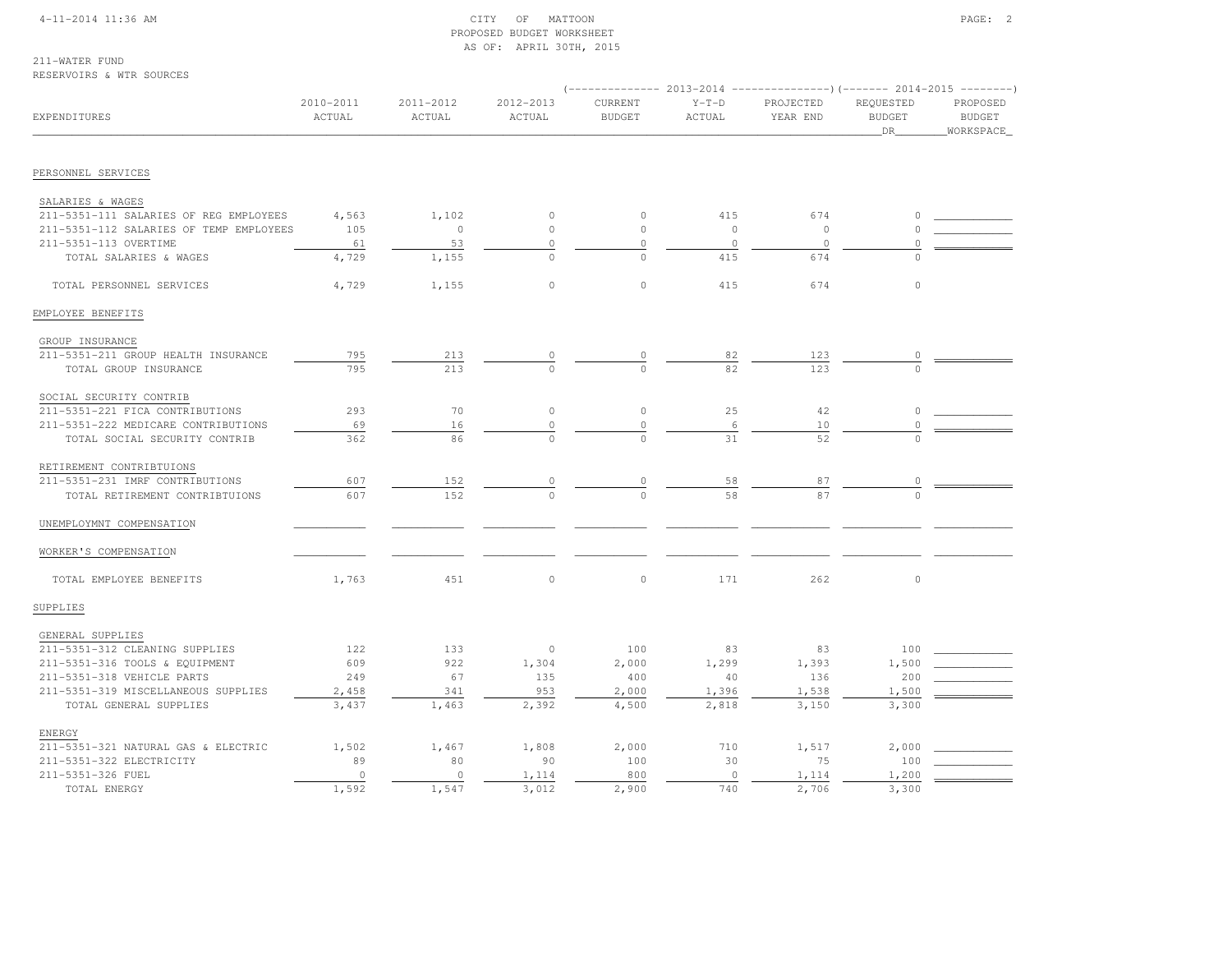#### 4-11-2014 11:36 AM CITY OF MATTOON PAGE: 2 PROPOSED BUDGET WORKSHEETAS OF: APRIL 30TH, 2015

#### 211-WATER FUNDRESERVOIRS & WTR SOURCES

| EXPENDITURES                                               | 2010-2011<br>ACTUAL | 2011-2012<br>ACTUAL | 2012-2013<br>ACTUAL | CURRENT<br><b>BUDGET</b> | $Y-T-D$<br>ACTUAL | PROJECTED<br>YEAR END | REQUESTED<br><b>BUDGET</b><br>DR | PROPOSED<br><b>BUDGET</b><br>WORKSPACE |
|------------------------------------------------------------|---------------------|---------------------|---------------------|--------------------------|-------------------|-----------------------|----------------------------------|----------------------------------------|
|                                                            |                     |                     |                     |                          |                   |                       |                                  |                                        |
| PERSONNEL SERVICES                                         |                     |                     |                     |                          |                   |                       |                                  |                                        |
|                                                            |                     |                     |                     |                          |                   |                       |                                  |                                        |
| SALARIES & WAGES<br>211-5351-111 SALARIES OF REG EMPLOYEES | 4,563               | 1,102               | $\circ$             | $\circ$                  | 415               | 674                   | $\Omega$                         |                                        |
| 211-5351-112 SALARIES OF TEMP EMPLOYEES                    | 105                 | $\circ$             | $\circ$             | $\circ$                  | $\circ$           | $\circ$               | $\cap$                           |                                        |
| 211-5351-113 OVERTIME                                      | 61                  | 53                  | $\circ$             | $\circ$                  | $\circ$           | $\circ$               | 0                                |                                        |
| TOTAL SALARIES & WAGES                                     | 4,729               | 1,155               | $\circ$             | $\circ$                  | 415               | 674                   | $\circ$                          |                                        |
|                                                            |                     |                     |                     |                          |                   |                       |                                  |                                        |
| TOTAL PERSONNEL SERVICES                                   | 4,729               | 1,155               | $\circ$             | $\circ$                  | 415               | 674                   | $\circ$                          |                                        |
| EMPLOYEE BENEFITS                                          |                     |                     |                     |                          |                   |                       |                                  |                                        |
| GROUP INSURANCE                                            |                     |                     |                     |                          |                   |                       |                                  |                                        |
| 211-5351-211 GROUP HEALTH INSURANCE                        | 795                 | 213                 | 0                   | 0                        | 82                | 123                   | $\circ$                          |                                        |
| TOTAL GROUP INSURANCE                                      | 795                 | 213                 | $\circ$             | $\Omega$                 | 82                | 123                   | $\Omega$                         |                                        |
| SOCIAL SECURITY CONTRIB                                    |                     |                     |                     |                          |                   |                       |                                  |                                        |
| 211-5351-221 FICA CONTRIBUTIONS                            | 293                 | 70                  | $\circ$             | $\mathbb O$              | 25                | 42                    | $\circ$                          |                                        |
| 211-5351-222 MEDICARE CONTRIBUTIONS                        | 69                  | 16                  | 0                   | $\circ$                  | 6                 | 10                    | $\Omega$                         |                                        |
| TOTAL SOCIAL SECURITY CONTRIB                              | 362                 | 86                  | $\Omega$            | $\Omega$                 | 31                | 52                    |                                  |                                        |
| RETIREMENT CONTRIBTUIONS                                   |                     |                     |                     |                          |                   |                       |                                  |                                        |
| 211-5351-231 IMRF CONTRIBUTIONS                            | 607                 | 152                 | 0                   | $\circ$                  | 58                | 87                    | 0                                |                                        |
| TOTAL RETIREMENT CONTRIBTUIONS                             | 607                 | 152                 |                     |                          | 58                | 87                    |                                  |                                        |
| UNEMPLOYMNT COMPENSATION                                   |                     |                     |                     |                          |                   |                       |                                  |                                        |
| WORKER'S COMPENSATION                                      |                     |                     |                     |                          |                   |                       |                                  |                                        |
|                                                            |                     |                     |                     |                          |                   |                       |                                  |                                        |
| TOTAL EMPLOYEE BENEFITS                                    | 1,763               | 451                 | $\circ$             | $\circ$                  | 171               | 262                   | $\circ$                          |                                        |
| SUPPLIES                                                   |                     |                     |                     |                          |                   |                       |                                  |                                        |
| GENERAL SUPPLIES                                           |                     |                     |                     |                          |                   |                       |                                  |                                        |
| 211-5351-312 CLEANING SUPPLIES                             | 122                 | 133                 | $\circ$             | 100                      | 83                | 83                    | 100                              |                                        |
| 211-5351-316 TOOLS & EQUIPMENT                             | 609                 | 922                 | 1,304               | 2,000                    | 1,299             | 1,393                 | 1,500                            |                                        |
| 211-5351-318 VEHICLE PARTS                                 | 249                 | 67                  | 135                 | 400                      | 40                | 136                   | 200                              |                                        |
| 211-5351-319 MISCELLANEOUS SUPPLIES                        | 2,458               | 341                 | 953                 | 2,000                    | 1,396             | 1,538                 | 1,500                            |                                        |
| TOTAL GENERAL SUPPLIES                                     | 3,437               | 1,463               | 2,392               | 4,500                    | 2,818             | 3,150                 | 3,300                            |                                        |
| <b>ENERGY</b>                                              |                     |                     |                     |                          |                   |                       |                                  |                                        |
| 211-5351-321 NATURAL GAS & ELECTRIC                        | 1,502               | 1,467               | 1,808               | 2,000                    | 710               | 1,517                 | 2,000                            |                                        |
| 211-5351-322 ELECTRICITY                                   | 89                  | 80                  | 90                  | 100                      | 30                | 75                    | 100                              |                                        |
| 211-5351-326 FUEL                                          | $\circ$             | $\circ$             | 1,114               | 800                      | $\circ$           | 1,114                 | 1,200                            |                                        |
| TOTAL ENERGY                                               | 1,592               | 1,547               | 3,012               | 2,900                    | 740               | 2,706                 | 3,300                            |                                        |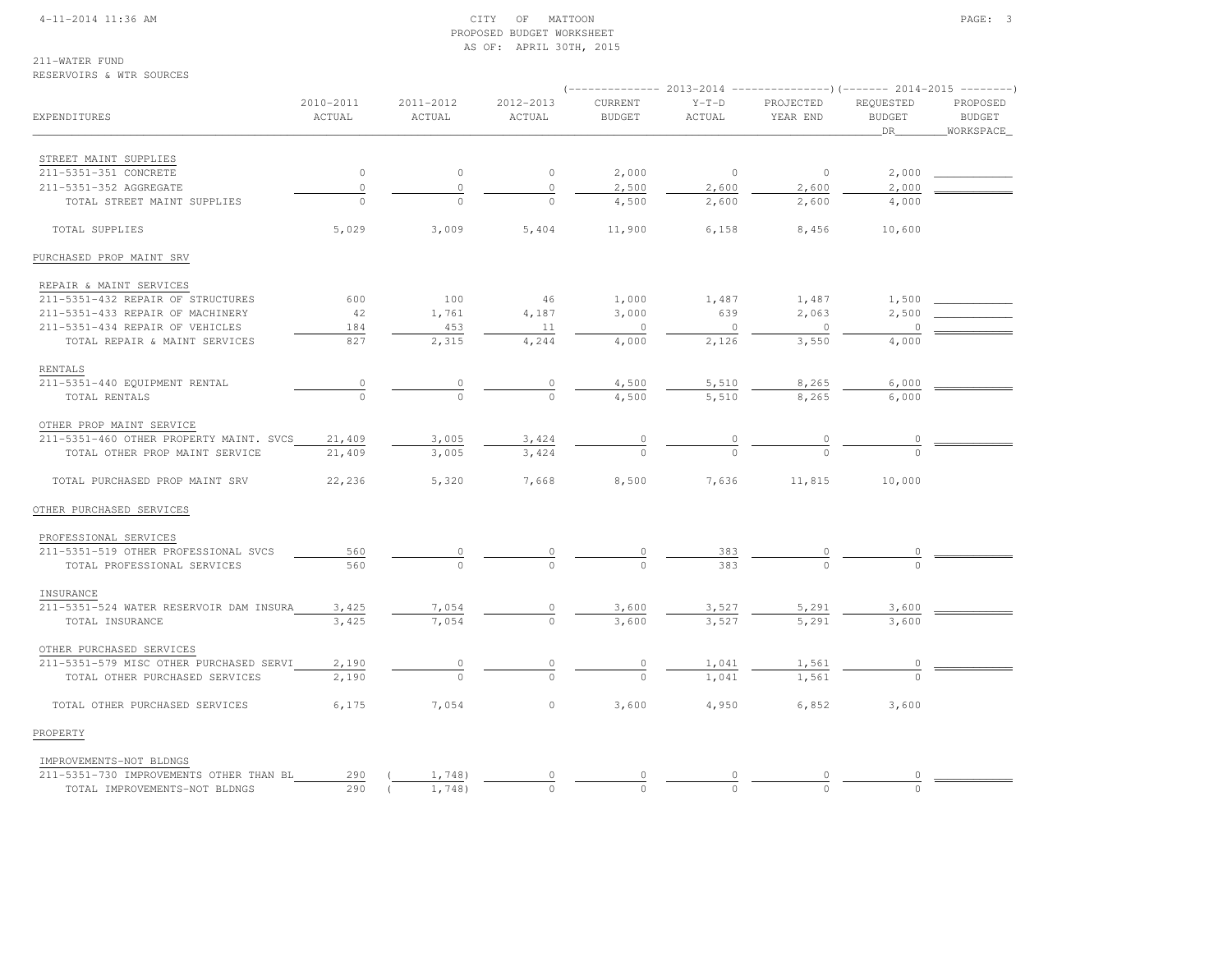#### 4-11-2014 11:36 AM CITY OF MATTOON PAGE: 3 PROPOSED BUDGET WORKSHEETAS OF: APRIL 30TH, 2015

**BUDGET** 

211-WATER FUND

# RESERVOIRS & WTR SOURCES (-------------- 2013-2014 ---------------)(------- 2014-2015 --------) 2010-2011 2011-2012 2012-2013 CURRENT Y-T-D PROJECTED REQUESTED PROPOSEDEXPENDITURES ACTUAL ACTUAL ACTUAL BUDGET ACTUAL YEAR END BUDGET BUDGETWORKSPACE  $\hbox{\tt \_}$  . The contract of the contract of the contract of the contract of the contract of the contract of the contract of the contract of the contract of the contract of the contract of the contract of the contract of STREET MAINT SUPPLIES211-5351-351 CONCRETE 211-5351-351 CONCRETE 0 0 0 2,000 0 0 2,000 \_\_\_\_\_\_\_\_\_\_\_\_211-5351-352 AGGREGATE 0 0 0 0 2,500 2,600 2,600 2,000 TOTAL STREET MAINT SUPPLIES 0 0 0 4,500 2,600 2,600 4,000 TOTAL SUPPLIES 5,029 3,009 5,404 11,900 6,158 8,456 10,600PURCHASED PROP MAINT SRV REPAIR & MAINT SERVICES 211-5351-432 REPAIR OF STRUCTURES 600 100 46 1,000 1,487 1,487 1,500 \_\_\_\_\_\_\_\_\_\_\_\_211-5351-433 REPAIR OF MACHINERY 42 1,761 4,187 3,000 639 2,063 2,500 211-5351-434 REPAIR OF VEHICLES<br>
TOTAL REPAIR & MAINT SERVICES<br>  $\begin{array}{ccc} 184 & -453 & -111 & -0 & 0 & -126 \\ 827 & 2.315 & 4.244 & -4.000 & 2.126 & -3.550 \\ \end{array}$ TOTAL REPAIR & MAINT SERVICES  $\overline{827}$   $\overline{2,315}$   $\overline{4,244}$   $\overline{4,000}$   $\overline{2,126}$   $\overline{3,550}$   $\overline{4,000}$  RENTALS211-5351-440 EQUIPMENT RENTAL 211-5351-440 EQUIPMENT RENTAL 0 0 0 4,500 5,510 8,265 6,000 \_\_\_\_\_\_\_\_\_\_\_\_ TOTAL RENTALS 0 0 0 4,500 5,510 8,265 6,000 OTHER PROP MAINT SERVICE 211-5351-460 OTHER PROPERTY MAINT. SVCS 21,409 3,005 3,424 0 0 0 0 \_\_\_\_\_\_\_\_\_\_\_\_ $\frac{0}{2}$ TOTAL OTHER PROP MAINT SERVICE 21,409 3,005 3,424 0 0 0 0 TOTAL PURCHASED PROP MAINT SRV 22,236 5,320 7,668 8,500 7,636 11,815 10,000OTHER PURCHASED SERVICES PROFESSIONAL SERVICES211-5351-519 OTHER PROFESSIONAL SVCS 211-5351-519 OTHER PROFESSIONAL SVCS 560 0 0 0 383 0 0 \_\_\_\_\_\_\_\_\_\_\_\_ TOTAL PROFESSIONAL SERVICES 560 0 0 0 383 0 0 INSURANCE211-5351-524 WATER RESERVOTR DAM INSURA 211-5351-524 WATER RESERVOIR DAM INSURA 3,425 7,054 0 3,600 3,527 5,291 3,600 \_\_\_\_\_\_\_\_\_\_\_\_ TOTAL INSURANCE 3,425 7,054 0 3,600 3,527 5,291 3,600 OTHER PURCHASED SERVICES211-5351-579 MISC OTHER PURCHASED SERVI 2,190 0 0 0 0 1,041 1,561 0 \_\_\_\_\_\_\_\_\_\_\_\_  $-5351-579$  MISC OTHER PURCHASED SERVI $\frac{2,190}{2,190}$   $\frac{0}{0}$   $\frac{0}{0}$   $\frac{0}{0}$   $\frac{1,041}{1,041}$   $\frac{1,561}{1,561}$  TOTAL OTHER PURCHASED SERVICES 6,175 7,054 0 3,600 4,950 6,852 3,600PROPERTY IMPROVEMENTS-NOT BLDNGS211-5351-730 IMPROVEMENTS OTHER THAN BL

211-5351-730 IMPROVEMENTS OTHER THAN BL 290 ( 1,748) 0 0 0 0 0 \_\_\_\_\_\_\_\_\_\_\_\_

TOTAL IMPROVEMENTS-NOT BLDNGS 290 ( 1,748) 0 0 0 0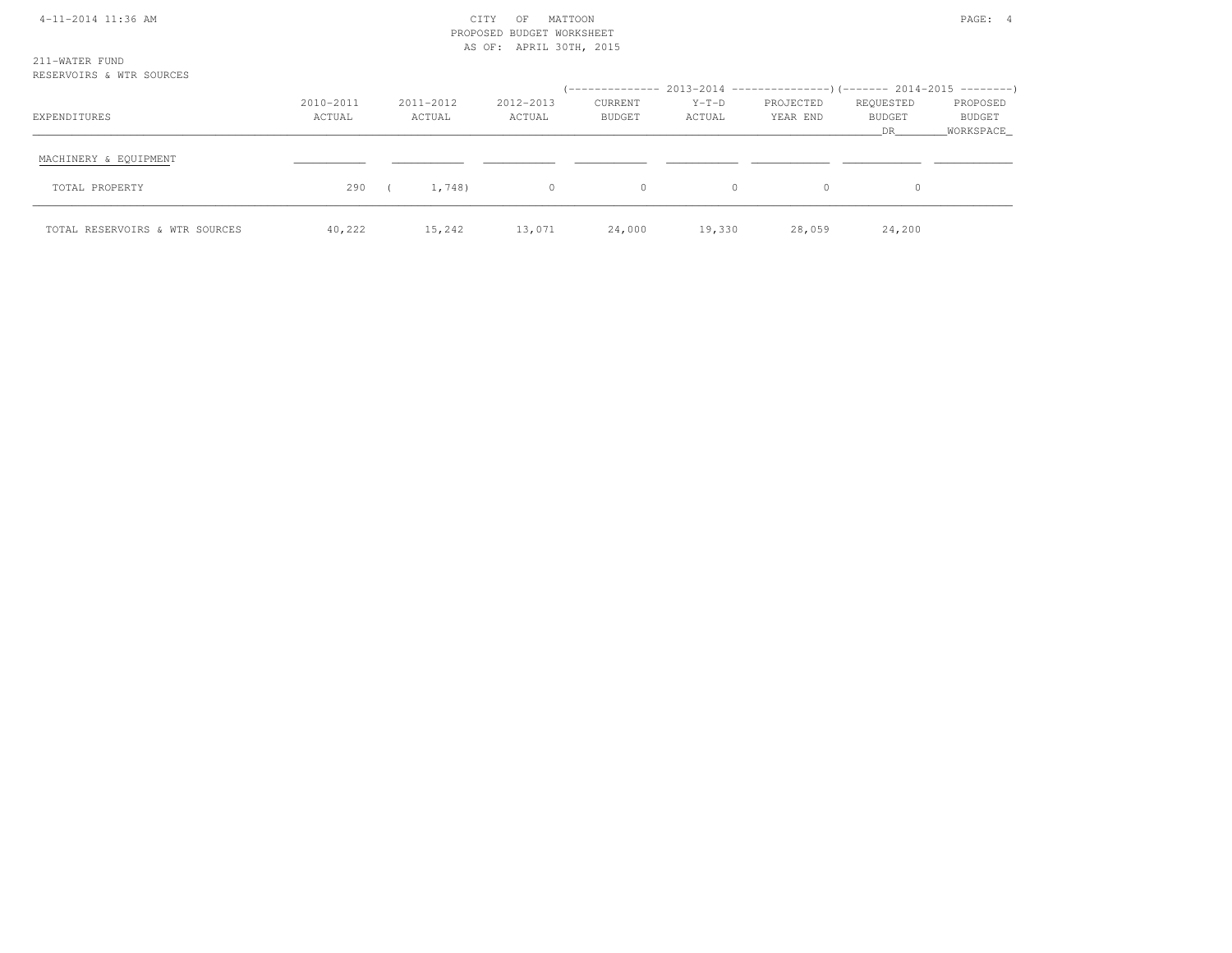| 4-11-2014 11:36 AM                         | MATTOON<br>CITY<br>OF<br>PROPOSED BUDGET WORKSHEET<br>AS OF: APRIL 30TH, 2015 |                     |                     |                   |                   |                       |                           |                                   |  |
|--------------------------------------------|-------------------------------------------------------------------------------|---------------------|---------------------|-------------------|-------------------|-----------------------|---------------------------|-----------------------------------|--|
| 211-WATER FUND<br>RESERVOIRS & WTR SOURCES |                                                                               |                     |                     |                   |                   |                       |                           |                                   |  |
| EXPENDITURES                               | 2010-2011<br>ACTUAL                                                           | 2011-2012<br>ACTUAL | 2012-2013<br>ACTUAL | CURRENT<br>BUDGET | $Y-T-D$<br>ACTUAL | PROJECTED<br>YEAR END | REQUESTED<br>BUDGET<br>DR | PROPOSED<br>BUDGET<br>_WORKSPACE_ |  |
| MACHINERY & EQUIPMENT                      |                                                                               |                     |                     |                   |                   |                       |                           |                                   |  |
| TOTAL PROPERTY                             | 290                                                                           | 1,748)              | $\circ$             | $\circ$           | $\circ$           | $\circ$               | $\circ$                   |                                   |  |
| TOTAL RESERVOIRS & WTR SOURCES             | 40,222                                                                        | 15,242              | 13,071              | 24,000            | 19,330            | 28,059                | 24,200                    |                                   |  |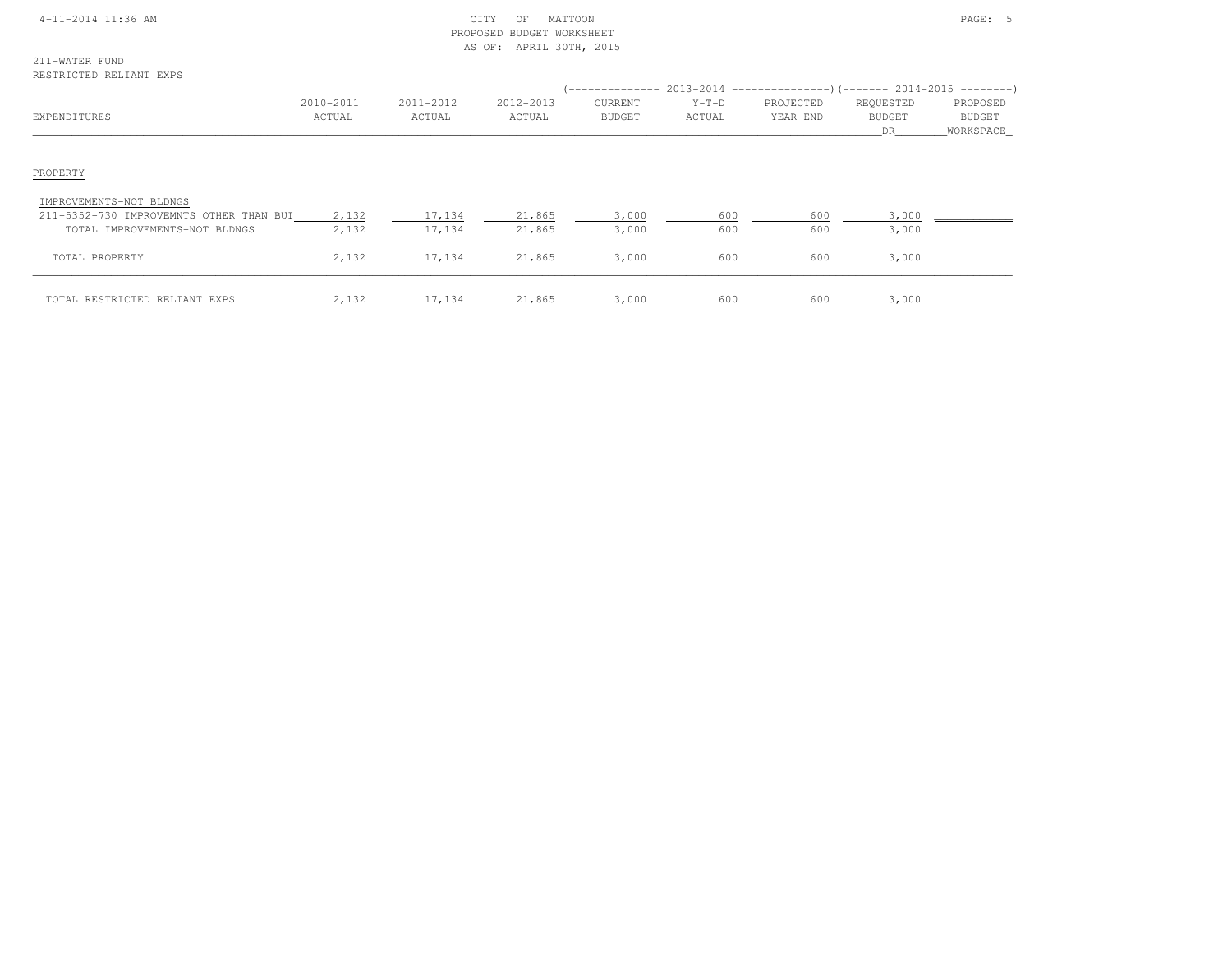#### 4-11-2014 11:36 AM CITY OF MATTOON PAGE: 5 PROPOSED BUDGET WORKSHEETAS OF: APRIL 30TH, 2015

211-WATER FUNDRESTRICTED RELIANT EXPS

| REJIRIÇIED REBIANI EAFJ                 |                     |                     |                     |                          |                   |                       |                                   |                                 |
|-----------------------------------------|---------------------|---------------------|---------------------|--------------------------|-------------------|-----------------------|-----------------------------------|---------------------------------|
| EXPENDITURES                            | 2010-2011<br>ACTUAL | 2011-2012<br>ACTUAL | 2012-2013<br>ACTUAL | CURRENT<br><b>BUDGET</b> | $Y-T-D$<br>ACTUAL | PROJECTED<br>YEAR END | REQUESTED<br><b>BUDGET</b><br>DR. | PROPOSED<br>BUDGET<br>WORKSPACE |
| PROPERTY                                |                     |                     |                     |                          |                   |                       |                                   |                                 |
| IMPROVEMENTS-NOT BLDNGS                 |                     |                     |                     |                          |                   |                       |                                   |                                 |
| 211-5352-730 IMPROVEMNTS OTHER THAN BUI | 2,132               | 17,134              | 21,865              | 3,000                    | 600               | 600                   | 3,000                             |                                 |
| TOTAL IMPROVEMENTS-NOT BLDNGS           | 2,132               | 17,134              | 21,865              | 3,000                    | 600               | 600                   | 3,000                             |                                 |
| TOTAL PROPERTY                          | 2,132               | 17,134              | 21,865              | 3,000                    | 600               | 600                   | 3,000                             |                                 |
| TOTAL RESTRICTED RELIANT EXPS           | 2,132               | 17,134              | 21,865              | 3,000                    | 600               | 600                   | 3,000                             |                                 |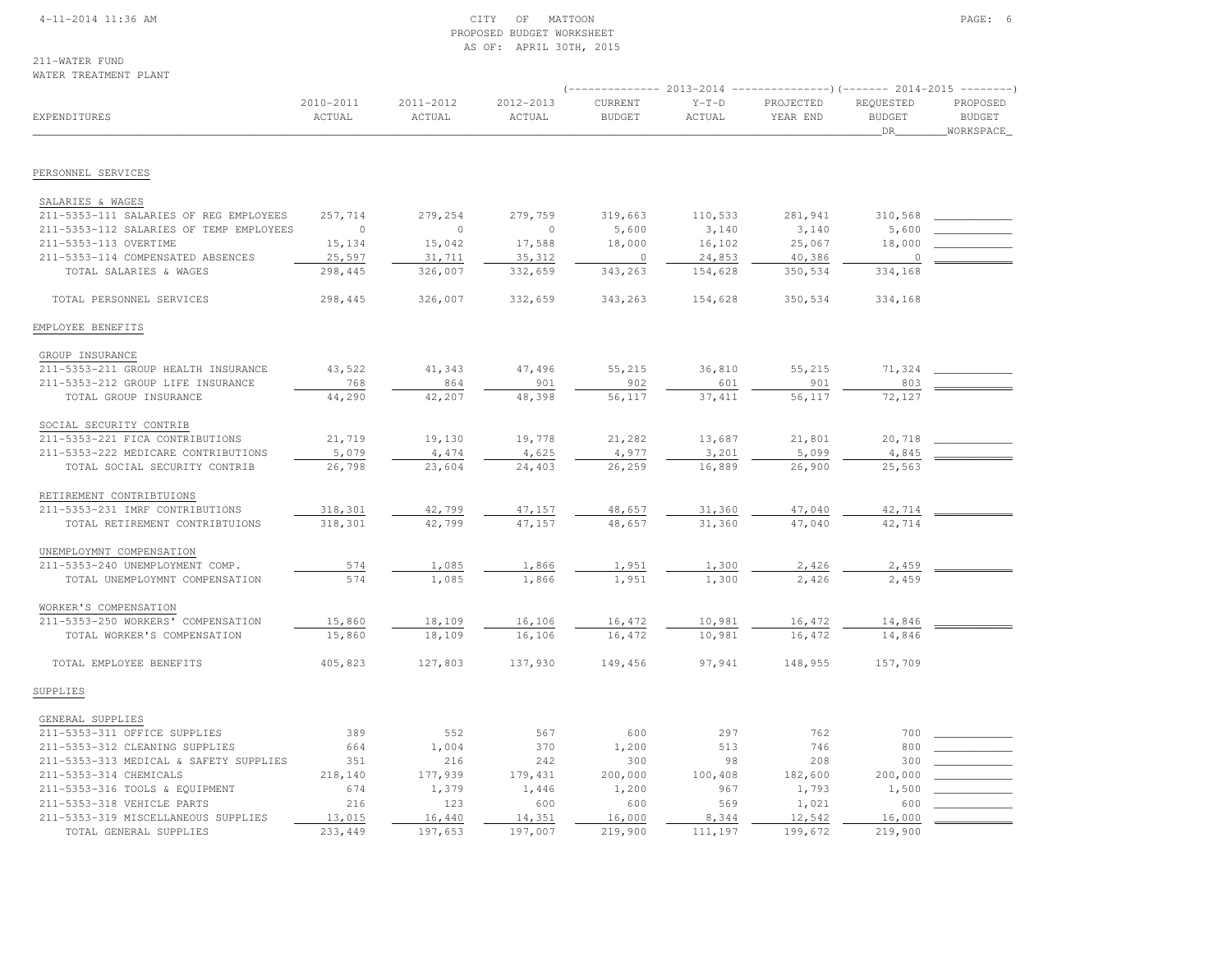#### 4-11-2014 11:36 AM CITY OF MATTOON PAGE: 6 PROPOSED BUDGET WORKSHEETAS OF: APRIL 30TH, 2015

211-WATER FUNDWATER TREATMENT PLANT

|                                                            |                     |                     |                     |                          |                   | $($ -------------- 2013-2014 ----------------) (------- 2014-2015 ---------) |                                  |                                         |
|------------------------------------------------------------|---------------------|---------------------|---------------------|--------------------------|-------------------|------------------------------------------------------------------------------|----------------------------------|-----------------------------------------|
| EXPENDITURES                                               | 2010-2011<br>ACTUAL | 2011-2012<br>ACTUAL | 2012-2013<br>ACTUAL | CURRENT<br><b>BUDGET</b> | $Y-T-D$<br>ACTUAL | PROJECTED<br>YEAR END                                                        | REQUESTED<br><b>BUDGET</b><br>DR | PROPOSED<br><b>BUDGET</b><br>WORKSPACE_ |
| PERSONNEL SERVICES                                         |                     |                     |                     |                          |                   |                                                                              |                                  |                                         |
|                                                            |                     |                     |                     |                          |                   |                                                                              |                                  |                                         |
| SALARIES & WAGES<br>211-5353-111 SALARIES OF REG EMPLOYEES | 257,714             | 279,254             | 279,759             | 319,663                  | 110,533           | 281,941                                                                      | 310,568                          |                                         |
| 211-5353-112 SALARIES OF TEMP EMPLOYEES                    | $\circ$             | $\circ$             | $\overline{0}$      | 5,600                    | 3,140             | 3,140                                                                        | 5,600                            |                                         |
| 211-5353-113 OVERTIME                                      | 15,134              | 15,042              | 17,588              | 18,000                   | 16,102            | 25,067                                                                       | 18,000                           |                                         |
| 211-5353-114 COMPENSATED ABSENCES                          | 25,597              | 31,711              | 35,312              | $\overline{0}$           | 24,853            | 40,386                                                                       | $\circ$                          |                                         |
| TOTAL SALARIES & WAGES                                     | 298,445             | 326,007             | 332,659             | 343,263                  | 154,628           | 350,534                                                                      | 334,168                          |                                         |
| TOTAL PERSONNEL SERVICES                                   | 298,445             | 326,007             | 332,659             | 343,263                  | 154,628           | 350,534                                                                      | 334,168                          |                                         |
| EMPLOYEE BENEFITS                                          |                     |                     |                     |                          |                   |                                                                              |                                  |                                         |
| GROUP INSURANCE                                            |                     |                     |                     |                          |                   |                                                                              |                                  |                                         |
| 211-5353-211 GROUP HEALTH INSURANCE                        | 43,522              | 41,343              | 47,496              | 55,215                   | 36,810            | 55,215                                                                       | 71,324                           |                                         |
| 211-5353-212 GROUP LIFE INSURANCE                          | 768                 | 864                 | 901                 | 902                      | 601               | 901                                                                          | 803                              |                                         |
| TOTAL GROUP INSURANCE                                      | 44,290              | 42,207              | 48,398              | 56,117                   | 37, 411           | 56,117                                                                       | 72,127                           |                                         |
| SOCIAL SECURITY CONTRIB                                    |                     |                     |                     |                          |                   |                                                                              |                                  |                                         |
| 211-5353-221 FICA CONTRIBUTIONS                            | 21,719              | 19,130              | 19,778              | 21,282                   | 13,687            | 21,801                                                                       | 20,718                           |                                         |
| 211-5353-222 MEDICARE CONTRIBUTIONS                        | 5,079               | 4,474               | 4,625               | 4,977                    | 3,201             | 5,099                                                                        | 4,845                            |                                         |
| TOTAL SOCIAL SECURITY CONTRIB                              | 26,798              | 23,604              | 24,403              | 26,259                   | 16,889            | 26,900                                                                       | 25,563                           |                                         |
| RETIREMENT CONTRIBTUIONS                                   |                     |                     |                     |                          |                   |                                                                              |                                  |                                         |
| 211-5353-231 IMRF CONTRIBUTIONS                            | 318,301             | 42,799              | 47,157              | 48,657                   | 31,360            | 47,040                                                                       | 42,714                           |                                         |
| TOTAL RETIREMENT CONTRIBTUIONS                             | 318,301             | 42,799              | 47,157              | 48,657                   | 31,360            | 47,040                                                                       | 42,714                           |                                         |
| UNEMPLOYMNT COMPENSATION                                   |                     |                     |                     |                          |                   |                                                                              |                                  |                                         |
| 211-5353-240 UNEMPLOYMENT COMP.                            | 574                 | 1,085               | 1,866               | 1,951                    | 1,300             | 2,426                                                                        | 2,459                            |                                         |
| TOTAL UNEMPLOYMNT COMPENSATION                             | 574                 | 1,085               | 1,866               | 1,951                    | 1,300             | 2,426                                                                        | 2,459                            |                                         |
| WORKER'S COMPENSATION                                      |                     |                     |                     |                          |                   |                                                                              |                                  |                                         |
| 211-5353-250 WORKERS' COMPENSATION                         | 15,860              | 18,109              | 16,106              | 16,472                   | 10,981            | 16,472                                                                       | 14,846                           |                                         |
| TOTAL WORKER'S COMPENSATION                                | 15,860              | 18,109              | 16,106              | 16,472                   | 10,981            | 16,472                                                                       | 14,846                           |                                         |
| TOTAL EMPLOYEE BENEFITS                                    | 405,823             | 127,803             | 137,930             | 149,456                  | 97,941            | 148,955                                                                      | 157,709                          |                                         |
| SUPPLIES                                                   |                     |                     |                     |                          |                   |                                                                              |                                  |                                         |
| GENERAL SUPPLIES                                           |                     |                     |                     |                          |                   |                                                                              |                                  |                                         |
| 211-5353-311 OFFICE SUPPLIES                               | 389                 | 552                 | 567                 | 600                      | 297               | 762                                                                          | 700                              |                                         |
| 211-5353-312 CLEANING SUPPLIES                             | 664                 | 1,004               | 370                 | 1,200                    | 513               | 746                                                                          | 800                              |                                         |
| 211-5353-313 MEDICAL & SAFETY SUPPLIES                     | 351                 | 216                 | 242                 | 300                      | 98                | 208                                                                          | 300                              |                                         |
| 211-5353-314 CHEMICALS                                     | 218,140             | 177,939             | 179,431             | 200,000                  | 100,408           | 182,600                                                                      | 200,000                          |                                         |
| 211-5353-316 TOOLS & EQUIPMENT                             | 674                 | 1,379               | 1,446               | 1,200                    | 967               | 1,793                                                                        | 1,500                            |                                         |
| 211-5353-318 VEHICLE PARTS                                 | 216                 | 123                 | 600                 | 600                      | 569               | 1,021                                                                        | 600                              |                                         |
| 211-5353-319 MISCELLANEOUS SUPPLIES                        | 13,015              | 16,440              | 14,351              | 16,000                   | 8,344             | 12,542                                                                       | 16,000                           |                                         |
| TOTAL GENERAL SUPPLIES                                     | 233,449             | 197,653             | 197,007             | 219,900                  | 111,197           | 199,672                                                                      | 219,900                          |                                         |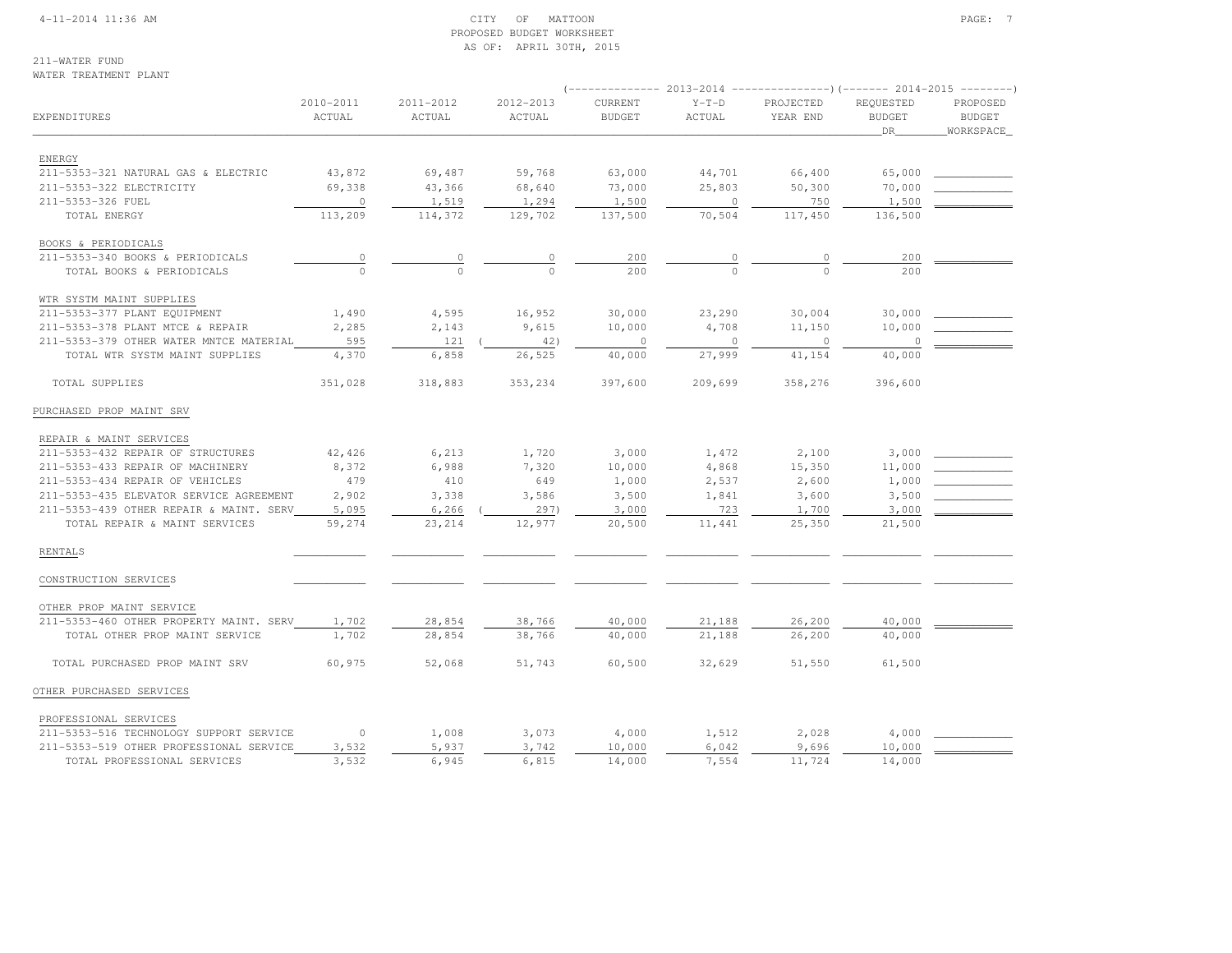#### 4-11-2014 11:36 AM CITY OF MATTOON PAGE: 7 PROPOSED BUDGET WORKSHEETAS OF: APRIL 30TH, 2015

#### 211-WATER FUNDWATER TREATMENT PLANT

|                                         |                     |                     |                     | ___________              | 2013-2014         | ----------------) (------- 2014-2015 ---------) |                                   |                                        |
|-----------------------------------------|---------------------|---------------------|---------------------|--------------------------|-------------------|-------------------------------------------------|-----------------------------------|----------------------------------------|
| EXPENDITURES                            | 2010-2011<br>ACTUAL | 2011-2012<br>ACTUAL | 2012-2013<br>ACTUAL | CURRENT<br><b>BUDGET</b> | $Y-T-D$<br>ACTUAL | PROJECTED<br>YEAR END                           | REQUESTED<br><b>BUDGET</b><br>DR. | PROPOSED<br><b>BUDGET</b><br>WORKSPACE |
|                                         |                     |                     |                     |                          |                   |                                                 |                                   |                                        |
| ENERGY                                  |                     |                     |                     |                          |                   |                                                 |                                   |                                        |
| 211-5353-321 NATURAL GAS & ELECTRIC     | 43,872              | 69,487              | 59,768              | 63,000                   | 44,701            | 66,400                                          | 65,000                            |                                        |
| 211-5353-322 ELECTRICITY                | 69,338              | 43,366              | 68,640              | 73,000                   | 25,803            | 50,300                                          | 70,000                            |                                        |
| 211-5353-326 FUEL                       | $\circ$             | 1,519               | 1,294               | 1,500                    | $\circ$           | 750                                             | 1,500                             |                                        |
| TOTAL ENERGY                            | 113,209             | 114,372             | 129,702             | 137,500                  | 70,504            | 117,450                                         | 136,500                           |                                        |
| BOOKS & PERIODICALS                     |                     |                     |                     |                          |                   |                                                 |                                   |                                        |
| 211-5353-340 BOOKS & PERIODICALS        | $\mathbb O$         |                     |                     | 200                      |                   |                                                 | 200                               |                                        |
| TOTAL BOOKS & PERIODICALS               | $\Omega$            |                     | $\Omega$            | 200                      |                   |                                                 | 200                               |                                        |
| WTR SYSTM MAINT SUPPLIES                |                     |                     |                     |                          |                   |                                                 |                                   |                                        |
| 211-5353-377 PLANT EQUIPMENT            | 1,490               | 4,595               | 16,952              | 30,000                   | 23,290            | 30,004                                          | 30,000                            |                                        |
| 211-5353-378 PLANT MTCE & REPAIR        | 2,285               | 2,143               | 9,615               | 10,000                   | 4,708             | 11,150                                          | 10,000                            |                                        |
| 211-5353-379 OTHER WATER MNTCE MATERIAL | 595                 | 121                 | 42)                 | $\circ$                  | $\mathbf 0$       | $\circ$                                         | $\circ$                           |                                        |
| TOTAL WTR SYSTM MAINT SUPPLIES          | 4,370               | 6,858               | 26,525              | 40,000                   | 27,999            | 41,154                                          | 40,000                            |                                        |
| TOTAL SUPPLIES                          | 351,028             | 318,883             | 353,234             | 397,600                  | 209,699           | 358,276                                         | 396,600                           |                                        |
| PURCHASED PROP MAINT SRV                |                     |                     |                     |                          |                   |                                                 |                                   |                                        |
| REPAIR & MAINT SERVICES                 |                     |                     |                     |                          |                   |                                                 |                                   |                                        |
| 211-5353-432 REPAIR OF STRUCTURES       | 42,426              | 6,213               | 1,720               | 3,000                    | 1,472             | 2,100                                           | 3,000                             |                                        |
| 211-5353-433 REPAIR OF MACHINERY        | 8,372               | 6,988               | 7,320               | 10,000                   | 4,868             | 15,350                                          | 11,000                            |                                        |
| 211-5353-434 REPAIR OF VEHICLES         | 479                 | 410                 | 649                 | 1,000                    | 2,537             | 2,600                                           | 1,000                             |                                        |
| 211-5353-435 ELEVATOR SERVICE AGREEMENT | 2,902               | 3,338               | 3,586               | 3,500                    | 1,841             | 3,600                                           | 3,500                             |                                        |
| 211-5353-439 OTHER REPAIR & MAINT. SERV | 5,095               | 6,266               | 297)                | 3,000                    | 723               | 1,700                                           | 3,000                             |                                        |
| TOTAL REPAIR & MAINT SERVICES           | 59,274              | 23,214              | 12,977              | 20,500                   | 11,441            | 25,350                                          | 21,500                            |                                        |
| <b>RENTALS</b>                          |                     |                     |                     |                          |                   |                                                 |                                   |                                        |
| CONSTRUCTION SERVICES                   |                     |                     |                     |                          |                   |                                                 |                                   |                                        |
| OTHER PROP MAINT SERVICE                |                     |                     |                     |                          |                   |                                                 |                                   |                                        |
| 211-5353-460 OTHER PROPERTY MAINT. SERV | 1,702               | 28,854              | 38,766              | 40,000                   | 21,188            | 26,200                                          | 40,000                            |                                        |
| TOTAL OTHER PROP MAINT SERVICE          | 1,702               | 28,854              | 38,766              | 40,000                   | 21,188            | 26,200                                          | 40,000                            |                                        |
| TOTAL PURCHASED PROP MAINT SRV          | 60,975              | 52,068              | 51,743              | 60,500                   | 32,629            | 51,550                                          | 61,500                            |                                        |
| OTHER PURCHASED SERVICES                |                     |                     |                     |                          |                   |                                                 |                                   |                                        |
| PROFESSIONAL SERVICES                   |                     |                     |                     |                          |                   |                                                 |                                   |                                        |
| 211-5353-516 TECHNOLOGY SUPPORT SERVICE | $\circ$             | 1,008               | 3,073               | 4,000                    | 1,512             | 2,028                                           | 4,000                             |                                        |
| 211-5353-519 OTHER PROFESSIONAL SERVICE | 3,532               | 5,937               | 3,742               | 10,000                   | 6,042             | 9,696                                           | 10,000                            |                                        |
| TOTAL PROFESSIONAL SERVICES             | 3,532               | 6,945               | 6,815               | 14,000                   | 7,554             | 11,724                                          | 14,000                            |                                        |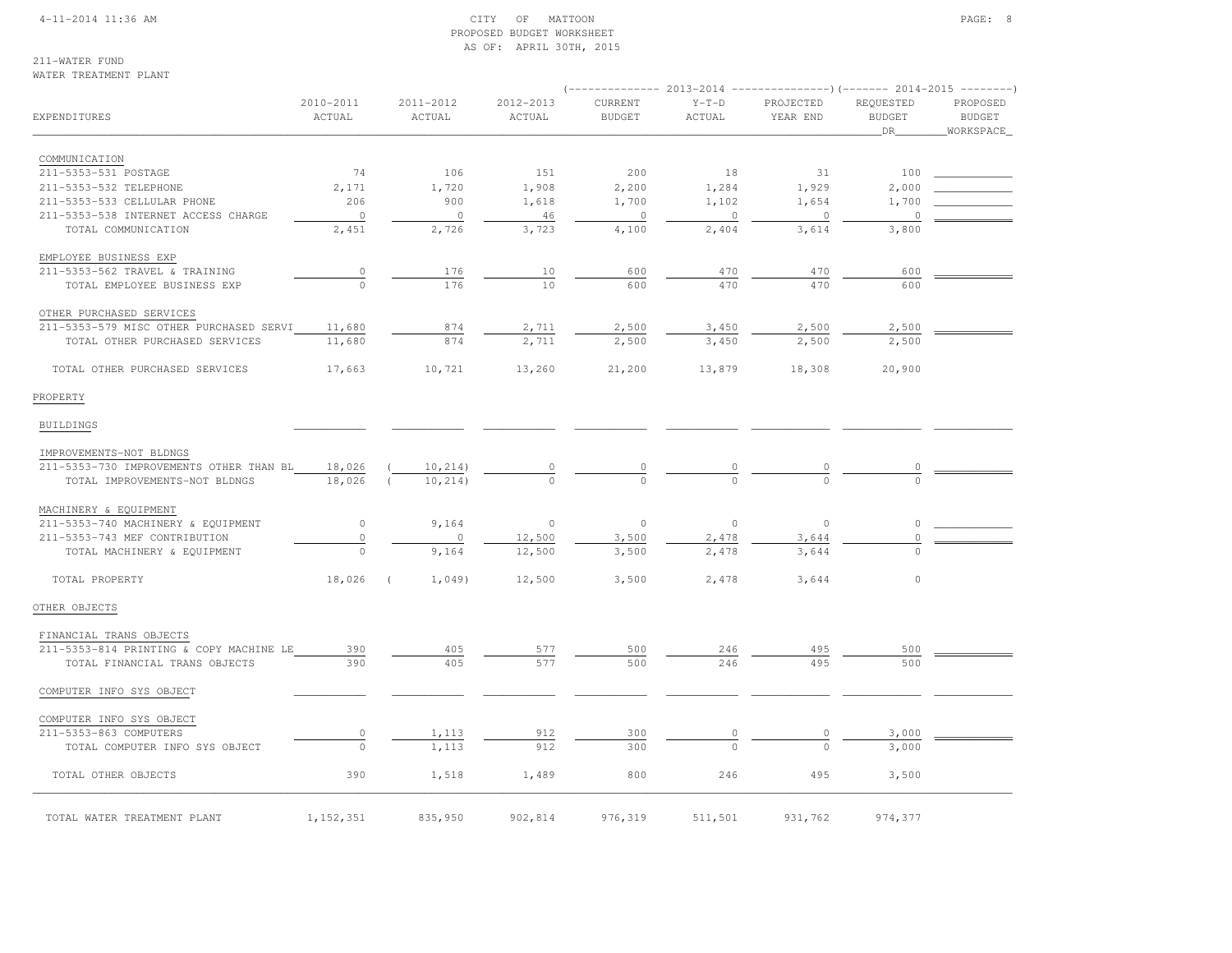#### 4-11-2014 11:36 AM CITY OF MATTOON PAGE: 8 PROPOSED BUDGET WORKSHEETAS OF: APRIL 30TH, 2015

211-WATER FUNDWATER TREATMENT PLANT

|                                         |                     |                         |                     |                          |                   | $(----------2013-2014$ ---------------) (------- 2014-2015 -------) |                                  |                                 |
|-----------------------------------------|---------------------|-------------------------|---------------------|--------------------------|-------------------|---------------------------------------------------------------------|----------------------------------|---------------------------------|
| EXPENDITURES                            | 2010-2011<br>ACTUAL | 2011-2012<br>ACTUAL     | 2012-2013<br>ACTUAL | CURRENT<br><b>BUDGET</b> | $Y-T-D$<br>ACTUAL | PROJECTED<br>YEAR END                                               | REQUESTED<br><b>BUDGET</b><br>DR | PROPOSED<br>BUDGET<br>WORKSPACE |
| COMMUNICATION                           |                     |                         |                     |                          |                   |                                                                     |                                  |                                 |
| 211-5353-531 POSTAGE                    | 74                  | 106                     | 151                 | 200                      | 18                | 31                                                                  | 100                              |                                 |
| 211-5353-532 TELEPHONE                  | 2,171               | 1,720                   | 1,908               | 2,200                    | 1,284             | 1,929                                                               | 2,000                            |                                 |
| 211-5353-533 CELLULAR PHONE             | 206                 | 900                     | 1,618               | 1,700                    | 1,102             | 1,654                                                               | 1,700                            |                                 |
| 211-5353-538 INTERNET ACCESS CHARGE     | $\overline{0}$      | $\circ$                 | 46                  | $\overline{0}$           | $\circ$           | $\overline{0}$                                                      | 0                                |                                 |
| TOTAL COMMUNICATION                     | 2,451               | 2,726                   | 3,723               | 4,100                    | 2,404             | 3,614                                                               | 3,800                            |                                 |
| EMPLOYEE BUSINESS EXP                   |                     |                         |                     |                          |                   |                                                                     |                                  |                                 |
| 211-5353-562 TRAVEL & TRAINING          | $\overline{0}$      | 176                     | 10                  | 600                      | 470               | 470                                                                 | 600                              |                                 |
| TOTAL EMPLOYEE BUSINESS EXP             | $\cap$              | 176                     | 1 <sub>0</sub>      | 600                      | 470               | 470                                                                 | 600                              |                                 |
| OTHER PURCHASED SERVICES                |                     |                         |                     |                          |                   |                                                                     |                                  |                                 |
| 211-5353-579 MISC OTHER PURCHASED SERVI | 11,680              | 874                     | 2,711               | 2,500                    | 3,450             | 2,500                                                               | 2,500                            |                                 |
| TOTAL OTHER PURCHASED SERVICES          | 11,680              | 874                     | 2,711               | 2,500                    | 3,450             | 2,500                                                               | 2,500                            |                                 |
| TOTAL OTHER PURCHASED SERVICES          | 17,663              | 10,721                  | 13,260              | 21,200                   | 13,879            | 18,308                                                              | 20,900                           |                                 |
| PROPERTY                                |                     |                         |                     |                          |                   |                                                                     |                                  |                                 |
| <b>BUILDINGS</b>                        |                     |                         |                     |                          |                   |                                                                     |                                  |                                 |
| IMPROVEMENTS-NOT BLDNGS                 |                     |                         |                     |                          |                   |                                                                     |                                  |                                 |
| 211-5353-730 IMPROVEMENTS OTHER THAN BL | 18,026              | 10, 214)                | 0                   |                          |                   | 0                                                                   | $\overline{0}$                   |                                 |
| TOTAL IMPROVEMENTS-NOT BLDNGS           | 18,026 (            | 10, 214)                |                     |                          |                   |                                                                     |                                  |                                 |
| MACHINERY & EQUIPMENT                   |                     |                         |                     |                          |                   |                                                                     |                                  |                                 |
| 211-5353-740 MACHINERY & EQUIPMENT      | $\circ$             | 9,164                   | $\circ$             | $\circ$                  | $\circ$           | $\circ$                                                             | 0                                |                                 |
| 211-5353-743 MEF CONTRIBUTION           | $\mathbb O$         | $\circ$                 | 12,500              | 3,500                    | 2,478             | 3,644                                                               | 0                                |                                 |
| TOTAL MACHINERY & EQUIPMENT             | $\circ$             | 9,164                   | 12,500              | 3,500                    | 2,478             | 3,644                                                               |                                  |                                 |
| TOTAL PROPERTY                          | 18,026              | $\sqrt{2}$<br>$1,049$ ) | 12,500              | 3,500                    | 2,478             | 3,644                                                               | $\circ$                          |                                 |
| OTHER OBJECTS                           |                     |                         |                     |                          |                   |                                                                     |                                  |                                 |
| FINANCIAL TRANS OBJECTS                 |                     |                         |                     |                          |                   |                                                                     |                                  |                                 |
| 211-5353-814 PRINTING & COPY MACHINE LE | 390                 | 405                     | 577                 | 500                      | 246               | 495                                                                 | 500                              |                                 |
| TOTAL FINANCIAL TRANS OBJECTS           | 390                 | 405                     | 577                 | 500                      | 246               | 495                                                                 | 500                              |                                 |
| COMPUTER INFO SYS OBJECT                |                     |                         |                     |                          |                   |                                                                     |                                  |                                 |
| COMPUTER INFO SYS OBJECT                |                     |                         |                     |                          |                   |                                                                     |                                  |                                 |
| 211-5353-863 COMPUTERS                  | $\circ$             | 1,113                   | 912                 | 300                      | $\circ$           |                                                                     | 3,000                            |                                 |
| TOTAL COMPUTER INFO SYS OBJECT          | $\circ$             | 1,113                   | 912                 | 300                      |                   |                                                                     | 3,000                            |                                 |
| TOTAL OTHER OBJECTS                     | 390                 | 1,518                   | 1,489               | 800                      | 246               | 495                                                                 | 3,500                            |                                 |
| TOTAL WATER TREATMENT PLANT             | 1, 152, 351         | 835,950                 | 902,814             | 976,319                  | 511,501           | 931,762                                                             | 974,377                          |                                 |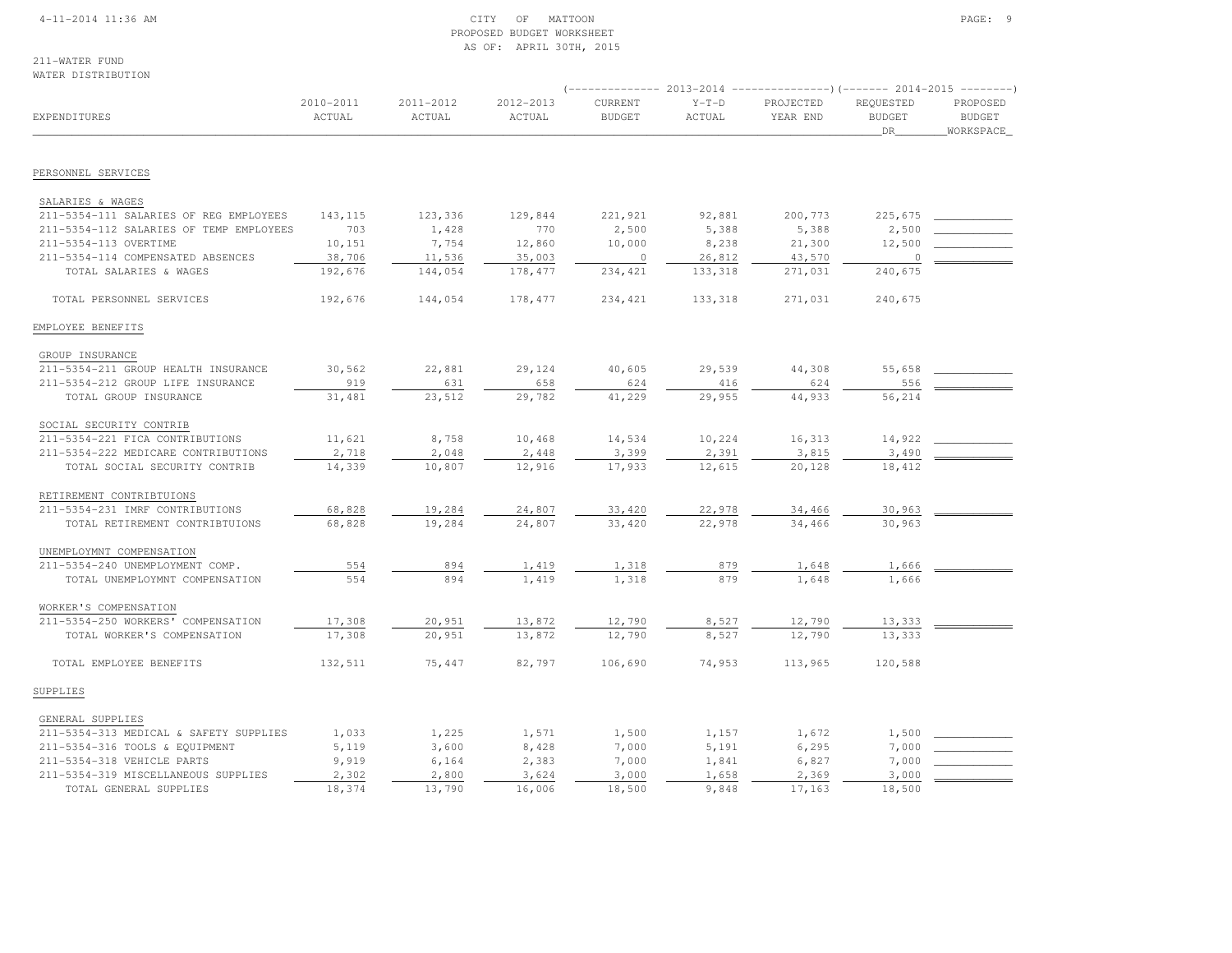#### 4-11-2014 11:36 AM CITY OF MATTOON PAGE: 9 PROPOSED BUDGET WORKSHEETAS OF: APRIL 30TH, 2015

211-WATER FUNDWATER DISTRIBUTION

|                                         |                     |                     |                     | $---------2013-2014$     |                   | ----------------) (------- 2014-2015 ---------) |                                  |                                        |
|-----------------------------------------|---------------------|---------------------|---------------------|--------------------------|-------------------|-------------------------------------------------|----------------------------------|----------------------------------------|
| EXPENDITURES                            | 2010-2011<br>ACTUAL | 2011-2012<br>ACTUAL | 2012-2013<br>ACTUAL | CURRENT<br><b>BUDGET</b> | $Y-T-D$<br>ACTUAL | PROJECTED<br>YEAR END                           | REQUESTED<br><b>BUDGET</b><br>DR | PROPOSED<br><b>BUDGET</b><br>WORKSPACE |
|                                         |                     |                     |                     |                          |                   |                                                 |                                  |                                        |
| PERSONNEL SERVICES                      |                     |                     |                     |                          |                   |                                                 |                                  |                                        |
| SALARIES & WAGES                        |                     |                     |                     |                          |                   |                                                 |                                  |                                        |
| 211-5354-111 SALARIES OF REG EMPLOYEES  | 143,115             | 123,336             | 129,844             | 221,921                  | 92,881            | 200,773                                         | 225,675                          |                                        |
| 211-5354-112 SALARIES OF TEMP EMPLOYEES | 703                 | 1,428               | 770                 | 2,500                    | 5,388             | 5,388                                           | 2,500                            |                                        |
| 211-5354-113 OVERTIME                   | 10,151              | 7,754               | 12,860              | 10,000                   | 8,238             | 21,300                                          | 12,500                           |                                        |
| 211-5354-114 COMPENSATED ABSENCES       | 38,706              | 11,536              | 35,003              | $\overline{\phantom{0}}$ | 26,812            | 43,570                                          | $\overline{0}$                   |                                        |
| TOTAL SALARIES & WAGES                  | 192,676             | 144,054             | 178,477             | 234,421                  | 133,318           | 271,031                                         | 240,675                          |                                        |
| TOTAL PERSONNEL SERVICES                | 192,676             | 144,054             | 178,477             | 234, 421                 | 133,318           | 271,031                                         | 240,675                          |                                        |
| EMPLOYEE BENEFITS                       |                     |                     |                     |                          |                   |                                                 |                                  |                                        |
| GROUP INSURANCE                         |                     |                     |                     |                          |                   |                                                 |                                  |                                        |
| 211-5354-211 GROUP HEALTH INSURANCE     | 30,562              | 22,881              | 29,124              | 40,605                   | 29,539            | 44,308                                          | 55,658                           |                                        |
| 211-5354-212 GROUP LIFE INSURANCE       | 919                 | 631                 | 658                 | 624                      | 416               | 624                                             | 556                              |                                        |
| TOTAL GROUP INSURANCE                   | 31,481              | 23,512              | 29,782              | 41,229                   | 29,955            | 44,933                                          | 56,214                           |                                        |
| SOCIAL SECURITY CONTRIB                 |                     |                     |                     |                          |                   |                                                 |                                  |                                        |
| 211-5354-221 FICA CONTRIBUTIONS         | 11,621              | 8,758               | 10,468              | 14,534                   | 10,224            | 16,313                                          | 14,922                           |                                        |
| 211-5354-222 MEDICARE CONTRIBUTIONS     | 2,718               | 2,048               | 2,448               | 3,399                    | 2,391             | 3,815                                           | 3,490                            |                                        |
| TOTAL SOCIAL SECURITY CONTRIB           | 14,339              | 10,807              | 12,916              | 17,933                   | 12,615            | 20,128                                          | 18,412                           |                                        |
| RETIREMENT CONTRIBTUIONS                |                     |                     |                     |                          |                   |                                                 |                                  |                                        |
| 211-5354-231 IMRF CONTRIBUTIONS         | 68,828              | 19,284              | 24,807              | 33,420                   | 22,978            | 34,466                                          | 30,963                           |                                        |
| TOTAL RETIREMENT CONTRIBTUIONS          | 68,828              | 19,284              | 24,807              | 33,420                   | 22,978            | 34,466                                          | 30,963                           |                                        |
| UNEMPLOYMNT COMPENSATION                |                     |                     |                     |                          |                   |                                                 |                                  |                                        |
| 211-5354-240 UNEMPLOYMENT COMP.         | 554                 | 894                 | 1,419               | 1,318                    | 879               | 1,648                                           | 1,666                            |                                        |
| TOTAL UNEMPLOYMNT COMPENSATION          | 554                 | 894                 | 1,419               | 1,318                    | 879               | 1,648                                           | 1,666                            |                                        |
| WORKER'S COMPENSATION                   |                     |                     |                     |                          |                   |                                                 |                                  |                                        |
| 211-5354-250 WORKERS' COMPENSATION      | 17,308              | 20,951              | 13,872              | 12,790                   | 8,527             | 12,790                                          | 13,333                           |                                        |
| TOTAL WORKER'S COMPENSATION             | 17,308              | 20,951              | 13,872              | 12,790                   | 8,527             | 12,790                                          | 13,333                           |                                        |
| TOTAL EMPLOYEE BENEFITS                 | 132,511             | 75,447              | 82,797              | 106,690                  | 74,953            | 113,965                                         | 120,588                          |                                        |
| SUPPLIES                                |                     |                     |                     |                          |                   |                                                 |                                  |                                        |
| GENERAL SUPPLIES                        |                     |                     |                     |                          |                   |                                                 |                                  |                                        |
| 211-5354-313 MEDICAL & SAFETY SUPPLIES  | 1,033               | 1,225               | 1,571               | 1,500                    | 1,157             | 1,672                                           | 1,500                            |                                        |
| 211-5354-316 TOOLS & EQUIPMENT          | 5,119               | 3,600               | 8,428               | 7,000                    | 5,191             | 6,295                                           | 7,000                            |                                        |
| 211-5354-318 VEHICLE PARTS              | 9,919               | 6,164               | 2,383               | 7,000                    | 1,841             | 6,827                                           | 7,000                            |                                        |
| 211-5354-319 MISCELLANEOUS SUPPLIES     | 2,302               | 2,800               | 3,624               | 3,000                    | 1,658             | 2,369                                           | 3,000                            |                                        |
| TOTAL GENERAL SUPPLIES                  | 18,374              | 13,790              | 16,006              | 18,500                   | 9,848             | 17,163                                          | 18,500                           |                                        |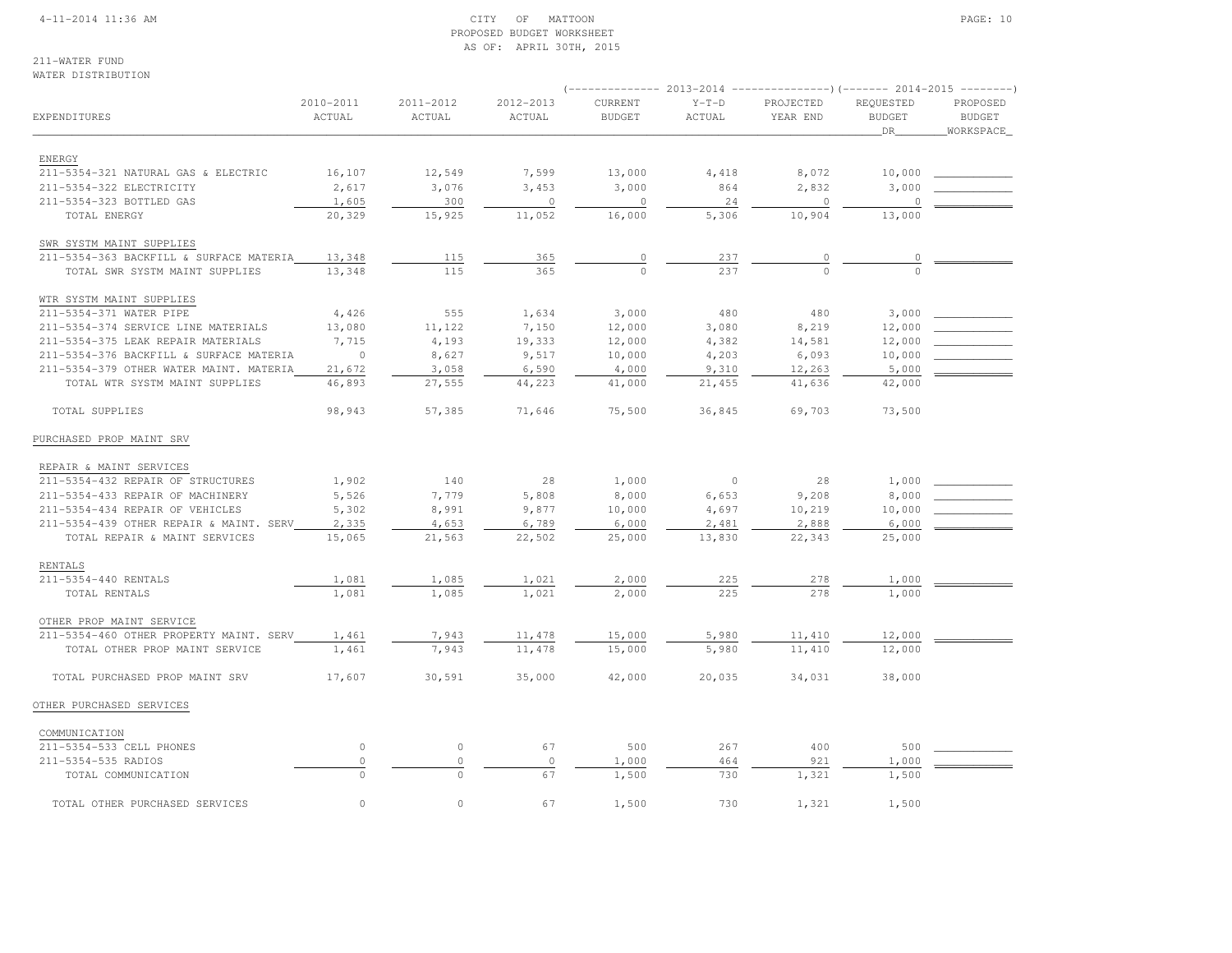#### 4-11-2014 11:36 AM CITY OF MATTOON PAGE: 10 PROPOSED BUDGET WORKSHEETAS OF: APRIL 30TH, 2015

#### 211-WATER FUNDWATER DISTRIBUTION

|                                         |                     |                     |                     | $--------- 2013-2014$    |                   |                       |                                   |                                        |
|-----------------------------------------|---------------------|---------------------|---------------------|--------------------------|-------------------|-----------------------|-----------------------------------|----------------------------------------|
| EXPENDITURES                            | 2010-2011<br>ACTUAL | 2011-2012<br>ACTUAL | 2012-2013<br>ACTUAL | CURRENT<br><b>BUDGET</b> | $Y-T-D$<br>ACTUAL | PROJECTED<br>YEAR END | REQUESTED<br><b>BUDGET</b><br>DR_ | PROPOSED<br><b>BUDGET</b><br>WORKSPACE |
|                                         |                     |                     |                     |                          |                   |                       |                                   |                                        |
| ENERGY                                  |                     |                     |                     |                          |                   |                       |                                   |                                        |
| 211-5354-321 NATURAL GAS & ELECTRIC     | 16,107              | 12,549              | 7,599               | 13,000                   | 4,418             | 8,072                 | 10,000                            |                                        |
| 211-5354-322 ELECTRICITY                | 2,617               | 3,076               | 3,453               | 3,000                    | 864               | 2,832                 | 3,000                             |                                        |
| 211-5354-323 BOTTLED GAS                | 1,605               | 300                 | $\circ$             | $\mathbf{0}$             | 24                | $\circ$               | $\Omega$                          |                                        |
| TOTAL ENERGY                            | 20,329              | 15,925              | 11,052              | 16,000                   | 5,306             | 10,904                | 13,000                            |                                        |
| SWR SYSTM MAINT SUPPLIES                |                     |                     |                     |                          |                   |                       |                                   |                                        |
| 211-5354-363 BACKFILL & SURFACE MATERIA | 13,348              | 115                 | 365                 | 0                        | 237               | $\circ$               | 0                                 |                                        |
| TOTAL SWR SYSTM MAINT SUPPLIES          | 13,348              | 115                 | 365                 | $\Omega$                 | 237               |                       |                                   |                                        |
| WTR SYSTM MAINT SUPPLIES                |                     |                     |                     |                          |                   |                       |                                   |                                        |
| 211-5354-371 WATER PIPE                 | 4,426               | 555                 | 1,634               | 3,000                    | 480               | 480                   | 3,000                             |                                        |
| 211-5354-374 SERVICE LINE MATERIALS     | 13,080              | 11,122              | 7,150               | 12,000                   | 3,080             | 8,219                 | 12,000                            |                                        |
| 211-5354-375 LEAK REPAIR MATERIALS      | 7,715               | 4,193               | 19,333              | 12,000                   | 4,382             | 14,581                | 12,000                            |                                        |
| 211-5354-376 BACKFILL & SURFACE MATERIA | $\circ$             | 8,627               | 9,517               | 10,000                   | 4,203             | 6,093                 | 10,000                            |                                        |
| 211-5354-379 OTHER WATER MAINT. MATERIA | 21,672              | 3,058               | 6,590               | 4,000                    | 9,310             | 12,263                | 5,000                             |                                        |
| TOTAL WTR SYSTM MAINT SUPPLIES          | 46,893              | 27,555              | 44,223              | 41,000                   | 21,455            | 41,636                | 42,000                            |                                        |
| TOTAL SUPPLIES                          | 98,943              | 57,385              | 71,646              | 75,500                   | 36,845            | 69,703                | 73,500                            |                                        |
| PURCHASED PROP MAINT SRV                |                     |                     |                     |                          |                   |                       |                                   |                                        |
| REPAIR & MAINT SERVICES                 |                     |                     |                     |                          |                   |                       |                                   |                                        |
| 211-5354-432 REPAIR OF STRUCTURES       | 1,902               | 140                 | 28                  | 1,000                    | $\circ$           | 28                    | 1,000                             |                                        |
| 211-5354-433 REPAIR OF MACHINERY        | 5,526               | 7,779               | 5,808               | 8,000                    | 6,653             | 9,208                 | 8,000                             |                                        |
| 211-5354-434 REPAIR OF VEHICLES         | 5,302               | 8,991               | 9,877               | 10,000                   | 4,697             | 10,219                | 10,000                            |                                        |
| 211-5354-439 OTHER REPAIR & MAINT. SERV | 2,335               | 4,653               | 6,789               | 6,000                    | 2,481             | 2,888                 | 6,000                             |                                        |
| TOTAL REPAIR & MAINT SERVICES           | 15,065              | 21,563              | 22,502              | 25,000                   | 13,830            | 22,343                | 25,000                            |                                        |
| <b>RENTALS</b>                          |                     |                     |                     |                          |                   |                       |                                   |                                        |
| 211-5354-440 RENTALS                    | 1,081               | 1,085               | 1,021               | 2,000                    | 225               | 278                   | 1,000                             |                                        |
| TOTAL RENTALS                           | 1,081               | 1,085               | 1,021               | 2,000                    | 225               | 278                   | 1,000                             |                                        |
| OTHER PROP MAINT SERVICE                |                     |                     |                     |                          |                   |                       |                                   |                                        |
| 211-5354-460 OTHER PROPERTY MAINT. SERV | 1,461               | 7,943               | 11,478              | 15,000                   | 5,980             | 11,410                | 12,000                            |                                        |
| TOTAL OTHER PROP MAINT SERVICE          | 1,461               | 7,943               | 11, 478             | 15,000                   | 5,980             | 11,410                | 12,000                            |                                        |
| TOTAL PURCHASED PROP MAINT SRV          | 17,607              | 30,591              | 35,000              | 42,000                   | 20,035            | 34,031                | 38,000                            |                                        |
| OTHER PURCHASED SERVICES                |                     |                     |                     |                          |                   |                       |                                   |                                        |
| COMMUNICATION                           |                     |                     |                     |                          |                   |                       |                                   |                                        |
| 211-5354-533 CELL PHONES                | $\circ$             | $\circ$             | 67                  | 500                      | 267               | 400                   | 500                               |                                        |
| 211-5354-535 RADIOS                     | $\mathbb O$         | $\circ$             | $\circ$             | 1,000                    | 464               | 921                   | 1,000                             |                                        |
| TOTAL COMMUNICATION                     | $\circ$             | $\circ$             | 67                  | 1,500                    | 730               | 1,321                 | 1,500                             |                                        |
| TOTAL OTHER PURCHASED SERVICES          | $\circ$             | $\circ$             | 67                  | 1,500                    | 730               | 1,321                 | 1,500                             |                                        |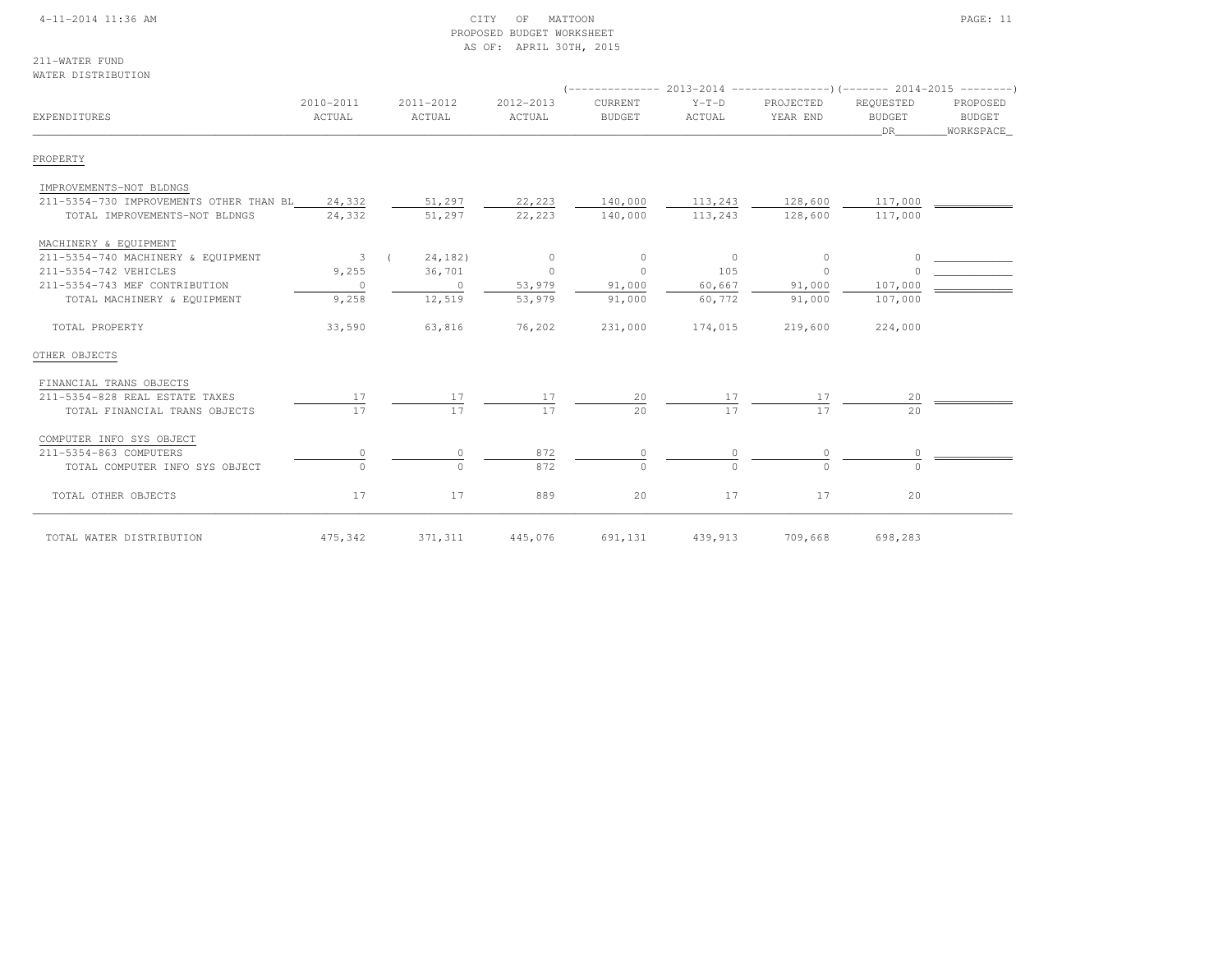#### 4-11-2014 11:36 AM CITY OF MATTOON PAGE: 11 PROPOSED BUDGET WORKSHEETAS OF: APRIL 30TH, 2015

211-WATER FUNDWATER DISTRIBUTION

| EXPENDITURES                                   | 2010-2011<br>ACTUAL     | 2011-2012<br>ACTUAL | 2012-2013<br>ACTUAL | CURRENT<br><b>BUDGET</b> | $Y-T-D$<br>ACTUAL | PROJECTED<br>YEAR END | REQUESTED<br><b>BUDGET</b><br>DR | PROPOSED<br>BUDGET<br>_WORKSPACE_ |
|------------------------------------------------|-------------------------|---------------------|---------------------|--------------------------|-------------------|-----------------------|----------------------------------|-----------------------------------|
| PROPERTY                                       |                         |                     |                     |                          |                   |                       |                                  |                                   |
| IMPROVEMENTS-NOT BLDNGS                        |                         |                     |                     |                          |                   |                       |                                  |                                   |
| 211-5354-730 IMPROVEMENTS OTHER THAN BL 24,332 |                         | 51,297              | 22,223              | 140,000                  | 113,243           | 128,600               | 117,000                          |                                   |
| TOTAL IMPROVEMENTS-NOT BLDNGS                  | 24,332                  | 51,297              | 22,223              | 140,000                  | 113,243           | 128,600               | 117,000                          |                                   |
| MACHINERY & EQUIPMENT                          |                         |                     |                     |                          |                   |                       |                                  |                                   |
| 211-5354-740 MACHINERY & EQUIPMENT             | $\overline{\mathbf{3}}$ | 24,182)             | $\sim$ 0            | $\circ$                  | $\sim$ 0          | $\circ$               |                                  |                                   |
| 211-5354-742 VEHICLES                          | 9,255                   | 36,701              | $\sim$ 0            | $\circ$                  | 105               | $\circ$               |                                  |                                   |
| 211-5354-743 MEF CONTRIBUTION                  | $\overline{0}$          | $\overline{0}$      | 53,979              | 91,000                   | 60,667            | 91,000                | 107,000                          |                                   |
| TOTAL MACHINERY & EQUIPMENT                    | 9,258                   | 12,519              | 53,979              | 91,000                   | 60,772            | 91,000                | 107,000                          |                                   |
| TOTAL PROPERTY                                 | 33,590                  | 63,816              | 76,202              | 231,000                  | 174,015           | 219,600               | 224,000                          |                                   |
| OTHER OBJECTS                                  |                         |                     |                     |                          |                   |                       |                                  |                                   |
| FINANCIAL TRANS OBJECTS                        |                         |                     |                     |                          |                   |                       |                                  |                                   |
| 211-5354-828 REAL ESTATE TAXES                 | 17                      | 17                  |                     | 20                       |                   |                       | 20                               |                                   |
| TOTAL FINANCIAL TRANS OBJECTS                  | 17                      | 17                  | 17                  | 2.0                      | 17                | 17                    | $20^{\circ}$                     |                                   |
| COMPUTER INFO SYS OBJECT                       |                         |                     |                     |                          |                   |                       |                                  |                                   |
| 211-5354-863 COMPUTERS                         |                         |                     | 872                 |                          |                   |                       |                                  |                                   |
| TOTAL COMPUTER INFO SYS OBJECT                 | $\Omega$                | $\Omega$            | 872                 | $\Omega$                 | $\Omega$          | $\Omega$              | $\cap$                           |                                   |
| TOTAL OTHER OBJECTS                            | 17                      | 17                  | 889                 | 20                       | 17                | 17                    | 20                               |                                   |
| TOTAL WATER DISTRIBUTION                       | 475,342                 | 371,311             | 445,076             | 691,131                  | 439,913           | 709,668               | 698,283                          |                                   |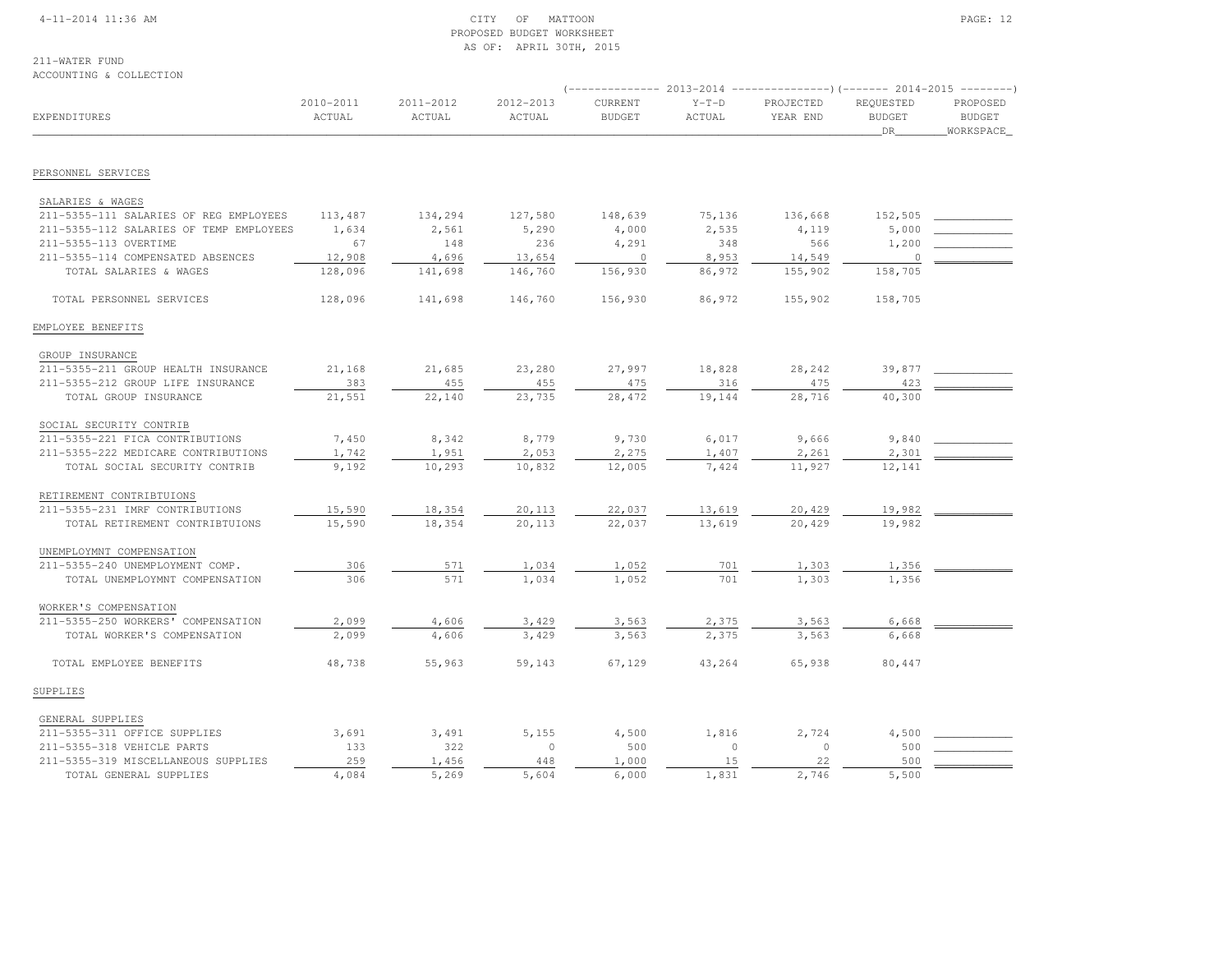#### 4-11-2014 11:36 AM CITY OF MATTOON PAGE: 12 PROPOSED BUDGET WORKSHEETAS OF: APRIL 30TH, 2015

# 211-WATER FUND

#### ACCOUNTING & COLLECTION

|                                         |                     |                     |                     | $--------- 2013-2014$    |                   | ----------------) (------- 2014-2015 ---------) |                                  |                                         |
|-----------------------------------------|---------------------|---------------------|---------------------|--------------------------|-------------------|-------------------------------------------------|----------------------------------|-----------------------------------------|
| EXPENDITURES                            | 2010-2011<br>ACTUAL | 2011-2012<br>ACTUAL | 2012-2013<br>ACTUAL | CURRENT<br><b>BUDGET</b> | $Y-T-D$<br>ACTUAL | PROJECTED<br>YEAR END                           | REQUESTED<br><b>BUDGET</b><br>DR | PROPOSED<br><b>BUDGET</b><br>WORKSPACE_ |
|                                         |                     |                     |                     |                          |                   |                                                 |                                  |                                         |
| PERSONNEL SERVICES                      |                     |                     |                     |                          |                   |                                                 |                                  |                                         |
| SALARIES & WAGES                        |                     |                     |                     |                          |                   |                                                 |                                  |                                         |
| 211-5355-111 SALARIES OF REG EMPLOYEES  | 113,487             | 134,294             | 127,580             | 148,639                  | 75,136            | 136,668                                         | 152,505                          |                                         |
| 211-5355-112 SALARIES OF TEMP EMPLOYEES | 1,634               | 2,561               | 5,290               | 4,000                    | 2,535             | 4,119                                           | 5,000                            |                                         |
| 211-5355-113 OVERTIME                   | 67                  | 148                 | 236                 | 4,291                    | 348               | 566                                             | 1,200                            |                                         |
| 211-5355-114 COMPENSATED ABSENCES       | 12,908              | 4,696               | 13,654              | $\mathbf{0}$             | 8,953             | 14,549                                          | $\circ$                          |                                         |
| TOTAL SALARIES & WAGES                  | 128,096             | 141,698             | 146,760             | 156,930                  | 86,972            | 155,902                                         | 158,705                          |                                         |
| TOTAL PERSONNEL SERVICES                | 128,096             | 141,698             | 146,760             | 156,930                  | 86,972            | 155,902                                         | 158,705                          |                                         |
| EMPLOYEE BENEFITS                       |                     |                     |                     |                          |                   |                                                 |                                  |                                         |
| GROUP INSURANCE                         |                     |                     |                     |                          |                   |                                                 |                                  |                                         |
| 211-5355-211 GROUP HEALTH INSURANCE     | 21,168              | 21,685              | 23,280              | 27,997                   | 18,828            | 28,242                                          | 39,877                           |                                         |
| 211-5355-212 GROUP LIFE INSURANCE       | 383                 | 455                 | 455                 | 475                      | 316               | 475                                             | 423                              |                                         |
| TOTAL GROUP INSURANCE                   | 21,551              | 22,140              | 23,735              | 28,472                   | 19,144            | 28,716                                          | 40,300                           |                                         |
| SOCIAL SECURITY CONTRIB                 |                     |                     |                     |                          |                   |                                                 |                                  |                                         |
| 211-5355-221 FICA CONTRIBUTIONS         | 7,450               | 8,342               | 8,779               | 9,730                    | 6,017             | 9,666                                           | 9,840                            |                                         |
| 211-5355-222 MEDICARE CONTRIBUTIONS     | 1,742               | 1,951               | 2,053               | 2,275                    | 1,407             | 2,261                                           | 2,301                            |                                         |
| TOTAL SOCIAL SECURITY CONTRIB           | 9,192               | 10,293              | 10,832              | 12,005                   | 7,424             | 11,927                                          | 12,141                           |                                         |
| RETIREMENT CONTRIBTUIONS                |                     |                     |                     |                          |                   |                                                 |                                  |                                         |
| 211-5355-231 IMRF CONTRIBUTIONS         | 15,590              | 18,354              | 20,113              | 22,037                   | 13,619            | 20,429                                          | 19,982                           |                                         |
| TOTAL RETIREMENT CONTRIBTUIONS          | 15,590              | 18,354              | 20,113              | 22,037                   | 13,619            | 20,429                                          | 19,982                           |                                         |
| UNEMPLOYMNT COMPENSATION                |                     |                     |                     |                          |                   |                                                 |                                  |                                         |
| 211-5355-240 UNEMPLOYMENT COMP.         | 306                 | 571                 | 1,034               | 1,052                    | 701               | 1,303                                           | 1,356                            |                                         |
| TOTAL UNEMPLOYMNT COMPENSATION          | 306                 | 571                 | 1,034               | 1,052                    | 701               | 1,303                                           | 1,356                            |                                         |
| WORKER'S COMPENSATION                   |                     |                     |                     |                          |                   |                                                 |                                  |                                         |
| 211-5355-250 WORKERS' COMPENSATION      | 2,099               | 4,606               | 3,429               | 3,563                    | 2,375             | 3,563                                           | 6,668                            |                                         |
| TOTAL WORKER'S COMPENSATION             | 2,099               | 4,606               | 3,429               | 3,563                    | 2,375             | 3,563                                           | 6,668                            |                                         |
| TOTAL EMPLOYEE BENEFITS                 | 48,738              | 55,963              | 59,143              | 67,129                   | 43,264            | 65,938                                          | 80,447                           |                                         |
| SUPPLIES                                |                     |                     |                     |                          |                   |                                                 |                                  |                                         |
| GENERAL SUPPLIES                        |                     |                     |                     |                          |                   |                                                 |                                  |                                         |
| 211-5355-311 OFFICE SUPPLIES            | 3,691               | 3,491               | 5,155               | 4,500                    | 1,816             | 2,724                                           | 4,500                            |                                         |
| 211-5355-318 VEHICLE PARTS              | 133                 | 322                 | $\circ$             | 500                      | $\circ$           | $\circ$                                         | 500                              |                                         |
| 211-5355-319 MISCELLANEOUS SUPPLIES     | 259                 | 1,456               | 448                 | 1,000                    | 15                | 22                                              | 500                              |                                         |
| TOTAL GENERAL SUPPLIES                  | 4,084               | 5,269               | 5,604               | 6,000                    | 1,831             | 2,746                                           | 5,500                            |                                         |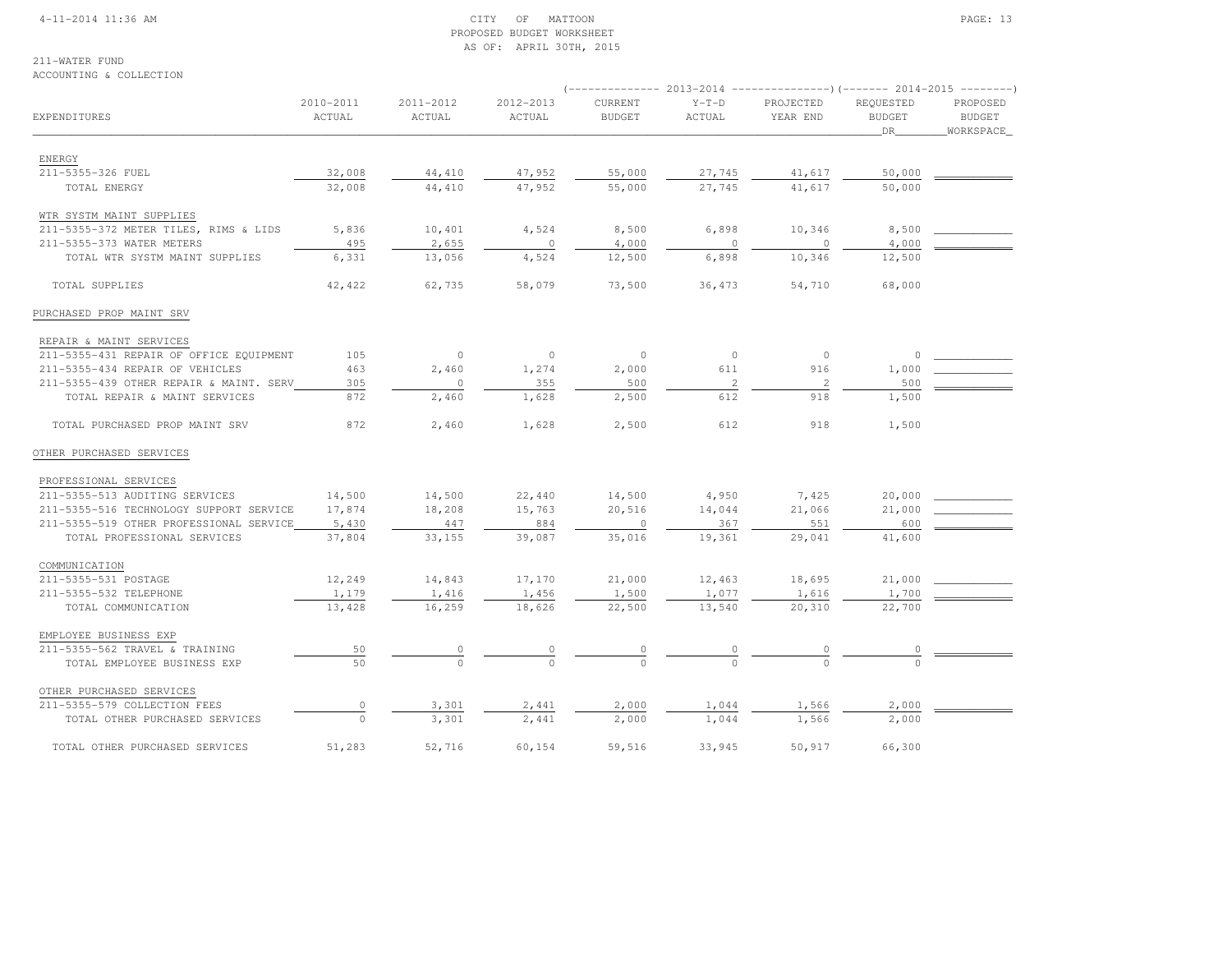#### 4-11-2014 11:36 AM CITY OF MATTOON PAGE: 13 PROPOSED BUDGET WORKSHEETAS OF: APRIL 30TH, 2015

## 211-WATER FUND

#### ACCOUNTING & COLLECTION

|                                         | 2010-2011 | 2011-2012 | 2012-2013 | CURRENT       | $Y-T-D$        | PROJECTED      | REQUESTED     | PROPOSED      |  |
|-----------------------------------------|-----------|-----------|-----------|---------------|----------------|----------------|---------------|---------------|--|
| EXPENDITURES                            | ACTUAL    | ACTUAL    | ACTUAL    | <b>BUDGET</b> | ACTUAL         | YEAR END       | <b>BUDGET</b> | <b>BUDGET</b> |  |
|                                         |           |           |           |               |                |                | DR            | WORKSPACE     |  |
|                                         |           |           |           |               |                |                |               |               |  |
| ENERGY                                  |           |           |           |               |                |                |               |               |  |
| 211-5355-326 FUEL                       | 32,008    | 44,410    | 47,952    | 55,000        | 27,745         | 41,617         | 50,000        |               |  |
| TOTAL ENERGY                            | 32,008    | 44,410    | 47,952    | 55,000        | 27,745         | 41,617         | 50,000        |               |  |
| WTR SYSTM MAINT SUPPLIES                |           |           |           |               |                |                |               |               |  |
| 211-5355-372 METER TILES, RIMS & LIDS   | 5,836     | 10,401    | 4,524     | 8,500         | 6,898          | 10,346         | 8,500         |               |  |
| 211-5355-373 WATER METERS               | 495       | 2,655     | $\circ$   | 4,000         | $\cap$         | $\Omega$       | 4,000         |               |  |
| TOTAL WTR SYSTM MAINT SUPPLIES          | 6,331     | 13,056    | 4,524     | 12,500        | 6,898          | 10,346         | 12,500        |               |  |
| TOTAL SUPPLIES                          | 42,422    | 62,735    | 58,079    | 73,500        | 36,473         | 54,710         | 68,000        |               |  |
| PURCHASED PROP MAINT SRV                |           |           |           |               |                |                |               |               |  |
| REPAIR & MAINT SERVICES                 |           |           |           |               |                |                |               |               |  |
| 211-5355-431 REPAIR OF OFFICE EQUIPMENT | 105       | $\circ$   | $\circ$   | $\circ$       | $\mathbf{0}$   | $\circ$        | $\circ$       |               |  |
| 211-5355-434 REPAIR OF VEHICLES         | 463       | 2,460     | 1,274     | 2,000         | 611            | 916            | 1,000         |               |  |
| 211-5355-439 OTHER REPAIR & MAINT. SERV | 305       | $\circ$   | 355       | 500           | $\overline{c}$ | $\overline{c}$ | 500           |               |  |
| TOTAL REPAIR & MAINT SERVICES           | 872       |           |           |               | 612            | 918            |               |               |  |
|                                         |           | 2,460     | 1,628     | 2,500         |                |                | 1,500         |               |  |
| TOTAL PURCHASED PROP MAINT SRV          | 872       | 2,460     | 1,628     | 2,500         | 612            | 918            | 1,500         |               |  |
| OTHER PURCHASED SERVICES                |           |           |           |               |                |                |               |               |  |
| PROFESSIONAL SERVICES                   |           |           |           |               |                |                |               |               |  |
| 211-5355-513 AUDITING SERVICES          | 14,500    | 14,500    | 22,440    | 14,500        | 4,950          | 7,425          | 20,000        |               |  |
| 211-5355-516 TECHNOLOGY SUPPORT SERVICE | 17,874    | 18,208    | 15,763    | 20,516        | 14,044         | 21,066         | 21,000        |               |  |
| 211-5355-519 OTHER PROFESSIONAL SERVICE | 5,430     | 447       | 884       | $\circ$       | 367            | 551            | 600           |               |  |
| TOTAL PROFESSIONAL SERVICES             | 37,804    | 33,155    | 39,087    | 35,016        | 19,361         | 29,041         | 41,600        |               |  |
| COMMUNICATION                           |           |           |           |               |                |                |               |               |  |
| 211-5355-531 POSTAGE                    | 12,249    | 14,843    | 17,170    | 21,000        | 12,463         | 18,695         | 21,000        |               |  |
| 211-5355-532 TELEPHONE                  | 1,179     | 1,416     | 1,456     | 1,500         | 1,077          | 1,616          | 1,700         |               |  |
| TOTAL COMMUNICATION                     | 13,428    | 16,259    | 18,626    | 22,500        | 13,540         | 20,310         | 22,700        |               |  |
|                                         |           |           |           |               |                |                |               |               |  |
| EMPLOYEE BUSINESS EXP                   |           |           |           |               |                |                |               |               |  |
| 211-5355-562 TRAVEL & TRAINING          | 50        |           |           | $\frac{0}{0}$ |                |                |               |               |  |
| TOTAL EMPLOYEE BUSINESS EXP             | 50        |           |           |               |                |                |               |               |  |
| OTHER PURCHASED SERVICES                |           |           |           |               |                |                |               |               |  |
| 211-5355-579 COLLECTION FEES            | $\circ$   | 3,301     | 2,441     | 2,000         | 1,044          | 1,566          | 2,000         |               |  |
| TOTAL OTHER PURCHASED SERVICES          | $\circ$   | 3,301     | 2,441     | 2,000         | 1,044          | 1,566          | 2,000         |               |  |
| TOTAL OTHER PURCHASED SERVICES          | 51,283    | 52,716    | 60,154    | 59,516        | 33,945         | 50,917         | 66,300        |               |  |
|                                         |           |           |           |               |                |                |               |               |  |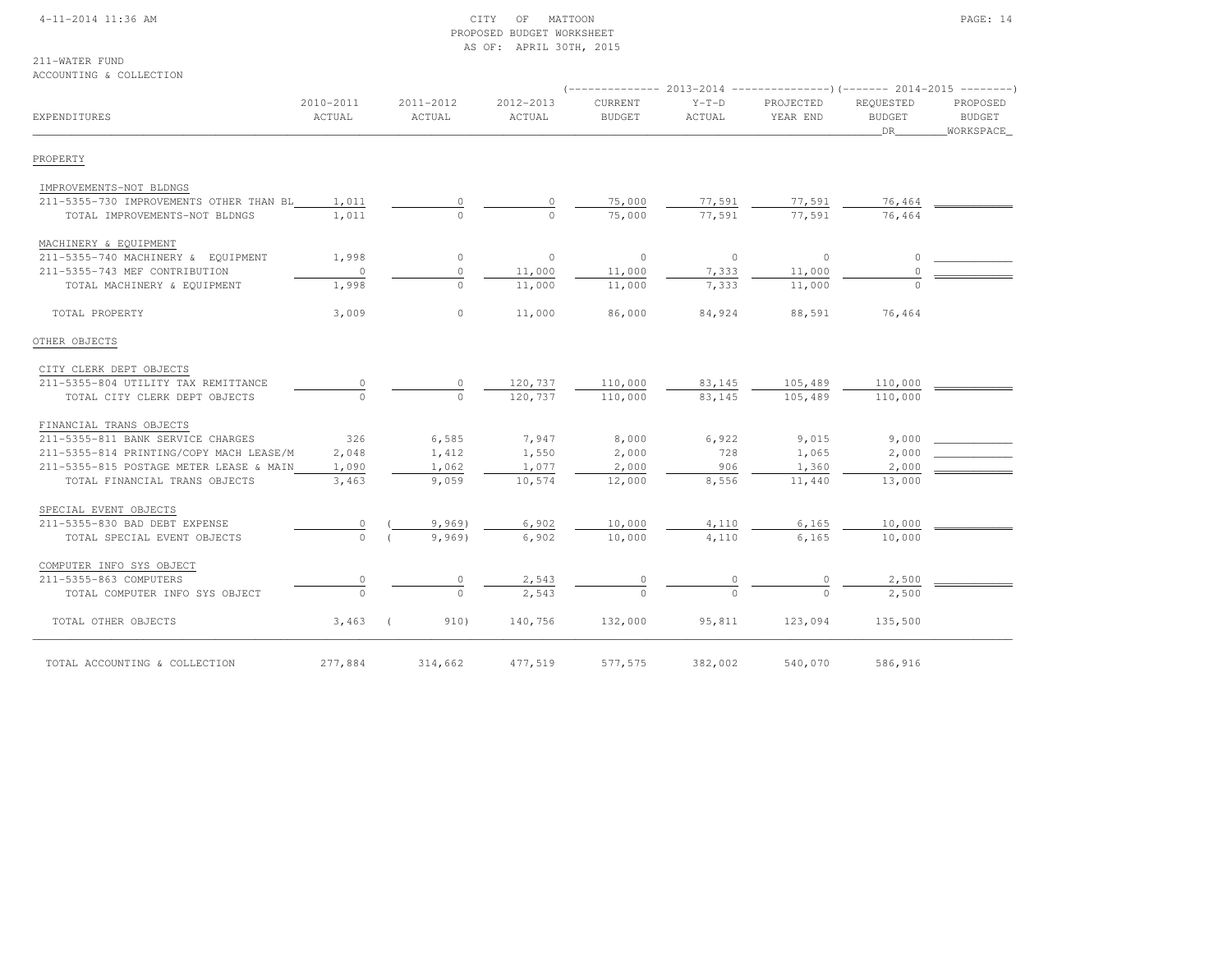#### 4-11-2014 11:36 AM CITY OF MATTOON PAGE: 14 PROPOSED BUDGET WORKSHEETAS OF: APRIL 30TH, 2015

211-WATER FUND

## ACCOUNTING & COLLECTION

|                                         |                     |          |                     |                     | (-------------- 2013-2014 ----------------)(------- 2014-2015 ---------) |                   |                       |                                  |                                        |
|-----------------------------------------|---------------------|----------|---------------------|---------------------|--------------------------------------------------------------------------|-------------------|-----------------------|----------------------------------|----------------------------------------|
| EXPENDITURES                            | 2010-2011<br>ACTUAL |          | 2011-2012<br>ACTUAL | 2012-2013<br>ACTUAL | CURRENT<br><b>BUDGET</b>                                                 | $Y-T-D$<br>ACTUAL | PROJECTED<br>YEAR END | REQUESTED<br><b>BUDGET</b><br>DR | PROPOSED<br><b>BUDGET</b><br>WORKSPACE |
| PROPERTY                                |                     |          |                     |                     |                                                                          |                   |                       |                                  |                                        |
| IMPROVEMENTS-NOT BLDNGS                 |                     |          |                     |                     |                                                                          |                   |                       |                                  |                                        |
| 211-5355-730 IMPROVEMENTS OTHER THAN BL | 1,011               |          |                     | $\Omega$            | 75,000                                                                   | 77,591            | 77,591                | 76,464                           |                                        |
| TOTAL IMPROVEMENTS-NOT BLDNGS           | 1,011               |          | $\circ$             | $\Omega$            | 75,000                                                                   | 77,591            | 77,591                | 76,464                           |                                        |
| MACHINERY & EQUIPMENT                   |                     |          |                     |                     |                                                                          |                   |                       |                                  |                                        |
| 211-5355-740 MACHINERY & EQUIPMENT      | 1,998               |          | $\circ$             | $\circ$             | $\circ$                                                                  | $\circ$           | $\circ$               | $\cap$                           |                                        |
| 211-5355-743 MEF CONTRIBUTION           | $\circ$             |          | $\mathbf{0}$        | 11,000              | 11,000                                                                   | 7,333             | 11,000                | $\Omega$                         |                                        |
| TOTAL MACHINERY & EQUIPMENT             | 1,998               |          | $\cap$              | 11,000              | 11,000                                                                   | 7,333             | 11,000                |                                  |                                        |
| TOTAL PROPERTY                          | 3,009               |          | $\circ$             | 11,000              | 86,000                                                                   | 84,924            | 88,591                | 76,464                           |                                        |
| OTHER OBJECTS                           |                     |          |                     |                     |                                                                          |                   |                       |                                  |                                        |
| CITY CLERK DEPT OBJECTS                 |                     |          |                     |                     |                                                                          |                   |                       |                                  |                                        |
| 211-5355-804 UTILITY TAX REMITTANCE     |                     |          |                     | 120,737             | 110,000                                                                  | 83,145            | 105,489               | 110,000                          |                                        |
| TOTAL CITY CLERK DEPT OBJECTS           | $\Omega$            |          | $\Omega$            | 120,737             | 110,000                                                                  | 83,145            | 105,489               | 110,000                          |                                        |
| FINANCIAL TRANS OBJECTS                 |                     |          |                     |                     |                                                                          |                   |                       |                                  |                                        |
| 211-5355-811 BANK SERVICE CHARGES       | 326                 |          | 6,585               | 7,947               | 8,000                                                                    | 6,922             | 9,015                 | 9,000                            |                                        |
| 211-5355-814 PRINTING/COPY MACH LEASE/M | 2,048               |          | 1,412               | 1,550               | 2,000                                                                    | 728               | 1,065                 | 2,000                            |                                        |
| 211-5355-815 POSTAGE METER LEASE & MAIN | 1,090               |          | 1,062               | 1,077               | 2,000                                                                    | 906               | 1,360                 | 2,000                            |                                        |
| TOTAL FINANCIAL TRANS OBJECTS           | 3,463               |          | 9,059               | 10,574              | 12,000                                                                   | 8,556             | 11,440                | 13,000                           |                                        |
| SPECIAL EVENT OBJECTS                   |                     |          |                     |                     |                                                                          |                   |                       |                                  |                                        |
| 211-5355-830 BAD DEBT EXPENSE           | $\circ$             |          | 9,969               | 6,902               | 10,000                                                                   | 4,110             | 6,165                 | 10,000                           |                                        |
| TOTAL SPECIAL EVENT OBJECTS             | $\Omega$            |          | 9,969)              | 6,902               | 10,000                                                                   | 4,110             | 6,165                 | 10,000                           |                                        |
| COMPUTER INFO SYS OBJECT                |                     |          |                     |                     |                                                                          |                   |                       |                                  |                                        |
| 211-5355-863 COMPUTERS                  |                     |          |                     | 2,543               |                                                                          |                   |                       | 2,500                            |                                        |
| TOTAL COMPUTER INFO SYS OBJECT          | $\Omega$            |          | $\Omega$            | 2,543               |                                                                          |                   |                       | 2,500                            |                                        |
| TOTAL OTHER OBJECTS                     | 3,463               | $\left($ | 910)                | 140,756             | 132,000                                                                  | 95,811            | 123,094               | 135,500                          |                                        |
| TOTAL ACCOUNTING & COLLECTION           | 277,884             |          | 314,662             | 477,519             | 577,575                                                                  | 382,002           | 540,070               | 586,916                          |                                        |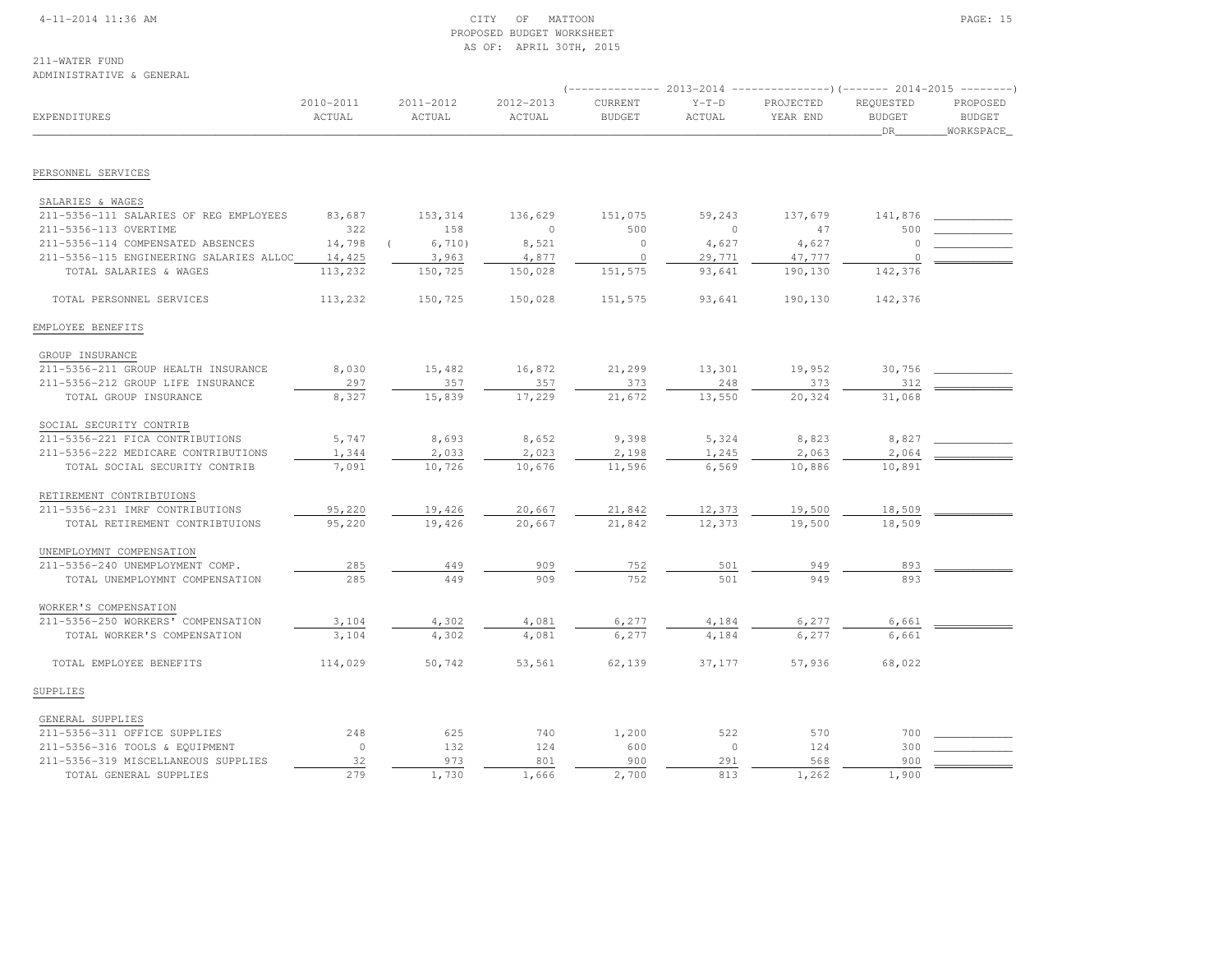#### 4-11-2014 11:36 AM CITY OF MATTOON PAGE: 15 PROPOSED BUDGET WORKSHEETAS OF: APRIL 30TH, 2015

# 211-WATER FUND

#### ADMINISTRATIVE & GENERAL

|                                         |                     |                     |                     | $--------- 2013-2014$           |                   | ----------------) (------- 2014-2015 ---------) |                                  |                                        |
|-----------------------------------------|---------------------|---------------------|---------------------|---------------------------------|-------------------|-------------------------------------------------|----------------------------------|----------------------------------------|
| EXPENDITURES                            | 2010-2011<br>ACTUAL | 2011-2012<br>ACTUAL | 2012-2013<br>ACTUAL | <b>CURRENT</b><br><b>BUDGET</b> | $Y-T-D$<br>ACTUAL | PROJECTED<br>YEAR END                           | REQUESTED<br><b>BUDGET</b><br>DR | PROPOSED<br><b>BUDGET</b><br>WORKSPACE |
|                                         |                     |                     |                     |                                 |                   |                                                 |                                  |                                        |
| PERSONNEL SERVICES                      |                     |                     |                     |                                 |                   |                                                 |                                  |                                        |
| SALARIES & WAGES                        |                     |                     |                     |                                 |                   |                                                 |                                  |                                        |
| 211-5356-111 SALARIES OF REG EMPLOYEES  | 83,687              | 153,314             | 136,629             | 151,075                         | 59,243            | 137,679                                         | 141,876                          |                                        |
| 211-5356-113 OVERTIME                   | 322                 | 158                 | $\circ$             | 500                             | $\Omega$          | 47                                              | 500                              |                                        |
| 211-5356-114 COMPENSATED ABSENCES       | 14,798              | 6,710)              | 8,521               | $\Omega$                        | 4,627             | 4,627                                           | $\Omega$                         |                                        |
| 211-5356-115 ENGINEERING SALARIES ALLOC | 14,425              | 3,963               | 4,877               | $\circ$                         | 29,771            | 47,777                                          | $\Omega$                         |                                        |
| TOTAL SALARIES & WAGES                  | 113,232             | 150,725             | 150,028             | 151,575                         | 93,641            | 190,130                                         | 142,376                          |                                        |
|                                         |                     |                     |                     |                                 |                   |                                                 |                                  |                                        |
| TOTAL PERSONNEL SERVICES                | 113,232             | 150,725             | 150,028             | 151,575                         | 93,641            | 190,130                                         | 142,376                          |                                        |
| EMPLOYEE BENEFITS                       |                     |                     |                     |                                 |                   |                                                 |                                  |                                        |
| GROUP INSURANCE                         |                     |                     |                     |                                 |                   |                                                 |                                  |                                        |
| 211-5356-211 GROUP HEALTH INSURANCE     | 8,030               | 15,482              | 16,872              | 21,299                          | 13,301            | 19,952                                          | 30,756                           |                                        |
| 211-5356-212 GROUP LIFE INSURANCE       | 297                 | 357                 | 357                 | 373                             | 248               | 373                                             | 312                              |                                        |
| TOTAL GROUP INSURANCE                   | 8,327               | 15,839              | 17,229              | 21,672                          | 13,550            | 20,324                                          | 31,068                           |                                        |
| SOCIAL SECURITY CONTRIB                 |                     |                     |                     |                                 |                   |                                                 |                                  |                                        |
| 211-5356-221 FICA CONTRIBUTIONS         | 5,747               | 8,693               | 8,652               | 9,398                           | 5,324             | 8,823                                           | 8,827                            |                                        |
| 211-5356-222 MEDICARE CONTRIBUTIONS     | 1,344               | 2,033               | 2,023               | 2,198                           | 1,245             | 2,063                                           | 2,064                            |                                        |
| TOTAL SOCIAL SECURITY CONTRIB           | 7,091               | 10,726              | 10,676              | 11,596                          | 6,569             | 10,886                                          | 10,891                           |                                        |
| RETIREMENT CONTRIBTUIONS                |                     |                     |                     |                                 |                   |                                                 |                                  |                                        |
| 211-5356-231 IMRF CONTRIBUTIONS         | 95,220              | 19,426              | 20,667              | 21,842                          | 12,373            | 19,500                                          | 18,509                           |                                        |
| TOTAL RETIREMENT CONTRIBTUIONS          | 95,220              | 19,426              | 20,667              | 21,842                          | 12,373            | 19,500                                          | 18,509                           |                                        |
| UNEMPLOYMNT COMPENSATION                |                     |                     |                     |                                 |                   |                                                 |                                  |                                        |
| 211-5356-240 UNEMPLOYMENT COMP.         | 285                 | 449                 | 909                 | 752                             | 501               | 949                                             | 893                              |                                        |
| TOTAL UNEMPLOYMNT COMPENSATION          | 285                 | 449                 | 909                 | 752                             | 501               | 949                                             | 893                              |                                        |
| WORKER'S COMPENSATION                   |                     |                     |                     |                                 |                   |                                                 |                                  |                                        |
| 211-5356-250 WORKERS' COMPENSATION      | 3,104               | 4,302               | 4,081               | 6,277                           | 4,184             | 6,277                                           | 6,661                            |                                        |
| TOTAL WORKER'S COMPENSATION             | 3,104               | 4,302               | 4,081               | 6,277                           | 4,184             | 6,277                                           | 6,661                            |                                        |
| TOTAL EMPLOYEE BENEFITS                 | 114,029             | 50,742              | 53,561              | 62,139                          | 37,177            | 57,936                                          | 68,022                           |                                        |
| SUPPLIES                                |                     |                     |                     |                                 |                   |                                                 |                                  |                                        |
| GENERAL SUPPLIES                        |                     |                     |                     |                                 |                   |                                                 |                                  |                                        |
| 211-5356-311 OFFICE SUPPLIES            | 248                 | 625                 | 740                 | 1,200                           | 522               | 570                                             | 700                              |                                        |
| 211-5356-316 TOOLS & EQUIPMENT          | $\circ$             | 132                 | 124                 | 600                             | $\mathbf{0}$      | 124                                             | 300                              |                                        |
| 211-5356-319 MISCELLANEOUS SUPPLIES     | 32                  | 973                 | 801                 | 900                             | 291               | 568                                             | 900                              |                                        |
| TOTAL GENERAL SUPPLIES                  | 279                 | 1,730               | 1,666               | 2,700                           | 813               | 1,262                                           | 1,900                            |                                        |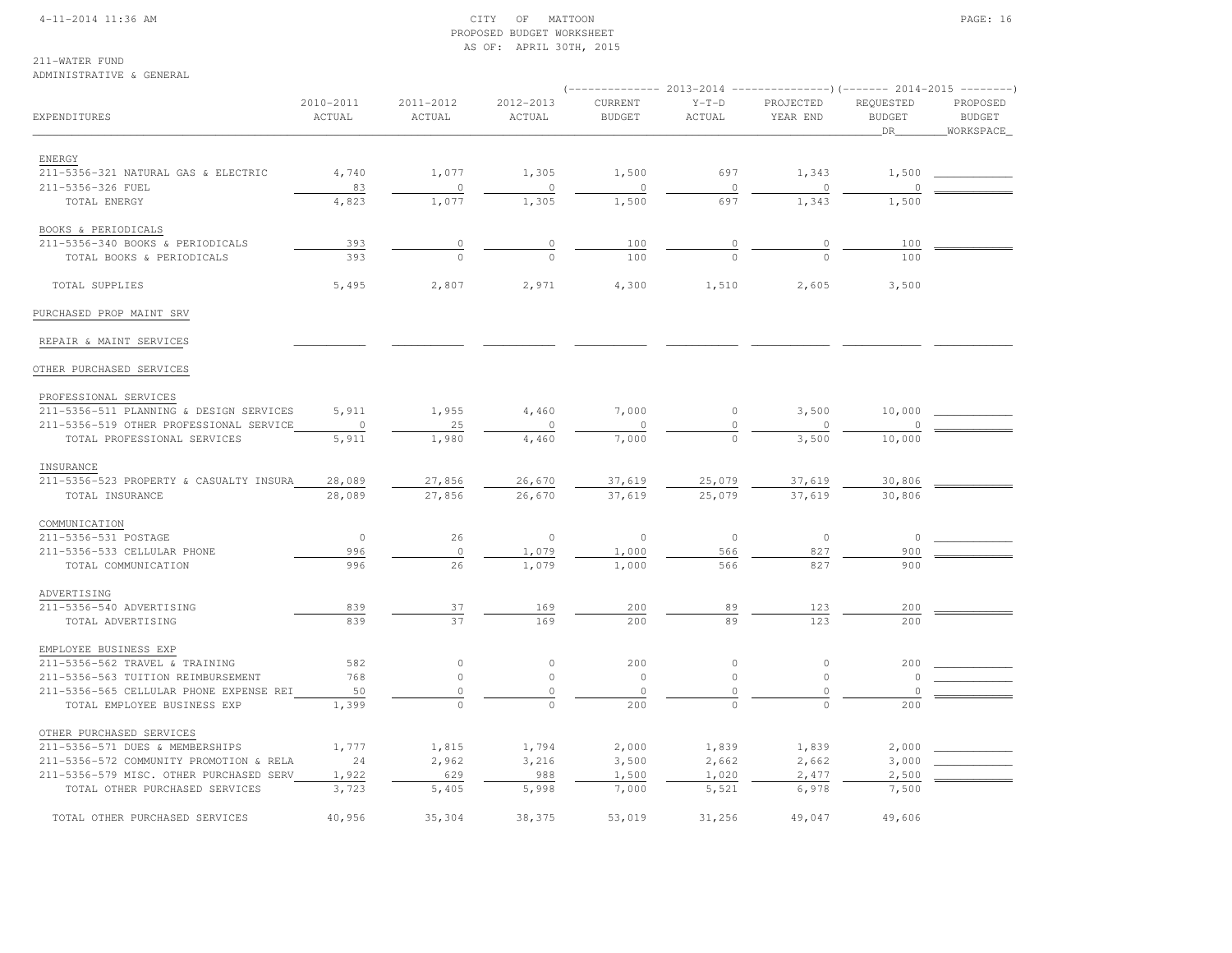#### 4-11-2014 11:36 AM CITY OF MATTOON PAGE: 16 PROPOSED BUDGET WORKSHEETAS OF: APRIL 30TH, 2015

# 211-WATER FUND

#### ADMINISTRATIVE & GENERAL

|                                         |                     |                     |                     |                          |                   | (-------------- 2013-2014 ----------------) (------- 2014-2015 ---------) |                                  |                                        |  |
|-----------------------------------------|---------------------|---------------------|---------------------|--------------------------|-------------------|---------------------------------------------------------------------------|----------------------------------|----------------------------------------|--|
| EXPENDITURES                            | 2010-2011<br>ACTUAL | 2011-2012<br>ACTUAL | 2012-2013<br>ACTUAL | CURRENT<br><b>BUDGET</b> | $Y-T-D$<br>ACTUAL | PROJECTED<br>YEAR END                                                     | REQUESTED<br><b>BUDGET</b><br>DR | PROPOSED<br><b>BUDGET</b><br>WORKSPACE |  |
|                                         |                     |                     |                     |                          |                   |                                                                           |                                  |                                        |  |
| ENERGY                                  |                     |                     |                     |                          |                   |                                                                           |                                  |                                        |  |
| 211-5356-321 NATURAL GAS & ELECTRIC     | 4,740               | 1,077               | 1,305               | 1,500                    | 697               | 1,343                                                                     | 1,500                            |                                        |  |
| 211-5356-326 FUEL                       | 83                  | $\circ$             | $\circ$             | $\circ$                  | $\mathbf 0$       | 0                                                                         | $\cap$                           |                                        |  |
| TOTAL ENERGY                            | 4,823               | 1,077               | 1,305               | 1,500                    | 697               | 1,343                                                                     | 1,500                            |                                        |  |
| BOOKS & PERIODICALS                     |                     |                     |                     |                          |                   |                                                                           |                                  |                                        |  |
| 211-5356-340 BOOKS & PERIODICALS        | 393                 | $\circ$             | $\circ$             | 100                      |                   | $\overline{0}$                                                            | 100                              |                                        |  |
| TOTAL BOOKS & PERIODICALS               | 393                 | $\Omega$            | $\Omega$            | 100                      | $\cap$            | $\Omega$                                                                  | 100                              |                                        |  |
| TOTAL SUPPLIES                          | 5,495               | 2,807               | 2,971               | 4,300                    | 1,510             | 2,605                                                                     | 3,500                            |                                        |  |
| PURCHASED PROP MAINT SRV                |                     |                     |                     |                          |                   |                                                                           |                                  |                                        |  |
| REPAIR & MAINT SERVICES                 |                     |                     |                     |                          |                   |                                                                           |                                  |                                        |  |
| OTHER PURCHASED SERVICES                |                     |                     |                     |                          |                   |                                                                           |                                  |                                        |  |
| PROFESSIONAL SERVICES                   |                     |                     |                     |                          |                   |                                                                           |                                  |                                        |  |
| 211-5356-511 PLANNING & DESIGN SERVICES | 5,911               | 1,955               | 4,460               | 7,000                    | $\circ$           | 3,500                                                                     | 10,000                           |                                        |  |
| 211-5356-519 OTHER PROFESSIONAL SERVICE | $\circ$             | 25                  | $\circ$             | $\circ$                  | $\mathbf 0$       | $\circ$                                                                   | $\circ$                          |                                        |  |
| TOTAL PROFESSIONAL SERVICES             | 5,911               | 1,980               | 4,460               | 7,000                    | $\mathbf{0}$      | 3,500                                                                     | 10,000                           |                                        |  |
| INSURANCE                               |                     |                     |                     |                          |                   |                                                                           |                                  |                                        |  |
| 211-5356-523 PROPERTY & CASUALTY INSURA | 28,089              | 27,856              | 26,670              | 37,619                   | 25,079            | 37,619                                                                    | 30,806                           |                                        |  |
| TOTAL INSURANCE                         | 28,089              | 27,856              | 26,670              | 37,619                   | 25,079            | 37,619                                                                    | 30,806                           |                                        |  |
| COMMUNICATION                           |                     |                     |                     |                          |                   |                                                                           |                                  |                                        |  |
| 211-5356-531 POSTAGE                    | $\circ$             | 26                  | $\circ$             | $\circ$                  | $\mathbb O$       | $\circ$                                                                   | $\circ$                          |                                        |  |
| 211-5356-533 CELLULAR PHONE             | 996                 | $\circ$             | 1,079               | 1,000                    | 566               | 827                                                                       | 900                              |                                        |  |
| TOTAL COMMUNICATION                     | 996                 | 26                  | 1,079               | 1,000                    | 566               | 827                                                                       | 900                              |                                        |  |
|                                         |                     |                     |                     |                          |                   |                                                                           |                                  |                                        |  |
| ADVERTISING<br>211-5356-540 ADVERTISING | 839                 |                     |                     | 200                      |                   |                                                                           | 200                              |                                        |  |
| TOTAL ADVERTISING                       | 839                 | 37<br>37            | 169<br>169          | 200                      | 89<br>89          | 123<br>123                                                                | 200                              |                                        |  |
|                                         |                     |                     |                     |                          |                   |                                                                           |                                  |                                        |  |
| EMPLOYEE BUSINESS EXP                   |                     |                     |                     |                          |                   |                                                                           |                                  |                                        |  |
| 211-5356-562 TRAVEL & TRAINING          | 582                 | $\circ$             | $\circ$             | 200                      | $\circ$           | $\circ$                                                                   | 200                              |                                        |  |
| 211-5356-563 TUITION REIMBURSEMENT      | 768                 | $\circ$             | $\circ$             | $\circ$                  | $\circ$           | $\circ$                                                                   | $\circ$                          |                                        |  |
| 211-5356-565 CELLULAR PHONE EXPENSE REI | 50                  | $\circ$             | $\mathbb O$         | $\circ$                  | $\mathbf 0$       | $\circ$                                                                   | $\overline{0}$                   |                                        |  |
| TOTAL EMPLOYEE BUSINESS EXP             | 1,399               | $\Omega$            | $\Omega$            | 200                      | $\cap$            | $\Omega$                                                                  | 200                              |                                        |  |
| OTHER PURCHASED SERVICES                |                     |                     |                     |                          |                   |                                                                           |                                  |                                        |  |
| 211-5356-571 DUES & MEMBERSHIPS         | 1,777               | 1,815               | 1,794               | 2,000                    | 1,839             | 1,839                                                                     | 2,000                            |                                        |  |
| 211-5356-572 COMMUNITY PROMOTION & RELA | 24                  | 2,962               | 3,216               | 3,500                    | 2,662             | 2,662                                                                     | 3,000                            |                                        |  |
| 211-5356-579 MISC. OTHER PURCHASED SERV | 1,922               | 629                 | 988                 | 1,500                    | 1,020             | 2,477                                                                     | 2,500                            |                                        |  |
| TOTAL OTHER PURCHASED SERVICES          | 3,723               | 5,405               | 5,998               | 7,000                    | 5,521             | 6,978                                                                     | 7,500                            |                                        |  |
| TOTAL OTHER PURCHASED SERVICES          | 40,956              | 35,304              | 38,375              | 53,019                   | 31,256            | 49,047                                                                    | 49,606                           |                                        |  |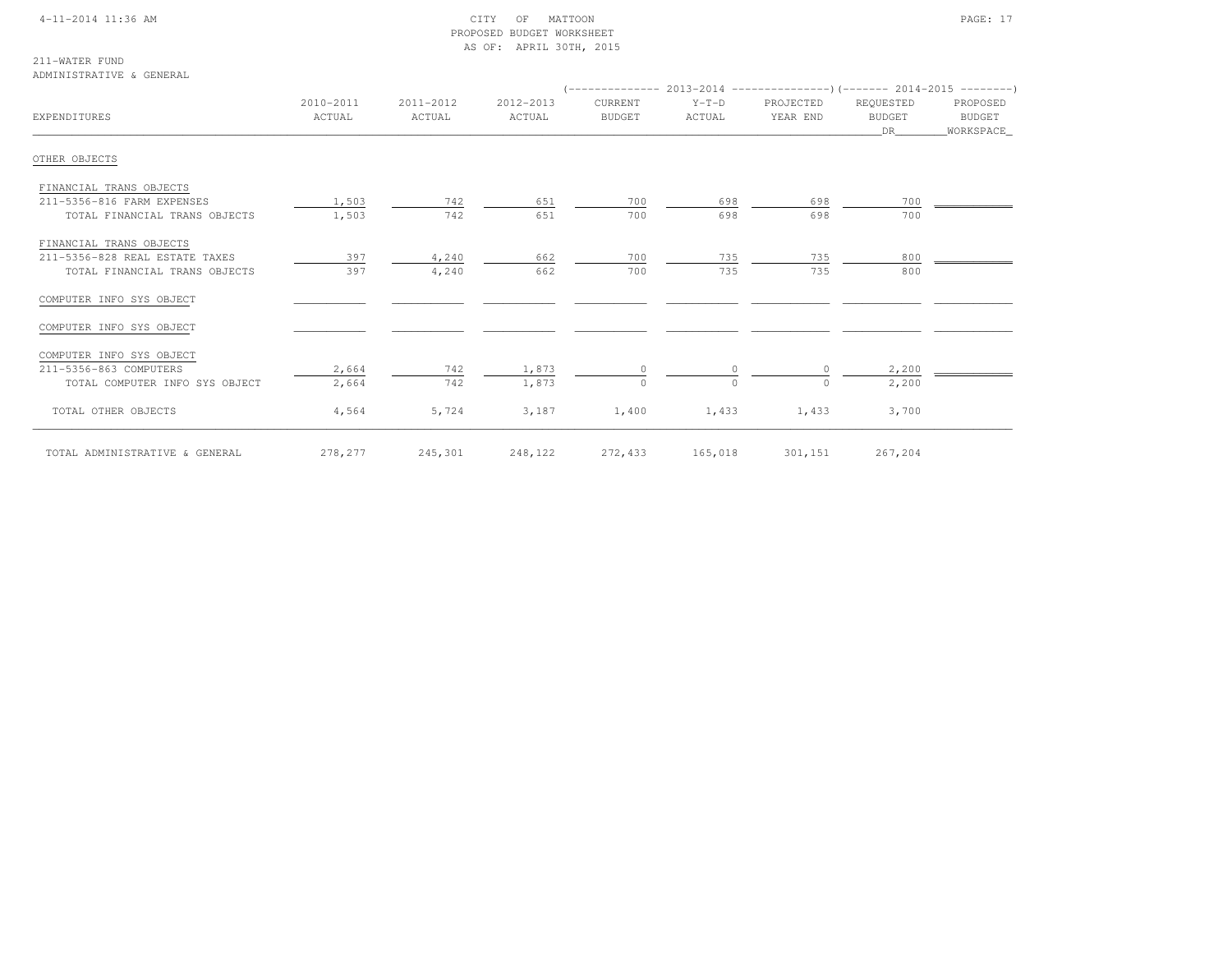#### 4-11-2014 11:36 AM CITY OF MATTOON PAGE: 17 PROPOSED BUDGET WORKSHEETAS OF: APRIL 30TH, 2015

211-WATER FUND

#### ADMINISTRATIVE & GENERAL

| EXPENDITURES                   | 2010-2011<br>ACTUAL | 2011-2012<br>ACTUAL | 2012-2013<br>ACTUAL | CURRENT<br><b>BUDGET</b> | $Y-T-D$<br>ACTUAL | PROJECTED<br>YEAR END | REQUESTED<br><b>BUDGET</b><br>DR | PROPOSED<br><b>BUDGET</b><br>WORKSPACE |
|--------------------------------|---------------------|---------------------|---------------------|--------------------------|-------------------|-----------------------|----------------------------------|----------------------------------------|
| OTHER OBJECTS                  |                     |                     |                     |                          |                   |                       |                                  |                                        |
| FINANCIAL TRANS OBJECTS        |                     |                     |                     |                          |                   |                       |                                  |                                        |
| 211-5356-816 FARM EXPENSES     | 1,503               | 742                 | 651                 | 700                      | 698               | 698                   | 700                              |                                        |
| TOTAL FINANCIAL TRANS OBJECTS  | 1,503               | 742                 | 651                 | 700                      | 698               | 698                   | 700                              |                                        |
| FINANCIAL TRANS OBJECTS        |                     |                     |                     |                          |                   |                       |                                  |                                        |
| 211-5356-828 REAL ESTATE TAXES | 397                 | 4,240               | 662                 | 700                      | 735               | 735                   | 800                              |                                        |
| TOTAL FINANCIAL TRANS OBJECTS  | 397                 | 4,240               | 662                 | 700                      | 735               | 735                   | 800                              |                                        |
| COMPUTER INFO SYS OBJECT       |                     |                     |                     |                          |                   |                       |                                  |                                        |
| COMPUTER INFO SYS OBJECT       |                     |                     |                     |                          |                   |                       |                                  |                                        |
| COMPUTER INFO SYS OBJECT       |                     |                     |                     |                          |                   |                       |                                  |                                        |
| 211-5356-863 COMPUTERS         | 2,664               | 742                 | 1,873               | $\Omega$                 | $\Omega$          | $\Omega$              | 2,200                            |                                        |
| TOTAL COMPUTER INFO SYS OBJECT | 2,664               | 742                 | 1,873               | 0                        | $\circ$           | $\circ$               | 2,200                            |                                        |
| TOTAL OTHER OBJECTS            | 4,564               | 5,724               | 3,187               | 1,400                    | 1,433             | 1,433                 | 3,700                            |                                        |
| TOTAL ADMINISTRATIVE & GENERAL | 278,277             | 245,301             | 248,122             | 272,433                  | 165,018           | 301,151               | 267,204                          |                                        |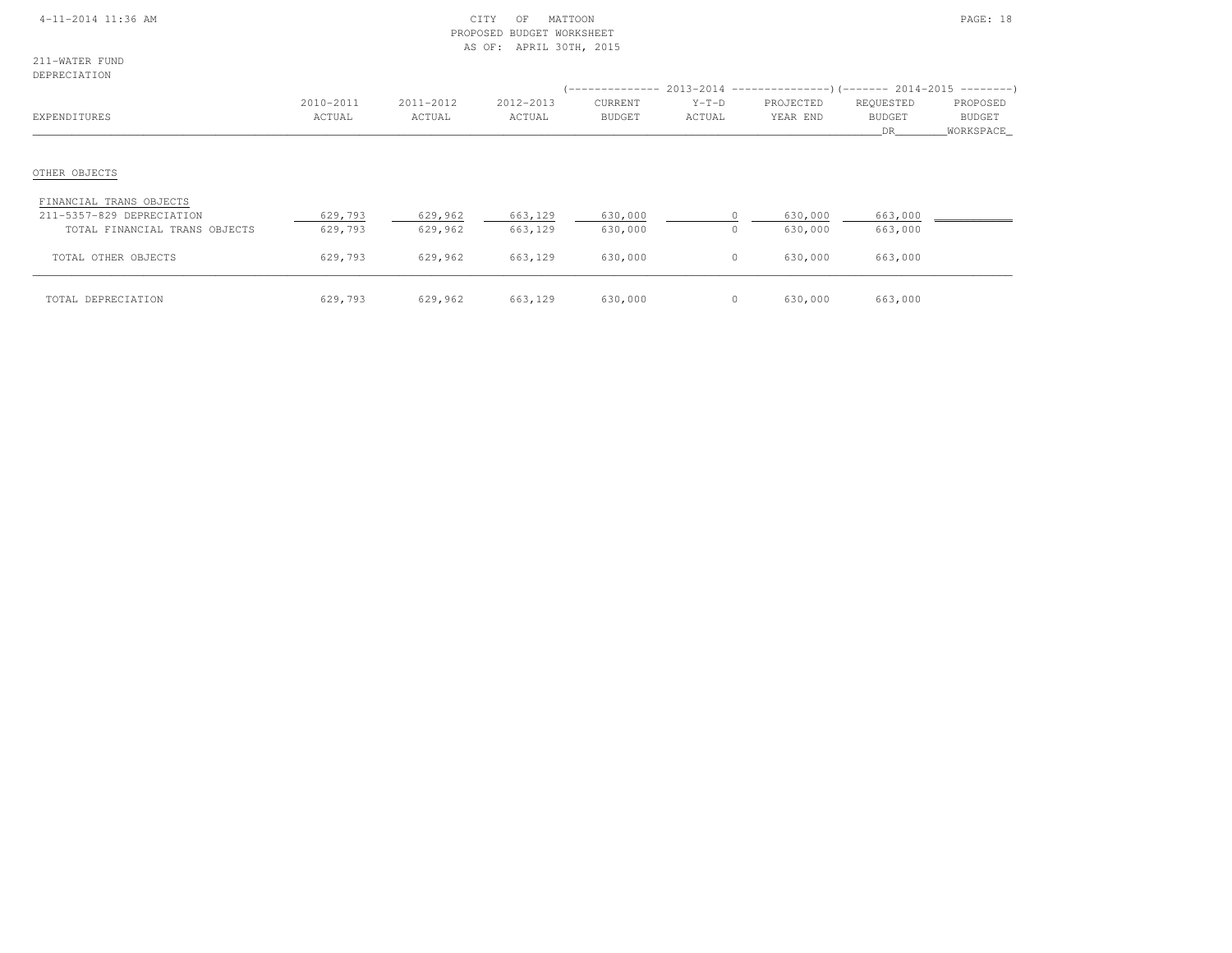#### 4-11-2014 11:36 AM CITY OF MATTOON PAGE: 18 PROPOSED BUDGET WORKSHEETAS OF: APRIL 30TH, 2015

211-WATER FUNDDEPRECIATION

| DEL INSTRITTOIN                                            |                     |                     |                     |                          |                   | $($ -------------- 2013-2014 ----------------) (------- 2014-2015 ---------) |                                  |                                        |
|------------------------------------------------------------|---------------------|---------------------|---------------------|--------------------------|-------------------|------------------------------------------------------------------------------|----------------------------------|----------------------------------------|
| EXPENDITURES                                               | 2010-2011<br>ACTUAL | 2011-2012<br>ACTUAL | 2012-2013<br>ACTUAL | CURRENT<br><b>BUDGET</b> | $Y-T-D$<br>ACTUAL | PROJECTED<br>YEAR END                                                        | REQUESTED<br><b>BUDGET</b><br>DR | PROPOSED<br><b>BUDGET</b><br>WORKSPACE |
| OTHER OBJECTS                                              |                     |                     |                     |                          |                   |                                                                              |                                  |                                        |
| FINANCIAL TRANS OBJECTS                                    |                     |                     |                     |                          |                   |                                                                              |                                  |                                        |
| 211-5357-829 DEPRECIATION<br>TOTAL FINANCIAL TRANS OBJECTS | 629,793<br>629,793  | 629,962<br>629,962  | 663,129<br>663,129  | 630,000<br>630,000       | $\Omega$          | 630,000<br>630,000                                                           | 663,000<br>663,000               |                                        |
| TOTAL OTHER OBJECTS                                        | 629,793             | 629,962             | 663,129             | 630,000                  | $\circ$           | 630,000                                                                      | 663,000                          |                                        |
| TOTAL DEPRECIATION                                         | 629,793             | 629,962             | 663,129             | 630,000                  | 0                 | 630,000                                                                      | 663,000                          |                                        |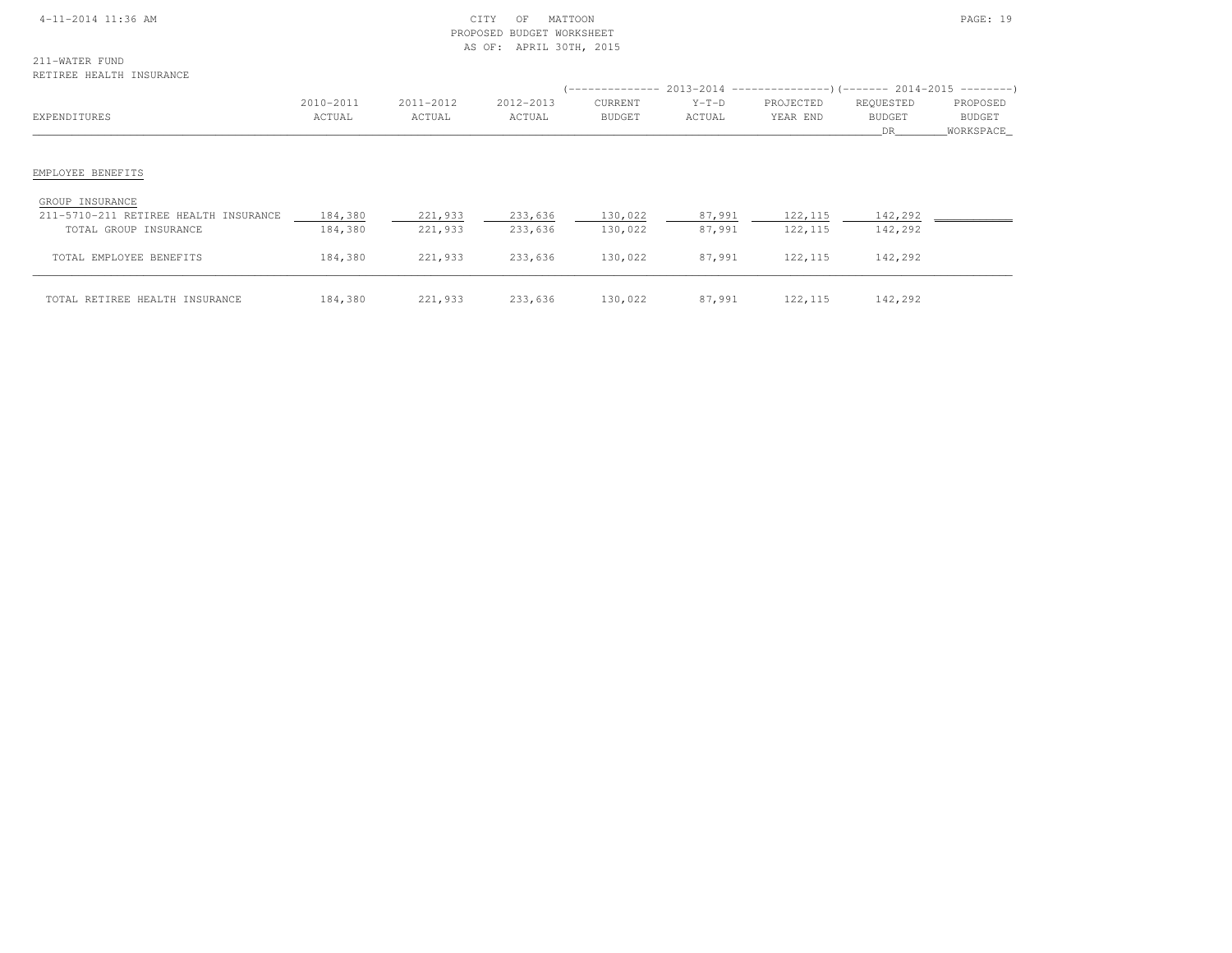#### 4-11-2014 11:36 AM CITY OF MATTOON PAGE: 19 PROPOSED BUDGET WORKSHEETAS OF: APRIL 30TH, 2015

211-WATER FUNDRETIREE HEALTH INSURANCE

| REIIREE HEALIH INSURANCE                                                          |                     |                     |                     |                          |                   |                       | (-------------- 2013-2014 --------------------       2014-2015 ------------------ |                                 |
|-----------------------------------------------------------------------------------|---------------------|---------------------|---------------------|--------------------------|-------------------|-----------------------|-----------------------------------------------------------------------------------|---------------------------------|
| EXPENDITURES                                                                      | 2010-2011<br>ACTUAL | 2011-2012<br>ACTUAL | 2012-2013<br>ACTUAL | CURRENT<br><b>BUDGET</b> | $Y-T-D$<br>ACTUAL | PROJECTED<br>YEAR END | REQUESTED<br><b>BUDGET</b><br>DR.                                                 | PROPOSED<br>BUDGET<br>WORKSPACE |
| EMPLOYEE BENEFITS                                                                 |                     |                     |                     |                          |                   |                       |                                                                                   |                                 |
| GROUP INSURANCE<br>211-5710-211 RETIREE HEALTH INSURANCE<br>TOTAL GROUP INSURANCE | 184,380<br>184,380  | 221,933<br>221,933  | 233,636<br>233,636  | 130,022<br>130,022       | 87,991<br>87,991  | 122, 115<br>122, 115  | 142,292<br>142,292                                                                |                                 |
| TOTAL EMPLOYEE BENEFITS                                                           | 184,380             | 221,933             | 233,636             | 130,022                  | 87,991            | 122, 115              | 142,292                                                                           |                                 |
| TOTAL RETIREE HEALTH INSURANCE                                                    | 184,380             | 221,933             | 233,636             | 130,022                  | 87,991            | 122, 115              | 142,292                                                                           |                                 |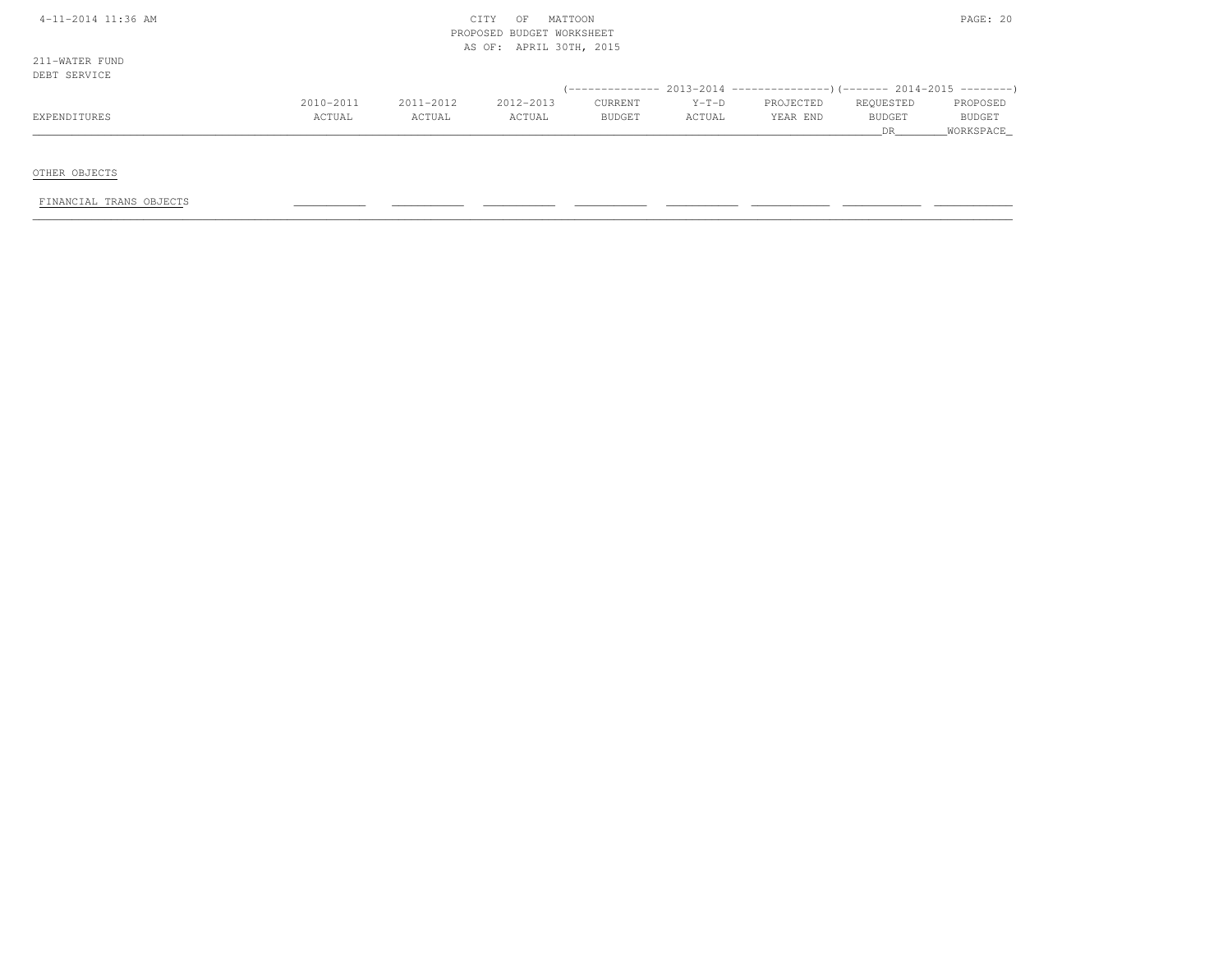| $4-11-2014$ 11:36 AM |  |
|----------------------|--|
|----------------------|--|

#### $\begin{array}{ccc} \text{CITY} & \text{OF} & \text{MATION} \end{array}$  PROPOSED BUDGET WORKSHEETAS OF: APRIL 30TH, 2015

211-WATER FUNDDEBT SERVICE

| DADI SARVICA |           |           |           |               |         |           |               |               |
|--------------|-----------|-----------|-----------|---------------|---------|-----------|---------------|---------------|
|              |           |           |           |               |         |           |               |               |
|              | 2010-2011 | 2011-2012 | 2012-2013 | CURRENT       | $Y-T-D$ | PROJECTED | REQUESTED     | PROPOSED      |
| EXPENDITURES | ACTUAL    | ACTUAL    | ACTUAL    | <b>BUDGET</b> | ACTUAL  | YEAR END  | <b>BUDGET</b> | <b>BUDGET</b> |
|              |           |           |           |               |         |           |               | WORKSPACE_    |

OTHER OBJECTS

FINANCIAL TRANS OBJECTS \_\_\_\_\_\_\_\_\_\_\_ \_\_\_\_\_\_\_\_\_\_\_ \_\_\_\_\_\_\_\_\_\_\_ \_\_\_\_\_\_\_\_\_\_\_ \_\_\_\_\_\_\_\_\_\_\_ \_\_\_\_\_\_\_\_\_\_\_\_ \_\_\_\_\_\_\_\_\_\_\_\_ \_\_\_\_\_\_\_\_\_\_\_\_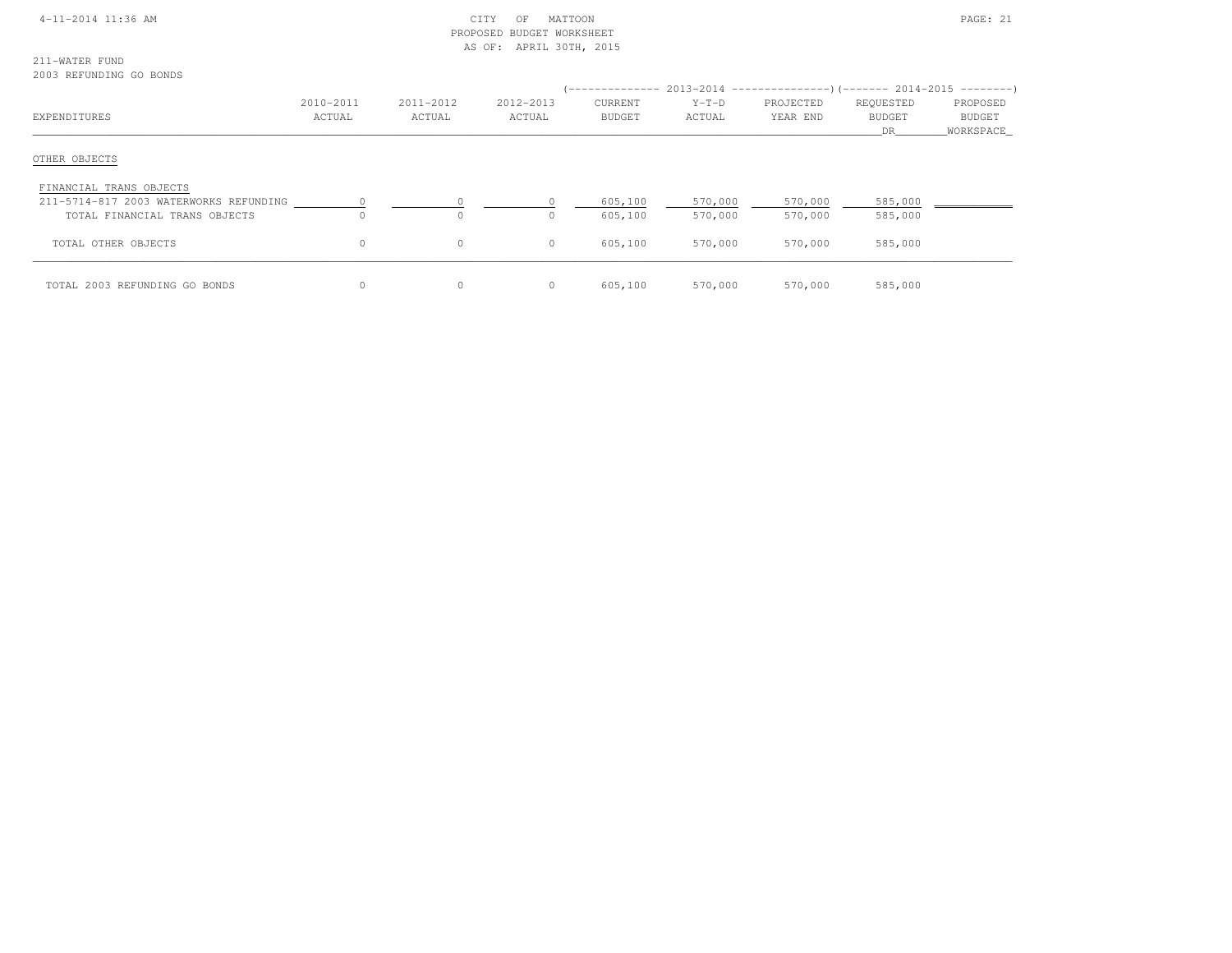| $4 - 11 - 2014$ 11:36 AM |  |
|--------------------------|--|
|--------------------------|--|

#### $\text{CITY}$  OF MATTOON **PAGE: 21**  PROPOSED BUDGET WORKSHEETAS OF: APRIL 30TH, 2015

211-WATER FUND

#### 2003 REFUNDING GO BONDS

|                                        |              |           |           | ( -------------- |         | $2013-2014$ ----------------)(------- 2014-2015 --------) |               |               |
|----------------------------------------|--------------|-----------|-----------|------------------|---------|-----------------------------------------------------------|---------------|---------------|
|                                        | 2010-2011    | 2011-2012 | 2012-2013 | CURRENT          | $Y-T-D$ | PROJECTED                                                 | REQUESTED     | PROPOSED      |
| EXPENDITURES                           | ACTUAL       | ACTUAL    | ACTUAL    | <b>BUDGET</b>    | ACTUAL  | YEAR END                                                  | <b>BUDGET</b> | <b>BUDGET</b> |
|                                        |              |           |           |                  |         |                                                           | DR            | WORKSPACE     |
| OTHER OBJECTS                          |              |           |           |                  |         |                                                           |               |               |
| FINANCIAL TRANS OBJECTS                |              |           |           |                  |         |                                                           |               |               |
| 211-5714-817 2003 WATERWORKS REFUNDING |              |           |           | 605,100          | 570,000 | 570,000                                                   | 585,000       |               |
| TOTAL FINANCIAL TRANS OBJECTS          |              |           | 0         | 605,100          | 570,000 | 570,000                                                   | 585,000       |               |
| TOTAL OTHER OBJECTS                    | $\circ$      | $\circ$   | $\circ$   | 605,100          | 570,000 | 570,000                                                   | 585,000       |               |
| TOTAL 2003 REFUNDING GO BONDS          | $\mathbf{0}$ | $\circ$   | 0         | 605,100          | 570,000 | 570,000                                                   | 585,000       |               |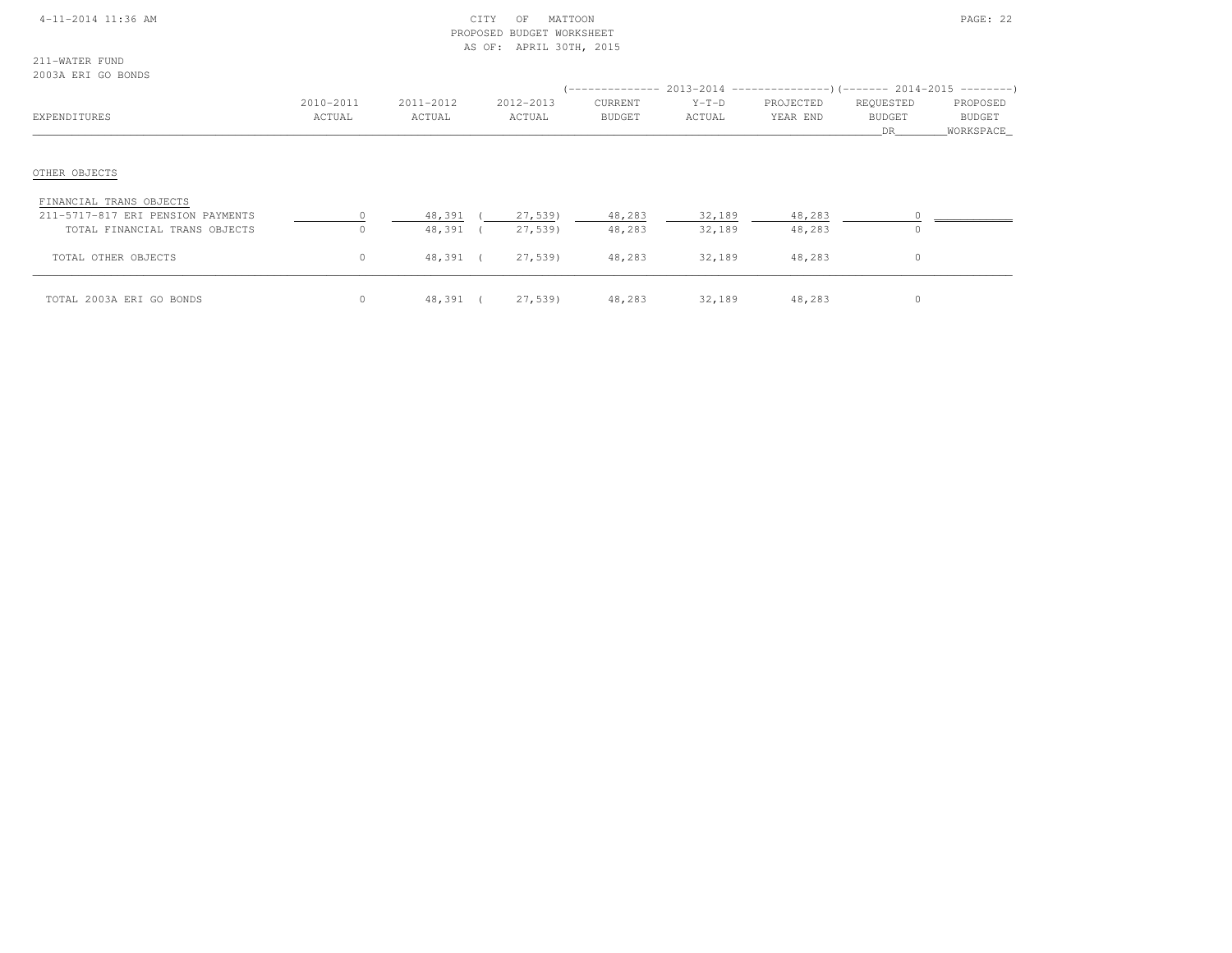#### 4-11-2014 11:36 AM CITY OF MATTOON PAGE: 22 PROPOSED BUDGET WORKSHEETAS OF: APRIL 30TH, 2015

211-WATER FUND2003A ERI GO BONDS

| COODA LINE OO DONDO                                                                           |                     |                     |                     |                          |                   | $($ -------------- 2013-2014 ----------------) (------- 2014-2015 ---------) |                                  |                                 |
|-----------------------------------------------------------------------------------------------|---------------------|---------------------|---------------------|--------------------------|-------------------|------------------------------------------------------------------------------|----------------------------------|---------------------------------|
| EXPENDITURES                                                                                  | 2010-2011<br>ACTUAL | 2011-2012<br>ACTUAL | 2012-2013<br>ACTUAL | CURRENT<br><b>BUDGET</b> | $Y-T-D$<br>ACTUAL | PROJECTED<br>YEAR END                                                        | REQUESTED<br><b>BUDGET</b><br>DR | PROPOSED<br>BUDGET<br>WORKSPACE |
| OTHER OBJECTS                                                                                 |                     |                     |                     |                          |                   |                                                                              |                                  |                                 |
| FINANCIAL TRANS OBJECTS<br>211-5717-817 ERI PENSION PAYMENTS<br>TOTAL FINANCIAL TRANS OBJECTS | $\Omega$            | 48,391<br>48,391    | 27,539)<br>27,539)  | 48,283<br>48,283         | 32,189<br>32,189  | 48,283<br>48,283                                                             | $\circ$                          |                                 |
| TOTAL OTHER OBJECTS                                                                           | $\circ$             | 48,391 (            | 27,539)             | 48,283                   | 32,189            | 48,283                                                                       | $\circ$                          |                                 |
| TOTAL 2003A ERI GO BONDS                                                                      | $\circ$             | 48,391 (            | 27,539)             | 48,283                   | 32,189            | 48,283                                                                       | 0                                |                                 |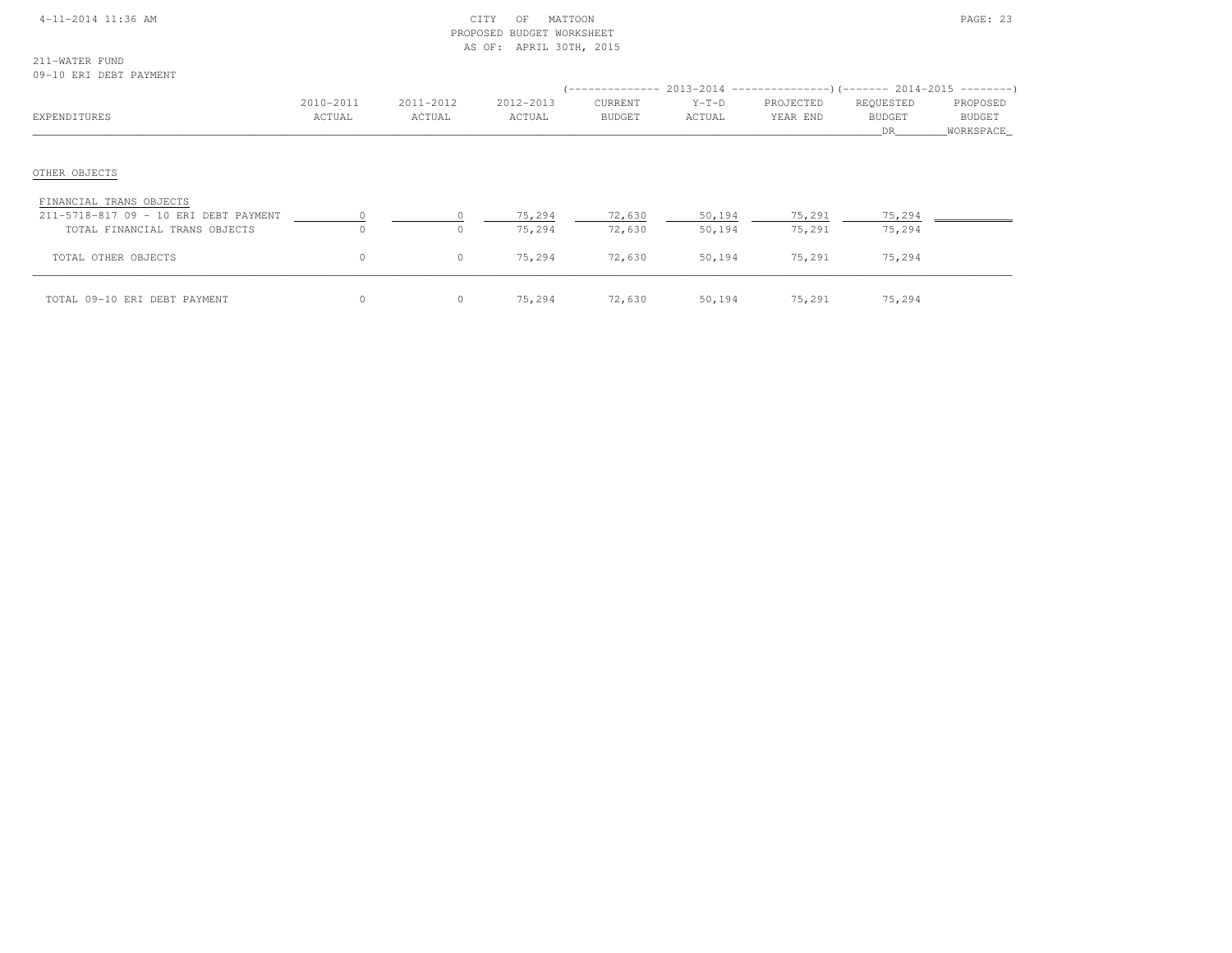| $4 - 11 - 2014$ 11:36 AM |
|--------------------------|
|--------------------------|

#### $\text{CITY}$  of MATTOON  $\text{PAGE: } 23$  PROPOSED BUDGET WORKSHEETAS OF: APRIL 30TH, 2015

211-WATER FUND09-10 ERI DEBT PAYMENT

| VV IV DIL DODI IIIIDILI                                          |                     |                     |                     |                          |                   | (-------------- 2013-2014 --------------------        2014-2015 ----------        ) |                                  |                                 |
|------------------------------------------------------------------|---------------------|---------------------|---------------------|--------------------------|-------------------|-------------------------------------------------------------------------------------|----------------------------------|---------------------------------|
| EXPENDITURES                                                     | 2010-2011<br>ACTUAL | 2011-2012<br>ACTUAL | 2012-2013<br>ACTUAL | CURRENT<br><b>BUDGET</b> | $Y-T-D$<br>ACTUAL | PROJECTED<br>YEAR END                                                               | REQUESTED<br><b>BUDGET</b><br>DR | PROPOSED<br>BUDGET<br>WORKSPACE |
| OTHER OBJECTS                                                    |                     |                     |                     |                          |                   |                                                                                     |                                  |                                 |
| FINANCIAL TRANS OBJECTS<br>211-5718-817 09 - 10 ERI DEBT PAYMENT |                     | $\Omega$            | 75,294              | 72,630                   | 50,194            | 75,291                                                                              | 75,294                           |                                 |
| TOTAL FINANCIAL TRANS OBJECTS                                    |                     | $\circ$             | 75,294              | 72,630                   | 50,194            | 75,291                                                                              | 75,294                           |                                 |
| TOTAL OTHER OBJECTS                                              | $\circ$             | $\circ$             | 75,294              | 72,630                   | 50,194            | 75,291                                                                              | 75,294                           |                                 |
| TOTAL 09-10 ERI DEBT PAYMENT                                     |                     | $\circ$             | 75,294              | 72,630                   | 50,194            | 75,291                                                                              | 75,294                           |                                 |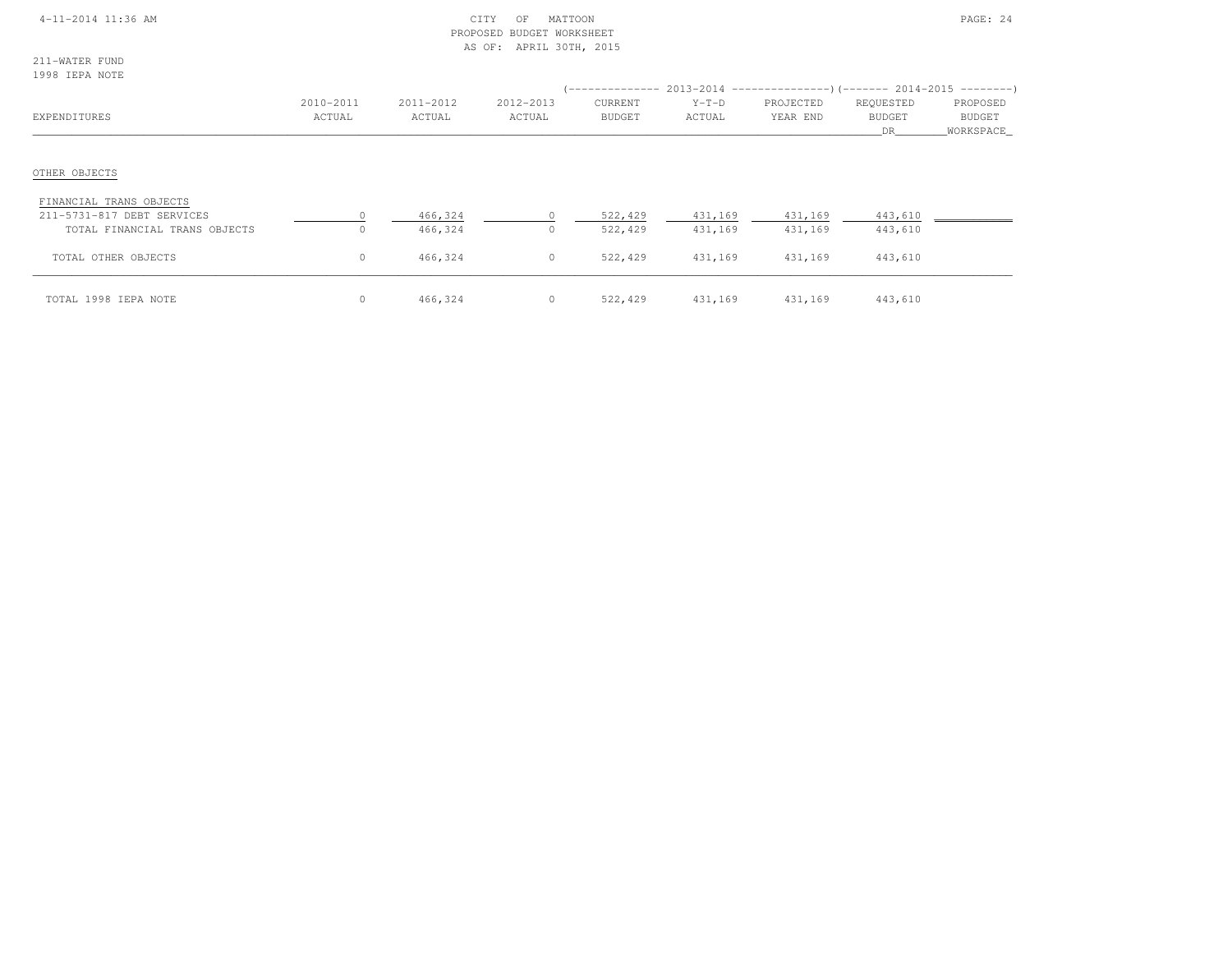#### 4-11-2014 11:36 AM CITY OF MATTOON PAGE: 24 PROPOSED BUDGET WORKSHEETAS OF: APRIL 30TH, 2015

211-WATER FUND

| 1998 IEPA NOTE                                        |                     |                     |                     |                          |                   |                                                                                                        |                                   |                                  |
|-------------------------------------------------------|---------------------|---------------------|---------------------|--------------------------|-------------------|--------------------------------------------------------------------------------------------------------|-----------------------------------|----------------------------------|
| EXPENDITURES                                          | 2010-2011<br>ACTUAL | 2011-2012<br>ACTUAL | 2012-2013<br>ACTUAL | CURRENT<br><b>BUDGET</b> | $Y-T-D$<br>ACTUAL | $(-$ ------------- 2013-2014 -----------------) (------- 2014-2015 ---------)<br>PROJECTED<br>YEAR END | REQUESTED<br><b>BUDGET</b><br>DR. | PROPOSED<br>BUDGET<br>WORKSPACE_ |
| OTHER OBJECTS                                         |                     |                     |                     |                          |                   |                                                                                                        |                                   |                                  |
| FINANCIAL TRANS OBJECTS<br>211-5731-817 DEBT SERVICES |                     | 466,324             |                     | 522,429                  | 431,169           | 431,169                                                                                                | 443,610                           |                                  |
| TOTAL FINANCIAL TRANS OBJECTS                         | $\Omega$            | 466,324             | $\Omega$            | 522,429                  | 431,169           | 431,169                                                                                                | 443,610                           |                                  |
| TOTAL OTHER OBJECTS                                   | $\circ$             | 466,324             | $\circ$             | 522,429                  | 431,169           | 431,169                                                                                                | 443,610                           |                                  |
| TOTAL 1998 IEPA NOTE                                  | $\Omega$            | 466,324             | $\Omega$            | 522,429                  | 431,169           | 431,169                                                                                                | 443,610                           |                                  |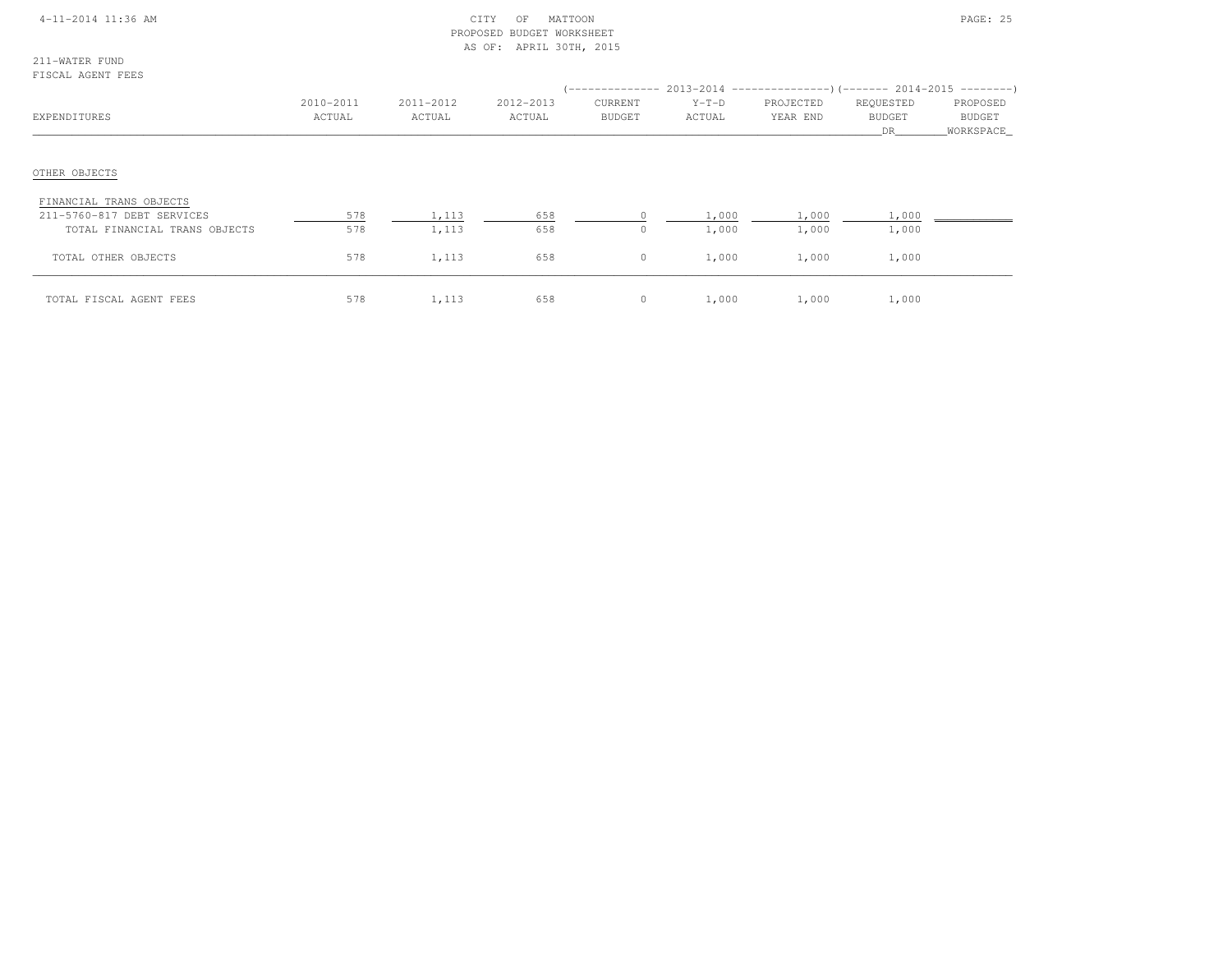#### 4-11-2014 11:36 AM CITY OF MATTOON PAGE: 25 PROPOSED BUDGET WORKSHEETAS OF: APRIL 30TH, 2015

211-WATER FUNDFISCAL AGENT FEES

| EXPENDITURES                  | 2010-2011<br>ACTUAL | 2011-2012<br>ACTUAL | 2012-2013<br>ACTUAL | CURRENT<br><b>BUDGET</b> | $Y-T-D$<br>ACTUAL | (-------------- 2013-2014 ----------------)(------- 2014-2015 ---------)<br>PROJECTED<br>YEAR END | REQUESTED<br><b>BUDGET</b><br>DR. | PROPOSED<br>BUDGET<br>WORKSPACE |
|-------------------------------|---------------------|---------------------|---------------------|--------------------------|-------------------|---------------------------------------------------------------------------------------------------|-----------------------------------|---------------------------------|
| OTHER OBJECTS                 |                     |                     |                     |                          |                   |                                                                                                   |                                   |                                 |
| FINANCIAL TRANS OBJECTS       |                     |                     |                     |                          |                   |                                                                                                   |                                   |                                 |
| 211-5760-817 DEBT SERVICES    | 578                 | 1,113               | 658                 |                          | 1,000             | 1,000                                                                                             | 1,000                             |                                 |
| TOTAL FINANCIAL TRANS OBJECTS | 578                 | 1,113               | 658                 | 0                        | 1,000             | 1,000                                                                                             | 1,000                             |                                 |
| TOTAL OTHER OBJECTS           | 578                 | 1,113               | 658                 | $\circ$                  | 1,000             | 1,000                                                                                             | 1,000                             |                                 |
| TOTAL FISCAL AGENT FEES       | 578                 | 1,113               | 658                 | $\circ$                  | 1,000             | 1,000                                                                                             | 1,000                             |                                 |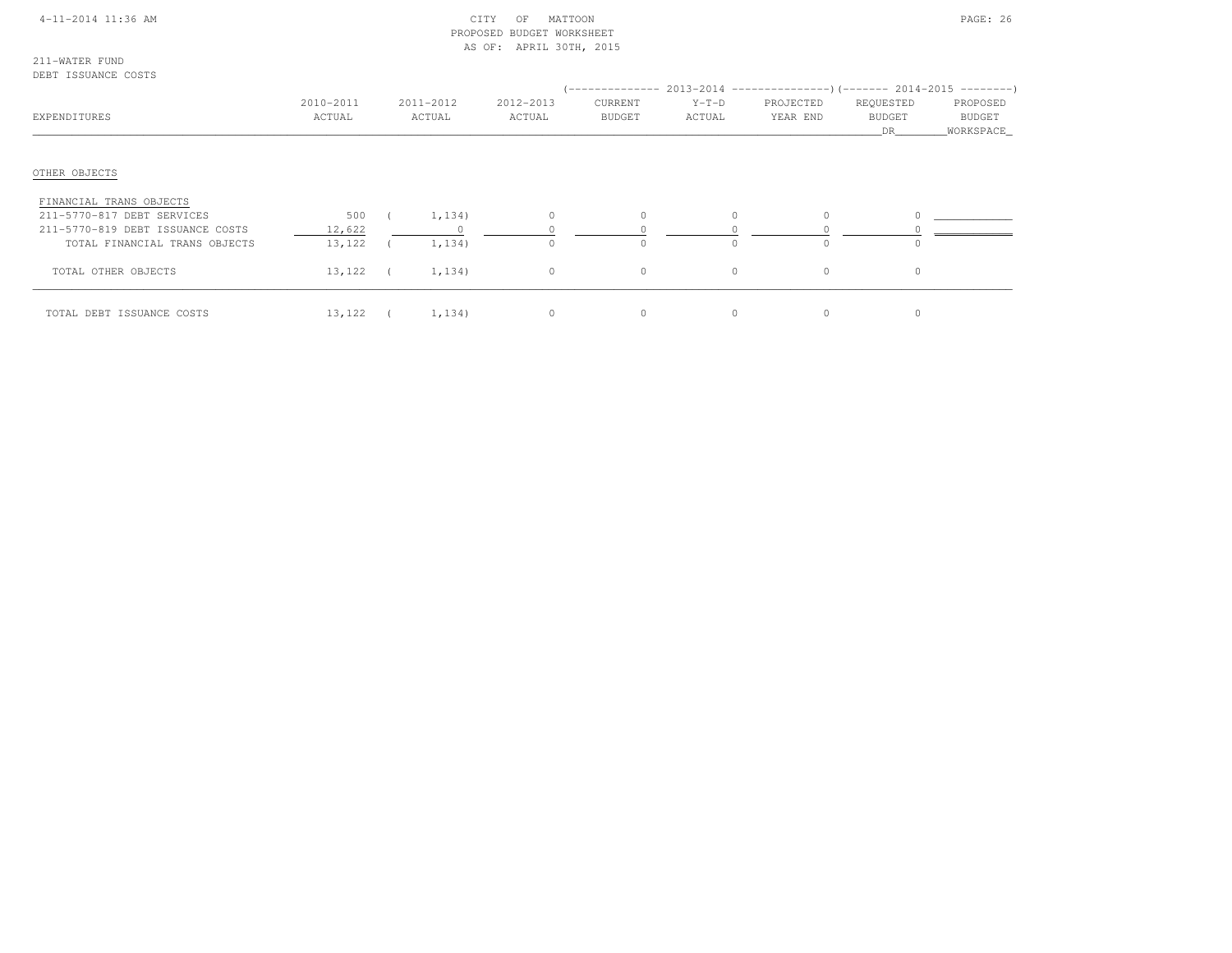#### 4-11-2014 11:36 AM CITY OF MATTOON PAGE: 26 PROPOSED BUDGET WORKSHEETAS OF: APRIL 30TH, 2015

211-WATER FUNDDEBT ISSUANCE COSTS

| PHPI IUUUINUM UUUIU<br>EXPENDITURES | 2010-2011<br>ACTUAL |            | 2011-2012<br>ACTUAL | 2012-2013<br>ACTUAL | CURRENT<br><b>BUDGET</b> | $Y-T-D$<br>ACTUAL | -------------- 2013-2014 -------------------- (------- 2014-2015 ----------)<br>PROJECTED<br>YEAR END | REQUESTED<br><b>BUDGET</b> | PROPOSED<br><b>BUDGET</b> |
|-------------------------------------|---------------------|------------|---------------------|---------------------|--------------------------|-------------------|-------------------------------------------------------------------------------------------------------|----------------------------|---------------------------|
|                                     |                     |            |                     |                     |                          |                   |                                                                                                       | DR.                        | WORKSPACE                 |
| OTHER OBJECTS                       |                     |            |                     |                     |                          |                   |                                                                                                       |                            |                           |
| FINANCIAL TRANS OBJECTS             |                     |            |                     |                     |                          |                   |                                                                                                       |                            |                           |
| 211-5770-817 DEBT SERVICES          | 500                 |            | 1,134)              | $\circ$             |                          |                   | $\circ$                                                                                               |                            |                           |
| 211-5770-819 DEBT ISSUANCE COSTS    | 12,622              |            |                     |                     |                          |                   |                                                                                                       |                            |                           |
| TOTAL FINANCIAL TRANS OBJECTS       | 13,122              |            | 1,134)              | $\bigcap$           |                          |                   | $\Omega$                                                                                              |                            |                           |
| TOTAL OTHER OBJECTS                 | 13,122              | $\sqrt{2}$ | 1,134)              | $\circ$             | $\mathbf 0$              | $\circ$           | $\circ$                                                                                               | $\circ$                    |                           |
| TOTAL DEBT ISSUANCE COSTS           | 13,122              |            | 1,134)              | $\circ$             |                          | $\Omega$          | $\circ$                                                                                               |                            |                           |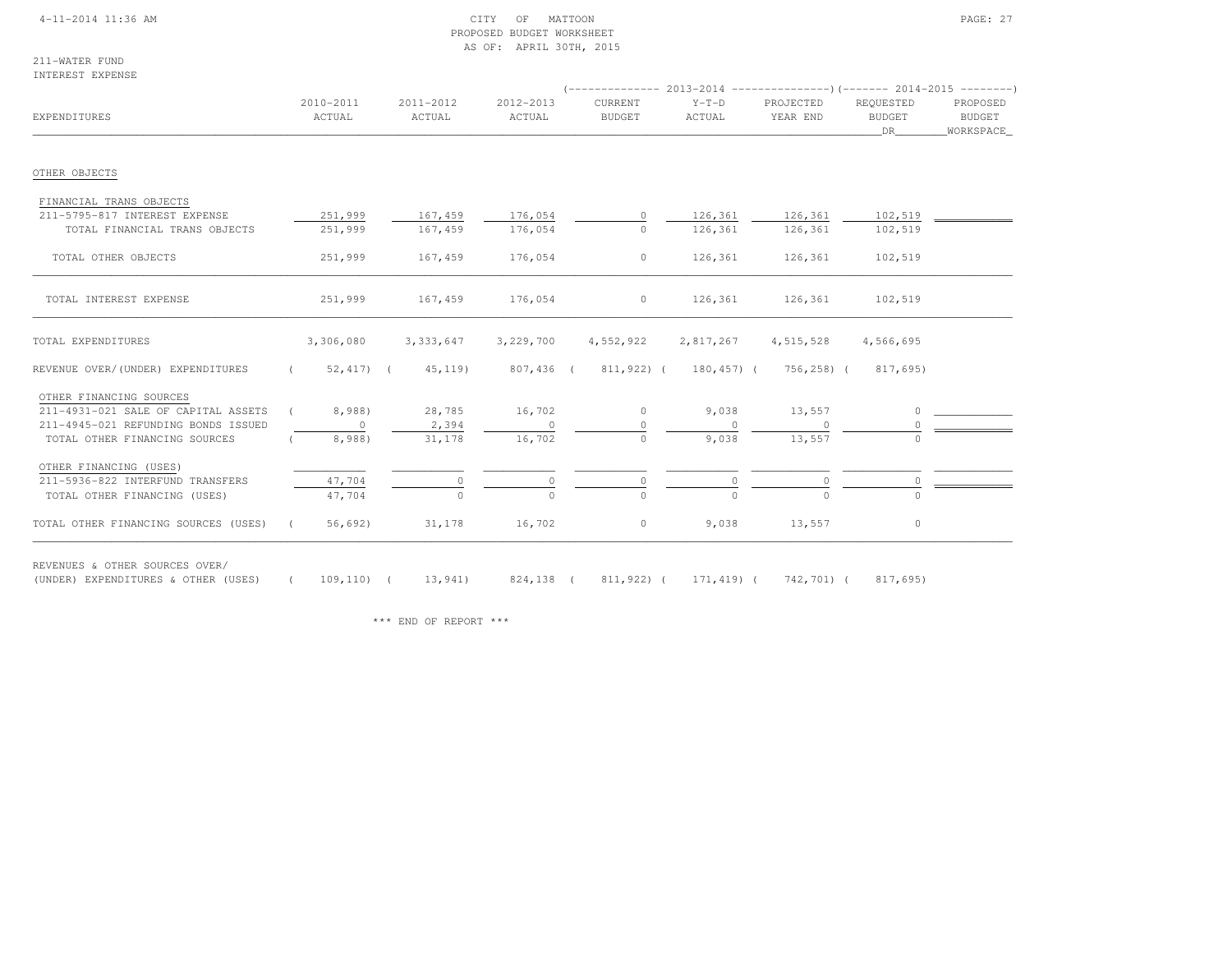#### 4-11-2014 11:36 AM CITY OF MATTOON PAGE: 27 PROPOSED BUDGET WORKSHEETAS OF: APRIL 30TH, 2015

211-WATER FUNDINTEREST EXPENSE

| EXPENDITURES                                                          |            | 2010-2011<br>ACTUAL     | 2011-2012<br>ACTUAL | 2012-2013<br>ACTUAL | CURRENT<br><b>BUDGET</b>                        | $Y-T-D$<br>ACTUAL | PROJECTED<br>YEAR END | REQUESTED<br><b>BUDGET</b><br>DR | PROPOSED<br><b>BUDGET</b><br>WORKSPACE |
|-----------------------------------------------------------------------|------------|-------------------------|---------------------|---------------------|-------------------------------------------------|-------------------|-----------------------|----------------------------------|----------------------------------------|
| OTHER OBJECTS                                                         |            |                         |                     |                     |                                                 |                   |                       |                                  |                                        |
| FINANCIAL TRANS OBJECTS                                               |            |                         |                     |                     |                                                 |                   |                       |                                  |                                        |
| 211-5795-817 INTEREST EXPENSE                                         |            | 251,999                 | 167,459             | 176,054             | $\circ$                                         | 126,361           | 126,361               | 102,519                          |                                        |
| TOTAL FINANCIAL TRANS OBJECTS                                         |            | 251,999                 | 167,459             | 176,054             | $\cap$                                          | 126,361           | 126,361               | 102,519                          |                                        |
| TOTAL OTHER OBJECTS                                                   |            | 251,999                 | 167,459             | 176,054             | $\circ$                                         | 126,361           | 126,361               | 102,519                          |                                        |
| TOTAL INTEREST EXPENSE                                                |            | 251,999                 | 167,459             | 176,054             | $\circ$                                         | 126,361           | 126,361               | 102,519                          |                                        |
| TOTAL EXPENDITURES                                                    |            | 3,306,080               | 3, 333, 647         | 3,229,700           | 4,552,922                                       | 2,817,267         | 4, 515, 528           | 4,566,695                        |                                        |
| REVENUE OVER/(UNDER) EXPENDITURES                                     |            | $(52, 417)$ $(45, 119)$ |                     |                     | 807,436 (811,922) (180,457) (756,258) (817,695) |                   |                       |                                  |                                        |
| OTHER FINANCING SOURCES                                               |            |                         |                     |                     |                                                 |                   |                       |                                  |                                        |
| 211-4931-021 SALE OF CAPITAL ASSETS                                   |            | 8,988)                  | 28,785              | 16,702              | $\circ$                                         | 9,038             | 13,557                | $\Omega$                         |                                        |
| 211-4945-021 REFUNDING BONDS ISSUED                                   |            | $\circ$                 | 2,394               | $\Omega$            | $\Omega$                                        |                   |                       | $\Omega$                         |                                        |
| TOTAL OTHER FINANCING SOURCES                                         |            | 8,988)                  | 31,178              | 16,702              | $\circ$                                         | 9,038             | 13,557                |                                  |                                        |
| OTHER FINANCING (USES)                                                |            |                         |                     |                     |                                                 |                   |                       |                                  |                                        |
| 211-5936-822 INTERFUND TRANSFERS                                      |            | 47,704                  | 0                   |                     | $\circ$                                         |                   | $\circ$               | $\circ$                          |                                        |
| TOTAL OTHER FINANCING (USES)                                          |            | 47,704                  | $\Omega$            |                     | $\Omega$                                        |                   | $\Omega$              | $\cap$                           |                                        |
| TOTAL OTHER FINANCING SOURCES (USES)                                  | $\sqrt{2}$ | 56,692)                 | 31,178              | 16,702              | $\circ$                                         | 9,038             | 13,557                | $\circ$                          |                                        |
| REVENUES & OTHER SOURCES OVER/<br>(UNDER) EXPENDITURES & OTHER (USES) |            |                         | 109,110) ( 13,941)  |                     | 824,138 ( 811,922) ( 171,419) ( 742,701) (      |                   |                       | 817,695)                         |                                        |

\*\*\* END OF REPORT \*\*\*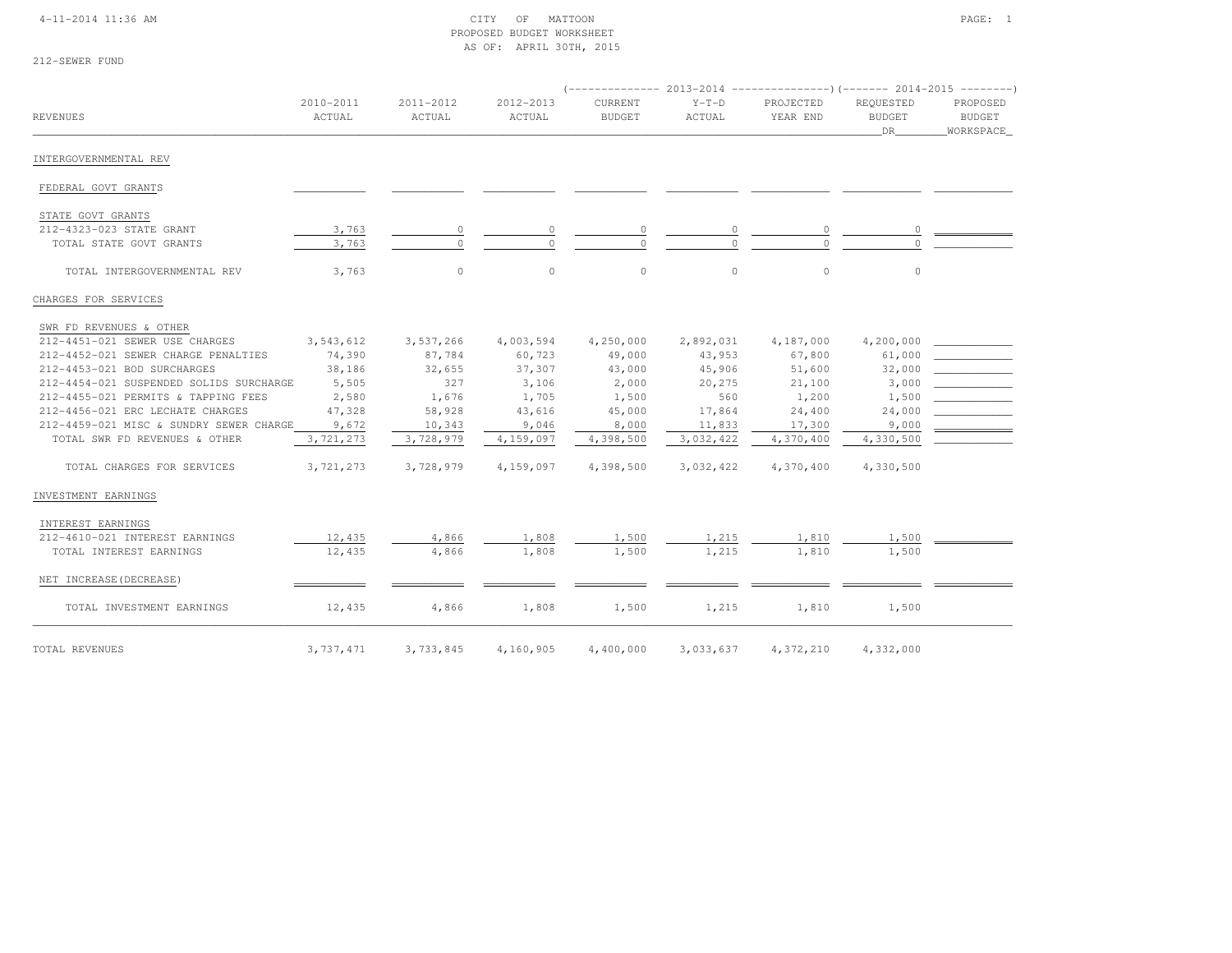#### 4-11-2014 11:36 AM CITY OF MATTOON PAGE: 1 PROPOSED BUDGET WORKSHEETAS OF: APRIL 30TH, 2015

| 212-SEWER FUND |  |
|----------------|--|
|----------------|--|

| <b>REVENUES</b>                         | 2010-2011<br>ACTUAL | 2011-2012<br>ACTUAL | 2012-2013<br>ACTUAL | (-------------- 2013-2014 ----------------) (------- 2014-2015 --------)<br><b>CURRENT</b><br><b>BUDGET</b> | $Y-T-D$<br>ACTUAL | PROJECTED<br>YEAR END | REQUESTED<br><b>BUDGET</b><br>DR | PROPOSED<br><b>BUDGET</b><br>WORKSPACE |
|-----------------------------------------|---------------------|---------------------|---------------------|-------------------------------------------------------------------------------------------------------------|-------------------|-----------------------|----------------------------------|----------------------------------------|
| INTERGOVERNMENTAL REV                   |                     |                     |                     |                                                                                                             |                   |                       |                                  |                                        |
| FEDERAL GOVT GRANTS                     |                     |                     |                     |                                                                                                             |                   |                       |                                  |                                        |
| STATE GOVT GRANTS                       |                     |                     |                     |                                                                                                             |                   |                       |                                  |                                        |
| 212-4323-023 STATE GRANT                | 3,763               | $\circ$             | 0                   | $\circ$                                                                                                     | 0                 | $\circ$               | 0                                |                                        |
| TOTAL STATE GOVT GRANTS                 | 3,763               | $\circ$             | $\cap$              | $\circ$                                                                                                     | $\Omega$          | $\circ$               | $\Omega$                         |                                        |
| TOTAL INTERGOVERNMENTAL REV             | 3,763               | $\circ$             | $\circ$             | $\circ$                                                                                                     | $\circ$           | $\circ$               | $\circ$                          |                                        |
| CHARGES FOR SERVICES                    |                     |                     |                     |                                                                                                             |                   |                       |                                  |                                        |
| SWR FD REVENUES & OTHER                 |                     |                     |                     |                                                                                                             |                   |                       |                                  |                                        |
| 212-4451-021 SEWER USE CHARGES          | 3,543,612           | 3,537,266           | 4,003,594           | 4,250,000                                                                                                   | 2,892,031         | 4,187,000             | 4,200,000                        |                                        |
| 212-4452-021 SEWER CHARGE PENALTIES     | 74,390              | 87,784              | 60,723              | 49,000                                                                                                      | 43,953            | 67,800                | 61,000                           |                                        |
| 212-4453-021 BOD SURCHARGES             | 38,186              | 32,655              | 37,307              | 43,000                                                                                                      | 45,906            | 51,600                | 32,000                           |                                        |
| 212-4454-021 SUSPENDED SOLIDS SURCHARGE | 5,505               | 327                 | 3,106               | 2,000                                                                                                       | 20,275            | 21,100                | 3,000                            |                                        |
| 212-4455-021 PERMITS & TAPPING FEES     | 2,580               | 1,676               | 1,705               | 1,500                                                                                                       | 560               | 1,200                 | 1,500                            |                                        |
| 212-4456-021 ERC LECHATE CHARGES        | 47,328              | 58,928              | 43,616              | 45,000                                                                                                      | 17,864            | 24,400                | 24,000                           |                                        |
| 212-4459-021 MISC & SUNDRY SEWER CHARGE | 9,672               | 10,343              | 9,046               | 8,000                                                                                                       | 11,833            | 17,300                | 9,000                            |                                        |
| TOTAL SWR FD REVENUES & OTHER           | 3,721,273           | 3,728,979           | 4,159,097           | 4,398,500                                                                                                   | 3,032,422         | 4,370,400             | 4,330,500                        |                                        |
| TOTAL CHARGES FOR SERVICES              | 3,721,273           | 3,728,979           | 4,159,097           | 4,398,500                                                                                                   | 3,032,422         | 4,370,400             | 4,330,500                        |                                        |
| INVESTMENT EARNINGS                     |                     |                     |                     |                                                                                                             |                   |                       |                                  |                                        |
| INTEREST EARNINGS                       |                     |                     |                     |                                                                                                             |                   |                       |                                  |                                        |
| 212-4610-021 INTEREST EARNINGS          | 12,435              | 4,866               | 1,808               | 1,500                                                                                                       | 1,215             | 1,810                 | 1,500                            |                                        |
| TOTAL INTEREST EARNINGS                 | 12,435              | 4,866               | 1,808               | 1,500                                                                                                       | 1,215             | 1,810                 | 1,500                            |                                        |
| NET INCREASE (DECREASE)                 |                     |                     |                     |                                                                                                             |                   |                       |                                  |                                        |
| TOTAL INVESTMENT EARNINGS               | 12,435              | 4,866               | 1,808               | 1,500                                                                                                       | 1,215             | 1,810                 | 1,500                            |                                        |
| TOTAL REVENUES                          | 3,737,471           | 3,733,845           | 4,160,905           | 4,400,000                                                                                                   | 3,033,637         | 4,372,210             | 4,332,000                        |                                        |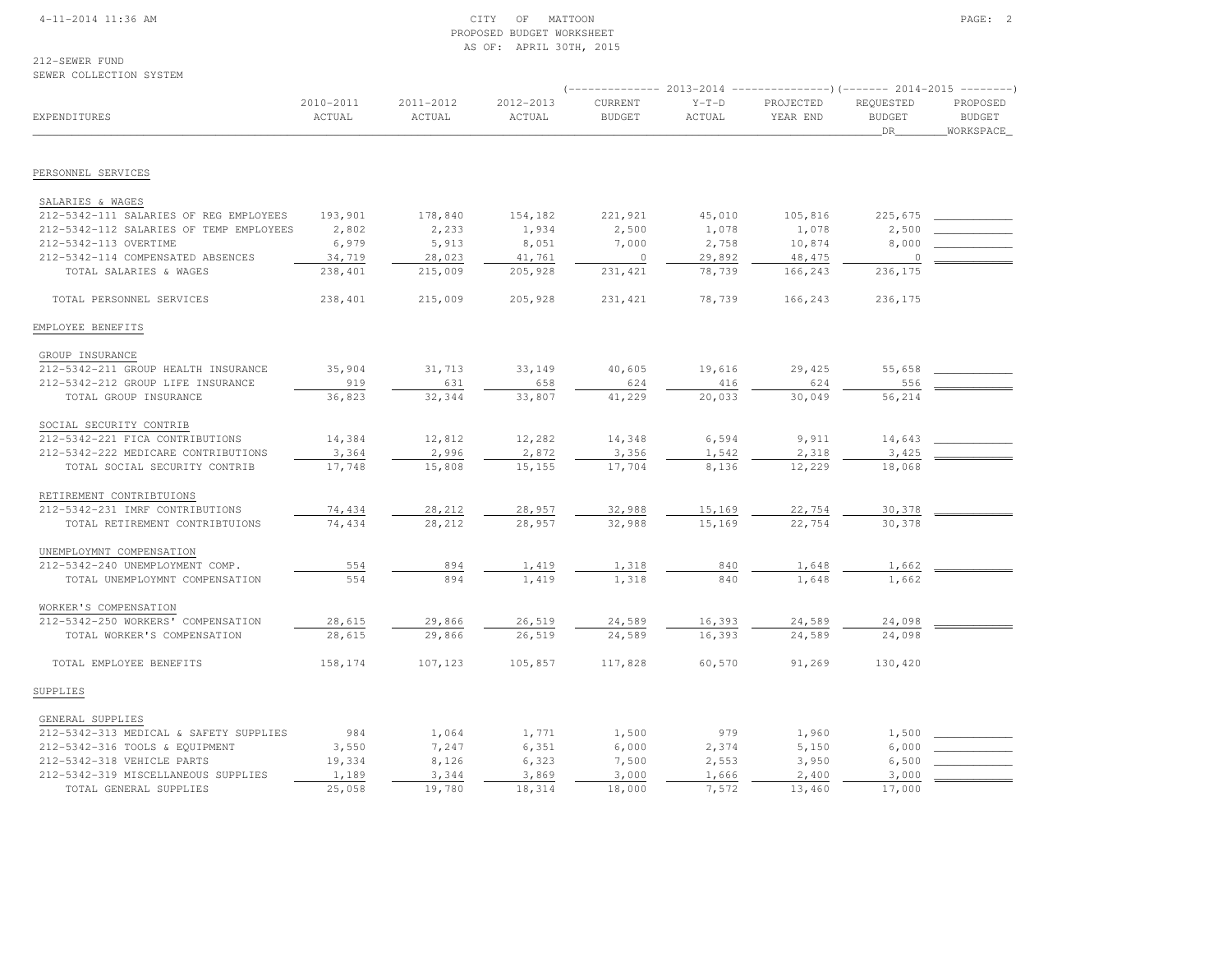#### 4-11-2014 11:36 AM CITY OF MATTOON PAGE: 2 PROPOSED BUDGET WORKSHEETAS OF: APRIL 30TH, 2015

# 212-SEWER FUND

SEWER COLLECTION SYSTEM

|                                         |                     |                     |                     |                          |                   | -------------        2013-2014 ----------------------        2014-2015 ---------- |                                  |                                        |
|-----------------------------------------|---------------------|---------------------|---------------------|--------------------------|-------------------|-----------------------------------------------------------------------------------|----------------------------------|----------------------------------------|
| EXPENDITURES                            | 2010-2011<br>ACTUAL | 2011-2012<br>ACTUAL | 2012-2013<br>ACTUAL | CURRENT<br><b>BUDGET</b> | $Y-T-D$<br>ACTUAL | PROJECTED<br>YEAR END                                                             | REQUESTED<br><b>BUDGET</b><br>DR | PROPOSED<br><b>BUDGET</b><br>WORKSPACE |
|                                         |                     |                     |                     |                          |                   |                                                                                   |                                  |                                        |
| PERSONNEL SERVICES                      |                     |                     |                     |                          |                   |                                                                                   |                                  |                                        |
| SALARIES & WAGES                        |                     |                     |                     |                          |                   |                                                                                   |                                  |                                        |
| 212-5342-111 SALARIES OF REG EMPLOYEES  | 193,901             | 178,840             | 154,182             | 221,921                  | 45,010            | 105,816                                                                           | 225,675                          |                                        |
| 212-5342-112 SALARIES OF TEMP EMPLOYEES | 2,802               | 2,233               | 1,934               | 2,500                    | 1,078             | 1,078                                                                             | 2,500                            |                                        |
| 212-5342-113 OVERTIME                   | 6,979               | 5,913               | 8,051               | 7,000                    | 2,758             | 10,874                                                                            | 8,000                            |                                        |
| 212-5342-114 COMPENSATED ABSENCES       | 34,719              | 28,023              | 41,761              | $\circ$                  | 29,892            | 48, 475                                                                           | $\Omega$                         |                                        |
| TOTAL SALARIES & WAGES                  | 238,401             | 215,009             | 205,928             | 231, 421                 | 78,739            | 166,243                                                                           | 236,175                          |                                        |
| TOTAL PERSONNEL SERVICES                | 238,401             | 215,009             | 205,928             | 231, 421                 | 78,739            | 166,243                                                                           | 236,175                          |                                        |
| EMPLOYEE BENEFITS                       |                     |                     |                     |                          |                   |                                                                                   |                                  |                                        |
| GROUP INSURANCE                         |                     |                     |                     |                          |                   |                                                                                   |                                  |                                        |
| 212-5342-211 GROUP HEALTH INSURANCE     | 35,904              | 31,713              | 33,149              | 40,605                   | 19,616            | 29,425                                                                            | 55,658                           |                                        |
| 212-5342-212 GROUP LIFE INSURANCE       | 919                 | 631                 | 658                 | 624                      | 416               | 624                                                                               | 556                              |                                        |
| TOTAL GROUP INSURANCE                   | 36,823              | 32,344              | 33,807              | 41,229                   | 20,033            | 30,049                                                                            | 56,214                           |                                        |
| SOCIAL SECURITY CONTRIB                 |                     |                     |                     |                          |                   |                                                                                   |                                  |                                        |
| 212-5342-221 FICA CONTRIBUTIONS         | 14,384              | 12,812              | 12,282              | 14,348                   | 6,594             | 9,911                                                                             | 14,643                           |                                        |
| 212-5342-222 MEDICARE CONTRIBUTIONS     | 3,364               | 2,996               | 2,872               | 3,356                    | 1,542             | 2,318                                                                             | 3,425                            |                                        |
| TOTAL SOCIAL SECURITY CONTRIB           | 17,748              | 15,808              | 15,155              | 17,704                   | 8,136             | 12,229                                                                            | 18,068                           |                                        |
| RETIREMENT CONTRIBTUIONS                |                     |                     |                     |                          |                   |                                                                                   |                                  |                                        |
| 212-5342-231 IMRF CONTRIBUTIONS         | 74,434              | 28,212              | 28,957              | 32,988                   | 15,169            | 22,754                                                                            | 30,378                           |                                        |
| TOTAL RETIREMENT CONTRIBTUIONS          | 74,434              | 28,212              | 28,957              | 32,988                   | 15,169            | 22,754                                                                            | 30,378                           |                                        |
| UNEMPLOYMNT COMPENSATION                |                     |                     |                     |                          |                   |                                                                                   |                                  |                                        |
| 212-5342-240 UNEMPLOYMENT COMP.         | 554                 | 894                 | 1,419               | 1,318                    | 840               | 1,648                                                                             | 1,662                            |                                        |
| TOTAL UNEMPLOYMNT COMPENSATION          | 554                 | 894                 | 1,419               | 1,318                    | 840               | 1,648                                                                             | 1,662                            |                                        |
| WORKER'S COMPENSATION                   |                     |                     |                     |                          |                   |                                                                                   |                                  |                                        |
| 212-5342-250 WORKERS' COMPENSATION      | 28,615              | 29,866              | 26,519              | 24,589                   | 16,393            | 24,589                                                                            | 24,098                           |                                        |
| TOTAL WORKER'S COMPENSATION             | 28,615              | 29,866              | 26,519              | 24,589                   | 16,393            | 24,589                                                                            | 24,098                           |                                        |
| TOTAL EMPLOYEE BENEFITS                 | 158,174             | 107,123             | 105,857             | 117,828                  | 60,570            | 91,269                                                                            | 130,420                          |                                        |
| SUPPLIES                                |                     |                     |                     |                          |                   |                                                                                   |                                  |                                        |
| GENERAL SUPPLIES                        |                     |                     |                     |                          |                   |                                                                                   |                                  |                                        |
| 212-5342-313 MEDICAL & SAFETY SUPPLIES  | 984                 | 1,064               | 1,771               | 1,500                    | 979               | 1,960                                                                             | 1,500                            |                                        |
| 212-5342-316 TOOLS & EQUIPMENT          | 3,550               | 7,247               | 6,351               | 6,000                    | 2,374             | 5,150                                                                             | 6,000                            |                                        |
| 212-5342-318 VEHICLE PARTS              | 19,334              | 8,126               | 6,323               | 7,500                    | 2,553             | 3,950                                                                             | 6,500                            |                                        |
| 212-5342-319 MISCELLANEOUS SUPPLIES     | 1,189               | 3,344               | 3,869               | 3,000                    | 1,666             | 2,400                                                                             | 3,000                            |                                        |
| TOTAL GENERAL SUPPLIES                  | 25,058              | 19,780              | 18,314              | 18,000                   | 7.572             | 13,460                                                                            | 17,000                           |                                        |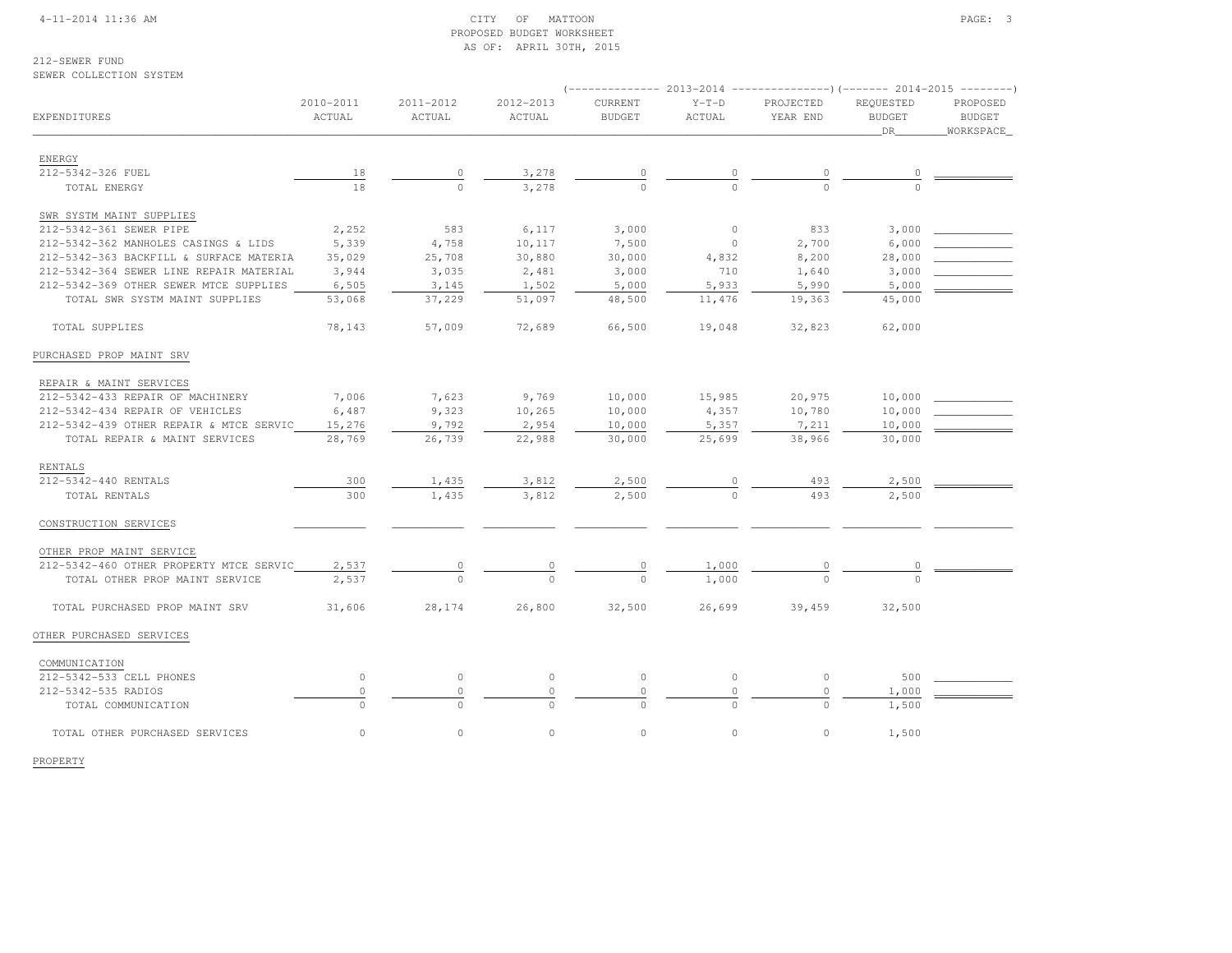#### 4-11-2014 11:36 AM CITY OF MATTOON PAGE: 3 PROPOSED BUDGET WORKSHEETAS OF: APRIL 30TH, 2015

212-SEWER FUND

#### SEWER COLLECTION SYSTEM

| EXPENDITURES                            | 2010-2011<br>ACTUAL | 2011-2012<br>ACTUAL | 2012-2013<br>ACTUAL | CURRENT<br><b>BUDGET</b> | $Y-T-D$<br>ACTUAL | PROJECTED<br>YEAR END | REQUESTED<br><b>BUDGET</b><br>DR | PROPOSED<br><b>BUDGET</b><br>WORKSPACE |  |  |
|-----------------------------------------|---------------------|---------------------|---------------------|--------------------------|-------------------|-----------------------|----------------------------------|----------------------------------------|--|--|
| ENERGY                                  |                     |                     |                     |                          |                   |                       |                                  |                                        |  |  |
| 212-5342-326 FUEL                       | 18                  | $\circ$             | 3,278               | $\circ$                  |                   | $\overline{0}$        |                                  |                                        |  |  |
| TOTAL ENERGY                            | 18                  | $\Omega$            | 3,278               | $\Omega$                 |                   | $\Omega$              |                                  |                                        |  |  |
| SWR SYSTM MAINT SUPPLIES                |                     |                     |                     |                          |                   |                       |                                  |                                        |  |  |
| 212-5342-361 SEWER PIPE                 | 2,252               | 583                 | 6,117               | 3,000                    | $\circ$           | 833                   | 3,000                            |                                        |  |  |
| 212-5342-362 MANHOLES CASINGS & LIDS    | 5,339               | 4,758               | 10,117              | 7,500                    | $\circ$           | 2,700                 | 6,000                            |                                        |  |  |
| 212-5342-363 BACKFILL & SURFACE MATERIA | 35,029              | 25,708              | 30,880              | 30,000                   | 4,832             | 8,200                 | 28,000                           |                                        |  |  |
| 212-5342-364 SEWER LINE REPAIR MATERIAL | 3,944               | 3,035               | 2,481               | 3,000                    | 710               | 1,640                 | 3,000                            |                                        |  |  |
| 212-5342-369 OTHER SEWER MTCE SUPPLIES  | 6,505               | 3,145               | 1,502               | 5,000                    | 5,933             | 5,990                 | 5,000                            |                                        |  |  |
| TOTAL SWR SYSTM MAINT SUPPLIES          | 53,068              | 37,229              | 51,097              | 48,500                   | 11,476            | 19,363                | 45,000                           |                                        |  |  |
| TOTAL SUPPLIES                          | 78,143              | 57,009              | 72,689              | 66,500                   | 19,048            | 32,823                | 62,000                           |                                        |  |  |
| PURCHASED PROP MAINT SRV                |                     |                     |                     |                          |                   |                       |                                  |                                        |  |  |
| REPAIR & MAINT SERVICES                 |                     |                     |                     |                          |                   |                       |                                  |                                        |  |  |
| 212-5342-433 REPAIR OF MACHINERY        | 7,006               | 7,623               | 9,769               | 10,000                   | 15,985            | 20,975                | 10,000                           |                                        |  |  |
| 212-5342-434 REPAIR OF VEHICLES         | 6,487               | 9,323               | 10,265              | 10,000                   | 4,357             | 10,780                | 10,000                           |                                        |  |  |
| 212-5342-439 OTHER REPAIR & MTCE SERVIC | 15,276              | 9,792               | 2,954               | 10,000                   | 5,357             | 7,211                 | 10,000                           |                                        |  |  |
| TOTAL REPAIR & MAINT SERVICES           | 28,769              | 26,739              | 22,988              | 30,000                   | 25,699            | 38,966                | 30,000                           |                                        |  |  |
| RENTALS                                 |                     |                     |                     |                          |                   |                       |                                  |                                        |  |  |
| 212-5342-440 RENTALS                    | 300                 | 1,435               | 3,812               | 2,500                    |                   | 493                   | 2,500                            |                                        |  |  |
| TOTAL RENTALS                           | 300                 | 1,435               | 3,812               | 2,500                    | $\Omega$          | 493                   | 2,500                            |                                        |  |  |
| CONSTRUCTION SERVICES                   |                     |                     |                     |                          |                   |                       |                                  |                                        |  |  |
| OTHER PROP MAINT SERVICE                |                     |                     |                     |                          |                   |                       |                                  |                                        |  |  |
| 212-5342-460 OTHER PROPERTY MTCE SERVIC | 2,537               | $\circ$             | $\circ$             | 0                        | 1,000             | 0                     | 0                                |                                        |  |  |
| TOTAL OTHER PROP MAINT SERVICE          | 2,537               |                     |                     |                          | 1,000             |                       |                                  |                                        |  |  |
| TOTAL PURCHASED PROP MAINT SRV          | 31,606              | 28,174              | 26,800              | 32,500                   | 26,699            | 39,459                | 32,500                           |                                        |  |  |
| OTHER PURCHASED SERVICES                |                     |                     |                     |                          |                   |                       |                                  |                                        |  |  |
| COMMUNICATION                           |                     |                     |                     |                          |                   |                       |                                  |                                        |  |  |
| 212-5342-533 CELL PHONES                | $\circ$             | $\circ$             | $\circ$             | $\circ$                  | $\circ$           | $\circ$               | 500                              |                                        |  |  |
| 212-5342-535 RADIOS                     | $\mathbb O$         | $\circ$             | $\circ$             | $\circ$                  | $\mathbf 0$       | $\circ$               | 1,000                            |                                        |  |  |
| TOTAL COMMUNICATION                     |                     | $\cap$              |                     | $\Omega$                 |                   | $\Omega$              | 1,500                            |                                        |  |  |
| TOTAL OTHER PURCHASED SERVICES          | $\circ$             | $\circ$             | $\circ$             | $\circ$                  | $\circ$           | $\circ$               | 1,500                            |                                        |  |  |

PROPERTY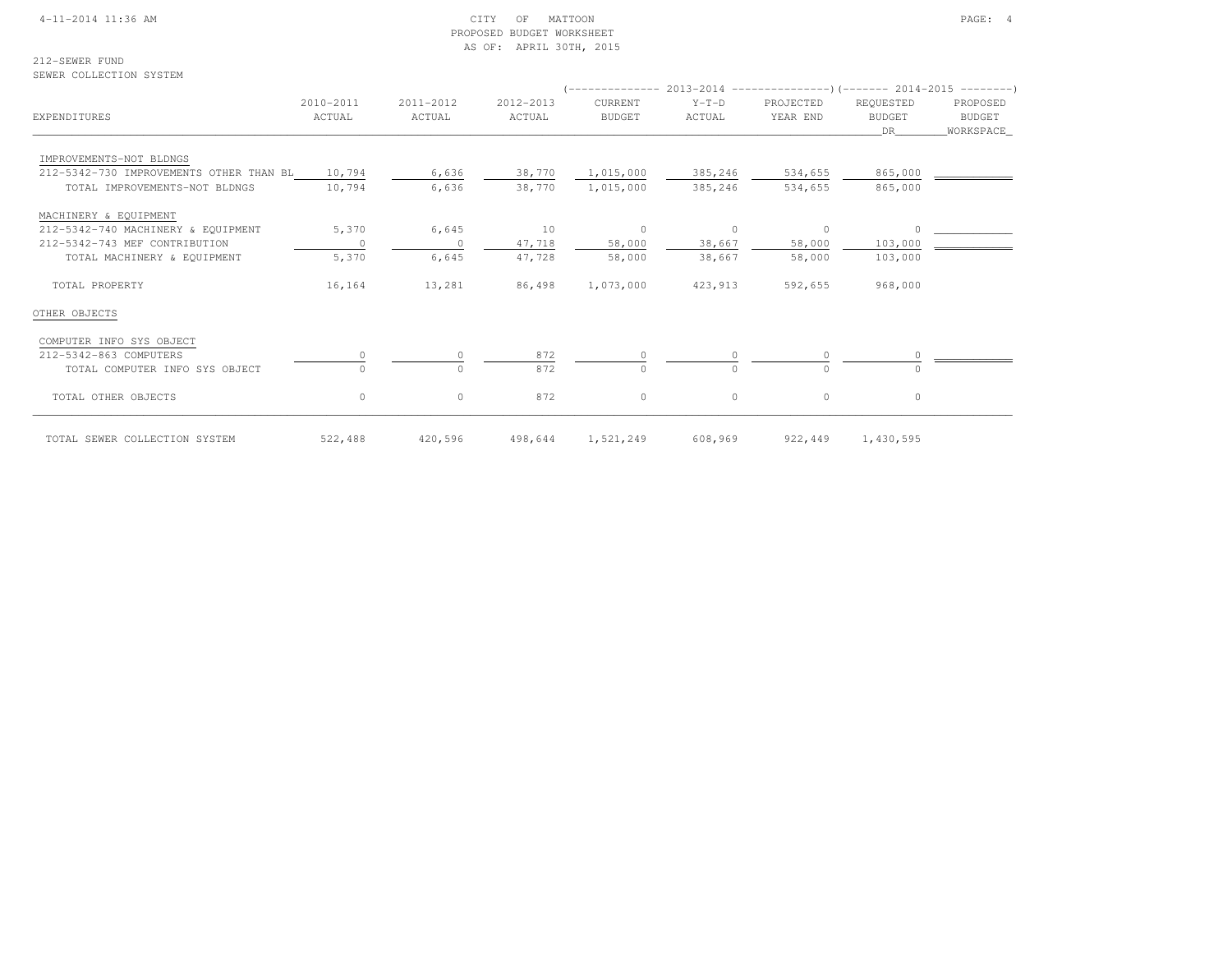#### 4-11-2014 11:36 AM CITY OF MATTOON PAGE: 4 PROPOSED BUDGET WORKSHEETAS OF: APRIL 30TH, 2015

212-SEWER FUND

SEWER COLLECTION SYSTEM

# (-------------- 2013-2014 ---------------)(------- 2014-2015 --------) 2010-2011 2011-2012 2012-2013 CURRENT Y-T-D PROJECTED REQUESTED PROPOSED**BUDGET** EXPENDITURES ACTUAL ACTUAL ACTUAL BUDGET ACTUAL YEAR END BUDGET BUDGETWORKSPACE  $\hbox{\tt \_}$  . The contract of the contract of the contract of the contract of the contract of the contract of the contract of the contract of the contract of the contract of the contract of the contract of the contract of IMPROVEMENTS-NOT BLDNGS 212-5342-730 IMPROVEMENTS OTHER THAN BL 10,794 6,636 38,770 1,015,000 385,246 534,655 865,000 \_\_\_\_\_\_\_\_\_\_\_\_TOTAL IMPROVEMENTS-NOT BLDNGS 10,794 6,636 38,770 1,015,000 385,246 534,655 865,000 MACHINERY & EQUIPMENT 212-5342-740 MACHINERY & EQUIPMENT 5,370 6,645 10 0 0 0 0 \_\_\_\_\_\_\_\_\_\_\_\_212-5342-743 MEF CONTRIBUTION 0 0 47,718 58,000 38,667 58,000 103,000 TOTAL MACHINERY & EQUIPMENT 5,370 6,645 47,728 58,000 38,667 58,000 103,000 TOTAL PROPERTY 16,164 13,281 86,498 1,073,000 423,913 592,655 968,000OTHER OBJECTS COMPUTER INFO SYS OBJECT $\frac{0}{212-5342-863}$  COMPUTERS TOMPUTERS TO BJECT  $\frac{0}{0}$   $\frac{872}{872}$   $\frac{0}{27}$   $\frac{0}{0}$   $\frac{0}{0}$   $\frac{0}{0}$ TOTAL COMPUTER INFO SYS OBJECT TOTAL OTHER OBJECTS 0 0 872 0 0 0 0TOTAL SEWER COLLECTION SYSTEM 522,488 420,596 498,644 1,521,249 608,969 922,449 1,430,595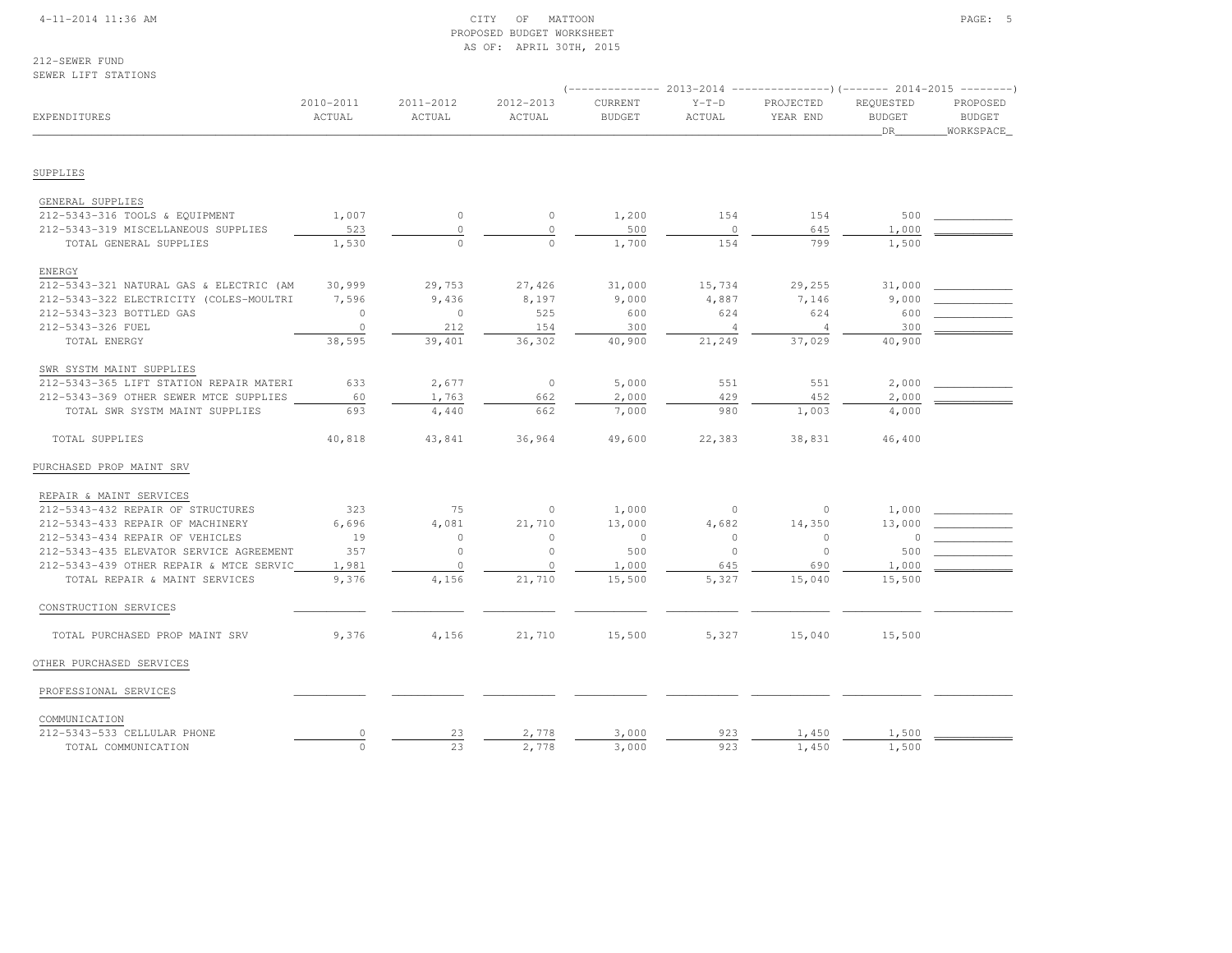#### 4-11-2014 11:36 AM CITY OF MATTOON PAGE: 5 PROPOSED BUDGET WORKSHEETAS OF: APRIL 30TH, 2015

212-SEWER FUNDSEWER LIFT STATIONS

|                                         |                     |                     |                     |                          |                   | (-------------- 2013-2014 ----------------)(------- 2014-2015 --------) |                                   |                                        |
|-----------------------------------------|---------------------|---------------------|---------------------|--------------------------|-------------------|-------------------------------------------------------------------------|-----------------------------------|----------------------------------------|
| EXPENDITURES                            | 2010-2011<br>ACTUAL | 2011-2012<br>ACTUAL | 2012-2013<br>ACTUAL | CURRENT<br><b>BUDGET</b> | $Y-T-D$<br>ACTUAL | PROJECTED<br>YEAR END                                                   | REQUESTED<br><b>BUDGET</b><br>DR. | PROPOSED<br><b>BUDGET</b><br>WORKSPACE |
|                                         |                     |                     |                     |                          |                   |                                                                         |                                   |                                        |
| SUPPLIES                                |                     |                     |                     |                          |                   |                                                                         |                                   |                                        |
| GENERAL SUPPLIES                        |                     |                     |                     |                          |                   |                                                                         |                                   |                                        |
| 212-5343-316 TOOLS & EQUIPMENT          | 1,007               | $\circ$             | $\circ$             | 1,200                    | 154               | 154                                                                     | 500                               |                                        |
| 212-5343-319 MISCELLANEOUS SUPPLIES     | 523                 | $\circ$             | $\circ$             | 500                      | $\circ$           | 645                                                                     | 1,000                             |                                        |
| TOTAL GENERAL SUPPLIES                  | 1,530               | $\mathbf{0}$        | $\Omega$            | 1,700                    | 154               | 799                                                                     | 1,500                             |                                        |
| <b>ENERGY</b>                           |                     |                     |                     |                          |                   |                                                                         |                                   |                                        |
| 212-5343-321 NATURAL GAS & ELECTRIC (AM | 30,999              | 29,753              | 27,426              | 31,000                   | 15,734            | 29,255                                                                  | 31,000                            |                                        |
| 212-5343-322 ELECTRICITY (COLES-MOULTRI | 7,596               | 9,436               | 8,197               | 9,000                    | 4,887             | 7,146                                                                   | 9,000                             |                                        |
| 212-5343-323 BOTTLED GAS                | $\Omega$            | $\Omega$            | 525                 | 600                      | 624               | 624                                                                     | 600                               |                                        |
| 212-5343-326 FUEL                       | $\circ$             | 212                 | 154                 | 300                      | $\overline{4}$    | $\overline{4}$                                                          | 300                               |                                        |
| TOTAL ENERGY                            | 38,595              | 39,401              | 36,302              | 40,900                   | 21,249            | 37,029                                                                  | 40,900                            |                                        |
| SWR SYSTM MAINT SUPPLIES                |                     |                     |                     |                          |                   |                                                                         |                                   |                                        |
| 212-5343-365 LIFT STATION REPAIR MATERI | 633                 | 2,677               | $\circ$             | 5,000                    | 551               | 551                                                                     | 2,000                             |                                        |
| 212-5343-369 OTHER SEWER MTCE SUPPLIES  | 60                  | 1,763               | 662                 | 2,000                    | 429               | 452                                                                     | 2,000                             |                                        |
| TOTAL SWR SYSTM MAINT SUPPLIES          | 693                 | 4,440               | 662                 | 7,000                    | 980               | 1,003                                                                   | 4,000                             |                                        |
| TOTAL SUPPLIES                          | 40,818              | 43,841              | 36,964              | 49,600                   | 22,383            | 38,831                                                                  | 46,400                            |                                        |
| PURCHASED PROP MAINT SRV                |                     |                     |                     |                          |                   |                                                                         |                                   |                                        |
| REPAIR & MAINT SERVICES                 |                     |                     |                     |                          |                   |                                                                         |                                   |                                        |
| 212-5343-432 REPAIR OF STRUCTURES       | 323                 | 75                  | $\circ$             | 1,000                    | $\circ$           | $\circ$                                                                 | 1,000                             |                                        |
| 212-5343-433 REPAIR OF MACHINERY        | 6,696               | 4,081               | 21,710              | 13,000                   | 4,682             | 14,350                                                                  | 13,000                            |                                        |
| 212-5343-434 REPAIR OF VEHICLES         | 19                  | $\circ$             | $\Omega$            | $\circ$                  | $\Omega$          | $\circ$                                                                 | 0                                 |                                        |
| 212-5343-435 ELEVATOR SERVICE AGREEMENT | 357                 | $\circ$             | $\circ$             | 500                      | $\circ$           | $\circ$                                                                 | 500                               |                                        |
| 212-5343-439 OTHER REPAIR & MTCE SERVIC | 1,981               | $\circ$             | $\circ$             | 1,000                    | 645               | 690                                                                     | 1,000                             |                                        |
| TOTAL REPAIR & MAINT SERVICES           | 9,376               | 4,156               | 21,710              | 15,500                   | 5,327             | 15,040                                                                  | 15,500                            |                                        |
| CONSTRUCTION SERVICES                   |                     |                     |                     |                          |                   |                                                                         |                                   |                                        |
| TOTAL PURCHASED PROP MAINT SRV          | 9,376               | 4,156               | 21,710              | 15,500                   | 5,327             | 15,040                                                                  | 15,500                            |                                        |
| OTHER PURCHASED SERVICES                |                     |                     |                     |                          |                   |                                                                         |                                   |                                        |
| PROFESSIONAL SERVICES                   |                     |                     |                     |                          |                   |                                                                         |                                   |                                        |
| COMMUNICATION                           |                     |                     |                     |                          |                   |                                                                         |                                   |                                        |
| 212-5343-533 CELLULAR PHONE             | 0                   | 23                  | 2,778               | 3,000                    | 923               | 1,450                                                                   | 1,500                             |                                        |
| TOTAL COMMUNICATION                     | $\circ$             | 23                  | 2,778               | 3,000                    | 923               | 1,450                                                                   | 1,500                             |                                        |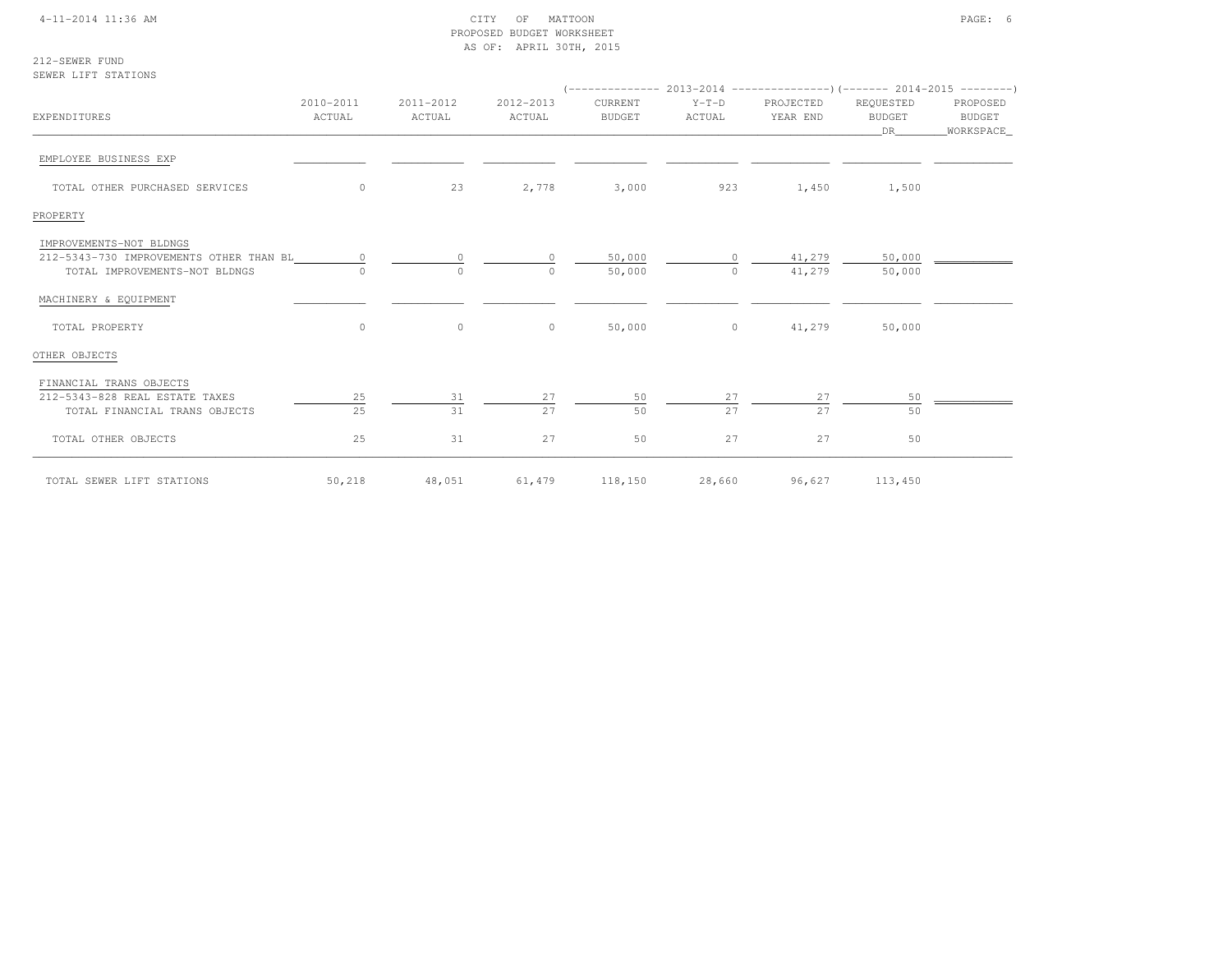#### 4-11-2014 11:36 AM CITY OF MATTOON PAGE: 6 PROPOSED BUDGET WORKSHEETAS OF: APRIL 30TH, 2015

212-SEWER FUNDSEWER LIFT STATIONS

| <b>EXPENDITURES</b>                     | 2010-2011<br>ACTUAL | 2011-2012<br>ACTUAL | 2012-2013<br>ACTUAL | CURRENT<br><b>BUDGET</b> | $Y-T-D$<br>ACTUAL | PROJECTED<br>YEAR END | REQUESTED<br><b>BUDGET</b><br>DR | PROPOSED<br>BUDGET<br>_WORKSPACE_ |  |
|-----------------------------------------|---------------------|---------------------|---------------------|--------------------------|-------------------|-----------------------|----------------------------------|-----------------------------------|--|
| EMPLOYEE BUSINESS EXP                   |                     |                     |                     |                          |                   |                       |                                  |                                   |  |
| TOTAL OTHER PURCHASED SERVICES          | $\circ$             | 23                  | 2,778               | 3,000                    | 923               | 1,450                 | 1,500                            |                                   |  |
| PROPERTY                                |                     |                     |                     |                          |                   |                       |                                  |                                   |  |
| IMPROVEMENTS-NOT BLDNGS                 |                     |                     |                     |                          |                   |                       |                                  |                                   |  |
| 212-5343-730 IMPROVEMENTS OTHER THAN BL | $\circ$             | $\mathbf{0}$        | $\circ$             | 50,000                   | $\circ$           | 41,279                | 50,000                           |                                   |  |
| TOTAL IMPROVEMENTS-NOT BLDNGS           |                     | $\circ$             | $\Omega$            | 50,000                   | $\Omega$          | 41,279                | 50,000                           |                                   |  |
| MACHINERY & EQUIPMENT                   |                     |                     |                     |                          |                   |                       |                                  |                                   |  |
| TOTAL PROPERTY                          | $\circ$             | $\circ$             | $\circ$             | 50,000                   | $\circ$           | 41,279                | 50,000                           |                                   |  |
| OTHER OBJECTS                           |                     |                     |                     |                          |                   |                       |                                  |                                   |  |
| FINANCIAL TRANS OBJECTS                 |                     |                     |                     |                          |                   |                       |                                  |                                   |  |
| 212-5343-828 REAL ESTATE TAXES          | 25                  | $\overline{31}$     | 27                  | 50                       | 27                | 27                    | 50                               |                                   |  |
| TOTAL FINANCIAL TRANS OBJECTS           | 25                  | 31                  | 2.7                 | 50                       | 27                | 2.7                   | 50                               |                                   |  |
| TOTAL OTHER OBJECTS                     | 25                  | 31                  | 27                  | 50                       | 27                | 27                    | 50                               |                                   |  |
| TOTAL SEWER LIFT STATIONS               | 50,218              | 48,051              | 61,479              | 118,150                  | 28,660            | 96,627                | 113,450                          |                                   |  |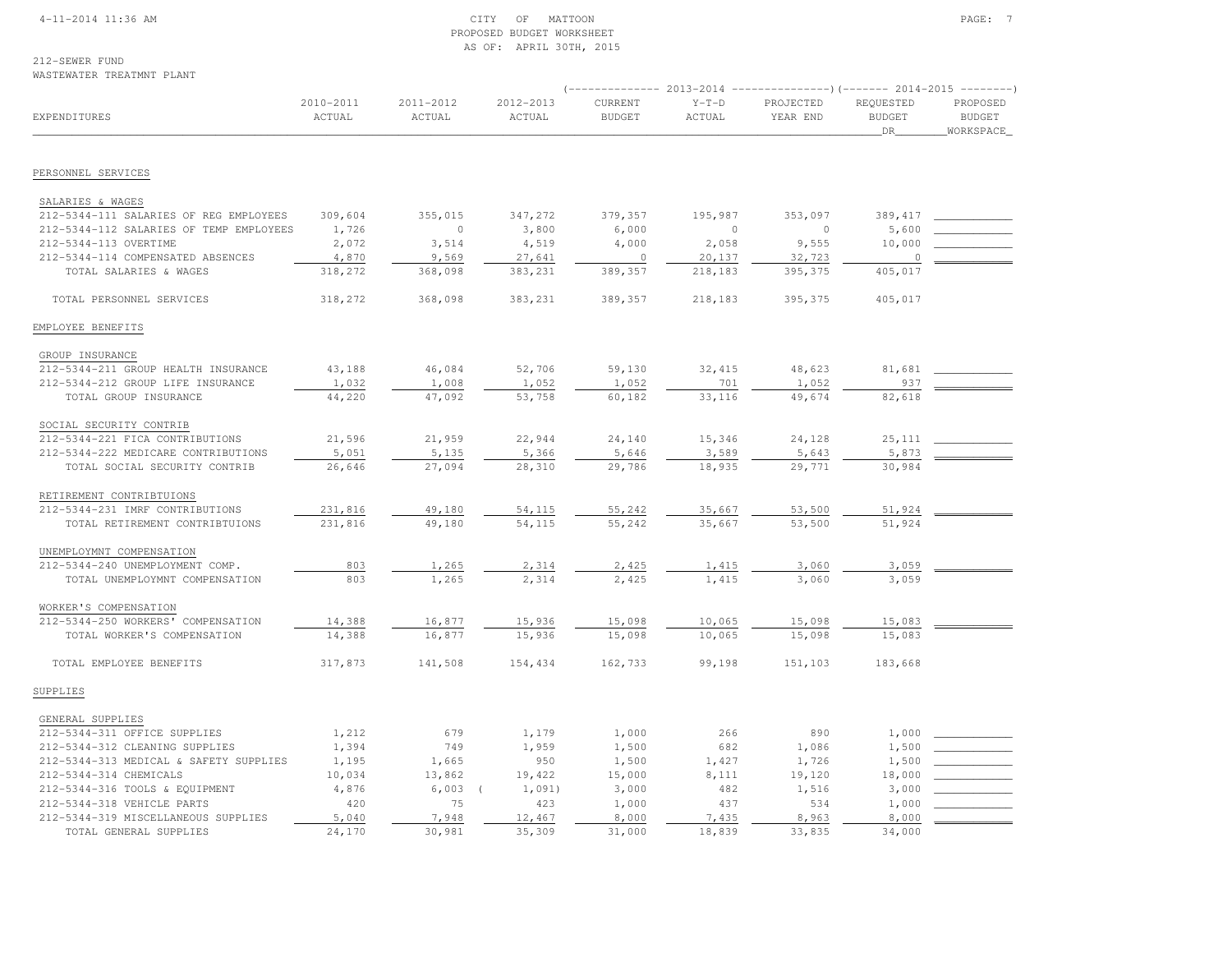#### 4-11-2014 11:36 AM CITY OF MATTOON PAGE: 7 PROPOSED BUDGET WORKSHEETAS OF: APRIL 30TH, 2015

212-SEWER FUND

# WASTEWATER TREATMNT PLANT

|                                                            | (-------------- 2013-2014 ----------------) (------- 2014-2015 ---------) |                     |                     |                          |                   |                       |                                   |                                        |  |
|------------------------------------------------------------|---------------------------------------------------------------------------|---------------------|---------------------|--------------------------|-------------------|-----------------------|-----------------------------------|----------------------------------------|--|
| EXPENDITURES                                               | 2010-2011<br>ACTUAL                                                       | 2011-2012<br>ACTUAL | 2012-2013<br>ACTUAL | CURRENT<br><b>BUDGET</b> | $Y-T-D$<br>ACTUAL | PROJECTED<br>YEAR END | REQUESTED<br><b>BUDGET</b><br>DR. | PROPOSED<br><b>BUDGET</b><br>WORKSPACE |  |
| PERSONNEL SERVICES                                         |                                                                           |                     |                     |                          |                   |                       |                                   |                                        |  |
|                                                            |                                                                           |                     |                     |                          |                   |                       |                                   |                                        |  |
| SALARIES & WAGES<br>212-5344-111 SALARIES OF REG EMPLOYEES | 309,604                                                                   | 355,015             | 347,272             | 379,357                  | 195,987           | 353,097               | 389, 417                          |                                        |  |
| 212-5344-112 SALARIES OF TEMP EMPLOYEES                    | 1,726                                                                     | $\circ$             | 3,800               | 6,000                    | $\circ$           | $\circ$               | 5,600                             |                                        |  |
| 212-5344-113 OVERTIME                                      | 2,072                                                                     | 3,514               | 4,519               | 4,000                    | 2,058             | 9,555                 | 10,000                            |                                        |  |
| 212-5344-114 COMPENSATED ABSENCES                          | 4,870                                                                     | 9,569               | 27,641              | $\circ$                  | 20,137            | 32,723                | $\circ$                           |                                        |  |
| TOTAL SALARIES & WAGES                                     | 318,272                                                                   | 368,098             | 383,231             | 389,357                  | 218,183           | 395,375               | 405,017                           |                                        |  |
| TOTAL PERSONNEL SERVICES                                   | 318,272                                                                   | 368,098             | 383,231             | 389,357                  | 218,183           | 395,375               | 405,017                           |                                        |  |
| EMPLOYEE BENEFITS                                          |                                                                           |                     |                     |                          |                   |                       |                                   |                                        |  |
| GROUP INSURANCE                                            |                                                                           |                     |                     |                          |                   |                       |                                   |                                        |  |
| 212-5344-211 GROUP HEALTH INSURANCE                        | 43,188                                                                    | 46,084              | 52,706              | 59,130                   | 32,415            | 48,623                | 81,681                            |                                        |  |
| 212-5344-212 GROUP LIFE INSURANCE                          | 1,032                                                                     | 1,008               | 1,052               | 1,052                    | 701               | 1,052                 | 937                               |                                        |  |
| TOTAL GROUP INSURANCE                                      | 44,220                                                                    | 47,092              | 53,758              | 60,182                   | 33,116            | 49,674                | 82,618                            |                                        |  |
| SOCIAL SECURITY CONTRIB                                    |                                                                           |                     |                     |                          |                   |                       |                                   |                                        |  |
| 212-5344-221 FICA CONTRIBUTIONS                            | 21,596                                                                    | 21,959              | 22,944              | 24,140                   | 15,346            | 24,128                | 25,111                            |                                        |  |
| 212-5344-222 MEDICARE CONTRIBUTIONS                        | 5,051                                                                     | 5,135               | 5,366               | 5,646                    | 3,589             | 5,643                 | 5,873                             |                                        |  |
| TOTAL SOCIAL SECURITY CONTRIB                              | 26,646                                                                    | 27,094              | 28,310              | 29,786                   | 18,935            | 29,771                | 30,984                            |                                        |  |
| RETIREMENT CONTRIBTUIONS                                   |                                                                           |                     |                     |                          |                   |                       |                                   |                                        |  |
| 212-5344-231 IMRF CONTRIBUTIONS                            | 231,816                                                                   | 49,180              | 54,115              | 55,242                   | 35,667            | 53,500                | 51,924                            |                                        |  |
| TOTAL RETIREMENT CONTRIBTUIONS                             | 231,816                                                                   | 49,180              | 54,115              | 55,242                   | 35,667            | 53,500                | 51,924                            |                                        |  |
| UNEMPLOYMNT COMPENSATION                                   |                                                                           |                     |                     |                          |                   |                       |                                   |                                        |  |
| 212-5344-240 UNEMPLOYMENT COMP.                            | 803                                                                       | 1,265               | 2,314               | 2,425                    | 1,415             | 3,060                 | 3,059                             |                                        |  |
| TOTAL UNEMPLOYMNT COMPENSATION                             | 803                                                                       | 1,265               | 2,314               | 2,425                    | 1,415             | 3,060                 | 3,059                             |                                        |  |
| WORKER'S COMPENSATION                                      |                                                                           |                     |                     |                          |                   |                       |                                   |                                        |  |
| 212-5344-250 WORKERS' COMPENSATION                         | 14,388                                                                    | 16,877              | 15,936              | 15,098                   | 10,065            | 15,098                | 15,083                            |                                        |  |
| TOTAL WORKER'S COMPENSATION                                | 14,388                                                                    | 16,877              | 15,936              | 15,098                   | 10,065            | 15,098                | 15,083                            |                                        |  |
| TOTAL EMPLOYEE BENEFITS                                    | 317,873                                                                   | 141,508             | 154,434             | 162,733                  | 99,198            | 151,103               | 183,668                           |                                        |  |
| SUPPLIES                                                   |                                                                           |                     |                     |                          |                   |                       |                                   |                                        |  |
| GENERAL SUPPLIES                                           |                                                                           |                     |                     |                          |                   |                       |                                   |                                        |  |
| 212-5344-311 OFFICE SUPPLIES                               | 1,212                                                                     | 679                 | 1,179               | 1,000                    | 266               | 890                   | 1,000                             |                                        |  |
| 212-5344-312 CLEANING SUPPLIES                             | 1,394                                                                     | 749                 | 1,959               | 1,500                    | 682               | 1,086                 | 1,500                             |                                        |  |
| 212-5344-313 MEDICAL & SAFETY SUPPLIES                     | 1,195                                                                     | 1,665               | 950                 | 1,500                    | 1,427             | 1,726                 | 1,500                             |                                        |  |
| 212-5344-314 CHEMICALS                                     | 10,034                                                                    | 13,862              | 19,422              | 15,000                   | 8,111             | 19,120                | 18,000                            |                                        |  |
| 212-5344-316 TOOLS & EQUIPMENT                             | 4,876                                                                     | 6,003               | 1,091)              | 3,000                    | 482               | 1,516                 | 3,000                             |                                        |  |
| 212-5344-318 VEHICLE PARTS                                 | 420                                                                       | 75                  | 423                 | 1,000                    | 437               | 534                   | 1,000                             |                                        |  |
| 212-5344-319 MISCELLANEOUS SUPPLIES                        | 5,040                                                                     | 7,948               | 12,467              | 8,000                    | 7,435             | 8,963                 | 8,000                             |                                        |  |
| TOTAL GENERAL SUPPLIES                                     | 24,170                                                                    | 30,981              | 35,309              | 31,000                   | 18,839            | 33,835                | 34,000                            |                                        |  |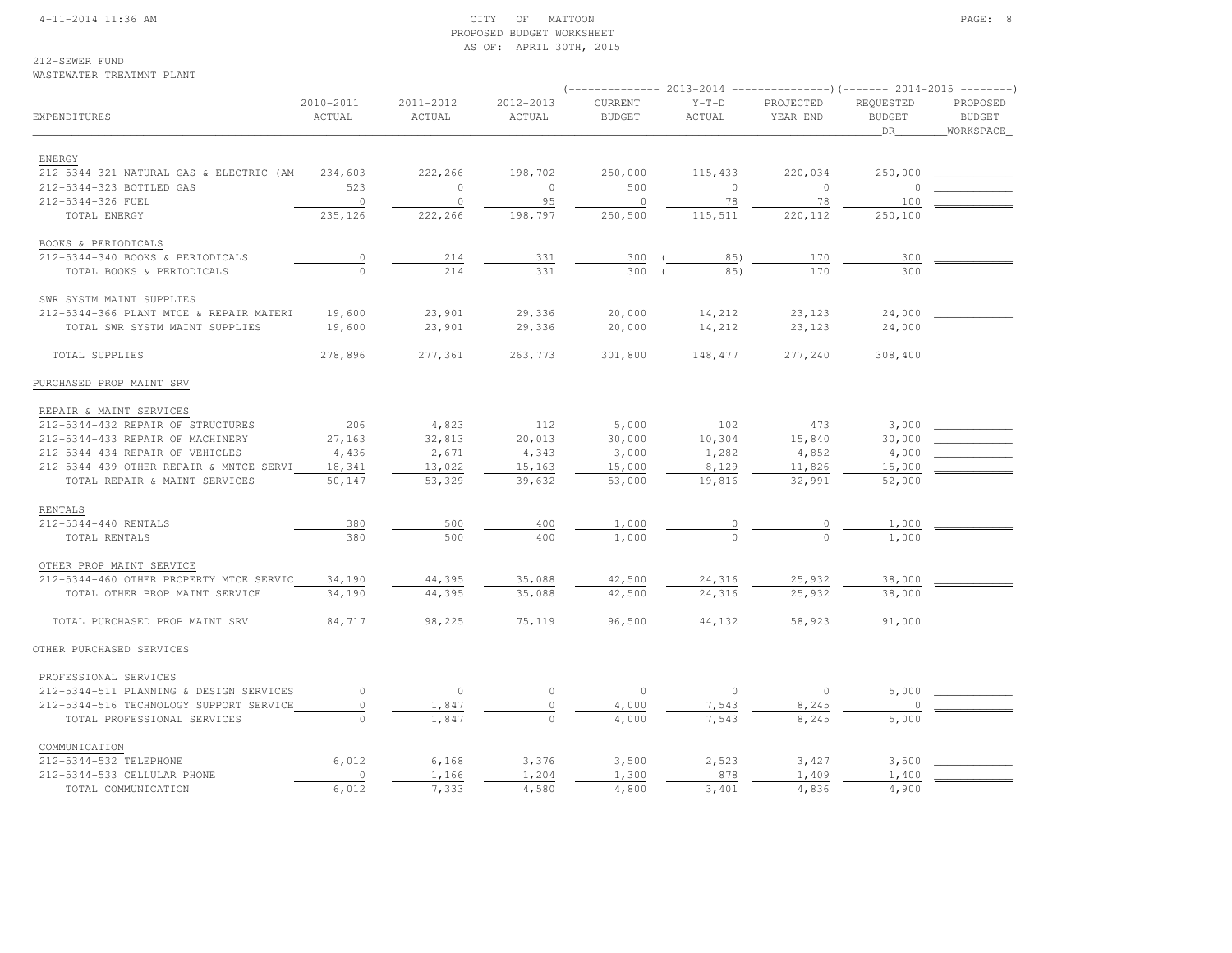#### 4-11-2014 11:36 AM CITY OF MATTOON PAGE: 8 PROPOSED BUDGET WORKSHEETAS OF: APRIL 30TH, 2015

212-SEWER FUND

WASTEWATER TREATMNT PLANT

### (-------------- 2013-2014 ---------------)(------- 2014-2015 --------) 2010-2011 2011-2012 2012-2013 CURRENT Y-T-D PROJECTED REQUESTED PROPOSED**BUDGET** EXPENDITURES ACTUAL ACTUAL ACTUAL BUDGET ACTUAL YEAR END BUDGET BUDGETWORKSPACE  $\hbox{\tt \_}$  . The contract of the contract of the contract of the contract of the contract of the contract of the contract of the contract of the contract of the contract of the contract of the contract of the contract of ENERGY 212-5344-321 NATURAL GAS & ELECTRIC (AM 234,603 222,266 198,702 250,000 115,433 220,034 250,000 \_\_\_\_\_\_\_\_\_\_\_\_ 212-5344-323 BOTTLED GAS 523 0 0 500 0 0 0 \_\_\_\_\_\_\_\_\_\_\_\_ 212-5344-326 FUEL 0 0 95 0 78 78 100 \_\_\_\_\_\_\_\_\_\_\_\_TOTAL ENERGY 235,126 222,266 198,797 250,500 115,511 220,112 250,100 BOOKS & PERIODICALS 212-5344-340 BOOKS & PERIODICALS 0 214 331 300 ( 85) 170 300 \_\_\_\_\_\_\_\_\_\_\_\_ $-5344-340$  BOOKS & PERIODICALS  $\frac{0}{0}$   $\frac{214}{214}$   $\frac{331}{331}$   $\frac{300}{300}$   $\frac{( \frac{85}{0} )}{( \frac{85}{0} )}$   $\frac{170}{170}$  - SWR SYSTM MAINT SUPPLIES 212-5344-366 PLANT MTCE & REPAIR MATERI 19,600 23,901 29,336 20,000 14,212 23,123 24,000 \_\_\_\_\_\_\_\_\_\_\_\_ TOTAL SWR SYSTM MAINT SUPPLIES 19,600 23,901 29,336 20,000 14,212 23,123 24,000 TOTAL SUPPLIES 278,896 277,361 263,773 301,800 148,477 277,240 308,400PURCHASED PROP MAINT SRV REPAIR & MAINT SERVICES 212-5344-432 REPAIR OF STRUCTURES 206 4,823 112 5,000 102 473 3,000 \_\_\_\_\_\_\_\_\_\_\_\_212-5344-433 REPAIR OF MACHINERY 27,163 32,813 20,013 30,000 10,304 15,840 30,000 212-5344-434 REPAIR OF VEHICLES  $4,436$   $2,671$   $4,343$   $3,000$   $1,282$   $4,852$   $4,000$ 212-5344-439 OTHER REPAIR & MNTCE SERVI 18,341 13,022 15,163 15,000 8,129 11,826 15,000 TOTAL REPAIR & MAINT SERVICES 50,147 53,329 39,632 53,000 19,816 32,991 52,000 RENTALS212-5344-440 RENTALS 212-5344-440 RENTALS 380 500 400 1,000 0 0 1,000 \_\_\_\_\_\_\_\_\_\_\_\_ TOTAL RENTALS 380 500 400 1,000 0 0 1,000 OTHER PROP MAINT SERVICE 212-5344-460 OTHER PROPERTY MTCE SERVIC 34,190 44,395 35,088 42,500 24,316 25,932 38,000 \_\_\_\_\_\_\_\_\_\_\_\_=5344-460 OTHER PROPERTY MTCE SERVIC 34,190 = 44,395 = 35,088 = 42,500 = 24,316 = 25,932 = 38,000<br>TOTAL OTHER PROP MAINT SERVICE 34,190 = 44,395 = 35,088 = 42,500 = 24,316 = 25,932 = 38,000 TOTAL PURCHASED PROP MAINT SRV 84,717 98,225 75,119 96,500 44,132 58,923 91,000OTHER PURCHASED SERVICES PROFESSIONAL SERVICES 212-5344-511 PLANNING & DESIGN SERVICES 0 0 0 0 0 0 5,000 \_\_\_\_\_\_\_\_\_\_\_\_212-5344-516 TECHNOLOGY SUPPORT SERVICE  $\begin{array}{cccccccc} 0 & 1,847 & 0 & 4,000 & 7,543 & 8,245 & 0 \\ \hline \end{array}$ TOTAL PROFESSIONAL SERVICES  $\overline{0}$   $\overline{1,847}$   $\overline{0}$   $\overline{4,000}$   $\overline{7,543}$   $\overline{8,245}$  COMMUNICATION 212-5344-532 TELEPHONE 6,012 6,168 3,376 3,500 2,523 3,427 3,500 \_\_\_\_\_\_\_\_\_\_\_\_212-5344-533 CELLULAR PHONE 0 1,166 1,204 1,300 878 1,409 1,400 TOTAL COMMUNICATION 6,012 7,333 4,580 4,800 3,401 4,836 4,900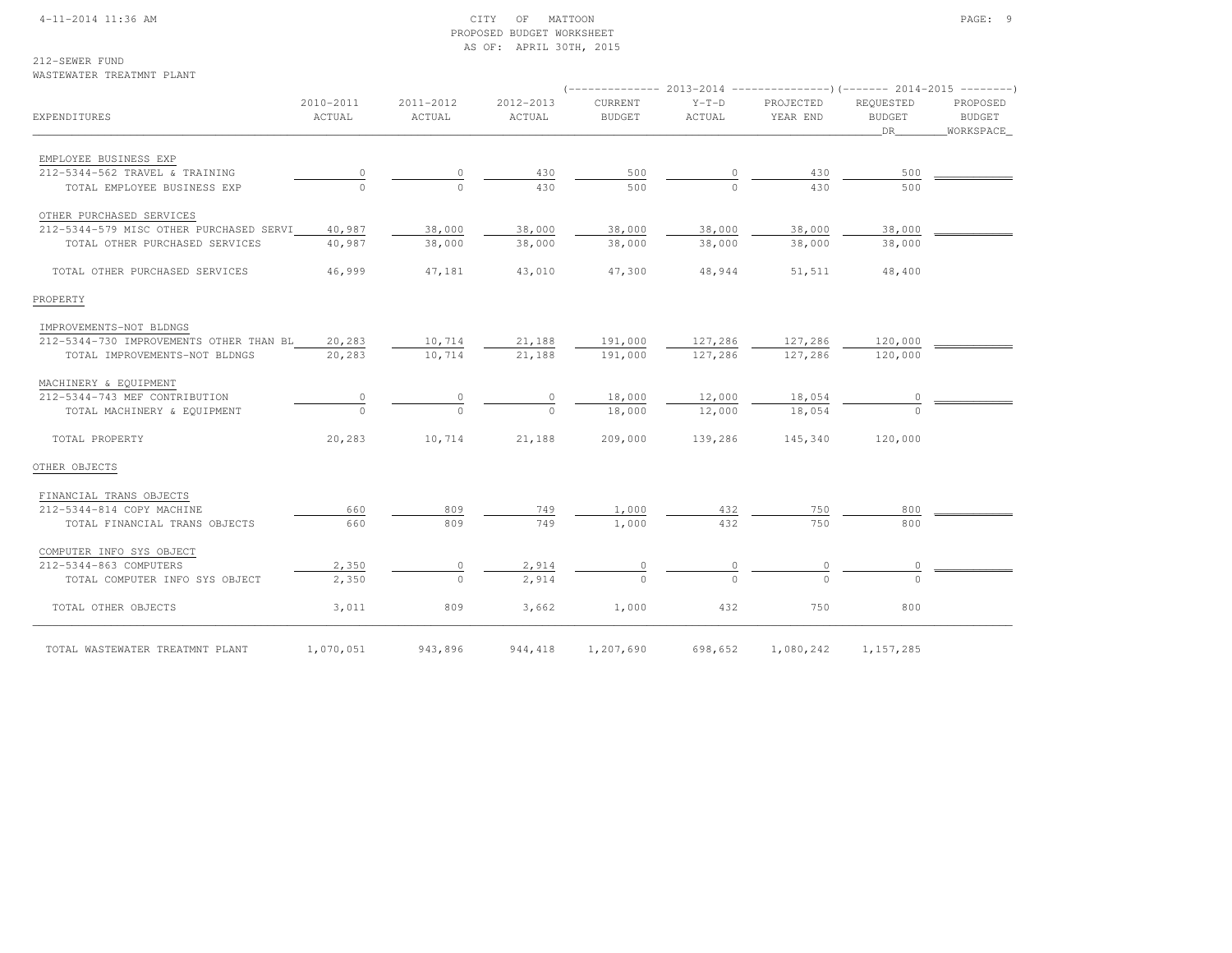#### 4-11-2014 11:36 AM CITY OF MATTOON PAGE: 9 PROPOSED BUDGET WORKSHEETAS OF: APRIL 30TH, 2015

### 212-SEWER FUND

#### WASTEWATER TREATMNT PLANT

| EXPENDITURES                            | 2010-2011<br>ACTUAL | 2011-2012<br>ACTUAL | 2012-2013<br>ACTUAL | CURRENT<br><b>BUDGET</b> | $Y-T-D$<br>ACTUAL | PROJECTED<br>YEAR END | REQUESTED<br><b>BUDGET</b><br>DR | PROPOSED<br><b>BUDGET</b><br>WORKSPACE_ |  |  |
|-----------------------------------------|---------------------|---------------------|---------------------|--------------------------|-------------------|-----------------------|----------------------------------|-----------------------------------------|--|--|
|                                         |                     |                     |                     |                          |                   |                       |                                  |                                         |  |  |
| EMPLOYEE BUSINESS EXP                   |                     |                     |                     |                          |                   |                       |                                  |                                         |  |  |
| 212-5344-562 TRAVEL & TRAINING          |                     | 0                   | 430                 | 500                      | 0                 | 430                   | 500                              |                                         |  |  |
| TOTAL EMPLOYEE BUSINESS EXP             |                     | $\Omega$            | 430                 | 500                      |                   | 430                   | 500                              |                                         |  |  |
| OTHER PURCHASED SERVICES                |                     |                     |                     |                          |                   |                       |                                  |                                         |  |  |
| 212-5344-579 MISC OTHER PURCHASED SERVI | 40,987              | 38,000              | 38,000              | 38,000                   | 38,000            | 38,000                | 38,000                           |                                         |  |  |
| TOTAL OTHER PURCHASED SERVICES          | 40,987              | 38,000              | 38,000              | 38,000                   | 38,000            | 38,000                | 38,000                           |                                         |  |  |
| TOTAL OTHER PURCHASED SERVICES          | 46,999              | 47,181              | 43,010              | 47,300                   | 48,944            | 51,511                | 48,400                           |                                         |  |  |
| PROPERTY                                |                     |                     |                     |                          |                   |                       |                                  |                                         |  |  |
| IMPROVEMENTS-NOT BLDNGS                 |                     |                     |                     |                          |                   |                       |                                  |                                         |  |  |
| 212-5344-730 IMPROVEMENTS OTHER THAN BL | 20,283              | 10,714              | 21,188              | 191,000                  | 127,286           | 127,286               | 120,000                          |                                         |  |  |
| TOTAL IMPROVEMENTS-NOT BLDNGS           | 20,283              | 10,714              | 21,188              | 191,000                  | 127,286           | 127,286               | 120,000                          |                                         |  |  |
| MACHINERY & EQUIPMENT                   |                     |                     |                     |                          |                   |                       |                                  |                                         |  |  |
| 212-5344-743 MEF CONTRIBUTION           |                     |                     |                     | 18,000                   | 12,000            | 18,054                |                                  |                                         |  |  |
| TOTAL MACHINERY & EQUIPMENT             |                     | $\cap$              |                     | 18,000                   | 12,000            | 18,054                |                                  |                                         |  |  |
| TOTAL PROPERTY                          | 20,283              | 10,714              | 21,188              | 209,000                  | 139,286           | 145,340               | 120,000                          |                                         |  |  |
| OTHER OBJECTS                           |                     |                     |                     |                          |                   |                       |                                  |                                         |  |  |
| FINANCIAL TRANS OBJECTS                 |                     |                     |                     |                          |                   |                       |                                  |                                         |  |  |
| 212-5344-814 COPY MACHINE               | 660                 | 809                 | 749                 | 1,000                    | 432               | 750                   | 800                              |                                         |  |  |
| TOTAL FINANCIAL TRANS OBJECTS           | 660                 | 809                 | 749                 | 1,000                    | 432               | 750                   | 800                              |                                         |  |  |
| COMPUTER INFO SYS OBJECT                |                     |                     |                     |                          |                   |                       |                                  |                                         |  |  |
| 212-5344-863 COMPUTERS                  | 2,350               | 0                   | 2,914               |                          |                   |                       |                                  |                                         |  |  |
| TOTAL COMPUTER INFO SYS OBJECT          | 2,350               | $\Omega$            | 2.914               |                          |                   |                       |                                  |                                         |  |  |
| TOTAL OTHER OBJECTS                     | 3,011               | 809                 | 3,662               | 1,000                    | 432               | 750                   | 800                              |                                         |  |  |
| TOTAL WASTEWATER TREATMNT PLANT         | 1,070,051           | 943,896             | 944, 418            | 1,207,690                | 698,652           | 1,080,242             | 1, 157, 285                      |                                         |  |  |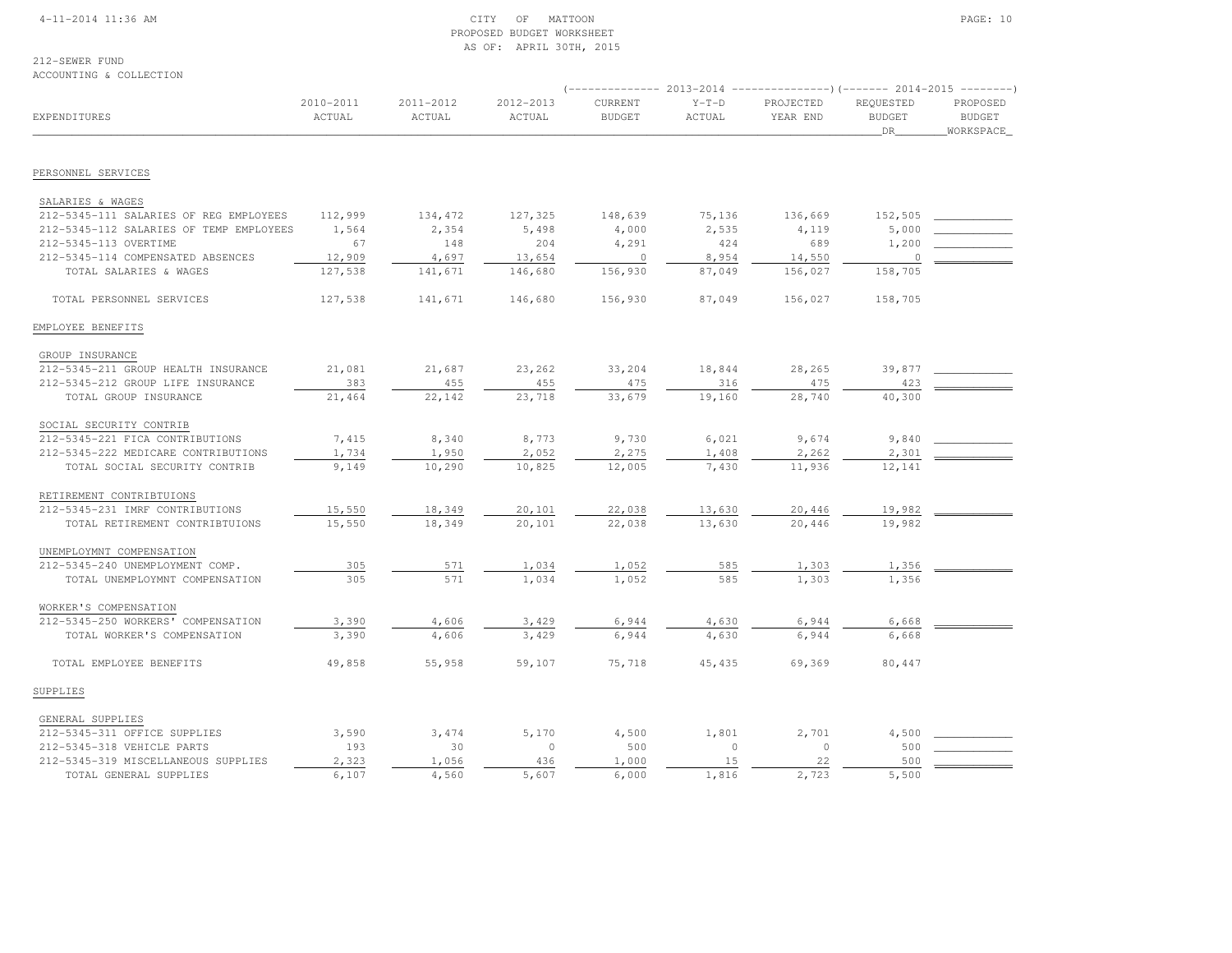#### 4-11-2014 11:36 AM CITY OF MATTOON PAGE: 10 PROPOSED BUDGET WORKSHEETAS OF: APRIL 30TH, 2015

212-SEWER FUND

### ACCOUNTING & COLLECTION

|                                         |                     |                     |                     | (-------------- 2013-2014 |                   |                       |                                  |                                        |  |
|-----------------------------------------|---------------------|---------------------|---------------------|---------------------------|-------------------|-----------------------|----------------------------------|----------------------------------------|--|
| EXPENDITURES                            | 2010-2011<br>ACTUAL | 2011-2012<br>ACTUAL | 2012-2013<br>ACTUAL | CURRENT<br><b>BUDGET</b>  | $Y-T-D$<br>ACTUAL | PROJECTED<br>YEAR END | REQUESTED<br><b>BUDGET</b><br>DR | PROPOSED<br><b>BUDGET</b><br>WORKSPACE |  |
|                                         |                     |                     |                     |                           |                   |                       |                                  |                                        |  |
| PERSONNEL SERVICES                      |                     |                     |                     |                           |                   |                       |                                  |                                        |  |
| SALARIES & WAGES                        |                     |                     |                     |                           |                   |                       |                                  |                                        |  |
| 212-5345-111 SALARIES OF REG EMPLOYEES  | 112,999             | 134,472             | 127,325             | 148,639                   | 75,136            | 136,669               | 152,505                          |                                        |  |
| 212-5345-112 SALARIES OF TEMP EMPLOYEES | 1,564               | 2,354               | 5,498               | 4,000                     | 2,535             | 4,119                 | 5,000                            |                                        |  |
| 212-5345-113 OVERTIME                   | 67                  | 148                 | 204                 | 4,291                     | 424               | 689                   | 1,200                            |                                        |  |
| 212-5345-114 COMPENSATED ABSENCES       | 12,909              | 4,697               | 13,654              | $\mathbf 0$               | 8,954             | 14,550                | $\Omega$                         |                                        |  |
| TOTAL SALARIES & WAGES                  | 127,538             | 141,671             | 146,680             | 156,930                   | 87,049            | 156,027               | 158,705                          |                                        |  |
| TOTAL PERSONNEL SERVICES                | 127,538             | 141,671             | 146,680             | 156,930                   | 87,049            | 156,027               | 158,705                          |                                        |  |
| EMPLOYEE BENEFITS                       |                     |                     |                     |                           |                   |                       |                                  |                                        |  |
| GROUP INSURANCE                         |                     |                     |                     |                           |                   |                       |                                  |                                        |  |
| 212-5345-211 GROUP HEALTH INSURANCE     | 21,081              | 21,687              | 23,262              | 33,204                    | 18,844            | 28,265                | 39,877                           |                                        |  |
| 212-5345-212 GROUP LIFE INSURANCE       | 383                 | 455                 | 455                 | 475                       | 316               | 475                   | 423                              |                                        |  |
| TOTAL GROUP INSURANCE                   | 21,464              | 22,142              | 23,718              | 33,679                    | 19,160            | 28,740                | 40,300                           |                                        |  |
| SOCIAL SECURITY CONTRIB                 |                     |                     |                     |                           |                   |                       |                                  |                                        |  |
| 212-5345-221 FICA CONTRIBUTIONS         | 7,415               | 8,340               | 8,773               | 9,730                     | 6,021             | 9,674                 | 9,840                            |                                        |  |
| 212-5345-222 MEDICARE CONTRIBUTIONS     | 1,734               | 1,950               | 2,052               | 2,275                     | 1,408             | 2,262                 | 2,301                            |                                        |  |
| TOTAL SOCIAL SECURITY CONTRIB           | 9,149               | 10,290              | 10,825              | 12,005                    | 7,430             | 11,936                | 12,141                           |                                        |  |
| RETIREMENT CONTRIBTUIONS                |                     |                     |                     |                           |                   |                       |                                  |                                        |  |
| 212-5345-231 IMRF CONTRIBUTIONS         | 15,550              | 18,349              | 20,101              | 22,038                    | 13,630            | 20,446                | 19,982                           |                                        |  |
| TOTAL RETIREMENT CONTRIBTUIONS          | 15,550              | 18,349              | 20,101              | 22,038                    | 13,630            | 20,446                | 19,982                           |                                        |  |
| UNEMPLOYMNT COMPENSATION                |                     |                     |                     |                           |                   |                       |                                  |                                        |  |
| 212-5345-240 UNEMPLOYMENT COMP.         | 305                 | 571                 | 1,034               | 1,052                     | 585               | 1,303                 | 1,356                            |                                        |  |
| TOTAL UNEMPLOYMNT COMPENSATION          | 305                 | 571                 | 1,034               | 1,052                     | 585               | 1,303                 | 1,356                            |                                        |  |
| WORKER'S COMPENSATION                   |                     |                     |                     |                           |                   |                       |                                  |                                        |  |
| 212-5345-250 WORKERS' COMPENSATION      | 3,390               | 4,606               | 3,429               | 6,944                     | 4,630             | 6,944                 | 6,668                            |                                        |  |
| TOTAL WORKER'S COMPENSATION             | 3,390               | 4,606               | 3,429               | 6,944                     | 4,630             | 6,944                 | 6,668                            |                                        |  |
| TOTAL EMPLOYEE BENEFITS                 | 49,858              | 55,958              | 59,107              | 75,718                    | 45,435            | 69,369                | 80,447                           |                                        |  |
| SUPPLIES                                |                     |                     |                     |                           |                   |                       |                                  |                                        |  |
| GENERAL SUPPLIES                        |                     |                     |                     |                           |                   |                       |                                  |                                        |  |
| 212-5345-311 OFFICE SUPPLIES            | 3,590               | 3,474               | 5,170               | 4,500                     | 1,801             | 2,701                 | 4,500                            |                                        |  |
| 212-5345-318 VEHICLE PARTS              | 193                 | 30                  | $\circ$             | 500                       | $\circ$           | $\circ$               | 500                              |                                        |  |
| 212-5345-319 MISCELLANEOUS SUPPLIES     | 2,323               | 1,056               | 436                 | 1,000                     | 15                | 22                    | 500                              |                                        |  |
| TOTAL GENERAL SUPPLIES                  | 6,107               | 4,560               | 5,607               | 6,000                     | 1,816             | 2,723                 | 5,500                            |                                        |  |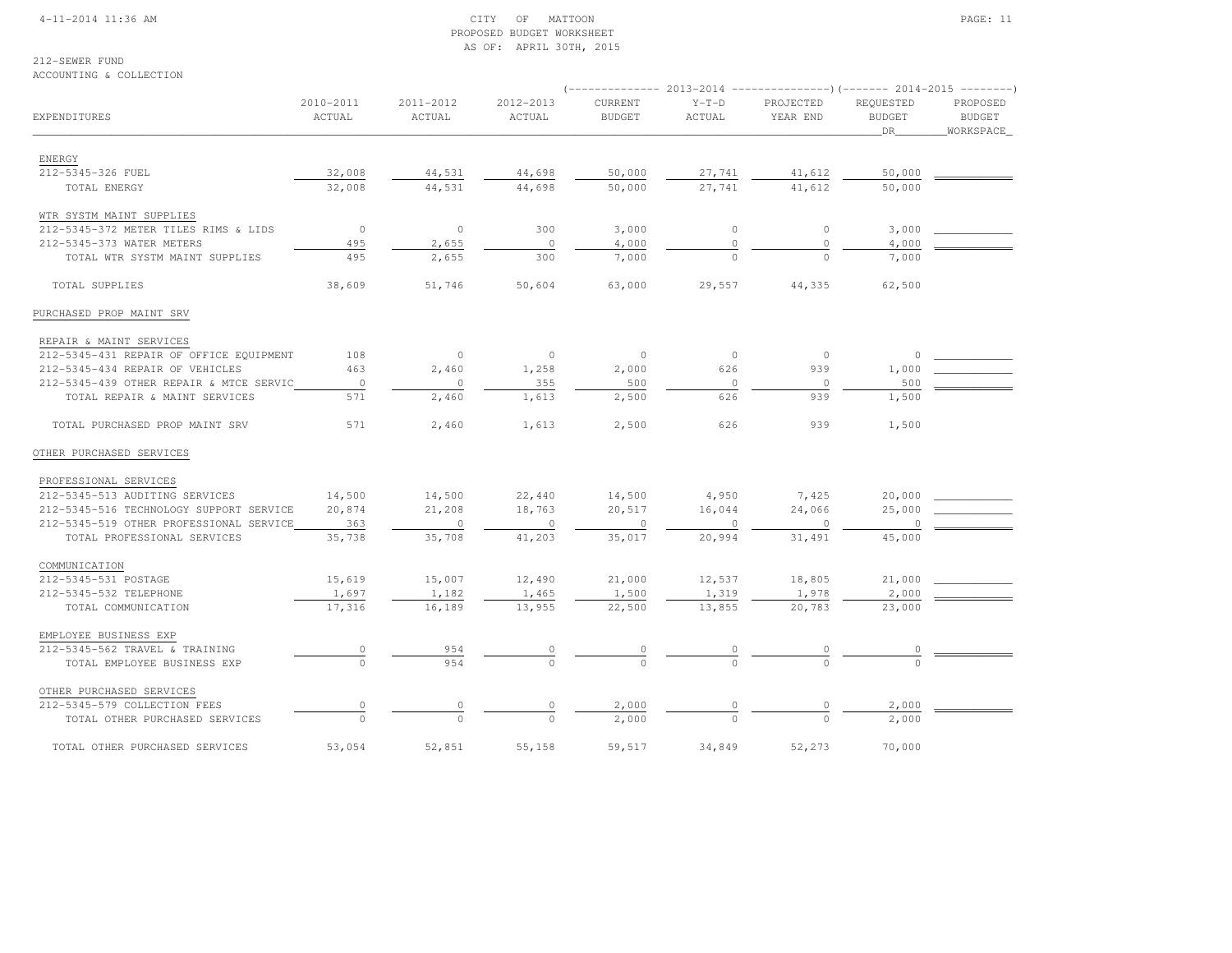#### 4-11-2014 11:36 AM CITY OF MATTOON PAGE: 11 PROPOSED BUDGET WORKSHEETAS OF: APRIL 30TH, 2015

### 212-SEWER FUND

#### ACCOUNTING & COLLECTION

|                                         | 2010-2011                        | 2011-2012      | 2012-2013      | CURRENT       | $Y-T-D$      | PROJECTED      | REQUESTED     | PROPOSED      |  |
|-----------------------------------------|----------------------------------|----------------|----------------|---------------|--------------|----------------|---------------|---------------|--|
| EXPENDITURES                            | ACTUAL                           | ACTUAL         | ACTUAL         | <b>BUDGET</b> | ACTUAL       | YEAR END       | <b>BUDGET</b> | <b>BUDGET</b> |  |
|                                         |                                  |                |                |               |              |                | DR            | WORKSPACE     |  |
|                                         |                                  |                |                |               |              |                |               |               |  |
| ENERGY                                  |                                  |                |                |               |              |                |               |               |  |
| 212-5345-326 FUEL                       | 32,008                           | 44,531         | 44,698         | 50,000        | 27,741       | 41,612         | 50,000        |               |  |
| TOTAL ENERGY                            | 32,008                           | 44,531         | 44,698         | 50,000        | 27,741       | 41,612         | 50,000        |               |  |
| WTR SYSTM MAINT SUPPLIES                |                                  |                |                |               |              |                |               |               |  |
| 212-5345-372 METER TILES RIMS & LIDS    | $\circ$                          | $\circ$        | 300            | 3,000         | $\circ$      | $\circ$        | 3,000         |               |  |
| 212-5345-373 WATER METERS               | 495                              | 2,655          | $\circ$        | 4,000         | $\mathbf 0$  | 0              | 4,000         |               |  |
| TOTAL WTR SYSTM MAINT SUPPLIES          | 495                              | 2,655          | 300            | 7,000         |              |                | 7,000         |               |  |
| TOTAL SUPPLIES                          | 38,609                           | 51,746         | 50,604         | 63,000        | 29,557       | 44,335         | 62,500        |               |  |
| PURCHASED PROP MAINT SRV                |                                  |                |                |               |              |                |               |               |  |
|                                         |                                  |                |                |               |              |                |               |               |  |
| REPAIR & MAINT SERVICES                 |                                  |                |                |               |              | $\circ$        |               |               |  |
| 212-5345-431 REPAIR OF OFFICE EQUIPMENT | 108                              | $\circ$        | $\circ$        | $\circ$       | $\mathbb O$  |                | 0             |               |  |
| 212-5345-434 REPAIR OF VEHICLES         | 463                              | 2,460          | 1,258          | 2,000         | 626          | 939            | 1,000         |               |  |
| 212-5345-439 OTHER REPAIR & MTCE SERVIC | $\overline{0}$                   | $\overline{0}$ | 355            | 500           | $\mathbb O$  | $\overline{0}$ | 500           |               |  |
| TOTAL REPAIR & MAINT SERVICES           | 571                              | 2,460          | 1,613          | 2,500         | 626          | 939            | 1,500         |               |  |
| TOTAL PURCHASED PROP MAINT SRV          | 571                              | 2,460          | 1,613          | 2,500         | 626          | 939            | 1,500         |               |  |
| OTHER PURCHASED SERVICES                |                                  |                |                |               |              |                |               |               |  |
| PROFESSIONAL SERVICES                   |                                  |                |                |               |              |                |               |               |  |
| 212-5345-513 AUDITING SERVICES          | 14,500                           | 14,500         | 22,440         | 14,500        | 4,950        | 7,425          | 20,000        |               |  |
| 212-5345-516 TECHNOLOGY SUPPORT SERVICE | 20,874                           | 21,208         | 18,763         | 20,517        | 16,044       | 24,066         | 25,000        |               |  |
| 212-5345-519 OTHER PROFESSIONAL SERVICE | 363                              | $\circ$        | $\circ$        | $\circ$       | $\mathbf{0}$ | $\circ$        |               |               |  |
| TOTAL PROFESSIONAL SERVICES             | 35,738                           | 35,708         | 41,203         | 35,017        | 20,994       | 31,491         | 45,000        |               |  |
|                                         |                                  |                |                |               |              |                |               |               |  |
| COMMUNICATION                           |                                  |                |                |               |              |                |               |               |  |
| 212-5345-531 POSTAGE                    | 15,619                           | 15,007         | 12,490         | 21,000        | 12,537       | 18,805         | 21,000        |               |  |
| 212-5345-532 TELEPHONE                  | 1,697                            | 1,182          | 1,465          | 1,500         | 1,319        | 1,978          | 2,000         |               |  |
| TOTAL COMMUNICATION                     | 17,316                           | 16,189         | 13,955         | 22,500        | 13,855       | 20,783         | 23,000        |               |  |
| EMPLOYEE BUSINESS EXP                   |                                  |                |                |               |              |                |               |               |  |
| 212-5345-562 TRAVEL & TRAINING          | $\begin{array}{c} 0 \end{array}$ | 954            |                |               |              |                |               |               |  |
| TOTAL EMPLOYEE BUSINESS EXP             |                                  | 954            | $\frac{0}{0}$  | $\frac{0}{0}$ |              |                |               |               |  |
| OTHER PURCHASED SERVICES                |                                  |                |                |               |              |                |               |               |  |
| 212-5345-579 COLLECTION FEES            |                                  |                | $\overline{0}$ | 2,000         |              |                | 2,000         |               |  |
| TOTAL OTHER PURCHASED SERVICES          | $\circ$                          |                |                | 2,000         |              |                | 2,000         |               |  |
|                                         |                                  |                |                |               |              |                |               |               |  |
| TOTAL OTHER PURCHASED SERVICES          | 53,054                           | 52,851         | 55,158         | 59,517        | 34,849       | 52,273         | 70,000        |               |  |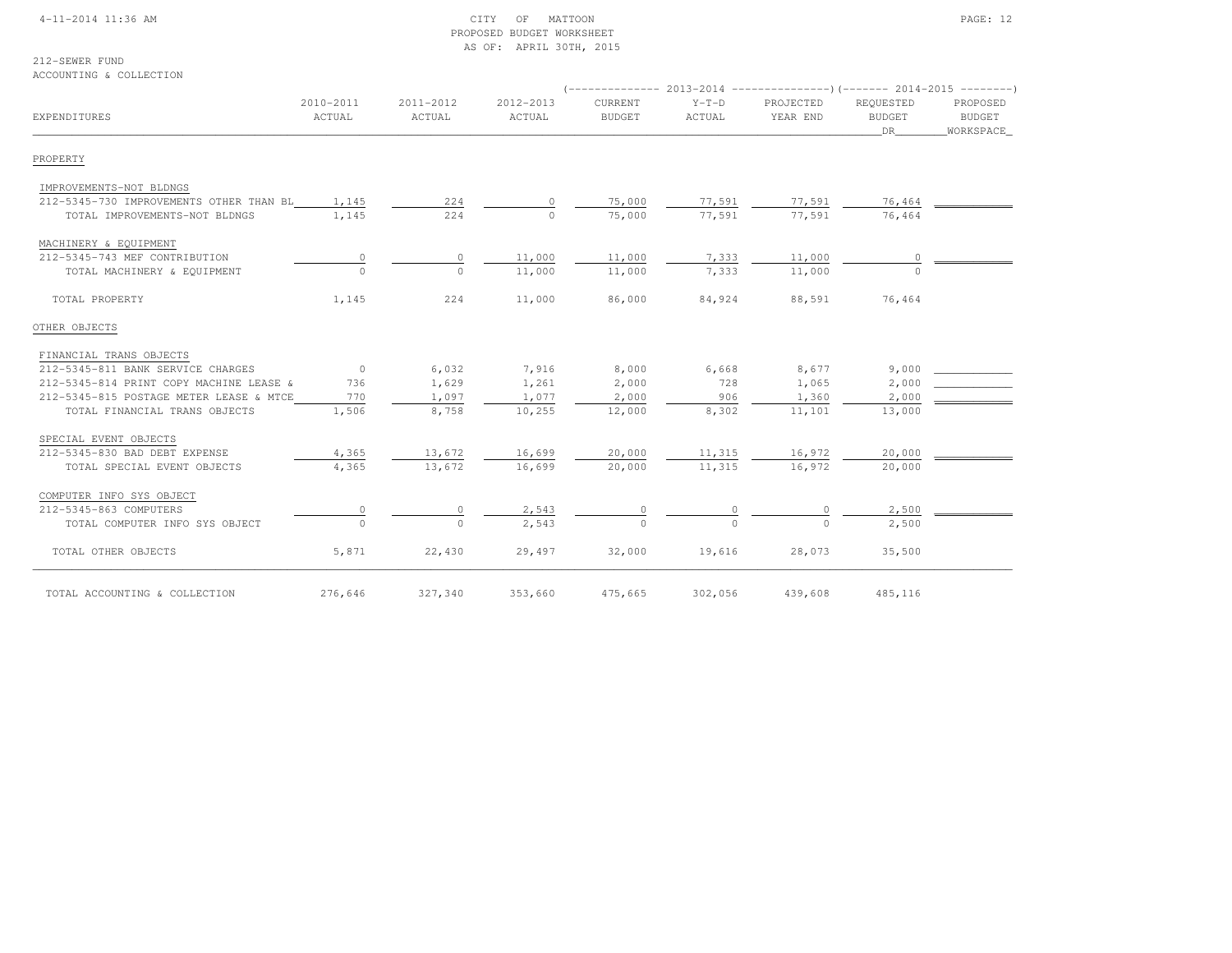#### 4-11-2014 11:36 AM CITY OF MATTOON PAGE: 12 PROPOSED BUDGET WORKSHEETAS OF: APRIL 30TH, 2015

### 212-SEWER FUND

ACCOUNTING & COLLECTION

| EXPENDITURES                                  | 2010-2011<br>ACTUAL | 2011-2012<br>ACTUAL | 2012-2013<br>ACTUAL | CURRENT<br><b>BUDGET</b> | $Y-T-D$<br>ACTUAL | PROJECTED<br>YEAR END | REOUESTED<br><b>BUDGET</b><br>DR | PROPOSED<br>BUDGET<br>WORKSPACE |
|-----------------------------------------------|---------------------|---------------------|---------------------|--------------------------|-------------------|-----------------------|----------------------------------|---------------------------------|
| PROPERTY                                      |                     |                     |                     |                          |                   |                       |                                  |                                 |
| IMPROVEMENTS-NOT BLDNGS                       |                     |                     |                     |                          |                   |                       |                                  |                                 |
| 212-5345-730 IMPROVEMENTS OTHER THAN BL 1,145 |                     | 224                 |                     | 75,000                   | 77,591            | 77,591                | 76,464                           |                                 |
| TOTAL IMPROVEMENTS-NOT BLDNGS                 | 1,145               | 224                 | $\cap$              | 75,000                   | 77,591            | 77,591                | 76,464                           |                                 |
| MACHINERY & EQUIPMENT                         |                     |                     |                     |                          |                   |                       |                                  |                                 |
| 212-5345-743 MEF CONTRIBUTION                 | $\circ$             | $\circ$             | 11,000              | 11,000                   | 7,333             | 11,000                |                                  |                                 |
| TOTAL MACHINERY & EQUIPMENT                   | $\cap$              | $\cap$              | 11,000              | 11,000                   | 7,333             | 11,000                |                                  |                                 |
| TOTAL PROPERTY                                | 1,145               | 224                 | 11,000              | 86,000                   | 84,924            | 88,591                | 76,464                           |                                 |
| OTHER OBJECTS                                 |                     |                     |                     |                          |                   |                       |                                  |                                 |
| FINANCIAL TRANS OBJECTS                       |                     |                     |                     |                          |                   |                       |                                  |                                 |
| 212-5345-811 BANK SERVICE CHARGES             | $\overline{0}$      | 6,032               | 7,916               | 8,000                    | 6,668             | 8,677                 | 9,000                            |                                 |
| 212-5345-814 PRINT COPY MACHINE LEASE &       | 736                 | 1,629               | 1,261               | 2,000                    | 728               | 1,065                 | 2,000                            |                                 |
| 212-5345-815 POSTAGE METER LEASE & MTCE       | 770                 | 1,097               | 1,077               | 2,000                    | 906               | 1,360                 | 2,000                            |                                 |
| TOTAL FINANCIAL TRANS OBJECTS                 | 1,506               | 8,758               | 10,255              | 12,000                   | 8,302             | 11,101                | 13,000                           |                                 |
| SPECIAL EVENT OBJECTS                         |                     |                     |                     |                          |                   |                       |                                  |                                 |
| 212-5345-830 BAD DEBT EXPENSE                 | 4,365               | 13,672              | 16,699              | 20,000                   | 11,315            | 16,972                | 20,000                           |                                 |
| TOTAL SPECIAL EVENT OBJECTS                   | 4,365               | 13,672              | 16,699              | 20,000                   | 11,315            | 16,972                | 20,000                           |                                 |
| COMPUTER INFO SYS OBJECT                      |                     |                     |                     |                          |                   |                       |                                  |                                 |
| 212-5345-863 COMPUTERS                        |                     | $\circ$             | 2,543               | 0                        |                   |                       | 2,500                            |                                 |
| TOTAL COMPUTER INFO SYS OBJECT                |                     | $\bigcap$           | 2.543               |                          |                   |                       | 2,500                            |                                 |
| TOTAL OTHER OBJECTS                           | 5,871               | 22,430              | 29,497              | 32,000                   | 19,616            | 28,073                | 35,500                           |                                 |
| TOTAL ACCOUNTING & COLLECTION                 | 276,646             | 327,340             | 353,660             | 475,665                  | 302,056           | 439,608               | 485,116                          |                                 |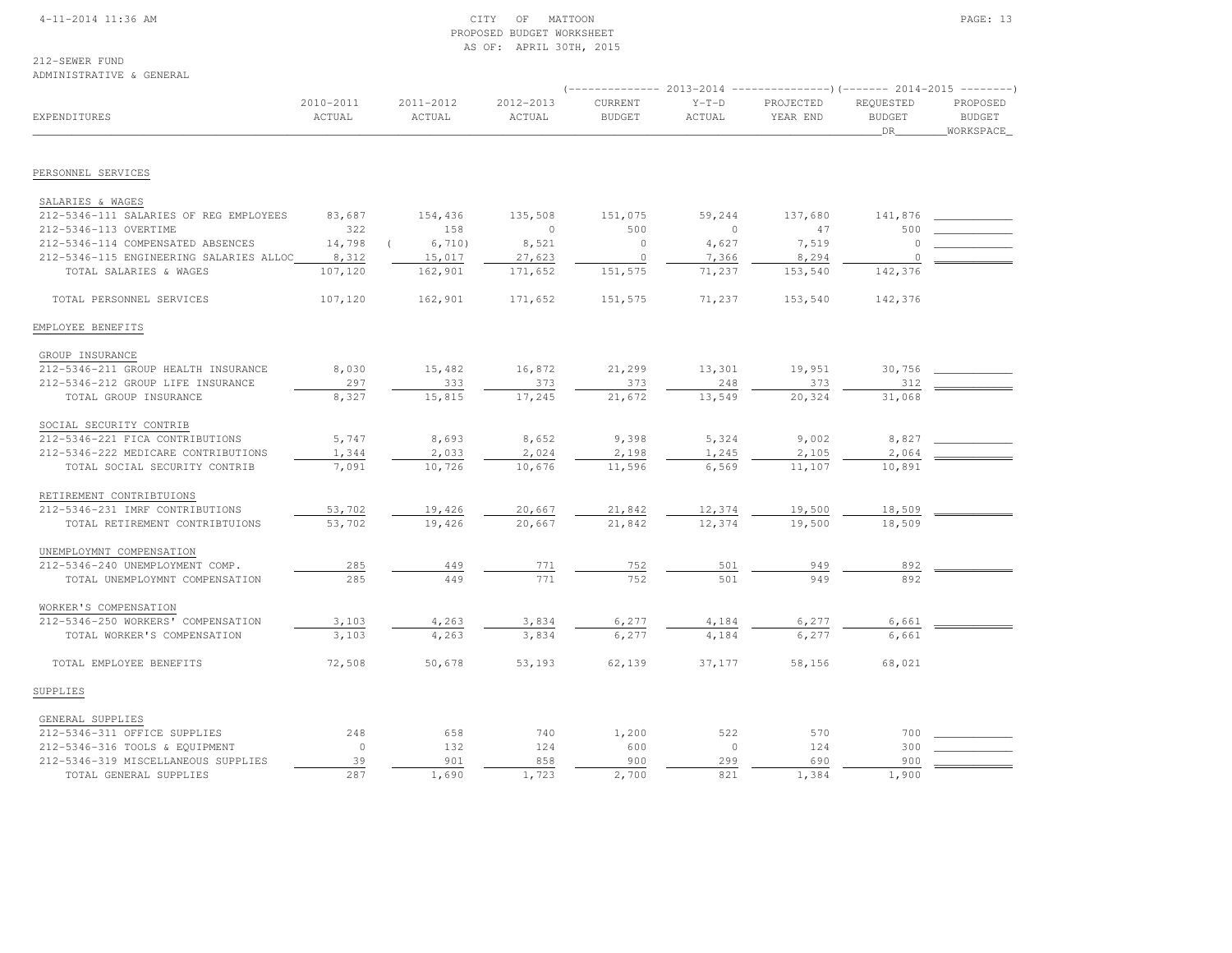#### 4-11-2014 11:36 AM CITY OF MATTOON PAGE: 13 PROPOSED BUDGET WORKSHEETAS OF: APRIL 30TH, 2015

### 212-SEWER FUND

#### ADMINISTRATIVE & GENERAL

|                                                                |                     |                     |                     |                          |                   |                       | (-------------- 2013-2014 ----------------)(------- 2014-2015 --------) |                                         |  |
|----------------------------------------------------------------|---------------------|---------------------|---------------------|--------------------------|-------------------|-----------------------|-------------------------------------------------------------------------|-----------------------------------------|--|
| EXPENDITURES                                                   | 2010-2011<br>ACTUAL | 2011-2012<br>ACTUAL | 2012-2013<br>ACTUAL | CURRENT<br><b>BUDGET</b> | $Y-T-D$<br>ACTUAL | PROJECTED<br>YEAR END | REQUESTED<br><b>BUDGET</b><br>_DR_                                      | PROPOSED<br><b>BUDGET</b><br>WORKSPACE_ |  |
| PERSONNEL SERVICES                                             |                     |                     |                     |                          |                   |                       |                                                                         |                                         |  |
|                                                                |                     |                     |                     |                          |                   |                       |                                                                         |                                         |  |
| SALARIES & WAGES                                               |                     |                     |                     |                          |                   |                       |                                                                         |                                         |  |
| 212-5346-111 SALARIES OF REG EMPLOYEES                         | 83,687              | 154,436             | 135,508             | 151,075                  | 59,244            | 137,680               | 141,876                                                                 |                                         |  |
| 212-5346-113 OVERTIME                                          | 322                 | 158                 | $\circ$             | 500                      | $\mathbf{0}$      | 47                    | 500                                                                     |                                         |  |
| 212-5346-114 COMPENSATED ABSENCES                              | 14,798              | 6,710)              | 8,521               | $\circ$                  | 4,627             | 7,519                 | $\circ$                                                                 |                                         |  |
| 212-5346-115 ENGINEERING SALARIES ALLOC                        | 8,312               | 15,017              | 27,623              | $\circ$                  | 7,366             | 8,294                 | 0                                                                       |                                         |  |
| TOTAL SALARIES & WAGES                                         | 107,120             | 162,901             | 171,652             | 151,575                  | 71,237            | 153,540               | 142,376                                                                 |                                         |  |
| TOTAL PERSONNEL SERVICES                                       | 107,120             | 162,901             | 171,652             | 151,575                  | 71,237            | 153,540               | 142,376                                                                 |                                         |  |
| EMPLOYEE BENEFITS                                              |                     |                     |                     |                          |                   |                       |                                                                         |                                         |  |
| GROUP INSURANCE                                                |                     |                     |                     |                          |                   |                       |                                                                         |                                         |  |
| 212-5346-211 GROUP HEALTH INSURANCE                            | 8,030               | 15,482              | 16,872              | 21,299                   | 13,301            | 19,951                | 30,756                                                                  |                                         |  |
| 212-5346-212 GROUP LIFE INSURANCE                              | 297                 | 333                 | 373                 | 373                      | 248               | 373                   | 312                                                                     |                                         |  |
| TOTAL GROUP INSURANCE                                          | 8,327               | 15,815              | 17,245              | 21,672                   | 13,549            | 20,324                | 31,068                                                                  |                                         |  |
| SOCIAL SECURITY CONTRIB                                        |                     |                     |                     |                          |                   |                       |                                                                         |                                         |  |
| 212-5346-221 FICA CONTRIBUTIONS                                | 5,747               | 8,693               | 8,652               | 9,398                    | 5,324             | 9,002                 | 8,827                                                                   |                                         |  |
| 212-5346-222 MEDICARE CONTRIBUTIONS                            | 1,344               | 2,033               | 2,024               | 2,198                    | 1,245             | 2,105                 | 2,064                                                                   |                                         |  |
| TOTAL SOCIAL SECURITY CONTRIB                                  | 7,091               | 10,726              | 10,676              | 11,596                   | 6,569             | 11,107                | 10,891                                                                  |                                         |  |
|                                                                |                     |                     |                     |                          |                   |                       |                                                                         |                                         |  |
| RETIREMENT CONTRIBTUIONS                                       |                     |                     |                     |                          |                   |                       |                                                                         |                                         |  |
| 212-5346-231 IMRF CONTRIBUTIONS                                | 53,702              | 19,426              | 20,667              | 21,842                   | 12,374            | 19,500                | 18,509                                                                  |                                         |  |
| TOTAL RETIREMENT CONTRIBTUIONS                                 | 53,702              | 19,426              | 20,667              | 21,842                   | 12,374            | 19,500                | 18,509                                                                  |                                         |  |
| UNEMPLOYMNT COMPENSATION                                       |                     |                     |                     |                          |                   |                       |                                                                         |                                         |  |
| 212-5346-240 UNEMPLOYMENT COMP.                                | 285                 | 449                 | 771                 | 752                      | 501               | 949                   | 892                                                                     |                                         |  |
| TOTAL UNEMPLOYMNT COMPENSATION                                 | 285                 | 449                 | 771                 | 752                      | 501               | 949                   | 892                                                                     |                                         |  |
| WORKER'S COMPENSATION                                          |                     |                     |                     |                          |                   |                       |                                                                         |                                         |  |
| 212-5346-250 WORKERS' COMPENSATION                             | 3,103               | 4,263               | 3,834               | 6,277                    | 4,184             | 6,277                 | 6,661                                                                   |                                         |  |
| TOTAL WORKER'S COMPENSATION                                    | 3,103               | 4,263               | 3,834               | 6,277                    | 4,184             | 6,277                 | 6,661                                                                   |                                         |  |
| TOTAL EMPLOYEE BENEFITS                                        | 72,508              | 50,678              | 53,193              | 62,139                   | 37,177            | 58,156                | 68,021                                                                  |                                         |  |
| SUPPLIES                                                       |                     |                     |                     |                          |                   |                       |                                                                         |                                         |  |
|                                                                |                     |                     |                     |                          |                   |                       |                                                                         |                                         |  |
| GENERAL SUPPLIES                                               | 248                 | 658                 | 740                 | 1,200                    | 522               | 570                   | 700                                                                     |                                         |  |
| 212-5346-311 OFFICE SUPPLIES<br>212-5346-316 TOOLS & EQUIPMENT | $\circ$             | 132                 | 124                 | 600                      | $\Omega$          | 124                   | 300                                                                     |                                         |  |
| 212-5346-319 MISCELLANEOUS SUPPLIES                            | 39                  | 901                 | 858                 | 900                      | 299               | 690                   | 900                                                                     |                                         |  |
| TOTAL GENERAL SUPPLIES                                         | 287                 | 1,690               | 1,723               | 2,700                    | 821               | 1,384                 | 1,900                                                                   |                                         |  |
|                                                                |                     |                     |                     |                          |                   |                       |                                                                         |                                         |  |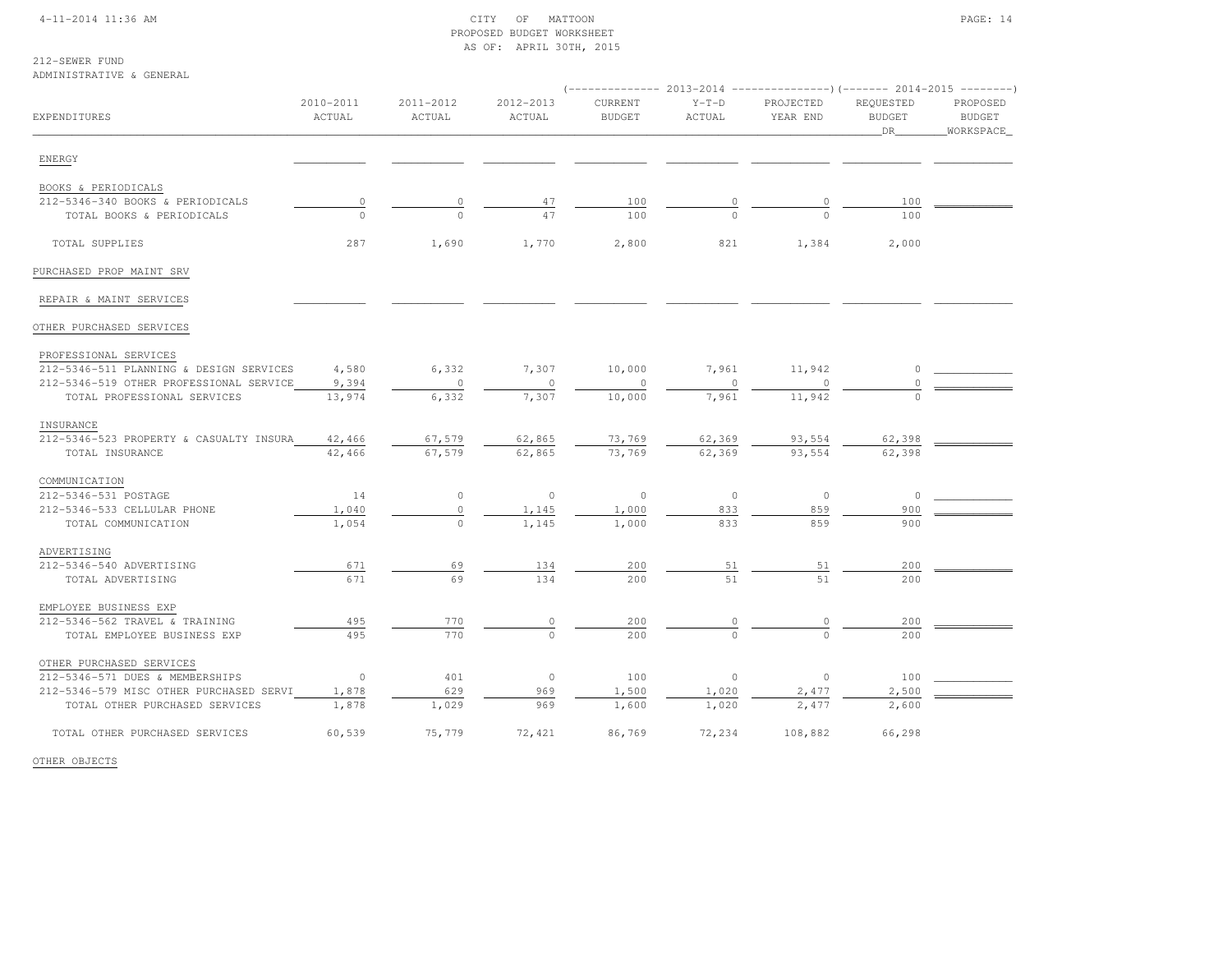#### 4-11-2014 11:36 AM CITY OF MATTOON PAGE: 14 PROPOSED BUDGET WORKSHEETAS OF: APRIL 30TH, 2015

### 212-SEWER FUND

ADMINISTRATIVE & GENERAL

|                                         |                     |                     |                     | ----------------) (------- 2014-2015 -------- |                   |                                            |                                  |                                        |
|-----------------------------------------|---------------------|---------------------|---------------------|-----------------------------------------------|-------------------|--------------------------------------------|----------------------------------|----------------------------------------|
| EXPENDITURES                            | 2010-2011<br>ACTUAL | 2011-2012<br>ACTUAL | 2012-2013<br>ACTUAL | CURRENT<br><b>BUDGET</b>                      | $Y-T-D$<br>ACTUAL | PROJECTED<br>YEAR END                      | REQUESTED<br><b>BUDGET</b><br>DR | PROPOSED<br><b>BUDGET</b><br>WORKSPACE |
| ENERGY                                  |                     |                     |                     |                                               |                   |                                            |                                  |                                        |
| BOOKS & PERIODICALS                     |                     |                     |                     |                                               |                   |                                            |                                  |                                        |
| 212-5346-340 BOOKS & PERIODICALS        | $\circ$             | $\circ$             | 47                  | 100                                           | $\overline{0}$    | $\overline{0}$                             | 100                              |                                        |
| TOTAL BOOKS & PERIODICALS               | $\Omega$            | $\Omega$            | 47                  | 100                                           | $\Omega$          | $\Omega$                                   | 100                              |                                        |
|                                         |                     |                     |                     |                                               |                   |                                            |                                  |                                        |
| TOTAL SUPPLIES                          | 287                 | 1,690               | 1,770               | 2,800                                         | 821               | 1,384                                      | 2,000                            |                                        |
| PURCHASED PROP MAINT SRV                |                     |                     |                     |                                               |                   |                                            |                                  |                                        |
| REPAIR & MAINT SERVICES                 |                     |                     |                     |                                               |                   |                                            |                                  |                                        |
| OTHER PURCHASED SERVICES                |                     |                     |                     |                                               |                   |                                            |                                  |                                        |
| PROFESSIONAL SERVICES                   |                     |                     |                     |                                               |                   |                                            |                                  |                                        |
| 212-5346-511 PLANNING & DESIGN SERVICES | 4,580               | 6,332               | 7,307               | 10,000                                        | 7,961             | 11,942                                     | 0                                |                                        |
| 212-5346-519 OTHER PROFESSIONAL SERVICE | 9,394               | $\circ$             | $\circ$             | 0                                             | 0                 | 0                                          |                                  |                                        |
| TOTAL PROFESSIONAL SERVICES             | 13,974              | 6,332               | 7,307               | 10,000                                        | 7,961             | 11,942                                     |                                  |                                        |
| INSURANCE                               |                     |                     |                     |                                               |                   |                                            |                                  |                                        |
| 212-5346-523 PROPERTY & CASUALTY INSURA | 42,466              | 67,579              | 62,865              | 73,769                                        | 62,369            | 93,554                                     | 62,398                           |                                        |
| TOTAL INSURANCE                         | 42,466              | 67,579              | 62,865              | 73,769                                        | 62,369            | 93,554                                     | 62,398                           |                                        |
| COMMUNICATION                           |                     |                     |                     |                                               |                   |                                            |                                  |                                        |
| 212-5346-531 POSTAGE                    | 14                  | $\circ$             | $\circ$             | $\circ$                                       | $\mathbb O$       | $\circ$                                    | $\circ$                          |                                        |
| 212-5346-533 CELLULAR PHONE             | 1,040               | 0                   | 1,145               | 1,000                                         | 833               | 859                                        | 900                              |                                        |
| TOTAL COMMUNICATION                     | 1,054               | $\circ$             | 1,145               | 1,000                                         | 833               | 859                                        | 900                              |                                        |
| ADVERTISING                             |                     |                     |                     |                                               |                   |                                            |                                  |                                        |
| 212-5346-540 ADVERTISING                | 671                 | 69                  | 134                 | 200                                           | 51                | 51                                         | 200                              |                                        |
| TOTAL ADVERTISING                       | 671                 | 69                  | 134                 | 200                                           | 51                | 51                                         | 200                              |                                        |
| EMPLOYEE BUSINESS EXP                   |                     |                     |                     |                                               |                   |                                            |                                  |                                        |
| 212-5346-562 TRAVEL & TRAINING          | 495                 | 770                 | $\mathbb O$         | 200                                           | $\overline{0}$    | $\begin{array}{c} 0 \\ \hline \end{array}$ | 200                              |                                        |
| TOTAL EMPLOYEE BUSINESS EXP             | 495                 | 770                 | $\Omega$            | 200                                           | $\overline{0}$    | $\Omega$                                   | 200                              |                                        |
| OTHER PURCHASED SERVICES                |                     |                     |                     |                                               |                   |                                            |                                  |                                        |
| 212-5346-571 DUES & MEMBERSHIPS         | $\circ$             | 401                 | $\circ$             | 100                                           | $\circ$           | $\circ$                                    | 100                              |                                        |
| 212-5346-579 MISC OTHER PURCHASED SERVI | 1,878               | 629                 | 969                 | 1,500                                         | 1,020             | 2,477                                      | 2,500                            |                                        |
| TOTAL OTHER PURCHASED SERVICES          | 1,878               | 1,029               | 969                 | 1,600                                         | 1,020             | 2,477                                      | 2,600                            |                                        |
| TOTAL OTHER PURCHASED SERVICES          | 60,539              | 75,779              | 72,421              | 86,769                                        | 72,234            | 108,882                                    | 66,298                           |                                        |

OTHER OBJECTS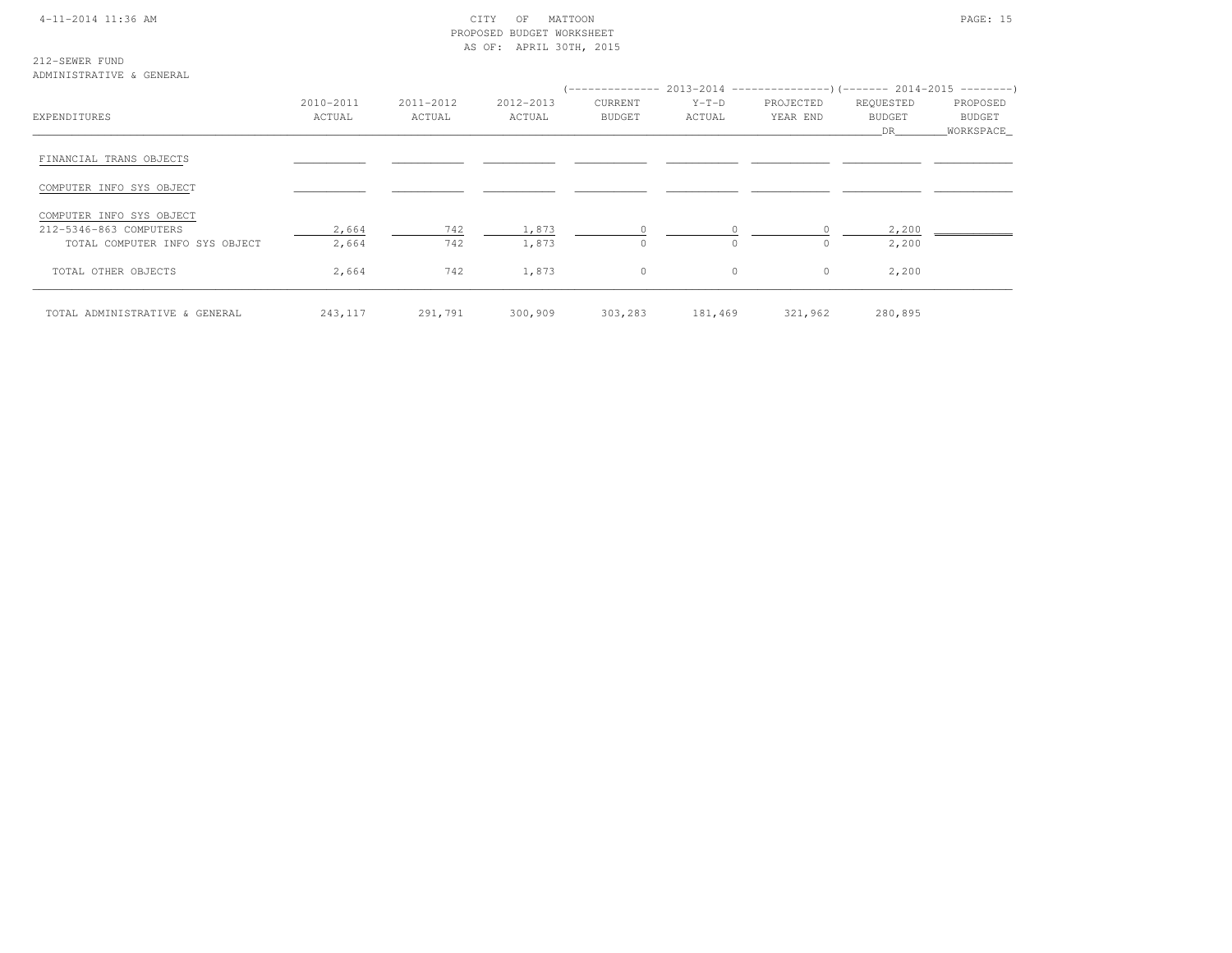#### 4-11-2014 11:36 AM CITY OF MATTOON PAGE: 15 PROPOSED BUDGET WORKSHEETAS OF: APRIL 30TH, 2015

212-SEWER FUND

ADMINISTRATIVE & GENERAL

|                                |           |           |           | (-------------- 2013-2014 -------------------) (------- 2014-2015 ---------) |          |           |               |           |
|--------------------------------|-----------|-----------|-----------|------------------------------------------------------------------------------|----------|-----------|---------------|-----------|
|                                | 2010-2011 | 2011-2012 | 2012-2013 | <b>CURRENT</b>                                                               | $Y-T-D$  | PROJECTED | REQUESTED     | PROPOSED  |
| EXPENDITURES                   | ACTUAL    | ACTUAL    | ACTUAL    | <b>BUDGET</b>                                                                | ACTUAL   | YEAR END  | <b>BUDGET</b> | BUDGET    |
|                                |           |           |           |                                                                              |          |           | DR.           | WORKSPACE |
| FINANCIAL TRANS OBJECTS        |           |           |           |                                                                              |          |           |               |           |
| COMPUTER INFO SYS OBJECT       |           |           |           |                                                                              |          |           |               |           |
| COMPUTER INFO SYS OBJECT       |           |           |           |                                                                              |          |           |               |           |
| 212-5346-863 COMPUTERS         | 2,664     | 742       | 1,873     | $\circ$                                                                      |          | $\Omega$  | 2,200         |           |
| TOTAL COMPUTER INFO SYS OBJECT | 2,664     | 742       | 1,873     | $\Omega$                                                                     | $\Omega$ | $\Omega$  | 2,200         |           |
| TOTAL OTHER OBJECTS            | 2,664     | 742       | 1,873     | $\circ$                                                                      | $\circ$  | $\circ$   | 2,200         |           |
| TOTAL ADMINISTRATIVE & GENERAL | 243,117   | 291,791   | 300,909   | 303,283                                                                      | 181,469  | 321,962   | 280,895       |           |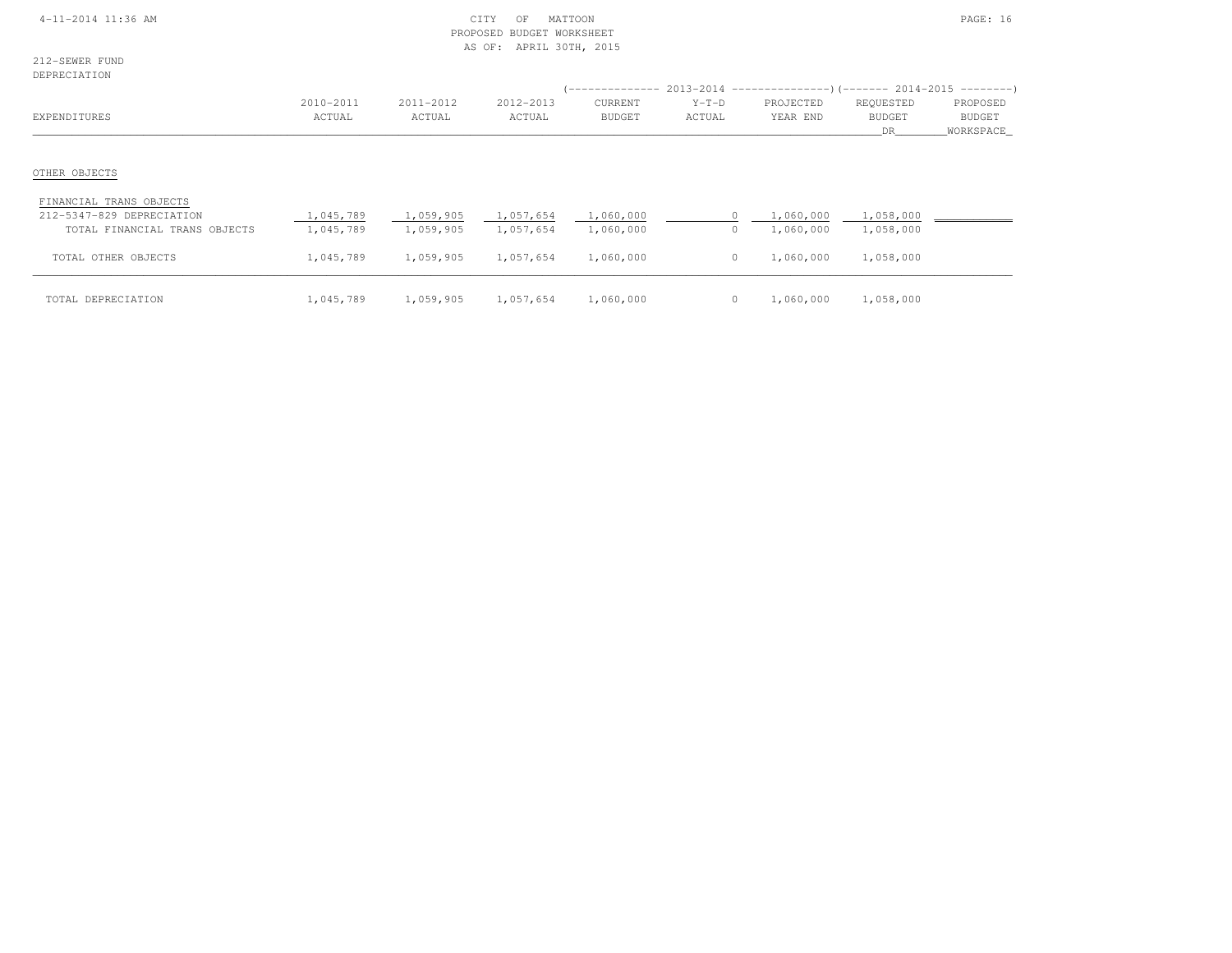#### 4-11-2014 11:36 AM CITY OF MATTOON PAGE: 16 PROPOSED BUDGET WORKSHEETAS OF: APRIL 30TH, 2015

212-SEWER FUND

| DEPRECIATION                  |           |           |           |                |          |                                                            |               |               |
|-------------------------------|-----------|-----------|-----------|----------------|----------|------------------------------------------------------------|---------------|---------------|
|                               |           |           |           | -------------- |          | $2013-2014$ ----------------)(------- 2014-2015 ---------) |               |               |
|                               | 2010-2011 | 2011-2012 | 2012-2013 | <b>CURRENT</b> | $Y-T-D$  | PROJECTED                                                  | REQUESTED     | PROPOSED      |
| EXPENDITURES                  | ACTUAL    | ACTUAL    | ACTUAL    | <b>BUDGET</b>  | ACTUAL   | YEAR END                                                   | <b>BUDGET</b> | <b>BUDGET</b> |
|                               |           |           |           |                |          |                                                            | DR.           | WORKSPACE     |
|                               |           |           |           |                |          |                                                            |               |               |
| OTHER OBJECTS                 |           |           |           |                |          |                                                            |               |               |
| FINANCIAL TRANS OBJECTS       |           |           |           |                |          |                                                            |               |               |
| 212-5347-829 DEPRECIATION     | 1,045,789 | 1,059,905 | 1,057,654 | 1,060,000      |          | 1,060,000                                                  | 1,058,000     |               |
| TOTAL FINANCIAL TRANS OBJECTS | 1,045,789 | 1,059,905 | 1,057,654 | 1,060,000      | 0.       | 1,060,000                                                  | 1,058,000     |               |
| TOTAL OTHER OBJECTS           | 1,045,789 | 1,059,905 | 1,057,654 | 1,060,000      | $\Omega$ | 1,060,000                                                  | 1,058,000     |               |
|                               |           |           |           |                |          |                                                            |               |               |

TOTAL DEPRECIATION 0 0 1,058,000 1,059,905 1,059,905 1,057,654 1,060,000 1,060,000 1,060,000 1,058,000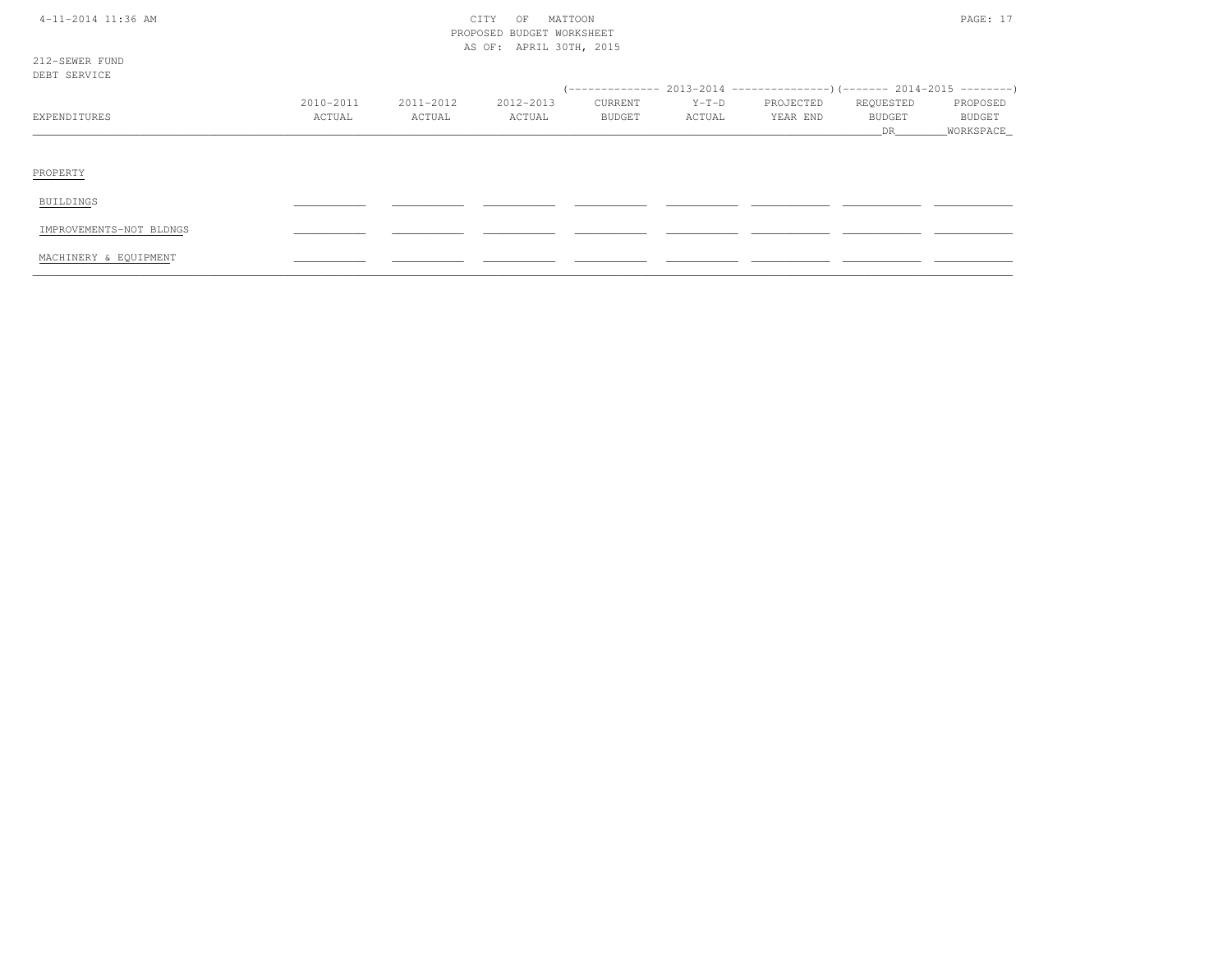### 4-11-2014 CITY OF MATTOON PAGE: 17 PROPOSED BUDGET WORKSHEETAS OF: APRIL 30TH, 2015

| 212-SEWER FUND |   |  |
|----------------|---|--|
| e Di           | ш |  |

| nnn nnun th             |                     |                     |                     |                          |                   | (-------------- 2013-2014 --------------------- 2014-2015 --------- ) |                                  |                                   |
|-------------------------|---------------------|---------------------|---------------------|--------------------------|-------------------|-----------------------------------------------------------------------|----------------------------------|-----------------------------------|
| EXPENDITURES            | 2010-2011<br>ACTUAL | 2011-2012<br>ACTUAL | 2012-2013<br>ACTUAL | CURRENT<br><b>BUDGET</b> | $Y-T-D$<br>ACTUAL | PROJECTED<br>YEAR END                                                 | REQUESTED<br><b>BUDGET</b><br>DR | PROPOSED<br>BUDGET<br>_WORKSPACE_ |
| PROPERTY                |                     |                     |                     |                          |                   |                                                                       |                                  |                                   |
| <b>BUILDINGS</b>        |                     |                     |                     |                          |                   |                                                                       |                                  |                                   |
| IMPROVEMENTS-NOT BLDNGS |                     |                     |                     |                          |                   |                                                                       |                                  |                                   |
| MACHINERY & EQUIPMENT   |                     |                     |                     |                          |                   |                                                                       |                                  |                                   |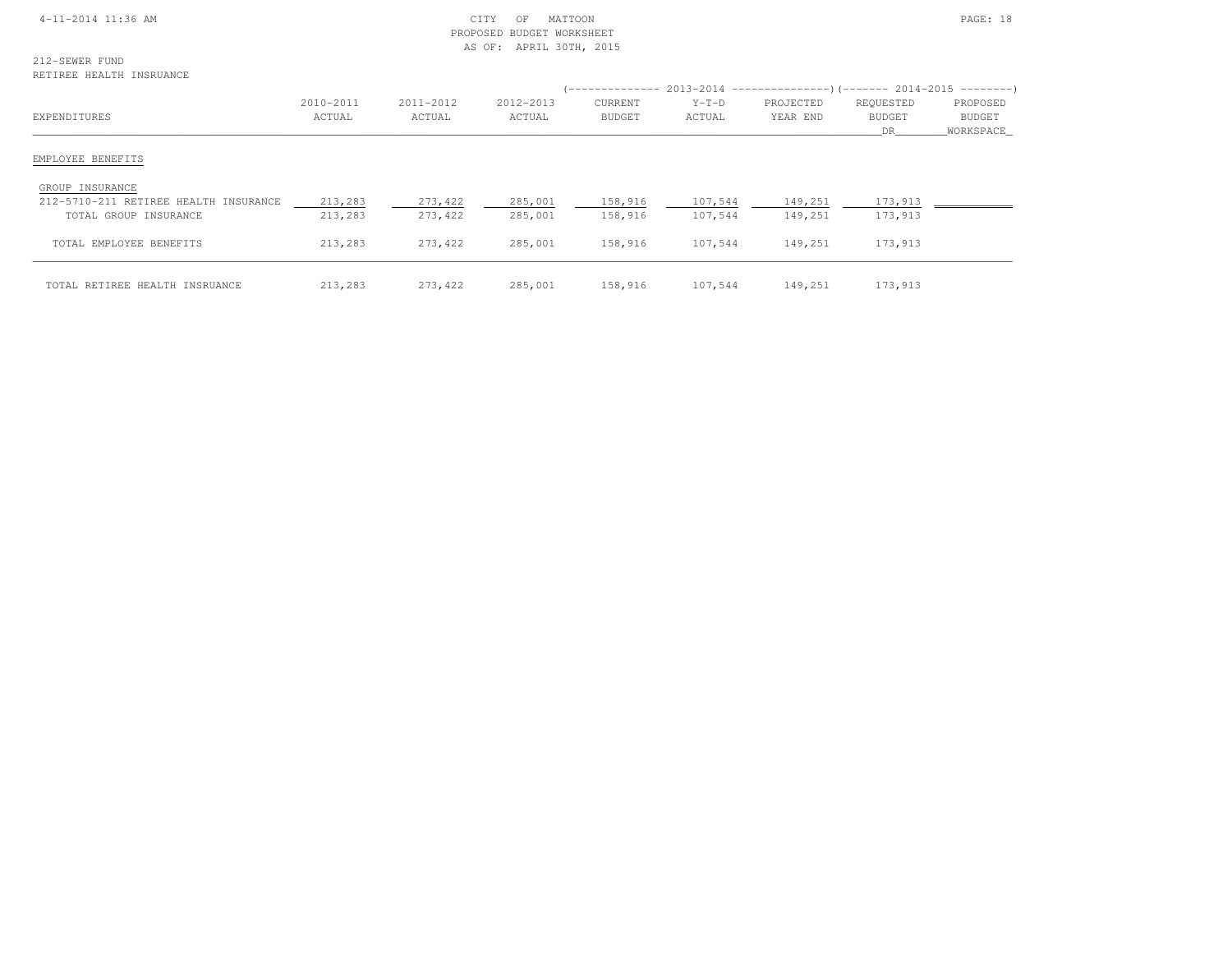#### 4-11-2014 11:36 AM CITY OF MATTOON PAGE: 18 PROPOSED BUDGET WORKSHEETAS OF: APRIL 30TH, 2015

212-SEWER FUNDRETIREE HEALTH INSRUANCE

|                                       |                     |                     |                     |                          |                   | $($ -------------- 2013-2014 ----------------) (------- 2014-2015 ---------) |                           |                                   |
|---------------------------------------|---------------------|---------------------|---------------------|--------------------------|-------------------|------------------------------------------------------------------------------|---------------------------|-----------------------------------|
| EXPENDITURES                          | 2010-2011<br>ACTUAL | 2011-2012<br>ACTUAL | 2012-2013<br>ACTUAL | CURRENT<br><b>BUDGET</b> | $Y-T-D$<br>ACTUAL | PROJECTED<br>YEAR END                                                        | REQUESTED<br>BUDGET<br>DR | PROPOSED<br>BUDGET<br>_WORKSPACE_ |
| EMPLOYEE BENEFITS                     |                     |                     |                     |                          |                   |                                                                              |                           |                                   |
| GROUP INSURANCE                       |                     |                     |                     |                          |                   |                                                                              |                           |                                   |
| 212-5710-211 RETIREE HEALTH INSURANCE | 213,283             | 273,422             | 285,001             | 158,916                  | 107,544           | 149,251                                                                      | 173,913                   |                                   |
| TOTAL GROUP INSURANCE                 | 213,283             | 273,422             | 285,001             | 158,916                  | 107,544           | 149,251                                                                      | 173,913                   |                                   |
| TOTAL EMPLOYEE BENEFITS               | 213,283             | 273,422             | 285,001             | 158,916                  | 107,544           | 149,251                                                                      | 173,913                   |                                   |
| TOTAL RETIREE HEALTH INSRUANCE        | 213,283             | 273,422             | 285,001             | 158,916                  | 107,544           | 149,251                                                                      | 173,913                   |                                   |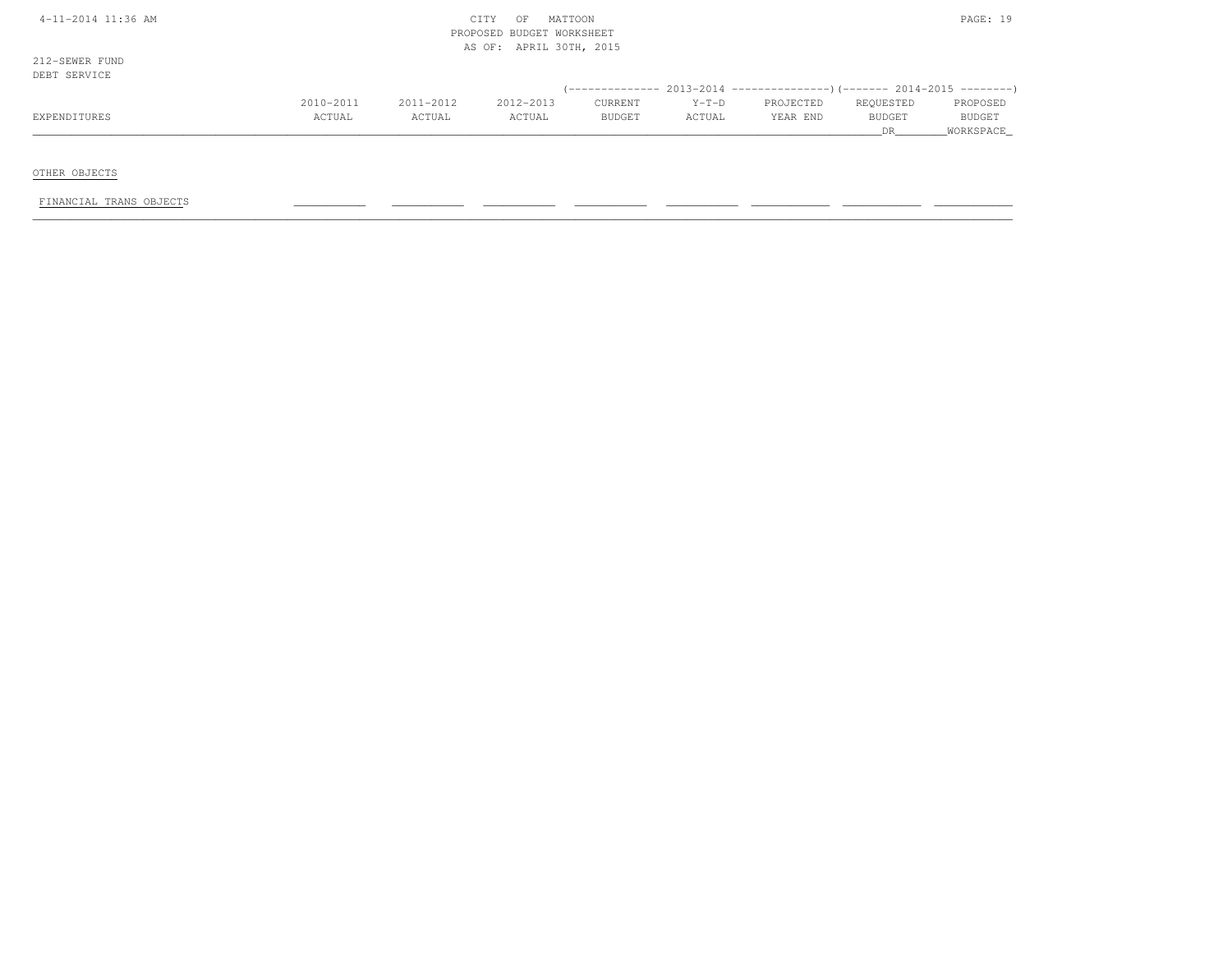| $4-11-2014$ 11:36 AM |  |
|----------------------|--|
|----------------------|--|

#### $\begin{array}{ccc} \text{CITY} & \text{OF} & \text{MATION} \end{array}$  PROPOSED BUDGET WORKSHEETAS OF: APRIL 30TH, 2015

212-SEWER FUNDDEBT SERVICE

| UBDI JBNVICB |               |           |           |               |         |           |               |               |
|--------------|---------------|-----------|-----------|---------------|---------|-----------|---------------|---------------|
|              |               |           |           |               |         |           |               |               |
|              | $2010 - 2011$ | 2011-2012 | 2012-2013 | CURRENT       | $Y-T-D$ | PROJECTED | REQUESTED     | PROPOSED      |
| EXPENDITURES | CTUAL         | ACTUAL    | ACTUAL    | <b>BUDGET</b> | ACTUAL  | YEAR END  | <b>BUDGET</b> | <b>BUDGET</b> |
|              |               |           |           |               |         |           |               | WORKSPACE     |

OTHER OBJECTS

FINANCIAL TRANS OBJECTS \_\_\_\_\_\_\_\_\_\_\_ \_\_\_\_\_\_\_\_\_\_\_ \_\_\_\_\_\_\_\_\_\_\_ \_\_\_\_\_\_\_\_\_\_\_ \_\_\_\_\_\_\_\_\_\_\_ \_\_\_\_\_\_\_\_\_\_\_\_ \_\_\_\_\_\_\_\_\_\_\_\_ \_\_\_\_\_\_\_\_\_\_\_\_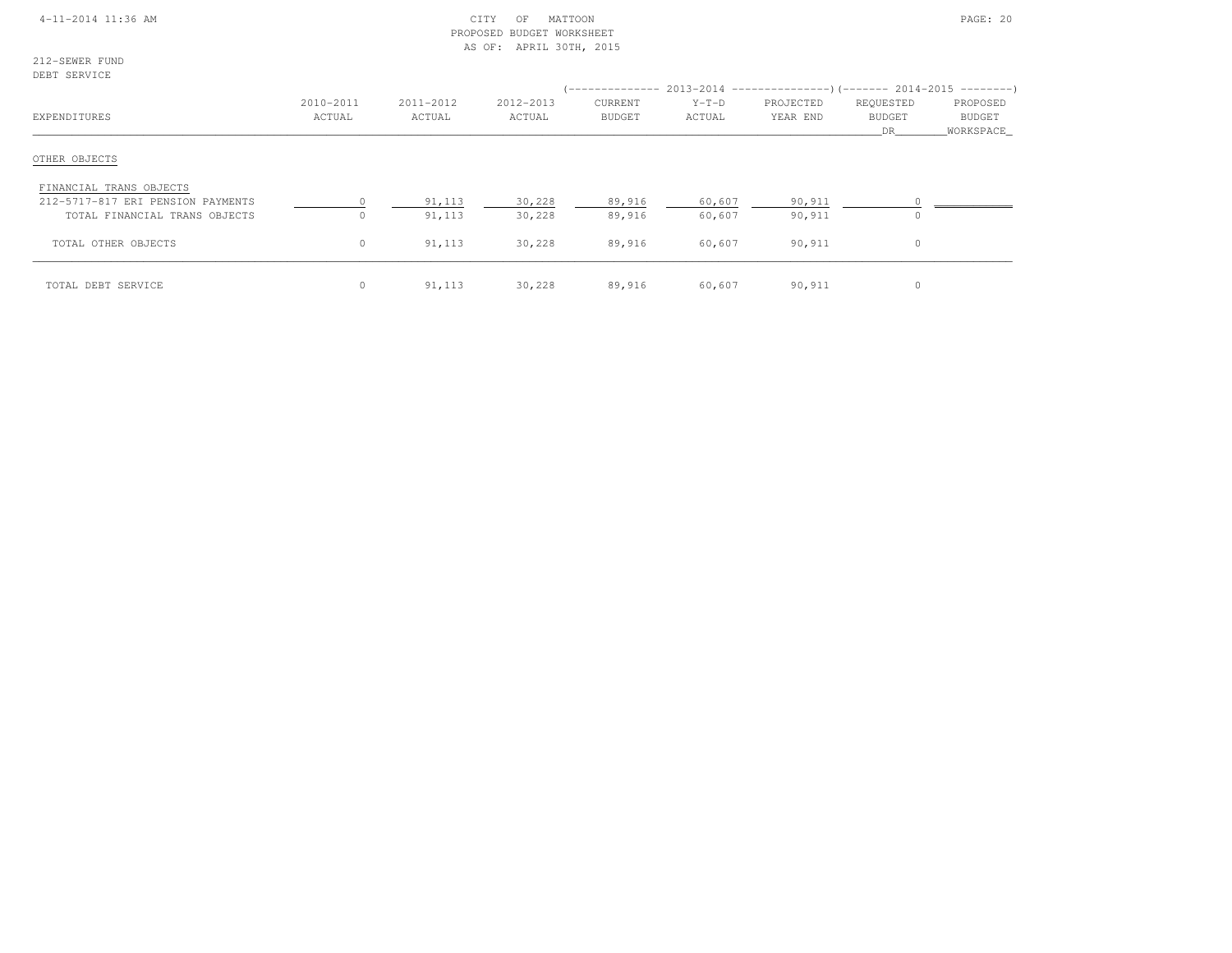#### 4-11-2014 11:36 AM CITY OF MATTOON PAGE: 20 PROPOSED BUDGET WORKSHEETAS OF: APRIL 30TH, 2015

212-SEWER FUNDDEBT SERVICE

| EXPENDITURES                                                 | 2010-2011<br>ACTUAL | 2011-2012<br>ACTUAL | 2012-2013<br>ACTUAL | <b>CURRENT</b><br><b>BUDGET</b> | $Y-T-D$<br>ACTUAL | (-------------- 2013-2014 --------------------- 2014-2015 ---------- )<br>PROJECTED<br>YEAR END | REQUESTED<br><b>BUDGET</b><br>DR | PROPOSED<br>BUDGET<br>WORKSPACE |
|--------------------------------------------------------------|---------------------|---------------------|---------------------|---------------------------------|-------------------|-------------------------------------------------------------------------------------------------|----------------------------------|---------------------------------|
| OTHER OBJECTS                                                |                     |                     |                     |                                 |                   |                                                                                                 |                                  |                                 |
| FINANCIAL TRANS OBJECTS<br>212-5717-817 ERI PENSION PAYMENTS |                     | 91,113              | 30,228              | 89,916                          | 60,607            | 90,911                                                                                          |                                  |                                 |
| TOTAL FINANCIAL TRANS OBJECTS<br>TOTAL OTHER OBJECTS         | $\Omega$<br>$\circ$ | 91,113<br>91,113    | 30,228<br>30,228    | 89,916<br>89,916                | 60,607<br>60,607  | 90,911<br>90,911                                                                                | $\Omega$                         |                                 |
| TOTAL DEBT SERVICE                                           | $\circ$             | 91,113              | 30,228              | 89,916                          | 60,607            | 90,911                                                                                          |                                  |                                 |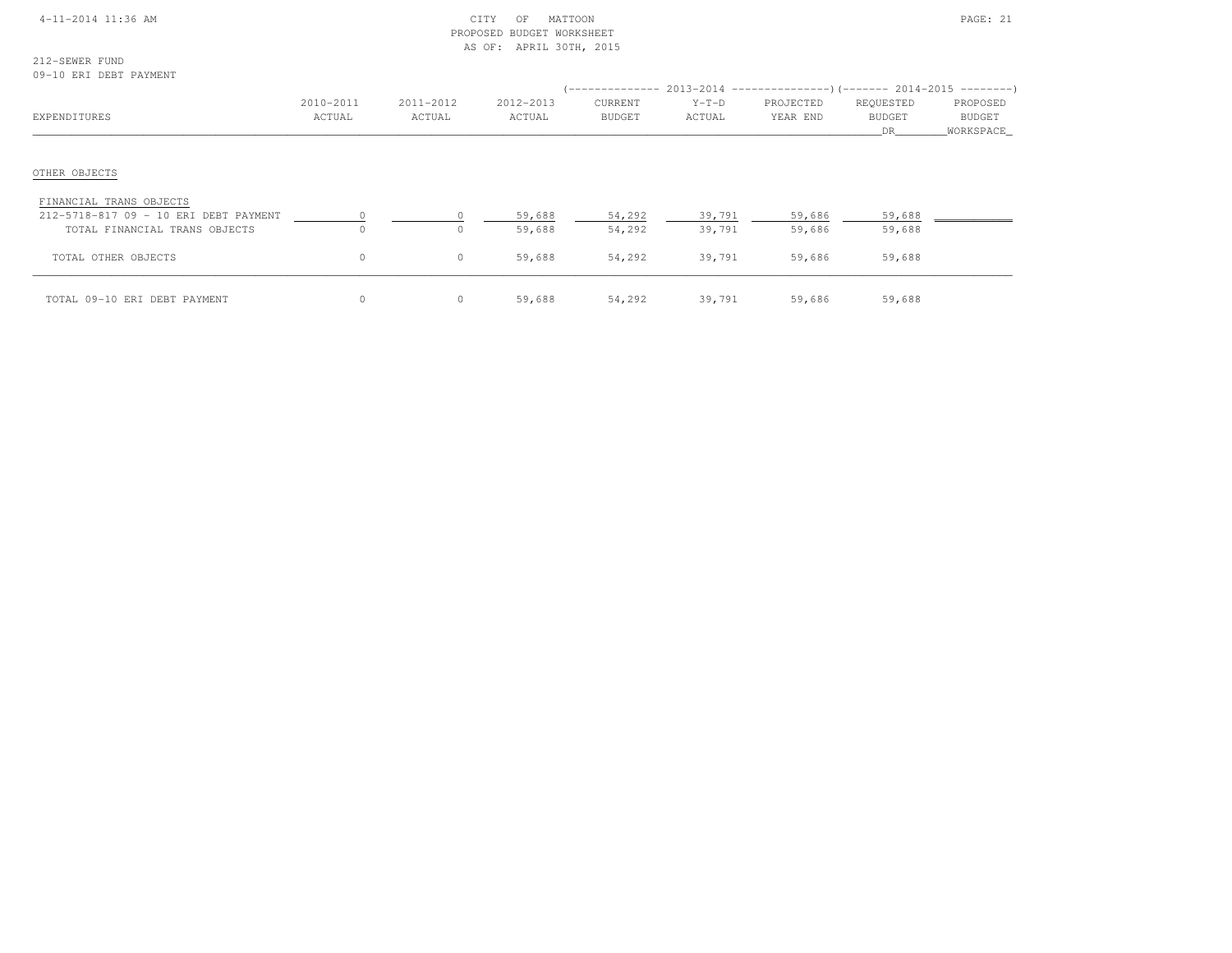| $4 - 11 - 2014$ 11:36 AM |
|--------------------------|
|--------------------------|

#### $CITY$  OF MATTOON PAGE: 21 PROPOSED BUDGET WORKSHEETAS OF: APRIL 30TH, 2015

| 212-SEWER FUND |  |                        |
|----------------|--|------------------------|
|                |  | 09–10 ERI DEBT PAYMENT |

| vy rv mili <i>mma</i> riittimil                                                                   |                     |                     |                     |                          |                   | :--------------        2013-2014 ---------------------        2014-2015 ---------) |                                  |                                        |
|---------------------------------------------------------------------------------------------------|---------------------|---------------------|---------------------|--------------------------|-------------------|------------------------------------------------------------------------------------|----------------------------------|----------------------------------------|
| EXPENDITURES                                                                                      | 2010-2011<br>ACTUAL | 2011-2012<br>ACTUAL | 2012-2013<br>ACTUAL | CURRENT<br><b>BUDGET</b> | $Y-T-D$<br>ACTUAL | PROJECTED<br>YEAR END                                                              | REQUESTED<br><b>BUDGET</b><br>DR | PROPOSED<br><b>BUDGET</b><br>WORKSPACE |
| OTHER OBJECTS                                                                                     |                     |                     |                     |                          |                   |                                                                                    |                                  |                                        |
| FINANCIAL TRANS OBJECTS<br>212-5718-817 09 - 10 ERI DEBT PAYMENT<br>TOTAL FINANCIAL TRANS OBJECTS |                     | $\Omega$            | 59,688<br>59,688    | 54,292<br>54,292         | 39,791<br>39,791  | 59,686<br>59,686                                                                   | 59,688<br>59,688                 |                                        |
| TOTAL OTHER OBJECTS                                                                               | 0                   | $\circ$             | 59,688              | 54,292                   | 39,791            | 59,686                                                                             | 59,688                           |                                        |
| TOTAL 09-10 ERI DEBT PAYMENT                                                                      |                     | $\circ$             | 59,688              | 54,292                   | 39,791            | 59,686                                                                             | 59,688                           |                                        |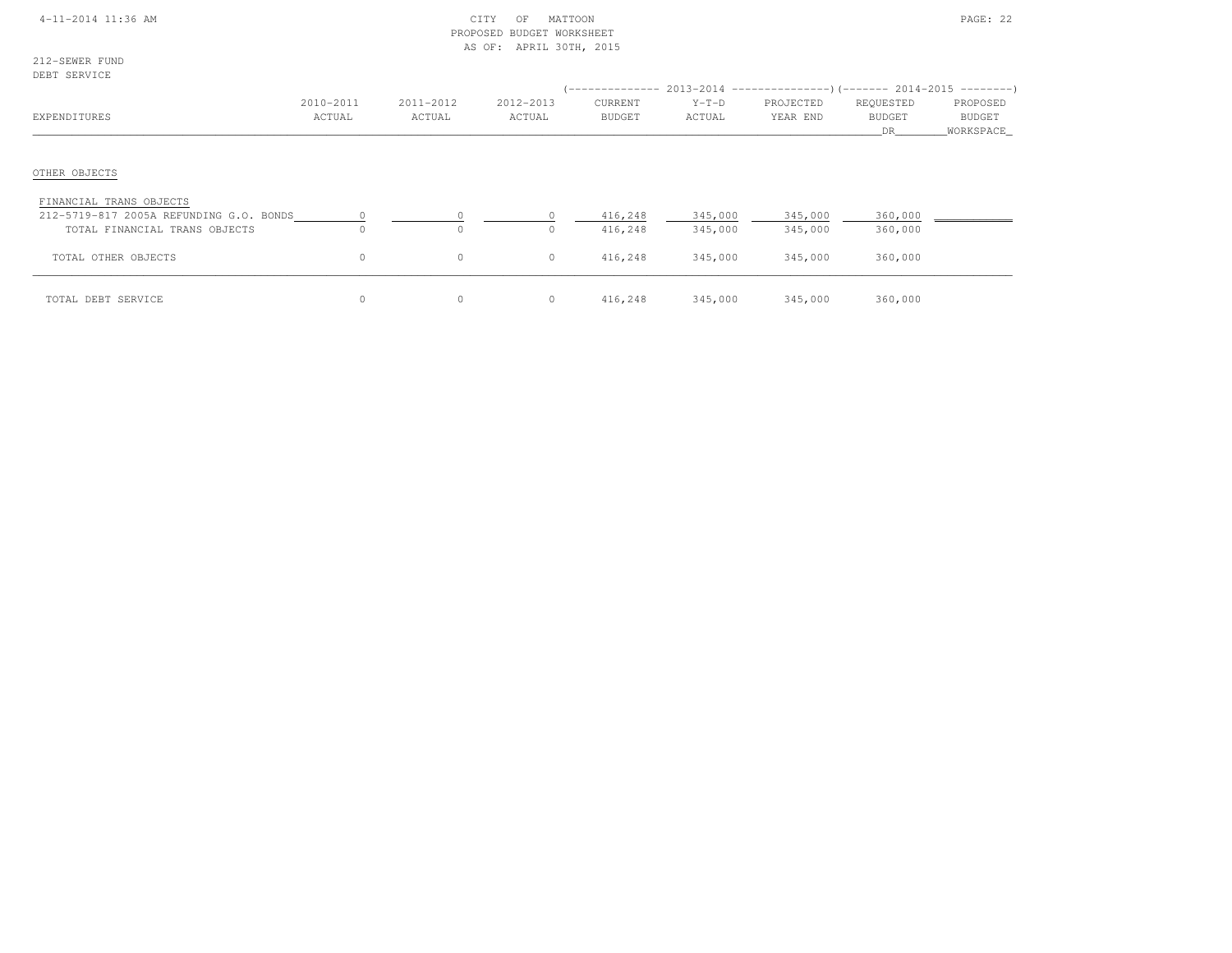#### 4-11-2014 11:36 AM CITY OF MATTOON PAGE: 22 PROPOSED BUDGET WORKSHEETAS OF: APRIL 30TH, 2015

212-SEWER FUNDDEBT SERVICE

| DEDI SEKVIÇE                                                       |                     |                     |                     |                          |                   | :-------------- 2013-2014 ---------------------        2014-2015 ----------        ) |                                   |                                 |
|--------------------------------------------------------------------|---------------------|---------------------|---------------------|--------------------------|-------------------|--------------------------------------------------------------------------------------|-----------------------------------|---------------------------------|
| EXPENDITURES                                                       | 2010-2011<br>ACTUAL | 2011-2012<br>ACTUAL | 2012-2013<br>ACTUAL | CURRENT<br><b>BUDGET</b> | $Y-T-D$<br>ACTUAL | PROJECTED<br>YEAR END                                                                | REQUESTED<br><b>BUDGET</b><br>DR. | PROPOSED<br>BUDGET<br>WORKSPACE |
| OTHER OBJECTS                                                      |                     |                     |                     |                          |                   |                                                                                      |                                   |                                 |
| FINANCIAL TRANS OBJECTS<br>212-5719-817 2005A REFUNDING G.O. BONDS |                     |                     |                     | 416,248                  | 345,000           | 345,000                                                                              | 360,000                           |                                 |
| TOTAL FINANCIAL TRANS OBJECTS                                      | $\cap$              | $\Omega$            | $\Omega$            | 416,248                  | 345,000           | 345,000                                                                              | 360,000                           |                                 |
| TOTAL OTHER OBJECTS                                                | 0                   | 0                   | $\circ$             | 416,248                  | 345,000           | 345,000                                                                              | 360,000                           |                                 |
| TOTAL DEBT SERVICE                                                 | 0                   | $\circ$             | $\circ$             | 416,248                  | 345,000           | 345,000                                                                              | 360,000                           |                                 |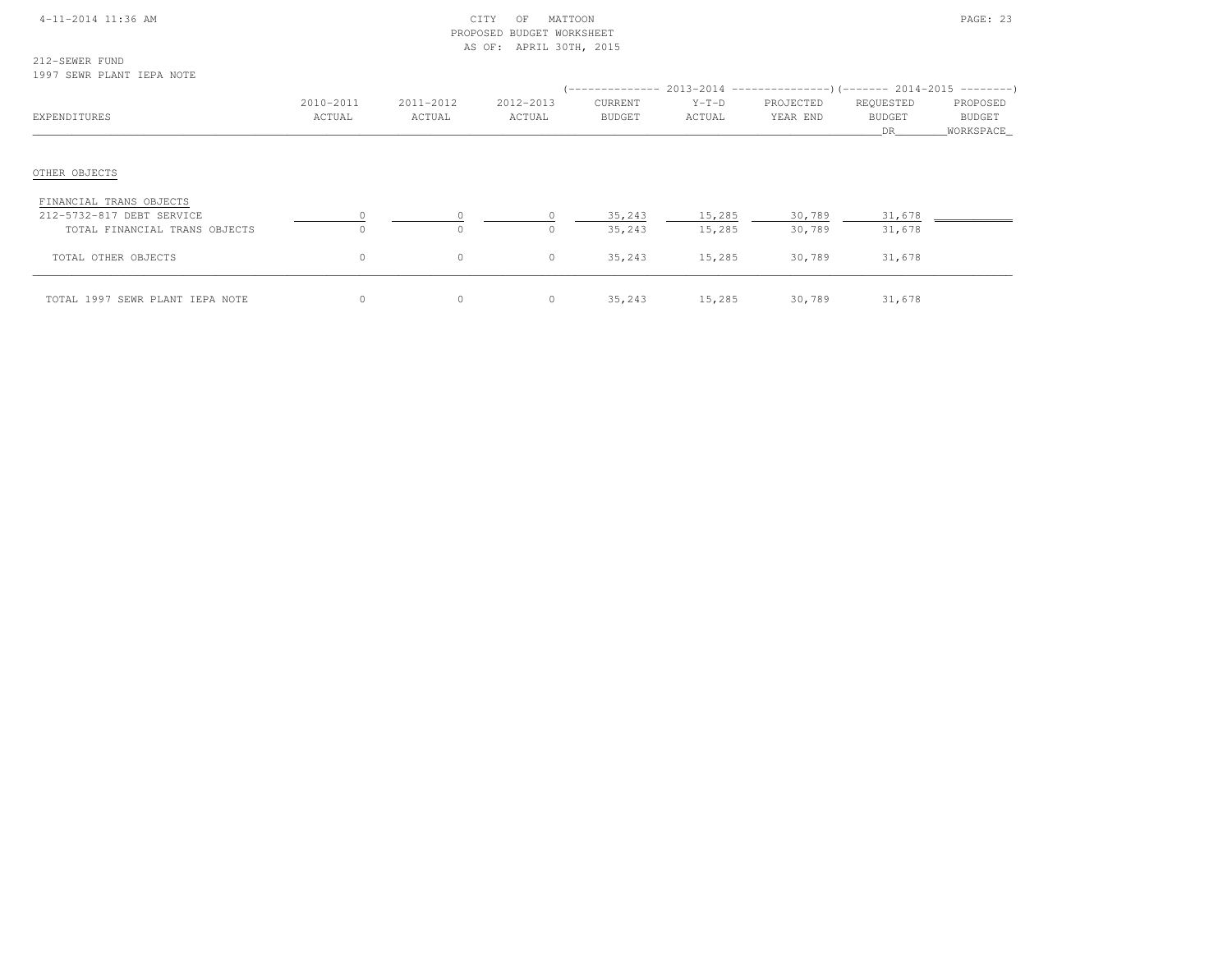| 4-11-2014 11:36 AM |  |
|--------------------|--|
|--------------------|--|

#### $\begin{array}{ccc} \text{CITY} & \text{OF} & \text{MATION} \end{array}$  PROPOSED BUDGET WORKSHEETAS OF: APRIL 30TH, 2015

212-SEWER FUND1997 SEWR PLANT IEPA NOTE

| EXPENDITURES                                         | 2010-2011<br>ACTUAL | 2011-2012<br>ACTUAL | 2012-2013<br>ACTUAL | CURRENT<br>BUDGET | $Y-T-D$<br>ACTUAL | (-------------- 2013-2014 ----------------)(------- 2014-2015 ---------)<br>PROJECTED<br>YEAR END | REQUESTED<br><b>BUDGET</b><br>DR | PROPOSED<br><b>BUDGET</b><br>WORKSPACE |
|------------------------------------------------------|---------------------|---------------------|---------------------|-------------------|-------------------|---------------------------------------------------------------------------------------------------|----------------------------------|----------------------------------------|
| OTHER OBJECTS                                        |                     |                     |                     |                   |                   |                                                                                                   |                                  |                                        |
| FINANCIAL TRANS OBJECTS<br>212-5732-817 DEBT SERVICE |                     |                     |                     | 35,243            | 15,285            | 30,789                                                                                            | 31,678                           |                                        |
| TOTAL FINANCIAL TRANS OBJECTS                        |                     | $\Omega$            | $\Omega$            | 35,243            | 15,285            | 30,789                                                                                            | 31,678                           |                                        |
| TOTAL OTHER OBJECTS                                  | 0                   | 0                   | $\circ$             | 35,243            | 15,285            | 30,789                                                                                            | 31,678                           |                                        |
| TOTAL 1997 SEWR PLANT IEPA NOTE                      |                     | 0                   | $\circ$             | 35,243            | 15,285            | 30,789                                                                                            | 31,678                           |                                        |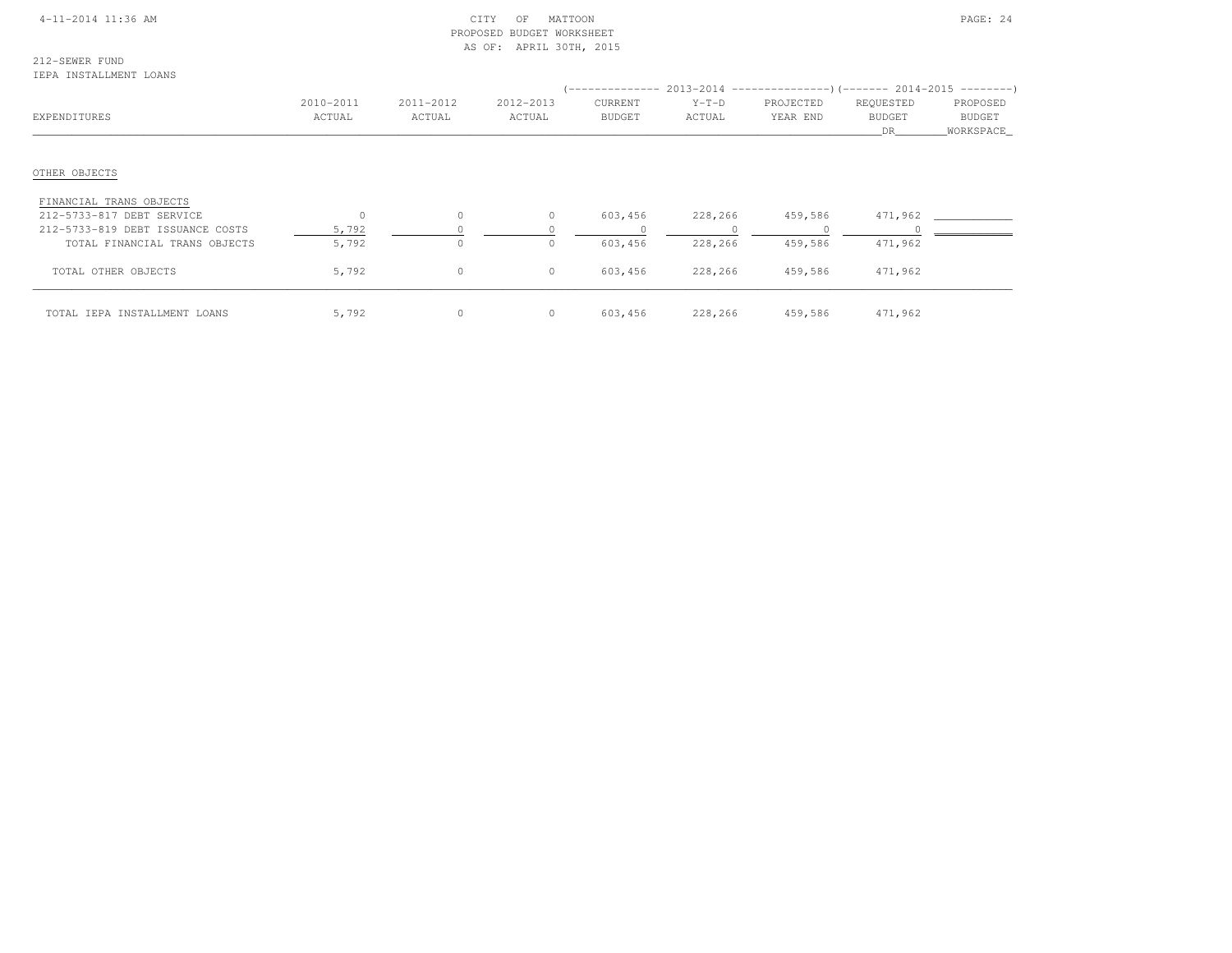#### 4-11-2014 11:36 AM CITY OF MATTOON PAGE: 24 PROPOSED BUDGET WORKSHEETAS OF: APRIL 30TH, 2015

# 212-SEWER FUND

IEPA INSTALLMENT LOANS

|                                  |           |           |           | -------------- |         | $2013-2014$ ----------------)(------- 2014-2015 ---------) |               |           |  |
|----------------------------------|-----------|-----------|-----------|----------------|---------|------------------------------------------------------------|---------------|-----------|--|
|                                  | 2010-2011 | 2011-2012 | 2012-2013 | CURRENT        | $Y-T-D$ | PROJECTED                                                  | REQUESTED     | PROPOSED  |  |
| EXPENDITURES                     | ACTUAL    | ACTUAL    | ACTUAL    | <b>BUDGET</b>  | ACTUAL  | YEAR END                                                   | <b>BUDGET</b> | BUDGET    |  |
|                                  |           |           |           |                |         |                                                            | DR            | WORKSPACE |  |
|                                  |           |           |           |                |         |                                                            |               |           |  |
| OTHER OBJECTS                    |           |           |           |                |         |                                                            |               |           |  |
| FINANCIAL TRANS OBJECTS          |           |           |           |                |         |                                                            |               |           |  |
| 212-5733-817 DEBT SERVICE        | $\Omega$  | $\circ$   | $\circ$   | 603,456        | 228,266 | 459,586                                                    | 471,962       |           |  |
| 212-5733-819 DEBT ISSUANCE COSTS | 5,792     |           |           |                |         |                                                            |               |           |  |
| TOTAL FINANCIAL TRANS OBJECTS    | 5,792     | $\circ$   | $\Omega$  | 603,456        | 228,266 | 459,586                                                    | 471,962       |           |  |
| TOTAL OTHER OBJECTS              | 5,792     | $\circ$   | $\circ$   | 603,456        | 228,266 | 459,586                                                    | 471,962       |           |  |
| TOTAL IEPA INSTALLMENT LOANS     | 5,792     | 0         | $\circ$   | 603,456        | 228,266 | 459,586                                                    | 471,962       |           |  |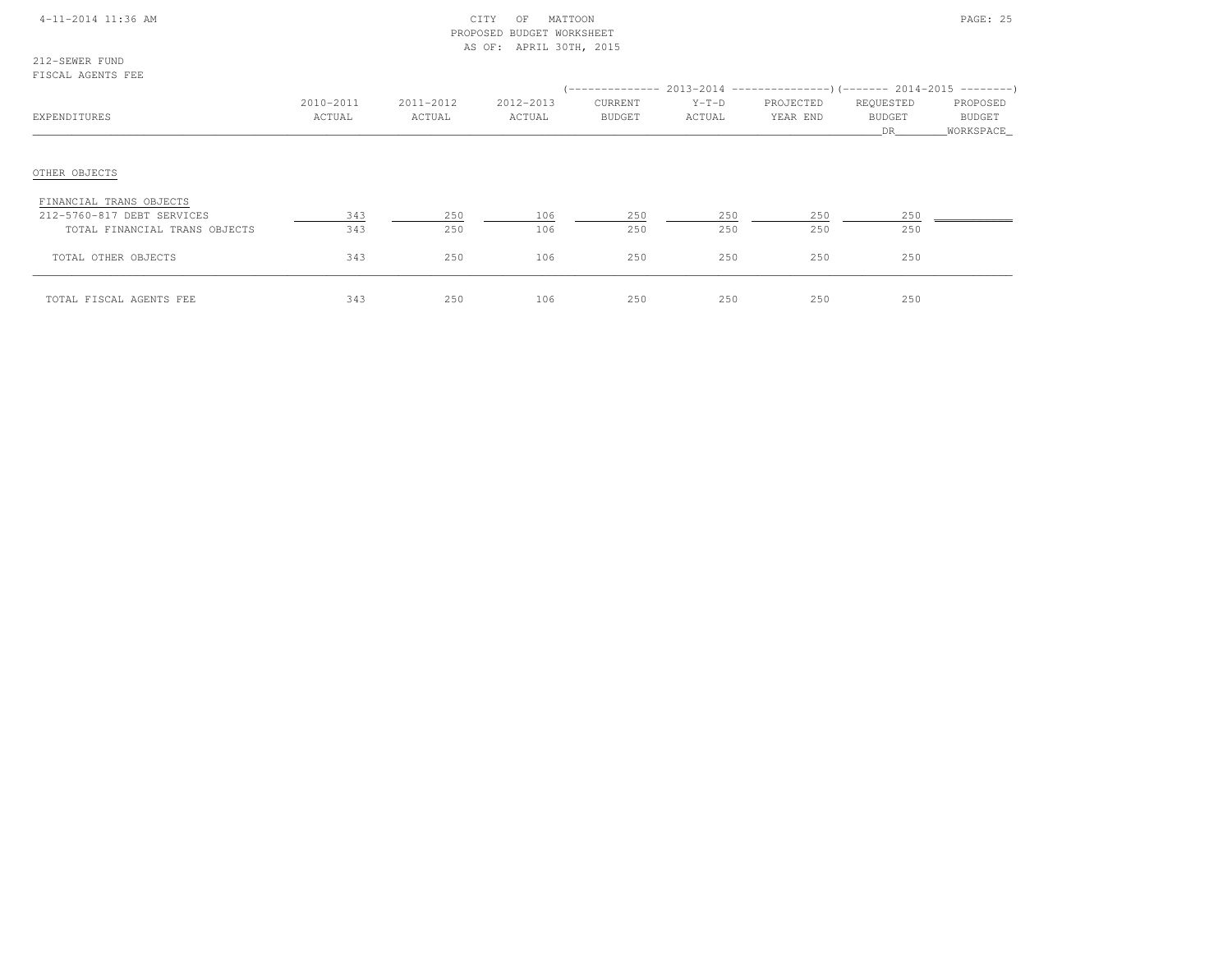|  | 4-11-2014 11:36 AM |  |
|--|--------------------|--|
|  |                    |  |

#### $\text{CITY}$  OF MATTOON  $\text{PAGE: } 25$  PROPOSED BUDGET WORKSHEETAS OF: APRIL 30TH, 2015

212-SEWER FUNDFISCAL AGENTS FEE

| EXPENDITURES                                                                           | 2010-2011<br>ACTUAL | 2011-2012<br>ACTUAL | 2012-2013<br>ACTUAL | CURRENT<br>BUDGET | $Y-T-D$<br>ACTUAL | (-------------- 2013-2014 ----------------) (------- 2014-2015 ---------)<br>PROJECTED<br>YEAR END | REQUESTED<br><b>BUDGET</b><br>DR | PROPOSED<br>BUDGET<br>WORKSPACE |
|----------------------------------------------------------------------------------------|---------------------|---------------------|---------------------|-------------------|-------------------|----------------------------------------------------------------------------------------------------|----------------------------------|---------------------------------|
| OTHER OBJECTS                                                                          |                     |                     |                     |                   |                   |                                                                                                    |                                  |                                 |
| FINANCIAL TRANS OBJECTS<br>212-5760-817 DEBT SERVICES<br>TOTAL FINANCIAL TRANS OBJECTS | 343<br>343          | 250<br>250          | 106<br>106          | 250<br>250        | 250<br>250        | 250<br>250                                                                                         | 250<br>250                       |                                 |
| TOTAL OTHER OBJECTS                                                                    | 343                 | 250                 | 106                 | 250               | 250               | 250                                                                                                | 250                              |                                 |
| TOTAL FISCAL AGENTS FEE                                                                | 343                 | 250                 | 106                 | 250               | 250               | 250                                                                                                | 250                              |                                 |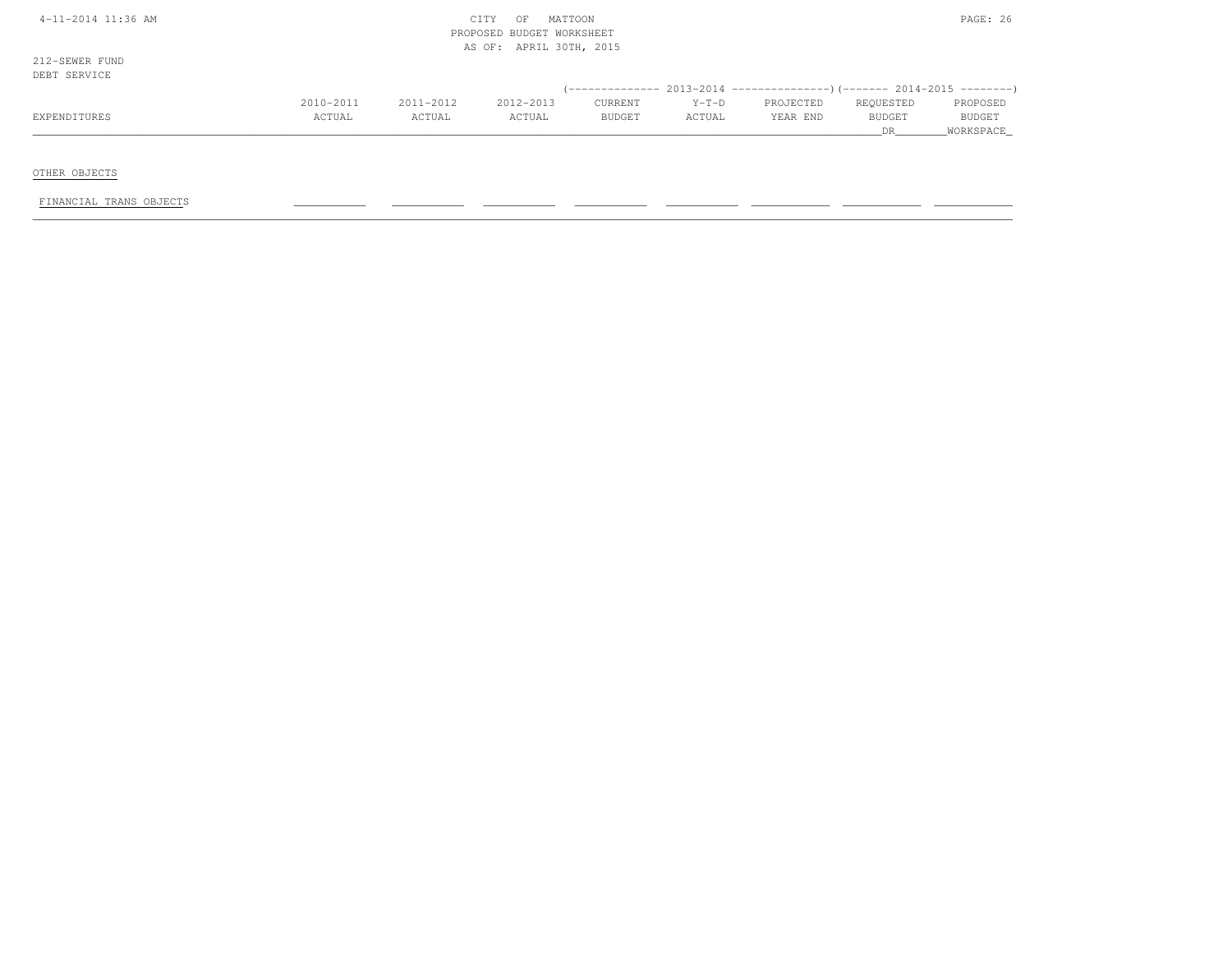| $4-11-2014$ 11:36 AM |  |
|----------------------|--|
|----------------------|--|

#### $\text{CITY}$  of MATTOON PAGE: 26 PROPOSED BUDGET WORKSHEETAS OF: APRIL 30TH, 2015

212-SEWER FUNDDEBT SERVICE

| اظالم المسلس المسلس |           |           |           |               |         |           |               |               |
|---------------------|-----------|-----------|-----------|---------------|---------|-----------|---------------|---------------|
|                     |           |           |           |               |         |           |               |               |
|                     | 2010-2011 | 2011-2012 | 2012-2013 | CURRENT       | $Y-T-D$ | PROJECTED | REQUESTED     | PROPOSED      |
| EXPENDITURES        | ACTUAL    | ACTUAL    | ACTUAL    | <b>BUDGET</b> | ACTUAL  | YEAR END  | <b>BUDGET</b> | <b>BUDGET</b> |
|                     |           |           |           |               |         |           |               | WORKSPACE     |

OTHER OBJECTS

FINANCIAL TRANS OBJECTS \_\_\_\_\_\_\_\_\_\_\_ \_\_\_\_\_\_\_\_\_\_\_ \_\_\_\_\_\_\_\_\_\_\_ \_\_\_\_\_\_\_\_\_\_\_ \_\_\_\_\_\_\_\_\_\_\_ \_\_\_\_\_\_\_\_\_\_\_\_ \_\_\_\_\_\_\_\_\_\_\_\_ \_\_\_\_\_\_\_\_\_\_\_\_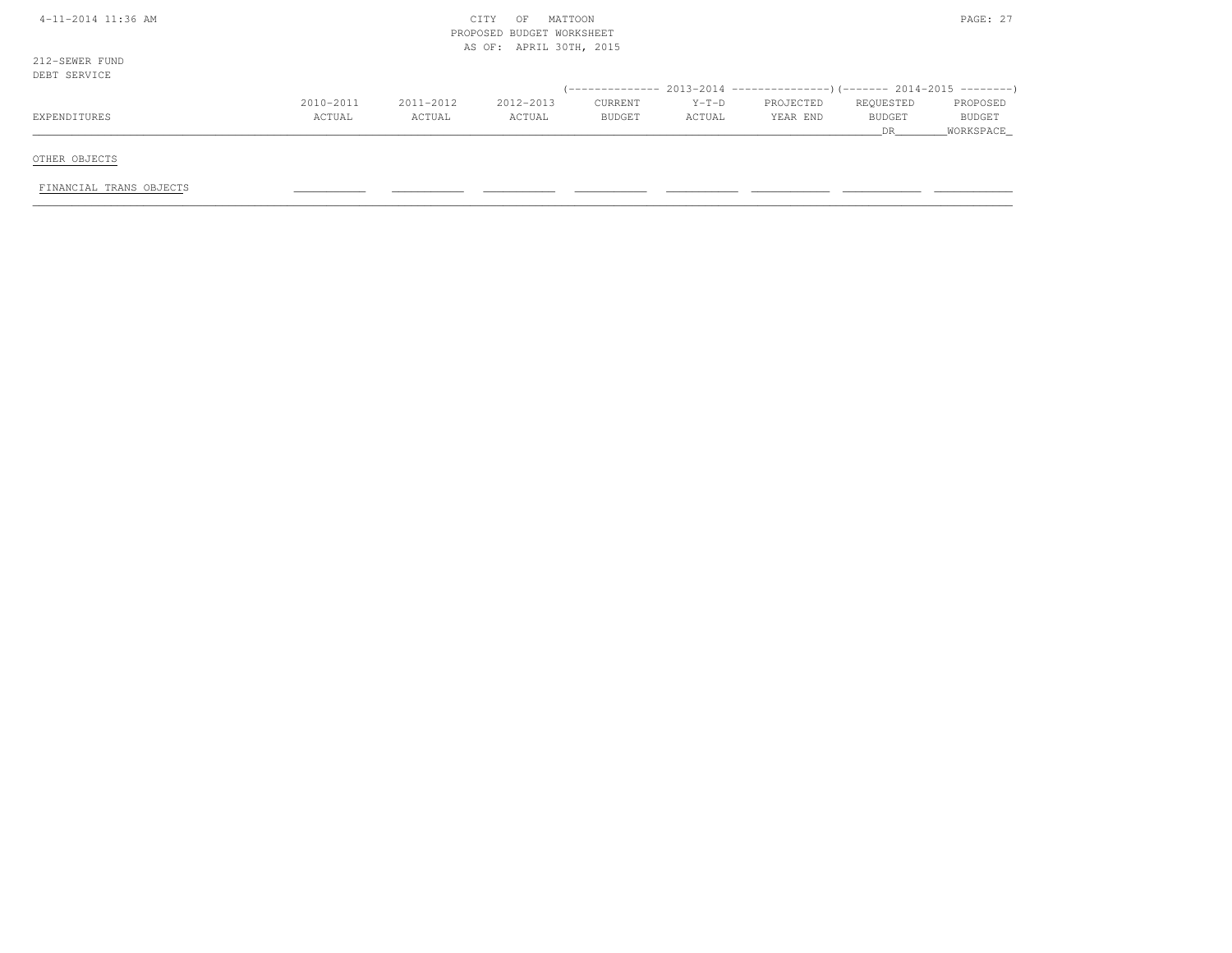| 4-11-2014 11:36 AM             | PAGE: 27<br>CITY<br>OF<br>MATTOON<br>PROPOSED BUDGET WORKSHEET<br>AS OF: APRIL 30TH, 2015 |           |           |               |         |           |               |               |  |
|--------------------------------|-------------------------------------------------------------------------------------------|-----------|-----------|---------------|---------|-----------|---------------|---------------|--|
| 212-SEWER FUND<br>DEBT SERVICE |                                                                                           |           |           |               |         |           |               |               |  |
|                                |                                                                                           |           |           |               |         |           |               |               |  |
|                                | 2010-2011                                                                                 | 2011-2012 | 2012-2013 | CURRENT       | $Y-T-D$ | PROJECTED | REQUESTED     | PROPOSED      |  |
| EXPENDITURES                   | ACTUAL                                                                                    | ACTUAL    | ACTUAL    | <b>BUDGET</b> | ACTUAL  | YEAR END  | <b>BUDGET</b> | <b>BUDGET</b> |  |
|                                |                                                                                           |           |           |               |         |           | DR.           | WORKSPACE     |  |
| OTHER OBJECTS                  |                                                                                           |           |           |               |         |           |               |               |  |
| FINANCIAL TRANS OBJECTS        |                                                                                           |           |           |               |         |           |               |               |  |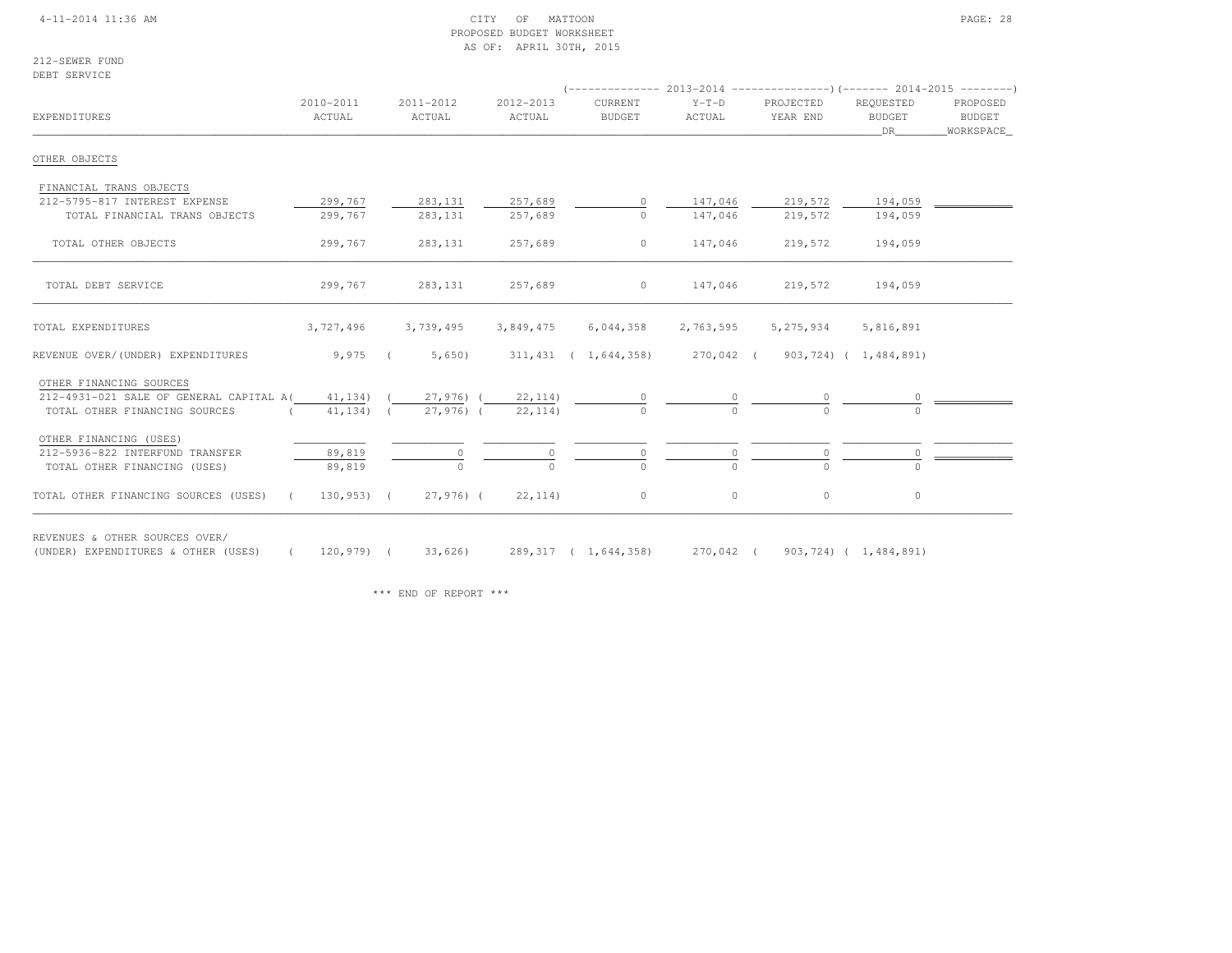#### 4-11-2014 11:36 AM CITY OF MATTOON PAGE: 28 PROPOSED BUDGET WORKSHEETAS OF: APRIL 30TH, 2015

212-SEWER FUNDDEBT SERVICE

| EXPENDITURES                                                          | 2010-2011<br>ACTUAL | 2011-2012<br>ACTUAL | 2012-2013<br>ACTUAL | CURRENT<br><b>BUDGET</b>                             | $Y-T-D$<br>ACTUAL | PROJECTED<br>YEAR END         | REQUESTED<br><b>BUDGET</b><br>DR – | PROPOSED<br>BUDGET<br>_WORKSPACE_ |
|-----------------------------------------------------------------------|---------------------|---------------------|---------------------|------------------------------------------------------|-------------------|-------------------------------|------------------------------------|-----------------------------------|
| OTHER OBJECTS                                                         |                     |                     |                     |                                                      |                   |                               |                                    |                                   |
| FINANCIAL TRANS OBJECTS                                               |                     |                     |                     |                                                      |                   |                               |                                    |                                   |
| 212-5795-817 INTEREST EXPENSE                                         | 299,767             | 283,131             | 257,689             | $\circ$                                              | 147,046           | 219,572                       | 194,059                            |                                   |
| TOTAL FINANCIAL TRANS OBJECTS                                         | 299,767             | 283, 131            | 257,689             | $\Omega$                                             | 147,046           | 219,572                       | 194,059                            |                                   |
| TOTAL OTHER OBJECTS                                                   | 299,767             | 283,131             | 257,689             | $\circ$                                              | 147,046           | 219,572                       | 194,059                            |                                   |
| TOTAL DEBT SERVICE                                                    | 299,767             | 283,131             | 257,689             | $\circ$                                              | 147,046           | 219,572                       | 194,059                            |                                   |
| TOTAL EXPENDITURES                                                    | 3,727,496           | 3,739,495           | 3,849,475           | 6,044,358                                            | 2,763,595         | 5,275,934                     | 5,816,891                          |                                   |
| REVENUE OVER/(UNDER) EXPENDITURES                                     | $9,975$ (           | 5,650)              |                     | 311,431 ( 1,644,358) 270,042 ( 903,724) ( 1,484,891) |                   |                               |                                    |                                   |
| OTHER FINANCING SOURCES                                               |                     |                     |                     |                                                      |                   |                               |                                    |                                   |
| 212-4931-021 SALE OF GENERAL CAPITAL A(41,134) (                      |                     |                     | 27,976) ( 22,114)   |                                                      |                   |                               |                                    |                                   |
| TOTAL OTHER FINANCING SOURCES<br>$\sim$ $\sim$ $\sim$                 | 41,134) (           | 27,976) (           | 22, 114)            |                                                      |                   |                               |                                    |                                   |
| OTHER FINANCING (USES)                                                |                     |                     |                     |                                                      |                   |                               |                                    |                                   |
| 212-5936-822 INTERFUND TRANSFER                                       | 89,819              |                     |                     |                                                      |                   | 0                             |                                    |                                   |
| TOTAL OTHER FINANCING (USES)                                          | 89,819              | $\cap$              | $\cap$              |                                                      | $\Omega$          | $\cap$                        |                                    |                                   |
| TOTAL OTHER FINANCING SOURCES (USES) (130,953) (                      |                     | 27,976) (           | 22, 114)            | $\circ$                                              | $\circ$           | $\circ$                       | $\circ$                            |                                   |
| REVENUES & OTHER SOURCES OVER/<br>(UNDER) EXPENDITURES & OTHER (USES) | $120,979$ (         | 33,626)             |                     | 289, 317 ( 1, 644, 358)                              |                   | 270,042 (903,724) (1,484,891) |                                    |                                   |

\*\*\* END OF REPORT \*\*\*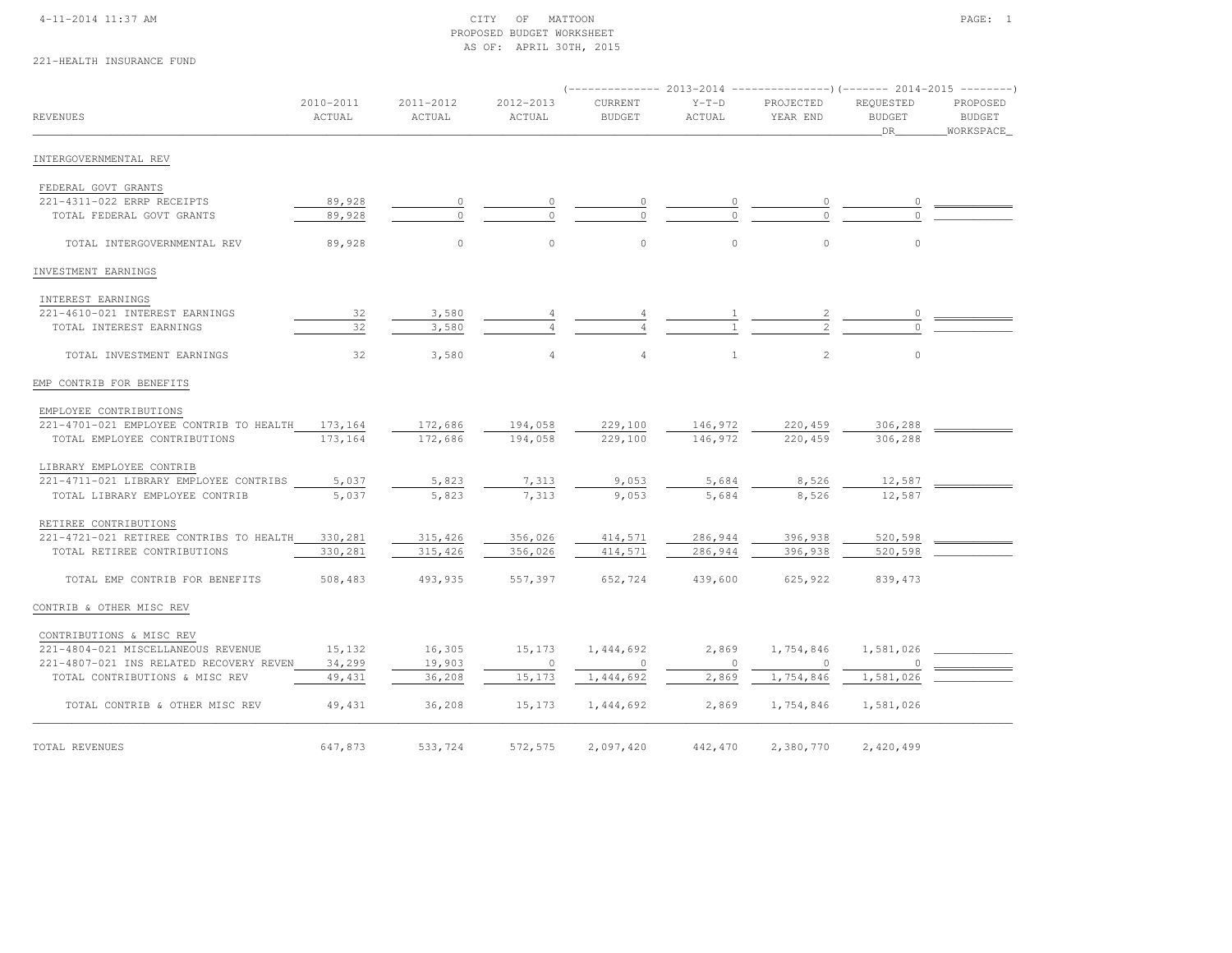### 4-11-2014 11:37 AM CITY OF MATTOON PAGE: 1 PROPOSED BUDGET WORKSHEETAS OF: APRIL 30TH, 2015

# 221-HEALTH INSURANCE FUND

|                                         |                     |                     |                     |                          |                   |                       |                                         | $($ -------------- 2013-2014 ----------------) (------- 2014-2015 --------) |  |  |  |
|-----------------------------------------|---------------------|---------------------|---------------------|--------------------------|-------------------|-----------------------|-----------------------------------------|-----------------------------------------------------------------------------|--|--|--|
| REVENUES                                | 2010-2011<br>ACTUAL | 2011-2012<br>ACTUAL | 2012-2013<br>ACTUAL | CURRENT<br><b>BUDGET</b> | $Y-T-D$<br>ACTUAL | PROJECTED<br>YEAR END | REQUESTED<br><b>BUDGET</b><br><b>DR</b> | PROPOSED<br><b>BUDGET</b>                                                   |  |  |  |
|                                         |                     |                     |                     |                          |                   |                       |                                         | WORKSPACE                                                                   |  |  |  |
| INTERGOVERNMENTAL REV                   |                     |                     |                     |                          |                   |                       |                                         |                                                                             |  |  |  |
| FEDERAL GOVT GRANTS                     |                     |                     |                     |                          |                   |                       |                                         |                                                                             |  |  |  |
| 221-4311-022 ERRP RECEIPTS              | 89,928              |                     |                     |                          |                   | $\circ$               |                                         |                                                                             |  |  |  |
| TOTAL FEDERAL GOVT GRANTS               | 89,928              | $\Omega$            |                     |                          |                   | $\Omega$              |                                         |                                                                             |  |  |  |
| TOTAL INTERGOVERNMENTAL REV             | 89,928              | $\circ$             | $\circ$             | $\circ$                  | $\circ$           | $\circ$               | $\circ$                                 |                                                                             |  |  |  |
| INVESTMENT EARNINGS                     |                     |                     |                     |                          |                   |                       |                                         |                                                                             |  |  |  |
| INTEREST EARNINGS                       |                     |                     |                     |                          |                   |                       |                                         |                                                                             |  |  |  |
| 221-4610-021 INTEREST EARNINGS          | 32                  | 3,580               |                     |                          |                   |                       | $\circ$                                 |                                                                             |  |  |  |
| TOTAL INTEREST EARNINGS                 | 32                  | 3,580               |                     |                          |                   |                       |                                         |                                                                             |  |  |  |
| TOTAL INVESTMENT EARNINGS               | 32                  | 3,580               | 4                   | $\overline{4}$           | $\mathbf{1}$      | 2                     | $\circ$                                 |                                                                             |  |  |  |
| EMP CONTRIB FOR BENEFITS                |                     |                     |                     |                          |                   |                       |                                         |                                                                             |  |  |  |
| EMPLOYEE CONTRIBUTIONS                  |                     |                     |                     |                          |                   |                       |                                         |                                                                             |  |  |  |
| 221-4701-021 EMPLOYEE CONTRIB TO HEALTH | 173,164             | 172,686             | 194,058             | 229,100                  | 146,972           | 220,459               | 306,288                                 |                                                                             |  |  |  |
| TOTAL EMPLOYEE CONTRIBUTIONS            | 173,164             | 172,686             | 194,058             | 229,100                  | 146,972           | 220,459               | 306,288                                 |                                                                             |  |  |  |
| LIBRARY EMPLOYEE CONTRIB                |                     |                     |                     |                          |                   |                       |                                         |                                                                             |  |  |  |
| 221-4711-021 LIBRARY EMPLOYEE CONTRIBS  | 5,037               | 5,823               | 7,313               | 9,053                    | 5,684             | 8,526                 | 12,587                                  |                                                                             |  |  |  |
| TOTAL LIBRARY EMPLOYEE CONTRIB          | 5,037               | 5,823               | 7,313               | 9,053                    | 5,684             | 8,526                 | 12,587                                  |                                                                             |  |  |  |
| RETIREE CONTRIBUTIONS                   |                     |                     |                     |                          |                   |                       |                                         |                                                                             |  |  |  |
| 221-4721-021 RETIREE CONTRIBS TO HEALTH | 330,281             | 315,426             | 356,026             | 414,571                  | 286,944           | 396,938               | 520,598                                 |                                                                             |  |  |  |
| TOTAL RETIREE CONTRIBUTIONS             | 330,281             | 315,426             | 356,026             | 414,571                  | 286,944           | 396,938               | 520,598                                 |                                                                             |  |  |  |
| TOTAL EMP CONTRIB FOR BENEFITS          | 508,483             | 493,935             | 557,397             | 652,724                  | 439,600           | 625,922               | 839, 473                                |                                                                             |  |  |  |
| CONTRIB & OTHER MISC REV                |                     |                     |                     |                          |                   |                       |                                         |                                                                             |  |  |  |
| CONTRIBUTIONS & MISC REV                |                     |                     |                     |                          |                   |                       |                                         |                                                                             |  |  |  |
| 221-4804-021 MISCELLANEOUS REVENUE      | 15,132              | 16,305              | 15,173              | 1,444,692                | 2,869             | 1,754,846             | 1,581,026                               |                                                                             |  |  |  |
| 221-4807-021 INS RELATED RECOVERY REVEN | 34,299              | 19,903              | $\overline{0}$      | $\circ$                  | $\overline{0}$    | $\overline{0}$        | 0                                       |                                                                             |  |  |  |
| TOTAL CONTRIBUTIONS & MISC REV          | 49,431              | 36,208              | 15,173              | 1,444,692                | 2,869             | 1,754,846             | 1,581,026                               |                                                                             |  |  |  |
| TOTAL CONTRIB & OTHER MISC REV          | 49,431              | 36,208              | 15,173              | 1,444,692                | 2,869             | 1,754,846             | 1,581,026                               |                                                                             |  |  |  |
| TOTAL REVENUES                          | 647,873             | 533,724             | 572,575             | 2,097,420                | 442,470           | 2,380,770             | 2,420,499                               |                                                                             |  |  |  |
|                                         |                     |                     |                     |                          |                   |                       |                                         |                                                                             |  |  |  |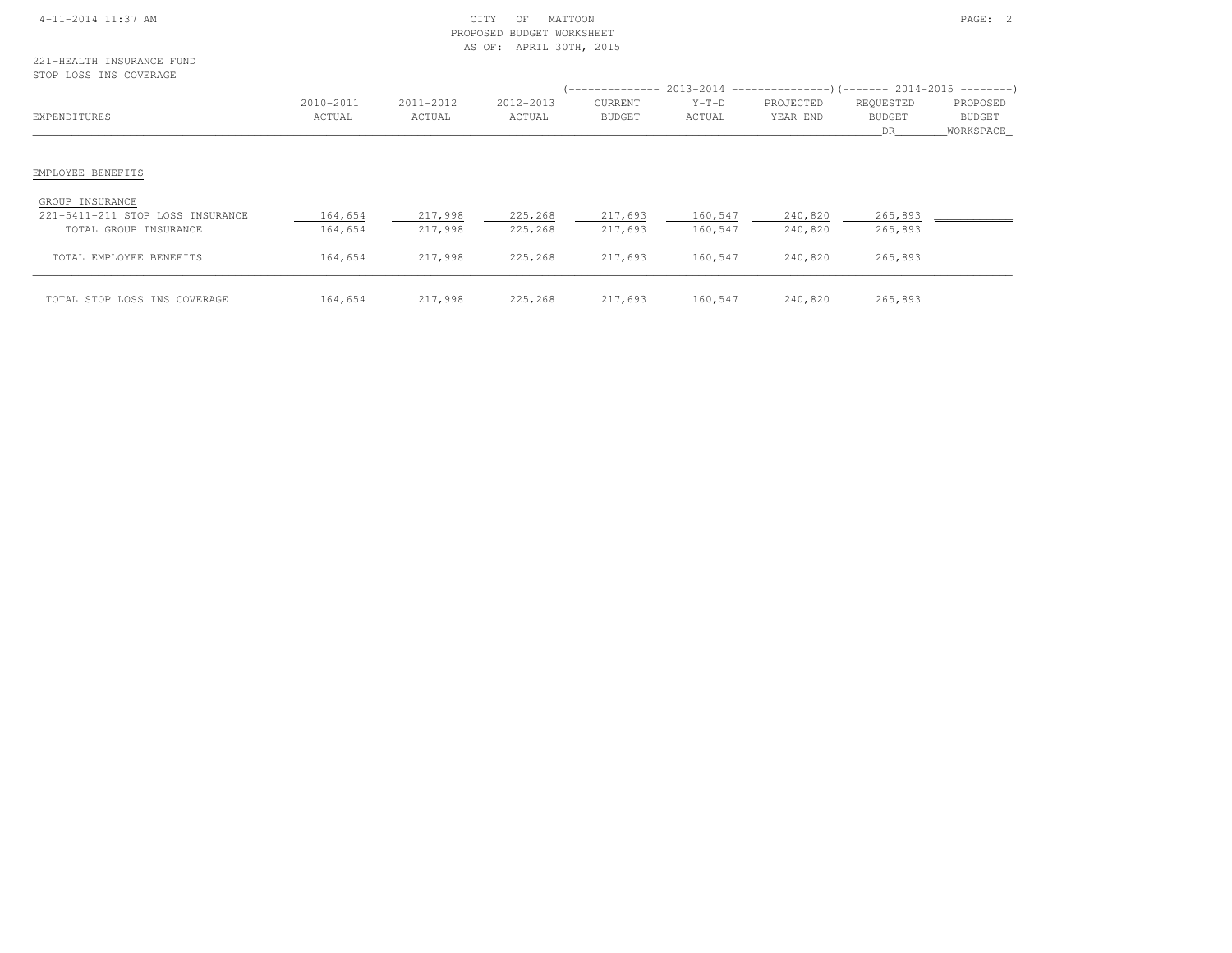|  | 4-11-2014 11:37 AM |  |
|--|--------------------|--|
|  |                    |  |

### 4-11-2014 12:37 AM CITY OF MATTOON PAGE: 2 PROPOSED BUDGET WORKSHEETAS OF: APRIL 30TH, 2015

#### 221-HEALTH INSURANCE FUNDSTOP LOSS INS COVERAGE

# EMPLOYEE BENEFITS

#### GROUP INSURANCE

| 221-5411-211 STOP LOSS INSURANCE<br>TOTAL GROUP INSURANCE | 164,654<br>164,654 | 217,998<br>217,998 | 225,268<br>225,268 | 217,693<br>217,693 | 160,547<br>160,547 | 240,820<br>240,820 | 265,893<br>265,893 |  |
|-----------------------------------------------------------|--------------------|--------------------|--------------------|--------------------|--------------------|--------------------|--------------------|--|
| TOTAL EMPLOYEE BENEFITS                                   | 164,654            | 217,998            | 225,268            | 217,693            | 160,547            | 240,820            | 265,893            |  |
| TOTAL STOP LOSS INS COVERAGE                              | 164,654            | 217,998            | 225,268            | 217,693            | 160,547            | 240,820            | 265,893            |  |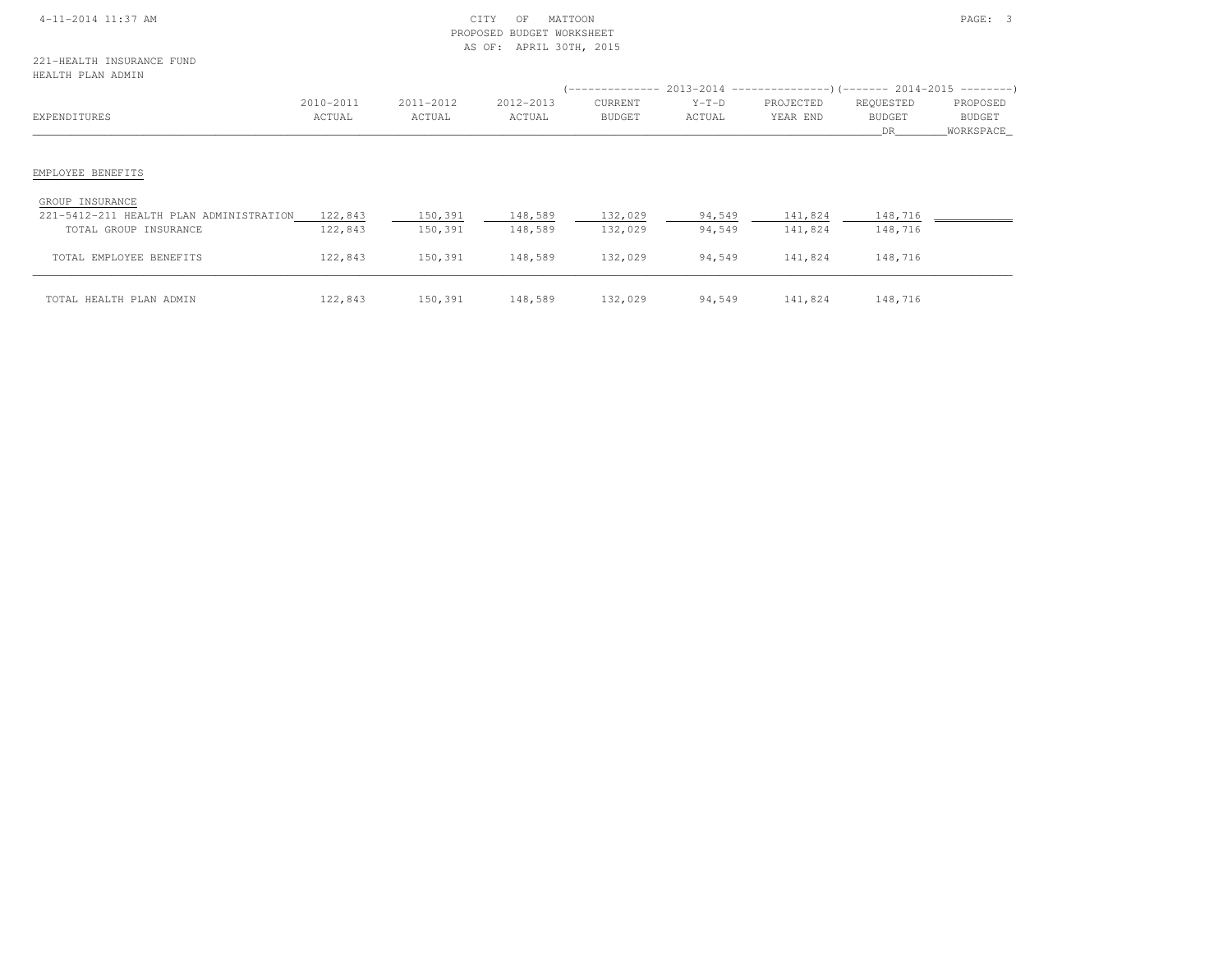| 4-11-2014 11:37 AM |  |
|--------------------|--|
|                    |  |

## $\begin{array}{ccc} \multicolumn{2}{l}\textbf{CITY} & \multicolumn{2}{l}\textbf{OPT} & \multicolumn{2}{l}\textbf{O.F} & \multicolumn{2}{l}\textbf{MATEO} \\ \multicolumn{2}{l}\textbf{CITY} & \multicolumn{2}{l}\textbf{OPT} & \multicolumn{2}{l}\textbf{O.F} & \multicolumn{2}{l}\textbf{MATEO} \\ \multicolumn{2}{l}\textbf{PAGE:} & 3 & \multicolumn{2}{l}\textbf{PAGE:} & 3 \\ \multicolumn{2}{l}\textbf{PAGE:} & \multicolumn{2}{l}\textbf{SATEO} & \multicolumn{2}{l}\textbf{$  PROPOSED BUDGET WORKSHEETAS OF: APRIL 30TH, 2015

| UPWPIU LAW WAMIM                        |                     |                     |                     | '--------------          |                   | $2013-2014$ ----------------)(-------- 2014-2015 ---------) |                                  |                                 |
|-----------------------------------------|---------------------|---------------------|---------------------|--------------------------|-------------------|-------------------------------------------------------------|----------------------------------|---------------------------------|
| EXPENDITURES                            | 2010-2011<br>ACTUAL | 2011-2012<br>ACTUAL | 2012-2013<br>ACTUAL | CURRENT<br><b>BUDGET</b> | $Y-T-D$<br>ACTUAL | PROJECTED<br>YEAR END                                       | REQUESTED<br><b>BUDGET</b><br>DR | PROPOSED<br>BUDGET<br>WORKSPACE |
|                                         |                     |                     |                     |                          |                   |                                                             |                                  |                                 |
| EMPLOYEE BENEFITS                       |                     |                     |                     |                          |                   |                                                             |                                  |                                 |
| GROUP INSURANCE                         |                     |                     |                     |                          |                   |                                                             |                                  |                                 |
| 221-5412-211 HEALTH PLAN ADMINISTRATION | 122,843             | 150,391             | 148,589             | 132,029                  | 94,549            | 141,824                                                     | 148,716                          |                                 |
| TOTAL GROUP INSURANCE                   | 122,843             | 150,391             | 148,589             | 132,029                  | 94,549            | 141,824                                                     | 148,716                          |                                 |
| TOTAL EMPLOYEE BENEFITS                 | 122,843             | 150,391             | 148,589             | 132,029                  | 94,549            | 141,824                                                     | 148,716                          |                                 |
| TOTAL HEALTH PLAN ADMIN                 | 122,843             | 150,391             | 148,589             | 132,029                  | 94,549            | 141,824                                                     | 148,716                          |                                 |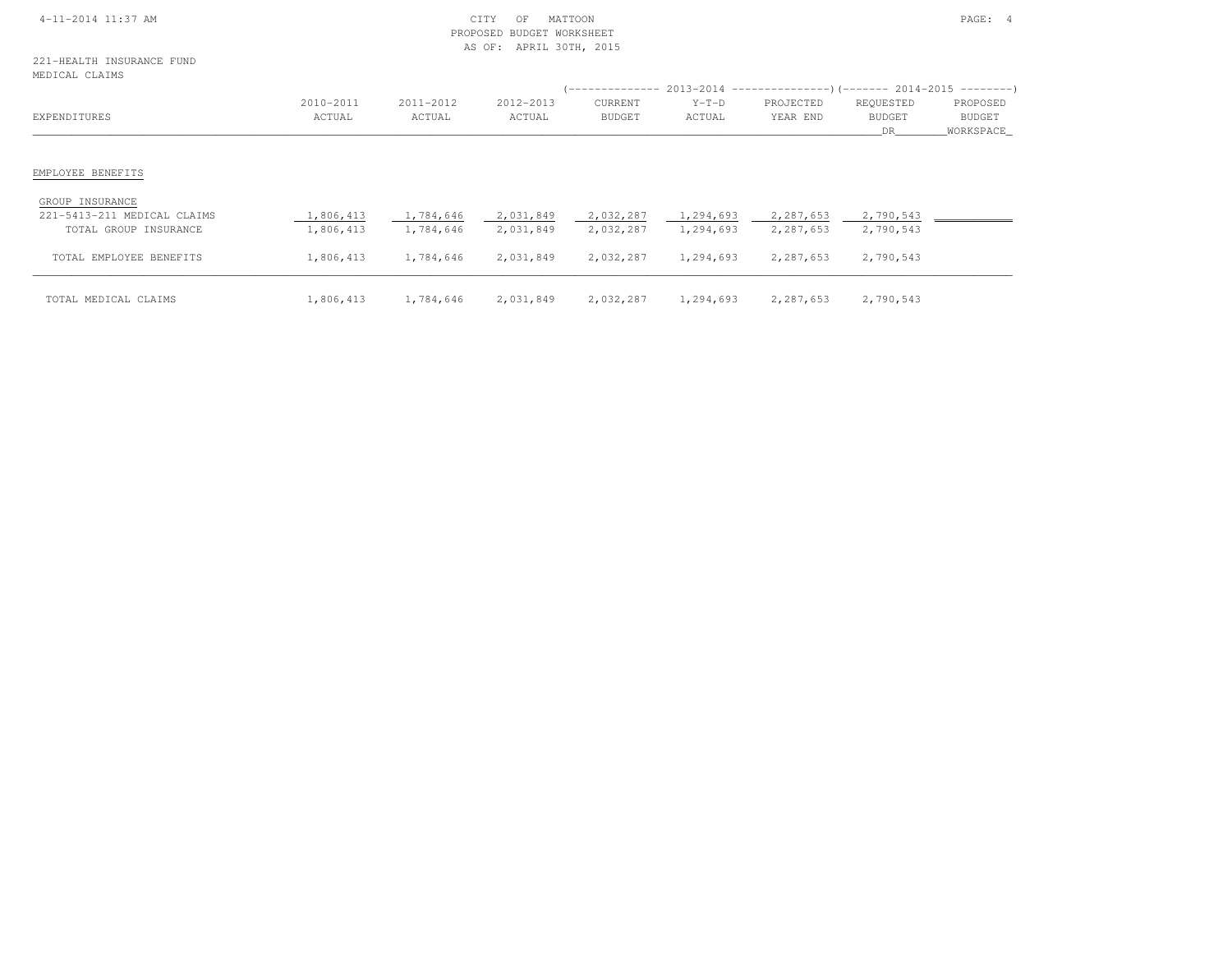|  | 4-11-2014 11:37 AM |  |
|--|--------------------|--|
|  |                    |  |

### 4-11-2014 11:37 AM CITY OF MATTOON PAGE: 4 PROPOSED BUDGET WORKSHEETAS OF: APRIL 30TH, 2015

221-HEALTH INSURANCE FUND $ME$ 

| MEDICAL CLAIMS              |           |           |           |               |           |                                                                              |               |           |
|-----------------------------|-----------|-----------|-----------|---------------|-----------|------------------------------------------------------------------------------|---------------|-----------|
|                             |           |           |           |               |           | $($ -------------- 2013-2014 ----------------) (------- 2014-2015 ---------) |               |           |
|                             | 2010-2011 | 2011-2012 | 2012-2013 | CURRENT       | $Y-T-D$   | PROJECTED                                                                    | REQUESTED     | PROPOSED  |
| EXPENDITURES                | ACTUAL    | ACTUAL    | ACTUAL    | <b>BUDGET</b> | ACTUAL    | YEAR END                                                                     | <b>BUDGET</b> | BUDGET    |
|                             |           |           |           |               |           |                                                                              | DR.           | WORKSPACE |
|                             |           |           |           |               |           |                                                                              |               |           |
|                             |           |           |           |               |           |                                                                              |               |           |
| EMPLOYEE BENEFITS           |           |           |           |               |           |                                                                              |               |           |
|                             |           |           |           |               |           |                                                                              |               |           |
| GROUP INSURANCE             |           |           |           |               |           |                                                                              |               |           |
| 221-5413-211 MEDICAL CLAIMS | 1,806,413 | 1,784,646 | 2,031,849 | 2,032,287     | 1,294,693 | 2,287,653                                                                    | 2,790,543     |           |

| aal vilv all muulum vumin | $+10001 + 100$ | $\cdots$  | --------- | $-100010101$ | <u>-1-7-1000 -</u> | --------- | --------  |  |
|---------------------------|----------------|-----------|-----------|--------------|--------------------|-----------|-----------|--|
| TOTAL GROUP INSURANCE     | 1,806,413      | 1,784,646 | 2,031,849 | 2,032,287    | 1,294,693          | 2,287,653 | 2,790,543 |  |
| TOTAL EMPLOYEE BENEFITS   | 1,806,413      | 1,784,646 | 2,031,849 | 2,032,287    | 1,294,693          | 2,287,653 | 2,790,543 |  |
| TOTAL MEDICAL CLAIMS      | 1,806,413      | 1,784,646 | 2,031,849 | 2,032,287    | 1,294,693          | 2,287,653 | 2,790,543 |  |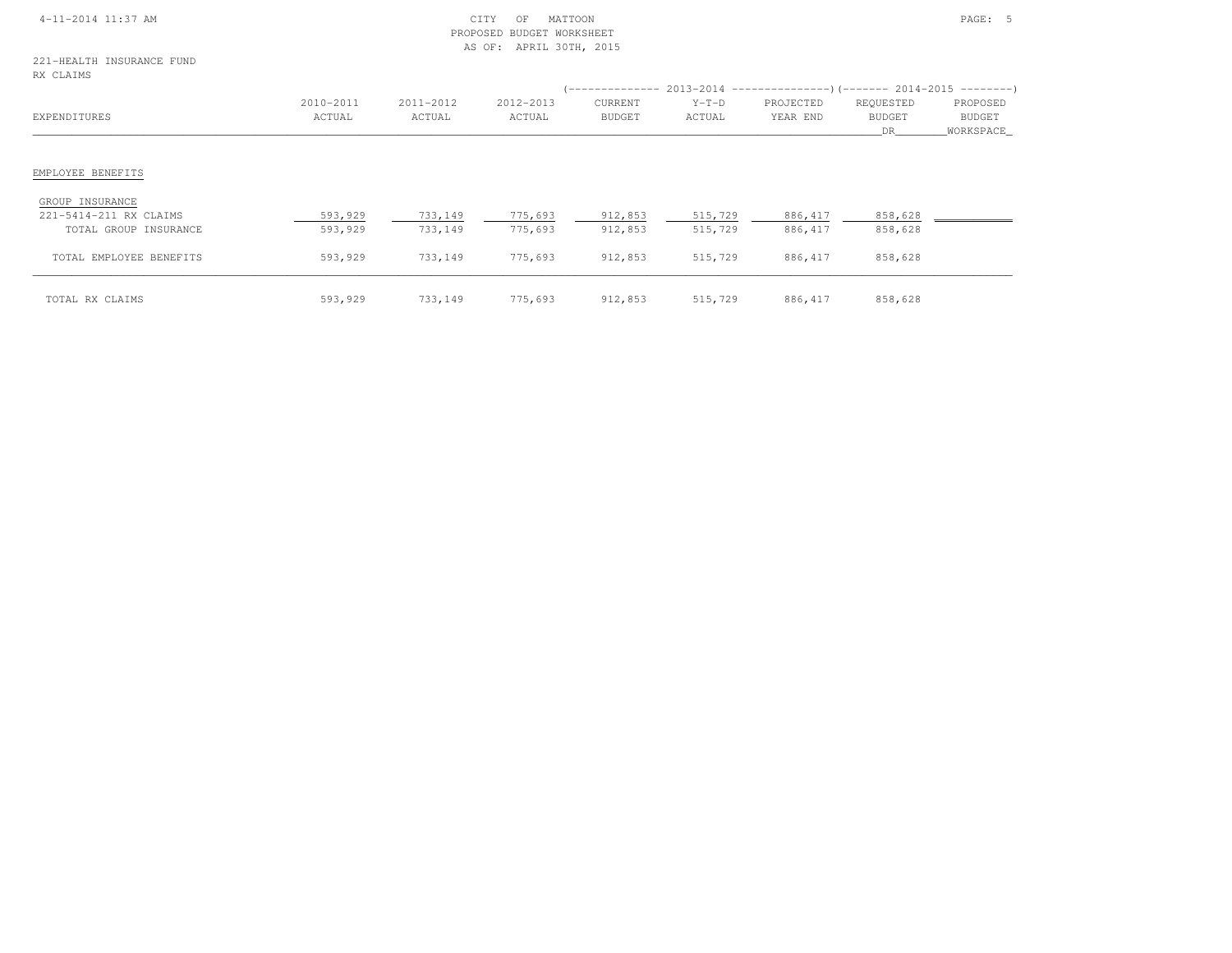|  | 4-11-2014 11:37 AM |  |
|--|--------------------|--|
|  |                    |  |

### $\begin{array}{ccc} \text{CITY} & \text{OF} & \text{MATION} \end{array}$  PROPOSED BUDGET WORKSHEETAS OF: APRIL 30TH, 2015

221-HEALTH INSURANCE FUNDRX CLAIMS

| RX CLAIMS                                       |                     |                     |                     |                          |                    |                       |                            |                                        |
|-------------------------------------------------|---------------------|---------------------|---------------------|--------------------------|--------------------|-----------------------|----------------------------|----------------------------------------|
| EXPENDITURES                                    | 2010-2011<br>ACTUAL | 2011-2012<br>ACTUAL | 2012-2013<br>ACTUAL | CURRENT<br><b>BUDGET</b> | $Y-T-D$<br>ACTUAL  | PROJECTED<br>YEAR END | REQUESTED<br><b>BUDGET</b> | PROPOSED<br><b>BUDGET</b><br>WORKSPACE |
|                                                 |                     |                     |                     |                          |                    |                       | DR                         |                                        |
| EMPLOYEE BENEFITS                               |                     |                     |                     |                          |                    |                       |                            |                                        |
| GROUP INSURANCE                                 |                     |                     |                     |                          |                    |                       |                            |                                        |
| 221-5414-211 RX CLAIMS<br>TOTAL GROUP INSURANCE | 593,929<br>593,929  | 733,149<br>733,149  | 775,693<br>775,693  | 912,853<br>912,853       | 515,729<br>515,729 | 886, 417<br>886, 417  | 858,628<br>858,628         |                                        |
| TOTAL EMPLOYEE BENEFITS                         | 593,929             | 733,149             | 775,693             | 912,853                  | 515,729            | 886, 417              | 858,628                    |                                        |
| TOTAL RX CLAIMS                                 | 593,929             | 733,149             | 775,693             | 912,853                  | 515,729            | 886, 417              | 858,628                    |                                        |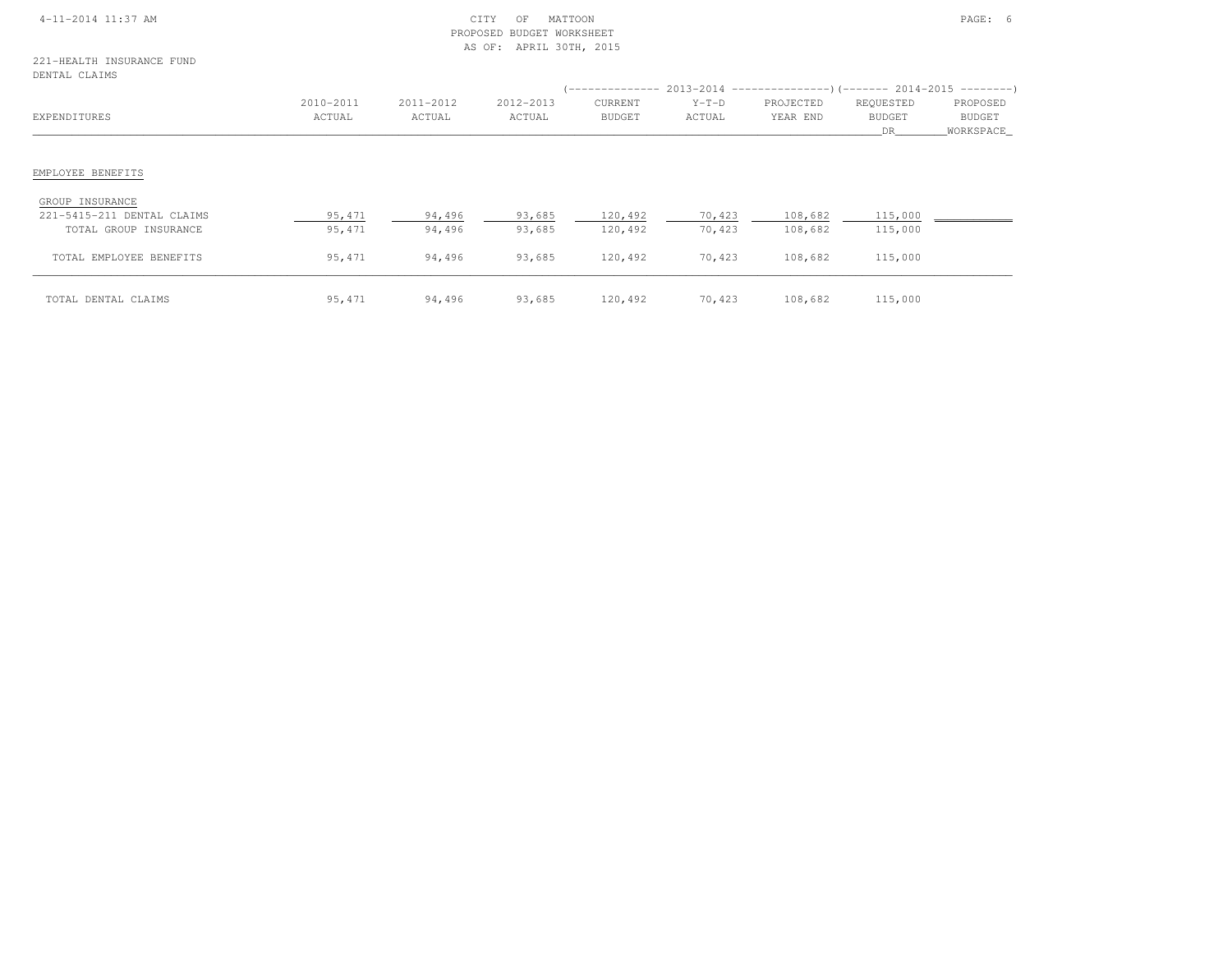|  | 4-11-2014 11:37 AM |  |
|--|--------------------|--|
|  |                    |  |

### $\begin{array}{ccc} \text{CITY} & \text{OF} & \text{MATION} \end{array}$  PROPOSED BUDGET WORKSHEETAS OF: APRIL 30TH, 2015

#### 221-HEALTH INSURANCE FUNDDENTAL CLAIMS

| DENIAL CLAIMS              |                     |                     |                     |                          |                   |                       |                                   |                                        |
|----------------------------|---------------------|---------------------|---------------------|--------------------------|-------------------|-----------------------|-----------------------------------|----------------------------------------|
| EXPENDITURES               | 2010-2011<br>ACTUAL | 2011-2012<br>ACTUAL | 2012-2013<br>ACTUAL | CURRENT<br><b>BUDGET</b> | $Y-T-D$<br>ACTUAL | PROJECTED<br>YEAR END | REQUESTED<br><b>BUDGET</b><br>DR. | PROPOSED<br><b>BUDGET</b><br>WORKSPACE |
|                            |                     |                     |                     |                          |                   |                       |                                   |                                        |
| EMPLOYEE BENEFITS          |                     |                     |                     |                          |                   |                       |                                   |                                        |
| GROUP INSURANCE            |                     |                     |                     |                          |                   |                       |                                   |                                        |
| 221-5415-211 DENTAL CLAIMS | 95,471              | 94,496              | 93,685              | 120,492                  | 70,423            | 108,682               | 115,000                           |                                        |
| TOTAL GROUP INSURANCE      | 95,471              | 94,496              | 93,685              | 120,492                  | 70,423            | 108,682               | 115,000                           |                                        |
| TOTAL EMPLOYEE BENEFITS    | 95,471              | 94,496              | 93,685              | 120,492                  | 70,423            | 108,682               | 115,000                           |                                        |
| TOTAL DENTAL CLAIMS        | 95,471              | 94,496              | 93,685              | 120,492                  | 70,423            | 108,682               | 115,000                           |                                        |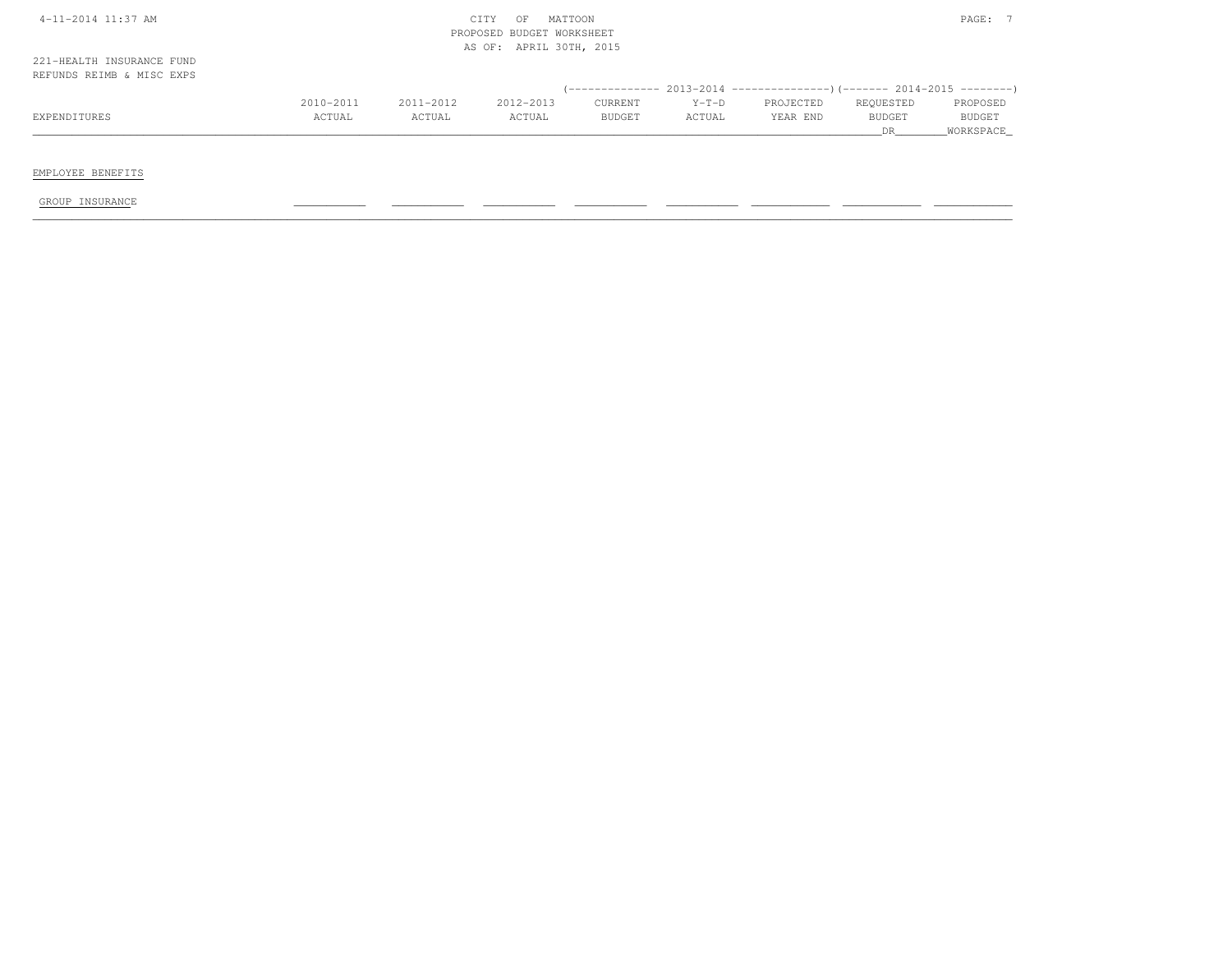| 4-11-2014 11:37 AM                                     |           |           | CITY<br>OF<br>BUDGET WORKSHEET<br>PROPOSED | MATTOON       |         |                                                                            |                      | PAGE: 7             |
|--------------------------------------------------------|-----------|-----------|--------------------------------------------|---------------|---------|----------------------------------------------------------------------------|----------------------|---------------------|
| 221-HEALTH INSURANCE FUND<br>REFUNDS REIMB & MISC EXPS |           |           | AS OF: APRIL 30TH, 2015                    |               |         |                                                                            |                      |                     |
|                                                        |           |           |                                            |               |         | (-------------- 2013-2014 -----------------) (------- 2014-2015 ---------) |                      |                     |
|                                                        | 2010-2011 | 2011-2012 | 2012-2013                                  | CURRENT       | $Y-T-D$ | PROJECTED                                                                  | REQUESTED            | PROPOSED            |
| EXPENDITURES                                           | ACTUAL    | ACTUAL    | ACTUAL                                     | <b>BUDGET</b> | ACTUAL  | YEAR END                                                                   | <b>BUDGET</b><br>DR. | BUDGET<br>WORKSPACE |
|                                                        |           |           |                                            |               |         |                                                                            |                      |                     |
| EMPLOYEE BENEFITS                                      |           |           |                                            |               |         |                                                                            |                      |                     |
| GROUP INSURANCE                                        |           |           |                                            |               |         |                                                                            |                      |                     |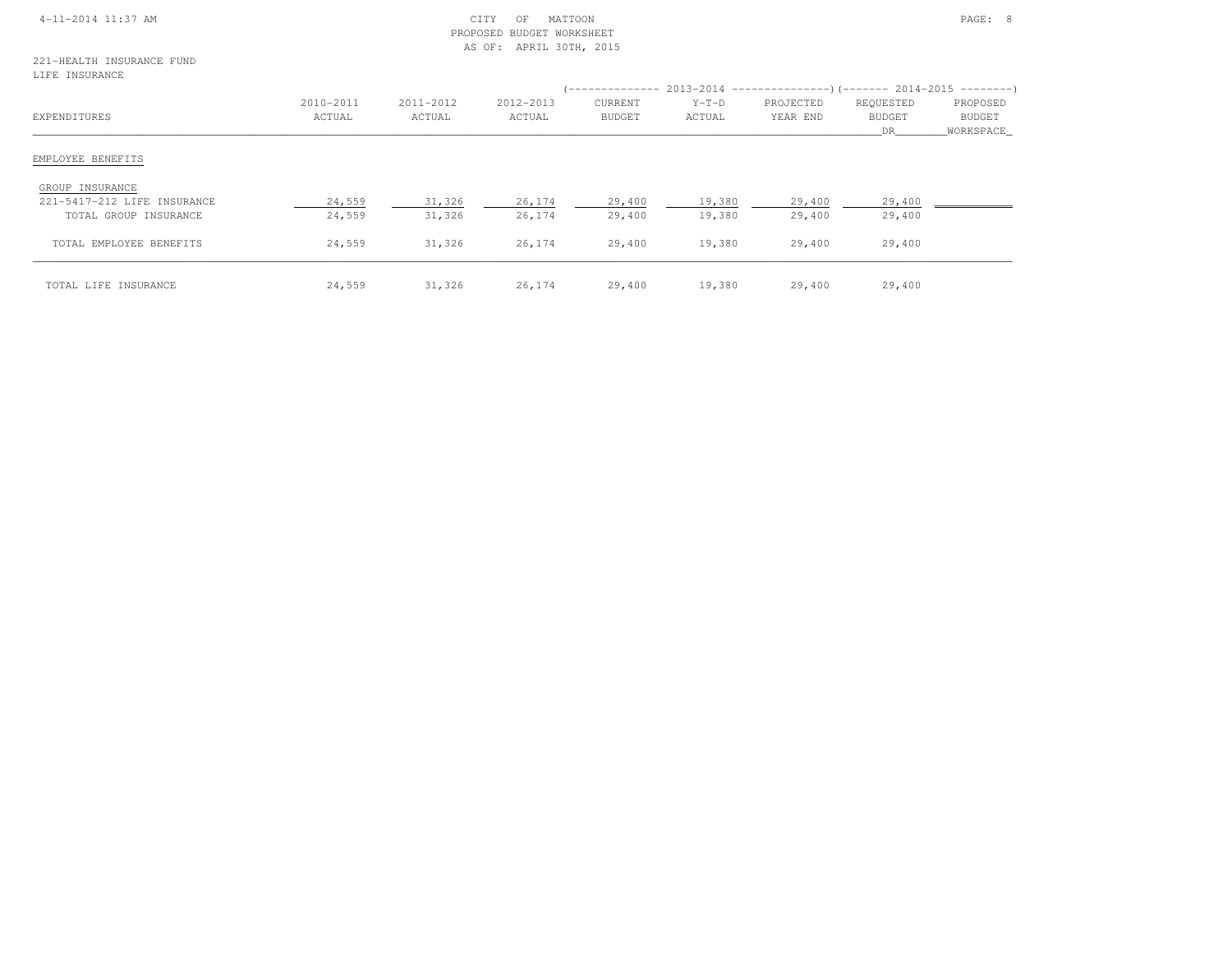| 4-11-2014 11:37 AM |  |
|--------------------|--|

### $\begin{array}{ccc} \text{CITY} & \text{OF} & \text{MATION} \end{array}$  PROPOSED BUDGET WORKSHEETAS OF: APRIL 30TH, 2015

## 221-HEALTH INSURANCE FUNDLIFE INSURANCE

| EXPENDITURES                                                            | 2010-2011<br>ACTUAL | 2011-2012<br>ACTUAL | 2012-2013<br>ACTUAL | '--------------<br>CURRENT<br><b>BUDGET</b> | $Y-T-D$<br>ACTUAL | $2013-2014$ ----------------)(------- 2014-2015 ---------)<br>PROJECTED<br>YEAR END | REQUESTED<br><b>BUDGET</b><br>DR. | PROPOSED<br><b>BUDGET</b><br>WORKSPACE |
|-------------------------------------------------------------------------|---------------------|---------------------|---------------------|---------------------------------------------|-------------------|-------------------------------------------------------------------------------------|-----------------------------------|----------------------------------------|
| EMPLOYEE BENEFITS                                                       |                     |                     |                     |                                             |                   |                                                                                     |                                   |                                        |
| GROUP INSURANCE<br>221-5417-212 LIFE INSURANCE<br>TOTAL GROUP INSURANCE | 24,559<br>24,559    | 31,326<br>31,326    | 26,174<br>26,174    | 29,400<br>29,400                            | 19,380<br>19,380  | 29,400<br>29,400                                                                    | 29,400<br>29,400                  |                                        |
| TOTAL EMPLOYEE BENEFITS                                                 | 24,559              | 31,326              | 26,174              | 29,400                                      | 19,380            | 29,400                                                                              | 29,400                            |                                        |
| TOTAL LIFE INSURANCE                                                    | 24,559              | 31,326              | 26,174              | 29,400                                      | 19,380            | 29,400                                                                              | 29,400                            |                                        |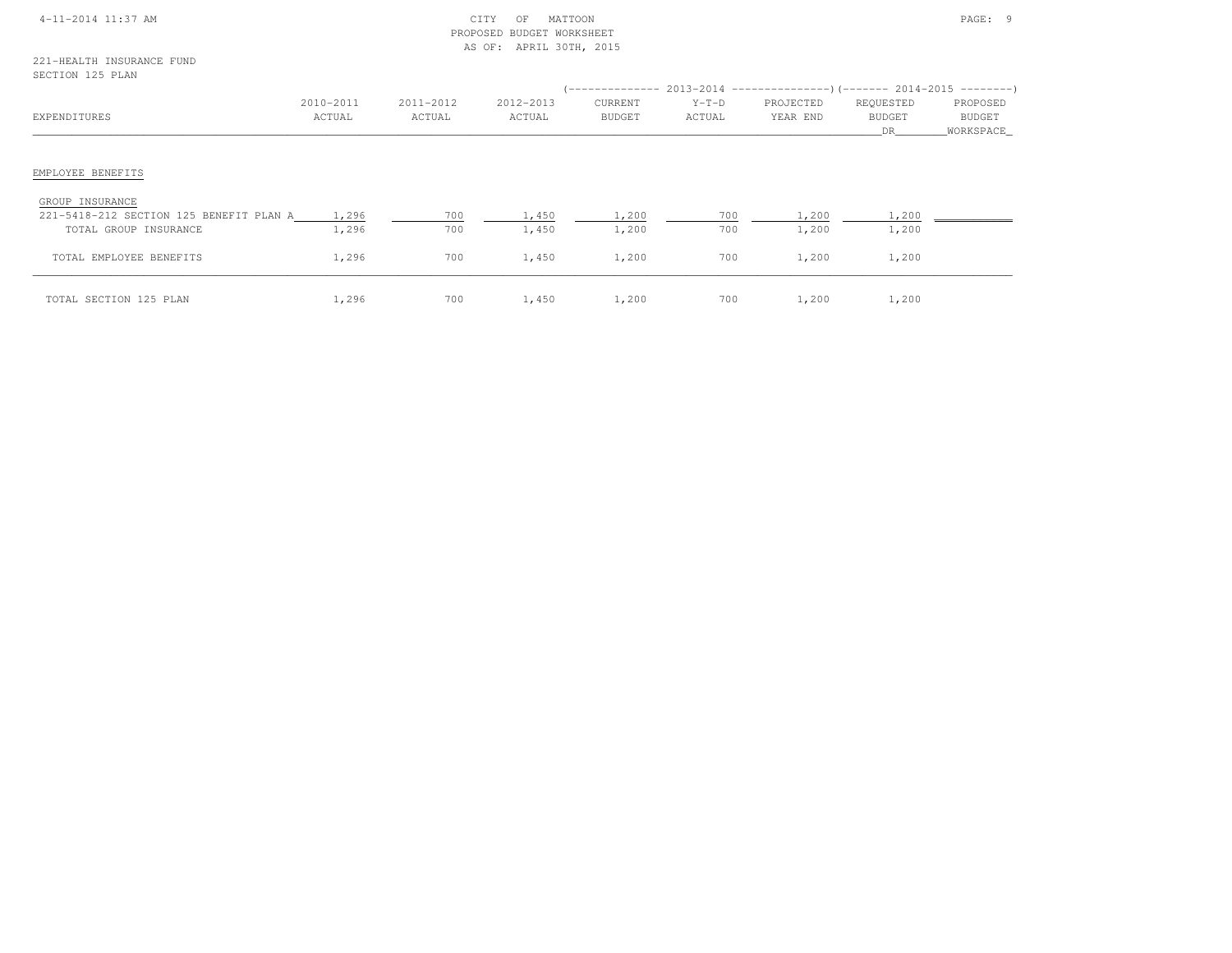| 4-11-2014 11:37 AM |  |  |  |  |  |
|--------------------|--|--|--|--|--|
|--------------------|--|--|--|--|--|

### 4-11-2014 CITY OF MATTOON CITY OF MATTOON PAGE: 9 PROPOSED BUDGET WORKSHEETAS OF: APRIL 30TH, 2015

| EXPENDITURES                                               | 2010-2011<br>ACTUAL | 2011-2012<br>ACTUAL | 2012-2013<br>ACTUAL | CURRENT<br>BUDGET | $Y-T-D$<br>ACTUAL | PROJECTED<br>YEAR END | REQUESTED<br>BUDGET<br>DR 1988 | PROPOSED<br>BUDGET<br>_WORKSPACE_ |
|------------------------------------------------------------|---------------------|---------------------|---------------------|-------------------|-------------------|-----------------------|--------------------------------|-----------------------------------|
| EMPLOYEE BENEFITS                                          |                     |                     |                     |                   |                   |                       |                                |                                   |
| GROUP INSURANCE<br>221-5418-212 SECTION 125 BENEFIT PLAN A | 1,296               | 700                 | 1,450               | 1,200             | 700               | 1,200                 | 1,200                          |                                   |
| TOTAL GROUP INSURANCE                                      | 1,296               | 700                 | 1,450               | 1,200             | 700               | 1,200                 | 1,200                          |                                   |
| TOTAL EMPLOYEE BENEFITS                                    | 1,296               | 700                 | 1,450               | 1,200             | 700               | 1,200                 | 1,200                          |                                   |
| TOTAL SECTION 125 PLAN                                     | 1,296               | 700                 | 1,450               | 1,200             | 700               | 1,200                 | 1,200                          |                                   |